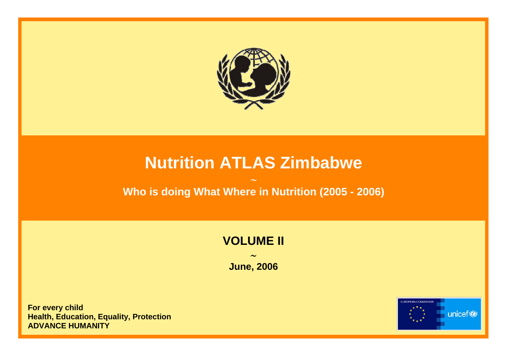

# **Nutrition ATLAS Zimbabwe**

### ∼**Who is doing What Where in Nutrition (2005 - 2006)**

### **VOLUME II**

∼**June, 2006** 

**For every child Health, Education, Equality, Prote ction ADVANCE HUMANITY** 

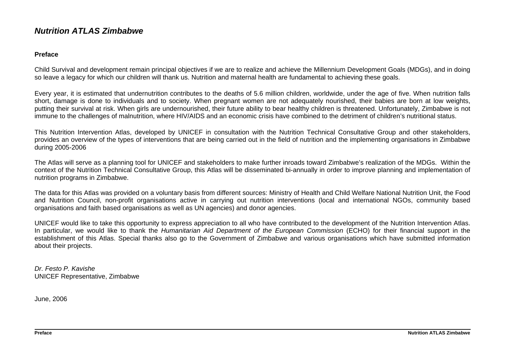#### *Nutrition ATLAS Zimbabwe*

#### **Preface**

Child Survival and development remain principal objectives if we are to realize and achieve the Millennium Development Goals (MDGs), and in doing so leave a legacy for which our children will thank us. Nutrition and maternal health are fundamental to achieving these goals.

Every year, it is estimated that undernutrition contributes to the deaths of 5.6 million children, worldwide, under the age of five. When nutrition falls short, damage is done to individuals and to society. When pregnant women are not adequately nourished, their babies are born at low weights, putting their survival at risk. When girls are undernourished, their future ability to bear healthy children is threatened. Unfortunately, Zimbabwe is not immune to the challenges of malnutrition, where HIV/AIDS and an economic crisis have combined to the detriment of children's nutritional status.

This Nutrition Intervention Atlas, developed by UNICEF in consultation with the Nutrition Technical Consultative Group and other stakeholders, provides an overview of the types of interventions that are being carried out in the field of nutrition and the implementing organisations in Zimbabwe during 2005-2006

The Atlas will serve as a planning tool for UNICEF and stakeholders to make further inroads toward Zimbabwe's realization of the MDGs. Within the context of the Nutrition Technical Consultative Group, this Atlas will be disseminated bi-annually in order to improve planning and implementation of nutrition programs in Zimbabwe.

The data for this Atlas was provided on a voluntary basis from different sources: Ministry of Health and Child Welfare National Nutrition Unit, the Food and Nutrition Council, non-profit organisations active in carrying out nutrition interventions (local and international NGOs, community based organisations and faith based organisations as well as UN agencies) and donor agencies.

UNICEF would like to take this opportunity to express appreciation to all who have contributed to the development of the Nutrition Intervention Atlas. In particular, we would like to thank the *Humanitarian Aid Department of the European Commission* (ECHO) for their financial support in the establishment of this Atlas. Special thanks also go to the Government of Zimbabwe and various organisations which have submitted information about their projects.

*Dr. Festo P. Kavishe*UNICEF Representative, Zimbabwe

June, 2006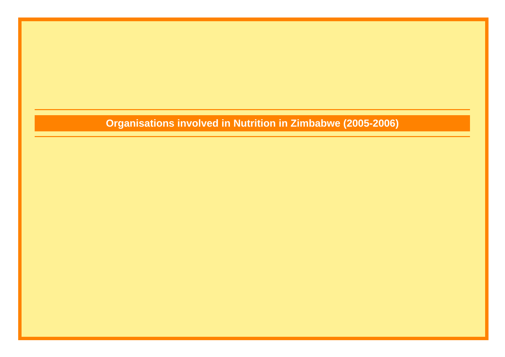### **Organisations involved in Nutrition in Zimbabwe (2005-2006)**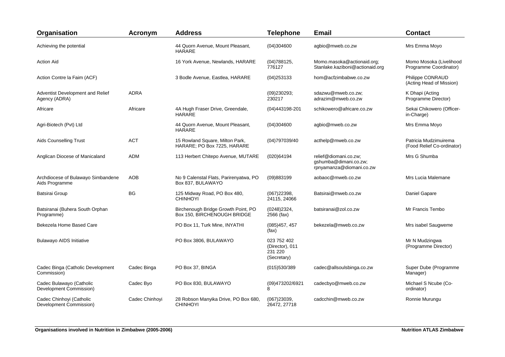| Organisation                                         | <b>Acronym</b> | <b>Address</b>                                                     | <b>Telephone</b>                                         | <b>Email</b>                                                               | <b>Contact</b>                                      |
|------------------------------------------------------|----------------|--------------------------------------------------------------------|----------------------------------------------------------|----------------------------------------------------------------------------|-----------------------------------------------------|
| Achieving the potential                              |                | 44 Quorn Avenue, Mount Pleasant,<br><b>HARARE</b>                  | (04)304600                                               | agbio@mweb.co.zw                                                           | Mrs Emma Moyo                                       |
| <b>Action Aid</b>                                    |                | 16 York Avenue, Newlands, HARARE                                   | (04)788125,<br>776127                                    | Momo.masoka@actionaid.org;<br>Stanlake.kaziboni@actionaid.org              | Momo Mosoka (Livelihood<br>Programme Coordinator)   |
| Action Contre la Faim (ACF)                          |                | 3 Bodle Avenue, Eastlea, HARARE                                    | (04)253133                                               | hom@acfzimbabwe.co.zw                                                      | Philippe CONRAUD<br>(Acting Head of Mission)        |
| Adventist Development and Relief<br>Agency (ADRA)    | <b>ADRA</b>    |                                                                    | (09)230293;<br>230217                                    | sdazwu@mweb.co.zw;<br>adrazim@mweb.co.zw                                   | K Dhapi (Acting<br>Programme Director)              |
| Africare                                             | Africare       | 4A Hugh Fraser Drive, Greendale,<br><b>HARARE</b>                  | (04)443198-201                                           | schikowero@africare.co.zw                                                  | Sekai Chikowero (Officer-<br>in-Charge)             |
| Agri-Biotech (Pvt) Ltd                               |                | 44 Quorn Avenue, Mount Pleasant,<br><b>HARARE</b>                  | (04)304600                                               | agbio@mweb.co.zw                                                           | Mrs Emma Moyo                                       |
| Aids Counselling Trust                               | <b>ACT</b>     | 15 Rowland Square, Milton Park,<br>HARARE; PO Box 7225, HARARE     | (04)797039/40                                            | acthelp@mweb.co.zw                                                         | Patricia Mudzimuirema<br>(Food Relief Co-ordinator) |
| Anglican Diocese of Manicaland                       | <b>ADM</b>     | 113 Herbert Chitepo Avenue, MUTARE                                 | (020)64194                                               | relief@diomani.co.zw;<br>gshumba@dimani.co.zw;<br>rpnyamanza@diomani.co.zw | Mrs G Shumba                                        |
| Archdiocese of Bulawayo Simbandene<br>Aids Programme | AOB            | No 9 Calenstal Flats, Parirenyatwa, PO<br>Box 837, BULAWAYO        | (09)883199                                               | aobaoc@mweb.co.zw                                                          | Mrs Lucia Malemane                                  |
| Batsirai Group                                       | <b>BG</b>      | 125 Midway Road, PO Box 480,<br><b>CHINHOYI</b>                    | (067)22398,<br>24115, 24066                              | Batsirai@mweb.co.zw                                                        | Daniel Gapare                                       |
| Batsiranai (Buhera South Orphan<br>Programme)        |                | Birchenough Bridge Growth Point, PO<br>Box 150, BIRCHENOUGH BRIDGE | (0248)2324,<br>2566 (fax)                                | batsiranai@zol.co.zw                                                       | Mr Francis Tembo                                    |
| Bekezela Home Based Care                             |                | PO Box 11, Turk Mine, INYATHI                                      | (085)457, 457<br>(fax)                                   | bekezela@mweb.co.zw                                                        | Mrs isabel Saugweme                                 |
| <b>Bulawayo AIDS Initiative</b>                      |                | PO Box 3806, BULAWAYO                                              | 023 752 402<br>(Director), 011<br>231 220<br>(Secretary) |                                                                            | Mr N Mudzingwa<br>(Programme Director)              |
| Cadec Binga (Catholic Development<br>Commission)     | Cadec Binga    | PO Box 37, BINGA                                                   | (015)530/389                                             | cadec@allsoulsbinga.co.zw                                                  | Super Dube (Programme<br>Manager)                   |
| Cadec Bulawayo (Catholic<br>Development Commission)  | Cadec Byo      | PO Box 830, BULAWAYO                                               | (09)473202/6921<br>8                                     | cadecbyo@mweb.co.zw                                                        | Michael S Ncube (Co-<br>ordinator)                  |
| Cadec Chinhoyi (Catholic<br>Development Commission)  | Cadec Chinhovi | 28 Robson Manyika Drive, PO Box 680,<br><b>CHINHOYI</b>            | (067)23039,<br>26472, 27718                              | cadcchin@mweb.co.zw                                                        | Ronnie Murungu                                      |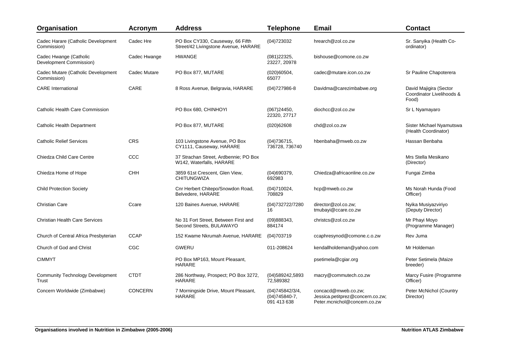| Organisation                                      | <b>Acronym</b> | <b>Address</b>                                                           | <b>Telephone</b>                                   | <b>Email</b>                                                                            | <b>Contact</b>                                               |
|---------------------------------------------------|----------------|--------------------------------------------------------------------------|----------------------------------------------------|-----------------------------------------------------------------------------------------|--------------------------------------------------------------|
| Cadec Harare (Catholic Development<br>Commission) | Cadec Hre      | PO Box CY330, Causeway, 66 Fifth<br>Street/42 Livingstone Avenue, HARARE | (04)723032                                         | hrearch@zol.co.zw                                                                       | Sr. Sanyika (Health Co-<br>ordinator)                        |
| Cadec Hwange (Catholic<br>Development Commission) | Cadec Hwange   | <b>HWANGE</b>                                                            | (081)22325,<br>23227, 20978                        | bishouse@comone.co.zw                                                                   |                                                              |
| Cadec Mutare (Catholic Development<br>Commission) | Cadec Mutare   | PO Box 877, MUTARE                                                       | (020)60504,<br>65077                               | cadec@mutare.icon.co.zw                                                                 | Sr Pauline Chapoterera                                       |
| <b>CARE</b> International                         | CARE           | 8 Ross Avenue, Belgravia, HARARE                                         | $(04)727986-8$                                     | Davidma@carezimbabwe.org                                                                | David Majigira (Sector<br>Coordinator Livelihoods &<br>Food) |
| Catholic Health Care Commission                   |                | PO Box 680, CHINHOYI                                                     | (067)24450,<br>22320, 27717                        | diochcc@zol.co.zw                                                                       | Sr L Nyamayaro                                               |
| Catholic Health Department                        |                | PO Box 877, MUTARE                                                       | (020)62608                                         | chd@zol.co.zw                                                                           | Sister Michael Nyamutswa<br>(Health Coordinator)             |
| <b>Catholic Relief Services</b>                   | CRS            | 103 Livingstone Avenue, PO Box<br>CY1111, Causeway, HARARE               | (04)736715,<br>736728, 736740                      | hbenbaha@mweb.co.zw                                                                     | Hassan Benbaha                                               |
| Chiedza Child Care Centre                         | CCC            | 37 Strachan Street, Ardbennie; PO Box<br>W142, Waterfalls, HARARE        |                                                    |                                                                                         | Mrs Stella Mesikano<br>(Director)                            |
| Chiedza Home of Hope                              | <b>CHH</b>     | 3859 61st Crescent, Glen View,<br><b>CHITUNGWIZA</b>                     | (04)690379,<br>692983                              | Chiedza@africaonline.co.zw                                                              | Fungai Zimba                                                 |
| <b>Child Protection Society</b>                   |                | Cnr Herbert Chitepo/Snowdon Road,<br>Belvedere, HARARE                   | (04)710024<br>708829                               | hcp@mweb.co.zw                                                                          | Ms Norah Hunda (Food<br>Officer)                             |
| <b>Christian Care</b>                             | Ccare          | 120 Baines Avenue, HARARE                                                | (04)732722/7280<br>16                              | director@zol.co.zw:<br>tmubayi@ccare.co.zw                                              | Nyika Musiyazviriyo<br>(Deputy Director)                     |
| <b>Christian Health Care Services</b>             |                | No 31 Fort Street. Between First and<br>Second Streets, BULAWAYO         | (09)888343,<br>884174                              | christcs@zol.co.zw                                                                      | Mr Phayi Moyo<br>(Programme Manager)                         |
| Church of Central Africa Presbyterian             | <b>CCAP</b>    | 152 Kwame Nkrumah Avenue, HARARE                                         | (04)703719                                         | ccaphresynod@comone.c.o.zw                                                              | Rev Juma                                                     |
| Church of God and Christ                          | CGC            | GWERU                                                                    | 011-208624                                         | kendallholdeman@yahoo.com                                                               | Mr Holdeman                                                  |
| <b>CIMMYT</b>                                     |                | PO Box MP163, Mount Pleasant,<br><b>HARARE</b>                           |                                                    | psetimela@cgiar.org                                                                     | Peter Setimela (Maize<br>breeder)                            |
| <b>Community Technology Development</b><br>Trust  | <b>CTDT</b>    | 286 Northway, Prospect; PO Box 3272,<br><b>HARARE</b>                    | (04)589242,5893<br>72,589382                       | macry@commutech.co.zw                                                                   | Marcy Fusire (Programme<br>Officer)                          |
| Concern Worldwide (Zimbabwe)                      | <b>CONCERN</b> | 7 Morningside Drive, Mount Pleasant,<br><b>HARARE</b>                    | (04)745842/3/4,<br>$(04)745840-7$ ,<br>091 413 638 | concacd@mweb.co.zw;<br>Jessica.petitprez@concern.co.zw;<br>Peter.mcnichol@concern.co.zw | Peter McNichol (Country<br>Director)                         |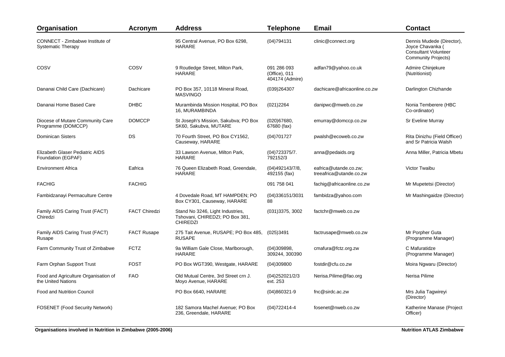| Organisation                                                 | <b>Acronym</b>       | <b>Address</b>                                                                         | <b>Telephone</b>                                | <b>Email</b>                                     | <b>Contact</b>                                                                                             |
|--------------------------------------------------------------|----------------------|----------------------------------------------------------------------------------------|-------------------------------------------------|--------------------------------------------------|------------------------------------------------------------------------------------------------------------|
| CONNECT - Zimbabwe Institute of<br><b>Systematic Therapy</b> |                      | 95 Central Avenue, PO Box 6298,<br><b>HARARE</b>                                       | (04)794131                                      | clinic@connect.org                               | Dennis Mudede (Director),<br>Joyce Chavanka (<br><b>Consultant Volunteer</b><br><b>Community Projects)</b> |
| COSV                                                         | COSV                 | 9 Routledge Street, Milton Park,<br><b>HARARE</b>                                      | 091 286 093<br>(Office), 011<br>404174 (Admire) | adfan79@yahoo.co.uk                              | Admire Chinjekure<br>(Nutritionist)                                                                        |
| Dananai Child Care (Dachicare)                               | Dachicare            | PO Box 357, 10118 Mineral Road,<br><b>MASVINGO</b>                                     | (039)264307                                     | dachicare@africaonline.co.zw                     | Darlington Chizhande                                                                                       |
| Dananai Home Based Care                                      | <b>DHBC</b>          | Murambinda Mission Hospital, PO Box<br>16, MURAMBINDA                                  | (021)2264                                       | danipwc@mweb.co.zw                               | Nonia Temberere (HBC<br>Co-ordinator)                                                                      |
| Diocese of Mutare Community Care<br>Programme (DOMCCP)       | <b>DOMCCP</b>        | St Joseph's Mission, Sakubva; PO Box<br>SK60, Sakubva, MUTARE                          | (020)67680,<br>67680 (fax)                      | emurray@domccp.co.zw                             | Sr Eveline Murray                                                                                          |
| <b>Dominican Sisters</b>                                     | DS                   | 70 Fourth Street, PO Box CY1562,<br>Causeway, HARARE                                   | (04)701727                                      | pwalsh@ecoweb.co.zw                              | Rita Dinizhu (Field Officer)<br>and Sr Patricia Walsh                                                      |
| Elizabeth Glaser Pediatric AIDS<br>Foundation (EGPAF)        |                      | 33 Lawson Avenue, Milton Park,<br><b>HARARE</b>                                        | (04)723375/7.<br>792152/3                       | anna@pedaids.org                                 | Anna Miller, Patricia Mbetu                                                                                |
| Environment Africa                                           | Eafrica              | 76 Queen Elizabeth Road, Greendale,<br><b>HARARE</b>                                   | (04)492143/7/8,<br>492155 (fax)                 | eafrica@utande.co.zw;<br>treeafrica@utande.co.zw | Victor Twaibu                                                                                              |
| <b>FACHIG</b>                                                | <b>FACHIG</b>        |                                                                                        | 091 758 041                                     | fachig@africaonline.co.zw                        | Mr Mupetetsi (Director)                                                                                    |
| Fambidzanayi Permaculture Centre                             |                      | 4 Dovedale Road, MT HAMPDEN; PO<br>Box CY301, Causeway, HARARE                         | (04)336151/3031<br>88                           | fambidza@yahoo.com                               | Mr Mashingaidze (Director)                                                                                 |
| Family AIDS Caring Trust (FACT)<br>Chiredzi                  | <b>FACT Chiredzi</b> | Stand No 3246, Light Industries,<br>Tshovani, CHIREDZI; PO Box 381,<br><b>CHIREDZI</b> | (031)3375, 3002                                 | factchr@mweb.co.zw                               |                                                                                                            |
| Family AIDS Caring Trust (FACT)<br>Rusape                    | <b>FACT Rusape</b>   | 275 Tait Avenue, RUSAPE; PO Box 485,<br><b>RUSAPE</b>                                  | (025)3491                                       | factrusape@mweb.co.zw                            | Mr Porpher Guta<br>(Programme Manager)                                                                     |
| Farm Community Trust of Zimbabwe                             | <b>FCTZ</b>          | 9a William Gale Close, Marlborough,<br><b>HARARE</b>                                   | (04)309898,<br>309244, 300390                   | cmafura@fctz.org.zw                              | C Mafuratidze<br>(Programme Manager)                                                                       |
| Farm Orphan Support Trust                                    | <b>FOST</b>          | PO Box WGT390, Westgate, HARARE                                                        | (04)309800                                      | fostdir@cfu.co.zw                                | Moira Ngwaru (Director)                                                                                    |
| Food and Agriculture Organisation of<br>the United Nations   | <b>FAO</b>           | Old Mutual Centre, 3rd Street crn J.<br>Moyo Avenue, HARARE                            | (04)252021/2/3<br>ext. 253                      | Nerisa.Pilime@fao.org                            | Nerisa Pilime                                                                                              |
| <b>Food and Nutrition Council</b>                            |                      | PO Box 6640, HARARE                                                                    | $(04)860321 - 9$                                | fnc@sirdc.ac.zw                                  | Mrs Julia Tagwireyi<br>(Director)                                                                          |
| <b>FOSENET (Food Security Network)</b>                       |                      | 182 Samora Machel Avenue; PO Box<br>236, Greendale, HARARE                             | $(04)722414 - 4$                                | fosenet@nweb.co.zw                               | Katherine Manase (Project<br>Officer)                                                                      |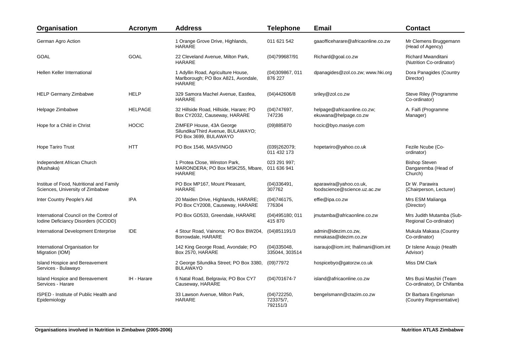| Organisation                                                                    | <b>Acronym</b> | <b>Address</b>                                                                             | <b>Telephone</b>                     | <b>Email</b>                                           | <b>Contact</b>                                         |
|---------------------------------------------------------------------------------|----------------|--------------------------------------------------------------------------------------------|--------------------------------------|--------------------------------------------------------|--------------------------------------------------------|
| German Agro Action                                                              |                | 1 Orange Grove Drive, Highlands,<br><b>HARARE</b>                                          | 011 621 542                          | gaaofficeharare@africaonline.co.zw                     | Mr Clemens Bruggemann<br>(Head of Agency)              |
| <b>GOAL</b>                                                                     | <b>GOAL</b>    | 22 Cleveland Avenue, Milton Park,<br><b>HARARE</b>                                         | (04)799687/91                        | Richard@goal.co.zw                                     | <b>Richard Mwanditani</b><br>(Nutrition Co-ordinator)  |
| Hellen Keller International                                                     |                | 1 Adyllin Road, Agriculture House,<br>Marlborough; PO Box A821, Avondale,<br><b>HARARE</b> | (04)309867, 011<br>876 227           | dpanagides@zol.co.zw; www.hki.org                      | Dora Panagides (Country<br>Director)                   |
| <b>HELP Germany Zimbabwe</b>                                                    | <b>HELP</b>    | 329 Samora Machel Avenue, Eastlea,<br><b>HARARE</b>                                        | (04)442606/8                         | sriley@zol.co.zw                                       | Steve Riley (Programme<br>Co-ordinator)                |
| Helpage Zimbabwe                                                                | <b>HELPAGE</b> | 32 Hillside Road, Hillside, Harare; PO<br>Box CY2032, Causeway, HARARE                     | (04)747697,<br>747236                | helpage@africaonline.co.zw;<br>ekuwana@helpage.co.zw   | A. Faifi (Programme<br>Manager)                        |
| Hope for a Child in Christ                                                      | <b>HOCIC</b>   | ZIMFEP House, 43A George<br>Silundika/Third Avenue, BULAWAYO;<br>PO Box 3699, BULAWAYO     | (09)885870                           | hocic@byo.masiye.com                                   |                                                        |
| <b>Hope Tariro Trust</b>                                                        | <b>HTT</b>     | PO Box 1546, MASVINGO                                                                      | (039)262079;<br>011 432 173          | hopetariro@yahoo.co.uk                                 | Fezile Ncube (Co-<br>ordinator)                        |
| Independent African Church<br>(Mushaka)                                         |                | 1 Protea Close, Winston Park,<br>MARONDERA; PO Box MSK255, Mbare,<br><b>HARARE</b>         | 023 291 997;<br>011 636 941          |                                                        | <b>Bishop Steven</b><br>Dangaremba (Head of<br>Church) |
| Institue of Food, Nutritional and Family<br>Sciences, University of Zimbabwe    |                | PO Box MP167, Mount Pleasant,<br><b>HARARE</b>                                             | (04)336491,<br>307762                | aparawira@yahoo.co.uk,<br>foodscience@science.uz.ac.zw | Dr W. Parawira<br>(Chairperson, Lecturer)              |
| Inter Country People's Aid                                                      | <b>IPA</b>     | 20 Maiden Drive, Highlands, HARARE;<br>PO Box CY2008, Causeway, HARARE                     | (04)746175,<br>776304                | effie@ipa.co.zw                                        | Mrs ESM Malianga<br>(Director)                         |
| International Council on the Control of<br>Iodine Deficiancy Disorders (ICCIDD) |                | PO Box GD533, Greendale, HARARE                                                            | (04)495180;011<br>415 870            | jmutamba@africaonline.co.zw                            | Mrs Judith Mutamba (Sub-<br>Regional Co-ordinator)     |
| International Development Enterprise                                            | <b>IDE</b>     | 4 Stour Road, Vainona; PO Box BW204,<br>Borrowdale, HARARE                                 | (04)851191/3                         | admin@idezim.co.zw,<br>mmakasa@idezim.co.zw            | Mukula Makasa (Country<br>Co-ordinator)                |
| International Organisation for<br>Migration (IOM)                               |                | 142 King George Road, Avondale; PO<br>Box 2570, HARARE                                     | (04)335048,<br>335044, 303514        | isaraujo@iom.int; lhalimani@iom.int                    | Dr Islene Araujo (Health<br>Advisor)                   |
| <b>Island Hospice and Bereavement</b><br>Services - Bulawayo                    |                | 2 George Silundika Street; PO Box 3380,<br><b>BULAWAYO</b>                                 | (09)77972                            | hospicebyo@gatorzw.co.uk                               | Miss DM Clark                                          |
| <b>Island Hospice and Bereavement</b><br>Services - Harare                      | IH - Harare    | 6 Natal Road, Belgravia; PO Box CY7<br>Causeway, HARARE                                    | $(04)701674 - 7$                     | island@africaonline.co.zw                              | Mrs Busi Mashiri (Team<br>Co-ordinator), Dr Chifamba   |
| <b>ISPED - Institute of Public Health and</b><br>Epidemiology                   |                | 33 Lawson Avenue, Milton Park,<br><b>HARARE</b>                                            | (04)722250,<br>723375/7,<br>792151/3 | bengelsmann@ctazim.co.zw                               | Dr Barbara Engelsman<br>(Country Representative)       |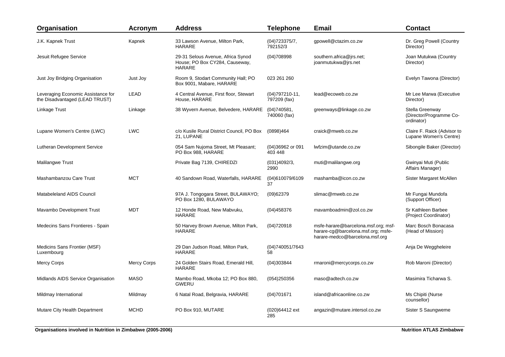| Organisation                                                         | <b>Acronym</b>     | <b>Address</b>                                                                | <b>Telephone</b>                 | <b>Email</b>                                                                                                | <b>Contact</b>                                           |
|----------------------------------------------------------------------|--------------------|-------------------------------------------------------------------------------|----------------------------------|-------------------------------------------------------------------------------------------------------------|----------------------------------------------------------|
| J.K. Kapnek Trust                                                    | Kapnek             | 33 Lawson Avenue, Milton Park,<br>HARARE                                      | (04)723375/7,<br>792152/3        | gpowell@ctazim.co.zw                                                                                        | Dr. Greg Powell (Country<br>Director)                    |
| Jesuit Refugee Service                                               |                    | 29-31 Selous Avenue, Africa Synod<br>House; PO Box CY284, Causeway,<br>HARARE | (04)708998                       | southern.africa@jrs.net;<br>joanmutukwa@jrs.net                                                             | Joan Mutukwa (Country<br>Director)                       |
| Just Joy Bridging Organisation                                       | Just Joy           | Room 9, Stodart Community Hall; PO<br>Box 9001, Mabare, HARARE                | 023 261 260                      |                                                                                                             | Evelyn Tawona (Director)                                 |
| Leveraging Economic Assistance for<br>the Disadvantaged (LEAD TRUST) | <b>LEAD</b>        | 4 Central Avenue, First floor, Stewart<br>House, HARARE                       | $(04)797210-11,$<br>797209 (fax) | lead@ecoweb.co.zw                                                                                           | Mr Lee Marwa (Executive<br>Director)                     |
| Linkage Trust                                                        | Linkage            | 38 Wyvern Avenue, Belvedere, HARARE                                           | (04)740581,<br>740060 (fax)      | greenways@linkage.co.zw                                                                                     | Stella Greenway<br>(Director/Programme Co-<br>ordinator) |
| Lupane Women's Centre (LWC)                                          | <b>LWC</b>         | c/o Kusile Rural District Council, PO Box<br>21, LUPANE                       | (0898)464                        | craick@mweb.co.zw                                                                                           | Claire F. Raick (Advisor to<br>Lupane Women's Centre)    |
| Lutheran Development Service                                         |                    | 054 Sam Nujoma Street, Mt Pleasant;<br>PO Box 988, HARARE                     | (04)36962 or 091<br>403 448      | lwfzim@utande.co.zw                                                                                         | Sibongile Baker (Director)                               |
| Malilangwe Trust                                                     |                    | Private Bag 7139, CHIREDZI                                                    | (031)4092/3,<br>2990             | muti@malilangwe.org                                                                                         | Gwinyai Muti (Public<br>Affairs Manager)                 |
| Mashambanzou Care Trust                                              | <b>MCT</b>         | 40 Sandown Road, Waterfalls, HARARE                                           | (04)610079/6109<br>37            | mashamba@icon.co.zw                                                                                         | Sister Margaret McAllen                                  |
| Matabeleland AIDS Council                                            |                    | 97A J. Tongogara Street, BULAWAYO;<br>PO Box 1280, BULAWAYO                   | (09)62379                        | slimac@mweb.co.zw                                                                                           | Mr Fungai Mundofa<br>(Support Officer)                   |
| Mavambo Development Trust                                            | <b>MDT</b>         | 12 Honde Road, New Mabvuku,<br><b>HARARE</b>                                  | (04)458376                       | mavamboadmin@zol.co.zw                                                                                      | Sr Kathleen Barbee<br>(Project Coordinator)              |
| Medecins Sans Frontieres - Spain                                     |                    | 50 Harvey Brown Avenue, Milton Park,<br><b>HARARE</b>                         | (04)720918                       | msfe-harare@barcelona.msf.org; msf-<br>harare-cg@barcelona.msf.org; msfe-<br>harare-medco@barcelona.msf.org | Marc Bosch Bonacasa<br>(Head of Mission)                 |
| Medicins Sans Frontier (MSF)<br>Luxembourg                           |                    | 29 Dan Judson Road, Milton Park,<br><b>HARARE</b>                             | (04)740051/7643<br>58            |                                                                                                             | Anja De Weggheleire                                      |
| Mercy Corps                                                          | <b>Mercy Corps</b> | 24 Golden Stairs Road, Emerald Hill,<br><b>HARARE</b>                         | (04)303844                       | rmaroni@mercycorps.co.zw                                                                                    | Rob Maroni (Director)                                    |
| Midlands AIDS Service Organisation                                   | <b>MASO</b>        | Mambo Road, Mkoba 12; PO Box 880,<br>GWERU                                    | (054)250356                      | maso@adtech.co.zw                                                                                           | Masimira Ticharwa S.                                     |
| Mildmay International                                                | Mildmay            | 6 Natal Road, Belgravia, HARARE                                               | (04)701671                       | island@africaonline.co.zw                                                                                   | Ms Chipiti (Nurse<br>counsellor)                         |
| Mutare City Health Department                                        | <b>MCHD</b>        | PO Box 910, MUTARE                                                            | (020)64412 ext<br>285            | angazin@mutare.intersol.co.zw                                                                               | Sister S Saungweme                                       |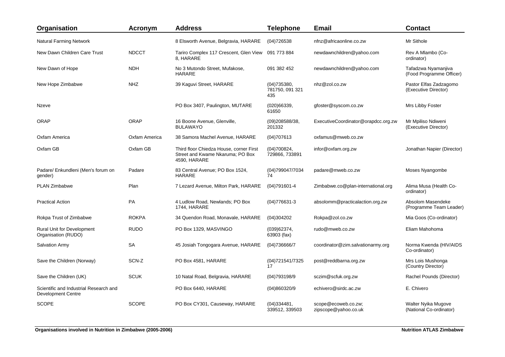| Organisation                                                        | <b>Acronym</b> | <b>Address</b>                                                                              | <b>Telephone</b>                      | Email                                       | <b>Contact</b>                                  |
|---------------------------------------------------------------------|----------------|---------------------------------------------------------------------------------------------|---------------------------------------|---------------------------------------------|-------------------------------------------------|
| <b>Natural Farming Network</b>                                      |                | 8 Elsworth Avenue, Belgravia, HARARE                                                        | (04)726538                            | nfnz@africaonline.co.zw                     | Mr Sithole                                      |
| New Dawn Children Care Trust                                        | <b>NDCCT</b>   | Tariro Complex 117 Crescent, Glen View<br>8, HARARE                                         | 091 773 884                           | newdawnchildren@yahoo.com                   | Rev A Mlambo (Co-<br>ordinator)                 |
| New Dawn of Hope                                                    | <b>NDH</b>     | No 3 Mutondo Street, Mufakose,<br><b>HARARE</b>                                             | 091 382 452                           | newdawnchildren@yahoo.com                   | Tafadzwa Nyamanjiva<br>(Food Programme Officer) |
| New Hope Zimbabwe                                                   | <b>NHZ</b>     | 39 Kaguvi Street, HARARE                                                                    | (04)735380,<br>781750, 091 321<br>435 | nhz@zol.co.zw                               | Pastor Elfas Zadzagomo<br>(Executive Director)  |
| Nzeve                                                               |                | PO Box 3407, Paulington, MUTARE                                                             | (020)66339,<br>61650                  | gfoster@syscom.co.zw                        | Mrs Libby Foster                                |
| <b>ORAP</b>                                                         | <b>ORAP</b>    | 16 Boone Avenue, Glenville,<br><b>BULAWAYO</b>                                              | (09)208588/38,<br>201332              | ExecutiveCoordinator@orapdcc.org.zw         | Mr Mpiliso Ndiweni<br>(Executive Director)      |
| Oxfam America                                                       | Oxfam America  | 38 Samora Machel Avenue, HARARE                                                             | (04)707613                            | oxfamus@mweb.co.zw                          |                                                 |
| Oxfam GB                                                            | Oxfam GB       | Third floor Chiedza House, corner First<br>Street and Kwame Nkaruma; PO Box<br>4590, HARARE | (04)700824,<br>729866, 733891         | infor@oxfam.org.zw                          | Jonathan Napier (Director)                      |
| Padare/ Enkundleni (Men's forum on<br>gender)                       | Padare         | 83 Central Avenue; PO Box 1524,<br>HARARE                                                   | (04)799047/7034<br>74                 | padare@mweb.co.zw                           | Moses Nyangombe                                 |
| PLAN Zimbabwe                                                       | Plan           | 7 Lezard Avenue, Milton Park, HARARE                                                        | $(04)791601 - 4$                      | Zimbabwe.co@plan-international.org          | Alima Musa (Health Co-<br>ordinator)            |
| <b>Practical Action</b>                                             | PA             | 4 Ludlow Road, Newlands; PO Box<br>1744, HARARE                                             | $(04)776631-3$                        | absolomm@practicalaction.org.zw             | Absolom Masendeke<br>(Programme Team Leader)    |
| Rokpa Trust of Zimbabwe                                             | <b>ROKPA</b>   | 34 Quendon Road, Monavale, HARARE                                                           | (04)304202                            | Rokpa@zol.co.zw                             | Mia Goos (Co-ordinator)                         |
| <b>Rural Unit for Development</b><br>Organisation (RUDO)            | <b>RUDO</b>    | PO Box 1329, MASVINGO                                                                       | (039)62374,<br>63903 (fax)            | rudo@mweb.co.zw                             | Eliam Mahohoma                                  |
| <b>Salvation Army</b>                                               | <b>SA</b>      | 45 Josiah Tongogara Avenue, HARARE                                                          | (04)736666/7                          | coordinator@zim.salvationarmy.org           | Norma Kwenda (HIV/AIDS<br>Co-ordinator)         |
| Save the Children (Norway)                                          | SCN-Z          | PO Box 4581, HARARE                                                                         | (04)721541/7325<br>17                 | post@reddbarna.org.zw                       | Mrs Lois Mushonga<br>(Country Director)         |
| Save the Children (UK)                                              | <b>SCUK</b>    | 10 Natal Road, Belgravia, HARARE                                                            | (04)793198/9                          | sczim@scfuk.org.zw                          | Rachel Pounds (Director)                        |
| Scientific and Industrial Research and<br><b>Development Centre</b> |                | PO Box 6440, HARARE                                                                         | (04)860320/9                          | echivero@sirdc.ac.zw                        | E. Chivero                                      |
| <b>SCOPE</b>                                                        | <b>SCOPE</b>   | PO Box CY301, Causeway, HARARE                                                              | (04)334481.<br>339512, 339503         | scope@ecoweb.co.zw;<br>zipscope@yahoo.co.uk | Walter Nyika Mugove<br>(National Co-ordinator)  |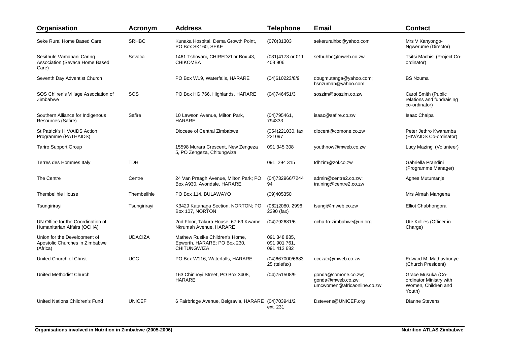| Organisation                                                               | <b>Acronym</b> | <b>Address</b>                                                                       | <b>Telephone</b>                            | <b>Email</b>                                                            | <b>Contact</b>                                                                |
|----------------------------------------------------------------------------|----------------|--------------------------------------------------------------------------------------|---------------------------------------------|-------------------------------------------------------------------------|-------------------------------------------------------------------------------|
| Seke Rural Home Based Care                                                 | <b>SRHBC</b>   | Kunaka Hospital, Dema Growth Point,<br>PO Box SK160, SEKE                            | (070)31303                                  | sekeruralhbc@yahoo.com                                                  | Mrs V Kanyongo-<br>Ngwerume (Director)                                        |
| Sesithule Vamanani Caring<br>Association (Sevaca Home Based<br>Care)       | Sevaca         | 1461 Tshovani, CHIREDZI or Box 43,<br><b>CHIKOMBA</b>                                | (031)4173 or 011<br>408 906                 | sethuhbc@mweb.co.zw                                                     | Tsitsi Machisi (Project Co-<br>ordinator)                                     |
| Seventh Day Adventist Church                                               |                | PO Box W19, Waterfalls, HARARE                                                       | (04)610223/8/9                              | dougmutanga@yahoo.com;<br>bsnzumah@yahoo.com                            | <b>BS Nzuma</b>                                                               |
| SOS Chilren's Village Association of<br>Zimbabwe                           | SOS            | PO Box HG 766, Highlands, HARARE                                                     | (04)746451/3                                | soszim@soszim.co.zw                                                     | Carol Smith (Public<br>relations and fundraising<br>co-ordinator)             |
| Southern Alliance for Indigenous<br>Resources (Safire)                     | Safire         | 10 Lawson Avenue, Milton Park,<br><b>HARARE</b>                                      | (04)795461,<br>794333                       | isaac@safire.co.zw                                                      | <b>Isaac Chaipa</b>                                                           |
| St Patrick's HIV/AIDS Action<br>Programme (PATHAIDS)                       |                | Diocese of Central Zimbabwe                                                          | (054)221030, fax<br>221097                  | diocent@comone.co.zw                                                    | Peter Jethro Kwaramba<br>(HIV/AIDS Co-ordinator)                              |
| <b>Tariro Support Group</b>                                                |                | 15598 Murara Crescent, New Zengeza<br>5, PO Zengeza, Chitungwiza                     | 091 345 308                                 | youthnow@mweb.co.zw                                                     | Lucy Mazingi (Volunteer)                                                      |
| Terres des Hommes Italy                                                    | <b>TDH</b>     |                                                                                      | 091 294 315                                 | tdhzim@zol.co.zw                                                        | Gabriella Prandini<br>(Programme Manager)                                     |
| The Centre                                                                 | Centre         | 24 Van Praagh Avenue, Milton Park; PO<br>Box A930, Avondale, HARARE                  | (04)732966/7244<br>94                       | admin@centre2.co.zw:<br>training@centre2.co.zw                          | Agnes Mutumanje                                                               |
| <b>Thembelihle House</b>                                                   | Thembelihle    | PO Box 114, BULAWAYO                                                                 | (09)405350                                  |                                                                         | Mrs Almah Mangena                                                             |
| Tsungirirayi                                                               | Tsungirirayi   | K3429 Katanaga Section, NORTON; PO<br>Box 107, NORTON                                | (062)2080. 2996.<br>2390 (fax)              | tsungi@mweb.co.zw                                                       | Elliot Chabhongora                                                            |
| UN Office for the Coordination of<br>Humanitarian Affairs (OCHA)           |                | 2nd Floor, Takura House, 67-69 Kwame<br>Nkrumah Avenue, HARARE                       | (04)792681/6                                | ocha-fo-zimbabwe@un.org                                                 | Ute Kollies (Officer in<br>Charge)                                            |
| Union for the Development of<br>Apostolic Churches in Zimbabwe<br>(Africa) | <b>UDACIZA</b> | Mathew Rusike Children's Home,<br>Epworth, HARARE; PO Box 230,<br><b>CHITUNGWIZA</b> | 091 348 885,<br>091 901 761,<br>091 412 682 |                                                                         |                                                                               |
| United Church of Christ                                                    | <b>UCC</b>     | PO Box W116, Waterfalls, HARARE                                                      | (04)667000/6683<br>25 (telefax)             | ucczab@mweb.co.zw                                                       | Edward M. Mathuvhunye<br>(Church President)                                   |
| United Methodist Church                                                    |                | 163 Chinhoyi Street, PO Box 3408,<br>HARARE                                          | (04) 751 508/9                              | gonda@comone.co.zw;<br>gonda@mweb.co.zw;<br>umcwomen@africaonline.co.zw | Grace Musuka (Co-<br>ordinator Ministry with<br>Women, Children and<br>Youth) |
| United Nations Children's Fund                                             | <b>UNICEF</b>  | 6 Fairbridge Avenue, Belgravia, HARARE (04)703941/2                                  | ext. 231                                    | Dstevens@UNICEF.org                                                     | <b>Dianne Stevens</b>                                                         |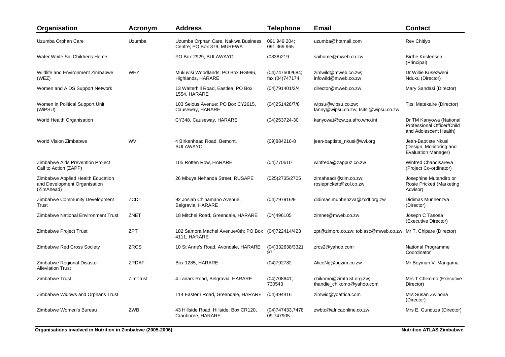| Organisation                                                                    | Acronym     | <b>Address</b>                                                      | <b>Telephone</b>                  | <b>Email</b>                                                  | <b>Contact</b>                                                                  |
|---------------------------------------------------------------------------------|-------------|---------------------------------------------------------------------|-----------------------------------|---------------------------------------------------------------|---------------------------------------------------------------------------------|
| Uzumba Orphan Care                                                              | Uzumba      | Uzumba Orphan Care, Nakiwa Business<br>Centre; PO Box 379, MUREWA   | 091 949 204;<br>091 369 965       | uzumba@hotmail.com                                            | <b>Rev Chitiyo</b>                                                              |
| Water White Sai Childrens Home                                                  |             | PO Box 2929, BULAWAYO                                               | (0838)219                         | saihome@mweb.co.zw                                            | <b>Birthe Kristensen</b><br>(Principal)                                         |
| Wildlife and Environment Zimbabwe<br>(WEZ)                                      | WEZ         | Mukuvisi Woodlands; PO Box HG996,<br>Highlands, HARARE              | (04)747500/684;<br>fax (04)747174 | zimwild@mweb.co.zw;<br>infowild@mweb.co.zw                    | Dr Willie Kusezweni<br>Nduku (Director)                                         |
| Women and AIDS Support Network                                                  |             | 13 Walterhill Road, Eastlea; PO Box<br>1554, HARARE                 | (04)791401/2/4                    | director@mweb.co.zw                                           | Mary Sandasi (Director)                                                         |
| Women in Political Support Unit<br>(WiPSU)                                      |             | 103 Selous Avenue; PO Box CY2615,<br>Causeway, HARARE               | (04) 2514 26/7/8                  | wipsu@wipsu.co.zw;<br>fanny@wipsu.co.zw; tsitsi@wipsu.co.zw   | Titsi Matekaire (Director)                                                      |
| World Health Organisation                                                       |             | CY348, Causeway, HARARE                                             | (04) 253724-30                    | kanyowat@zw.za.afro.who.int                                   | Dr TM Kanyowa (National<br>Professional Officer/Child<br>and Adolescent Health) |
| World Vision Zimbabwe                                                           | <b>WVI</b>  | 4 Birkenhead Road, Bemont,<br><b>BULAWAYO</b>                       | $(09)884216 - 8$                  | jean-baptiste_nkusi@wvi.org                                   | Jean-Baptiste Nkusi<br>(Design, Monitoring and<br>Evaluation Manager)           |
| Zimbabwe Aids Prevention Project<br>Call to Action (ZAPP)                       |             | 105 Rotten Row, HARARE                                              | (04)770610                        | winfreda@zappuz.co.zw                                         | <b>Winfred Chandisareva</b><br>(Project Co-ordinator)                           |
| Zimbabwe Applied Health Education<br>and Development Organisation<br>(ZimAhead) |             | 26 Mbuya Nehanda Street, RUSAPE                                     | (025)2735/2705                    | zimaheadr@zim.co.zw;<br>rosieprickett@zol.co.zw               | Josephine Mutandiro or<br>Rosie Prickett (Marketing<br>Advisor)                 |
| Zimbabwe Community Development<br><b>Trust</b>                                  | <b>ZCDT</b> | 92 Josiah Chinamano Avenue,<br>Belgravia, HARARE                    | (04)797916/9                      | didimas.munhenzva@zcdt.org.zw                                 | Didimas Munhenzva<br>(Director)                                                 |
| <b>Zimbabwe National Environment Trust</b>                                      | ZNET        | 18 Mitchel Road, Greendale, HARARE                                  | (04)496105                        | zimnet@mweb.co.zw                                             | Joseph C Tasosa<br>(Executive Director)                                         |
| Zimbabwe Project Trust                                                          | <b>ZPT</b>  | 182 Samora Machel Avenue/8th; PO Box (04)722414/423<br>4111, HARARE |                                   | zpt@zimpro.co.zw; tobiasc@mweb.co.zw Mr T. Chipare (Director) |                                                                                 |
| Zimbabwe Red Cross Society                                                      | <b>ZRCS</b> | 10 St Anne's Road, Avondale, HARARE                                 | (04)332638/3321<br>97             | zrcs2@yahoo.com                                               | National Programme<br>Coordinator                                               |
| Zimbabwe Regional Disaster<br><b>Alleviation Trust</b>                          | ZRDAF       | Box 1285, HARARE                                                    | (04)792782                        | AliceNg@pgzim.co.zw                                           | Mr Boyman V. Mangama                                                            |
| Zimbabwe Trust                                                                  | ZimTrust    | 4 Lanark Road, Belgravia, HARARE                                    | (04)708841;<br>730543             | chikomo@zimtrust.org.zw;<br>thandie_chikomo@yahoo.com         | Mrs T Chikomo (Executive<br>Director)                                           |
| Zimbabwe Widows and Orphans Trust                                               |             | 114 Eastern Road, Greendale, HARARE                                 | (04)494416                        | zimwid@yoafrica.com                                           | Mrs Susan Zwinoira<br>(Director)                                                |
| Zimbabwe Women's Bureau                                                         | <b>ZWB</b>  | 43 Hillside Road, Hillside; Box CR120,<br>Cranborne, HARARE         | (04) 747433, 7478<br>09.747905    | zwbtc@africaonline.co.zw                                      | Mrs E. Gunduza (Director)                                                       |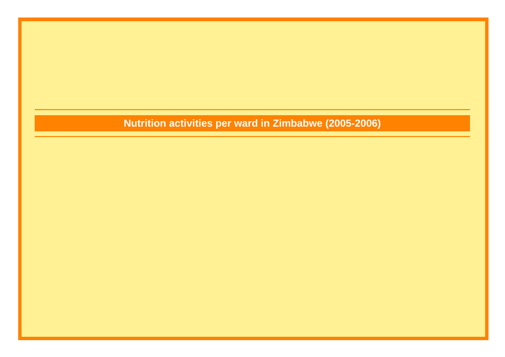## **Nutrition activities per ward in Zimbabwe (2005-2006)**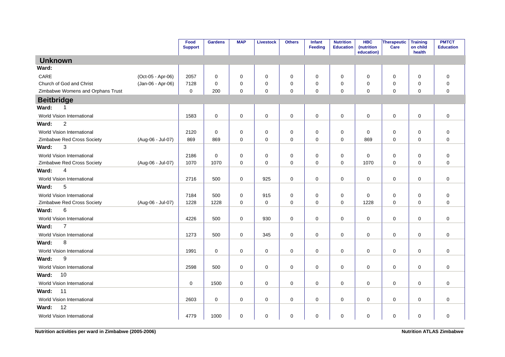|                                   |                   | Food<br><b>Support</b> | <b>Gardens</b> | <b>MAP</b>  | <b>Livestock</b> | <b>Others</b> | Infant<br><b>Feeding</b> | <b>Nutrition</b><br><b>Education</b> | <b>HBC</b><br>(nutrition<br>education) | Therapeutic<br>Care | <b>Training</b><br>on child<br>health | <b>PMTCT</b><br><b>Education</b> |
|-----------------------------------|-------------------|------------------------|----------------|-------------|------------------|---------------|--------------------------|--------------------------------------|----------------------------------------|---------------------|---------------------------------------|----------------------------------|
| <b>Unknown</b>                    |                   |                        |                |             |                  |               |                          |                                      |                                        |                     |                                       |                                  |
| Ward:                             |                   |                        |                |             |                  |               |                          |                                      |                                        |                     |                                       |                                  |
| CARE                              | (Oct-05 - Apr-06) | 2057                   | 0              | $\mathbf 0$ | 0                | 0             | 0                        | 0                                    | 0                                      | 0                   | $\mathbf 0$                           | 0                                |
| Church of God and Christ          | (Jan-06 - Apr-06) | 7128                   | $\mathbf 0$    | $\mathbf 0$ | 0                | $\pmb{0}$     | 0                        | $\mathbf 0$                          | 0                                      | 0                   | $\pmb{0}$                             | $\mathbf 0$                      |
| Zimbabwe Womens and Orphans Trust |                   | $\mathbf 0$            | 200            | $\mathbf 0$ | $\mathbf 0$      | $\mathbf 0$   | 0                        | $\mathbf 0$                          | 0                                      | 0                   | $\mathbf 0$                           | 0                                |
| <b>Beitbridge</b>                 |                   |                        |                |             |                  |               |                          |                                      |                                        |                     |                                       |                                  |
| Ward:<br>-1                       |                   |                        |                |             |                  |               |                          |                                      |                                        |                     |                                       |                                  |
| World Vision International        |                   | 1583                   | $\pmb{0}$      | $\mathbf 0$ | $\mathbf 0$      | $\mathbf 0$   | $\mathbf 0$              | $\mathbf 0$                          | $\mathbf 0$                            | 0                   | $\mathbf 0$                           | $\mathbf 0$                      |
| $\overline{2}$<br>Ward:           |                   |                        |                |             |                  |               |                          |                                      |                                        |                     |                                       |                                  |
| World Vision International        |                   | 2120                   | 0              | $\mathbf 0$ | 0                | $\mathbf 0$   | 0                        | 0                                    | 0                                      | 0                   | $\mathbf 0$                           | $\pmb{0}$                        |
| Zimbabwe Red Cross Society        | (Aug-06 - Jul-07) | 869                    | 869            | $\mathbf 0$ | $\mathbf 0$      | $\mathbf 0$   | $\Omega$                 | $\mathbf 0$                          | 869                                    | $\mathbf 0$         | $\mathbf 0$                           | $\mathbf 0$                      |
| 3<br>Ward:                        |                   |                        |                |             |                  |               |                          |                                      |                                        |                     |                                       |                                  |
| World Vision International        |                   | 2186                   | $\pmb{0}$      | $\mathbf 0$ | 0                | $\mathbf 0$   | $\mathbf 0$              | $\mathbf 0$                          | $\mathbf 0$                            | 0                   | $\mathbf 0$                           | $\mathbf 0$                      |
| Zimbabwe Red Cross Society        | (Aug-06 - Jul-07) | 1070                   | 1070           | $\mathbf 0$ | $\mathbf 0$      | $\mathbf 0$   | $\mathbf 0$              | $\mathbf 0$                          | 1070                                   | 0                   | $\mathbf 0$                           | 0                                |
| Ward:<br>$\overline{4}$           |                   |                        |                |             |                  |               |                          |                                      |                                        |                     |                                       |                                  |
| World Vision International        |                   | 2716                   | 500            | $\mathbf 0$ | 925              | $\mathbf 0$   | $\mathbf 0$              | $\mathbf 0$                          | $\mathbf 0$                            | 0                   | $\mathbf 0$                           | $\mathbf 0$                      |
| 5<br>Ward:                        |                   |                        |                |             |                  |               |                          |                                      |                                        |                     |                                       |                                  |
| World Vision International        |                   | 7184                   | 500            | $\mathbf 0$ | 915              | 0             | $\mathbf 0$              | $\mathbf 0$                          | 0                                      | 0                   | $\mathbf 0$                           | 0                                |
| Zimbabwe Red Cross Society        | (Aug-06 - Jul-07) | 1228                   | 1228           | $\Omega$    | 0                | 0             | $\Omega$                 | 0                                    | 1228                                   | 0                   | $\mathbf 0$                           | $\Omega$                         |
| 6<br>Ward:                        |                   |                        |                |             |                  |               |                          |                                      |                                        |                     |                                       |                                  |
| World Vision International        |                   | 4226                   | 500            | $\mathbf 0$ | 930              | $\mathbf 0$   | $\mathbf 0$              | $\mathbf 0$                          | 0                                      | 0                   | $\mathbf 0$                           | 0                                |
| $\overline{7}$<br>Ward:           |                   |                        |                |             |                  |               |                          |                                      |                                        |                     |                                       |                                  |
| World Vision International        |                   | 1273                   | 500            | $\mathbf 0$ | 345              | $\mathbf 0$   | 0                        | 0                                    | 0                                      | 0                   | $\mathbf 0$                           | 0                                |
| 8<br>Ward:                        |                   |                        |                |             |                  |               |                          |                                      |                                        |                     |                                       |                                  |
| World Vision International        |                   | 1991                   | $\mathbf 0$    | $\mathbf 0$ | $\mathbf 0$      | $\mathbf 0$   | $\mathbf 0$              | $\mathbf 0$                          | $\mathbf 0$                            | 0                   | $\mathbf 0$                           | $\mathbf 0$                      |
| 9<br>Ward:                        |                   |                        |                |             |                  |               |                          |                                      |                                        |                     |                                       |                                  |
| World Vision International        |                   | 2598                   | 500            | $\mathbf 0$ | 0                | $\mathbf 0$   | 0                        | $\mathbf 0$                          | $\mathbf 0$                            | 0                   | $\mathbf 0$                           | 0                                |
| 10<br>Ward:                       |                   |                        |                |             |                  |               |                          |                                      |                                        |                     |                                       |                                  |
| World Vision International        |                   | $\mathbf 0$            | 1500           | $\mathbf 0$ | $\mathbf 0$      | $\mathbf 0$   | $\mathbf 0$              | $\mathbf 0$                          | $\mathbf 0$                            | 0                   | $\mathbf 0$                           | $\mathbf 0$                      |
| 11<br>Ward:                       |                   |                        |                |             |                  |               |                          |                                      |                                        |                     |                                       |                                  |
| World Vision International        |                   | 2603                   | $\mathbf 0$    | $\mathbf 0$ | $\mathbf 0$      | $\mathbf 0$   | $\mathbf 0$              | $\mathbf 0$                          | $\mathbf 0$                            | 0                   | $\mathbf 0$                           | $\mathbf 0$                      |
| 12<br>Ward:                       |                   |                        |                |             |                  |               |                          |                                      |                                        |                     |                                       |                                  |
| World Vision International        |                   | 4779                   | 1000           | $\mathbf 0$ | 0                | $\mathbf 0$   | 0                        | 0                                    | 0                                      | 0                   | $\mathbf 0$                           | 0                                |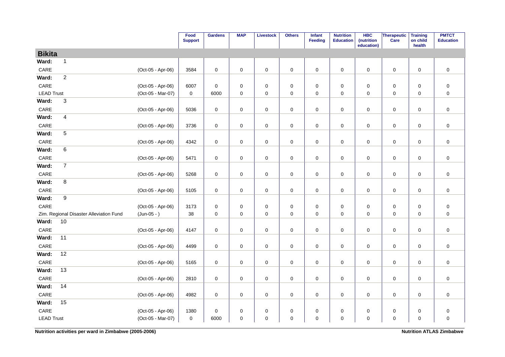|                   |                                         |                   | Food<br><b>Support</b> | <b>Gardens</b>      | <b>MAP</b> | <b>Livestock</b>    | <b>Others</b> | Infant<br>Feeding | <b>Nutrition</b><br><b>Education</b> | <b>HBC</b><br>(nutrition<br>education) | Therapeutic<br>Care | <b>Training</b><br>on child<br>health | <b>PMTCT</b><br><b>Education</b> |
|-------------------|-----------------------------------------|-------------------|------------------------|---------------------|------------|---------------------|---------------|-------------------|--------------------------------------|----------------------------------------|---------------------|---------------------------------------|----------------------------------|
| <b>Bikita</b>     |                                         |                   |                        |                     |            |                     |               |                   |                                      |                                        |                     |                                       |                                  |
| Ward:             | $\mathbf{1}$                            |                   |                        |                     |            |                     |               |                   |                                      |                                        |                     |                                       |                                  |
| CARE              |                                         | (Oct-05 - Apr-06) | 3584                   | $\mathbf 0$         | $\pmb{0}$  | $\pmb{0}$           | $\pmb{0}$     | $\mathbf 0$       | $\pmb{0}$                            | $\mathbf 0$                            | $\pmb{0}$           | $\mathbf 0$                           | $\pmb{0}$                        |
| Ward:             | $\overline{2}$                          |                   |                        |                     |            |                     |               |                   |                                      |                                        |                     |                                       |                                  |
| CARE              |                                         | (Oct-05 - Apr-06) | 6007                   | $\mathbf 0$         | 0          | 0                   | 0             | 0                 | 0                                    | 0                                      | 0                   | $\mathbf 0$                           | $\pmb{0}$                        |
| <b>LEAD Trust</b> |                                         | (Oct-05 - Mar-07) | 0                      | 6000                | $\pmb{0}$  | $\pmb{0}$           | $\pmb{0}$     | $\mathsf 0$       | $\pmb{0}$                            | $\pmb{0}$                              | $\mathsf 0$         | $\pmb{0}$                             | $\pmb{0}$                        |
| Ward:             | $\ensuremath{\mathsf{3}}$               |                   |                        |                     |            |                     |               |                   |                                      |                                        |                     |                                       |                                  |
| CARE              |                                         | (Oct-05 - Apr-06) | 5036                   | $\mathsf{O}\xspace$ | 0          | $\mathsf{O}\xspace$ | 0             | 0                 | 0                                    | 0                                      | 0                   | $\mathbf 0$                           | $\pmb{0}$                        |
| Ward:             | $\overline{\mathbf{4}}$                 |                   |                        |                     |            |                     |               |                   |                                      |                                        |                     |                                       |                                  |
| $\mathsf{CARE}$   |                                         | (Oct-05 - Apr-06) | 3736                   | $\mathsf{O}\xspace$ | $\pmb{0}$  | $\pmb{0}$           | $\mathbf 0$   | $\mathbf 0$       | $\pmb{0}$                            | 0                                      | $\mathsf 0$         | $\pmb{0}$                             | $\pmb{0}$                        |
| Ward:             | 5                                       |                   |                        |                     |            |                     |               |                   |                                      |                                        |                     |                                       |                                  |
| CARE              |                                         | (Oct-05 - Apr-06) | 4342                   | $\mathsf{O}\xspace$ | $\pmb{0}$  | $\pmb{0}$           | $\pmb{0}$     | $\mathbf 0$       | $\pmb{0}$                            | 0                                      | $\pmb{0}$           | $\pmb{0}$                             | $\pmb{0}$                        |
| Ward:             | 6                                       |                   |                        |                     |            |                     |               |                   |                                      |                                        |                     |                                       |                                  |
| $\mathsf{CARE}$   |                                         | (Oct-05 - Apr-06) | 5471                   | $\mathsf{O}\xspace$ | 0          | 0                   | $\pmb{0}$     | 0                 | 0                                    | 0                                      | 0                   | $\mathbf 0$                           | $\pmb{0}$                        |
| Ward:             | $\overline{7}$                          |                   |                        |                     |            |                     |               |                   |                                      |                                        |                     |                                       |                                  |
| $\mathsf{CARE}$   |                                         | (Oct-05 - Apr-06) | 5268                   | $\pmb{0}$           | $\pmb{0}$  | $\pmb{0}$           | $\mathbf 0$   | $\mathsf 0$       | $\pmb{0}$                            | $\pmb{0}$                              | $\mathsf 0$         | $\pmb{0}$                             | $\pmb{0}$                        |
| Ward:             | 8                                       |                   |                        |                     |            |                     |               |                   |                                      |                                        |                     |                                       |                                  |
| CARE              |                                         | (Oct-05 - Apr-06) | 5105                   | $\pmb{0}$           | 0          | $\pmb{0}$           | $\pmb{0}$     | $\mathbf 0$       | $\pmb{0}$                            | 0                                      | 0                   | 0                                     | $\pmb{0}$                        |
| Ward:             | 9                                       |                   |                        |                     |            |                     |               |                   |                                      |                                        |                     |                                       |                                  |
| CARE              |                                         | (Oct-05 - Apr-06) | 3173                   | $\mathsf{O}\xspace$ | 0          | $\mathsf{O}\xspace$ | $\pmb{0}$     | 0                 | $\pmb{0}$                            | 0                                      | 0                   | $\mathbf 0$                           | $\pmb{0}$                        |
|                   | Zim. Regional Disaster Alleviation Fund | $(Jun-05 - )$     | 38                     | $\mathsf{O}\xspace$ | 0          | $\pmb{0}$           | $\pmb{0}$     | $\mathbf 0$       | $\pmb{0}$                            | 0                                      | $\mathbf 0$         | $\mathbf 0$                           | $\pmb{0}$                        |
| Ward:             | 10                                      |                   |                        |                     |            |                     |               |                   |                                      |                                        |                     |                                       |                                  |
| CARE              |                                         | (Oct-05 - Apr-06) | 4147                   | $\mathbf 0$         | $\pmb{0}$  | $\mathsf{O}\xspace$ | $\pmb{0}$     | $\mathbf 0$       | $\mathbf 0$                          | 0                                      | $\mathsf 0$         | $\mathbf 0$                           | $\pmb{0}$                        |
| Ward:             | 11                                      |                   |                        |                     |            |                     |               |                   |                                      |                                        |                     |                                       |                                  |
| CARE              |                                         | (Oct-05 - Apr-06) | 4499                   | $\pmb{0}$           | $\pmb{0}$  | $\pmb{0}$           | $\pmb{0}$     | $\mathbf 0$       | $\pmb{0}$                            | $\mathbf 0$                            | $\mathsf 0$         | $\mathbf 0$                           | $\pmb{0}$                        |
| Ward:             | 12                                      |                   |                        |                     |            |                     |               |                   |                                      |                                        |                     |                                       |                                  |
| CARE              |                                         | (Oct-05 - Apr-06) | 5165                   | $\mathsf{O}\xspace$ | $\pmb{0}$  | $\pmb{0}$           | $\pmb{0}$     | $\mathbf 0$       | $\pmb{0}$                            | $\mathbf 0$                            | $\mathsf 0$         | $\mathbf 0$                           | $\pmb{0}$                        |
| Ward:             | 13                                      |                   |                        |                     |            |                     |               |                   |                                      |                                        |                     |                                       |                                  |
| CARE              |                                         | (Oct-05 - Apr-06) | 2810                   | $\mathbf 0$         | $\pmb{0}$  | $\mathsf{O}\xspace$ | $\pmb{0}$     | $\mathbf 0$       | $\pmb{0}$                            | 0                                      | $\mathsf 0$         | $\mathbf 0$                           | $\pmb{0}$                        |
| Ward:             | 14                                      |                   |                        |                     |            |                     |               |                   |                                      |                                        |                     |                                       |                                  |
| CARE              |                                         | (Oct-05 - Apr-06) | 4982                   | $\pmb{0}$           | 0          | $\mathsf{O}\xspace$ | $\pmb{0}$     | $\mathbf 0$       | $\pmb{0}$                            | 0                                      | $\pmb{0}$           | $\mathbf 0$                           | $\pmb{0}$                        |
| Ward:             | 15                                      |                   |                        |                     |            |                     |               |                   |                                      |                                        |                     |                                       |                                  |
| $\mathsf{CARE}$   |                                         | (Oct-05 - Apr-06) | 1380                   | $\mathsf{O}\xspace$ | 0          | $\pmb{0}$           | $\pmb{0}$     | $\pmb{0}$         | $\pmb{0}$                            | $\mathbf 0$                            | $\pmb{0}$           | $\pmb{0}$                             | $\pmb{0}$                        |
| <b>LEAD Trust</b> |                                         | (Oct-05 - Mar-07) | 0                      | 6000                | 0          | $\pmb{0}$           | $\mathsf 0$   | $\mathsf 0$       | 0                                    | 0                                      | 0                   | $\mathbf 0$                           | $\mathbf 0$                      |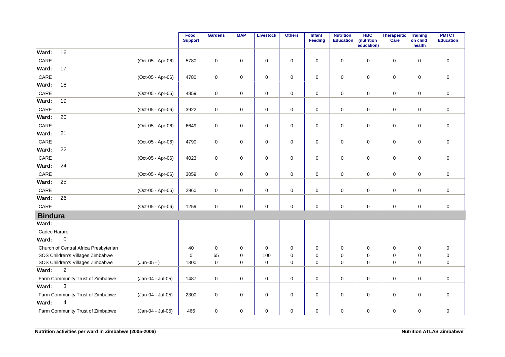|                 |                                       |                   | Food<br><b>Support</b> | <b>Gardens</b> | <b>MAP</b>  | <b>Livestock</b> | <b>Others</b> | Infant<br>Feeding | <b>Nutrition</b><br><b>Education</b> | <b>HBC</b><br>(nutrition<br>education) | Therapeutic<br>Care | <b>Training</b><br>on child<br>health | <b>PMTCT</b><br><b>Education</b> |
|-----------------|---------------------------------------|-------------------|------------------------|----------------|-------------|------------------|---------------|-------------------|--------------------------------------|----------------------------------------|---------------------|---------------------------------------|----------------------------------|
| Ward:           | 16                                    |                   |                        |                |             |                  |               |                   |                                      |                                        |                     |                                       |                                  |
| CARE            |                                       | (Oct-05 - Apr-06) | 5780                   | $\mathbf 0$    | $\mathbf 0$ | $\mathbf 0$      | $\pmb{0}$     | $\mathbf 0$       | $\pmb{0}$                            | $\mathbf 0$                            | $\mathbf 0$         | $\mathbf 0$                           | $\pmb{0}$                        |
| Ward:           | 17                                    |                   |                        |                |             |                  |               |                   |                                      |                                        |                     |                                       |                                  |
| $\mathsf{CARE}$ |                                       | (Oct-05 - Apr-06) | 4780                   | $\mathbf 0$    | 0           | $\pmb{0}$        | $\pmb{0}$     | $\mathbf 0$       | $\pmb{0}$                            | 0                                      | $\mathbf 0$         | $\mathbf 0$                           | $\pmb{0}$                        |
| Ward:           | 18                                    |                   |                        |                |             |                  |               |                   |                                      |                                        |                     |                                       |                                  |
| CARE            |                                       | (Oct-05 - Apr-06) | 4859                   | $\pmb{0}$      | 0           | 0                | $\pmb{0}$     | 0                 | 0                                    | 0                                      | $\mathsf 0$         | 0                                     | $\pmb{0}$                        |
| Ward:           | 19                                    |                   |                        |                |             |                  |               |                   |                                      |                                        |                     |                                       |                                  |
| CARE            |                                       | (Oct-05 - Apr-06) | 3922                   | $\mathbf 0$    | 0           | $\pmb{0}$        | $\mathsf 0$   | $\mathbf 0$       | $\pmb{0}$                            | $\mathbf 0$                            | $\mathsf 0$         | 0                                     | $\pmb{0}$                        |
| Ward:           | 20                                    |                   |                        |                |             |                  |               |                   |                                      |                                        |                     |                                       |                                  |
| CARE            |                                       | (Oct-05 - Apr-06) | 6649                   | $\mathbf 0$    | 0           | $\pmb{0}$        | $\pmb{0}$     | $\mathbf 0$       | $\pmb{0}$                            | 0                                      | $\mathbf 0$         | 0                                     | $\pmb{0}$                        |
| Ward:           | 21                                    |                   |                        |                |             |                  |               |                   |                                      |                                        |                     |                                       |                                  |
| CARE            |                                       | (Oct-05 - Apr-06) | 4790                   | $\mathbf 0$    | $\mathbf 0$ | $\pmb{0}$        | $\mathsf 0$   | $\mathbf 0$       | $\mathbf 0$                          | 0                                      | $\mathsf{O}$        | $\mathbf 0$                           | $\pmb{0}$                        |
| Ward:           | 22                                    |                   |                        |                |             |                  |               |                   |                                      |                                        |                     |                                       |                                  |
| CARE            |                                       | (Oct-05 - Apr-06) | 4023                   | $\pmb{0}$      | 0           | $\pmb{0}$        | $\pmb{0}$     | $\mathbf 0$       | $\pmb{0}$                            | $\mathbf 0$                            | $\mathsf 0$         | 0                                     | $\pmb{0}$                        |
| Ward:           | 24                                    |                   |                        |                |             |                  |               |                   |                                      |                                        |                     |                                       |                                  |
| CARE            |                                       | (Oct-05 - Apr-06) | 3059                   | $\mathbf 0$    | 0           | 0                | 0             | 0                 | 0                                    | 0                                      | 0                   | 0                                     | $\boldsymbol{0}$                 |
| Ward:           | 25                                    |                   |                        |                |             |                  |               |                   |                                      |                                        |                     |                                       |                                  |
| $\mathsf{CARE}$ |                                       | (Oct-05 - Apr-06) | 2960                   | $\mathbf 0$    | 0           | $\pmb{0}$        | $\pmb{0}$     | $\mathbf 0$       | $\pmb{0}$                            | 0                                      | $\mathsf 0$         | $\mathbf 0$                           | $\pmb{0}$                        |
| Ward:           | 26                                    |                   |                        |                |             |                  |               |                   |                                      |                                        |                     |                                       |                                  |
| CARE            |                                       | (Oct-05 - Apr-06) | 1259                   | $\mathbf 0$    | 0           | $\pmb{0}$        | $\pmb{0}$     | 0                 | $\pmb{0}$                            | $\mathbf 0$                            | $\mathbf 0$         | $\mathbf 0$                           | $\pmb{0}$                        |
| <b>Bindura</b>  |                                       |                   |                        |                |             |                  |               |                   |                                      |                                        |                     |                                       |                                  |
| Ward:           |                                       |                   |                        |                |             |                  |               |                   |                                      |                                        |                     |                                       |                                  |
| Cadec Harare    |                                       |                   |                        |                |             |                  |               |                   |                                      |                                        |                     |                                       |                                  |
| Ward:           | $\pmb{0}$                             |                   |                        |                |             |                  |               |                   |                                      |                                        |                     |                                       |                                  |
|                 | Church of Central Africa Presbyterian |                   | 40                     | $\mathbf 0$    | $\mathbf 0$ | 0                | 0             | $\mathbf 0$       | 0                                    | 0                                      | 0                   | 0                                     | $\pmb{0}$                        |
|                 | SOS Children's Villages Zimbabwe      |                   | $\mathbf 0$            | 65             | 0           | 100              | $\pmb{0}$     | $\Omega$          | 0                                    | 0                                      | $\mathbf 0$         | 0                                     | $\pmb{0}$                        |
|                 | SOS Children's Villages Zimbabwe      | $(Jun-05 - )$     | 1300                   | $\mathbf 0$    | $\mathbf 0$ | $\mathbf 0$      | $\mathbf 0$   | $\mathbf 0$       | $\Omega$                             | $\mathbf 0$                            | $\mathbf 0$         | $\mathbf 0$                           | $\mathbf 0$                      |
| Ward:           | $\overline{2}$                        |                   |                        |                |             |                  |               |                   |                                      |                                        |                     |                                       |                                  |
|                 | Farm Community Trust of Zimbabwe      | (Jan-04 - Jul-05) | 1487                   | $\mathbf 0$    | 0           | $\pmb{0}$        | $\pmb{0}$     | $\mathbf 0$       | $\pmb{0}$                            | 0                                      | $\mathsf 0$         | 0                                     | $\pmb{0}$                        |
| Ward:           | $\mathsf 3$                           |                   |                        |                |             |                  |               |                   |                                      |                                        |                     |                                       |                                  |
|                 | Farm Community Trust of Zimbabwe      | (Jan-04 - Jul-05) | 2300                   | $\pmb{0}$      | $\mathbf 0$ | $\mathbf 0$      | $\mathsf 0$   | $\mathbf 0$       | $\pmb{0}$                            | $\mathbf 0$                            | $\mathsf{O}\xspace$ | $\mathbf 0$                           | $\pmb{0}$                        |
| Ward:           | $\overline{4}$                        |                   |                        |                |             |                  |               |                   |                                      |                                        |                     |                                       |                                  |
|                 | Farm Community Trust of Zimbabwe      | (Jan-04 - Jul-05) | 466                    | 0              | 0           | $\pmb{0}$        | $\pmb{0}$     | 0                 | $\pmb{0}$                            | 0                                      | $\pmb{0}$           | $\pmb{0}$                             | $\pmb{0}$                        |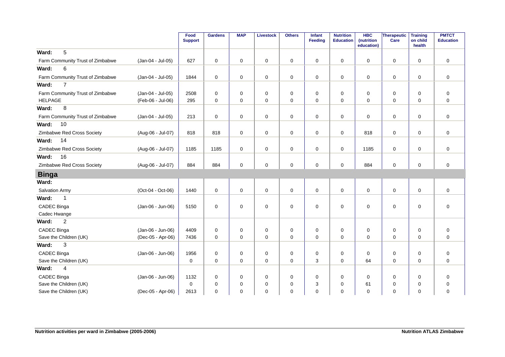|                                  |                   | Food<br><b>Support</b> | <b>Gardens</b> | <b>MAP</b>  | <b>Livestock</b> | <b>Others</b> | Infant<br><b>Feeding</b> | <b>Nutrition</b><br><b>Education</b> | <b>HBC</b><br>(nutrition<br>education) | Therapeutic<br>Care | <b>Training</b><br>on child<br>health | <b>PMTCT</b><br><b>Education</b> |
|----------------------------------|-------------------|------------------------|----------------|-------------|------------------|---------------|--------------------------|--------------------------------------|----------------------------------------|---------------------|---------------------------------------|----------------------------------|
| 5<br>Ward:                       |                   |                        |                |             |                  |               |                          |                                      |                                        |                     |                                       |                                  |
| Farm Community Trust of Zimbabwe | (Jan-04 - Jul-05) | 627                    | $\mathbf 0$    | $\mathbf 0$ | 0                | 0             | $\mathbf 0$              | $\mathbf 0$                          | $\mathbf 0$                            | 0                   | $\mathbf 0$                           | $\mathbf 0$                      |
| Ward:<br>6                       |                   |                        |                |             |                  |               |                          |                                      |                                        |                     |                                       |                                  |
| Farm Community Trust of Zimbabwe | (Jan-04 - Jul-05) | 1844                   | $\mathbf 0$    | $\mathbf 0$ | $\mathbf 0$      | 0             | $\mathbf 0$              | $\mathbf 0$                          | 0                                      | $\mathsf{O}$        | 0                                     | $\mathbf 0$                      |
| $\overline{7}$<br>Ward:          |                   |                        |                |             |                  |               |                          |                                      |                                        |                     |                                       |                                  |
| Farm Community Trust of Zimbabwe | (Jan-04 - Jul-05) | 2508                   | $\mathbf 0$    | $\mathbf 0$ | 0                | $\mathbf 0$   | $\mathbf 0$              | $\mathbf 0$                          | $\mathbf 0$                            | $\mathbf 0$         | $\mathbf 0$                           | $\mathbf 0$                      |
| <b>HELPAGE</b>                   | (Feb-06 - Jul-06) | 295                    | $\mathbf 0$    | $\mathbf 0$ | $\mathbf 0$      | 0             | $\mathbf 0$              | 0                                    | $\mathbf 0$                            | $\mathbf 0$         | $\mathbf 0$                           | $\mathbf 0$                      |
| 8<br>Ward:                       |                   |                        |                |             |                  |               |                          |                                      |                                        |                     |                                       |                                  |
| Farm Community Trust of Zimbabwe | (Jan-04 - Jul-05) | 213                    | $\mathbf 0$    | $\mathbf 0$ | $\mathbf 0$      | 0             | $\mathbf 0$              | $\mathbf 0$                          | $\Omega$                               | 0                   | $\mathbf 0$                           | $\mathbf 0$                      |
| 10<br>Ward:                      |                   |                        |                |             |                  |               |                          |                                      |                                        |                     |                                       |                                  |
| Zimbabwe Red Cross Society       | (Aug-06 - Jul-07) | 818                    | 818            | 0           | $\pmb{0}$        | $\mathbf 0$   | $\mathbf 0$              | 0                                    | 818                                    | $\mathbf 0$         | 0                                     | $\mathbf 0$                      |
| 14<br>Ward:                      |                   |                        |                |             |                  |               |                          |                                      |                                        |                     |                                       |                                  |
| Zimbabwe Red Cross Society       | (Aug-06 - Jul-07) | 1185                   | 1185           | $\mathbf 0$ | $\pmb{0}$        | 0             | $\mathbf 0$              | 0                                    | 1185                                   | $\mathbf 0$         | 0                                     | $\mathbf 0$                      |
| 16<br>Ward:                      |                   |                        |                |             |                  |               |                          |                                      |                                        |                     |                                       |                                  |
| Zimbabwe Red Cross Society       | (Aug-06 - Jul-07) | 884                    | 884            | 0           | 0                | 0             | $\mathbf 0$              | 0                                    | 884                                    | 0                   | 0                                     | $\mathbf 0$                      |
| <b>Binga</b>                     |                   |                        |                |             |                  |               |                          |                                      |                                        |                     |                                       |                                  |
| Ward:                            |                   |                        |                |             |                  |               |                          |                                      |                                        |                     |                                       |                                  |
| <b>Salvation Army</b>            | (Oct-04 - Oct-06) | 1440                   | $\mathbf 0$    | $\mathbf 0$ | $\mathbf 0$      | $\mathbf 0$   | $\mathbf 0$              | $\mathbf 0$                          | $\Omega$                               | $\mathbf 0$         | $\mathbf 0$                           | $\mathbf 0$                      |
| Ward:<br>$\mathbf{1}$            |                   |                        |                |             |                  |               |                          |                                      |                                        |                     |                                       |                                  |
| CADEC Binga                      | (Jan-06 - Jun-06) | 5150                   | $\mathbf 0$    | 0           | $\pmb{0}$        | $\mathbf 0$   | $\mathbf 0$              | 0                                    | $\mathbf 0$                            | $\mathsf 0$         | 0                                     | $\pmb{0}$                        |
| Cadec Hwange                     |                   |                        |                |             |                  |               |                          |                                      |                                        |                     |                                       |                                  |
| $\overline{c}$<br>Ward:          |                   |                        |                |             |                  |               |                          |                                      |                                        |                     |                                       |                                  |
| CADEC Binga                      | (Jan-06 - Jun-06) | 4409                   | $\mathbf 0$    | $\mathbf 0$ | $\mathbf 0$      | 0             | $\mathbf 0$              | 0                                    | 0                                      | 0                   | $\mathbf 0$                           | $\mathbf 0$                      |
| Save the Children (UK)           | (Dec-05 - Apr-06) | 7436                   | $\mathbf 0$    | $\mathbf 0$ | $\mathbf 0$      | $\mathbf 0$   | $\mathbf 0$              | $\mathbf 0$                          | $\Omega$                               | $\mathbf 0$         | $\mathbf 0$                           | $\mathbf 0$                      |
| 3<br>Ward:                       |                   |                        |                |             |                  |               |                          |                                      |                                        |                     |                                       |                                  |
| CADEC Binga                      | (Jan-06 - Jun-06) | 1956                   | $\mathbf 0$    | 0           | 0                | 0             | $\mathbf 0$              | 0                                    | 0                                      | $\mathbf 0$         | 0                                     | $\mathsf 0$                      |
| Save the Children (UK)           |                   | $\mathbf 0$            | $\mathbf 0$    | $\Omega$    | $\mathbf 0$      | 0             | 3                        | $\Omega$                             | 64                                     | $\mathbf 0$         | $\Omega$                              | $\mathbf{0}$                     |
| $\overline{4}$<br>Ward:          |                   |                        |                |             |                  |               |                          |                                      |                                        |                     |                                       |                                  |
| CADEC Binga                      | (Jan-06 - Jun-06) | 1132                   | $\mathbf 0$    | 0           | 0                | 0             | 0                        | $\mathbf 0$                          | 0                                      | 0                   | 0                                     | $\mathbf 0$                      |
| Save the Children (UK)           |                   | $\mathbf 0$            | $\mathbf 0$    | 0           | $\mathbf 0$      | $\mathbf 0$   | 3                        | $\mathbf 0$                          | 61                                     | $\mathbf 0$         | 0                                     | $\mathbf 0$                      |
| Save the Children (UK)           | (Dec-05 - Apr-06) | 2613                   | $\Omega$       | 0           | $\mathbf 0$      | 0             | 0                        | $\mathbf 0$                          | $\mathbf 0$                            | $\mathbf 0$         | 0                                     | $\mathbf 0$                      |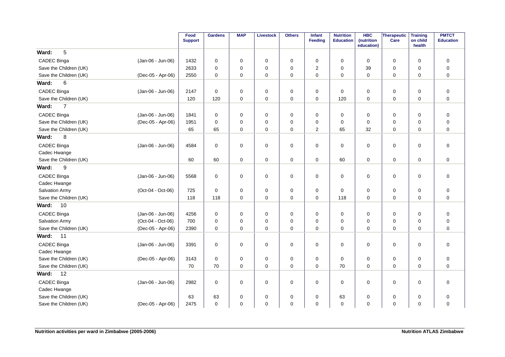|                          |                   | Food<br><b>Support</b> | <b>Gardens</b>      | <b>MAP</b>  | <b>Livestock</b>    | <b>Others</b> | <b>Infant</b><br><b>Feeding</b> | <b>Nutrition</b><br><b>Education</b> | <b>HBC</b><br>(nutrition<br>education) | Therapeutic<br>Care | <b>Training</b><br>on child<br>health | <b>PMTCT</b><br><b>Education</b> |
|--------------------------|-------------------|------------------------|---------------------|-------------|---------------------|---------------|---------------------------------|--------------------------------------|----------------------------------------|---------------------|---------------------------------------|----------------------------------|
| 5<br>Ward:               |                   |                        |                     |             |                     |               |                                 |                                      |                                        |                     |                                       |                                  |
| CADEC Binga              | (Jan-06 - Jun-06) | 1432                   | 0                   | 0           | 0                   | 0             | 0                               | 0                                    | 0                                      | 0                   | 0                                     | 0                                |
| Save the Children (UK)   |                   | 2633                   | $\mathbf 0$         | $\mathbf 0$ | $\mathbf 0$         | $\pmb{0}$     | $\overline{2}$                  | 0                                    | 39                                     | $\mathbf 0$         | $\mathbf 0$                           | $\mathbf 0$                      |
| Save the Children (UK)   | (Dec-05 - Apr-06) | 2550                   | $\mathsf{O}\xspace$ | $\mathbf 0$ | $\mathbf 0$         | $\pmb{0}$     | 0                               | $\mathbf 0$                          | $\mathbf 0$                            | $\mathbf 0$         | $\mathbf 0$                           | $\mathbf 0$                      |
| $6\phantom{1}6$<br>Ward: |                   |                        |                     |             |                     |               |                                 |                                      |                                        |                     |                                       |                                  |
| CADEC Binga              | (Jan-06 - Jun-06) | 2147                   | $\mathbf 0$         | $\mathbf 0$ | $\mathbf 0$         | 0             | $\mathbf 0$                     | $\mathbf 0$                          | $\mathbf 0$                            | 0                   | 0                                     | 0                                |
| Save the Children (UK)   |                   | 120                    | 120                 | $\mathbf 0$ | $\mathbf 0$         | $\mathbf 0$   | 0                               | 120                                  | $\Omega$                               | $\mathbf 0$         | $\mathbf 0$                           | $\mathbf 0$                      |
| $\overline{7}$<br>Ward:  |                   |                        |                     |             |                     |               |                                 |                                      |                                        |                     |                                       |                                  |
| CADEC Binga              | (Jan-06 - Jun-06) | 1841                   | $\mathbf 0$         | $\mathbf 0$ | $\mathbf 0$         | $\pmb{0}$     | $\mathbf 0$                     | $\mathbf 0$                          | $\Omega$                               | $\mathbf 0$         | $\mathbf 0$                           | $\mathbf 0$                      |
| Save the Children (UK)   | (Dec-05 - Apr-06) | 1951                   | $\mathbf 0$         | $\mathbf 0$ | $\mathbf 0$         | $\mathbf 0$   | $\Omega$                        | $\mathbf 0$                          | $\Omega$                               | 0                   | $\mathbf 0$                           | $\mathbf 0$                      |
| Save the Children (UK)   |                   | 65                     | 65                  | 0           | $\mathbf 0$         | $\mathbf 0$   | 2                               | 65                                   | 32                                     | 0                   | $\mathbf 0$                           | $\mathbf 0$                      |
| Ward:<br>8               |                   |                        |                     |             |                     |               |                                 |                                      |                                        |                     |                                       |                                  |
| CADEC Binga              | (Jan-06 - Jun-06) | 4584                   | $\mathsf{O}\xspace$ | $\mathbf 0$ | $\mathbf 0$         | $\pmb{0}$     | 0                               | $\mathbf 0$                          | $\mathbf 0$                            | $\mathbf 0$         | $\mathbf 0$                           | $\mathbf 0$                      |
| Cadec Hwange             |                   |                        |                     |             |                     |               |                                 |                                      |                                        |                     |                                       |                                  |
| Save the Children (UK)   |                   | 60                     | 60                  | 0           | $\mathsf{O}\xspace$ | $\pmb{0}$     | 0                               | 60                                   | 0                                      | $\mathsf 0$         | $\mathbf 0$                           | 0                                |
| 9<br>Ward:               |                   |                        |                     |             |                     |               |                                 |                                      |                                        |                     |                                       |                                  |
| <b>CADEC Binga</b>       | (Jan-06 - Jun-06) | 5568                   | $\mathbf 0$         | $\mathbf 0$ | $\mathbf 0$         | $\mathbf 0$   | $\mathbf 0$                     | $\mathbf 0$                          | $\Omega$                               | $\mathbf 0$         | $\mathbf 0$                           | $\mathbf 0$                      |
| Cadec Hwange             |                   |                        |                     |             |                     |               |                                 |                                      |                                        |                     |                                       |                                  |
| Salvation Army           | (Oct-04 - Oct-06) | 725                    | $\mathbf 0$         | $\mathbf 0$ | $\mathbf 0$         | 0             | $\mathbf 0$                     | $\mathbf 0$                          | $\mathbf 0$                            | 0                   | 0                                     | $\mathbf 0$                      |
| Save the Children (UK)   |                   | 118                    | 118                 | $\Omega$    | $\mathbf 0$         | $\mathbf 0$   | 0                               | 118                                  | $\Omega$                               | $\mathbf 0$         | $\Omega$                              | $\mathbf 0$                      |
| 10<br>Ward:              |                   |                        |                     |             |                     |               |                                 |                                      |                                        |                     |                                       |                                  |
| CADEC Binga              | (Jan-06 - Jun-06) | 4256                   | $\mathbf 0$         | $\mathbf 0$ | $\mathbf 0$         | 0             | $\mathbf 0$                     | 0                                    | 0                                      | 0                   | $\mathbf 0$                           | $\mathbf 0$                      |
| Salvation Army           | (Oct-04 - Oct-06) | 700                    | $\mathbf 0$         | $\mathbf 0$ | $\mathbf 0$         | $\pmb{0}$     | 0                               | 0                                    | $\mathbf 0$                            | $\pmb{0}$           | $\mathbf 0$                           | $\mathbf 0$                      |
| Save the Children (UK)   | (Dec-05 - Apr-06) | 2390                   | $\Omega$            | $\Omega$    | $\mathbf 0$         | $\Omega$      | $\Omega$                        | $\Omega$                             | $\Omega$                               | $\Omega$            | $\Omega$                              | $\Omega$                         |
| Ward:<br>11              |                   |                        |                     |             |                     |               |                                 |                                      |                                        |                     |                                       |                                  |
| CADEC Binga              | (Jan-06 - Jun-06) | 3391                   | $\mathbf 0$         | $\mathbf 0$ | $\mathbf 0$         | $\mathbf 0$   | $\mathbf 0$                     | $\mathbf 0$                          | $\Omega$                               | $\mathbf 0$         | $\mathbf 0$                           | $\mathbf 0$                      |
| Cadec Hwange             |                   |                        |                     |             |                     |               |                                 |                                      |                                        |                     |                                       |                                  |
| Save the Children (UK)   | (Dec-05 - Apr-06) | 3143                   | $\mathsf{O}\xspace$ | 0           | $\mathbf 0$         | 0             | $\mathbf 0$                     | 0                                    | $\mathbf 0$                            | 0                   | 0                                     | $\mathbf 0$                      |
| Save the Children (UK)   |                   | 70                     | 70                  | $\mathbf 0$ | $\mathbf 0$         | $\mathbf 0$   | $\mathbf 0$                     | 70                                   | $\mathbf 0$                            | $\mathbf 0$         | $\mathbf 0$                           | $\mathbf 0$                      |
| Ward:<br>12              |                   |                        |                     |             |                     |               |                                 |                                      |                                        |                     |                                       |                                  |
| CADEC Binga              | (Jan-06 - Jun-06) | 2982                   | $\mathbf 0$         | 0           | 0                   | 0             | 0                               | 0                                    | 0                                      | 0                   | 0                                     | $\mathbf 0$                      |
| Cadec Hwange             |                   |                        |                     |             |                     |               |                                 |                                      |                                        |                     |                                       |                                  |
| Save the Children (UK)   |                   | 63                     | 63                  | 0           | $\mathbf 0$         | 0             | 0                               | 63                                   | 0                                      | 0                   | $\mathbf 0$                           | $\mathbf 0$                      |
| Save the Children (UK)   | (Dec-05 - Apr-06) | 2475                   | $\mathbf 0$         | $\Omega$    | $\mathbf 0$         | $\mathbf 0$   | 0                               | $\mathbf 0$                          | $\Omega$                               | $\mathbf 0$         | $\Omega$                              | $\mathbf 0$                      |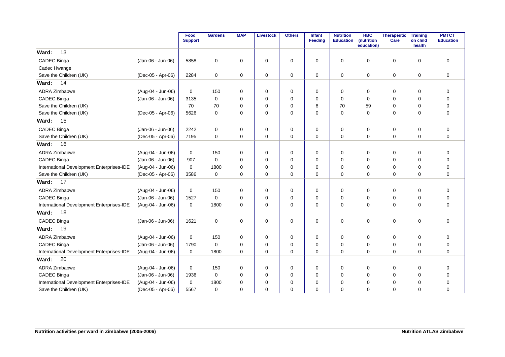|                                           |                   | Food<br><b>Support</b> | <b>Gardens</b> | <b>MAP</b>  | <b>Livestock</b> | <b>Others</b> | Infant<br>Feeding | <b>Nutrition</b><br><b>Education</b> | <b>HBC</b><br>(nutrition<br>education) | Therapeutic<br>Care | <b>Training</b><br>on child<br>health | <b>PMTCT</b><br><b>Education</b> |
|-------------------------------------------|-------------------|------------------------|----------------|-------------|------------------|---------------|-------------------|--------------------------------------|----------------------------------------|---------------------|---------------------------------------|----------------------------------|
| 13<br>Ward:                               |                   |                        |                |             |                  |               |                   |                                      |                                        |                     |                                       |                                  |
| CADEC Binga                               | (Jan-06 - Jun-06) | 5858                   | $\mathbf 0$    | $\mathbf 0$ | 0                | 0             | 0                 | 0                                    | $\mathbf 0$                            | 0                   | $\mathbf 0$                           | 0                                |
| Cadec Hwange                              |                   |                        |                |             |                  |               |                   |                                      |                                        |                     |                                       |                                  |
| Save the Children (UK)                    | (Dec-05 - Apr-06) | 2284                   | $\mathbf 0$    | 0           | 0                | 0             | 0                 | 0                                    | 0                                      | 0                   | 0                                     | 0                                |
| 14<br>Ward:                               |                   |                        |                |             |                  |               |                   |                                      |                                        |                     |                                       |                                  |
| <b>ADRA Zimbabwe</b>                      | (Aug-04 - Jun-06) | 0                      | 150            | $\mathbf 0$ | 0                | $\pmb{0}$     | $\mathbf 0$       | 0                                    | $\mathbf 0$                            | $\mathbf 0$         | $\mathbf 0$                           | $\mathbf 0$                      |
| <b>CADEC Binga</b>                        | (Jan-06 - Jun-06) | 3135                   | $\Omega$       | $\Omega$    | 0                | 0             | $\mathbf 0$       | $\Omega$                             | $\mathbf 0$                            | $\mathbf 0$         | $\mathbf 0$                           | 0                                |
| Save the Children (UK)                    |                   | 70                     | 70             | $\mathbf 0$ | 0                | 0             | 8                 | 70                                   | 59                                     | 0                   | 0                                     | $\Omega$                         |
| Save the Children (UK)                    | (Dec-05 - Apr-06) | 5626                   | $\Omega$       | $\Omega$    | 0                | $\mathbf 0$   | $\Omega$          | $\Omega$                             | $\Omega$                               | $\mathbf 0$         | $\mathbf 0$                           | $\Omega$                         |
| Ward:<br>15                               |                   |                        |                |             |                  |               |                   |                                      |                                        |                     |                                       |                                  |
| CADEC Binga                               | (Jan-06 - Jun-06) | 2242                   | $\Omega$       | 0           | 0                | 0             | 0                 | 0                                    | 0                                      | 0                   | 0                                     | 0                                |
| Save the Children (UK)                    | (Dec-05 - Apr-06) | 7195                   | $\mathbf 0$    | $\mathbf 0$ | $\mathbf 0$      | $\mathbf 0$   | $\mathbf 0$       | $\mathbf 0$                          | $\mathbf 0$                            | $\mathbf 0$         | $\mathbf 0$                           | $\mathbf 0$                      |
| 16<br>Ward:                               |                   |                        |                |             |                  |               |                   |                                      |                                        |                     |                                       |                                  |
| ADRA Zimbabwe                             | (Aug-04 - Jun-06) | 0                      | 150            | 0           | 0                | 0             | 0                 | 0                                    | $\mathbf 0$                            | 0                   | 0                                     | 0                                |
| CADEC Binga                               | (Jan-06 - Jun-06) | 907                    | $\mathbf 0$    | $\mathbf 0$ | 0                | 0             | 0                 | 0                                    | $\mathbf 0$                            | $\mathbf 0$         | 0                                     | 0                                |
| International Development Enterprises-IDE | (Aug-04 - Jun-06) | $\mathbf 0$            | 1800           | $\mathbf 0$ | 0                | 0             | 0                 | $\mathbf 0$                          | 0                                      | 0                   | $\mathbf 0$                           | $\mathbf 0$                      |
| Save the Children (UK)                    | (Dec-05 - Apr-06) | 3586                   | $\mathbf 0$    | $\mathbf 0$ | 0                | 0             | 0                 | $\mathbf 0$                          | $\mathbf 0$                            | $\mathbf 0$         | $\mathbf 0$                           | $\mathbf 0$                      |
| 17<br>Ward:                               |                   |                        |                |             |                  |               |                   |                                      |                                        |                     |                                       |                                  |
| <b>ADRA Zimbabwe</b>                      | (Aug-04 - Jun-06) | $\mathbf 0$            | 150            | $\mathbf 0$ | 0                | 0             | $\mathbf 0$       | $\mathbf 0$                          | 0                                      | $\mathbf 0$         | 0                                     | 0                                |
| CADEC Binga                               | (Jan-06 - Jun-06) | 1527                   | $\Omega$       | $\Omega$    | 0                | 0             | 0                 | 0                                    | 0                                      | 0                   | 0                                     | 0                                |
| International Development Enterprises-IDE | (Aug-04 - Jun-06) | 0                      | 1800           | $\Omega$    | 0                | 0             | $\mathbf 0$       | $\mathbf 0$                          | $\mathbf 0$                            | $\mathbf 0$         | 0                                     | 0                                |
| Ward:<br>18                               |                   |                        |                |             |                  |               |                   |                                      |                                        |                     |                                       |                                  |
| CADEC Binga                               | (Jan-06 - Jun-06) | 1621                   | $\mathbf 0$    | $\mathbf 0$ | 0                | $\mathbf 0$   | $\mathbf 0$       | $\mathbf 0$                          | $\mathbf 0$                            | $\mathbf 0$         | $\mathbf 0$                           | $\mathbf 0$                      |
| 19<br>Ward:                               |                   |                        |                |             |                  |               |                   |                                      |                                        |                     |                                       |                                  |
| <b>ADRA Zimbabwe</b>                      | (Aug-04 - Jun-06) | 0                      | 150            | $\mathbf 0$ | 0                | 0             | 0                 | 0                                    | 0                                      | 0                   | 0                                     | 0                                |
| CADEC Binga                               | (Jan-06 - Jun-06) | 1790                   | $\Omega$       | $\Omega$    | 0                | 0             | 0                 | 0                                    | $\mathbf 0$                            | $\mathbf 0$         | 0                                     | $\mathbf 0$                      |
| International Development Enterprises-IDE | (Aug-04 - Jun-06) | $\mathbf 0$            | 1800           | $\Omega$    | 0                | $\Omega$      | $\Omega$          | $\Omega$                             | $\Omega$                               | $\Omega$            | $\mathbf 0$                           | $\Omega$                         |
| 20<br>Ward:                               |                   |                        |                |             |                  |               |                   |                                      |                                        |                     |                                       |                                  |
| <b>ADRA Zimbabwe</b>                      | (Aug-04 - Jun-06) | 0                      | 150            | $\mathbf 0$ | 0                | 0             | $\mathbf 0$       | 0                                    | $\mathbf 0$                            | 0                   | 0                                     | 0                                |
| CADEC Binga                               | (Jan-06 - Jun-06) | 1936                   | $\mathbf 0$    | $\mathbf 0$ | 0                | 0             | $\mathbf 0$       | 0                                    | $\mathbf 0$                            | $\mathbf 0$         | $\mathbf 0$                           | 0                                |
| International Development Enterprises-IDE | (Aug-04 - Jun-06) | $\mathbf 0$            | 1800           | $\mathbf 0$ | 0                | 0             | $\mathbf 0$       | $\mathbf 0$                          | $\mathbf 0$                            | 0                   | $\mathbf 0$                           | $\Omega$                         |
| Save the Children (UK)                    | (Dec-05 - Apr-06) | 5567                   | 0              | $\mathbf 0$ | 0                | 0             | $\mathbf 0$       | 0                                    | $\mathbf 0$                            | $\mathbf 0$         | $\mathbf 0$                           | $\mathbf 0$                      |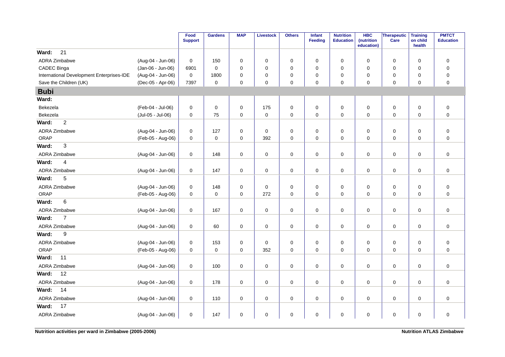|                                           |                   | Food<br><b>Support</b> | <b>Gardens</b>      | <b>MAP</b>  | <b>Livestock</b> | <b>Others</b> | Infant<br><b>Feeding</b> | <b>Nutrition</b><br><b>Education</b> | <b>HBC</b><br>(nutrition<br>education) | Therapeutic<br>Care | <b>Training</b><br>on child<br>health | <b>PMTCT</b><br><b>Education</b> |
|-------------------------------------------|-------------------|------------------------|---------------------|-------------|------------------|---------------|--------------------------|--------------------------------------|----------------------------------------|---------------------|---------------------------------------|----------------------------------|
| 21<br>Ward:                               |                   |                        |                     |             |                  |               |                          |                                      |                                        |                     |                                       |                                  |
| <b>ADRA Zimbabwe</b>                      | (Aug-04 - Jun-06) | 0                      | 150                 | 0           | 0                | 0             | 0                        | 0                                    | 0                                      | 0                   | 0                                     | 0                                |
| CADEC Binga                               | (Jan-06 - Jun-06) | 6901                   | $\mathbf 0$         | 0           | 0                | $\pmb{0}$     | $\mathbf 0$              | $\mathbf 0$                          | 0                                      | 0                   | $\mathbf 0$                           | $\pmb{0}$                        |
| International Development Enterprises-IDE | (Aug-04 - Jun-06) | $\mathbf 0$            | 1800                | 0           | $\mathbf 0$      | 0             | 0                        | 0                                    | 0                                      | 0                   | 0                                     | $\pmb{0}$                        |
| Save the Children (UK)                    | (Dec-05 - Apr-06) | 7397                   | $\mathbf 0$         | $\mathbf 0$ | $\mathbf 0$      | $\mathbf 0$   | $\mathbf 0$              | $\mathbf 0$                          | $\mathbf 0$                            | $\mathbf 0$         | $\Omega$                              | $\mathbf 0$                      |
| <b>Bubi</b>                               |                   |                        |                     |             |                  |               |                          |                                      |                                        |                     |                                       |                                  |
| Ward:                                     |                   |                        |                     |             |                  |               |                          |                                      |                                        |                     |                                       |                                  |
| Bekezela                                  | (Feb-04 - Jul-06) | 0                      | $\mathsf 0$         | 0           | 175              | $\mathbf 0$   | $\pmb{0}$                | $\pmb{0}$                            | 0                                      | $\mathsf{O}\xspace$ | 0                                     | $\pmb{0}$                        |
| Bekezela                                  | (Jul-05 - Jul-06) | 0                      | 75                  | 0           | $\mathsf 0$      | $\pmb{0}$     | $\mathbf 0$              | $\pmb{0}$                            | 0                                      | $\mathsf{O}\xspace$ | $\mathbf 0$                           | $\mathsf 0$                      |
| $\overline{c}$<br>Ward:                   |                   |                        |                     |             |                  |               |                          |                                      |                                        |                     |                                       |                                  |
| <b>ADRA Zimbabwe</b>                      | (Aug-04 - Jun-06) | $\mathbf 0$            | 127                 | $\mathbf 0$ | 0                | 0             | $\mathbf 0$              | $\mathbf 0$                          | 0                                      | $\mathbf 0$         | 0                                     | $\pmb{0}$                        |
| ORAP                                      | (Feb-05 - Aug-06) | 0                      | $\mathsf{O}\xspace$ | 0           | 392              | $\pmb{0}$     | $\mathbf 0$              | $\pmb{0}$                            | 0                                      | $\pmb{0}$           | 0                                     | $\pmb{0}$                        |
| 3<br>Ward:                                |                   |                        |                     |             |                  |               |                          |                                      |                                        |                     |                                       |                                  |
| <b>ADRA Zimbabwe</b>                      | (Aug-04 - Jun-06) | 0                      | 148                 | $\mathbf 0$ | $\mathbf 0$      | $\pmb{0}$     | $\mathbf 0$              | 0                                    | $\mathbf 0$                            | $\mathbf 0$         | 0                                     | $\mathbf 0$                      |
| Ward:<br>4                                |                   |                        |                     |             |                  |               |                          |                                      |                                        |                     |                                       |                                  |
| ADRA Zimbabwe                             | (Aug-04 - Jun-06) | 0                      | 147                 | 0           | 0                | 0             | 0                        | 0                                    | 0                                      | $\mathbf 0$         | 0                                     | $\mathbf 0$                      |
| 5<br>Ward:                                |                   |                        |                     |             |                  |               |                          |                                      |                                        |                     |                                       |                                  |
| <b>ADRA Zimbabwe</b>                      | (Aug-04 - Jun-06) | 0                      | 148                 | 0           | 0                | $\mathbf 0$   | 0                        | 0                                    | 0                                      | 0                   | 0                                     | $\pmb{0}$                        |
| ORAP                                      | (Feb-05 - Aug-06) | 0                      | $\mathbf 0$         | 0           | 272              | $\pmb{0}$     | $\mathbf 0$              | $\mathbf 0$                          | $\mathbf 0$                            | 0                   | $\mathbf 0$                           | $\mathbf 0$                      |
| 6<br>Ward:                                |                   |                        |                     |             |                  |               |                          |                                      |                                        |                     |                                       |                                  |
| <b>ADRA Zimbabwe</b>                      | (Aug-04 - Jun-06) | 0                      | 167                 | 0           | $\pmb{0}$        | $\pmb{0}$     | $\mathsf 0$              | $\pmb{0}$                            | 0                                      | $\mathsf{O}\xspace$ | $\mathbf 0$                           | $\pmb{0}$                        |
| Ward:<br>$\overline{7}$                   |                   |                        |                     |             |                  |               |                          |                                      |                                        |                     |                                       |                                  |
| ADRA Zimbabwe                             | (Aug-04 - Jun-06) | 0                      | 60                  | $\mathbf 0$ | $\pmb{0}$        | $\pmb{0}$     | $\mathsf 0$              | 0                                    | $\mathbf 0$                            | $\mathsf{O}\xspace$ | 0                                     | $\mathsf 0$                      |
| Ward:<br>9                                |                   |                        |                     |             |                  |               |                          |                                      |                                        |                     |                                       |                                  |
| ADRA Zimbabwe                             | (Aug-04 - Jun-06) | 0                      | 153                 | 0           | $\mathbf 0$      | $\pmb{0}$     | 0                        | 0                                    | 0                                      | $\mathbf 0$         | 0                                     | $\pmb{0}$                        |
| ORAP                                      | (Feb-05 - Aug-06) | $\mathbf 0$            | $\mathbf 0$         | $\mathbf 0$ | 352              | $\mathbf 0$   | $\mathbf 0$              | $\mathbf 0$                          | 0                                      | $\mathbf 0$         | $\mathbf 0$                           | $\mathbf 0$                      |
| Ward:<br>11                               |                   |                        |                     |             |                  |               |                          |                                      |                                        |                     |                                       |                                  |
| <b>ADRA Zimbabwe</b>                      | (Aug-04 - Jun-06) | 0                      | 100                 | $\mathbf 0$ | $\mathbf 0$      | $\pmb{0}$     | $\mathbf 0$              | $\mathbf 0$                          | 0                                      | $\mathbf 0$         | 0                                     | $\mathbf 0$                      |
| 12<br>Ward:                               |                   |                        |                     |             |                  |               |                          |                                      |                                        |                     |                                       |                                  |
| ADRA Zimbabwe                             | (Aug-04 - Jun-06) | 0                      | 178                 | $\mathbf 0$ | $\mathbf 0$      | $\pmb{0}$     | $\mathbf 0$              | $\mathbf 0$                          | $\mathbf 0$                            | $\mathbf 0$         | 0                                     | $\mathbf 0$                      |
| 14<br>Ward:                               |                   |                        |                     |             |                  |               |                          |                                      |                                        |                     |                                       |                                  |
| ADRA Zimbabwe                             | (Aug-04 - Jun-06) | 0                      | 110                 | 0           | $\mathsf 0$      | $\mathsf 0$   | $\mathbf 0$              | $\pmb{0}$                            | 0                                      | 0                   | $\pmb{0}$                             | $\pmb{0}$                        |
| Ward:<br>17                               |                   |                        |                     |             |                  |               |                          |                                      |                                        |                     |                                       |                                  |
| ADRA Zimbabwe                             | (Aug-04 - Jun-06) | 0                      | 147                 | 0           | $\pmb{0}$        | $\mathsf 0$   | $\mathbf 0$              | $\pmb{0}$                            | $\mathbf 0$                            | $\mathsf{O}\xspace$ | 0                                     | $\pmb{0}$                        |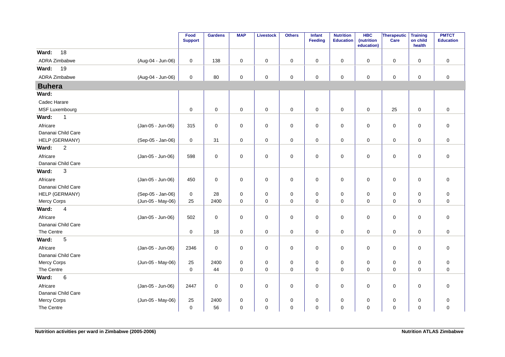|                           |                   | Food<br><b>Support</b> | <b>Gardens</b>      | <b>MAP</b>       | <b>Livestock</b>    | <b>Others</b>            | <b>Infant</b><br>Feeding | <b>Nutrition</b><br><b>Education</b> | <b>HBC</b><br>(nutrition<br>education) | Therapeutic<br>Care        | <b>Training</b><br>on child<br>health | <b>PMTCT</b><br><b>Education</b> |
|---------------------------|-------------------|------------------------|---------------------|------------------|---------------------|--------------------------|--------------------------|--------------------------------------|----------------------------------------|----------------------------|---------------------------------------|----------------------------------|
| 18<br>Ward:               |                   |                        |                     |                  |                     |                          |                          |                                      |                                        |                            |                                       |                                  |
| <b>ADRA Zimbabwe</b>      | (Aug-04 - Jun-06) | $\mathbf 0$            | 138                 | $\pmb{0}$        | $\mathbf 0$         | $\pmb{0}$                | 0                        | $\mathbf 0$                          | $\mathbf 0$                            | $\mathsf 0$                | $\mathbf 0$                           | $\pmb{0}$                        |
| Ward:<br>19               |                   |                        |                     |                  |                     |                          |                          |                                      |                                        |                            |                                       |                                  |
| ADRA Zimbabwe             | (Aug-04 - Jun-06) | $\mathbf 0$            | 80                  | 0                | $\mathsf{O}\xspace$ | $\pmb{0}$                | 0                        | $\mathbf 0$                          | 0                                      | $\mathsf 0$                | $\mathbf 0$                           | $\pmb{0}$                        |
| <b>Buhera</b>             |                   |                        |                     |                  |                     |                          |                          |                                      |                                        |                            |                                       |                                  |
| Ward:                     |                   |                        |                     |                  |                     |                          |                          |                                      |                                        |                            |                                       |                                  |
| Cadec Harare              |                   |                        |                     |                  |                     |                          |                          |                                      |                                        |                            |                                       |                                  |
| MSF Luxembourg            |                   | $\mathbf 0$            | $\mathsf 0$         | $\pmb{0}$        | $\pmb{0}$           | $\mathsf 0$              | 0                        | $\mathbf 0$                          | $\pmb{0}$                              | 25                         | $\pmb{0}$                             | $\mathbf 0$                      |
| Ward:<br>$\mathbf{1}$     |                   |                        |                     |                  |                     |                          |                          |                                      |                                        |                            |                                       |                                  |
| Africare                  | (Jan-05 - Jun-06) | 315                    | $\mathsf{O}\xspace$ | $\pmb{0}$        | $\mathsf{O}\xspace$ | $\pmb{0}$                | $\mathbf 0$              | $\mathbf 0$                          | $\mathbf 0$                            | $\mathbf 0$                | $\mathbf 0$                           | $\mathbf 0$                      |
| Dananai Child Care        |                   |                        |                     |                  |                     |                          |                          |                                      |                                        |                            |                                       |                                  |
| HELP (GERMANY)            | (Sep-05 - Jan-06) | $\mathbf 0$            | 31                  | $\mathbf 0$      | $\mathbf 0$         | $\mathbf 0$              | $\mathbf 0$              | $\mathbf 0$                          | $\mathbf 0$                            | $\mathbf 0$                | $\mathbf 0$                           | $\mathbf 0$                      |
| $\overline{c}$<br>Ward:   |                   |                        |                     |                  |                     |                          |                          |                                      |                                        |                            |                                       |                                  |
| Africare                  | (Jan-05 - Jun-06) | 598                    | $\mathsf{O}\xspace$ | $\pmb{0}$        | $\mathsf{O}\xspace$ | $\mathsf 0$              | 0                        | $\pmb{0}$                            | $\pmb{0}$                              | $\mathsf{O}\xspace$        | $\mathbf 0$                           | $\mathbf 0$                      |
| Dananai Child Care        |                   |                        |                     |                  |                     |                          |                          |                                      |                                        |                            |                                       |                                  |
| 3<br>Ward:                |                   |                        |                     |                  |                     |                          |                          |                                      |                                        |                            |                                       |                                  |
| Africare                  | (Jan-05 - Jun-06) | 450                    | $\mathsf{O}\xspace$ | $\mathbf 0$      | $\mathsf{O}\xspace$ | $\mathsf 0$              | $\mathbf 0$              | $\mathbf 0$                          | $\mathbf 0$                            | $\mathsf 0$                | $\pmb{0}$                             | $\mathbf 0$                      |
| Dananai Child Care        |                   |                        |                     |                  |                     |                          |                          |                                      |                                        |                            |                                       |                                  |
| HELP (GERMANY)            | (Sep-05 - Jan-06) | 0                      | 28                  | 0                | 0                   | 0                        | 0                        | 0                                    | $\mathbf 0$                            | 0                          | 0                                     | $\mathbf 0$                      |
| Mercy Corps               | (Jun-05 - May-06) | 25                     | 2400                | $\mathbf 0$      | $\mathbf 0$         | $\mathbf 0$              | $\mathbf 0$              | $\mathbf 0$                          | $\mathbf 0$                            | $\mathbf 0$                | $\mathbf 0$                           | $\mathbf 0$                      |
| $\overline{4}$<br>Ward:   |                   |                        |                     |                  |                     |                          |                          |                                      |                                        |                            |                                       |                                  |
| Africare                  | (Jan-05 - Jun-06) | 502                    | $\mathbf 0$         | 0                | 0                   | 0                        | 0                        | 0                                    | $\mathbf 0$                            | $\mathsf 0$                | 0                                     | $\mathbf 0$                      |
| Dananai Child Care        |                   |                        |                     |                  |                     |                          |                          |                                      |                                        |                            |                                       |                                  |
| The Centre                |                   | $\mathbf 0$            | 18                  | $\pmb{0}$        | $\mathbf 0$         | $\pmb{0}$                | $\mathbf 0$              | $\mathbf 0$                          | $\mathbf 0$                            | $\mathbf 0$                | $\mathbf 0$                           | $\mathbf 0$                      |
| Ward:<br>5                |                   |                        |                     |                  |                     |                          |                          |                                      |                                        |                            |                                       |                                  |
| Africare                  | (Jan-05 - Jun-06) | 2346                   | $\mathbf 0$         | 0                | 0                   | $\pmb{0}$                | 0                        | 0                                    | 0                                      | $\mathsf 0$                | $\mathbf 0$                           | $\mathsf 0$                      |
| Dananai Child Care        |                   |                        |                     |                  |                     |                          |                          |                                      |                                        |                            |                                       |                                  |
| Mercy Corps               | (Jun-05 - May-06) | 25                     | 2400                | 0                | 0                   | 0                        | 0                        | 0                                    | 0                                      | $\mathbf 0$                | $\mathbf 0$                           | $\mathbf 0$                      |
| The Centre                |                   | $\mathbf 0$            | 44                  | 0                | $\mathsf{O}\xspace$ | 0                        | 0                        | 0                                    | 0                                      | 0                          | 0                                     | $\mathbf 0$                      |
| $\,6$<br>Ward:            |                   |                        |                     |                  |                     |                          |                          |                                      |                                        |                            |                                       |                                  |
| Africare                  | (Jan-05 - Jun-06) | 2447                   | 0                   | 0                | 0                   | 0                        | 0                        | 0                                    | 0                                      | 0                          | 0                                     | $\mathbf 0$                      |
| Dananai Child Care        |                   |                        | 2400                |                  |                     |                          |                          |                                      |                                        |                            |                                       |                                  |
| Mercy Corps<br>The Centre | (Jun-05 - May-06) | 25<br>$\mathbf 0$      | 56                  | 0<br>$\mathbf 0$ | 0<br>$\mathbf 0$    | $\pmb{0}$<br>$\mathbf 0$ | 0<br>0                   | 0<br>$\mathbf 0$                     | 0<br>$\Omega$                          | $\mathsf 0$<br>$\mathbf 0$ | 0<br>$\mathbf 0$                      | $\mathbf 0$<br>$\mathbf 0$       |
|                           |                   |                        |                     |                  |                     |                          |                          |                                      |                                        |                            |                                       |                                  |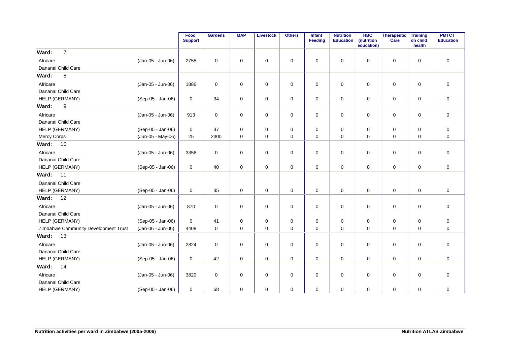|                                      |                   | Food<br><b>Support</b> | <b>Gardens</b> | <b>MAP</b>  | <b>Livestock</b> | <b>Others</b> | Infant<br>Feeding | <b>Nutrition</b><br><b>Education</b> | <b>HBC</b><br>(nutrition<br>education) | <b>Therapeutic</b><br>Care | <b>Training</b><br>on child<br>health | <b>PMTCT</b><br><b>Education</b> |
|--------------------------------------|-------------------|------------------------|----------------|-------------|------------------|---------------|-------------------|--------------------------------------|----------------------------------------|----------------------------|---------------------------------------|----------------------------------|
| $\overline{7}$<br>Ward:              |                   |                        |                |             |                  |               |                   |                                      |                                        |                            |                                       |                                  |
| Africare                             | (Jan-05 - Jun-06) | 2755                   | $\mathbf 0$    | $\mathbf 0$ | 0                | $\pmb{0}$     | $\mathbf 0$       | $\mathbf 0$                          | $\mathbf 0$                            | 0                          | $\mathbf 0$                           | $\pmb{0}$                        |
| Dananai Child Care                   |                   |                        |                |             |                  |               |                   |                                      |                                        |                            |                                       |                                  |
| 8<br>Ward:                           |                   |                        |                |             |                  |               |                   |                                      |                                        |                            |                                       |                                  |
| Africare                             | (Jan-05 - Jun-06) | 1886                   | 0              | $\mathbf 0$ | $\mathbf 0$      | $\pmb{0}$     | 0                 | $\mathbf 0$                          | $\mathbf 0$                            | 0                          | $\mathbf 0$                           | $\pmb{0}$                        |
| Dananai Child Care                   |                   |                        |                |             |                  |               |                   |                                      |                                        |                            |                                       |                                  |
| HELP (GERMANY)                       | (Sep-05 - Jan-06) | $\mathbf 0$            | 34             | $\mathbf 0$ | $\mathbf 0$      | $\mathbf 0$   | $\mathbf 0$       | $\mathbf 0$                          | $\mathbf 0$                            | $\mathbf 0$                | $\mathbf 0$                           | $\pmb{0}$                        |
| $\boldsymbol{9}$<br>Ward:            |                   |                        |                |             |                  |               |                   |                                      |                                        |                            |                                       |                                  |
| Africare                             | (Jan-05 - Jun-06) | 913                    | $\mathbf 0$    | $\mathbf 0$ | 0                | $\pmb{0}$     | $\mathbf 0$       | $\mathbf 0$                          | $\mathbf 0$                            | 0                          | $\mathbf 0$                           | $\pmb{0}$                        |
| Dananai Child Care                   |                   |                        |                |             |                  |               |                   |                                      |                                        |                            |                                       |                                  |
| HELP (GERMANY)                       | (Sep-05 - Jan-06) | 0                      | 37             | $\mathbf 0$ | 0                | 0             | $\mathbf 0$       | $\mathbf 0$                          | 0                                      | 0                          | $\mathbf 0$                           | 0                                |
| <b>Mercy Corps</b>                   | (Jun-05 - May-06) | 25                     | 2400           | $\mathbf 0$ | 0                | $\mathbf 0$   | 0                 | $\mathbf 0$                          | $\mathbf 0$                            | 0                          | $\mathbf 0$                           | 0                                |
| 10<br>Ward:                          |                   |                        |                |             |                  |               |                   |                                      |                                        |                            |                                       |                                  |
| Africare                             | (Jan-05 - Jun-06) | 3356                   | 0              | $\mathbf 0$ | 0                | $\mathbf 0$   | $\mathbf 0$       | $\mathbf 0$                          | $\mathbf 0$                            | 0                          | $\mathbf 0$                           | $\mathbf 0$                      |
| Dananai Child Care                   |                   |                        |                |             |                  |               |                   |                                      |                                        |                            |                                       |                                  |
| HELP (GERMANY)                       | (Sep-05 - Jan-06) | $\mathbf 0$            | 40             | 0           | 0                | $\mathbf 0$   | 0                 | $\mathbf 0$                          | 0                                      | 0                          | $\mathbf 0$                           | 0                                |
| Ward:<br>11                          |                   |                        |                |             |                  |               |                   |                                      |                                        |                            |                                       |                                  |
| Dananai Child Care                   |                   |                        |                |             |                  |               |                   |                                      |                                        |                            |                                       |                                  |
| HELP (GERMANY)                       | (Sep-05 - Jan-06) | 0                      | 35             | 0           | 0                | $\mathbf 0$   | 0                 | $\mathbf 0$                          | $\mathbf 0$                            | 0                          | $\mathbf 0$                           | 0                                |
| Ward:<br>12                          |                   |                        |                |             |                  |               |                   |                                      |                                        |                            |                                       |                                  |
| Africare                             | (Jan-05 - Jun-06) | 870                    | 0              | 0           | 0                | $\mathbf 0$   | 0                 | $\mathbf 0$                          | $\mathbf 0$                            | 0                          | $\mathbf 0$                           | $\mathbf 0$                      |
| Dananai Child Care                   |                   |                        |                |             |                  |               |                   |                                      |                                        |                            |                                       |                                  |
| HELP (GERMANY)                       | (Sep-05 - Jan-06) | $\mathbf 0$            | 41             | $\mathbf 0$ | 0                | 0             | $\mathbf 0$       | $\mathbf 0$                          | $\mathbf 0$                            | 0                          | $\mathbf 0$                           | $\pmb{0}$                        |
| Zimbabwe Community Development Trust | (Jan-06 - Jun-06) | 4408                   | $\mathbf 0$    | 0           | 0                | $\pmb{0}$     | 0                 | $\mathbf 0$                          | $\mathbf 0$                            | 0                          | $\mathbf 0$                           | 0                                |
| Ward:<br>13                          |                   |                        |                |             |                  |               |                   |                                      |                                        |                            |                                       |                                  |
| Africare                             | (Jan-05 - Jun-06) | 2824                   | 0              | $\mathbf 0$ | 0                | $\mathbf 0$   | 0                 | $\mathbf 0$                          | $\mathbf 0$                            | 0                          | $\mathbf 0$                           | $\mathbf 0$                      |
| Dananai Child Care                   |                   |                        |                |             |                  |               |                   |                                      |                                        |                            |                                       |                                  |
| HELP (GERMANY)                       | (Sep-05 - Jan-06) | 0                      | 42             | $\mathbf 0$ | 0                | $\mathbf 0$   | $\mathbf 0$       | $\mathbf 0$                          | $\mathbf 0$                            | 0                          | $\mathbf 0$                           | $\mathbf 0$                      |
| 14<br>Ward:                          |                   |                        |                |             |                  |               |                   |                                      |                                        |                            |                                       |                                  |
| Africare                             | (Jan-05 - Jun-06) | 3820                   | 0              | $\mathbf 0$ | 0                | $\pmb{0}$     | $\mathbf 0$       | $\mathbf 0$                          | $\mathbf 0$                            | 0                          | $\mathbf 0$                           | $\mathbf 0$                      |
| Dananai Child Care                   |                   |                        |                |             |                  |               |                   |                                      |                                        |                            |                                       |                                  |
| HELP (GERMANY)                       | (Sep-05 - Jan-06) | 0                      | 68             | 0           | $\mathbf 0$      | $\pmb{0}$     | 0                 | $\mathbf 0$                          | 0                                      | 0                          | $\mathbf 0$                           | $\mathsf 0$                      |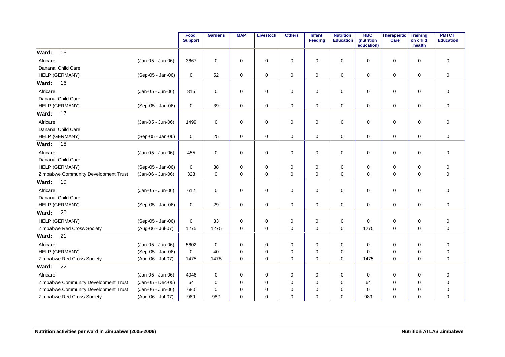|                                      |                   | Food<br><b>Support</b> | <b>Gardens</b> | <b>MAP</b>  | <b>Livestock</b> | <b>Others</b> | <b>Infant</b><br>Feeding | <b>Nutrition</b><br><b>Education</b> | <b>HBC</b><br>(nutrition<br>education) | Therapeutic<br>Care | <b>Training</b><br>on child<br>health | <b>PMTCT</b><br><b>Education</b> |
|--------------------------------------|-------------------|------------------------|----------------|-------------|------------------|---------------|--------------------------|--------------------------------------|----------------------------------------|---------------------|---------------------------------------|----------------------------------|
| 15<br>Ward:                          |                   |                        |                |             |                  |               |                          |                                      |                                        |                     |                                       |                                  |
| Africare                             | (Jan-05 - Jun-06) | 3667                   | $\mathbf 0$    | $\mathbf 0$ | 0                | 0             | 0                        | $\mathbf 0$                          | 0                                      | $\mathbf 0$         | $\mathbf 0$                           | $\mathbf 0$                      |
| Dananai Child Care                   |                   |                        |                |             |                  |               |                          |                                      |                                        |                     |                                       |                                  |
| HELP (GERMANY)                       | (Sep-05 - Jan-06) | 0                      | 52             | 0           | 0                | 0             | $\mathbf 0$              | $\mathbf 0$                          | 0                                      | $\mathbf 0$         | 0                                     | $\mathbf 0$                      |
| Ward:<br>16                          |                   |                        |                |             |                  |               |                          |                                      |                                        |                     |                                       |                                  |
| Africare                             | (Jan-05 - Jun-06) | 815                    | $\mathbf 0$    | $\mathbf 0$ | 0                | 0             | $\mathbf 0$              | 0                                    | 0                                      | $\mathbf 0$         | 0                                     | $\mathbf 0$                      |
| Dananai Child Care                   |                   |                        |                |             |                  |               |                          |                                      |                                        |                     |                                       |                                  |
| HELP (GERMANY)                       | (Sep-05 - Jan-06) | 0                      | 39             | 0           | 0                | 0             | 0                        | 0                                    | 0                                      | $\mathbf 0$         | 0                                     | $\mathbf 0$                      |
| Ward:<br>17                          |                   |                        |                |             |                  |               |                          |                                      |                                        |                     |                                       |                                  |
| Africare                             | (Jan-05 - Jun-06) | 1499                   | $\mathbf 0$    | $\Omega$    | 0                | $\mathbf 0$   | $\mathbf 0$              | $\mathbf 0$                          | $\Omega$                               | $\mathbf 0$         | $\Omega$                              | $\mathbf 0$                      |
| Dananai Child Care                   |                   |                        |                |             |                  |               |                          |                                      |                                        |                     |                                       |                                  |
| HELP (GERMANY)                       | (Sep-05 - Jan-06) | 0                      | 25             | $\mathbf 0$ | 0                | 0             | $\mathbf 0$              | $\mathbf 0$                          | 0                                      | $\mathbf 0$         | $\mathbf 0$                           | $\mathbf 0$                      |
| 18<br>Ward:                          |                   |                        |                |             |                  |               |                          |                                      |                                        |                     |                                       |                                  |
| Africare                             | (Jan-05 - Jun-06) | 455                    | 0              | 0           | 0                | 0             | 0                        | 0                                    | 0                                      | 0                   | $\mathbf 0$                           | $\mathbf 0$                      |
| Dananai Child Care                   |                   |                        |                |             |                  |               |                          |                                      |                                        |                     |                                       |                                  |
| HELP (GERMANY)                       | (Sep-05 - Jan-06) | 0                      | 38             | 0           | 0                | 0             | 0                        | $\mathbf 0$                          | 0                                      | 0                   | 0                                     | $\mathbf 0$                      |
| Zimbabwe Community Development Trust | (Jan-06 - Jun-06) | 323                    | $\mathbf 0$    | $\mathbf 0$ | $\mathbf 0$      | 0             | $\mathbf 0$              | $\mathbf 0$                          | 0                                      | $\mathbf 0$         | $\mathbf 0$                           | $\mathbf 0$                      |
| 19<br>Ward:                          |                   |                        |                |             |                  |               |                          |                                      |                                        |                     |                                       |                                  |
| Africare                             | (Jan-05 - Jun-06) | 612                    | 0              | $\mathbf 0$ | 0                | 0             | 0                        | 0                                    | 0                                      | $\mathbf 0$         | 0                                     | $\mathbf 0$                      |
| Dananai Child Care                   |                   |                        |                |             |                  |               |                          |                                      |                                        |                     |                                       |                                  |
| HELP (GERMANY)                       | (Sep-05 - Jan-06) | 0                      | 29             | 0           | 0                | 0             | 0                        | 0                                    | 0                                      | 0                   | 0                                     | $\mathbf 0$                      |
| Ward:<br>20                          |                   |                        |                |             |                  |               |                          |                                      |                                        |                     |                                       |                                  |
| HELP (GERMANY)                       | (Sep-05 - Jan-06) | $\mathbf 0$            | 33             | 0           | 0                | 0             | 0                        | $\mathbf 0$                          | $\Omega$                               | 0                   | 0                                     | $\mathbf 0$                      |
| Zimbabwe Red Cross Society           | (Aug-06 - Jul-07) | 1275                   | 1275           | $\mathbf 0$ | $\mathbf 0$      | $\mathbf 0$   | $\mathbf 0$              | $\mathbf 0$                          | 1275                                   | $\mathbf 0$         | $\mathbf 0$                           | $\mathbf 0$                      |
| 21<br>Ward:                          |                   |                        |                |             |                  |               |                          |                                      |                                        |                     |                                       |                                  |
| Africare                             | (Jan-05 - Jun-06) | 5602                   | $\mathbf 0$    | 0           | 0                | 0             | 0                        | 0                                    | 0                                      | 0                   | 0                                     | 0                                |
| HELP (GERMANY)                       | (Sep-05 - Jan-06) | 0                      | 40             | 0           | 0                | 0             | 0                        | 0                                    | 0                                      | 0                   | 0                                     | 0                                |
| Zimbabwe Red Cross Society           | (Aug-06 - Jul-07) | 1475                   | 1475           | $\Omega$    | $\mathbf 0$      | $\mathbf 0$   | $\Omega$                 | $\Omega$                             | 1475                                   | $\mathbf 0$         | $\Omega$                              | $\mathbf 0$                      |
| 22<br>Ward:                          |                   |                        |                |             |                  |               |                          |                                      |                                        |                     |                                       |                                  |
| Africare                             | (Jan-05 - Jun-06) | 4046                   | 0              | 0           | 0                | 0             | 0                        | 0                                    | 0                                      | 0                   | 0                                     | $\mathbf 0$                      |
| Zimbabwe Community Development Trust | (Jan-05 - Dec-05) | 64                     | 0              | 0           | 0                | 0             | 0                        | 0                                    | 64                                     | 0                   | 0                                     | $\mathbf 0$                      |
| Zimbabwe Community Development Trust | (Jan-06 - Jun-06) | 680                    | $\mathbf 0$    | 0           | 0                | 0             | $\Omega$                 | 0                                    | 0                                      | 0                   | 0                                     | 0                                |
| Zimbabwe Red Cross Society           | (Aug-06 - Jul-07) | 989                    | 989            | 0           | 0                | 0             | 0                        | $\Omega$                             | 989                                    | $\mathbf 0$         | 0                                     | $\mathbf 0$                      |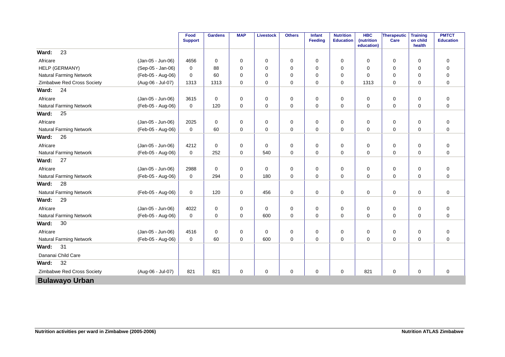|                                |                   | Food<br><b>Support</b> | <b>Gardens</b> | <b>MAP</b>  | <b>Livestock</b> | <b>Others</b> | Infant<br>Feeding | <b>Nutrition</b><br><b>Education</b> | <b>HBC</b><br>(nutrition<br>education) | Therapeutic<br>Care | <b>Training</b><br>on child<br>health | <b>PMTCT</b><br><b>Education</b> |
|--------------------------------|-------------------|------------------------|----------------|-------------|------------------|---------------|-------------------|--------------------------------------|----------------------------------------|---------------------|---------------------------------------|----------------------------------|
| 23<br>Ward:                    |                   |                        |                |             |                  |               |                   |                                      |                                        |                     |                                       |                                  |
| Africare                       | (Jan-05 - Jun-06) | 4656                   | $\mathbf 0$    | 0           | 0                | 0             | $\mathbf 0$       | $\mathbf 0$                          | 0                                      | 0                   | $\mathbf 0$                           | $\mathbf 0$                      |
| HELP (GERMANY)                 | (Sep-05 - Jan-06) | $\mathbf 0$            | 88             | $\Omega$    | 0                | 0             | $\Omega$          | $\mathbf 0$                          | $\Omega$                               | 0                   | 0                                     | $\mathbf 0$                      |
| Natural Farming Network        | (Feb-05 - Aug-06) | $\mathbf 0$            | 60             | $\Omega$    | $\mathbf 0$      | $\mathbf 0$   | $\Omega$          | $\mathbf 0$                          | $\Omega$                               | 0                   | $\Omega$                              | $\mathbf 0$                      |
| Zimbabwe Red Cross Society     | (Aug-06 - Jul-07) | 1313                   | 1313           | $\Omega$    | $\mathbf 0$      | $\mathbf 0$   | $\Omega$          | $\mathbf 0$                          | 1313                                   | 0                   | $\Omega$                              | $\mathbf 0$                      |
| 24<br>Ward:                    |                   |                        |                |             |                  |               |                   |                                      |                                        |                     |                                       |                                  |
| Africare                       | (Jan-05 - Jun-06) | 3615                   | $\mathbf 0$    | 0           | 0                | 0             | 0                 | 0                                    | 0                                      | 0                   | $\mathbf 0$                           | $\mathbf 0$                      |
| Natural Farming Network        | (Feb-05 - Aug-06) | $\mathbf 0$            | 120            | $\mathbf 0$ | 0                | 0             | $\mathbf 0$       | $\mathbf 0$                          | 0                                      | 0                   | $\mathbf 0$                           | $\mathbf 0$                      |
| 25<br>Ward:                    |                   |                        |                |             |                  |               |                   |                                      |                                        |                     |                                       |                                  |
| Africare                       | (Jan-05 - Jun-06) | 2025                   | 0              | 0           | 0                | 0             | 0                 | 0                                    | 0                                      | 0                   | $\mathbf 0$                           | $\mathbf 0$                      |
| Natural Farming Network        | (Feb-05 - Aug-06) | $\mathbf 0$            | 60             | $\mathbf 0$ | $\mathbf 0$      | $\mathbf 0$   | $\Omega$          | $\mathbf 0$                          | $\Omega$                               | $\mathbf 0$         | 0                                     | $\mathbf 0$                      |
| 26<br>Ward:                    |                   |                        |                |             |                  |               |                   |                                      |                                        |                     |                                       |                                  |
| Africare                       | (Jan-05 - Jun-06) | 4212                   | $\mathbf 0$    | 0           | 0                | 0             | 0                 | 0                                    | 0                                      | 0                   | $\mathbf 0$                           | $\mathbf 0$                      |
| <b>Natural Farming Network</b> | (Feb-05 - Aug-06) | $\mathbf 0$            | 252            | $\mathbf 0$ | 540              | $\mathbf 0$   | $\mathbf 0$       | 0                                    | 0                                      | $\mathbf 0$         | $\mathbf 0$                           | $\mathbf 0$                      |
| 27<br>Ward:                    |                   |                        |                |             |                  |               |                   |                                      |                                        |                     |                                       |                                  |
| Africare                       | (Jan-05 - Jun-06) | 2988                   | $\mathbf 0$    | 0           | 0                | 0             | 0                 | 0                                    | 0                                      | 0                   | 0                                     | $\mathbf 0$                      |
| <b>Natural Farming Network</b> | (Feb-05 - Aug-06) | $\mathbf 0$            | 294            | $\mathbf 0$ | 180              | 0             | $\mathbf 0$       | $\mathbf 0$                          | 0                                      | $\mathbf 0$         | $\mathbf 0$                           | 0                                |
| 28<br>Ward:                    |                   |                        |                |             |                  |               |                   |                                      |                                        |                     |                                       |                                  |
| <b>Natural Farming Network</b> | (Feb-05 - Aug-06) | 0                      | 120            | 0           | 456              | 0             | $\mathbf 0$       | 0                                    | 0                                      | $\mathbf 0$         | 0                                     | $\pmb{0}$                        |
| 29<br>Ward:                    |                   |                        |                |             |                  |               |                   |                                      |                                        |                     |                                       |                                  |
| Africare                       | (Jan-05 - Jun-06) | 4022                   | 0              | 0           | 0                | 0             | 0                 | 0                                    | 0                                      | 0                   | $\mathbf 0$                           | 0                                |
| <b>Natural Farming Network</b> | (Feb-05 - Aug-06) | $\mathbf 0$            | $\mathbf 0$    | 0           | 600              | 0             | $\mathbf 0$       | $\mathbf 0$                          | 0                                      | 0                   | $\mathbf 0$                           | 0                                |
| 30<br>Ward:                    |                   |                        |                |             |                  |               |                   |                                      |                                        |                     |                                       |                                  |
| Africare                       | (Jan-05 - Jun-06) | 4516                   | $\mathbf 0$    | 0           | 0                | 0             | 0                 | $\mathbf 0$                          | 0                                      | 0                   | $\mathbf 0$                           | $\mathbf 0$                      |
| <b>Natural Farming Network</b> | (Feb-05 - Aug-06) | 0                      | 60             | 0           | 600              | 0             | 0                 | $\mathbf 0$                          | 0                                      | 0                   | $\mathbf 0$                           | 0                                |
| 31<br>Ward:                    |                   |                        |                |             |                  |               |                   |                                      |                                        |                     |                                       |                                  |
| Dananai Child Care             |                   |                        |                |             |                  |               |                   |                                      |                                        |                     |                                       |                                  |
| 32<br>Ward:                    |                   |                        |                |             |                  |               |                   |                                      |                                        |                     |                                       |                                  |
| Zimbabwe Red Cross Society     | (Aug-06 - Jul-07) | 821                    | 821            | 0           | $\mathbf 0$      | 0             | $\mathbf 0$       | 0                                    | 821                                    | 0                   | $\mathbf 0$                           | $\mathbf 0$                      |
| <b>Bulawayo Urban</b>          |                   |                        |                |             |                  |               |                   |                                      |                                        |                     |                                       |                                  |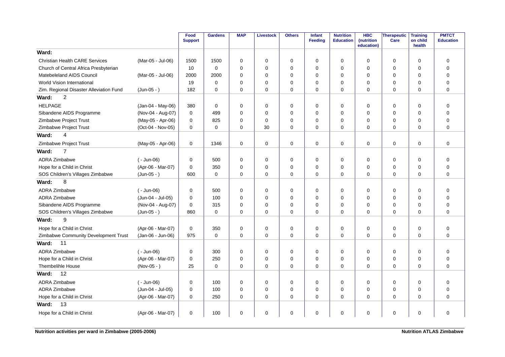|                                         |                   | Food<br><b>Support</b> | <b>Gardens</b> | <b>MAP</b>  | <b>Livestock</b> | <b>Others</b> | Infant<br>Feeding | <b>Nutrition</b><br><b>Education</b> | <b>HBC</b><br>(nutrition<br>education) | <b>Therapeutic</b><br>Care | <b>Training</b><br>on child<br>health | <b>PMTCT</b><br><b>Education</b> |
|-----------------------------------------|-------------------|------------------------|----------------|-------------|------------------|---------------|-------------------|--------------------------------------|----------------------------------------|----------------------------|---------------------------------------|----------------------------------|
| Ward:                                   |                   |                        |                |             |                  |               |                   |                                      |                                        |                            |                                       |                                  |
| <b>Christian Health CARE Services</b>   | (Mar-05 - Jul-06) | 1500                   | 1500           | $\mathbf 0$ | $\mathbf 0$      | $\mathbf 0$   | $\Omega$          | 0                                    | $\mathbf 0$                            | $\mathbf 0$                | $\mathbf 0$                           | 0                                |
| Church of Central Africa Presbyterian   |                   | 10                     | $\Omega$       | $\Omega$    | $\mathbf 0$      | 0             | $\Omega$          | 0                                    | $\Omega$                               | 0                          | $\mathbf 0$                           | $\mathbf 0$                      |
| Matebeleland AIDS Council               | (Mar-05 - Jul-06) | 2000                   | 2000           | $\Omega$    | $\mathbf 0$      | 0             | $\Omega$          | 0                                    | 0                                      | 0                          | $\Omega$                              | $\mathbf 0$                      |
| World Vision International              |                   | 19                     | $\mathbf 0$    | 0           | $\mathbf 0$      | 0             | $\mathbf 0$       | 0                                    | 0                                      | 0                          | 0                                     | $\mathbf 0$                      |
| Zim. Regional Disaster Alleviation Fund | $(Jun-05 - )$     | 182                    | $\mathbf 0$    | 0           | $\mathbf 0$      | 0             | 0                 | 0                                    | 0                                      | 0                          | 0                                     | $\overline{0}$                   |
| $\overline{c}$<br>Ward:                 |                   |                        |                |             |                  |               |                   |                                      |                                        |                            |                                       |                                  |
| <b>HELPAGE</b>                          | (Jan-04 - May-06) | 380                    | $\mathbf 0$    | $\mathbf 0$ | $\mathbf 0$      | 0             | $\mathbf 0$       | 0                                    | 0                                      | 0                          | $\mathbf 0$                           | $\mathbf 0$                      |
| Sibandene AIDS Programme                | (Nov-04 - Aug-07) | $\Omega$               | 499            | $\Omega$    | 0                | 0             | $\Omega$          | $\Omega$                             | $\Omega$                               | 0                          | $\Omega$                              | $\mathbf 0$                      |
| Zimbabwe Project Trust                  | (May-05 - Apr-06) | 0                      | 825            | $\Omega$    | $\mathbf 0$      | 0             | $\Omega$          | $\Omega$                             | $\Omega$                               | 0                          | $\mathbf 0$                           | $\mathbf 0$                      |
| Zimbabwe Project Trust                  | (Oct-04 - Nov-05) | 0                      | $\Omega$       | $\Omega$    | 30               | $\mathbf 0$   | $\Omega$          | $\Omega$                             | $\Omega$                               | 0                          | $\Omega$                              | $\mathbf 0$                      |
| Ward:<br>4                              |                   |                        |                |             |                  |               |                   |                                      |                                        |                            |                                       |                                  |
| Zimbabwe Project Trust                  | (May-05 - Apr-06) | $\mathbf 0$            | 1346           | $\mathbf 0$ | $\mathbf 0$      | $\mathbf 0$   | $\mathbf 0$       | $\mathbf 0$                          | $\mathbf 0$                            | $\mathbf 0$                | $\mathbf 0$                           | $\mathbf 0$                      |
| $\overline{7}$<br>Ward:                 |                   |                        |                |             |                  |               |                   |                                      |                                        |                            |                                       |                                  |
| <b>ADRA Zimbabwe</b>                    | $(-$ Jun-06)      | 0                      | 500            | $\mathbf 0$ | $\mathbf 0$      | $\mathbf 0$   | $\Omega$          | $\mathbf 0$                          | $\mathbf 0$                            | $\mathbf 0$                | $\mathbf 0$                           | $\mathbf 0$                      |
| Hope for a Child in Christ              | (Apr-06 - Mar-07) | 0                      | 350            | $\mathbf 0$ | $\mathbf 0$      | $\pmb{0}$     | $\Omega$          | 0                                    | $\mathbf 0$                            | 0                          | $\mathbf 0$                           | $\mathbf 0$                      |
| SOS Children's Villages Zimbabwe        | $(Jun-05 - )$     | 600                    | $\mathbf 0$    | $\Omega$    | $\mathbf 0$      | 0             | 0                 | 0                                    | $\Omega$                               | 0                          | 0                                     | $\mathbf 0$                      |
| Ward:<br>8                              |                   |                        |                |             |                  |               |                   |                                      |                                        |                            |                                       |                                  |
| <b>ADRA Zimbabwe</b>                    | $(-$ Jun-06)      | 0                      | 500            | 0           | $\mathbf 0$      | 0             | 0                 | 0                                    | 0                                      | 0                          | 0                                     | $\mathbf 0$                      |
| ADRA Zimbabwe                           | (Jun-04 - Jul-05) | 0                      | 100            | $\mathbf 0$ | $\mathbf 0$      | 0             | $\Omega$          | 0                                    | $\mathbf 0$                            | 0                          | $\mathbf 0$                           | $\mathbf 0$                      |
| Sibandene AIDS Programme                | (Nov-04 - Aug-07) | 0                      | 315            | 0           | $\mathbf 0$      | 0             | $\mathbf 0$       | 0                                    | 0                                      | 0                          | $\mathbf 0$                           | $\mathbf 0$                      |
| SOS Children's Villages Zimbabwe        | $(Jun-05 - )$     | 860                    | $\mathbf 0$    | $\Omega$    | $\mathbf 0$      | 0             | $\Omega$          | $\Omega$                             | $\Omega$                               | 0                          | $\Omega$                              | $\Omega$                         |
| Ward:<br>9                              |                   |                        |                |             |                  |               |                   |                                      |                                        |                            |                                       |                                  |
| Hope for a Child in Christ              | (Apr-06 - Mar-07) | 0                      | 350            | 0           | $\mathbf 0$      | $\pmb{0}$     | $\mathbf 0$       | 0                                    | 0                                      | 0                          | $\mathbf 0$                           | $\pmb{0}$                        |
| Zimbabwe Community Development Trust    | (Jan-06 - Jun-06) | 975                    | $\mathbf 0$    | $\Omega$    | $\mathbf 0$      | $\Omega$      | $\Omega$          | $\mathbf 0$                          | $\Omega$                               | $\mathbf 0$                | $\Omega$                              | $\Omega$                         |
| Ward:<br>11                             |                   |                        |                |             |                  |               |                   |                                      |                                        |                            |                                       |                                  |
| <b>ADRA Zimbabwe</b>                    | $(-$ Jun-06)      | 0                      | 300            | $\Omega$    | $\mathbf 0$      | $\mathbf 0$   | $\Omega$          | $\mathbf 0$                          | $\mathbf 0$                            | $\mathbf 0$                | $\mathbf 0$                           | $\mathbf 0$                      |
| Hope for a Child in Christ              | (Apr-06 - Mar-07) | 0                      | 250            | $\mathbf 0$ | $\mathbf 0$      | 0             | $\Omega$          | 0                                    | $\mathbf 0$                            | $\mathbf 0$                | $\mathbf 0$                           | $\mathbf 0$                      |
| <b>Thembelihle House</b>                | $(Nov-05 - )$     | 25                     | $\mathbf 0$    | $\mathbf 0$ | $\mathbf 0$      | $\Omega$      | $\Omega$          | 0                                    | $\mathbf 0$                            | $\mathbf 0$                | $\mathbf 0$                           | $\Omega$                         |
| 12<br>Ward:                             |                   |                        |                |             |                  |               |                   |                                      |                                        |                            |                                       |                                  |
| ADRA Zimbabwe                           | $(-$ Jun-06)      | 0                      | 100            | $\mathbf 0$ | $\mathbf 0$      | 0             | $\mathbf 0$       | $\mathbf 0$                          | $\mathbf 0$                            | 0                          | $\mathbf 0$                           | $\mathbf 0$                      |
| <b>ADRA Zimbabwe</b>                    | (Jun-04 - Jul-05) | 0                      | 100            | 0           | $\mathbf 0$      | 0             | $\mathbf 0$       | 0                                    | 0                                      | 0                          | 0                                     | $\mathbf 0$                      |
| Hope for a Child in Christ              | (Apr-06 - Mar-07) | 0                      | 250            | 0           | $\mathbf 0$      | 0             | $\mathbf 0$       | 0                                    | 0                                      | 0                          | 0                                     | $\mathbf 0$                      |
| 13<br>Ward:                             |                   |                        |                |             |                  |               |                   |                                      |                                        |                            |                                       |                                  |
| Hope for a Child in Christ              | (Apr-06 - Mar-07) | 0                      | 100            | 0           | 0                | 0             | $\mathbf 0$       | 0                                    | 0                                      | 0                          | 0                                     | $\mathbf 0$                      |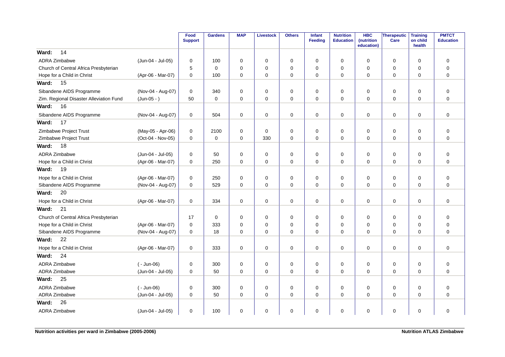|                                         |                   | Food<br><b>Support</b> | <b>Gardens</b> | <b>MAP</b>  | <b>Livestock</b> | <b>Others</b> | Infant<br><b>Feeding</b> | <b>Nutrition</b><br><b>Education</b> | <b>HBC</b><br>(nutrition<br>education) | Therapeutic<br>Care | <b>Training</b><br>on child<br>health | <b>PMTCT</b><br><b>Education</b> |
|-----------------------------------------|-------------------|------------------------|----------------|-------------|------------------|---------------|--------------------------|--------------------------------------|----------------------------------------|---------------------|---------------------------------------|----------------------------------|
| 14<br>Ward:                             |                   |                        |                |             |                  |               |                          |                                      |                                        |                     |                                       |                                  |
| ADRA Zimbabwe                           | (Jun-04 - Jul-05) | 0                      | 100            | 0           | 0                | $\mathbf 0$   | 0                        | 0                                    | $\Omega$                               | $\mathbf 0$         | $\Omega$                              | 0                                |
| Church of Central Africa Presbyterian   |                   | 5                      | $\Omega$       | 0           | $\mathbf 0$      | $\mathbf 0$   | $\Omega$                 | $\Omega$                             | $\Omega$                               | $\mathbf 0$         | $\mathbf 0$                           | $\overline{0}$                   |
| Hope for a Child in Christ              | (Apr-06 - Mar-07) | 0                      | 100            | 0           | $\mathbf 0$      | $\mathbf 0$   | $\mathbf 0$              | $\mathbf 0$                          | 0                                      | 0                   | 0                                     | $\mathbf 0$                      |
| 15<br>Ward:                             |                   |                        |                |             |                  |               |                          |                                      |                                        |                     |                                       |                                  |
| Sibandene AIDS Programme                | (Nov-04 - Aug-07) | 0                      | 340            | $\mathbf 0$ | 0                | 0             | $\mathbf 0$              | $\mathbf 0$                          | 0                                      | $\mathbf 0$         | $\Omega$                              | $\mathbf 0$                      |
| Zim. Regional Disaster Alleviation Fund | $(Jun-05 - )$     | 50                     | $\mathbf 0$    | $\mathbf 0$ | 0                | 0             | $\mathbf 0$              | $\mathbf 0$                          | 0                                      | 0                   | $\mathbf 0$                           | $\mathbf 0$                      |
| 16<br>Ward:                             |                   |                        |                |             |                  |               |                          |                                      |                                        |                     |                                       |                                  |
| Sibandene AIDS Programme                | (Nov-04 - Aug-07) | 0                      | 504            | 0           | 0                | 0             | 0                        | 0                                    | 0                                      | $\mathbf 0$         | 0                                     | $\mathbf 0$                      |
| Ward:<br>17                             |                   |                        |                |             |                  |               |                          |                                      |                                        |                     |                                       |                                  |
| Zimbabwe Project Trust                  | (May-05 - Apr-06) | 0                      | 2100           | $\mathbf 0$ | $\mathbf 0$      | 0             | $\mathbf 0$              | $\mathbf 0$                          | $\mathbf 0$                            | $\mathbf 0$         | $\mathbf 0$                           | $\mathbf 0$                      |
| Zimbabwe Project Trust                  | (Oct-04 - Nov-05) | $\mathbf 0$            | $\mathbf 0$    | $\mathbf 0$ | 330              | 0             | $\mathbf 0$              | $\mathbf 0$                          | $\Omega$                               | $\pmb{0}$           | $\mathbf 0$                           | $\overline{0}$                   |
| 18<br>Ward:                             |                   |                        |                |             |                  |               |                          |                                      |                                        |                     |                                       |                                  |
| ADRA Zimbabwe                           | (Jun-04 - Jul-05) | 0                      | 50             | 0           | 0                | 0             | 0                        | 0                                    | 0                                      | 0                   | 0                                     | $\mathbf 0$                      |
| Hope for a Child in Christ              | (Apr-06 - Mar-07) | $\mathbf 0$            | 250            | 0           | $\mathbf 0$      | 0             | $\mathbf 0$              | $\mathbf 0$                          | $\Omega$                               | $\mathbf 0$         | $\mathbf 0$                           | $\overline{0}$                   |
| Ward:<br>19                             |                   |                        |                |             |                  |               |                          |                                      |                                        |                     |                                       |                                  |
| Hope for a Child in Christ              | (Apr-06 - Mar-07) | 0                      | 250            | 0           | 0                | $\mathbf 0$   | 0                        | 0                                    | $\Omega$                               | 0                   | $\mathbf 0$                           | $\mathbf 0$                      |
| Sibandene AIDS Programme                | (Nov-04 - Aug-07) | 0                      | 529            | $\Omega$    | $\mathbf 0$      | $\mathbf 0$   | $\Omega$                 | 0                                    | $\Omega$                               | $\mathbf 0$         | $\Omega$                              | $\mathbf 0$                      |
| Ward:<br>20                             |                   |                        |                |             |                  |               |                          |                                      |                                        |                     |                                       |                                  |
| Hope for a Child in Christ              | (Apr-06 - Mar-07) | 0                      | 334            | $\mathbf 0$ | 0                | 0             | 0                        | 0                                    | 0                                      | $\mathbf 0$         | $\mathbf 0$                           | $\mathbf 0$                      |
| 21<br>Ward:                             |                   |                        |                |             |                  |               |                          |                                      |                                        |                     |                                       |                                  |
| Church of Central Africa Presbyterian   |                   | 17                     | $\mathbf 0$    | 0           | 0                | 0             | $\mathbf 0$              | 0                                    | 0                                      | 0                   | 0                                     | $\mathbf 0$                      |
| Hope for a Child in Christ              | (Apr-06 - Mar-07) | $\mathbf 0$            | 333            | 0           | $\mathbf 0$      | $\mathbf 0$   | $\mathbf 0$              | $\Omega$                             | 0                                      | $\mathbf 0$         | $\Omega$                              | $\mathbf 0$                      |
| Sibandene AIDS Programme                | (Nov-04 - Aug-07) | 0                      | 18             | 0           | $\mathbf 0$      | 0             | $\mathbf 0$              | $\mathbf 0$                          | 0                                      | $\mathbf 0$         | $\mathbf 0$                           | $\mathbf 0$                      |
| 22<br>Ward:                             |                   |                        |                |             |                  |               |                          |                                      |                                        |                     |                                       |                                  |
| Hope for a Child in Christ              | (Apr-06 - Mar-07) | 0                      | 333            | $\mathbf 0$ | 0                | 0             | 0                        | 0                                    | 0                                      | $\mathbf 0$         | $\mathbf 0$                           | $\mathbf 0$                      |
| 24<br>Ward:                             |                   |                        |                |             |                  |               |                          |                                      |                                        |                     |                                       |                                  |
| ADRA Zimbabwe                           | $(-$ Jun-06)      | 0                      | 300            | 0           | 0                | 0             | $\mathbf 0$              | $\mathbf 0$                          | 0                                      | $\mathbf 0$         | 0                                     | $\mathbf 0$                      |
| <b>ADRA Zimbabwe</b>                    | (Jun-04 - Jul-05) | 0                      | 50             | $\mathbf 0$ | 0                | 0             | $\mathbf 0$              | $\Omega$                             | $\Omega$                               | $\mathbf 0$         | $\Omega$                              | $\overline{0}$                   |
| 25<br>Ward:                             |                   |                        |                |             |                  |               |                          |                                      |                                        |                     |                                       |                                  |
| ADRA Zimbabwe                           | $(-$ Jun-06)      | 0                      | 300            | 0           | $\mathbf 0$      | 0             | 0                        | 0                                    | 0                                      | 0                   | 0                                     | $\mathbf 0$                      |
| ADRA Zimbabwe                           | (Jun-04 - Jul-05) | 0                      | 50             | $\Omega$    | $\mathbf 0$      | $\mathbf 0$   | $\mathbf 0$              | $\Omega$                             | $\Omega$                               | $\mathbf 0$         | $\Omega$                              | $\Omega$                         |
| 26<br>Ward:                             |                   |                        |                |             |                  |               |                          |                                      |                                        |                     |                                       |                                  |
| ADRA Zimbabwe                           | (Jun-04 - Jul-05) | 0                      | 100            | 0           | 0                | 0             | 0                        | 0                                    | 0                                      | 0                   | 0                                     | $\mathbf 0$                      |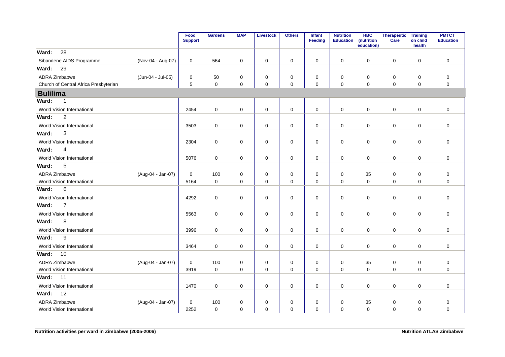|                                       |                   | Food<br><b>Support</b> | <b>Gardens</b> | <b>MAP</b>  | <b>Livestock</b> | <b>Others</b> | Infant<br><b>Feeding</b> | <b>Nutrition</b><br><b>Education</b> | <b>HBC</b><br>(nutrition<br>education) | Therapeutic<br>Care | <b>Training</b><br>on child<br>health | <b>PMTCT</b><br><b>Education</b> |
|---------------------------------------|-------------------|------------------------|----------------|-------------|------------------|---------------|--------------------------|--------------------------------------|----------------------------------------|---------------------|---------------------------------------|----------------------------------|
| 28<br>Ward:                           |                   |                        |                |             |                  |               |                          |                                      |                                        |                     |                                       |                                  |
| Sibandene AIDS Programme              | (Nov-04 - Aug-07) | 0                      | 564            | 0           | $\mathbf 0$      | $\mathbf 0$   | 0                        | $\mathbf 0$                          | $\pmb{0}$                              | $\pmb{0}$           | $\mathbf 0$                           | $\pmb{0}$                        |
| 29<br>Ward:                           |                   |                        |                |             |                  |               |                          |                                      |                                        |                     |                                       |                                  |
| <b>ADRA Zimbabwe</b>                  | (Jun-04 - Jul-05) | $\mathbf 0$            | 50             | $\pmb{0}$   | $\mathbf 0$      | $\mathbf 0$   | $\mathbf 0$              | 0                                    | 0                                      | $\mathbf 0$         | $\mathbf 0$                           | $\pmb{0}$                        |
| Church of Central Africa Presbyterian |                   | 5                      | $\mathbf 0$    | 0           | $\mathbf 0$      | 0             | $\mathbf 0$              | 0                                    | 0                                      | 0                   | $\mathbf 0$                           | $\mathbf 0$                      |
| <b>Bulilima</b>                       |                   |                        |                |             |                  |               |                          |                                      |                                        |                     |                                       |                                  |
| Ward:<br>$\mathbf 1$                  |                   |                        |                |             |                  |               |                          |                                      |                                        |                     |                                       |                                  |
| World Vision International            |                   | 2454                   | $\mathbf 0$    | 0           | $\mathbf 0$      | 0             | $\mathbf 0$              | 0                                    | $\mathbf 0$                            | 0                   | $\mathbf 0$                           | $\mathbf 0$                      |
| $\overline{2}$<br>Ward:               |                   |                        |                |             |                  |               |                          |                                      |                                        |                     |                                       |                                  |
| World Vision International            |                   | 3503                   | $\mathbf 0$    | $\mathbf 0$ | $\mathbf 0$      | $\mathbf 0$   | $\mathbf 0$              | 0                                    | $\mathbf 0$                            | $\mathbf 0$         | $\mathbf 0$                           | $\mathbf 0$                      |
| 3<br>Ward:                            |                   |                        |                |             |                  |               |                          |                                      |                                        |                     |                                       |                                  |
| World Vision International            |                   | 2304                   | $\mathbf 0$    | 0           | $\mathbf 0$      | $\mathbf 0$   | 0                        | 0                                    | 0                                      | $\mathbf 0$         | $\mathbf 0$                           | $\pmb{0}$                        |
| 4<br>Ward:                            |                   |                        |                |             |                  |               |                          |                                      |                                        |                     |                                       |                                  |
| World Vision International            |                   | 5076                   | $\mathbf 0$    | $\pmb{0}$   | $\mathbf 0$      | $\mathbf 0$   | 0                        | $\mathbf 0$                          | 0                                      | $\pmb{0}$           | $\mathbf 0$                           | $\pmb{0}$                        |
| 5<br>Ward:                            |                   |                        |                |             |                  |               |                          |                                      |                                        |                     |                                       |                                  |
| ADRA Zimbabwe                         | (Aug-04 - Jan-07) | 0                      | 100            | $\mathbf 0$ | $\mathbf 0$      | $\mathbf 0$   | $\mathbf 0$              | 0                                    | 35                                     | 0                   | $\mathbf 0$                           | $\pmb{0}$                        |
| World Vision International            |                   | 5164                   | $\mathbf 0$    | 0           | $\mathbf 0$      | $\mathbf 0$   | 0                        | $\mathbf 0$                          | $\pmb{0}$                              | 0                   | $\mathbf 0$                           | $\pmb{0}$                        |
| 6<br>Ward:                            |                   |                        |                |             |                  |               |                          |                                      |                                        |                     |                                       |                                  |
| World Vision International            |                   | 4292                   | $\mathbf 0$    | $\mathbf 0$ | $\mathbf 0$      | $\mathbf 0$   | $\mathbf 0$              | 0                                    | $\mathbf 0$                            | $\mathbf 0$         | $\mathbf 0$                           | $\mathbf 0$                      |
| $\overline{7}$<br>Ward:               |                   |                        |                |             |                  |               |                          |                                      |                                        |                     |                                       |                                  |
| World Vision International            |                   | 5563                   | $\mathbf 0$    | $\mathbf 0$ | $\mathbf 0$      | $\mathbf 0$   | $\mathbf 0$              | 0                                    | $\mathbf 0$                            | $\mathbf 0$         | $\mathbf 0$                           | $\pmb{0}$                        |
| 8<br>Ward:                            |                   |                        |                |             |                  |               |                          |                                      |                                        |                     |                                       |                                  |
| World Vision International            |                   | 3996                   | $\mathbf 0$    | 0           | 0                | $\mathbf 0$   | 0                        | 0                                    | 0                                      | 0                   | $\mathbf 0$                           | $\mathbf 0$                      |
| 9<br>Ward:                            |                   |                        |                |             |                  |               |                          |                                      |                                        |                     |                                       |                                  |
| World Vision International            |                   | 3464                   | $\mathbf 0$    | $\mathbf 0$ | $\mathbf 0$      | $\mathbf 0$   | $\mathbf 0$              | 0                                    | $\mathbf 0$                            | 0                   | $\mathbf 0$                           | $\mathbf 0$                      |
| Ward:<br>10                           |                   |                        |                |             |                  |               |                          |                                      |                                        |                     |                                       |                                  |
| <b>ADRA Zimbabwe</b>                  | (Aug-04 - Jan-07) | $\mathbf 0$            | 100            | $\mathbf 0$ | $\mathbf 0$      | $\pmb{0}$     | $\Omega$                 | 0                                    | 35                                     | 0                   | $\mathbf 0$                           | $\pmb{0}$                        |
| World Vision International            |                   | 3919                   | $\mathbf 0$    | $\mathbf 0$ | $\pmb{0}$        | 0             | $\mathbf 0$              | 0                                    | $\mathbf 0$                            | $\mathbf 0$         | $\mathbf 0$                           | $\pmb{0}$                        |
| 11<br>Ward:                           |                   |                        |                |             |                  |               |                          |                                      |                                        |                     |                                       |                                  |
| World Vision International            |                   | 1470                   | $\mathbf 0$    | $\mathbf 0$ | $\mathbf 0$      | $\mathbf 0$   | $\mathbf 0$              | 0                                    | $\mathbf 0$                            | 0                   | $\mathbf 0$                           | $\mathbf 0$                      |
| 12<br>Ward:                           |                   |                        |                |             |                  |               |                          |                                      |                                        |                     |                                       |                                  |
| ADRA Zimbabwe                         | (Aug-04 - Jan-07) | 0                      | 100            | 0           | 0                | 0             | $\Omega$                 | $\mathbf 0$                          | 35                                     | 0                   | 0                                     | $\mathbf 0$                      |
| World Vision International            |                   | 2252                   | $\mathbf 0$    | 0           | $\mathbf 0$      | 0             | $\mathbf 0$              | 0                                    | $\mathbf 0$                            | 0                   | $\mathbf 0$                           | $\pmb{0}$                        |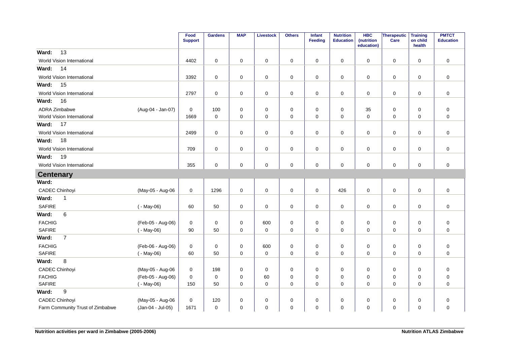|                                  |                   | Food<br><b>Support</b> | <b>Gardens</b>      | <b>MAP</b>  | <b>Livestock</b>    | <b>Others</b> | <b>Infant</b><br>Feeding | <b>Nutrition</b><br><b>Education</b> | <b>HBC</b><br>(nutrition<br>education) | Therapeutic<br>Care | <b>Training</b><br>on child<br>health | <b>PMTCT</b><br><b>Education</b> |
|----------------------------------|-------------------|------------------------|---------------------|-------------|---------------------|---------------|--------------------------|--------------------------------------|----------------------------------------|---------------------|---------------------------------------|----------------------------------|
| 13<br>Ward:                      |                   |                        |                     |             |                     |               |                          |                                      |                                        |                     |                                       |                                  |
| World Vision International       |                   | 4402                   | $\mathbf 0$         | $\mathbf 0$ | $\mathbf 0$         | 0             | 0                        | 0                                    | $\mathbf 0$                            | 0                   | $\mathbf 0$                           | $\mathbf 0$                      |
| 14<br>Ward:                      |                   |                        |                     |             |                     |               |                          |                                      |                                        |                     |                                       |                                  |
| World Vision International       |                   | 3392                   | $\mathbf 0$         | $\pmb{0}$   | $\mathbf 0$         | $\pmb{0}$     | $\mathbf 0$              | $\mathbf 0$                          | $\mathbf 0$                            | $\mathbf 0$         | $\mathbf 0$                           | $\mathbf 0$                      |
| 15<br>Ward:                      |                   |                        |                     |             |                     |               |                          |                                      |                                        |                     |                                       |                                  |
| World Vision International       |                   | 2797                   | 0                   | 0           | 0                   | 0             | 0                        | 0                                    | 0                                      | 0                   | 0                                     | $\mathbf 0$                      |
| Ward:<br>16                      |                   |                        |                     |             |                     |               |                          |                                      |                                        |                     |                                       |                                  |
| <b>ADRA Zimbabwe</b>             | (Aug-04 - Jan-07) | 0                      | 100                 | 0           | $\mathbf 0$         | 0             | 0                        | 0                                    | 35                                     | 0                   | 0                                     | $\mathbf 0$                      |
| World Vision International       |                   | 1669                   | $\mathbf 0$         | $\mathbf 0$ | $\mathbf 0$         | 0             | $\mathbf 0$              | $\mathbf 0$                          | $\mathbf 0$                            | 0                   | $\mathbf 0$                           | $\mathbf 0$                      |
| Ward:<br>17                      |                   |                        |                     |             |                     |               |                          |                                      |                                        |                     |                                       |                                  |
| World Vision International       |                   | 2499                   | $\mathbf 0$         | $\mathbf 0$ | $\mathbf 0$         | $\pmb{0}$     | $\mathbf 0$              | $\mathbf 0$                          | $\mathbf 0$                            | $\mathbf 0$         | $\mathbf 0$                           | $\mathbf 0$                      |
| 18<br>Ward:                      |                   |                        |                     |             |                     |               |                          |                                      |                                        |                     |                                       |                                  |
| World Vision International       |                   | 709                    | $\mathbf 0$         | 0           | 0                   | 0             | 0                        | 0                                    | 0                                      | 0                   | 0                                     | $\mathbf 0$                      |
| 19<br>Ward:                      |                   |                        |                     |             |                     |               |                          |                                      |                                        |                     |                                       |                                  |
| World Vision International       |                   | 355                    | $\mathbf 0$         | $\mathbf 0$ | $\mathbf 0$         | 0             | 0                        | $\mathbf 0$                          | $\mathbf 0$                            | 0                   | 0                                     | $\mathbf 0$                      |
| <b>Centenary</b>                 |                   |                        |                     |             |                     |               |                          |                                      |                                        |                     |                                       |                                  |
| Ward:                            |                   |                        |                     |             |                     |               |                          |                                      |                                        |                     |                                       |                                  |
| <b>CADEC Chinhoyi</b>            | (May-05 - Aug-06  | 0                      | 1296                | $\mathbf 0$ | $\mathbf 0$         | 0             | 0                        | 426                                  | $\mathbf 0$                            | $\mathbf 0$         | 0                                     | $\mathbf 0$                      |
| Ward:<br>1                       |                   |                        |                     |             |                     |               |                          |                                      |                                        |                     |                                       |                                  |
| <b>SAFIRE</b>                    | $(-$ May-06)      | 60                     | 50                  | $\pmb{0}$   | $\mathsf{O}\xspace$ | $\pmb{0}$     | 0                        | $\mathbf 0$                          | 0                                      | $\mathsf 0$         | $\mathbf 0$                           | $\pmb{0}$                        |
| $6\phantom{1}6$<br>Ward:         |                   |                        |                     |             |                     |               |                          |                                      |                                        |                     |                                       |                                  |
| <b>FACHIG</b>                    | (Feb-05 - Aug-06) | $\mathbf 0$            | $\mathsf 0$         | $\mathbf 0$ | 600                 | 0             | $\mathbf 0$              | $\mathbf 0$                          | $\mathbf 0$                            | 0                   | $\mathbf 0$                           | $\mathbf 0$                      |
| <b>SAFIRE</b>                    | $(-$ May-06)      | 90                     | 50                  | $\mathbf 0$ | $\mathbf 0$         | $\pmb{0}$     | 0                        | $\mathbf 0$                          | $\mathbf 0$                            | $\mathbf 0$         | $\mathbf 0$                           | $\mathbf 0$                      |
| $\overline{7}$<br>Ward:          |                   |                        |                     |             |                     |               |                          |                                      |                                        |                     |                                       |                                  |
| <b>FACHIG</b>                    | (Feb-06 - Aug-06) | 0                      | 0                   | 0           | 600                 | 0             | 0                        | 0                                    | 0                                      | 0                   | 0                                     | $\mathbf 0$                      |
| <b>SAFIRE</b>                    | $(-$ May-06)      | 60                     | 50                  | $\mathbf 0$ | $\mathbf 0$         | $\mathbf 0$   | $\mathbf 0$              | $\mathbf 0$                          | $\mathbf 0$                            | $\mathbf 0$         | $\Omega$                              | $\mathbf 0$                      |
| 8<br>Ward:                       |                   |                        |                     |             |                     |               |                          |                                      |                                        |                     |                                       |                                  |
| <b>CADEC Chinhoyi</b>            | (May-05 - Aug-06  | 0                      | 198                 | $\mathbf 0$ | $\mathbf 0$         | 0             | $\mathbf 0$              | $\mathbf 0$                          | $\mathbf 0$                            | 0                   | $\mathbf 0$                           | $\mathbf 0$                      |
| <b>FACHIG</b>                    | (Feb-05 - Aug-06) | $\mathbf 0$            | $\mathsf{O}\xspace$ | 0           | 60                  | 0             | 0                        | $\mathbf 0$                          | 0                                      | 0                   | $\mathbf 0$                           | $\mathbf 0$                      |
| <b>SAFIRE</b>                    | $(-$ May-06)      | 150                    | 50                  | $\mathbf 0$ | $\mathbf 0$         | $\mathbf 0$   | $\mathbf 0$              | $\mathbf 0$                          | $\mathbf 0$                            | $\mathbf 0$         | $\mathbf 0$                           | $\mathbf 0$                      |
| $\boldsymbol{9}$<br>Ward:        |                   |                        |                     |             |                     |               |                          |                                      |                                        |                     |                                       |                                  |
| <b>CADEC Chinhoyi</b>            | (May-05 - Aug-06  | 0                      | 120                 | 0           | $\mathbf 0$         | 0             | 0                        | 0                                    | 0                                      | 0                   | 0                                     | $\mathbf 0$                      |
| Farm Community Trust of Zimbabwe | (Jan-04 - Jul-05) | 1671                   | $\mathsf{O}\xspace$ | $\mathbf 0$ | $\mathbf 0$         | $\mathbf 0$   | 0                        | $\mathbf 0$                          | $\mathbf 0$                            | $\mathbf 0$         | $\mathbf 0$                           | $\mathbf 0$                      |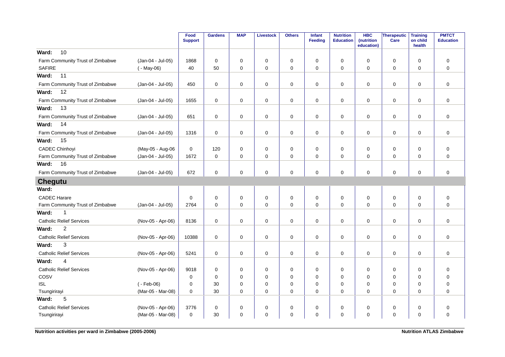|                                  |                   | Food<br><b>Support</b> | <b>Gardens</b> | <b>MAP</b>  | <b>Livestock</b> | <b>Others</b> | Infant<br><b>Feeding</b> | <b>Nutrition</b><br><b>Education</b> | <b>HBC</b><br>(nutrition<br>education) | <b>Therapeutic</b><br>Care | <b>Training</b><br>on child<br>health | <b>PMTCT</b><br><b>Education</b> |
|----------------------------------|-------------------|------------------------|----------------|-------------|------------------|---------------|--------------------------|--------------------------------------|----------------------------------------|----------------------------|---------------------------------------|----------------------------------|
| 10<br>Ward:                      |                   |                        |                |             |                  |               |                          |                                      |                                        |                            |                                       |                                  |
| Farm Community Trust of Zimbabwe | (Jan-04 - Jul-05) | 1868                   | $\mathbf 0$    | $\mathbf 0$ | 0                | $\mathbf 0$   | $\mathbf 0$              | $\mathbf 0$                          | $\mathbf 0$                            | $\mathbf 0$                | $\mathbf 0$                           | $\mathbf 0$                      |
| <b>SAFIRE</b>                    | $(-$ May-06)      | 40                     | 50             | 0           | $\mathbf 0$      | $\mathbf 0$   | $\mathbf 0$              | $\Omega$                             | $\Omega$                               | $\mathbf 0$                | $\Omega$                              | $\mathbf 0$                      |
| 11<br>Ward:                      |                   |                        |                |             |                  |               |                          |                                      |                                        |                            |                                       |                                  |
| Farm Community Trust of Zimbabwe | (Jan-04 - Jul-05) | 450                    | $\mathbf 0$    | 0           | $\mathbf 0$      | $\pmb{0}$     | $\mathbf 0$              | 0                                    | $\mathbf 0$                            | $\mathbf 0$                | 0                                     | $\mathbf 0$                      |
| 12<br>Ward:                      |                   |                        |                |             |                  |               |                          |                                      |                                        |                            |                                       |                                  |
| Farm Community Trust of Zimbabwe | (Jan-04 - Jul-05) | 1655                   | $\mathbf 0$    | 0           | $\mathsf 0$      | $\pmb{0}$     | 0                        | $\mathbf 0$                          | $\mathbf 0$                            | $\mathbf 0$                | 0                                     | $\pmb{0}$                        |
| 13<br>Ward:                      |                   |                        |                |             |                  |               |                          |                                      |                                        |                            |                                       |                                  |
| Farm Community Trust of Zimbabwe | (Jan-04 - Jul-05) | 651                    | $\mathbf 0$    | $\mathbf 0$ | $\mathbf 0$      | $\mathbf 0$   | $\mathbf 0$              | $\mathbf 0$                          | $\mathbf 0$                            | $\mathbf 0$                | 0                                     | $\mathbf 0$                      |
| Ward:<br>14                      |                   |                        |                |             |                  |               |                          |                                      |                                        |                            |                                       |                                  |
| Farm Community Trust of Zimbabwe | (Jan-04 - Jul-05) | 1316                   | $\mathbf 0$    | 0           | 0                | 0             | $\mathbf 0$              | 0                                    | $\mathbf 0$                            | 0                          | 0                                     | $\mathbf 0$                      |
| 15<br>Ward:                      |                   |                        |                |             |                  |               |                          |                                      |                                        |                            |                                       |                                  |
| <b>CADEC Chinhoyi</b>            | (May-05 - Aug-06  | 0                      | 120            | 0           | $\mathbf 0$      | $\mathbf 0$   | $\mathbf 0$              | $\mathbf 0$                          | $\mathbf 0$                            | 0                          | $\mathbf 0$                           | $\mathbf 0$                      |
| Farm Community Trust of Zimbabwe | (Jan-04 - Jul-05) | 1672                   | $\mathbf 0$    | 0           | $\mathbf 0$      | $\mathbf 0$   | $\mathbf 0$              | $\mathbf 0$                          | $\Omega$                               | $\mathbf 0$                | $\mathbf 0$                           | $\mathbf 0$                      |
| 16<br>Ward:                      |                   |                        |                |             |                  |               |                          |                                      |                                        |                            |                                       |                                  |
| Farm Community Trust of Zimbabwe | (Jan-04 - Jul-05) | 672                    | $\mathbf 0$    | 0           | $\mathbf 0$      | $\mathbf 0$   | $\mathbf 0$              | $\mathbf 0$                          | $\mathbf 0$                            | $\mathbf 0$                | 0                                     | $\mathbf 0$                      |
| <b>Chegutu</b>                   |                   |                        |                |             |                  |               |                          |                                      |                                        |                            |                                       |                                  |
| Ward:                            |                   |                        |                |             |                  |               |                          |                                      |                                        |                            |                                       |                                  |
| <b>CADEC Harare</b>              |                   | 0                      | $\mathbf 0$    | 0           | $\mathbf 0$      | $\pmb{0}$     | $\mathbf 0$              | 0                                    | $\mathbf 0$                            | $\mathbf 0$                | 0                                     | $\mathbf 0$                      |
| Farm Community Trust of Zimbabwe | (Jan-04 - Jul-05) | 2764                   | $\Omega$       | $\Omega$    | $\mathbf 0$      | $\mathbf 0$   | $\mathbf 0$              | $\Omega$                             | $\Omega$                               | $\mathbf 0$                | $\Omega$                              | $\mathbf 0$                      |
| Ward:<br>$\mathbf{1}$            |                   |                        |                |             |                  |               |                          |                                      |                                        |                            |                                       |                                  |
| <b>Catholic Relief Services</b>  | (Nov-05 - Apr-06) | 8136                   | $\mathbf 0$    | $\mathbf 0$ | 0                | $\mathbf 0$   | $\mathbf 0$              | $\mathbf 0$                          | $\mathbf 0$                            | $\mathbf 0$                | $\mathbf 0$                           | $\mathbf 0$                      |
| $\overline{c}$<br>Ward:          |                   |                        |                |             |                  |               |                          |                                      |                                        |                            |                                       |                                  |
| <b>Catholic Relief Services</b>  | (Nov-05 - Apr-06) | 10388                  | $\mathbf 0$    | $\mathbf 0$ | $\mathbf 0$      | $\mathbf 0$   | $\mathbf 0$              | $\mathbf 0$                          | $\mathbf 0$                            | $\mathbf 0$                | $\mathbf 0$                           | $\mathbf 0$                      |
| 3<br>Ward:                       |                   |                        |                |             |                  |               |                          |                                      |                                        |                            |                                       |                                  |
| <b>Catholic Relief Services</b>  | (Nov-05 - Apr-06) | 5241                   | $\mathbf 0$    | 0           | 0                | 0             | 0                        | 0                                    | 0                                      | 0                          | 0                                     | $\mathbf 0$                      |
| Ward:<br>4                       |                   |                        |                |             |                  |               |                          |                                      |                                        |                            |                                       |                                  |
| <b>Catholic Relief Services</b>  | (Nov-05 - Apr-06) | 9018                   | $\mathbf 0$    | 0           | 0                | $\pmb{0}$     | 0                        | 0                                    | 0                                      | $\mathbf 0$                | 0                                     | 0                                |
| COSV                             |                   | 0                      | $\mathbf 0$    | 0           | 0                | 0             | $\mathbf 0$              | $\mathbf 0$                          | 0                                      | 0                          | $\mathbf 0$                           | $\mathbf 0$                      |
| <b>ISL</b>                       | $(-Feb-06)$       | $\mathbf 0$            | 30             | 0           | 0                | $\mathsf 0$   | $\mathbf 0$              | $\mathbf 0$                          | 0                                      | 0                          | 0                                     | $\mathbf 0$                      |
| Tsungirirayi                     | (Mar-05 - Mar-08) | $\mathbf 0$            | 30             | 0           | 0                | $\mathbf 0$   | $\mathbf 0$              | 0                                    | 0                                      | $\mathbf 0$                | 0                                     | $\mathbf 0$                      |
| 5<br>Ward:                       |                   |                        |                |             |                  |               |                          |                                      |                                        |                            |                                       |                                  |
| <b>Catholic Relief Services</b>  | (Nov-05 - Apr-06) | 3776                   | $\mathbf 0$    | $\mathbf 0$ | 0                | 0             | $\mathbf 0$              | $\mathbf 0$                          | $\mathbf 0$                            | $\mathbf 0$                | $\mathbf 0$                           | $\mathbf 0$                      |
| Tsungirirayi                     | (Mar-05 - Mar-08) | 0                      | 30             | $\mathbf 0$ | $\mathbf 0$      | $\mathbf 0$   | $\mathbf 0$              | $\mathbf 0$                          | $\Omega$                               | $\mathbf 0$                | 0                                     | $\mathbf 0$                      |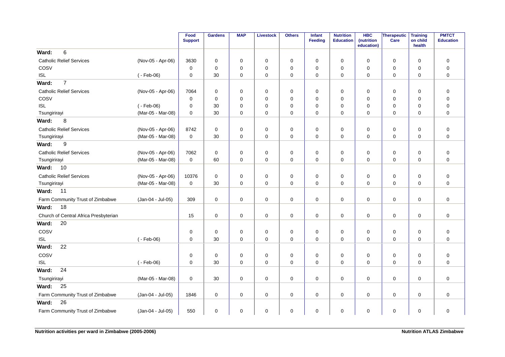|                                       |                   | Food<br><b>Support</b> | <b>Gardens</b> | <b>MAP</b>  | <b>Livestock</b> | <b>Others</b> | Infant<br><b>Feeding</b> | <b>Nutrition</b><br><b>Education</b> | <b>HBC</b><br>(nutrition<br>education) | Therapeutic<br>Care | <b>Training</b><br>on child<br>health | <b>PMTCT</b><br><b>Education</b> |
|---------------------------------------|-------------------|------------------------|----------------|-------------|------------------|---------------|--------------------------|--------------------------------------|----------------------------------------|---------------------|---------------------------------------|----------------------------------|
| 6<br>Ward:                            |                   |                        |                |             |                  |               |                          |                                      |                                        |                     |                                       |                                  |
| <b>Catholic Relief Services</b>       | (Nov-05 - Apr-06) | 3630                   | 0              | 0           | 0                | 0             | 0                        | 0                                    | 0                                      | 0                   | $\mathbf 0$                           | $\pmb{0}$                        |
| COSV                                  |                   | 0                      | $\mathbf 0$    | 0           | $\mathbf 0$      | 0             | $\mathbf 0$              | 0                                    | $\mathbf 0$                            | 0                   | $\mathbf 0$                           | $\pmb{0}$                        |
| <b>ISL</b>                            | $(-Feb-06)$       | 0                      | 30             | 0           | 0                | 0             | 0                        | 0                                    | 0                                      | 0                   | $\mathbf 0$                           | $\mathbf 0$                      |
| $\overline{7}$<br>Ward:               |                   |                        |                |             |                  |               |                          |                                      |                                        |                     |                                       |                                  |
| <b>Catholic Relief Services</b>       | (Nov-05 - Apr-06) | 7064                   | $\mathbf 0$    | 0           | 0                | 0             | $\mathbf 0$              | 0                                    | $\mathbf 0$                            | 0                   | $\mathbf 0$                           | $\pmb{0}$                        |
| COSV                                  |                   | 0                      | $\mathbf 0$    | 0           | $\mathbf 0$      | 0             | $\mathbf 0$              | $\mathbf 0$                          | $\mathbf 0$                            | 0                   | $\mathbf 0$                           | $\mathbf 0$                      |
| <b>ISL</b>                            | $(-Feb-06)$       | 0                      | 30             | 0           | 0                | 0             | 0                        | 0                                    | 0                                      | 0                   | $\mathbf 0$                           | $\pmb{0}$                        |
| Tsungirirayi                          | (Mar-05 - Mar-08) | 0                      | 30             | $\mathbf 0$ | $\mathbf 0$      | 0             | $\mathbf 0$              | 0                                    | $\mathbf 0$                            | 0                   | $\mathbf 0$                           | $\mathbf 0$                      |
| Ward:<br>8                            |                   |                        |                |             |                  |               |                          |                                      |                                        |                     |                                       |                                  |
| <b>Catholic Relief Services</b>       | (Nov-05 - Apr-06) | 8742                   | 0              | 0           | $\mathbf 0$      | 0             | 0                        | 0                                    | 0                                      | 0                   | 0                                     | $\boldsymbol{0}$                 |
| Tsungirirayi                          | (Mar-05 - Mar-08) | 0                      | 30             | 0           | $\mathbf 0$      | 0             | 0                        | 0                                    | $\mathbf 0$                            | 0                   | $\mathbf 0$                           | $\pmb{0}$                        |
| Ward:<br>9                            |                   |                        |                |             |                  |               |                          |                                      |                                        |                     |                                       |                                  |
| <b>Catholic Relief Services</b>       | (Nov-05 - Apr-06) | 7062                   | $\mathbf 0$    | 0           | $\mathbf 0$      | 0             | 0                        | 0                                    | 0                                      | $\mathbf 0$         | $\mathbf 0$                           | $\pmb{0}$                        |
| Tsungirirayi                          | (Mar-05 - Mar-08) | 0                      | 60             | 0           | $\mathbf 0$      | 0             | 0                        | 0                                    | 0                                      | 0                   | 0                                     | $\mathbf 0$                      |
| Ward:<br>10                           |                   |                        |                |             |                  |               |                          |                                      |                                        |                     |                                       |                                  |
| <b>Catholic Relief Services</b>       | (Nov-05 - Apr-06) | 10376                  | $\mathbf 0$    | 0           | 0                | 0             | $\mathbf 0$              | 0                                    | 0                                      | 0                   | $\mathbf 0$                           | $\mathbf 0$                      |
| Tsungirirayi                          | (Mar-05 - Mar-08) | 0                      | 30             | 0           | $\mathbf 0$      | 0             | $\mathbf 0$              | 0                                    | 0                                      | 0                   | 0                                     | $\pmb{0}$                        |
| 11<br>Ward:                           |                   |                        |                |             |                  |               |                          |                                      |                                        |                     |                                       |                                  |
| Farm Community Trust of Zimbabwe      | (Jan-04 - Jul-05) | 309                    | $\mathbf 0$    | 0           | $\mathbf 0$      | 0             | 0                        | 0                                    | $\mathbf 0$                            | 0                   | $\mathbf 0$                           | $\mathbf 0$                      |
| 18<br>Ward:                           |                   |                        |                |             |                  |               |                          |                                      |                                        |                     |                                       |                                  |
| Church of Central Africa Presbyterian |                   | 15                     | $\mathbf 0$    | 0           | $\pmb{0}$        | 0             | $\mathbf 0$              | 0                                    | 0                                      | 0                   | $\mathbf 0$                           | 0                                |
| 20<br>Ward:                           |                   |                        |                |             |                  |               |                          |                                      |                                        |                     |                                       |                                  |
| COSV                                  |                   | 0                      | $\mathbf 0$    | 0           | 0                | $\mathbf 0$   | 0                        | 0                                    | 0                                      | 0                   | $\mathbf 0$                           | $\pmb{0}$                        |
| <b>ISL</b>                            | $(-Feb-06)$       | 0                      | 30             | 0           | $\mathbf 0$      | 0             | 0                        | 0                                    | $\mathbf 0$                            | $\mathbf 0$         | $\mathbf 0$                           | $\mathbf 0$                      |
| 22<br>Ward:                           |                   |                        |                |             |                  |               |                          |                                      |                                        |                     |                                       |                                  |
| COSV                                  |                   | 0                      | 0              | 0           | 0                | $\pmb{0}$     | 0                        | 0                                    | 0                                      | $\mathbf 0$         | 0                                     | $\pmb{0}$                        |
| <b>ISL</b>                            | $(-Feb-06)$       | 0                      | 30             | 0           | $\mathbf 0$      | 0             | $\mathbf 0$              | 0                                    | $\mathbf 0$                            | $\mathbf 0$         | $\mathbf 0$                           | $\mathbf 0$                      |
| 24<br>Ward:                           |                   |                        |                |             |                  |               |                          |                                      |                                        |                     |                                       |                                  |
| Tsungirirayi                          | (Mar-05 - Mar-08) | 0                      | 30             | 0           | $\pmb{0}$        | 0             | $\mathbf 0$              | 0                                    | $\mathbf 0$                            | $\mathbf 0$         | $\mathbf 0$                           | $\pmb{0}$                        |
| Ward:<br>25                           |                   |                        |                |             |                  |               |                          |                                      |                                        |                     |                                       |                                  |
| Farm Community Trust of Zimbabwe      | (Jan-04 - Jul-05) | 1846                   | $\mathbf 0$    | 0           | $\mathbf 0$      | 0             | $\mathbf 0$              | 0                                    | $\mathbf 0$                            | $\mathbf 0$         | $\mathbf 0$                           | $\mathbf 0$                      |
| 26<br>Ward:                           |                   |                        |                |             |                  |               |                          |                                      |                                        |                     |                                       |                                  |
| Farm Community Trust of Zimbabwe      | (Jan-04 - Jul-05) | 550                    | $\mathbf 0$    | 0           | $\pmb{0}$        | 0             | 0                        | 0                                    | 0                                      | $\mathbf 0$         | $\mathbf 0$                           | $\pmb{0}$                        |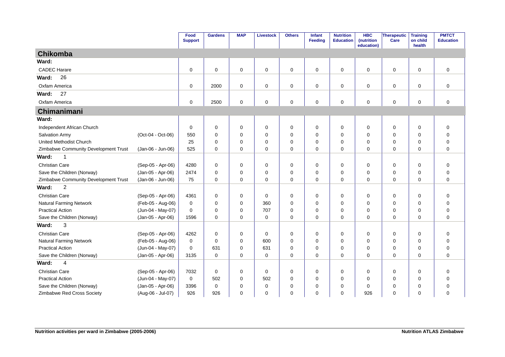|                                      |                   | Food<br><b>Support</b> | <b>Gardens</b> | <b>MAP</b>  | <b>Livestock</b> | <b>Others</b> | Infant<br>Feeding | <b>Nutrition</b><br><b>Education</b> | <b>HBC</b><br>(nutrition<br>education) | Therapeutic<br>Care | <b>Training</b><br>on child<br>health | <b>PMTCT</b><br><b>Education</b> |
|--------------------------------------|-------------------|------------------------|----------------|-------------|------------------|---------------|-------------------|--------------------------------------|----------------------------------------|---------------------|---------------------------------------|----------------------------------|
| Chikomba                             |                   |                        |                |             |                  |               |                   |                                      |                                        |                     |                                       |                                  |
| Ward:                                |                   |                        |                |             |                  |               |                   |                                      |                                        |                     |                                       |                                  |
| <b>CADEC Harare</b>                  |                   | 0                      | $\mathbf 0$    | 0           | 0                | 0             | 0                 | 0                                    | $\mathbf 0$                            | $\mathsf 0$         | 0                                     | $\mathbf 0$                      |
| 26<br>Ward:                          |                   |                        |                |             |                  |               |                   |                                      |                                        |                     |                                       |                                  |
| Oxfam America                        |                   | 0                      | 2000           | $\mathbf 0$ | 0                | $\mathbf 0$   | 0                 | 0                                    | $\mathbf 0$                            | $\mathbf 0$         | $\mathbf 0$                           | $\mathbf 0$                      |
| 27<br>Ward:                          |                   |                        |                |             |                  |               |                   |                                      |                                        |                     |                                       |                                  |
| Oxfam America                        |                   | $\mathbf 0$            | 2500           | 0           | 0                | 0             | 0                 | 0                                    | $\mathbf 0$                            | $\mathbf 0$         | 0                                     | $\mathbf 0$                      |
| Chimanimani                          |                   |                        |                |             |                  |               |                   |                                      |                                        |                     |                                       |                                  |
| Ward:                                |                   |                        |                |             |                  |               |                   |                                      |                                        |                     |                                       |                                  |
| Independent African Church           |                   | $\mathbf 0$            | $\mathbf 0$    | $\mathbf 0$ | $\mathbf 0$      | $\mathbf 0$   | 0                 | 0                                    | $\mathbf 0$                            | 0                   | 0                                     | $\mathbf 0$                      |
| Salvation Army                       | (Oct-04 - Oct-06) | 550                    | $\mathbf 0$    | $\Omega$    | $\mathbf 0$      | $\mathbf 0$   | $\Omega$          | $\Omega$                             | $\Omega$                               | $\mathbf 0$         | $\Omega$                              | $\mathbf 0$                      |
| United Methodist Church              |                   | 25                     | $\mathbf 0$    | $\Omega$    | 0                | $\mathbf 0$   | 0                 | 0                                    | $\mathbf 0$                            | $\mathbf 0$         | $\mathbf 0$                           | $\mathbf 0$                      |
| Zimbabwe Community Development Trust | (Jan-06 - Jun-06) | 525                    | $\Omega$       | $\Omega$    | $\mathbf 0$      | $\Omega$      | $\Omega$          | $\Omega$                             | $\Omega$                               | $\mathbf 0$         | $\Omega$                              | $\Omega$                         |
| Ward:<br>-1                          |                   |                        |                |             |                  |               |                   |                                      |                                        |                     |                                       |                                  |
| <b>Christian Care</b>                | (Sep-05 - Apr-06) | 4280                   | 0              | 0           | 0                | 0             | 0                 | 0                                    | $\Omega$                               | 0                   | 0                                     | 0                                |
| Save the Children (Norway)           | (Jan-05 - Apr-06) | 2474                   | $\mathbf 0$    | $\mathbf 0$ | 0                | 0             | 0                 | $\mathbf 0$                          | $\Omega$                               | 0                   | $\mathbf 0$                           | $\mathbf 0$                      |
| Zimbabwe Community Development Trust | (Jan-06 - Jun-06) | 75                     | $\mathbf 0$    | 0           | $\mathbf 0$      | $\mathbf 0$   | 0                 | $\mathbf 0$                          | 0                                      | 0                   | 0                                     | $\mathbf 0$                      |
| $\overline{c}$<br>Ward:              |                   |                        |                |             |                  |               |                   |                                      |                                        |                     |                                       |                                  |
| Christian Care                       | (Sep-05 - Apr-06) | 4361                   | $\mathbf 0$    | $\Omega$    | 0                | 0             | 0                 | 0                                    | $\mathbf 0$                            | 0                   | 0                                     | $\mathbf 0$                      |
| <b>Natural Farming Network</b>       | (Feb-05 - Aug-06) | $\mathbf 0$            | $\mathbf 0$    | $\Omega$    | 360              | 0             | 0                 | 0                                    | $\Omega$                               | 0                   | 0                                     | $\mathbf 0$                      |
| <b>Practical Action</b>              | (Jun-04 - May-07) | 0                      | 0              | $\Omega$    | 707              | 0             | 0                 | 0                                    | $\Omega$                               | 0                   | 0                                     | $\mathbf 0$                      |
| Save the Children (Norway)           | (Jan-05 - Apr-06) | 1596                   | $\mathbf 0$    | 0           | $\mathbf 0$      | $\mathbf 0$   | 0                 | 0                                    | $\Omega$                               | 0                   | 0                                     | $\mathbf 0$                      |
| 3<br>Ward:                           |                   |                        |                |             |                  |               |                   |                                      |                                        |                     |                                       |                                  |
| <b>Christian Care</b>                | (Sep-05 - Apr-06) | 4262                   | $\mathbf 0$    | 0           | 0                | 0             | 0                 | 0                                    | 0                                      | 0                   | 0                                     | $\mathbf 0$                      |
| <b>Natural Farming Network</b>       | (Feb-05 - Aug-06) | $\mathbf 0$            | $\Omega$       | $\Omega$    | 600              | $\mathbf 0$   | $\Omega$          | $\Omega$                             | $\Omega$                               | 0                   | $\Omega$                              | $\mathbf 0$                      |
| <b>Practical Action</b>              | (Jun-04 - May-07) | $\mathbf 0$            | 631            | $\mathbf 0$ | 631              | 0             | $\mathbf 0$       | 0                                    | $\mathbf 0$                            | 0                   | $\mathbf 0$                           | $\mathbf 0$                      |
| Save the Children (Norway)           | (Jan-05 - Apr-06) | 3135                   | $\Omega$       | $\Omega$    | $\mathbf 0$      | $\Omega$      | $\Omega$          | $\Omega$                             | $\Omega$                               | $\mathbf 0$         | $\Omega$                              | $\Omega$                         |
| Ward:<br>4                           |                   |                        |                |             |                  |               |                   |                                      |                                        |                     |                                       |                                  |
| <b>Christian Care</b>                | (Sep-05 - Apr-06) | 7032                   | $\mathbf 0$    | 0           | $\mathbf 0$      | 0             | $\mathbf 0$       | $\mathbf 0$                          | $\mathbf 0$                            | 0                   | $\mathbf 0$                           | $\mathbf 0$                      |
| <b>Practical Action</b>              | (Jun-04 - May-07) | 0                      | 502            | $\mathbf 0$ | 502              | 0             | 0                 | 0                                    | $\mathbf 0$                            | 0                   | 0                                     | 0                                |
| Save the Children (Norway)           | (Jan-05 - Apr-06) | 3396                   | $\mathbf 0$    | $\Omega$    | 0                | $\mathbf 0$   | 0                 | $\Omega$                             | $\Omega$                               | 0                   | $\Omega$                              | $\mathbf 0$                      |
| Zimbabwe Red Cross Society           | (Aug-06 - Jul-07) | 926                    | 926            | 0           | 0                | $\mathbf 0$   | 0                 | 0                                    | 926                                    | $\mathbf 0$         | $\Omega$                              | $\mathbf 0$                      |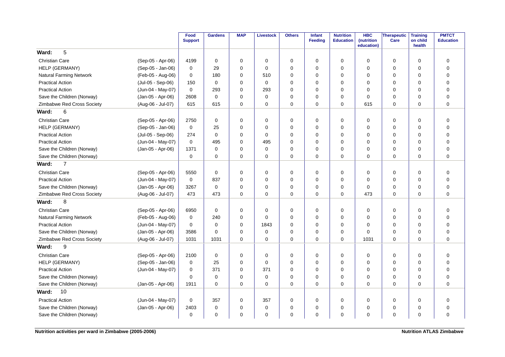|                                |                   | Food<br><b>Support</b> | <b>Gardens</b> | <b>MAP</b>  | <b>Livestock</b> | <b>Others</b> | <b>Infant</b><br>Feeding | <b>Nutrition</b><br><b>Education</b> | <b>HBC</b><br>(nutrition<br>education) | <b>Therapeutic</b><br>Care | <b>Training</b><br>on child<br>health | <b>PMTCT</b><br><b>Education</b> |
|--------------------------------|-------------------|------------------------|----------------|-------------|------------------|---------------|--------------------------|--------------------------------------|----------------------------------------|----------------------------|---------------------------------------|----------------------------------|
| 5<br>Ward:                     |                   |                        |                |             |                  |               |                          |                                      |                                        |                            |                                       |                                  |
| <b>Christian Care</b>          | (Sep-05 - Apr-06) | 4199                   | 0              | $\mathbf 0$ | $\Omega$         | 0             | $\Omega$                 | 0                                    | $\Omega$                               | $\mathbf 0$                | $\mathbf 0$                           | $\mathbf 0$                      |
| HELP (GERMANY)                 | (Sep-05 - Jan-06) | $\mathbf 0$            | 29             | $\Omega$    | $\Omega$         | $\mathbf 0$   | $\Omega$                 | $\Omega$                             | $\Omega$                               | 0                          | 0                                     | $\mathbf 0$                      |
| <b>Natural Farming Network</b> | (Feb-05 - Aug-06) | 0                      | 180            | $\mathbf 0$ | 510              | 0             | $\Omega$                 | 0                                    | $\mathbf 0$                            | $\mathbf 0$                | $\mathbf 0$                           | $\mathbf 0$                      |
| <b>Practical Action</b>        | (Jul-05 - Sep-06) | 150                    | 0              | $\mathbf 0$ | $\mathbf 0$      | 0             | $\Omega$                 | 0                                    | 0                                      | 0                          | 0                                     | $\mathbf 0$                      |
| <b>Practical Action</b>        | (Jun-04 - May-07) | 0                      | 293            | 0           | 293              | 0             | $\Omega$                 | 0                                    | 0                                      | 0                          | $\mathbf 0$                           | $\mathbf 0$                      |
| Save the Children (Norway)     | (Jan-05 - Apr-06) | 2608                   | 0              | 0           | 0                | 0             | $\Omega$                 | 0                                    | 0                                      | 0                          | $\mathbf 0$                           | $\mathbf 0$                      |
| Zimbabwe Red Cross Society     | (Aug-06 - Jul-07) | 615                    | 615            | $\mathbf 0$ | $\mathbf 0$      | 0             | 0                        | 0                                    | 615                                    | 0                          | 0                                     | $\mathbf 0$                      |
| 6<br>Ward:                     |                   |                        |                |             |                  |               |                          |                                      |                                        |                            |                                       |                                  |
| <b>Christian Care</b>          | (Sep-05 - Apr-06) | 2750                   | 0              | 0           | 0                | 0             | 0                        | 0                                    | 0                                      | 0                          | 0                                     | $\mathbf 0$                      |
| HELP (GERMANY)                 | (Sep-05 - Jan-06) | 0                      | 25             | 0           | 0                | 0             | $\Omega$                 | 0                                    | 0                                      | 0                          | 0                                     | $\mathbf 0$                      |
| <b>Practical Action</b>        | (Jul-05 - Sep-06) | 274                    | $\mathbf 0$    | 0           | 0                | $\mathbf 0$   | $\Omega$                 | 0                                    | 0                                      | 0                          | 0                                     | $\mathbf 0$                      |
| <b>Practical Action</b>        | (Jun-04 - May-07) | $\mathbf 0$            | 495            | 0           | 495              | 0             | $\Omega$                 | 0                                    | 0                                      | 0                          | $\mathbf 0$                           | $\mathbf 0$                      |
| Save the Children (Norway)     | (Jan-05 - Apr-06) | 1371                   | 0              | $\Omega$    | $\mathbf 0$      | 0             | $\Omega$                 | 0                                    | 0                                      | 0                          | $\Omega$                              | $\mathbf 0$                      |
| Save the Children (Norway)     |                   | $\mathbf 0$            | 0              | $\mathbf 0$ | $\mathbf 0$      | 0             | $\Omega$                 | 0                                    | $\Omega$                               | $\mathbf 0$                | $\mathbf 0$                           | $\mathbf 0$                      |
| $\overline{7}$<br>Ward:        |                   |                        |                |             |                  |               |                          |                                      |                                        |                            |                                       |                                  |
| <b>Christian Care</b>          | (Sep-05 - Apr-06) | 5550                   | $\mathbf 0$    | $\mathbf 0$ | $\mathbf 0$      | 0             | $\Omega$                 | 0                                    | 0                                      | 0                          | $\mathbf 0$                           | $\mathbf 0$                      |
| <b>Practical Action</b>        | (Jun-04 - May-07) | 0                      | 837            | 0           | $\Omega$         | 0             | $\Omega$                 | 0                                    | 0                                      | 0                          | 0                                     | $\mathbf 0$                      |
| Save the Children (Norway)     | (Jan-05 - Apr-06) | 3267                   | 0              | $\mathbf 0$ | $\mathbf 0$      | $\mathbf 0$   | $\Omega$                 | 0                                    | $\Omega$                               | 0                          | $\mathbf 0$                           | $\mathbf 0$                      |
| Zimbabwe Red Cross Society     | (Aug-06 - Jul-07) | 473                    | 473            | $\Omega$    | $\mathbf 0$      | 0             | $\Omega$                 | 0                                    | 473                                    | $\mathbf 0$                | $\mathbf 0$                           | $\mathbf 0$                      |
| 8<br>Ward:                     |                   |                        |                |             |                  |               |                          |                                      |                                        |                            |                                       |                                  |
| <b>Christian Care</b>          | (Sep-05 - Apr-06) | 6950                   | 0              | $\mathbf 0$ | 0                | 0             | 0                        | 0                                    | 0                                      | 0                          | $\mathbf 0$                           | $\mathbf 0$                      |
| Natural Farming Network        | (Feb-05 - Aug-06) | $\mathbf 0$            | 240            | 0           | $\Omega$         | 0             | $\Omega$                 | 0                                    | 0                                      | 0                          | $\mathbf 0$                           | $\mathbf 0$                      |
| <b>Practical Action</b>        | (Jun-04 - May-07) | 0                      | 0              | $\mathbf 0$ | 1843             | 0             | $\Omega$                 | 0                                    | $\mathbf 0$                            | 0                          | $\mathbf 0$                           | $\mathbf 0$                      |
| Save the Children (Norway)     | (Jan-05 - Apr-06) | 3586                   | $\Omega$       | $\mathbf 0$ | $\mathbf 0$      | 0             | $\Omega$                 | $\Omega$                             | $\Omega$                               | 0                          | $\mathbf 0$                           | $\mathbf 0$                      |
| Zimbabwe Red Cross Society     | (Aug-06 - Jul-07) | 1031                   | 1031           | $\mathbf 0$ | $\mathbf 0$      | $\mathbf 0$   | $\mathbf 0$              | $\mathbf 0$                          | 1031                                   | $\mathbf 0$                | $\mathbf 0$                           | $\mathbf 0$                      |
| 9<br>Ward:                     |                   |                        |                |             |                  |               |                          |                                      |                                        |                            |                                       |                                  |
| <b>Christian Care</b>          | (Sep-05 - Apr-06) | 2100                   | 0              | $\mathbf 0$ | $\mathbf 0$      | 0             | $\mathbf 0$              | 0                                    | 0                                      | 0                          | $\mathbf 0$                           | $\mathbf 0$                      |
| HELP (GERMANY)                 | (Sep-05 - Jan-06) | 0                      | 25             | 0           | 0                | 0             | $\Omega$                 | 0                                    | 0                                      | 0                          | 0                                     | $\mathbf 0$                      |
| <b>Practical Action</b>        | (Jun-04 - May-07) | 0                      | 371            | $\mathbf 0$ | 371              | $\mathbf 0$   | $\Omega$                 | $\Omega$                             | 0                                      | 0                          | $\mathbf 0$                           | $\mathbf 0$                      |
| Save the Children (Norway)     |                   | $\mathbf 0$            | 0              | 0           | $\mathbf 0$      | $\mathbf 0$   | $\Omega$                 | 0                                    | 0                                      | 0                          | 0                                     | $\mathbf 0$                      |
| Save the Children (Norway)     | (Jan-05 - Apr-06) | 1911                   | $\Omega$       | $\Omega$    | $\Omega$         | $\Omega$      | $\Omega$                 | $\Omega$                             | $\Omega$                               | $\mathbf 0$                | $\Omega$                              | $\Omega$                         |
| 10<br>Ward:                    |                   |                        |                |             |                  |               |                          |                                      |                                        |                            |                                       |                                  |
| <b>Practical Action</b>        | (Jun-04 - May-07) | 0                      | 357            | 0           | 357              | 0             | 0                        | 0                                    | 0                                      | 0                          | $\mathbf 0$                           | $\mathbf 0$                      |
| Save the Children (Norway)     | (Jan-05 - Apr-06) | 2403                   | 0              | 0           | $\mathbf 0$      | 0             | $\Omega$                 | 0                                    | 0                                      | 0                          | $\mathbf 0$                           | $\mathbf 0$                      |
| Save the Children (Norway)     |                   | 0                      | 0              | $\Omega$    | $\Omega$         | 0             | $\Omega$                 | 0                                    | $\Omega$                               | 0                          | 0                                     | $\Omega$                         |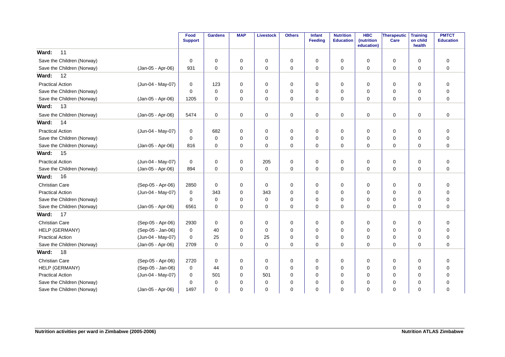|                            |                   | Food<br><b>Support</b> | <b>Gardens</b> | <b>MAP</b>  | <b>Livestock</b> | <b>Others</b> | Infant<br><b>Feeding</b> | <b>Nutrition</b><br><b>Education</b> | <b>HBC</b><br>(nutrition<br>education) | Therapeutic<br>Care | <b>Training</b><br>on child<br>health | <b>PMTCT</b><br><b>Education</b> |
|----------------------------|-------------------|------------------------|----------------|-------------|------------------|---------------|--------------------------|--------------------------------------|----------------------------------------|---------------------|---------------------------------------|----------------------------------|
| 11<br>Ward:                |                   |                        |                |             |                  |               |                          |                                      |                                        |                     |                                       |                                  |
| Save the Children (Norway) |                   | $\mathbf 0$            | 0              | $\mathbf 0$ | 0                | 0             | $\mathbf 0$              | 0                                    | $\mathbf 0$                            | 0                   | 0                                     | 0                                |
| Save the Children (Norway) | (Jan-05 - Apr-06) | 931                    | $\mathbf 0$    | $\mathbf 0$ | 0                | $\mathbf 0$   | $\mathbf 0$              | 0                                    | $\mathbf 0$                            | 0                   | $\mathbf 0$                           | 0                                |
| 12<br>Ward:                |                   |                        |                |             |                  |               |                          |                                      |                                        |                     |                                       |                                  |
| <b>Practical Action</b>    | (Jun-04 - May-07) | 0                      | 123            | $\mathbf 0$ | 0                | 0             | 0                        | 0                                    | 0                                      | 0                   | 0                                     | 0                                |
| Save the Children (Norway) |                   | $\mathbf 0$            | $\mathbf 0$    | $\mathbf 0$ | $\mathbf 0$      | 0             | $\mathbf 0$              | $\mathbf 0$                          | $\mathbf 0$                            | 0                   | $\mathbf 0$                           | 0                                |
| Save the Children (Norway) | (Jan-05 - Apr-06) | 1205                   | $\mathbf 0$    | $\mathbf 0$ | $\mathbf 0$      | $\mathbf 0$   | $\mathbf 0$              | $\mathbf 0$                          | $\Omega$                               | $\mathbf 0$         | $\mathbf 0$                           | 0                                |
| 13<br>Ward:                |                   |                        |                |             |                  |               |                          |                                      |                                        |                     |                                       |                                  |
| Save the Children (Norway) | (Jan-05 - Apr-06) | 5474                   | 0              | 0           | 0                | $\mathbf 0$   | 0                        | 0                                    | $\mathbf 0$                            | 0                   | $\mathbf 0$                           | 0                                |
| 14<br>Ward:                |                   |                        |                |             |                  |               |                          |                                      |                                        |                     |                                       |                                  |
| <b>Practical Action</b>    | (Jun-04 - May-07) | 0                      | 682            | 0           | 0                | 0             | 0                        | 0                                    | 0                                      | 0                   | 0                                     | 0                                |
| Save the Children (Norway) |                   | $\mathbf 0$            | $\mathbf 0$    | $\mathbf 0$ | $\mathbf 0$      | 0             | 0                        | $\mathbf 0$                          | 0                                      | 0                   | $\mathbf 0$                           | $\mathbf 0$                      |
| Save the Children (Norway) | (Jan-05 - Apr-06) | 816                    | $\mathbf 0$    | $\mathbf 0$ | 0                | 0             | $\mathbf 0$              | $\mathbf 0$                          | $\mathbf 0$                            | 0                   | $\mathbf 0$                           | 0                                |
| 15<br>Ward:                |                   |                        |                |             |                  |               |                          |                                      |                                        |                     |                                       |                                  |
| <b>Practical Action</b>    | (Jun-04 - May-07) | $\mathbf 0$            | 0              | 0           | 205              | 0             | $\mathbf 0$              | 0                                    | $\mathbf 0$                            | 0                   | 0                                     | 0                                |
| Save the Children (Norway) | (Jan-05 - Apr-06) | 894                    | 0              | $\mathbf 0$ | $\mathbf 0$      | 0             | 0                        | 0                                    | $\mathbf 0$                            | 0                   | 0                                     | $\mathbf 0$                      |
| Ward:<br>16                |                   |                        |                |             |                  |               |                          |                                      |                                        |                     |                                       |                                  |
| <b>Christian Care</b>      | (Sep-05 - Apr-06) | 2850                   | $\mathbf 0$    | 0           | $\mathbf 0$      | 0             | $\mathbf 0$              | 0                                    | $\mathbf 0$                            | 0                   | $\mathbf 0$                           | 0                                |
| <b>Practical Action</b>    | (Jun-04 - May-07) | 0                      | 343            | $\mathbf 0$ | 343              | 0             | 0                        | 0                                    | $\Omega$                               | 0                   | 0                                     | 0                                |
| Save the Children (Norway) |                   | 0                      | 0              | $\mathbf 0$ | 0                | 0             | 0                        | 0                                    | 0                                      | 0                   | 0                                     | 0                                |
| Save the Children (Norway) | (Jan-05 - Apr-06) | 6561                   | 0              | $\mathbf 0$ | 0                | $\mathbf 0$   | 0                        | $\mathbf 0$                          | $\mathbf 0$                            | 0                   | $\Omega$                              | $\mathbf 0$                      |
| 17<br>Ward:                |                   |                        |                |             |                  |               |                          |                                      |                                        |                     |                                       |                                  |
| <b>Christian Care</b>      | (Sep-05 - Apr-06) | 2930                   | 0              | 0           | 0                | 0             | 0                        | 0                                    | 0                                      | 0                   | 0                                     | 0                                |
| HELP (GERMANY)             | (Sep-05 - Jan-06) | 0                      | 40             | $\mathbf 0$ | 0                | 0             | 0                        | 0                                    | $\mathbf 0$                            | 0                   | 0                                     | 0                                |
| <b>Practical Action</b>    | (Jun-04 - May-07) | 0                      | 25             | $\mathbf 0$ | 25               | 0             | $\Omega$                 | 0                                    | $\mathbf 0$                            | 0                   | 0                                     | 0                                |
| Save the Children (Norway) | (Jan-05 - Apr-06) | 2709                   | $\mathbf 0$    | $\mathbf 0$ | 0                | 0             | 0                        | $\mathbf 0$                          | $\mathbf 0$                            | 0                   | $\mathbf 0$                           | $\mathbf 0$                      |
| 18<br>Ward:                |                   |                        |                |             |                  |               |                          |                                      |                                        |                     |                                       |                                  |
| <b>Christian Care</b>      | (Sep-05 - Apr-06) | 2720                   | 0              | $\mathbf 0$ | 0                | 0             | 0                        | 0                                    | $\mathbf 0$                            | 0                   | $\mathbf 0$                           | 0                                |
| HELP (GERMANY)             | (Sep-05 - Jan-06) | 0                      | 44             | 0           | 0                | 0             | 0                        | 0                                    | 0                                      | 0                   | 0                                     | $\mathbf 0$                      |
| <b>Practical Action</b>    | (Jun-04 - May-07) | 0                      | 501            | $\mathbf 0$ | 501              | 0             | 0                        | $\mathbf 0$                          | $\mathbf 0$                            | 0                   | $\mathbf 0$                           | $\mathbf 0$                      |
| Save the Children (Norway) |                   | 0                      | $\mathbf 0$    | $\mathbf 0$ | 0                | 0             | 0                        | $\mathbf 0$                          | 0                                      | 0                   | 0                                     | 0                                |
| Save the Children (Norway) | (Jan-05 - Apr-06) | 1497                   | $\mathbf 0$    | $\mathbf 0$ | $\mathbf 0$      | $\mathbf 0$   | 0                        | $\mathbf 0$                          | $\mathbf 0$                            | 0                   | $\mathbf 0$                           | $\mathbf 0$                      |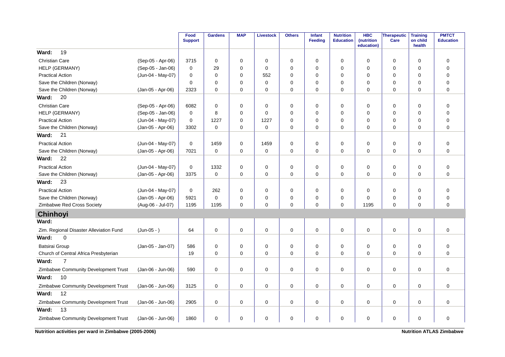|                                         |                   | Food<br><b>Support</b> | <b>Gardens</b> | <b>MAP</b>  | <b>Livestock</b> | <b>Others</b> | Infant<br><b>Feeding</b> | <b>Nutrition</b><br><b>Education</b> | <b>HBC</b><br>(nutrition<br>education) | <b>Therapeutic</b><br>Care | <b>Training</b><br>on child<br>health | <b>PMTCT</b><br><b>Education</b> |
|-----------------------------------------|-------------------|------------------------|----------------|-------------|------------------|---------------|--------------------------|--------------------------------------|----------------------------------------|----------------------------|---------------------------------------|----------------------------------|
| 19<br>Ward:                             |                   |                        |                |             |                  |               |                          |                                      |                                        |                            |                                       |                                  |
| Christian Care                          | (Sep-05 - Apr-06) | 3715                   | 0              | 0           | $\mathbf 0$      | 0             | $\Omega$                 | 0                                    | $\Omega$                               | 0                          | $\mathbf 0$                           | $\mathbf 0$                      |
| HELP (GERMANY)                          | (Sep-05 - Jan-06) | $\mathbf 0$            | 29             | $\mathbf 0$ | $\mathbf 0$      | 0             | $\Omega$                 | 0                                    | 0                                      | 0                          | $\mathbf 0$                           | 0                                |
| <b>Practical Action</b>                 | (Jun-04 - May-07) | $\pmb{0}$              | $\mathbf 0$    | $\pmb{0}$   | 552              | 0             | $\Omega$                 | 0                                    | $\mathbf 0$                            | 0                          | $\mathbf 0$                           | $\mathbf 0$                      |
| Save the Children (Norway)              |                   | 0                      | $\Omega$       | 0           | $\mathbf 0$      | 0             | $\mathbf 0$              | 0                                    | 0                                      | 0                          | 0                                     | $\mathbf 0$                      |
| Save the Children (Norway)              | (Jan-05 - Apr-06) | 2323                   | $\mathbf 0$    | $\mathbf 0$ | 0                | 0             | $\mathbf 0$              | $\mathbf 0$                          | $\mathbf 0$                            | 0                          | $\mathbf 0$                           | $\mathbf 0$                      |
| 20<br>Ward:                             |                   |                        |                |             |                  |               |                          |                                      |                                        |                            |                                       |                                  |
| <b>Christian Care</b>                   | (Sep-05 - Apr-06) | 6082                   | 0              | 0           | $\mathbf 0$      | 0             | $\mathbf 0$              | 0                                    | $\mathbf 0$                            | 0                          | $\mathbf 0$                           | $\mathbf 0$                      |
| HELP (GERMANY)                          | (Sep-05 - Jan-06) | $\mathbf 0$            | 8              | $\Omega$    | $\Omega$         | 0             | $\Omega$                 | $\Omega$                             | 0                                      | 0                          | $\mathbf 0$                           | $\overline{0}$                   |
| <b>Practical Action</b>                 | (Jun-04 - May-07) | 0                      | 1227           | $\mathbf 0$ | 1227             | 0             | $\Omega$                 | 0                                    | $\mathbf 0$                            | 0                          | $\mathbf 0$                           | $\pmb{0}$                        |
| Save the Children (Norway)              | (Jan-05 - Apr-06) | 3302                   | $\mathbf 0$    | $\Omega$    | $\mathbf 0$      | 0             | $\Omega$                 | 0                                    | $\Omega$                               | 0                          | $\Omega$                              | $\mathbf 0$                      |
| 21<br>Ward:                             |                   |                        |                |             |                  |               |                          |                                      |                                        |                            |                                       |                                  |
| <b>Practical Action</b>                 | (Jun-04 - May-07) | 0                      | 1459           | $\mathbf 0$ | 1459             | 0             | $\mathbf 0$              | 0                                    | 0                                      | 0                          | $\mathbf 0$                           | $\mathbf 0$                      |
| Save the Children (Norway)              | (Jan-05 - Apr-06) | 7021                   | 0              | $\mathbf 0$ | $\mathbf 0$      | 0             | $\mathbf 0$              | 0                                    | $\mathbf 0$                            | 0                          | $\mathbf 0$                           | $\mathbf 0$                      |
| 22<br>Ward:                             |                   |                        |                |             |                  |               |                          |                                      |                                        |                            |                                       |                                  |
| <b>Practical Action</b>                 | (Jun-04 - May-07) | 0                      | 1332           | 0           | $\mathbf 0$      | $\pmb{0}$     | $\Omega$                 | 0                                    | $\mathbf 0$                            | 0                          | $\mathbf 0$                           | $\pmb{0}$                        |
| Save the Children (Norway)              | (Jan-05 - Apr-06) | 3375                   | $\mathbf 0$    | 0           | $\mathbf 0$      | 0             | 0                        | 0                                    | 0                                      | 0                          | $\mathbf 0$                           | $\mathbf 0$                      |
| Ward:<br>23                             |                   |                        |                |             |                  |               |                          |                                      |                                        |                            |                                       |                                  |
| <b>Practical Action</b>                 | (Jun-04 - May-07) | $\mathbf 0$            | 262            | 0           | $\mathbf 0$      | $\pmb{0}$     | $\mathbf 0$              | 0                                    | 0                                      | $\mathbf 0$                | $\mathbf 0$                           | $\mathbf 0$                      |
| Save the Children (Norway)              | (Jan-05 - Apr-06) | 5921                   | $\mathbf 0$    | 0           | $\mathbf 0$      | 0             | $\Omega$                 | 0                                    | $\Omega$                               | 0                          | $\mathbf 0$                           | $\pmb{0}$                        |
| Zimbabwe Red Cross Society              | (Aug-06 - Jul-07) | 1195                   | 1195           | 0           | $\mathbf 0$      | 0             | $\Omega$                 | $\mathbf 0$                          | 1195                                   | 0                          | $\mathbf 0$                           | $\mathbf 0$                      |
| <b>Chinhoyi</b>                         |                   |                        |                |             |                  |               |                          |                                      |                                        |                            |                                       |                                  |
| Ward:                                   |                   |                        |                |             |                  |               |                          |                                      |                                        |                            |                                       |                                  |
| Zim. Regional Disaster Alleviation Fund | $(Jun-05 - )$     | 64                     | 0              | 0           | 0                | 0             | $\mathbf 0$              | 0                                    | 0                                      | 0                          | 0                                     | $\mathbf 0$                      |
| Ward:<br>0                              |                   |                        |                |             |                  |               |                          |                                      |                                        |                            |                                       |                                  |
| Batsirai Group                          | (Jan-05 - Jan-07) | 586                    | $\pmb{0}$      | 0           | $\mathbf 0$      | $\mathbf 0$   | $\mathbf 0$              | 0                                    | $\mathbf 0$                            | 0                          | $\mathbf 0$                           | $\pmb{0}$                        |
| Church of Central Africa Presbyterian   |                   | 19                     | $\mathbf 0$    | 0           | $\mathbf 0$      | 0             | $\mathbf 0$              | $\mathbf 0$                          | 0                                      | $\mathbf 0$                | 0                                     | $\mathbf 0$                      |
| $\overline{7}$<br>Ward:                 |                   |                        |                |             |                  |               |                          |                                      |                                        |                            |                                       |                                  |
| Zimbabwe Community Development Trust    | (Jan-06 - Jun-06) | 590                    | $\mathbf 0$    | $\mathbf 0$ | 0                | 0             | $\mathbf 0$              | 0                                    | $\mathbf 0$                            | $\mathbf 0$                | $\mathbf 0$                           | $\mathbf 0$                      |
| Ward:<br>10                             |                   |                        |                |             |                  |               |                          |                                      |                                        |                            |                                       |                                  |
| Zimbabwe Community Development Trust    | (Jan-06 - Jun-06) | 3125                   | $\mathbf 0$    | 0           | $\mathbf 0$      | 0             | 0                        | $\mathbf 0$                          | 0                                      | 0                          | $\mathbf 0$                           | 0                                |
| 12<br>Ward:                             |                   |                        |                |             |                  |               |                          |                                      |                                        |                            |                                       |                                  |
| Zimbabwe Community Development Trust    | (Jan-06 - Jun-06) | 2905                   | $\mathbf 0$    | $\mathbf 0$ | $\mathbf 0$      | 0             | $\mathbf 0$              | 0                                    | $\mathbf 0$                            | $\mathbf 0$                | $\mathbf 0$                           | $\mathbf 0$                      |
| 13<br>Ward:                             |                   |                        |                |             |                  |               |                          |                                      |                                        |                            |                                       |                                  |
| Zimbabwe Community Development Trust    | (Jan-06 - Jun-06) | 1860                   | 0              | $\Omega$    | 0                | 0             | 0                        | 0                                    | 0                                      | 0                          | $\mathbf 0$                           | $\mathbf 0$                      |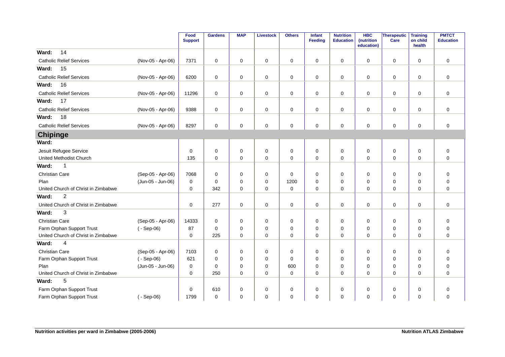|                                     |                   | Food<br><b>Support</b> | <b>Gardens</b> | <b>MAP</b>  | Livestock   | <b>Others</b> | <b>Infant</b><br><b>Feeding</b> | <b>Nutrition</b><br><b>Education</b> | <b>HBC</b><br>(nutrition<br>education) | Therapeutic<br>Care | <b>Training</b><br>on child<br>health | <b>PMTCT</b><br><b>Education</b> |
|-------------------------------------|-------------------|------------------------|----------------|-------------|-------------|---------------|---------------------------------|--------------------------------------|----------------------------------------|---------------------|---------------------------------------|----------------------------------|
| 14<br>Ward:                         |                   |                        |                |             |             |               |                                 |                                      |                                        |                     |                                       |                                  |
| <b>Catholic Relief Services</b>     | (Nov-05 - Apr-06) | 7371                   | $\mathbf 0$    | $\mathbf 0$ | $\mathbf 0$ | $\mathbf 0$   | $\mathbf 0$                     | $\mathbf 0$                          | $\Omega$                               | $\mathbf 0$         | $\mathbf 0$                           | $\mathbf 0$                      |
| Ward:<br>15                         |                   |                        |                |             |             |               |                                 |                                      |                                        |                     |                                       |                                  |
| <b>Catholic Relief Services</b>     | (Nov-05 - Apr-06) | 6200                   | $\mathbf 0$    | $\mathbf 0$ | $\mathbf 0$ | $\pmb{0}$     | $\mathbf 0$                     | 0                                    | 0                                      | $\mathbf 0$         | 0                                     | $\mathbf 0$                      |
| 16<br>Ward:                         |                   |                        |                |             |             |               |                                 |                                      |                                        |                     |                                       |                                  |
| <b>Catholic Relief Services</b>     | (Nov-05 - Apr-06) | 11296                  | $\mathbf 0$    | $\mathbf 0$ | $\mathbf 0$ | $\pmb{0}$     | 0                               | $\mathbf 0$                          | 0                                      | $\mathbf 0$         | 0                                     | $\mathbf 0$                      |
| 17<br>Ward:                         |                   |                        |                |             |             |               |                                 |                                      |                                        |                     |                                       |                                  |
| <b>Catholic Relief Services</b>     | (Nov-05 - Apr-06) | 9388                   | 0              | 0           | 0           | 0             | 0                               | 0                                    | 0                                      | 0                   | 0                                     | 0                                |
| 18<br>Ward:                         |                   |                        |                |             |             |               |                                 |                                      |                                        |                     |                                       |                                  |
| <b>Catholic Relief Services</b>     | (Nov-05 - Apr-06) | 8297                   | $\mathbf 0$    | 0           | $\mathbf 0$ | $\mathbf 0$   | $\mathbf 0$                     | $\mathbf 0$                          | $\Omega$                               | $\mathbf 0$         | $\mathbf 0$                           | $\mathbf 0$                      |
| <b>Chipinge</b>                     |                   |                        |                |             |             |               |                                 |                                      |                                        |                     |                                       |                                  |
| Ward:                               |                   |                        |                |             |             |               |                                 |                                      |                                        |                     |                                       |                                  |
| Jesuit Refugee Service              |                   | $\mathbf 0$            | $\mathbf 0$    | $\mathbf 0$ | 0           | $\mathbf 0$   | $\mathbf 0$                     | $\mathbf 0$                          | $\mathbf 0$                            | $\mathbf 0$         | $\mathbf 0$                           | $\pmb{0}$                        |
| United Methodist Church             |                   | 135                    | $\mathbf 0$    | $\Omega$    | $\mathbf 0$ | $\mathbf 0$   | $\mathbf 0$                     | $\Omega$                             | 0                                      | $\mathbf 0$         | $\Omega$                              | $\mathbf 0$                      |
| Ward:<br>$\mathbf{1}$               |                   |                        |                |             |             |               |                                 |                                      |                                        |                     |                                       |                                  |
| Christian Care                      | (Sep-05 - Apr-06) | 7068                   | $\mathbf 0$    | 0           | 0           | $\pmb{0}$     | $\mathbf 0$                     | $\mathbf 0$                          | 0                                      | 0                   | $\mathbf 0$                           | 0                                |
| Plan                                | (Jun-05 - Jun-06) | 0                      | $\mathbf 0$    | 0           | 0           | 1200          | $\mathbf 0$                     | $\mathbf 0$                          | 0                                      | 0                   | $\mathbf 0$                           | $\pmb{0}$                        |
| United Church of Christ in Zimbabwe |                   | 0                      | 342            | 0           | $\mathbf 0$ | $\mathbf 0$   | 0                               | $\mathbf 0$                          | 0                                      | $\mathbf 0$         | $\mathbf 0$                           | $\mathbf 0$                      |
| $\overline{2}$<br>Ward:             |                   |                        |                |             |             |               |                                 |                                      |                                        |                     |                                       |                                  |
| United Church of Christ in Zimbabwe |                   | 0                      | 277            | 0           | 0           | 0             | 0                               | 0                                    | 0                                      | $\mathbf 0$         | 0                                     | $\mathbf 0$                      |
| 3<br>Ward:                          |                   |                        |                |             |             |               |                                 |                                      |                                        |                     |                                       |                                  |
| <b>Christian Care</b>               | (Sep-05 - Apr-06) | 14333                  | $\mathbf 0$    | $\mathbf 0$ | $\mathbf 0$ | $\mathbf 0$   | $\mathbf 0$                     | $\mathbf 0$                          | 0                                      | $\mathbf 0$         | $\Omega$                              | $\mathbf 0$                      |
| Farm Orphan Support Trust           | $(-$ Sep-06)      | 87                     | $\mathbf 0$    | 0           | $\mathbf 0$ | $\mathbf 0$   | $\mathbf 0$                     | $\Omega$                             | $\Omega$                               | $\mathbf 0$         | $\mathbf 0$                           | $\mathbf 0$                      |
| United Church of Christ in Zimbabwe |                   | 0                      | 225            | $\Omega$    | $\mathbf 0$ | $\mathbf 0$   | $\mathbf 0$                     | $\Omega$                             | 0                                      | $\mathbf 0$         | $\Omega$                              | $\mathbf 0$                      |
| 4<br>Ward:                          |                   |                        |                |             |             |               |                                 |                                      |                                        |                     |                                       |                                  |
| Christian Care                      | (Sep-05 - Apr-06) | 7103                   | $\mathbf 0$    | 0           | 0           | 0             | $\mathbf 0$                     | $\mathbf 0$                          | 0                                      | 0                   | $\mathbf 0$                           | $\mathbf 0$                      |
| Farm Orphan Support Trust           | $(-$ Sep-06)      | 621                    | $\mathbf 0$    | 0           | 0           | $\mathbf 0$   | $\mathbf 0$                     | $\mathbf 0$                          | 0                                      | 0                   | $\Omega$                              | $\mathbf 0$                      |
| Plan                                | (Jun-05 - Jun-06) | 0                      | $\mathbf 0$    | 0           | 0           | 600           | $\mathbf 0$                     | 0                                    | 0                                      | 0                   | 0                                     | $\mathbf 0$                      |
| United Church of Christ in Zimbabwe |                   | $\mathbf 0$            | 250            | $\Omega$    | 0           | $\mathbf 0$   | $\mathbf 0$                     | $\Omega$                             | 0                                      | $\mathbf 0$         | $\Omega$                              | $\overline{0}$                   |
| 5<br>Ward:                          |                   |                        |                |             |             |               |                                 |                                      |                                        |                     |                                       |                                  |
| Farm Orphan Support Trust           |                   | 0                      | 610            | 0           | 0           | 0             | 0                               | 0                                    | 0                                      | 0                   | 0                                     | $\mathbf 0$                      |
| Farm Orphan Support Trust           | $(-$ Sep-06)      | 1799                   | $\mathbf 0$    | 0           | 0           | 0             | $\mathbf 0$                     | $\mathbf 0$                          | 0                                      | 0                   | 0                                     | $\mathbf 0$                      |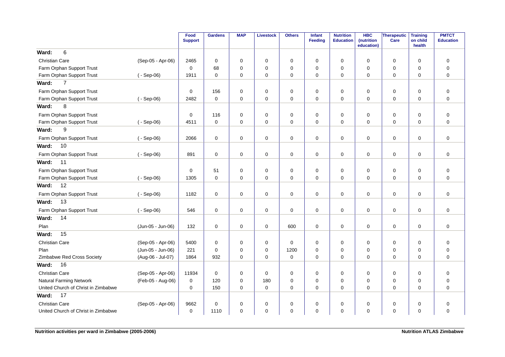|                                     |                   | Food<br><b>Support</b> | <b>Gardens</b> | <b>MAP</b>  | <b>Livestock</b> | <b>Others</b> | Infant<br>Feeding | <b>Nutrition</b><br><b>Education</b> | <b>HBC</b><br>(nutrition<br>education) | Therapeutic<br>Care | <b>Training</b><br>on child<br>health | <b>PMTCT</b><br><b>Education</b> |
|-------------------------------------|-------------------|------------------------|----------------|-------------|------------------|---------------|-------------------|--------------------------------------|----------------------------------------|---------------------|---------------------------------------|----------------------------------|
| 6<br>Ward:                          |                   |                        |                |             |                  |               |                   |                                      |                                        |                     |                                       |                                  |
| <b>Christian Care</b>               | (Sep-05 - Apr-06) | 2465                   | $\mathbf 0$    | $\mathbf 0$ | $\mathbf 0$      | $\mathbf 0$   | $\Omega$          | $\mathbf 0$                          | $\mathbf 0$                            | $\mathbf 0$         | $\mathbf 0$                           | $\mathbf 0$                      |
| Farm Orphan Support Trust           |                   | $\mathbf 0$            | 68             | $\mathbf 0$ | $\mathbf 0$      | $\pmb{0}$     | $\Omega$          | 0                                    | $\mathbf 0$                            | 0                   | $\mathbf 0$                           | $\mathbf 0$                      |
| Farm Orphan Support Trust           | $(-$ Sep-06)      | 1911                   | $\Omega$       | $\Omega$    | $\mathbf 0$      | $\Omega$      | $\Omega$          | 0                                    | $\Omega$                               | 0                   | $\Omega$                              | $\Omega$                         |
| $\overline{7}$<br>Ward:             |                   |                        |                |             |                  |               |                   |                                      |                                        |                     |                                       |                                  |
| Farm Orphan Support Trust           |                   | $\mathbf 0$            | 156            | $\mathbf 0$ | $\mathbf 0$      | 0             | $\mathbf 0$       | $\mathbf 0$                          | $\mathbf 0$                            | 0                   | $\mathbf 0$                           | $\mathbf 0$                      |
| Farm Orphan Support Trust           | $(-$ Sep-06)      | 2482                   | $\mathbf 0$    | 0           | $\mathbf 0$      | $\mathbf 0$   | $\Omega$          | $\mathbf 0$                          | 0                                      | $\mathbf 0$         | $\Omega$                              | $\mathbf 0$                      |
| 8<br>Ward:                          |                   |                        |                |             |                  |               |                   |                                      |                                        |                     |                                       |                                  |
| Farm Orphan Support Trust           |                   | $\mathbf 0$            | 116            | $\mathbf 0$ | $\mathbf 0$      | $\mathbf 0$   | $\mathbf 0$       | $\mathbf 0$                          | $\mathbf 0$                            | 0                   | $\mathbf 0$                           | $\mathbf 0$                      |
| Farm Orphan Support Trust           | $(-$ Sep-06)      | 4511                   | $\mathbf 0$    | $\mathbf 0$ | $\mathbf 0$      | 0             | $\mathbf 0$       | $\mathbf 0$                          | 0                                      | 0                   | $\mathbf 0$                           | $\mathbf 0$                      |
| 9<br>Ward:                          |                   |                        |                |             |                  |               |                   |                                      |                                        |                     |                                       |                                  |
| Farm Orphan Support Trust           | $(-$ Sep-06)      | 2066                   | $\mathbf 0$    | $\mathbf 0$ | $\mathbf 0$      | 0             | $\mathbf 0$       | $\mathbf 0$                          | $\Omega$                               | $\mathbf 0$         | $\mathbf 0$                           | $\mathbf 0$                      |
| 10<br>Ward:                         |                   |                        |                |             |                  |               |                   |                                      |                                        |                     |                                       |                                  |
| Farm Orphan Support Trust           | $(-$ Sep-06)      | 891                    | $\mathbf 0$    | 0           | $\mathbf 0$      | 0             | 0                 | 0                                    | $\mathbf 0$                            | 0                   | 0                                     | $\mathbf 0$                      |
| 11<br>Ward:                         |                   |                        |                |             |                  |               |                   |                                      |                                        |                     |                                       |                                  |
| Farm Orphan Support Trust           |                   | 0                      | 51             | $\mathbf 0$ | $\mathbf 0$      | $\mathbf 0$   | $\mathbf 0$       | $\mathbf 0$                          | $\mathbf 0$                            | 0                   | $\mathbf 0$                           | $\pmb{0}$                        |
| Farm Orphan Support Trust           | $(-$ Sep-06)      | 1305                   | $\mathbf 0$    | $\mathbf 0$ | 0                | 0             | $\mathbf 0$       | 0                                    | $\mathbf 0$                            | 0                   | $\mathbf 0$                           | $\mathbf 0$                      |
| 12<br>Ward:                         |                   |                        |                |             |                  |               |                   |                                      |                                        |                     |                                       |                                  |
| Farm Orphan Support Trust           | $(-$ Sep-06)      | 1182                   | $\mathbf 0$    | 0           | $\mathbf 0$      | 0             | 0                 | 0                                    | $\Omega$                               | 0                   | $\mathbf 0$                           | 0                                |
| 13<br>Ward:                         |                   |                        |                |             |                  |               |                   |                                      |                                        |                     |                                       |                                  |
| Farm Orphan Support Trust           | $(-$ Sep-06)      | 546                    | $\mathbf 0$    | $\mathbf 0$ | $\mathbf 0$      | $\mathbf 0$   | $\mathbf 0$       | $\mathbf 0$                          | $\mathbf 0$                            | $\mathbf 0$         | $\mathbf 0$                           | $\mathbf 0$                      |
| 14<br>Ward:                         |                   |                        |                |             |                  |               |                   |                                      |                                        |                     |                                       |                                  |
| Plan                                | (Jun-05 - Jun-06) | 132                    | $\mathbf 0$    | $\mathbf 0$ | $\mathbf 0$      | 600           | $\mathbf 0$       | 0                                    | 0                                      | 0                   | 0                                     | $\mathbf 0$                      |
| 15<br>Ward:                         |                   |                        |                |             |                  |               |                   |                                      |                                        |                     |                                       |                                  |
| <b>Christian Care</b>               | (Sep-05 - Apr-06) | 5400                   | $\mathbf 0$    | $\mathbf 0$ | $\mathbf 0$      | $\mathbf 0$   | $\mathbf 0$       | $\mathbf 0$                          | 0                                      | 0                   | $\mathbf 0$                           | $\mathbf 0$                      |
| Plan                                | (Jun-05 - Jun-06) | 221                    | $\Omega$       | $\Omega$    | $\mathbf 0$      | 1200          | $\Omega$          | $\Omega$                             | 0                                      | 0                   | 0                                     | $\mathbf 0$                      |
| Zimbabwe Red Cross Society          | (Aug-06 - Jul-07) | 1864                   | 932            | $\mathbf 0$ | $\mathbf 0$      | $\mathbf 0$   | $\mathbf 0$       | 0                                    | $\mathbf 0$                            | $\mathbf 0$         | $\mathbf 0$                           | $\mathbf 0$                      |
| 16<br>Ward:                         |                   |                        |                |             |                  |               |                   |                                      |                                        |                     |                                       |                                  |
| <b>Christian Care</b>               | (Sep-05 - Apr-06) | 11934                  | $\mathbf 0$    | 0           | 0                | 0             | $\mathbf 0$       | 0                                    | 0                                      | 0                   | 0                                     | 0                                |
| <b>Natural Farming Network</b>      | (Feb-05 - Aug-06) | $\mathbf 0$            | 120            | $\mathbf 0$ | 180              | $\mathbf 0$   | $\Omega$          | $\Omega$                             | $\mathbf 0$                            | $\mathbf 0$         | $\mathbf 0$                           | $\mathbf 0$                      |
| United Church of Christ in Zimbabwe |                   | 0                      | 150            | $\mathbf 0$ | 0                | $\mathbf 0$   | $\mathbf 0$       | $\mathbf 0$                          | 0                                      | 0                   | 0                                     | $\mathbf 0$                      |
| 17<br>Ward:                         |                   |                        |                |             |                  |               |                   |                                      |                                        |                     |                                       |                                  |
| <b>Christian Care</b>               | (Sep-05 - Apr-06) | 9662                   | $\mathbf 0$    | 0           | 0                | 0             | $\Omega$          | 0                                    | 0                                      | 0                   | $\mathbf 0$                           | 0                                |
| United Church of Christ in Zimbabwe |                   | 0                      | 1110           | 0           | $\mathbf 0$      | 0             | $\mathbf 0$       | 0                                    | $\mathbf 0$                            | 0                   | $\mathbf 0$                           | $\mathbf 0$                      |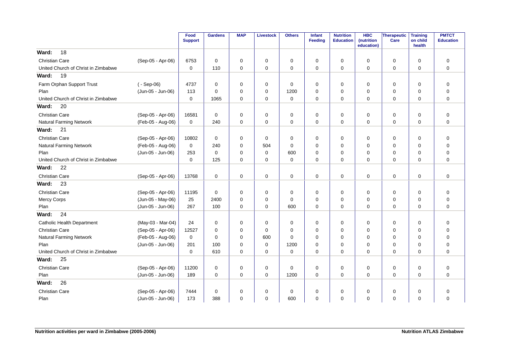|                                     |                   | Food<br><b>Support</b> | <b>Gardens</b> | <b>MAP</b>  | <b>Livestock</b> | <b>Others</b> | <b>Infant</b><br><b>Feeding</b> | <b>Nutrition</b><br><b>Education</b> | <b>HBC</b><br>(nutrition<br>education) | Therapeutic<br>Care | <b>Training</b><br>on child<br>health | <b>PMTCT</b><br><b>Education</b> |
|-------------------------------------|-------------------|------------------------|----------------|-------------|------------------|---------------|---------------------------------|--------------------------------------|----------------------------------------|---------------------|---------------------------------------|----------------------------------|
| 18<br>Ward:                         |                   |                        |                |             |                  |               |                                 |                                      |                                        |                     |                                       |                                  |
| <b>Christian Care</b>               | (Sep-05 - Apr-06) | 6753                   | $\mathbf 0$    | 0           | 0                | 0             | $\mathbf 0$                     | $\mathbf 0$                          | $\Omega$                               | $\mathbf 0$         | $\mathbf 0$                           | $\mathbf 0$                      |
| United Church of Christ in Zimbabwe |                   | $\mathbf 0$            | 110            | 0           | $\mathbf 0$      | 0             | $\mathbf 0$                     | $\mathbf 0$                          | $\Omega$                               | $\mathbf 0$         | $\Omega$                              | $\mathbf 0$                      |
| 19<br>Ward:                         |                   |                        |                |             |                  |               |                                 |                                      |                                        |                     |                                       |                                  |
| Farm Orphan Support Trust           | $(-$ Sep-06)      | 4737                   | $\mathbf 0$    | $\mathbf 0$ | 0                | 0             | $\mathbf 0$                     | $\mathbf 0$                          | 0                                      | 0                   | $\mathbf 0$                           | $\mathbf 0$                      |
| Plan                                | (Jun-05 - Jun-06) | 113                    | $\Omega$       | 0           | $\mathbf 0$      | 1200          | $\Omega$                        | $\Omega$                             | $\Omega$                               | $\mathbf 0$         | $\mathbf 0$                           | $\mathbf 0$                      |
| United Church of Christ in Zimbabwe |                   | 0                      | 1065           | 0           | 0                | 0             | $\mathbf 0$                     | $\mathbf 0$                          | 0                                      | 0                   | $\mathbf 0$                           | $\mathbf 0$                      |
| 20<br>Ward:                         |                   |                        |                |             |                  |               |                                 |                                      |                                        |                     |                                       |                                  |
| <b>Christian Care</b>               | (Sep-05 - Apr-06) | 16581                  | $\mathbf 0$    | 0           | 0                | 0             | $\mathbf 0$                     | $\mathbf 0$                          | $\Omega$                               | $\mathbf 0$         | 0                                     | $\mathbf 0$                      |
| Natural Farming Network             | (Feb-05 - Aug-06) | $\mathbf 0$            | 240            | 0           | $\mathbf 0$      | 0             | $\mathbf 0$                     | $\mathbf 0$                          | 0                                      | $\pmb{0}$           | $\mathbf 0$                           | $\overline{0}$                   |
| 21<br>Ward:                         |                   |                        |                |             |                  |               |                                 |                                      |                                        |                     |                                       |                                  |
| <b>Christian Care</b>               | (Sep-05 - Apr-06) | 10802                  | $\mathbf 0$    | $\mathbf 0$ | 0                | 0             | $\mathbf 0$                     | $\mathbf 0$                          | 0                                      | 0                   | $\mathbf 0$                           | $\mathbf 0$                      |
| Natural Farming Network             | (Feb-05 - Aug-06) | $\mathbf 0$            | 240            | $\Omega$    | 504              | $\mathbf 0$   | $\Omega$                        | $\Omega$                             | $\Omega$                               | $\mathbf 0$         | $\Omega$                              | $\mathbf 0$                      |
| Plan                                | (Jun-05 - Jun-06) | 253                    | $\Omega$       | $\Omega$    | $\mathbf 0$      | 600           | $\Omega$                        | $\Omega$                             | $\Omega$                               | $\mathbf 0$         | $\Omega$                              | $\mathbf 0$                      |
| United Church of Christ in Zimbabwe |                   | $\Omega$               | 125            | $\Omega$    | $\mathbf 0$      | $\Omega$      | $\Omega$                        | $\Omega$                             | $\Omega$                               | $\Omega$            | $\Omega$                              | $\Omega$                         |
| 22<br>Ward:                         |                   |                        |                |             |                  |               |                                 |                                      |                                        |                     |                                       |                                  |
| <b>Christian Care</b>               | (Sep-05 - Apr-06) | 13768                  | $\mathbf 0$    | $\mathbf 0$ | 0                | 0             | $\mathbf 0$                     | 0                                    | 0                                      | $\mathbf 0$         | 0                                     | $\mathbf 0$                      |
| 23<br>Ward:                         |                   |                        |                |             |                  |               |                                 |                                      |                                        |                     |                                       |                                  |
| <b>Christian Care</b>               | (Sep-05 - Apr-06) | 11195                  | $\mathbf 0$    | 0           | $\mathbf 0$      | 0             | $\mathbf 0$                     | $\mathbf 0$                          | 0                                      | $\mathbf 0$         | $\mathbf 0$                           | $\mathbf 0$                      |
| <b>Mercy Corps</b>                  | (Jun-05 - May-06) | 25                     | 2400           | $\Omega$    | $\mathbf 0$      | 0             | $\Omega$                        | $\Omega$                             | $\Omega$                               | 0                   | $\Omega$                              | $\mathbf 0$                      |
| Plan                                | (Jun-05 - Jun-06) | 267                    | 100            | $\Omega$    | $\mathbf 0$      | 600           | $\Omega$                        | $\Omega$                             | $\Omega$                               | $\mathbf 0$         | $\Omega$                              | $\Omega$                         |
| 24<br>Ward:                         |                   |                        |                |             |                  |               |                                 |                                      |                                        |                     |                                       |                                  |
| <b>Catholic Health Department</b>   | (May-03 - Mar-04) | 24                     | 0              | 0           | 0                | 0             | 0                               | 0                                    | 0                                      | 0                   | 0                                     | 0                                |
| <b>Christian Care</b>               | (Sep-05 - Apr-06) | 12527                  | 0              | 0           | 0                | $\mathbf 0$   | $\Omega$                        | $\Omega$                             | $\Omega$                               | 0                   | $\Omega$                              | 0                                |
| Natural Farming Network             | (Feb-05 - Aug-06) | $\mathbf 0$            | $\Omega$       | $\Omega$    | 600              | $\mathbf 0$   | $\Omega$                        | $\Omega$                             | $\Omega$                               | 0                   | $\Omega$                              | $\mathbf 0$                      |
| Plan                                | (Jun-05 - Jun-06) | 201                    | 100            | $\Omega$    | 0                | 1200          | $\Omega$                        | $\Omega$                             | $\Omega$                               | 0                   | $\Omega$                              | $\mathbf 0$                      |
| United Church of Christ in Zimbabwe |                   | $\Omega$               | 610            | $\Omega$    | $\mathbf 0$      | 0             | $\Omega$                        | $\Omega$                             | $\Omega$                               | $\mathbf 0$         | $\Omega$                              | $\Omega$                         |
| 25<br>Ward:                         |                   |                        |                |             |                  |               |                                 |                                      |                                        |                     |                                       |                                  |
| <b>Christian Care</b>               | (Sep-05 - Apr-06) | 11200                  | 0              | 0           | 0                | 0             | 0                               | 0                                    | 0                                      | 0                   | 0                                     | $\mathbf 0$                      |
| Plan                                | (Jun-05 - Jun-06) | 189                    | $\mathbf 0$    | $\Omega$    | 0                | 1200          | $\mathbf 0$                     | $\Omega$                             | $\Omega$                               | $\mathbf 0$         | $\Omega$                              | $\mathbf 0$                      |
| 26<br>Ward:                         |                   |                        |                |             |                  |               |                                 |                                      |                                        |                     |                                       |                                  |
| <b>Christian Care</b>               | (Sep-05 - Apr-06) | 7444                   | $\mathbf 0$    | 0           | 0                | $\mathbf 0$   | $\mathbf 0$                     | $\mathbf 0$                          | 0                                      | 0                   | 0                                     | $\mathbf 0$                      |
| Plan                                | (Jun-05 - Jun-06) | 173                    | 388            | $\Omega$    | $\mathbf 0$      | 600           | $\mathbf 0$                     | $\Omega$                             | $\Omega$                               | $\mathbf 0$         | $\Omega$                              | $\mathbf 0$                      |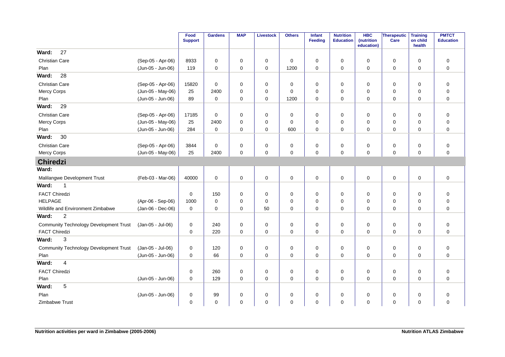|                                               |                   | Food<br><b>Support</b> | <b>Gardens</b> | <b>MAP</b>  | <b>Livestock</b> | <b>Others</b> | Infant<br>Feeding | <b>Nutrition</b><br><b>Education</b> | <b>HBC</b><br>(nutrition<br>education) | Therapeutic<br>Care | <b>Training</b><br>on child<br>health | <b>PMTCT</b><br><b>Education</b> |
|-----------------------------------------------|-------------------|------------------------|----------------|-------------|------------------|---------------|-------------------|--------------------------------------|----------------------------------------|---------------------|---------------------------------------|----------------------------------|
| 27<br>Ward:                                   |                   |                        |                |             |                  |               |                   |                                      |                                        |                     |                                       |                                  |
| <b>Christian Care</b>                         | (Sep-05 - Apr-06) | 8933                   | $\mathbf 0$    | 0           | 0                | 0             | 0                 | 0                                    | 0                                      | 0                   | 0                                     | 0                                |
| Plan                                          | (Jun-05 - Jun-06) | 119                    | $\mathbf 0$    | $\mathbf 0$ | $\mathbf 0$      | 1200          | $\mathbf 0$       | $\mathbf 0$                          | $\mathbf 0$                            | $\mathbf 0$         | $\mathbf 0$                           | $\mathbf 0$                      |
| 28<br>Ward:                                   |                   |                        |                |             |                  |               |                   |                                      |                                        |                     |                                       |                                  |
| Christian Care                                | (Sep-05 - Apr-06) | 15820                  | $\mathbf 0$    | 0           | 0                | 0             | 0                 | 0                                    | 0                                      | 0                   | 0                                     | $\mathbf 0$                      |
| Mercy Corps                                   | (Jun-05 - May-06) | 25                     | 2400           | $\Omega$    | 0                | $\mathbf 0$   | 0                 | 0                                    | $\mathbf 0$                            | 0                   | $\mathbf 0$                           | $\mathbf 0$                      |
| Plan                                          | (Jun-05 - Jun-06) | 89                     | $\mathsf 0$    | $\mathbf 0$ | $\mathbf 0$      | 1200          | 0                 | $\mathbf 0$                          | $\mathbf 0$                            | $\mathbf 0$         | $\mathbf 0$                           | $\mathbf 0$                      |
| 29<br>Ward:                                   |                   |                        |                |             |                  |               |                   |                                      |                                        |                     |                                       |                                  |
| Christian Care                                | (Sep-05 - Apr-06) | 17185                  | $\mathbf 0$    | 0           | 0                | 0             | 0                 | 0                                    | $\mathbf 0$                            | 0                   | $\mathbf 0$                           | $\mathbf 0$                      |
| Mercy Corps                                   | (Jun-05 - May-06) | 25                     | 2400           | $\mathbf 0$ | $\mathbf 0$      | 0             | 0                 | $\mathbf 0$                          | $\mathbf 0$                            | 0                   | $\mathbf 0$                           | $\mathbf 0$                      |
| Plan                                          | (Jun-05 - Jun-06) | 284                    | $\mathbf 0$    | 0           | $\mathbf 0$      | 600           | 0                 | $\mathbf 0$                          | $\mathbf 0$                            | 0                   | $\mathbf 0$                           | $\mathbf 0$                      |
| 30<br>Ward:                                   |                   |                        |                |             |                  |               |                   |                                      |                                        |                     |                                       |                                  |
| Christian Care                                | (Sep-05 - Apr-06) | 3844                   | $\mathbf 0$    | 0           | 0                | $\mathbf 0$   | $\mathbf 0$       | $\mathbf 0$                          | $\mathbf 0$                            | $\pmb{0}$           | $\mathbf 0$                           | $\mathbf 0$                      |
| <b>Mercy Corps</b>                            | (Jun-05 - May-06) | 25                     | 2400           | 0           | 0                | $\mathbf 0$   | 0                 | $\mathbf 0$                          | $\mathbf 0$                            | $\mathbf 0$         | $\mathbf 0$                           | $\mathbf 0$                      |
| <b>Chiredzi</b>                               |                   |                        |                |             |                  |               |                   |                                      |                                        |                     |                                       |                                  |
| Ward:                                         |                   |                        |                |             |                  |               |                   |                                      |                                        |                     |                                       |                                  |
| Malilangwe Development Trust                  | (Feb-03 - Mar-06) | 40000                  | $\mathbf 0$    | 0           | $\mathbf 0$      | 0             | 0                 | 0                                    | $\mathbf 0$                            | 0                   | 0                                     | $\mathbf 0$                      |
| Ward:<br>$\mathbf 1$                          |                   |                        |                |             |                  |               |                   |                                      |                                        |                     |                                       |                                  |
| <b>FACT Chiredzi</b>                          |                   | $\mathbf 0$            | 150            | 0           | 0                | 0             | 0                 | 0                                    | 0                                      | 0                   | 0                                     | $\mathbf 0$                      |
| <b>HELPAGE</b>                                | (Apr-06 - Sep-06) | 1000                   | $\mathbf 0$    | $\mathbf 0$ | 0                | $\mathbf 0$   | 0                 | 0                                    | 0                                      | 0                   | $\mathbf 0$                           | $\mathbf 0$                      |
| Wildlife and Environment Zimbabwe             | (Jan-06 - Dec-06) | $\mathbf 0$            | $\mathbf 0$    | $\mathbf 0$ | 50               | $\mathbf 0$   | 0                 | 0                                    | $\mathbf 0$                            | $\mathbf 0$         | $\mathbf 0$                           | $\mathbf 0$                      |
| $\overline{c}$<br>Ward:                       |                   |                        |                |             |                  |               |                   |                                      |                                        |                     |                                       |                                  |
| <b>Community Technology Development Trust</b> | (Jan-05 - Jul-06) | $\mathbf 0$            | 240            | $\mathbf 0$ | 0                | 0             | 0                 | $\mathbf 0$                          | $\mathbf 0$                            | 0                   | $\mathbf 0$                           | $\mathbf 0$                      |
| <b>FACT Chiredzi</b>                          |                   | $\mathbf 0$            | 220            | 0           | 0                | 0             | 0                 | $\mathbf 0$                          | 0                                      | 0                   | $\mathbf 0$                           | $\mathbf 0$                      |
| $\mathfrak{S}$<br>Ward:                       |                   |                        |                |             |                  |               |                   |                                      |                                        |                     |                                       |                                  |
| <b>Community Technology Development Trust</b> | (Jan-05 - Jul-06) | $\mathbf 0$            | 120            | 0           | 0                | 0             | 0                 | $\mathbf 0$                          | 0                                      | 0                   | $\mathbf 0$                           | $\mathbf 0$                      |
| Plan                                          | (Jun-05 - Jun-06) | $\pmb{0}$              | 66             | $\mathbf 0$ | $\mathbf 0$      | $\mathbf 0$   | 0                 | $\mathbf 0$                          | $\mathbf 0$                            | $\mathsf{O}\xspace$ | $\mathbf 0$                           | $\mathbf 0$                      |
| $\overline{4}$<br>Ward:                       |                   |                        |                |             |                  |               |                   |                                      |                                        |                     |                                       |                                  |
| <b>FACT Chiredzi</b>                          |                   | $\mathbf 0$            | 260            | 0           | 0                | 0             | 0                 | 0                                    | $\mathbf 0$                            | 0                   | 0                                     | $\mathbf 0$                      |
| Plan                                          | (Jun-05 - Jun-06) | 0                      | 129            | $\mathbf 0$ | $\mathbf 0$      | 0             | 0                 | 0                                    | 0                                      | $\mathbf 0$         | $\mathbf 0$                           | $\mathbf 0$                      |
| $5\phantom{.0}$<br>Ward:                      |                   |                        |                |             |                  |               |                   |                                      |                                        |                     |                                       |                                  |
| Plan                                          | (Jun-05 - Jun-06) | 0                      | 99             | 0           | 0                | 0             | 0                 | 0                                    | 0                                      | 0                   | 0                                     | 0                                |
| Zimbabwe Trust                                |                   | $\mathbf 0$            | $\mathbf 0$    | $\Omega$    | $\mathbf 0$      | $\mathbf 0$   | 0                 | $\Omega$                             | 0                                      | $\mathbf 0$         | $\mathbf 0$                           | $\mathbf 0$                      |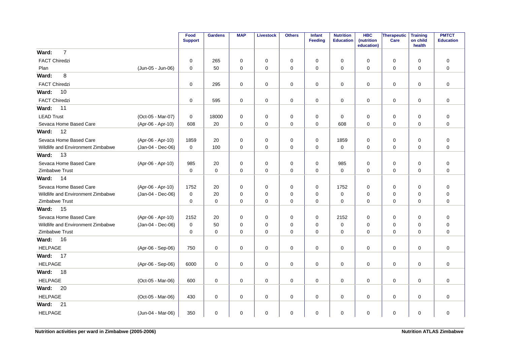|                                   |                   | Food<br><b>Support</b> | <b>Gardens</b> | <b>MAP</b>  | <b>Livestock</b> | <b>Others</b> | Infant<br><b>Feeding</b> | <b>Nutrition</b><br><b>Education</b> | <b>HBC</b><br>(nutrition<br>education) | Therapeutic<br>Care | <b>Training</b><br>on child<br>health | <b>PMTCT</b><br><b>Education</b> |
|-----------------------------------|-------------------|------------------------|----------------|-------------|------------------|---------------|--------------------------|--------------------------------------|----------------------------------------|---------------------|---------------------------------------|----------------------------------|
| $\overline{7}$<br>Ward:           |                   |                        |                |             |                  |               |                          |                                      |                                        |                     |                                       |                                  |
| <b>FACT Chiredzi</b>              |                   | 0                      | 265            | $\mathbf 0$ | 0                | $\pmb{0}$     | $\mathbf 0$              | $\mathbf 0$                          | 0                                      | 0                   | $\mathbf 0$                           | $\mathbf 0$                      |
| Plan                              | (Jun-05 - Jun-06) | $\mathbf 0$            | 50             | $\mathbf 0$ | 0                | $\mathbf 0$   | $\mathbf 0$              | $\mathbf 0$                          | 0                                      | $\mathbf 0$         | 0                                     | $\mathbf 0$                      |
| 8<br>Ward:                        |                   |                        |                |             |                  |               |                          |                                      |                                        |                     |                                       |                                  |
| <b>FACT Chiredzi</b>              |                   | 0                      | 295            | 0           | 0                | 0             | 0                        | 0                                    | 0                                      | 0                   | $\mathbf 0$                           | $\mathbf 0$                      |
| Ward:<br>10                       |                   |                        |                |             |                  |               |                          |                                      |                                        |                     |                                       |                                  |
| <b>FACT Chiredzi</b>              |                   | $\mathbf 0$            | 595            | $\mathbf 0$ | 0                | 0             | 0                        | 0                                    | $\mathbf 0$                            | $\mathbf 0$         | 0                                     | $\mathbf 0$                      |
| 11<br>Ward:                       |                   |                        |                |             |                  |               |                          |                                      |                                        |                     |                                       |                                  |
| <b>LEAD Trust</b>                 | (Oct-05 - Mar-07) | 0                      | 18000          | 0           | 0                | $\pmb{0}$     | $\mathbf 0$              | $\mathbf 0$                          | 0                                      | $\mathbf 0$         | $\mathbf 0$                           | $\mathbf 0$                      |
| Sevaca Home Based Care            | (Apr-06 - Apr-10) | 608                    | 20             | $\mathbf 0$ | 0                | $\mathbf 0$   | $\mathbf 0$              | 608                                  | 0                                      | 0                   | 0                                     | $\mathbf 0$                      |
| 12<br>Ward:                       |                   |                        |                |             |                  |               |                          |                                      |                                        |                     |                                       |                                  |
| Sevaca Home Based Care            | (Apr-06 - Apr-10) | 1859                   | 20             | 0           | 0                | 0             | $\mathbf 0$              | 1859                                 | 0                                      | $\mathbf 0$         | $\mathbf 0$                           | $\mathbf 0$                      |
| Wildlife and Environment Zimbabwe | (Jan-04 - Dec-06) | 0                      | 100            | 0           | 0                | 0             | 0                        | 0                                    | 0                                      | 0                   | 0                                     | $\mathbf 0$                      |
| 13<br>Ward:                       |                   |                        |                |             |                  |               |                          |                                      |                                        |                     |                                       |                                  |
| Sevaca Home Based Care            | (Apr-06 - Apr-10) | 985                    | 20             | 0           | 0                | $\pmb{0}$     | $\mathbf 0$              | 985                                  | 0                                      | 0                   | 0                                     | $\mathbf 0$                      |
| Zimbabwe Trust                    |                   | 0                      | $\mathbf 0$    | $\Omega$    | $\mathbf 0$      | $\mathbf 0$   | $\mathbf 0$              | $\mathbf 0$                          | $\Omega$                               | $\mathbf 0$         | $\Omega$                              | $\mathbf 0$                      |
| Ward:<br>14                       |                   |                        |                |             |                  |               |                          |                                      |                                        |                     |                                       |                                  |
| Sevaca Home Based Care            | (Apr-06 - Apr-10) | 1752                   | 20             | 0           | 0                | $\mathbf 0$   | $\mathbf 0$              | 1752                                 | 0                                      | $\mathbf 0$         | $\Omega$                              | $\pmb{0}$                        |
| Wildlife and Environment Zimbabwe | (Jan-04 - Dec-06) | 0                      | 20             | 0           | 0                | $\pmb{0}$     | $\mathbf 0$              | $\mathbf 0$                          | 0                                      | $\mathbf 0$         | 0                                     | $\mathbf 0$                      |
| Zimbabwe Trust                    |                   | 0                      | $\mathbf 0$    | $\mathbf 0$ | 0                | $\mathbf 0$   | $\mathbf 0$              | $\mathbf 0$                          | $\mathbf 0$                            | $\mathbf 0$         | 0                                     | $\mathbf 0$                      |
| 15<br>Ward:                       |                   |                        |                |             |                  |               |                          |                                      |                                        |                     |                                       |                                  |
| Sevaca Home Based Care            | (Apr-06 - Apr-10) | 2152                   | 20             | $\mathbf 0$ | 0                | 0             | 0                        | 2152                                 | 0                                      | $\mathbf 0$         | $\mathbf 0$                           | $\mathbf 0$                      |
| Wildlife and Environment Zimbabwe | (Jan-04 - Dec-06) | 0                      | 50             | 0           | 0                | 0             | $\mathbf 0$              | 0                                    | 0                                      | 0                   | 0                                     | $\mathbf 0$                      |
| Zimbabwe Trust                    |                   | $\mathbf 0$            | 0              | $\mathbf 0$ | 0                | $\pmb{0}$     | $\mathbf 0$              | $\mathbf 0$                          | $\mathbf 0$                            | $\mathbf 0$         | 0                                     | $\mathbf 0$                      |
| 16<br>Ward:                       |                   |                        |                |             |                  |               |                          |                                      |                                        |                     |                                       |                                  |
| <b>HELPAGE</b>                    | (Apr-06 - Sep-06) | 750                    | $\mathbf 0$    | 0           | 0                | 0             | 0                        | 0                                    | 0                                      | $\mathbf 0$         | 0                                     | $\mathbf 0$                      |
| Ward:<br>17                       |                   |                        |                |             |                  |               |                          |                                      |                                        |                     |                                       |                                  |
| <b>HELPAGE</b>                    | (Apr-06 - Sep-06) | 6000                   | 0              | $\mathbf 0$ | 0                | $\pmb{0}$     | 0                        | $\mathbf 0$                          | 0                                      | $\mathbf 0$         | $\mathbf 0$                           | $\mathbf 0$                      |
| Ward:<br>18                       |                   |                        |                |             |                  |               |                          |                                      |                                        |                     |                                       |                                  |
| <b>HELPAGE</b>                    | (Oct-05 - Mar-06) | 600                    | 0              | $\mathbf 0$ | 0                | 0             | 0                        | $\mathbf 0$                          | $\mathbf 0$                            | $\mathbf 0$         | 0                                     | $\mathbf 0$                      |
| Ward:<br>20                       |                   |                        |                |             |                  |               |                          |                                      |                                        |                     |                                       |                                  |
| <b>HELPAGE</b>                    | (Oct-05 - Mar-06) | 430                    | 0              | 0           | 0                | 0             | 0                        | 0                                    | 0                                      | 0                   | 0                                     | $\mathbf 0$                      |
| Ward:<br>21                       |                   |                        |                |             |                  |               |                          |                                      |                                        |                     |                                       |                                  |
| <b>HELPAGE</b>                    | (Jun-04 - Mar-06) | 350                    | 0              | 0           | 0                | 0             | 0                        | 0                                    | 0                                      | 0                   | 0                                     | $\mathbf 0$                      |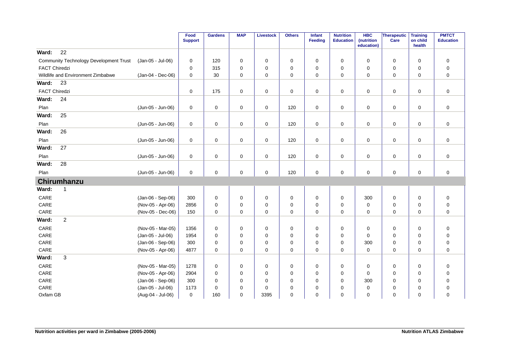|                      |                                               |                   | Food<br><b>Support</b> | <b>Gardens</b> | <b>MAP</b>  | <b>Livestock</b> | <b>Others</b> | Infant<br><b>Feeding</b> | <b>Nutrition</b><br><b>Education</b> | <b>HBC</b><br>(nutrition | Therapeutic<br>Care | <b>Training</b><br>on child | <b>PMTCT</b><br><b>Education</b> |
|----------------------|-----------------------------------------------|-------------------|------------------------|----------------|-------------|------------------|---------------|--------------------------|--------------------------------------|--------------------------|---------------------|-----------------------------|----------------------------------|
| Ward:                | 22                                            |                   |                        |                |             |                  |               |                          |                                      | education)               |                     | health                      |                                  |
|                      | <b>Community Technology Development Trust</b> |                   | $\mathbf 0$            | 120            |             |                  |               | 0                        | $\mathbf 0$                          | $\mathbf 0$              |                     |                             |                                  |
| <b>FACT Chiredzi</b> |                                               | (Jan-05 - Jul-06) | 0                      | 315            | 0<br>0      | 0                | 0<br>0        | 0                        | 0                                    | $\mathbf 0$              | 0                   | 0<br>$\mathbf 0$            | 0<br>0                           |
|                      | Wildlife and Environment Zimbabwe             | (Jan-04 - Dec-06) | $\mathbf 0$            | 30             | 0           | 0<br>0           | $\mathbf 0$   | 0                        | $\mathbf 0$                          | 0                        | 0<br>0              | $\mathbf 0$                 | 0                                |
| Ward:                | 23                                            |                   |                        |                |             |                  |               |                          |                                      |                          |                     |                             |                                  |
|                      |                                               |                   |                        |                |             |                  |               |                          |                                      |                          |                     |                             |                                  |
| <b>FACT Chiredzi</b> |                                               |                   | 0                      | 175            | 0           | 0                | $\mathbf 0$   | 0                        | 0                                    | 0                        | 0                   | 0                           | 0                                |
| Ward:                | 24                                            |                   |                        |                |             |                  |               |                          |                                      |                          |                     |                             |                                  |
| Plan                 |                                               | (Jun-05 - Jun-06) | $\pmb{0}$              | $\mathbf 0$    | 0           | $\mathbf 0$      | 120           | 0                        | $\mathbf 0$                          | $\mathbf 0$              | $\mathbf 0$         | $\mathbf 0$                 | $\mathbf 0$                      |
| Ward:                | 25                                            |                   |                        |                |             |                  |               |                          |                                      |                          |                     |                             |                                  |
| Plan                 |                                               | (Jun-05 - Jun-06) | 0                      | $\mathbf 0$    | 0           | $\mathsf 0$      | 120           | 0                        | $\mathbf 0$                          | 0                        | $\mathbf 0$         | $\mathbf 0$                 | $\mathbf 0$                      |
| Ward:                | 26                                            |                   |                        |                |             |                  |               |                          |                                      |                          |                     |                             |                                  |
| Plan                 |                                               | (Jun-05 - Jun-06) | 0                      | 0              | 0           | 0                | 120           | 0                        | 0                                    | 0                        | 0                   | 0                           | 0                                |
| Ward:                | 27                                            |                   |                        |                |             |                  |               |                          |                                      |                          |                     |                             |                                  |
| Plan                 |                                               | (Jun-05 - Jun-06) | 0                      | $\mathbf 0$    | 0           | 0                | 120           | 0                        | 0                                    | 0                        | $\mathbf 0$         | 0                           | 0                                |
| Ward:                | 28                                            |                   |                        |                |             |                  |               |                          |                                      |                          |                     |                             |                                  |
| Plan                 |                                               | (Jun-05 - Jun-06) | $\mathbf 0$            | $\mathbf 0$    | $\mathbf 0$ | $\mathbf 0$      | 120           | 0                        | $\mathbf 0$                          | $\mathbf 0$              | $\mathbf 0$         | $\mathbf 0$                 | $\mathbf 0$                      |
|                      | Chirumhanzu                                   |                   |                        |                |             |                  |               |                          |                                      |                          |                     |                             |                                  |
| Ward:                | $\mathbf{1}$                                  |                   |                        |                |             |                  |               |                          |                                      |                          |                     |                             |                                  |
| CARE                 |                                               | (Jan-06 - Sep-06) | 300                    | $\mathbf 0$    | 0           | 0                | $\mathbf 0$   | 0                        | $\mathbf 0$                          | 300                      | $\mathbf 0$         | $\mathbf 0$                 | $\pmb{0}$                        |
| CARE                 |                                               | (Nov-05 - Apr-06) | 2856                   | $\mathbf 0$    | 0           | 0                | 0             | 0                        | $\pmb{0}$                            | 0                        | 0                   | $\mathbf 0$                 | $\pmb{0}$                        |
| CARE                 |                                               | (Nov-05 - Dec-06) | 150                    | $\mathbf 0$    | 0           | 0                | 0             | 0                        | $\mathbf 0$                          | 0                        | $\mathbf 0$         | $\mathbf 0$                 | 0                                |
| Ward:                | $\overline{c}$                                |                   |                        |                |             |                  |               |                          |                                      |                          |                     |                             |                                  |
| CARE                 |                                               | (Nov-05 - Mar-05) | 1356                   | 0              | 0           | 0                | 0             | 0                        | 0                                    | 0                        | $\mathbf 0$         | 0                           | $\pmb{0}$                        |
| CARE                 |                                               | (Jan-05 - Jul-06) | 1954                   | $\mathbf 0$    | 0           | 0                | $\mathbf 0$   | $\Omega$                 | $\mathbf 0$                          | $\mathbf 0$              | $\mathbf 0$         | $\Omega$                    | 0                                |
| CARE                 |                                               | (Jan-06 - Sep-06) | 300                    | $\mathbf 0$    | 0           | 0                | 0             | 0                        | $\mathbf 0$                          | 300                      | $\mathbf 0$         | $\Omega$                    | 0                                |
| CARE                 |                                               | (Nov-05 - Apr-06) | 4877                   | 0              | $\mathbf 0$ | 0                | 0             | 0                        | $\mathbf 0$                          | $\mathbf 0$              | 0                   | $\mathbf 0$                 | 0                                |
| Ward:                | 3                                             |                   |                        |                |             |                  |               |                          |                                      |                          |                     |                             |                                  |
| CARE                 |                                               | (Nov-05 - Mar-05) | 1278                   | $\mathbf 0$    | 0           | 0                | 0             | 0                        | 0                                    | 0                        | $\mathbf 0$         | 0                           | 0                                |
| CARE                 |                                               | (Nov-05 - Apr-06) | 2904                   | 0              | 0           | 0                | 0             | 0                        | 0                                    | 0                        | 0                   | 0                           | 0                                |
| CARE                 |                                               | (Jan-06 - Sep-06) | 300                    | 0              | 0           | 0                | $\mathbf 0$   | 0                        | $\mathbf 0$                          | 300                      | 0                   | $\Omega$                    | 0                                |
| CARE                 |                                               | (Jan-05 - Jul-06) | 1173                   | 0              | 0           | 0                | $\mathbf 0$   | 0                        | 0                                    | 0                        | 0                   | $\Omega$                    | 0                                |
| Oxfam GB             |                                               | (Aug-04 - Jul-06) | 0                      | 160            | 0           | 3395             | $\mathbf 0$   | 0                        | $\mathbf 0$                          | 0                        | 0                   | $\Omega$                    | 0                                |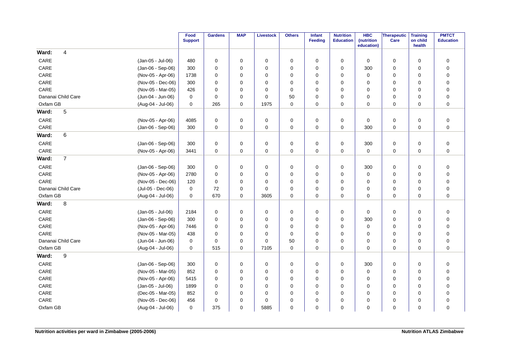|          |                    |                   | Food<br><b>Support</b> | <b>Gardens</b> | <b>MAP</b>  | <b>Livestock</b> | Others      | Infant<br>Feeding | <b>Nutrition</b><br><b>Education</b> | <b>HBC</b><br>(nutrition<br>education) | <b>Therapeutic</b><br>Care | <b>Training</b><br>on child<br>health | <b>PMTCT</b><br><b>Education</b> |
|----------|--------------------|-------------------|------------------------|----------------|-------------|------------------|-------------|-------------------|--------------------------------------|----------------------------------------|----------------------------|---------------------------------------|----------------------------------|
| Ward:    | 4                  |                   |                        |                |             |                  |             |                   |                                      |                                        |                            |                                       |                                  |
| CARE     |                    | (Jan-05 - Jul-06) | 480                    | $\mathbf 0$    | 0           | 0                | 0           | $\mathbf 0$       | 0                                    | 0                                      | 0                          | 0                                     | $\pmb{0}$                        |
| CARE     |                    | (Jan-06 - Sep-06) | 300                    | $\mathbf 0$    | 0           | $\mathbf 0$      | 0           | $\mathbf 0$       | 0                                    | 300                                    | 0                          | 0                                     | $\pmb{0}$                        |
| CARE     |                    | (Nov-05 - Apr-06) | 1738                   | $\mathbf 0$    | 0           | $\mathbf 0$      | 0           | $\Omega$          | 0                                    | $\mathbf 0$                            | 0                          | $\mathbf 0$                           | $\pmb{0}$                        |
| CARE     |                    | (Nov-05 - Dec-06) | 300                    | $\Omega$       | 0           | $\mathbf 0$      | 0           | $\Omega$          | 0                                    | 0                                      | 0                          | 0                                     | $\mathbf 0$                      |
| CARE     |                    | (Nov-05 - Mar-05) | 426                    | $\Omega$       | 0           | $\mathbf 0$      | 0           | $\Omega$          | 0                                    | 0                                      | 0                          | 0                                     | $\mathbf 0$                      |
|          | Dananai Child Care | (Jun-04 - Jun-06) | $\mathbf 0$            | $\Omega$       | 0           | $\mathbf 0$      | 50          | $\Omega$          | 0                                    | 0                                      | 0                          | 0                                     | $\pmb{0}$                        |
| Oxfam GB |                    | (Aug-04 - Jul-06) | 0                      | 265            | 0           | 1975             | 0           | 0                 | 0                                    | 0                                      | 0                          | 0                                     | $\mathbf 0$                      |
| Ward:    | 5                  |                   |                        |                |             |                  |             |                   |                                      |                                        |                            |                                       |                                  |
| CARE     |                    | (Nov-05 - Apr-06) | 4085                   | $\mathbf 0$    | $\mathbf 0$ | $\mathbf 0$      | 0           | $\mathbf 0$       | $\mathbf 0$                          | $\mathbf 0$                            | 0                          | $\mathbf 0$                           | $\mathbf 0$                      |
| CARE     |                    | (Jan-06 - Sep-06) | 300                    | 0              | 0           | 0                | 0           | 0                 | 0                                    | 300                                    | 0                          | 0                                     | $\pmb{0}$                        |
| Ward:    | 6                  |                   |                        |                |             |                  |             |                   |                                      |                                        |                            |                                       |                                  |
| CARE     |                    | (Jan-06 - Sep-06) | 300                    | $\mathbf 0$    | 0           | $\mathbf 0$      | 0           | $\mathbf 0$       | 0                                    | 300                                    | 0                          | $\mathbf 0$                           | $\mathbf 0$                      |
| CARE     |                    | (Nov-05 - Apr-06) | 3441                   | $\mathbf 0$    | $\mathbf 0$ | $\mathbf 0$      | 0           | $\mathbf 0$       | 0                                    | $\mathbf 0$                            | 0                          | $\mathbf 0$                           | $\mathbf 0$                      |
| Ward:    | $\overline{7}$     |                   |                        |                |             |                  |             |                   |                                      |                                        |                            |                                       |                                  |
| CARE     |                    | (Jan-06 - Sep-06) | 300                    | $\mathbf 0$    | 0           | $\mathbf 0$      | $\mathbf 0$ | $\mathbf 0$       | 0                                    | 300                                    | $\mathbf 0$                | $\mathbf 0$                           | $\pmb{0}$                        |
| CARE     |                    | (Nov-05 - Apr-06) | 2780                   | $\mathbf 0$    | 0           | $\mathbf 0$      | 0           | $\Omega$          | 0                                    | $\mathbf 0$                            | 0                          | $\mathbf 0$                           | $\pmb{0}$                        |
| CARE     |                    | (Nov-05 - Dec-06) | 120                    | $\mathbf 0$    | 0           | $\mathbf 0$      | 0           | $\Omega$          | 0                                    | 0                                      | 0                          | $\mathbf 0$                           | $\pmb{0}$                        |
|          | Dananai Child Care | (Jul-05 - Dec-06) | 0                      | 72             | 0           | $\mathbf 0$      | 0           | $\mathbf 0$       | 0                                    | $\mathbf 0$                            | 0                          | $\mathbf 0$                           | $\pmb{0}$                        |
| Oxfam GB |                    | (Aug-04 - Jul-06) | 0                      | 670            | 0           | 3605             | 0           | $\mathbf 0$       | 0                                    | $\mathbf 0$                            | 0                          | 0                                     | $\mathbf 0$                      |
| Ward:    | 8                  |                   |                        |                |             |                  |             |                   |                                      |                                        |                            |                                       |                                  |
| CARE     |                    | (Jan-05 - Jul-06) | 2184                   | $\mathbf 0$    | 0           | 0                | 0           | $\mathbf 0$       | 0                                    | 0                                      | 0                          | $\mathbf 0$                           | $\pmb{0}$                        |
| CARE     |                    | (Jan-06 - Sep-06) | 300                    | $\mathbf 0$    | 0           | $\mathbf 0$      | 0           | $\mathbf 0$       | 0                                    | 300                                    | 0                          | 0                                     | $\pmb{0}$                        |
| CARE     |                    | (Nov-05 - Apr-06) | 7446                   | $\mathbf 0$    | 0           | $\mathbf 0$      | 0           | $\mathbf 0$       | 0                                    | $\mathbf 0$                            | 0                          | $\mathbf 0$                           | $\pmb{0}$                        |
| CARE     |                    | (Nov-05 - Mar-05) | 438                    | $\mathbf 0$    | 0           | $\mathbf 0$      | 0           | $\mathbf 0$       | 0                                    | $\mathbf 0$                            | 0                          | $\mathbf 0$                           | $\pmb{0}$                        |
|          | Dananai Child Care | (Jun-04 - Jun-06) | 0                      | $\Omega$       | 0           | $\mathbf 0$      | 50          | $\Omega$          | 0                                    | 0                                      | 0                          | $\mathbf 0$                           | $\pmb{0}$                        |
| Oxfam GB |                    | (Aug-04 - Jul-06) | $\mathbf 0$            | 515            | $\mathbf 0$ | 7105             | 0           | $\mathbf 0$       | 0                                    | 0                                      | $\mathbf 0$                | $\mathbf 0$                           | $\mathbf 0$                      |
| Ward:    | 9                  |                   |                        |                |             |                  |             |                   |                                      |                                        |                            |                                       |                                  |
| CARE     |                    | (Jan-06 - Sep-06) | 300                    | $\mathbf 0$    | 0           | $\mathbf 0$      | 0           | $\mathbf 0$       | 0                                    | 300                                    | 0                          | $\mathbf 0$                           | $\pmb{0}$                        |
| CARE     |                    | (Nov-05 - Mar-05) | 852                    | 0              | 0           | $\mathbf 0$      | 0           | $\Omega$          | 0                                    | 0                                      | 0                          | $\mathbf 0$                           | $\mathbf 0$                      |
| CARE     |                    | (Nov-05 - Apr-06) | 5415                   | $\mathbf 0$    | 0           | $\mathbf 0$      | 0           | $\Omega$          | 0                                    | 0                                      | 0                          | $\mathbf 0$                           | $\pmb{0}$                        |
| CARE     |                    | (Jan-05 - Jul-06) | 1899                   | $\mathbf 0$    | 0           | $\mathbf 0$      | 0           | $\mathbf 0$       | 0                                    | $\mathbf 0$                            | 0                          | $\mathbf 0$                           | $\pmb{0}$                        |
| CARE     |                    | (Dec-05 - Mar-05) | 852                    | $\mathbf 0$    | 0           | $\mathbf 0$      | 0           | $\mathbf 0$       | 0                                    | $\mathbf 0$                            | 0                          | $\mathbf 0$                           | $\pmb{0}$                        |
| CARE     |                    | (Nov-05 - Dec-06) | 456                    | $\mathbf 0$    | 0           | $\mathbf 0$      | 0           | $\Omega$          | 0                                    | 0                                      | 0                          | 0                                     | $\pmb{0}$                        |
| Oxfam GB |                    | (Aug-04 - Jul-06) | 0                      | 375            | 0           | 5885             | 0           | $\mathbf 0$       | 0                                    | $\mathbf 0$                            | 0                          | 0                                     | $\pmb{0}$                        |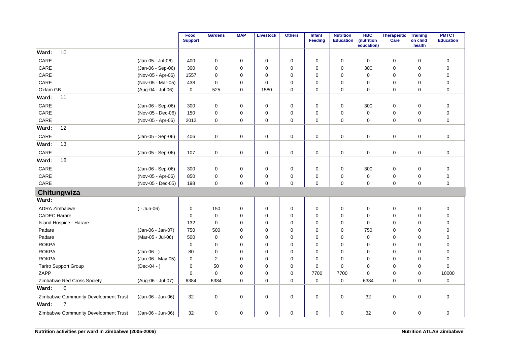|                                      |                   | Food<br><b>Support</b> | <b>Gardens</b> | <b>MAP</b>  | <b>Livestock</b> | <b>Others</b> | Infant<br><b>Feeding</b> | <b>Nutrition</b><br><b>Education</b> | <b>HBC</b><br>(nutrition<br>education) | <b>Therapeutic</b><br>Care | <b>Training</b><br>on child<br>health | <b>PMTCT</b><br><b>Education</b> |
|--------------------------------------|-------------------|------------------------|----------------|-------------|------------------|---------------|--------------------------|--------------------------------------|----------------------------------------|----------------------------|---------------------------------------|----------------------------------|
| 10<br>Ward:                          |                   |                        |                |             |                  |               |                          |                                      |                                        |                            |                                       |                                  |
| CARE                                 | (Jan-05 - Jul-06) | 400                    | $\mathbf 0$    | $\mathbf 0$ | 0                | 0             | 0                        | $\mathbf 0$                          | $\mathbf 0$                            | 0                          | 0                                     | $\mathbf 0$                      |
| CARE                                 | (Jan-06 - Sep-06) | 300                    | $\mathbf 0$    | $\Omega$    | 0                | 0             | $\Omega$                 | 0                                    | 300                                    | $\mathbf 0$                | $\mathbf 0$                           | $\mathbf 0$                      |
| CARE                                 | (Nov-05 - Apr-06) | 1557                   | $\mathbf 0$    | $\Omega$    | 0                | 0             | 0                        | 0                                    | $\mathbf 0$                            | 0                          | 0                                     | $\mathbf 0$                      |
| CARE                                 | (Nov-05 - Mar-05) | 438                    | 0              | 0           | 0                | 0             | 0                        | 0                                    | 0                                      | 0                          | 0                                     | 0                                |
| Oxfam GB                             | (Aug-04 - Jul-06) | $\mathbf 0$            | 525            | $\mathbf 0$ | 1580             | $\mathbf 0$   | 0                        | $\Omega$                             | $\Omega$                               | $\mathbf 0$                | $\Omega$                              | $\mathbf 0$                      |
| Ward:<br>11                          |                   |                        |                |             |                  |               |                          |                                      |                                        |                            |                                       |                                  |
| CARE                                 | (Jan-06 - Sep-06) | 300                    | $\mathbf 0$    | $\mathbf 0$ | $\mathbf 0$      | $\mathbf 0$   | 0                        | $\mathbf 0$                          | 300                                    | $\mathbf 0$                | $\mathbf 0$                           | $\mathbf 0$                      |
| CARE                                 | (Nov-05 - Dec-06) | 150                    | $\mathbf 0$    | $\Omega$    | 0                | 0             | 0                        | 0                                    | 0                                      | 0                          | $\mathbf 0$                           | $\mathbf 0$                      |
| CARE                                 | (Nov-05 - Apr-06) | 2012                   | 0              | 0           | 0                | $\mathbf 0$   | 0                        | 0                                    | 0                                      | 0                          | $\mathbf 0$                           | $\mathbf 0$                      |
| Ward:<br>12                          |                   |                        |                |             |                  |               |                          |                                      |                                        |                            |                                       |                                  |
| CARE                                 | (Jan-05 - Sep-06) | 406                    | $\mathbf 0$    | 0           | $\mathbf 0$      | $\mathbf 0$   | 0                        | $\mathbf 0$                          | 0                                      | $\mathsf 0$                | 0                                     | $\mathbf 0$                      |
| Ward:<br>13                          |                   |                        |                |             |                  |               |                          |                                      |                                        |                            |                                       |                                  |
| CARE                                 | (Jan-05 - Sep-06) | 107                    | $\mathbf 0$    | 0           | $\pmb{0}$        | $\mathbf 0$   | 0                        | 0                                    | 0                                      | $\mathsf 0$                | 0                                     | $\pmb{0}$                        |
| Ward:<br>18                          |                   |                        |                |             |                  |               |                          |                                      |                                        |                            |                                       |                                  |
| CARE                                 | (Jan-06 - Sep-06) | 300                    | $\mathbf 0$    | $\Omega$    | 0                | $\mathbf 0$   | 0                        | 0                                    | 300                                    | $\mathsf 0$                | 0                                     | $\pmb{0}$                        |
| CARE                                 | (Nov-05 - Apr-06) | 850                    | 0              | 0           | 0                | $\mathbf 0$   | 0                        | 0                                    | 0                                      | 0                          | 0                                     | $\pmb{0}$                        |
| CARE                                 | (Nov-05 - Dec-05) | 198                    | $\mathbf 0$    | 0           | $\mathbf 0$      | $\mathbf 0$   | 0                        | 0                                    | 0                                      | $\mathbf 0$                | 0                                     | 0                                |
| Chitungwiza                          |                   |                        |                |             |                  |               |                          |                                      |                                        |                            |                                       |                                  |
| Ward:                                |                   |                        |                |             |                  |               |                          |                                      |                                        |                            |                                       |                                  |
| <b>ADRA Zimbabwe</b>                 | $(-$ Jun-06)      | 0                      | 150            | 0           | 0                | 0             | 0                        | 0                                    | 0                                      | 0                          | 0                                     | $\mathbf 0$                      |
| <b>CADEC Harare</b>                  |                   | 0                      | 0              | 0           | 0                | 0             | 0                        | 0                                    | 0                                      | 0                          | 0                                     | $\mathbf 0$                      |
| Island Hospice - Harare              |                   | 132                    | $\mathbf 0$    | $\Omega$    | 0                | $\mathbf 0$   | 0                        | 0                                    | $\Omega$                               | 0                          | 0                                     | $\pmb{0}$                        |
| Padare                               | (Jan-06 - Jan-07) | 750                    | 500            | $\Omega$    | 0                | $\mathbf 0$   | $\Omega$                 | 0                                    | 750                                    | 0                          | $\mathbf 0$                           | 0                                |
| Padare                               | (Mar-05 - Jul-06) | 500                    | $\mathbf 0$    | $\Omega$    | 0                | 0             | $\Omega$                 | 0                                    | $\mathbf 0$                            | 0                          | $\mathbf 0$                           | $\mathbf 0$                      |
| <b>ROKPA</b>                         |                   | 0                      | 0              | $\Omega$    | 0                | 0             | 0                        | 0                                    | 0                                      | 0                          | 0                                     | $\mathbf 0$                      |
| <b>ROKPA</b>                         | $(Jan-06 - )$     | 80                     | 0              | $\mathbf 0$ | 0                | 0             | 0                        | 0                                    | 0                                      | 0                          | 0                                     | $\mathbf 0$                      |
| <b>ROKPA</b>                         | (Jan-06 - May-05) | $\mathbf 0$            | $\overline{2}$ | $\Omega$    | $\mathbf 0$      | $\mathbf 0$   | 0                        | $\Omega$                             | $\mathbf 0$                            | $\mathbf 0$                | $\mathbf 0$                           | $\mathbf 0$                      |
| Tariro Support Group                 | $(Dec-04 - )$     | $\mathbf 0$            | 50             | $\Omega$    | 0                | $\mathbf 0$   | 0                        | $\Omega$                             | $\Omega$                               | $\mathbf 0$                | $\mathbf 0$                           | 0                                |
| ZAPP                                 |                   | $\mathbf 0$            | $\mathbf 0$    | $\Omega$    | 0                | 0             | 7700                     | 7700                                 | 0                                      | 0                          | $\mathbf 0$                           | 10000                            |
| Zimbabwe Red Cross Society           | (Aug-06 - Jul-07) | 6384                   | 6384           | 0           | 0                | $\mathbf 0$   | 0                        | 0                                    | 6384                                   | 0                          | $\mathbf 0$                           | 0                                |
| 6<br>Ward:                           |                   |                        |                |             |                  |               |                          |                                      |                                        |                            |                                       |                                  |
| Zimbabwe Community Development Trust | (Jan-06 - Jun-06) | 32                     | $\mathbf 0$    | 0           | 0                | $\mathbf 0$   | 0                        | 0                                    | 32                                     | $\mathsf 0$                | 0                                     | $\mathbf 0$                      |
| $\overline{7}$<br>Ward:              |                   |                        |                |             |                  |               |                          |                                      |                                        |                            |                                       |                                  |
| Zimbabwe Community Development Trust | (Jan-06 - Jun-06) | 32                     | $\mathbf 0$    | 0           | 0                | 0             | 0                        | 0                                    | 32                                     | $\mathsf 0$                | 0                                     | $\pmb{0}$                        |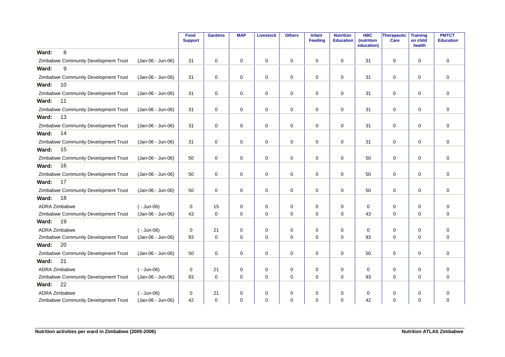|                                      |                   | Food<br><b>Support</b> | <b>Gardens</b> | <b>MAP</b>  | <b>Livestock</b> | <b>Others</b> | Infant<br>Feeding | <b>Nutrition</b><br><b>Education</b> | <b>HBC</b><br>(nutrition<br>education) | Therapeutic<br>Care | <b>Training</b><br>on child<br>health | <b>PMTCT</b><br><b>Education</b> |
|--------------------------------------|-------------------|------------------------|----------------|-------------|------------------|---------------|-------------------|--------------------------------------|----------------------------------------|---------------------|---------------------------------------|----------------------------------|
| 8<br>Ward:                           |                   |                        |                |             |                  |               |                   |                                      |                                        |                     |                                       |                                  |
| Zimbabwe Community Development Trust | (Jan-06 - Jun-06) | 31                     | 0              | 0           | 0                | 0             | 0                 | 0                                    | 31                                     | $\mathbf 0$         | 0                                     | $\mathbf 0$                      |
| Ward:<br>9                           |                   |                        |                |             |                  |               |                   |                                      |                                        |                     |                                       |                                  |
| Zimbabwe Community Development Trust | (Jan-06 - Jun-06) | 31                     | 0              | $\mathbf 0$ | 0                | 0             | 0                 | $\mathbf 0$                          | 31                                     | $\mathbf 0$         | $\mathbf 0$                           | $\mathbf 0$                      |
| 10<br>Ward:                          |                   |                        |                |             |                  |               |                   |                                      |                                        |                     |                                       |                                  |
| Zimbabwe Community Development Trust | (Jan-06 - Jun-06) | 31                     | 0              | $\mathbf 0$ | 0                | 0             | $\mathbf 0$       | 0                                    | 31                                     | $\mathbf 0$         | 0                                     | $\mathbf 0$                      |
| Ward:<br>11                          |                   |                        |                |             |                  |               |                   |                                      |                                        |                     |                                       |                                  |
| Zimbabwe Community Development Trust | (Jan-06 - Jun-06) | 31                     | 0              | 0           | 0                | $\mathbf 0$   | $\mathbf 0$       | $\mathbf 0$                          | 31                                     | $\mathbf 0$         | 0                                     | $\mathbf 0$                      |
| 13<br>Ward:                          |                   |                        |                |             |                  |               |                   |                                      |                                        |                     |                                       |                                  |
| Zimbabwe Community Development Trust | (Jan-06 - Jun-06) | 31                     | $\mathbf 0$    | $\mathbf 0$ | $\mathbf 0$      | $\mathbf 0$   | $\mathbf 0$       | $\mathbf 0$                          | 31                                     | $\mathbf 0$         | $\mathbf 0$                           | $\mathbf 0$                      |
| 14<br>Ward:                          |                   |                        |                |             |                  |               |                   |                                      |                                        |                     |                                       |                                  |
| Zimbabwe Community Development Trust | (Jan-06 - Jun-06) | 31                     | 0              | 0           | 0                | 0             | 0                 | $\mathbf 0$                          | 31                                     | $\mathbf 0$         | 0                                     | $\mathbf 0$                      |
| Ward:<br>15                          |                   |                        |                |             |                  |               |                   |                                      |                                        |                     |                                       |                                  |
| Zimbabwe Community Development Trust | (Jan-06 - Jun-06) | 50                     | 0              | 0           | 0                | 0             | 0                 | 0                                    | 50                                     | $\mathbf 0$         | 0                                     | $\mathbf 0$                      |
| Ward:<br>16                          |                   |                        |                |             |                  |               |                   |                                      |                                        |                     |                                       |                                  |
| Zimbabwe Community Development Trust | (Jan-06 - Jun-06) | 50                     | $\mathbf 0$    | $\mathbf 0$ | 0                | $\mathbf 0$   | $\mathbf 0$       | $\mathbf 0$                          | 50                                     | $\mathbf 0$         | $\Omega$                              | $\mathbf 0$                      |
| Ward:<br>17                          |                   |                        |                |             |                  |               |                   |                                      |                                        |                     |                                       |                                  |
| Zimbabwe Community Development Trust | (Jan-06 - Jun-06) | 50                     | 0              | 0           | 0                | 0             | 0                 | 0                                    | 50                                     | $\mathbf 0$         | 0                                     | $\mathbf 0$                      |
| Ward:<br>18                          |                   |                        |                |             |                  |               |                   |                                      |                                        |                     |                                       |                                  |
| <b>ADRA Zimbabwe</b>                 | $(-$ Jun-06)      | 0                      | 15             | 0           | 0                | 0             | 0                 | 0                                    | 0                                      | 0                   | 0                                     | $\mathbf 0$                      |
| Zimbabwe Community Development Trust | (Jan-06 - Jun-06) | 43                     | $\mathbf 0$    | 0           | $\mathbf 0$      | $\mathbf 0$   | $\mathbf 0$       | 0                                    | 43                                     | $\mathbf 0$         | 0                                     | $\mathbf 0$                      |
| 19<br>Ward:                          |                   |                        |                |             |                  |               |                   |                                      |                                        |                     |                                       |                                  |
| <b>ADRA Zimbabwe</b>                 | $(-$ Jun-06)      | 0                      | 21             | 0           | 0                | $\pmb{0}$     | 0                 | 0                                    | 0                                      | 0                   | 0                                     | $\mathbf 0$                      |
| Zimbabwe Community Development Trust | (Jan-06 - Jun-06) | 93                     | 0              | 0           | 0                | 0             | $\mathbf 0$       | $\mathbf 0$                          | 93                                     | 0                   | 0                                     | $\mathbf 0$                      |
| Ward:<br>20                          |                   |                        |                |             |                  |               |                   |                                      |                                        |                     |                                       |                                  |
| Zimbabwe Community Development Trust | (Jan-06 - Jun-06) | 50                     | $\mathbf 0$    | $\mathbf 0$ | $\mathbf 0$      | $\pmb{0}$     | 0                 | $\pmb{0}$                            | 50                                     | 0                   | 0                                     | $\mathbf 0$                      |
| Ward:<br>21                          |                   |                        |                |             |                  |               |                   |                                      |                                        |                     |                                       |                                  |
| <b>ADRA Zimbabwe</b>                 | $(-$ Jun-06)      | $\mathbf 0$            | 21             | 0           | 0                | 0             | $\mathbf 0$       | $\mathbf 0$                          | 0                                      | 0                   | $\mathbf 0$                           | $\mathbf 0$                      |
| Zimbabwe Community Development Trust | (Jan-06 - Jun-06) | 93                     | $\Omega$       | $\Omega$    | $\mathbf 0$      | $\Omega$      | $\Omega$          | $\Omega$                             | 93                                     | $\mathbf 0$         | $\Omega$                              | $\Omega$                         |
| 22<br>Ward:                          |                   |                        |                |             |                  |               |                   |                                      |                                        |                     |                                       |                                  |
| <b>ADRA Zimbabwe</b>                 | $(-$ Jun-06)      | $\mathbf 0$            | 21             | 0           | 0                | 0             | 0                 | $\mathbf 0$                          | 0                                      | 0                   | $\Omega$                              | 0                                |
| Zimbabwe Community Development Trust | (Jan-06 - Jun-06) | 42                     | $\Omega$       | $\Omega$    | $\Omega$         | $\Omega$      | $\Omega$          | $\Omega$                             | 42                                     | $\Omega$            | $\Omega$                              | $\mathbf 0$                      |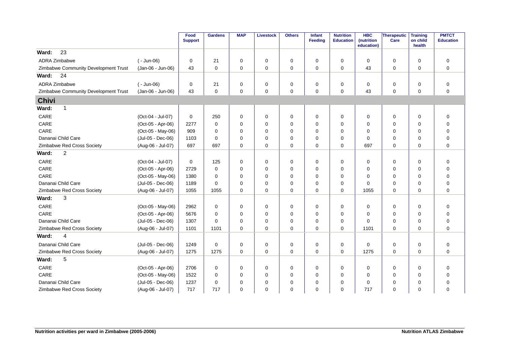|                                      |                   | Food<br><b>Support</b> | <b>Gardens</b> | <b>MAP</b>  | <b>Livestock</b> | <b>Others</b> | Infant<br>Feeding | <b>Nutrition</b><br><b>Education</b> | <b>HBC</b><br>(nutrition<br>education) | <b>Therapeutic</b><br>Care | <b>Training</b><br>on child<br>health | <b>PMTCT</b><br><b>Education</b> |
|--------------------------------------|-------------------|------------------------|----------------|-------------|------------------|---------------|-------------------|--------------------------------------|----------------------------------------|----------------------------|---------------------------------------|----------------------------------|
| 23<br>Ward:                          |                   |                        |                |             |                  |               |                   |                                      |                                        |                            |                                       |                                  |
| ADRA Zimbabwe                        | $(-$ Jun-06)      | 0                      | 21             | 0           | 0                | 0             | 0                 | $\mathbf 0$                          | $\mathbf 0$                            | 0                          | $\mathbf 0$                           | 0                                |
| Zimbabwe Community Development Trust | (Jan-06 - Jun-06) | 43                     | $\mathbf 0$    | $\mathbf 0$ | $\mathbf 0$      | $\mathbf 0$   | 0                 | $\mathbf 0$                          | 43                                     | 0                          | $\mathbf 0$                           | 0                                |
| Ward:<br>24                          |                   |                        |                |             |                  |               |                   |                                      |                                        |                            |                                       |                                  |
| ADRA Zimbabwe                        | $(-$ Jun-06)      | 0                      | 21             | $\mathbf 0$ | 0                | $\mathbf 0$   | $\mathbf 0$       | $\mathbf 0$                          | $\mathbf 0$                            | 0                          | $\mathbf 0$                           | 0                                |
| Zimbabwe Community Development Trust | (Jan-06 - Jun-06) | 43                     | $\mathbf 0$    | $\mathbf 0$ | $\mathbf 0$      | $\mathbf 0$   | 0                 | $\mathbf 0$                          | 43                                     | 0                          | $\mathbf 0$                           | 0                                |
| <b>Chivi</b>                         |                   |                        |                |             |                  |               |                   |                                      |                                        |                            |                                       |                                  |
| Ward:<br>$\mathbf{1}$                |                   |                        |                |             |                  |               |                   |                                      |                                        |                            |                                       |                                  |
| CARE                                 | (Oct-04 - Jul-07) | $\mathbf 0$            | 250            | $\mathbf 0$ | 0                | $\mathbf 0$   | $\mathbf 0$       | $\mathbf 0$                          | $\mathbf 0$                            | $\mathbf 0$                | $\mathbf 0$                           | 0                                |
| CARE                                 | (Oct-05 - Apr-06) | 2277                   | $\Omega$       | $\Omega$    | $\Omega$         | $\mathbf 0$   | $\Omega$          | $\Omega$                             | $\mathbf 0$                            | 0                          | $\Omega$                              | $\mathbf 0$                      |
| CARE                                 | (Oct-05 - May-06) | 909                    | $\Omega$       | 0           | $\Omega$         | 0             | 0                 | $\Omega$                             | $\mathbf 0$                            | 0                          | $\Omega$                              | $\mathbf 0$                      |
| Dananai Child Care                   | (Jul-05 - Dec-06) | 1103                   | $\Omega$       | $\Omega$    | $\Omega$         | 0             | $\Omega$          | $\Omega$                             | $\Omega$                               | 0                          | $\Omega$                              | $\mathbf 0$                      |
| Zimbabwe Red Cross Society           | (Aug-06 - Jul-07) | 697                    | 697            | $\Omega$    | 0                | $\mathbf 0$   | $\Omega$          | $\Omega$                             | 697                                    | $\mathbf 0$                | $\Omega$                              | 0                                |
| 2<br>Ward:                           |                   |                        |                |             |                  |               |                   |                                      |                                        |                            |                                       |                                  |
| CARE                                 | (Oct-04 - Jul-07) | $\mathbf 0$            | 125            | $\mathbf 0$ | 0                | 0             | $\Omega$          | $\mathbf 0$                          | $\mathbf 0$                            | 0                          | $\mathbf 0$                           | $\mathbf 0$                      |
| CARE                                 | (Oct-05 - Apr-06) | 2729                   | 0              | $\mathbf 0$ | 0                | 0             | $\Omega$          | $\mathbf 0$                          | 0                                      | 0                          | $\mathbf 0$                           | 0                                |
| CARE                                 | (Oct-05 - May-06) | 1380                   | 0              | $\mathbf 0$ | 0                | $\mathbf 0$   | $\Omega$          | $\mathbf 0$                          | $\mathbf 0$                            | 0                          | $\mathbf 0$                           | $\mathbf 0$                      |
| Dananai Child Care                   | (Jul-05 - Dec-06) | 1189                   | $\Omega$       | $\mathbf 0$ | 0                | 0             | $\Omega$          | $\mathbf 0$                          | $\Omega$                               | $\mathbf 0$                | $\mathbf 0$                           | 0                                |
| Zimbabwe Red Cross Society           | (Aug-06 - Jul-07) | 1055                   | 1055           | $\Omega$    | $\mathbf 0$      | $\mathbf 0$   | $\Omega$          | $\Omega$                             | 1055                                   | $\mathbf 0$                | $\Omega$                              | 0                                |
| 3<br>Ward:                           |                   |                        |                |             |                  |               |                   |                                      |                                        |                            |                                       |                                  |
| CARE                                 | (Oct-05 - May-06) | 2962                   | 0              | $\mathbf 0$ | 0                | $\mathbf 0$   | $\mathbf 0$       | $\mathbf 0$                          | $\mathbf 0$                            | 0                          | $\mathbf 0$                           | 0                                |
| CARE                                 | (Oct-05 - Apr-06) | 5676                   | 0              | $\mathbf 0$ | $\Omega$         | 0             | $\Omega$          | $\mathbf 0$                          | $\mathbf 0$                            | 0                          | $\mathbf 0$                           | 0                                |
| Dananai Child Care                   | (Jul-05 - Dec-06) | 1307                   | $\Omega$       | $\mathbf 0$ | 0                | 0             | $\Omega$          | $\mathbf 0$                          | $\Omega$                               | 0                          | $\mathbf 0$                           | 0                                |
| Zimbabwe Red Cross Society           | (Aug-06 - Jul-07) | 1101                   | 1101           | $\Omega$    | 0                | $\mathbf 0$   | $\Omega$          | $\mathbf 0$                          | 1101                                   | 0                          | $\Omega$                              | 0                                |
| Ward:<br>$\overline{4}$              |                   |                        |                |             |                  |               |                   |                                      |                                        |                            |                                       |                                  |
| Dananai Child Care                   | (Jul-05 - Dec-06) | 1249                   | $\mathbf 0$    | $\mathbf 0$ | 0                | $\mathbf 0$   | 0                 | $\mathbf 0$                          | $\mathbf 0$                            | 0                          | 0                                     | $\mathbf 0$                      |
| Zimbabwe Red Cross Society           | (Aug-06 - Jul-07) | 1275                   | 1275           | $\Omega$    | 0                | $\mathbf 0$   | $\Omega$          | $\Omega$                             | 1275                                   | $\mathbf 0$                | $\Omega$                              | $\Omega$                         |
| 5<br>Ward:                           |                   |                        |                |             |                  |               |                   |                                      |                                        |                            |                                       |                                  |
| CARE                                 | (Oct-05 - Apr-06) | 2706                   | 0              | $\mathbf 0$ | 0                | 0             | 0                 | $\mathbf 0$                          | $\mathbf 0$                            | 0                          | $\mathbf 0$                           | $\mathbf 0$                      |
| CARE                                 | (Oct-05 - May-06) | 1522                   | 0              | $\mathbf 0$ | 0                | 0             | 0                 | $\mathbf 0$                          | 0                                      | 0                          | $\mathbf 0$                           | 0                                |
| Dananai Child Care                   | (Jul-05 - Dec-06) | 1237                   | 0              | 0           | 0                | 0             | 0                 | $\mathbf 0$                          | $\mathbf 0$                            | 0                          | $\mathbf 0$                           | 0                                |
| Zimbabwe Red Cross Society           | (Aug-06 - Jul-07) | 717                    | 717            | $\Omega$    | 0                | $\mathbf 0$   | $\Omega$          | $\mathbf 0$                          | 717                                    | 0                          | $\mathbf 0$                           | 0                                |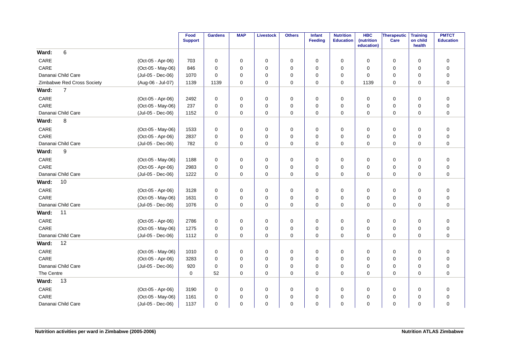|                            |                   | Food<br><b>Support</b> | <b>Gardens</b> | <b>MAP</b>  | <b>Livestock</b> | <b>Others</b> | Infant<br><b>Feeding</b> | <b>Nutrition</b><br><b>Education</b> | <b>HBC</b><br>(nutrition<br>education) | Therapeutic<br>Care | <b>Training</b><br>on child<br>health | <b>PMTCT</b><br><b>Education</b> |
|----------------------------|-------------------|------------------------|----------------|-------------|------------------|---------------|--------------------------|--------------------------------------|----------------------------------------|---------------------|---------------------------------------|----------------------------------|
| 6<br>Ward:                 |                   |                        |                |             |                  |               |                          |                                      |                                        |                     |                                       |                                  |
| CARE                       | (Oct-05 - Apr-06) | 703                    | 0              | 0           | 0                | 0             | 0                        | 0                                    | $\Omega$                               | 0                   | 0                                     | 0                                |
| CARE                       | (Oct-05 - May-06) | 846                    | $\mathbf 0$    | 0           | 0                | $\pmb{0}$     | $\mathbf 0$              | 0                                    | $\Omega$                               | 0                   | 0                                     | $\mathbf 0$                      |
| Dananai Child Care         | (Jul-05 - Dec-06) | 1070                   | $\mathbf 0$    | 0           | $\mathbf 0$      | $\pmb{0}$     | $\mathbf 0$              | $\mathbf 0$                          | $\Omega$                               | 0                   | $\mathbf 0$                           | 0                                |
| Zimbabwe Red Cross Society | (Aug-06 - Jul-07) | 1139                   | 1139           | $\mathbf 0$ | $\mathbf 0$      | $\mathbf 0$   | $\mathbf 0$              | $\mathbf 0$                          | 1139                                   | $\mathbf 0$         | $\mathbf 0$                           | $\mathbf 0$                      |
| $\overline{7}$<br>Ward:    |                   |                        |                |             |                  |               |                          |                                      |                                        |                     |                                       |                                  |
| CARE                       | (Oct-05 - Apr-06) | 2492                   | $\mathbf 0$    | 0           | 0                | 0             | 0                        | 0                                    | $\Omega$                               | $\mathbf 0$         | 0                                     | $\mathbf 0$                      |
| CARE                       | (Oct-05 - May-06) | 237                    | $\mathbf 0$    | 0           | 0                | 0             | $\mathbf 0$              | 0                                    | $\Omega$                               | 0                   | 0                                     | $\mathbf 0$                      |
| Dananai Child Care         | (Jul-05 - Dec-06) | 1152                   | $\mathbf 0$    | $\mathbf 0$ | $\mathbf 0$      | $\mathbf 0$   | $\mathbf 0$              | $\mathbf 0$                          | $\mathbf 0$                            | $\pmb{0}$           | 0                                     | $\mathbf 0$                      |
| 8<br>Ward:                 |                   |                        |                |             |                  |               |                          |                                      |                                        |                     |                                       |                                  |
| CARE                       | (Oct-05 - May-06) | 1533                   | $\mathbf 0$    | 0           | $\mathbf 0$      | $\pmb{0}$     | $\mathbf 0$              | 0                                    | $\mathbf 0$                            | 0                   | 0                                     | $\mathbf 0$                      |
| CARE                       | (Oct-05 - Apr-06) | 2837                   | $\mathbf 0$    | 0           | $\mathbf 0$      | $\mathbf 0$   | $\Omega$                 | $\Omega$                             | $\Omega$                               | $\mathbf 0$         | $\Omega$                              | $\mathbf 0$                      |
| Dananai Child Care         | (Jul-05 - Dec-06) | 782                    | $\mathbf 0$    | 0           | $\mathbf 0$      | $\mathbf 0$   | 0                        | 0                                    | $\Omega$                               | $\mathbf 0$         | 0                                     | $\mathbf 0$                      |
| 9<br>Ward:                 |                   |                        |                |             |                  |               |                          |                                      |                                        |                     |                                       |                                  |
| CARE                       | (Oct-05 - May-06) | 1188                   | 0              | 0           | 0                | 0             | $\mathbf 0$              | $\mathbf 0$                          | 0                                      | $\mathbf 0$         | $\mathbf 0$                           | $\mathbf 0$                      |
| CARE                       | (Oct-05 - Apr-06) | 2983                   | $\mathbf 0$    | 0           | 0                | 0             | $\mathbf 0$              | $\mathbf 0$                          | 0                                      | 0                   | $\mathbf 0$                           | $\mathbf 0$                      |
| Dananai Child Care         | (Jul-05 - Dec-06) | 1222                   | $\mathbf 0$    | $\mathbf 0$ | 0                | 0             | $\mathbf 0$              | $\mathbf 0$                          | 0                                      | $\mathbf 0$         | $\mathbf 0$                           | $\mathbf 0$                      |
| Ward:<br>10                |                   |                        |                |             |                  |               |                          |                                      |                                        |                     |                                       |                                  |
| CARE                       | (Oct-05 - Apr-06) | 3128                   | $\mathbf 0$    | 0           | 0                | $\pmb{0}$     | 0                        | 0                                    | $\Omega$                               | $\pmb{0}$           | 0                                     | 0                                |
| CARE                       | (Oct-05 - May-06) | 1631                   | $\mathbf 0$    | 0           | 0                | 0             | $\mathbf 0$              | $\mathbf 0$                          | $\mathbf 0$                            | 0                   | $\mathbf 0$                           | $\mathbf 0$                      |
| Dananai Child Care         | (Jul-05 - Dec-06) | 1076                   | $\Omega$       | $\Omega$    | $\mathbf 0$      | $\mathbf 0$   | 0                        | $\Omega$                             | $\Omega$                               | $\mathbf 0$         | $\Omega$                              | $\mathbf 0$                      |
| 11<br>Ward:                |                   |                        |                |             |                  |               |                          |                                      |                                        |                     |                                       |                                  |
| CARE                       | (Oct-05 - Apr-06) | 2786                   | 0              | 0           | 0                | $\pmb{0}$     | 0                        | 0                                    | 0                                      | 0                   | 0                                     | $\mathbf 0$                      |
| CARE                       | (Oct-05 - May-06) | 1275                   | $\mathbf 0$    | 0           | $\mathbf 0$      | $\pmb{0}$     | $\mathbf 0$              | $\mathbf 0$                          | $\mathbf 0$                            | 0                   | $\mathbf 0$                           | $\mathbf 0$                      |
| Dananai Child Care         | (Jul-05 - Dec-06) | 1112                   | $\mathbf 0$    | 0           | 0                | $\pmb{0}$     | $\mathbf 0$              | $\mathbf 0$                          | $\mathbf 0$                            | $\mathbf 0$         | $\mathbf 0$                           | $\mathbf 0$                      |
| 12<br>Ward:                |                   |                        |                |             |                  |               |                          |                                      |                                        |                     |                                       |                                  |
| CARE                       | (Oct-05 - May-06) | 1010                   | $\mathbf 0$    | 0           | 0                | 0             | 0                        | 0                                    | $\Omega$                               | $\mathbf 0$         | $\mathbf 0$                           | 0                                |
| CARE                       | (Oct-05 - Apr-06) | 3283                   | $\mathbf 0$    | 0           | 0                | $\mathbf 0$   | 0                        | 0                                    | $\Omega$                               | 0                   | $\mathbf 0$                           | $\mathbf 0$                      |
| Dananai Child Care         | (Jul-05 - Dec-06) | 920                    | 0              | 0           | 0                | 0             | $\mathbf 0$              | 0                                    | 0                                      | 0                   | 0                                     | $\mathbf 0$                      |
| The Centre                 |                   | 0                      | 52             | $\mathbf 0$ | $\mathbf 0$      | $\mathbf 0$   | $\mathbf 0$              | $\mathbf 0$                          | $\mathbf 0$                            | $\mathbf 0$         | $\mathbf 0$                           | $\mathbf 0$                      |
| Ward:<br>13                |                   |                        |                |             |                  |               |                          |                                      |                                        |                     |                                       |                                  |
| CARE                       | (Oct-05 - Apr-06) | 3190                   | 0              | 0           | 0                | 0             | 0                        | 0                                    | 0                                      | 0                   | 0                                     | 0                                |
| CARE                       | (Oct-05 - May-06) | 1161                   | $\mathbf 0$    | 0           | 0                | 0             | $\Omega$                 | $\Omega$                             | $\Omega$                               | 0                   | $\mathbf 0$                           | $\mathbf 0$                      |
| Dananai Child Care         | (Jul-05 - Dec-06) | 1137                   | $\Omega$       | 0           | $\mathbf 0$      | $\mathbf 0$   | 0                        | $\Omega$                             | $\Omega$                               | $\mathbf 0$         | $\mathbf 0$                           | $\mathbf 0$                      |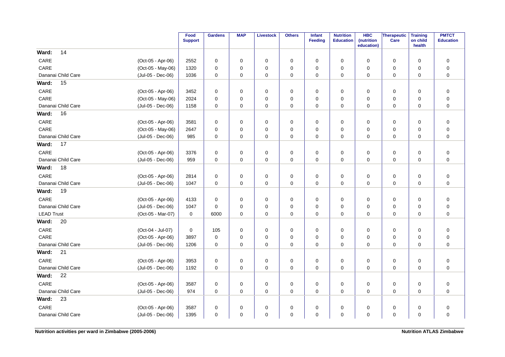|                    |                                        | Food<br><b>Support</b> | <b>Gardens</b> | <b>MAP</b>  | <b>Livestock</b> | <b>Others</b> | Infant<br>Feeding | <b>Nutrition</b><br><b>Education</b> | <b>HBC</b><br>(nutrition | <b>Therapeutic</b><br>Care | <b>Training</b><br>on child | <b>PMTCT</b><br><b>Education</b> |
|--------------------|----------------------------------------|------------------------|----------------|-------------|------------------|---------------|-------------------|--------------------------------------|--------------------------|----------------------------|-----------------------------|----------------------------------|
| 14<br>Ward:        |                                        |                        |                |             |                  |               |                   |                                      | education)               |                            | health                      |                                  |
| CARE               | (Oct-05 - Apr-06)                      | 2552                   | $\mathbf 0$    | 0           | $\mathbf 0$      | $\mathbf 0$   | $\mathbf 0$       | $\mathbf 0$                          | $\mathbf 0$              | $\mathbf 0$                | $\mathbf 0$                 | $\mathbf 0$                      |
| CARE               | (Oct-05 - May-06)                      | 1320                   | $\mathbf 0$    | 0           | $\mathbf 0$      | $\mathbf 0$   | $\Omega$          | 0                                    | $\mathbf 0$              | $\mathbf 0$                | $\mathbf 0$                 | $\mathbf 0$                      |
| Dananai Child Care | (Jul-05 - Dec-06)                      | 1036                   | 0              | 0           | $\mathbf 0$      | 0             | 0                 | 0                                    | 0                        | 0                          | $\mathbf 0$                 | $\pmb{0}$                        |
| 15<br>Ward:        |                                        |                        |                |             |                  |               |                   |                                      |                          |                            |                             |                                  |
| CARE               | (Oct-05 - Apr-06)                      | 3452                   | $\mathbf 0$    | $\mathbf 0$ | 0                | $\mathbf 0$   | $\mathbf 0$       | $\mathbf 0$                          | $\mathbf 0$              | 0                          | $\mathbf 0$                 | $\mathbf 0$                      |
| CARE               | (Oct-05 - May-06)                      | 2024                   | $\mathbf 0$    | 0           | $\mathbf 0$      | $\mathbf 0$   | $\mathbf 0$       | $\mathbf 0$                          | $\mathbf 0$              | 0                          | $\mathbf 0$                 | $\mathbf 0$                      |
| Dananai Child Care | (Jul-05 - Dec-06)                      | 1158                   | $\mathbf 0$    | 0           | 0                | $\mathbf 0$   | 0                 | $\mathbf 0$                          | 0                        | 0                          | $\mathbf 0$                 | $\mathbf 0$                      |
| Ward:<br>16        |                                        |                        |                |             |                  |               |                   |                                      |                          |                            |                             |                                  |
| CARE               |                                        | 3581                   | 0              | $\mathbf 0$ | 0                | $\mathbf 0$   | $\mathbf 0$       | 0                                    |                          | 0                          | $\mathbf 0$                 |                                  |
| CARE               | (Oct-05 - Apr-06)<br>(Oct-05 - May-06) | 2647                   | 0              | 0           | 0                | 0             | $\mathbf 0$       | $\mathbf 0$                          | 0<br>0                   | 0                          | $\mathbf 0$                 | $\pmb{0}$<br>$\mathbf 0$         |
| Dananai Child Care | (Jul-05 - Dec-06)                      | 985                    | $\mathbf 0$    | 0           | 0                | 0             | $\mathbf 0$       | $\mathbf 0$                          | $\Omega$                 | $\mathbf 0$                | $\mathbf 0$                 | $\mathbf 0$                      |
| 17<br>Ward:        |                                        |                        |                |             |                  |               |                   |                                      |                          |                            |                             |                                  |
| CARE               |                                        |                        |                |             |                  |               |                   |                                      |                          |                            |                             |                                  |
| Dananai Child Care | (Oct-05 - Apr-06)                      | 3376<br>959            | 0<br>0         | 0<br>0      | $\mathbf 0$<br>0 | 0             | 0<br>0            | 0<br>0                               | 0<br>0                   | $\mathbf 0$                | $\mathbf 0$<br>0            | $\mathbf 0$<br>$\mathbf 0$       |
| 18<br>Ward:        | (Jul-05 - Dec-06)                      |                        |                |             |                  | 0             |                   |                                      |                          | 0                          |                             |                                  |
|                    |                                        |                        |                |             |                  |               |                   |                                      |                          |                            |                             |                                  |
| CARE               | (Oct-05 - Apr-06)                      | 2814                   | 0              | 0           | 0                | $\pmb{0}$     | 0                 | 0                                    | 0                        | 0                          | $\mathbf 0$                 | $\pmb{0}$                        |
| Dananai Child Care | (Jul-05 - Dec-06)                      | 1047                   | 0              | 0           | 0                | 0             | 0                 | 0                                    | 0                        | 0                          | $\mathbf 0$                 | $\mathbf 0$                      |
| 19<br>Ward:        |                                        |                        |                |             |                  |               |                   |                                      |                          |                            |                             |                                  |
| CARE               | (Oct-05 - Apr-06)                      | 4133                   | $\mathbf 0$    | 0           | 0                | 0             | $\mathbf 0$       | 0                                    | 0                        | 0                          | $\mathbf 0$                 | $\mathbf 0$                      |
| Dananai Child Care | (Jul-05 - Dec-06)                      | 1047                   | $\Omega$       | 0           | 0                | 0             | $\Omega$          | 0                                    | $\mathbf 0$              | 0                          | $\mathbf 0$                 | $\pmb{0}$                        |
| <b>LEAD Trust</b>  | (Oct-05 - Mar-07)                      | $\mathbf 0$            | 6000           | $\Omega$    | $\mathbf 0$      | $\mathbf 0$   | $\Omega$          | $\Omega$                             | $\Omega$                 | $\mathbf 0$                | $\Omega$                    | $\mathbf 0$                      |
| Ward:<br>20        |                                        |                        |                |             |                  |               |                   |                                      |                          |                            |                             |                                  |
| CARE               | (Oct-04 - Jul-07)                      | 0                      | 105            | 0           | 0                | 0             | $\mathbf 0$       | 0                                    | 0                        | 0                          | $\mathbf 0$                 | $\mathbf 0$                      |
| CARE               | (Oct-05 - Apr-06)                      | 3897                   | 0              | 0           | $\mathbf 0$      | 0             | $\mathbf 0$       | 0                                    | $\mathbf 0$              | 0                          | $\mathbf 0$                 | $\mathbf 0$                      |
| Dananai Child Care | (Jul-05 - Dec-06)                      | 1206                   | $\mathbf 0$    | 0           | 0                | $\mathbf 0$   | 0                 | $\mathbf 0$                          | 0                        | 0                          | $\mathbf 0$                 | $\mathbf 0$                      |
| Ward:<br>21        |                                        |                        |                |             |                  |               |                   |                                      |                          |                            |                             |                                  |
| CARE               | (Oct-05 - Apr-06)                      | 3953                   | 0              | 0           | $\mathbf 0$      | 0             | 0                 | 0                                    | 0                        | 0                          | $\mathbf 0$                 | $\mathbf 0$                      |
| Dananai Child Care | (Jul-05 - Dec-06)                      | 1192                   | $\mathbf 0$    | 0           | 0                | $\mathbf 0$   | $\mathbf 0$       | $\mathbf 0$                          | 0                        | 0                          | $\mathbf 0$                 | $\mathbf 0$                      |
| Ward:<br>22        |                                        |                        |                |             |                  |               |                   |                                      |                          |                            |                             |                                  |
| CARE               | (Oct-05 - Apr-06)                      | 3587                   | 0              | 0           | 0                | 0             | 0                 | 0                                    | 0                        | 0                          | 0                           | 0                                |
| Dananai Child Care | (Jul-05 - Dec-06)                      | 974                    | $\mathbf 0$    | 0           | 0                | $\mathbf 0$   | $\mathbf 0$       | 0                                    | $\mathbf 0$              | 0                          | $\mathbf 0$                 | $\mathbf 0$                      |
| 23<br>Ward:        |                                        |                        |                |             |                  |               |                   |                                      |                          |                            |                             |                                  |
| CARE               | (Oct-05 - Apr-06)                      | 3587                   | 0              | 0           | 0                | 0             | $\mathbf 0$       | $\mathbf 0$                          | 0                        | 0                          | $\mathbf 0$                 | $\pmb{0}$                        |
| Dananai Child Care | (Jul-05 - Dec-06)                      | 1395                   | $\mathbf 0$    | 0           | $\mathbf 0$      | 0             | $\mathbf 0$       | 0                                    | $\mathbf 0$              | $\mathbf 0$                | $\mathbf 0$                 | $\pmb{0}$                        |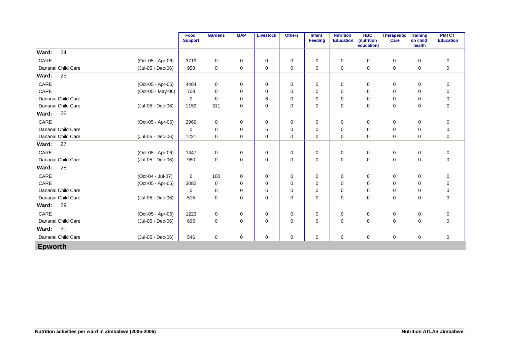|                    |                   | Food<br><b>Support</b> | <b>Gardens</b> | <b>MAP</b>  | Livestock | <b>Others</b> | Infant<br>Feeding | <b>Nutrition</b><br><b>Education</b> | <b>HBC</b><br>(nutrition<br>education) | Therapeutic<br>Care | <b>Training</b><br>on child<br>health | <b>PMTCT</b><br><b>Education</b> |
|--------------------|-------------------|------------------------|----------------|-------------|-----------|---------------|-------------------|--------------------------------------|----------------------------------------|---------------------|---------------------------------------|----------------------------------|
| 24<br>Ward:        |                   |                        |                |             |           |               |                   |                                      |                                        |                     |                                       |                                  |
| CARE               | (Oct-05 - Apr-06) | 3719                   | $\mathbf 0$    | 0           | 0         | 0             | 0                 | 0                                    | 0                                      | 0                   | $\mathbf 0$                           | $\mathbf 0$                      |
| Dananai Child Care | (Jul-05 - Dec-06) | 958                    | 0              | 0           | 0         | 0             | 0                 | 0                                    | 0                                      | 0                   | 0                                     | $\mathbf 0$                      |
| 25<br>Ward:        |                   |                        |                |             |           |               |                   |                                      |                                        |                     |                                       |                                  |
| CARE               | (Oct-05 - Apr-06) | 4484                   | 0              | 0           | 0         | 0             | 0                 | 0                                    | 0                                      | 0                   | $\mathbf 0$                           | $\mathbf 0$                      |
| CARE               | (Oct-05 - May-06) | 708                    | 0              | 0           | 0         | 0             | 0                 | 0                                    | 0                                      | 0                   | $\mathbf 0$                           | 0                                |
| Dananai Child Care |                   | $\mathbf 0$            | $\mathbf 0$    | 0           | 6         | 0             | 0                 | 0                                    | 0                                      | 0                   | $\mathbf 0$                           | $\mathbf 0$                      |
| Dananai Child Care | (Jul-05 - Dec-06) | 1159                   | 311            | 0           | 0         | 0             | 0                 | $\mathbf 0$                          | 0                                      | 0                   | $\mathbf 0$                           | $\mathbf 0$                      |
| 26<br>Ward:        |                   |                        |                |             |           |               |                   |                                      |                                        |                     |                                       |                                  |
| CARE               | (Oct-05 - Apr-06) | 2969                   | 0              | 0           | 0         | 0             | 0                 | 0                                    | 0                                      | 0                   | 0                                     | 0                                |
| Dananai Child Care |                   | $\Omega$               | $\mathbf 0$    | $\Omega$    | 6         | $\mathbf 0$   | $\Omega$          | $\Omega$                             | 0                                      | 0                   | $\mathbf 0$                           | $\mathbf 0$                      |
| Dananai Child Care | (Jul-05 - Dec-06) | 1231                   | $\mathbf 0$    | 0           | 0         | 0             | 0                 | 0                                    | 0                                      | 0                   | $\mathbf 0$                           | $\mathbf 0$                      |
| 27<br>Ward:        |                   |                        |                |             |           |               |                   |                                      |                                        |                     |                                       |                                  |
| CARE               | (Oct-05 - Apr-06) | 1347                   | $\mathbf 0$    | 0           | 0         | 0             | 0                 | 0                                    | 0                                      | 0                   | $\mathbf 0$                           | 0                                |
| Dananai Child Care | (Jul-05 - Dec-06) | 980                    | $\mathbf 0$    | $\mathbf 0$ | 0         | 0             | $\mathbf 0$       | $\mathbf 0$                          | $\mathbf 0$                            | 0                   | $\mathbf 0$                           | $\mathbf 0$                      |
| 28<br>Ward:        |                   |                        |                |             |           |               |                   |                                      |                                        |                     |                                       |                                  |
| CARE               | (Oct-04 - Jul-07) | 0                      | 100            | 0           | 0         | 0             | 0                 | 0                                    | 0                                      | 0                   | $\mathbf 0$                           | 0                                |
| CARE               | (Oct-05 - Apr-06) | 3082                   | $\mathbf 0$    | 0           | 0         | 0             | 0                 | $\mathbf 0$                          | 0                                      | 0                   | $\mathbf 0$                           | $\mathbf 0$                      |
| Dananai Child Care |                   | 0                      | 0              | 0           | 6         | 0             | 0                 | 0                                    | 0                                      | 0                   | $\mathbf 0$                           | $\mathbf 0$                      |
| Dananai Child Care | (Jul-05 - Dec-06) | 515                    | $\mathbf 0$    | $\Omega$    | 0         | $\mathbf 0$   | 0                 | $\mathbf 0$                          | $\Omega$                               | 0                   | $\mathbf 0$                           | $\mathbf 0$                      |
| 29<br>Ward:        |                   |                        |                |             |           |               |                   |                                      |                                        |                     |                                       |                                  |
| CARE               | (Oct-05 - Apr-06) | 1223                   | 0              | 0           | 0         | 0             | 0                 | 0                                    | 0                                      | 0                   | $\mathbf 0$                           | $\mathbf 0$                      |
| Dananai Child Care | (Jul-05 - Dec-06) | 695                    | $\mathbf 0$    | $\mathbf 0$ | 0         | 0             | 0                 | $\mathbf 0$                          | 0                                      | 0                   | $\mathbf 0$                           | $\mathbf 0$                      |
| 30<br>Ward:        |                   |                        |                |             |           |               |                   |                                      |                                        |                     |                                       |                                  |
| Dananai Child Care | (Jul-05 - Dec-06) | 546                    | 0              | 0           | 0         | 0             | 0                 | 0                                    | 0                                      | 0                   | 0                                     | $\mathbf 0$                      |
| <b>Epworth</b>     |                   |                        |                |             |           |               |                   |                                      |                                        |                     |                                       |                                  |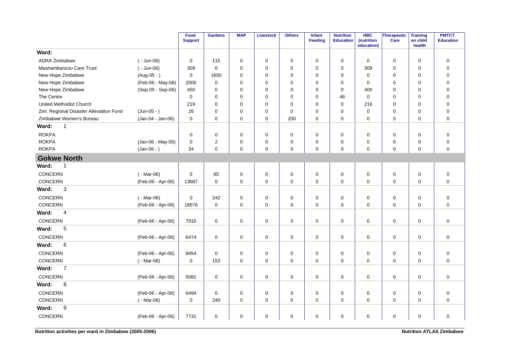|                                         |                   | Food<br><b>Support</b> | <b>Gardens</b> | <b>MAP</b>  | <b>Livestock</b> | <b>Others</b> | Infant<br><b>Feeding</b> | <b>Nutrition</b><br><b>Education</b> | <b>HBC</b><br>(nutrition<br>education) | <b>Therapeutic</b><br>Care | <b>Training</b><br>on child<br>health | <b>PMTCT</b><br><b>Education</b> |
|-----------------------------------------|-------------------|------------------------|----------------|-------------|------------------|---------------|--------------------------|--------------------------------------|----------------------------------------|----------------------------|---------------------------------------|----------------------------------|
| Ward:                                   |                   |                        |                |             |                  |               |                          |                                      |                                        |                            |                                       |                                  |
| <b>ADRA Zimbabwe</b>                    | $(-$ Jun-06)      | $\mathbf 0$            | 115            | $\mathbf 0$ | 0                | 0             | $\mathbf 0$              | $\mathbf 0$                          | $\mathbf 0$                            | 0                          | $\mathbf 0$                           | $\mathbf 0$                      |
| Mashambanzou Care Trust                 | $(-$ Jun-06)      | 309                    | $\mathbf 0$    | 0           | $\mathbf 0$      | 0             | $\mathbf 0$              | 0                                    | 309                                    | 0                          | $\mathbf 0$                           | $\pmb{0}$                        |
| New Hope Zimbabwe                       | $(Aug-05 - )$     | 0                      | 1650           | 0           | 0                | 0             | 0                        | 0                                    | $\mathbf 0$                            | 0                          | $\mathbf 0$                           | $\pmb{0}$                        |
| New Hope Zimbabwe                       | (Feb-06 - May-06) | 2000                   | $\mathbf 0$    | 0           | $\mathbf 0$      | $\mathbf 0$   | $\Omega$                 | $\mathbf 0$                          | $\mathbf 0$                            | $\mathbf 0$                | $\mathbf 0$                           | $\mathbf 0$                      |
| New Hope Zimbabwe                       | (Sep-05 - Sep-06) | 450                    | $\mathbf 0$    | 0           | $\mathbf 0$      | $\mathbf 0$   | 0                        | $\mathbf 0$                          | 400                                    | 0                          | $\mathbf 0$                           | $\pmb{0}$                        |
| The Centre                              |                   | 0                      | $\mathbf 0$    | 0           | 0                | 0             | 0                        | 48                                   | $\mathbf 0$                            | 0                          | 0                                     | $\mathbf 0$                      |
| <b>United Methodist Church</b>          |                   | 219                    | $\mathbf 0$    | 0           | $\mathbf 0$      | 0             | $\mathbf 0$              | $\mathbf 0$                          | 216                                    | 0                          | 0                                     | $\mathbf 0$                      |
| Zim. Regional Disaster Alleviation Fund | $(Jun-05 - )$     | 26                     | $\Omega$       | $\Omega$    | $\mathbf 0$      | 0             | $\Omega$                 | $\mathbf 0$                          | $\mathbf 0$                            | $\mathbf 0$                | $\Omega$                              | $\mathbf 0$                      |
| Zimbabwe Women's Bureau                 | (Jan-04 - Jan-06) | 0                      | $\mathbf 0$    | 0           | $\pmb{0}$        | 200           | 0                        | 0                                    | 0                                      | 0                          | 0                                     | $\pmb{0}$                        |
| Ward:<br>$\mathbf{1}$                   |                   |                        |                |             |                  |               |                          |                                      |                                        |                            |                                       |                                  |
| <b>ROKPA</b>                            |                   | 0                      | 0              | 0           | 0                | 0             | $\mathbf 0$              | 0                                    | 0                                      | 0                          | $\mathbf 0$                           | $\mathbf 0$                      |
| <b>ROKPA</b>                            | (Jan-06 - May-05) | $\mathbf 0$            | 2              | 0           | $\mathbf 0$      | 0             | 0                        | 0                                    | 0                                      | 0                          | $\mathbf 0$                           | $\pmb{0}$                        |
| <b>ROKPA</b>                            | $(Jan-06 - )$     | 34                     | $\Omega$       | 0           | $\mathbf 0$      | 0             | $\Omega$                 | 0                                    | 0                                      | 0                          | $\mathbf 0$                           | $\pmb{0}$                        |
| <b>Gokwe North</b>                      |                   |                        |                |             |                  |               |                          |                                      |                                        |                            |                                       |                                  |
| Ward:<br>$\overline{1}$                 |                   |                        |                |             |                  |               |                          |                                      |                                        |                            |                                       |                                  |
| CONCERN                                 | $(-Mar-06)$       | 0                      | 85             | $\mathbf 0$ | $\pmb{0}$        | 0             | $\mathbf 0$              | 0                                    | 0                                      | $\mathbf 0$                | $\mathsf 0$                           | $\pmb{0}$                        |
| CONCERN                                 | (Feb-06 - Apr-06) | 13687                  | $\mathbf 0$    | 0           | 0                | 0             | 0                        | 0                                    | 0                                      | 0                          | $\mathbf 0$                           | $\mathbf 0$                      |
| Ward:<br>3                              |                   |                        |                |             |                  |               |                          |                                      |                                        |                            |                                       |                                  |
| CONCERN                                 | $(-Mar-06)$       | 0                      | 242            | 0           | $\mathbf 0$      | 0             | $\mathbf 0$              | 0                                    | 0                                      | 0                          | $\mathbf 0$                           | $\pmb{0}$                        |
| CONCERN                                 | (Feb-06 - Apr-06) | 18576                  | $\mathbf 0$    | 0           | $\mathbf 0$      | 0             | $\mathbf 0$              | 0                                    | $\mathbf 0$                            | 0                          | $\mathbf 0$                           | $\mathbf 0$                      |
| Ward:<br>4                              |                   |                        |                |             |                  |               |                          |                                      |                                        |                            |                                       |                                  |
| CONCERN                                 | (Feb-06 - Apr-06) | 7916                   | $\mathbf 0$    | 0           | $\pmb{0}$        | 0             | $\mathbf 0$              | 0                                    | $\pmb{0}$                              | $\mathsf 0$                | $\mathbf 0$                           | $\pmb{0}$                        |
| Ward:<br>5                              |                   |                        |                |             |                  |               |                          |                                      |                                        |                            |                                       |                                  |
| CONCERN                                 | (Feb-06 - Apr-06) | 6474                   | $\mathbf 0$    | 0           | $\mathbf 0$      | 0             | $\mathbf 0$              | 0                                    | 0                                      | $\mathbf 0$                | $\mathbf 0$                           | $\mathbf 0$                      |
| Ward:<br>6                              |                   |                        |                |             |                  |               |                          |                                      |                                        |                            |                                       |                                  |
| CONCERN                                 | (Feb-06 - Apr-06) | 8454                   | $\mathbf 0$    | 0           | 0                | 0             | 0                        | 0                                    | 0                                      | 0                          | 0                                     | $\pmb{0}$                        |
| CONCERN                                 | $(-Mar-06)$       | 0                      | 153            | 0           | $\mathbf 0$      | 0             | $\mathbf 0$              | 0                                    | $\Omega$                               | $\mathbf 0$                | $\mathbf 0$                           | $\mathbf 0$                      |
| $\overline{7}$<br>Ward:                 |                   |                        |                |             |                  |               |                          |                                      |                                        |                            |                                       |                                  |
| CONCERN                                 | (Feb-06 - Apr-06) | 5081                   | $\mathbf 0$    | 0           | $\mathbf 0$      | 0             | $\mathbf 0$              | 0                                    | $\Omega$                               | $\mathbf 0$                | $\mathbf 0$                           | $\mathbf 0$                      |
| 8<br>Ward:                              |                   |                        |                |             |                  |               |                          |                                      |                                        |                            |                                       |                                  |
| CONCERN                                 | (Feb-06 - Apr-06) | 6494                   | $\mathbf 0$    | 0           | $\mathbf 0$      | $\pmb{0}$     | 0                        | 0                                    | $\mathbf 0$                            | $\mathbf 0$                | $\mathbf 0$                           | $\pmb{0}$                        |
| CONCERN                                 | $(-Mar-06)$       | 0                      | 240            | 0           | $\mathbf 0$      | 0             | $\Omega$                 | 0                                    | $\Omega$                               | $\mathbf 0$                | $\Omega$                              | $\mathbf 0$                      |
| 9<br>Ward:                              |                   |                        |                |             |                  |               |                          |                                      |                                        |                            |                                       |                                  |
| <b>CONCERN</b>                          | (Feb-06 - Apr-06) | 7731                   | 0              | 0           | 0                | 0             | 0                        | 0                                    | $\mathbf 0$                            | 0                          | $\mathbf 0$                           | $\mathbf 0$                      |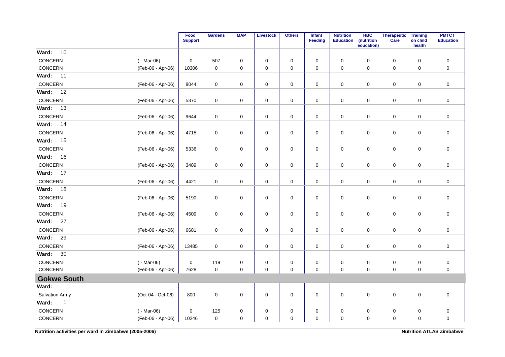|                      |                   | Food<br><b>Support</b> | <b>Gardens</b> | <b>MAP</b>  | <b>Livestock</b> | <b>Others</b> | Infant<br><b>Feeding</b> | <b>Nutrition</b><br><b>Education</b> | <b>HBC</b><br>(nutrition<br>education) | Therapeutic<br>Care | <b>Training</b><br>on child<br>health | <b>PMTCT</b><br><b>Education</b> |
|----------------------|-------------------|------------------------|----------------|-------------|------------------|---------------|--------------------------|--------------------------------------|----------------------------------------|---------------------|---------------------------------------|----------------------------------|
| 10<br>Ward:          |                   |                        |                |             |                  |               |                          |                                      |                                        |                     |                                       |                                  |
| CONCERN              | $(-Mar-06)$       | $\mathbf 0$            | 507            | $\mathbf 0$ | 0                | $\pmb{0}$     | 0                        | 0                                    | 0                                      | $\pmb{0}$           | $\mathbf 0$                           | $\pmb{0}$                        |
| CONCERN              | (Feb-06 - Apr-06) | 10306                  | 0              | $\mathbf 0$ | 0                | $\mathbf 0$   | $\mathbf 0$              | $\Omega$                             | 0                                      | 0                   | $\mathbf 0$                           | $\mathbf 0$                      |
| Ward:<br>11          |                   |                        |                |             |                  |               |                          |                                      |                                        |                     |                                       |                                  |
| CONCERN              | (Feb-06 - Apr-06) | 8044                   | 0              | 0           | 0                | 0             | 0                        | 0                                    | 0                                      | 0                   | $\mathbf 0$                           | 0                                |
| Ward:<br>12          |                   |                        |                |             |                  |               |                          |                                      |                                        |                     |                                       |                                  |
| CONCERN              | (Feb-06 - Apr-06) | 5370                   | $\pmb{0}$      | 0           | $\pmb{0}$        | $\mathsf 0$   | $\mathbf 0$              | $\pmb{0}$                            | 0                                      | $\mathsf 0$         | $\pmb{0}$                             | $\pmb{0}$                        |
| Ward:<br>13          |                   |                        |                |             |                  |               |                          |                                      |                                        |                     |                                       |                                  |
| CONCERN              | (Feb-06 - Apr-06) | 9644                   | $\pmb{0}$      | $\pmb{0}$   | $\pmb{0}$        | $\pmb{0}$     | 0                        | $\pmb{0}$                            | 0                                      | $\mathsf 0$         | $\pmb{0}$                             | $\pmb{0}$                        |
| Ward:<br>14          |                   |                        |                |             |                  |               |                          |                                      |                                        |                     |                                       |                                  |
| CONCERN              | (Feb-06 - Apr-06) | 4715                   | 0              | $\mathbf 0$ | 0                | $\pmb{0}$     | 0                        | 0                                    | 0                                      | 0                   | 0                                     | $\pmb{0}$                        |
| Ward:<br>15          |                   |                        |                |             |                  |               |                          |                                      |                                        |                     |                                       |                                  |
| CONCERN              | (Feb-06 - Apr-06) | 5336                   | $\mathbf 0$    | $\mathbf 0$ | $\mathbf 0$      | $\pmb{0}$     | $\mathbf 0$              | $\pmb{0}$                            | 0                                      | $\mathbf 0$         | $\mathbf 0$                           | $\mathbf 0$                      |
| Ward:<br>16          |                   |                        |                |             |                  |               |                          |                                      |                                        |                     |                                       |                                  |
| CONCERN              | (Feb-06 - Apr-06) | 3489                   | $\mathbf 0$    | 0           | $\mathbf 0$      | 0             | 0                        | 0                                    | $\mathbf 0$                            | 0                   | 0                                     | $\pmb{0}$                        |
| Ward:<br>17          |                   |                        |                |             |                  |               |                          |                                      |                                        |                     |                                       |                                  |
| CONCERN              | (Feb-06 - Apr-06) | 4421                   | $\mathbf 0$    | 0           | $\pmb{0}$        | $\mathsf 0$   | $\mathbf 0$              | $\pmb{0}$                            | 0                                      | $\mathsf 0$         | $\mathbf 0$                           | $\pmb{0}$                        |
| Ward:<br>18          |                   |                        |                |             |                  |               |                          |                                      |                                        |                     |                                       |                                  |
| CONCERN              | (Feb-06 - Apr-06) | 5190                   | $\pmb{0}$      | 0           | $\pmb{0}$        | $\pmb{0}$     | 0                        | $\pmb{0}$                            | 0                                      | $\pmb{0}$           | $\pmb{0}$                             | $\pmb{0}$                        |
| Ward:<br>19          |                   |                        |                |             |                  |               |                          |                                      |                                        |                     |                                       |                                  |
| CONCERN              | (Feb-06 - Apr-06) | 4509                   | $\mathbf 0$    | $\mathbf 0$ | $\mathbf 0$      | $\pmb{0}$     | $\mathbf 0$              | $\pmb{0}$                            | $\mathbf 0$                            | $\mathbf 0$         | 0                                     | $\mathbf 0$                      |
| Ward:<br>27          |                   |                        |                |             |                  |               |                          |                                      |                                        |                     |                                       |                                  |
| CONCERN              | (Feb-06 - Apr-06) | 6681                   | $\mathbf 0$    | 0           | $\pmb{0}$        | $\pmb{0}$     | $\mathbf 0$              | $\pmb{0}$                            | 0                                      | $\mathsf{O}$        | 0                                     | $\pmb{0}$                        |
| Ward:<br>29          |                   |                        |                |             |                  |               |                          |                                      |                                        |                     |                                       |                                  |
| CONCERN              | (Feb-06 - Apr-06) | 13485                  | 0              | 0           | 0                | $\mathsf 0$   | 0                        | 0                                    | 0                                      | $\mathsf 0$         | 0                                     | $\pmb{0}$                        |
| 30<br>Ward:          |                   |                        |                |             |                  |               |                          |                                      |                                        |                     |                                       |                                  |
| CONCERN              | $(-Mar-06)$       | $\mathbf 0$            | 119            | $\mathbf 0$ | $\pmb{0}$        | $\pmb{0}$     | 0                        | $\pmb{0}$                            | 0                                      | $\pmb{0}$           | $\pmb{0}$                             | $\pmb{0}$                        |
| CONCERN              | (Feb-06 - Apr-06) | 7628                   | $\mathbf 0$    | $\mathbf 0$ | $\mathbf 0$      | $\mathbf 0$   | $\mathbf 0$              | $\mathbf 0$                          | $\mathbf 0$                            | $\mathbf 0$         | $\mathbf 0$                           | $\pmb{0}$                        |
| <b>Gokwe South</b>   |                   |                        |                |             |                  |               |                          |                                      |                                        |                     |                                       |                                  |
| Ward:                |                   |                        |                |             |                  |               |                          |                                      |                                        |                     |                                       |                                  |
| Salvation Army       | (Oct-04 - Oct-06) | 800                    | $\mathbf 0$    | $\mathbf 0$ | $\mathbf 0$      | $\mathbf 0$   | $\mathbf 0$              | $\mathbf 0$                          | $\mathbf 0$                            | $\mathbf 0$         | $\mathbf 0$                           | $\pmb{0}$                        |
| Ward:<br>$\mathbf 1$ |                   |                        |                |             |                  |               |                          |                                      |                                        |                     |                                       |                                  |
| CONCERN              | $(-Mar-06)$       | $\mathbf 0$            | 125            | 0           | 0                | 0             | 0                        | 0                                    | 0                                      | $\pmb{0}$           | $\mathbf 0$                           | $\pmb{0}$                        |
| CONCERN              | (Feb-06 - Apr-06) | 10246                  | 0              | $\mathbf 0$ | $\mathbf 0$      | $\mathsf 0$   | $\mathbf 0$              | $\mathbf 0$                          | $\mathbf 0$                            | $\pmb{0}$           | $\pmb{0}$                             | $\pmb{0}$                        |

**Nutrition activities per ward in Zimbabwe (2005-2006) Nutrition ATLAS Zimbabwe Nutrition ATLAS Zimbabwe**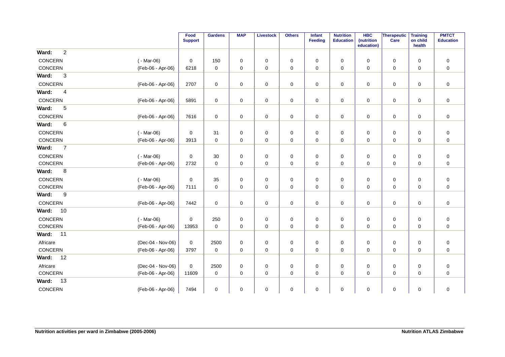|                |                |                   | Food<br><b>Support</b> | <b>Gardens</b> | <b>MAP</b>  | <b>Livestock</b> | <b>Others</b> | Infant<br>Feeding | <b>Nutrition</b><br><b>Education</b> | <b>HBC</b><br>(nutrition<br>education) | Therapeutic<br>Care | <b>Training</b><br>on child<br>health | <b>PMTCT</b><br><b>Education</b> |
|----------------|----------------|-------------------|------------------------|----------------|-------------|------------------|---------------|-------------------|--------------------------------------|----------------------------------------|---------------------|---------------------------------------|----------------------------------|
| Ward:          | $\overline{c}$ |                   |                        |                |             |                  |               |                   |                                      |                                        |                     |                                       |                                  |
| CONCERN        |                | $(-Mar-06)$       | 0                      | 150            | 0           | 0                | 0             | 0                 | 0                                    | 0                                      | 0                   | 0                                     | 0                                |
| CONCERN        |                | (Feb-06 - Apr-06) | 6218                   | 0              | 0           | 0                | 0             | 0                 | $\mathbf 0$                          | 0                                      | 0                   | 0                                     | 0                                |
| Ward:          | 3              |                   |                        |                |             |                  |               |                   |                                      |                                        |                     |                                       |                                  |
| CONCERN        |                | (Feb-06 - Apr-06) | 2707                   | $\pmb{0}$      | 0           | $\pmb{0}$        | $\pmb{0}$     | 0                 | $\pmb{0}$                            | $\mathbf 0$                            | $\mathsf 0$         | $\mathbf 0$                           | $\pmb{0}$                        |
| Ward:          | $\overline{4}$ |                   |                        |                |             |                  |               |                   |                                      |                                        |                     |                                       |                                  |
| CONCERN        |                | (Feb-06 - Apr-06) | 5891                   | $\mathbf 0$    | 0           | 0                | 0             | $\mathbf 0$       | 0                                    | 0                                      | 0                   | $\mathbf 0$                           | $\mathbf 0$                      |
| Ward:          | 5              |                   |                        |                |             |                  |               |                   |                                      |                                        |                     |                                       |                                  |
| CONCERN        |                | (Feb-06 - Apr-06) | 7616                   | 0              | 0           | 0                | $\mathbf 0$   | 0                 | $\mathbf 0$                          | 0                                      | 0                   | 0                                     | $\mathbf 0$                      |
| Ward:          | 6              |                   |                        |                |             |                  |               |                   |                                      |                                        |                     |                                       |                                  |
| CONCERN        |                | $(-Mar-06)$       | 0                      | 31             | 0           | 0                | $\pmb{0}$     | 0                 | $\mathbf 0$                          | 0                                      | $\pmb{0}$           | 0                                     | $\pmb{0}$                        |
| CONCERN        |                | (Feb-06 - Apr-06) | 3913                   | $\mathbf 0$    | $\mathbf 0$ | 0                | $\mathbf 0$   | $\mathbf 0$       | $\mathbf 0$                          | $\mathbf 0$                            | $\mathbf 0$         | $\mathbf 0$                           | $\mathbf 0$                      |
| Ward:          | $\overline{7}$ |                   |                        |                |             |                  |               |                   |                                      |                                        |                     |                                       |                                  |
| CONCERN        |                | $(-Mar-06)$       | 0                      | 30             | 0           | 0                | $\mathbf 0$   | 0                 | 0                                    | 0                                      | 0                   | 0                                     | $\pmb{0}$                        |
| CONCERN        |                | (Feb-06 - Apr-06) | 2732                   | $\mathbf 0$    | 0           | 0                | 0             | 0                 | 0                                    | 0                                      | 0                   | 0                                     | 0                                |
| Ward:          | 8              |                   |                        |                |             |                  |               |                   |                                      |                                        |                     |                                       |                                  |
| CONCERN        |                | $(-Mar-06)$       | 0                      | 35             | 0           | 0                | $\mathbf 0$   | 0                 | $\mathbf 0$                          | 0                                      | 0                   | 0                                     | $\pmb{0}$                        |
| CONCERN        |                | (Feb-06 - Apr-06) | 7111                   | $\pmb{0}$      | 0           | 0                | $\pmb{0}$     | 0                 | $\mathbf 0$                          | $\pmb{0}$                              | $\mathsf 0$         | $\mathbf 0$                           | $\pmb{0}$                        |
| Ward:          | 9              |                   |                        |                |             |                  |               |                   |                                      |                                        |                     |                                       |                                  |
| CONCERN        |                | (Feb-06 - Apr-06) | 7442                   | $\mathbf 0$    | 0           | 0                | 0             | 0                 | 0                                    | 0                                      | $\mathbf 0$         | $\mathbf 0$                           | $\mathbf 0$                      |
| Ward:          | 10             |                   |                        |                |             |                  |               |                   |                                      |                                        |                     |                                       |                                  |
| CONCERN        |                | $(-Mar-06)$       | $\mathbf 0$            | 250            | 0           | 0                | $\mathbf 0$   | 0                 | 0                                    | 0                                      | 0                   | 0                                     | $\pmb{0}$                        |
| CONCERN        |                | (Feb-06 - Apr-06) | 13953                  | $\mathbf 0$    | 0           | 0                | 0             | 0                 | $\mathbf 0$                          | 0                                      | $\mathsf 0$         | $\mathbf 0$                           | $\pmb{0}$                        |
| Ward:          | 11             |                   |                        |                |             |                  |               |                   |                                      |                                        |                     |                                       |                                  |
| Africare       |                | (Dec-04 - Nov-06) | 0                      | 2500           | 0           | 0                | 0             | 0                 | $\mathbf 0$                          | $\mathbf 0$                            | $\mathsf 0$         | $\mathbf 0$                           | $\pmb{0}$                        |
| <b>CONCERN</b> |                | (Feb-06 - Apr-06) | 3797                   | $\mathbf 0$    | 0           | 0                | 0             | 0                 | 0                                    | 0                                      | 0                   | $\mathbf 0$                           | $\mathbf 0$                      |
| Ward:          | 12             |                   |                        |                |             |                  |               |                   |                                      |                                        |                     |                                       |                                  |
| Africare       |                | (Dec-04 - Nov-06) | 0                      | 2500           | 0           | 0                | $\mathbf 0$   | 0                 | 0                                    | 0                                      | 0                   | $\mathbf 0$                           | $\mathbf 0$                      |
| CONCERN        |                | (Feb-06 - Apr-06) | 11609                  | $\mathbf 0$    | 0           | 0                | $\mathbf 0$   | $\mathbf 0$       | 0                                    | 0                                      | 0                   | $\mathbf 0$                           | $\mathbf 0$                      |
| Ward:          | 13             |                   |                        |                |             |                  |               |                   |                                      |                                        |                     |                                       |                                  |
| CONCERN        |                | (Feb-06 - Apr-06) | 7494                   | $\mathbf 0$    | 0           | 0                | $\mathbf 0$   | 0                 | 0                                    | 0                                      | $\mathsf 0$         | 0                                     | $\pmb{0}$                        |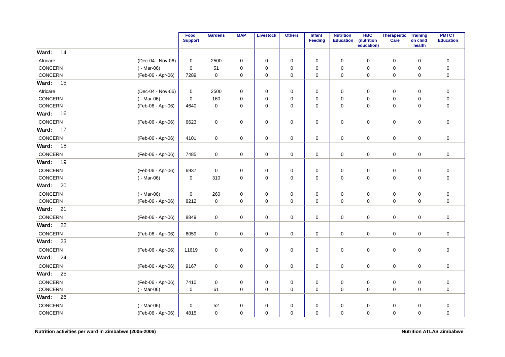|                 |                   | Food<br><b>Support</b> | <b>Gardens</b>      | <b>MAP</b>  | <b>Livestock</b> | <b>Others</b> | <b>Infant</b><br><b>Feeding</b> | <b>Nutrition</b><br><b>Education</b> | <b>HBC</b><br>(nutrition<br>education) | Therapeutic<br>Care | <b>Training</b><br>on child<br>health | <b>PMTCT</b><br><b>Education</b> |
|-----------------|-------------------|------------------------|---------------------|-------------|------------------|---------------|---------------------------------|--------------------------------------|----------------------------------------|---------------------|---------------------------------------|----------------------------------|
| 14<br>Ward:     |                   |                        |                     |             |                  |               |                                 |                                      |                                        |                     |                                       |                                  |
| Africare        | (Dec-04 - Nov-06) | 0                      | 2500                | $\mathbf 0$ | $\mathbf 0$      | 0             | $\mathbf 0$                     | $\mathbf 0$                          | $\mathbf 0$                            | 0                   | $\mathbf 0$                           | $\pmb{0}$                        |
| CONCERN         | $(-Mar-06)$       | $\mathbf 0$            | 51                  | $\mathbf 0$ | $\mathbf 0$      | $\pmb{0}$     | $\mathbf 0$                     | $\mathbf 0$                          | 0                                      | $\mathbf 0$         | $\mathbf 0$                           | $\pmb{0}$                        |
| <b>CONCERN</b>  | (Feb-06 - Apr-06) | 7289                   | $\mathbf 0$         | $\mathbf 0$ | $\mathbf 0$      | 0             | $\mathbf 0$                     | $\mathbf 0$                          | 0                                      | 0                   | $\mathbf 0$                           | $\mathbf 0$                      |
| <b>Ward: 15</b> |                   |                        |                     |             |                  |               |                                 |                                      |                                        |                     |                                       |                                  |
| Africare        | (Dec-04 - Nov-06) | 0                      | 2500                | 0           | 0                | $\mathbf 0$   | 0                               | $\mathbf 0$                          | 0                                      | 0                   | 0                                     | $\mathbf 0$                      |
| CONCERN         | $(-Mar-06)$       | $\mathbf 0$            | 160                 | $\mathbf 0$ | 0                | $\pmb{0}$     | $\mathbf 0$                     | $\mathbf 0$                          | 0                                      | 0                   | 0                                     | $\pmb{0}$                        |
| CONCERN         | (Feb-06 - Apr-06) | 4640                   | $\mathbf 0$         | $\mathbf 0$ | 0                | 0             | 0                               | 0                                    | 0                                      | 0                   | 0                                     | $\pmb{0}$                        |
| <b>Ward: 16</b> |                   |                        |                     |             |                  |               |                                 |                                      |                                        |                     |                                       |                                  |
| CONCERN         | (Feb-06 - Apr-06) | 6623                   | 0                   | 0           | 0                | 0             | 0                               | 0                                    | 0                                      | 0                   | $\mathbf 0$                           | $\pmb{0}$                        |
| Ward:<br>17     |                   |                        |                     |             |                  |               |                                 |                                      |                                        |                     |                                       |                                  |
| CONCERN         | (Feb-06 - Apr-06) | 4101                   | 0                   | 0           | 0                | 0             | 0                               | 0                                    | 0                                      | 0                   | 0                                     | $\pmb{0}$                        |
| Ward:<br>18     |                   |                        |                     |             |                  |               |                                 |                                      |                                        |                     |                                       |                                  |
| CONCERN         | (Feb-06 - Apr-06) | 7485                   | 0                   | 0           | 0                | 0             | 0                               | 0                                    | 0                                      | 0                   | $\mathbf 0$                           | $\pmb{0}$                        |
| Ward:<br>19     |                   |                        |                     |             |                  |               |                                 |                                      |                                        |                     |                                       |                                  |
| CONCERN         | (Feb-06 - Apr-06) | 6937                   | $\mathbf 0$         | 0           | 0                | 0             | 0                               | 0                                    | 0                                      | $\mathbf 0$         | $\mathbf 0$                           | $\pmb{0}$                        |
| CONCERN         | $(-Mar-06)$       | 0                      | 310                 | 0           | $\mathbf 0$      | 0             | 0                               | 0                                    | 0                                      | 0                   | 0                                     | $\pmb{0}$                        |
| Ward:<br>20     |                   |                        |                     |             |                  |               |                                 |                                      |                                        |                     |                                       |                                  |
| CONCERN         | $(-Mar-06)$       | 0                      | 260                 | 0           | 0                | 0             | 0                               | 0                                    | 0                                      | 0                   | 0                                     | $\pmb{0}$                        |
| CONCERN         | (Feb-06 - Apr-06) | 8212                   | $\mathbf 0$         | 0           | 0                | 0             | 0                               | 0                                    | 0                                      | 0                   | $\mathbf 0$                           | $\pmb{0}$                        |
| Ward:<br>21     |                   |                        |                     |             |                  |               |                                 |                                      |                                        |                     |                                       |                                  |
| CONCERN         | (Feb-06 - Apr-06) | 8849                   | $\mathsf{O}\xspace$ | 0           | 0                | $\pmb{0}$     | 0                               | 0                                    | 0                                      | 0                   | $\mathbf 0$                           | $\mathbf 0$                      |
| Ward:<br>22     |                   |                        |                     |             |                  |               |                                 |                                      |                                        |                     |                                       |                                  |
| CONCERN         | (Feb-06 - Apr-06) | 6059                   | $\mathbf 0$         | 0           | 0                | $\pmb{0}$     | 0                               | 0                                    | 0                                      | $\mathbf 0$         | 0                                     | $\pmb{0}$                        |
| Ward:<br>23     |                   |                        |                     |             |                  |               |                                 |                                      |                                        |                     |                                       |                                  |
| CONCERN         | (Feb-06 - Apr-06) | 11619                  | $\mathbf 0$         | 0           | 0                | $\pmb{0}$     | 0                               | $\mathbf 0$                          | 0                                      | 0                   | $\mathbf 0$                           | $\pmb{0}$                        |
| Ward:<br>24     |                   |                        |                     |             |                  |               |                                 |                                      |                                        |                     |                                       |                                  |
| CONCERN         | (Feb-06 - Apr-06) | 9167                   | $\mathbf 0$         | 0           | 0                | $\pmb{0}$     | 0                               | 0                                    | 0                                      | 0                   | $\mathbf 0$                           | $\pmb{0}$                        |
| Ward:<br>25     |                   |                        |                     |             |                  |               |                                 |                                      |                                        |                     |                                       |                                  |
| CONCERN         | (Feb-06 - Apr-06) | 7410                   | $\mathbf 0$         | 0           | 0                | 0             | 0                               | 0                                    | 0                                      | 0                   | $\mathbf 0$                           | $\boldsymbol{0}$                 |
| CONCERN         | $(-Mar-06)$       | 0                      | 61                  | 0           | 0                | 0             | 0                               | 0                                    | 0                                      | 0                   | 0                                     | $\pmb{0}$                        |
| Ward:<br>26     |                   |                        |                     |             |                  |               |                                 |                                      |                                        |                     |                                       |                                  |
| CONCERN         | $(-Mar-06)$       | 0                      | 52                  | 0           | 0                | 0             | 0                               | 0                                    | 0                                      | 0                   | 0                                     | $\pmb{0}$                        |
| CONCERN         | (Feb-06 - Apr-06) | 4815                   | $\mathbf 0$         | $\mathbf 0$ | $\mathbf 0$      | $\pmb{0}$     | 0                               | $\mathbf 0$                          | 0                                      | 0                   | 0                                     | $\pmb{0}$                        |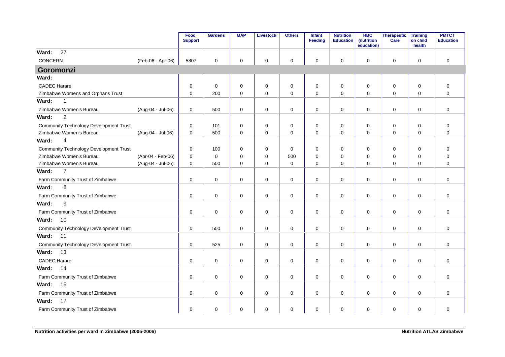|                                               |                   | Food<br><b>Support</b> | <b>Gardens</b>      | <b>MAP</b>  | <b>Livestock</b>    | <b>Others</b> | Infant<br>Feeding | <b>Nutrition</b><br><b>Education</b> | <b>HBC</b><br>(nutrition<br>education) | Therapeutic<br>Care | <b>Training</b><br>on child<br>health | <b>PMTCT</b><br><b>Education</b> |
|-----------------------------------------------|-------------------|------------------------|---------------------|-------------|---------------------|---------------|-------------------|--------------------------------------|----------------------------------------|---------------------|---------------------------------------|----------------------------------|
| 27<br>Ward:                                   |                   |                        |                     |             |                     |               |                   |                                      |                                        |                     |                                       |                                  |
| <b>CONCERN</b>                                | (Feb-06 - Apr-06) | 5807                   | $\mathbf 0$         | 0           | $\mathbf 0$         | 0             | 0                 | 0                                    | 0                                      | $\mathbf 0$         | $\mathbf 0$                           | $\mathbf 0$                      |
| Goromonzi                                     |                   |                        |                     |             |                     |               |                   |                                      |                                        |                     |                                       |                                  |
| Ward:                                         |                   |                        |                     |             |                     |               |                   |                                      |                                        |                     |                                       |                                  |
| <b>CADEC Harare</b>                           |                   | 0                      | $\mathbf 0$         | 0           | $\mathbf 0$         | $\mathbf 0$   | 0                 | 0                                    | 0                                      | 0                   | $\mathbf 0$                           | $\mathbf 0$                      |
| Zimbabwe Womens and Orphans Trust             |                   | 0                      | 200                 | 0           | $\pmb{0}$           | $\mathbf 0$   | $\mathbf 0$       | $\mathbf 0$                          | $\mathbf 0$                            | $\mathbf 0$         | $\mathbf 0$                           | $\mathbf{0}$                     |
| Ward:<br>$\mathbf{1}$                         |                   |                        |                     |             |                     |               |                   |                                      |                                        |                     |                                       |                                  |
| Zimbabwe Women's Bureau                       | (Aug-04 - Jul-06) | 0                      | 500                 | 0           | $\mathsf 0$         | 0             | 0                 | 0                                    | 0                                      | $\mathbf 0$         | 0                                     | $\mathbf 0$                      |
| $\overline{2}$<br>Ward:                       |                   |                        |                     |             |                     |               |                   |                                      |                                        |                     |                                       |                                  |
| <b>Community Technology Development Trust</b> |                   | 0                      | 101                 | 0           | 0                   | 0             | 0                 | 0                                    | 0                                      | 0                   | 0                                     | 0                                |
| Zimbabwe Women's Bureau                       | (Aug-04 - Jul-06) | 0                      | 500                 | $\mathbf 0$ | $\pmb{0}$           | $\mathbf 0$   | $\mathbf 0$       | $\mathbf 0$                          | 0                                      | $\mathbf 0$         | $\mathbf 0$                           | $\overline{0}$                   |
| $\overline{4}$<br>Ward:                       |                   |                        |                     |             |                     |               |                   |                                      |                                        |                     |                                       |                                  |
| <b>Community Technology Development Trust</b> |                   | 0                      | 100                 | 0           | 0                   | $\mathbf 0$   | $\Omega$          | 0                                    | 0                                      | 0                   | $\Omega$                              | $\mathbf 0$                      |
| Zimbabwe Women's Bureau                       | (Apr-04 - Feb-06) | $\Omega$               | $\mathbf 0$         | $\mathbf 0$ | $\mathbf 0$         | 500           | $\Omega$          | $\mathbf 0$                          | $\mathbf 0$                            | $\pmb{0}$           | $\mathbf 0$                           | $\mathbf 0$                      |
| Zimbabwe Women's Bureau                       | (Aug-04 - Jul-06) | $\Omega$               | 500                 | $\Omega$    | $\mathbf 0$         | $\Omega$      | $\Omega$          | $\Omega$                             | $\Omega$                               | $\mathbf 0$         | $\Omega$                              | $\Omega$                         |
| $\overline{7}$<br>Ward:                       |                   |                        |                     |             |                     |               |                   |                                      |                                        |                     |                                       |                                  |
| Farm Community Trust of Zimbabwe              |                   | 0                      | $\mathbf 0$         | $\mathbf 0$ | $\mathbf 0$         | $\pmb{0}$     | $\mathbf 0$       | $\mathbf 0$                          | 0                                      | $\mathbf 0$         | $\mathbf 0$                           | $\mathbf 0$                      |
| 8<br>Ward:                                    |                   |                        |                     |             |                     |               |                   |                                      |                                        |                     |                                       |                                  |
| Farm Community Trust of Zimbabwe              |                   | 0                      | $\mathbf 0$         | 0           | $\mathbf 0$         | $\mathsf 0$   | $\mathbf 0$       | $\pmb{0}$                            | $\mathbf 0$                            | $\mathbf 0$         | $\mathbf 0$                           | $\mathbf 0$                      |
| Ward:<br>9                                    |                   |                        |                     |             |                     |               |                   |                                      |                                        |                     |                                       |                                  |
| Farm Community Trust of Zimbabwe              |                   | 0                      | $\mathsf{O}\xspace$ | 0           | $\mathsf{O}\xspace$ | $\mathsf 0$   | $\mathbf 0$       | $\pmb{0}$                            | 0                                      | $\mathbf 0$         | $\mathbf 0$                           | $\mathbf 0$                      |
| 10<br>Ward:                                   |                   |                        |                     |             |                     |               |                   |                                      |                                        |                     |                                       |                                  |
| <b>Community Technology Development Trust</b> |                   | 0                      | 500                 | $\mathbf 0$ | $\mathbf 0$         | $\mathbf 0$   | $\mathbf 0$       | $\mathbf 0$                          | $\Omega$                               | $\mathbf 0$         | 0                                     | $\mathbf 0$                      |
| Ward:<br>11                                   |                   |                        |                     |             |                     |               |                   |                                      |                                        |                     |                                       |                                  |
| <b>Community Technology Development Trust</b> |                   | 0                      | 525                 | $\mathbf 0$ | $\mathbf 0$         | $\pmb{0}$     | 0                 | 0                                    | $\mathbf 0$                            | $\mathbf 0$         | 0                                     | $\mathbf 0$                      |
| Ward:<br>13                                   |                   |                        |                     |             |                     |               |                   |                                      |                                        |                     |                                       |                                  |
| <b>CADEC Harare</b>                           |                   | 0                      | $\mathbf 0$         | 0           | $\mathsf 0$         | $\pmb{0}$     | $\mathbf 0$       | $\pmb{0}$                            | $\mathbf 0$                            | $\mathbf 0$         | $\mathbf 0$                           | $\mathbf 0$                      |
| Ward:<br>14                                   |                   |                        |                     |             |                     |               |                   |                                      |                                        |                     |                                       |                                  |
| Farm Community Trust of Zimbabwe              |                   | 0                      | $\mathbf 0$         | $\Omega$    | $\mathbf 0$         | $\mathbf 0$   | $\mathbf 0$       | $\mathbf 0$                          | $\mathbf{0}$                           | $\mathbf{0}$        | $\Omega$                              | $\Omega$                         |
| Ward:<br>15                                   |                   |                        |                     |             |                     |               |                   |                                      |                                        |                     |                                       |                                  |
| Farm Community Trust of Zimbabwe              |                   | 0                      | $\mathbf 0$         | 0           | $\pmb{0}$           | $\pmb{0}$     | 0                 | 0                                    | 0                                      | $\mathbf 0$         | $\mathbf 0$                           | $\mathbf 0$                      |
| 17<br>Ward:                                   |                   |                        |                     |             |                     |               |                   |                                      |                                        |                     |                                       |                                  |
| Farm Community Trust of Zimbabwe              |                   | 0                      | $\mathsf 0$         | 0           | $\pmb{0}$           | $\pmb{0}$     | 0                 | 0                                    | 0                                      | $\pmb{0}$           | 0                                     | $\mathbf 0$                      |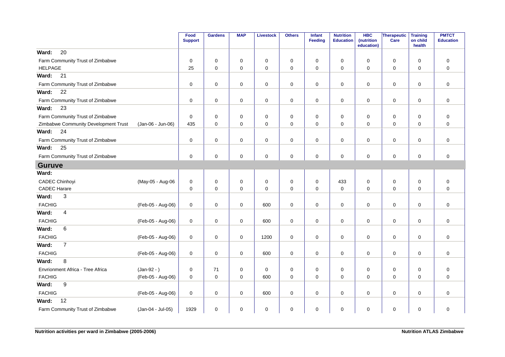|                                      |                   | Food<br><b>Support</b> | <b>Gardens</b> | <b>MAP</b>  | <b>Livestock</b> | <b>Others</b> | <b>Infant</b><br>Feeding | <b>Nutrition</b><br><b>Education</b> | <b>HBC</b><br>(nutrition<br>education) | Therapeutic<br>Care | <b>Training</b><br>on child<br>health | <b>PMTCT</b><br><b>Education</b> |
|--------------------------------------|-------------------|------------------------|----------------|-------------|------------------|---------------|--------------------------|--------------------------------------|----------------------------------------|---------------------|---------------------------------------|----------------------------------|
| 20<br>Ward:                          |                   |                        |                |             |                  |               |                          |                                      |                                        |                     |                                       |                                  |
| Farm Community Trust of Zimbabwe     |                   | $\mathbf 0$            | 0              | 0           | 0                | 0             | 0                        | 0                                    | 0                                      | $\mathbf 0$         | 0                                     | $\mathbf 0$                      |
| <b>HELPAGE</b>                       |                   | 25                     | $\mathbf 0$    | 0           | $\mathbf 0$      | $\pmb{0}$     | $\mathbf 0$              | 0                                    | $\mathbf 0$                            | $\mathbf 0$         | 0                                     | $\mathbf 0$                      |
| Ward:<br>21                          |                   |                        |                |             |                  |               |                          |                                      |                                        |                     |                                       |                                  |
| Farm Community Trust of Zimbabwe     |                   | 0                      | $\mathbf 0$    | 0           | 0                | 0             | 0                        | 0                                    | 0                                      | 0                   | 0                                     | $\mathbf 0$                      |
| 22<br>Ward:                          |                   |                        |                |             |                  |               |                          |                                      |                                        |                     |                                       |                                  |
| Farm Community Trust of Zimbabwe     |                   | 0                      | $\mathbf 0$    | 0           | 0                | $\pmb{0}$     | 0                        | 0                                    | $\mathbf 0$                            | $\mathbf 0$         | 0                                     | 0                                |
| 23<br>Ward:                          |                   |                        |                |             |                  |               |                          |                                      |                                        |                     |                                       |                                  |
| Farm Community Trust of Zimbabwe     |                   | 0                      | $\mathbf 0$    | 0           | $\pmb{0}$        | $\mathbf 0$   | $\mathbf 0$              | 0                                    | $\mathbf 0$                            | $\mathbf 0$         | $\mathbf 0$                           | $\mathbf 0$                      |
| Zimbabwe Community Development Trust | (Jan-06 - Jun-06) | 435                    | $\mathbf 0$    | $\mathbf 0$ | 0                | $\mathbf 0$   | $\mathbf 0$              | 0                                    | 0                                      | 0                   | $\mathbf 0$                           | $\mathbf 0$                      |
| Ward:<br>24                          |                   |                        |                |             |                  |               |                          |                                      |                                        |                     |                                       |                                  |
| Farm Community Trust of Zimbabwe     |                   | 0                      | $\mathbf 0$    | 0           | 0                | $\pmb{0}$     | 0                        | 0                                    | 0                                      | $\mathbf 0$         | 0                                     | 0                                |
| 25<br>Ward:                          |                   |                        |                |             |                  |               |                          |                                      |                                        |                     |                                       |                                  |
| Farm Community Trust of Zimbabwe     |                   | 0                      | $\mathbf 0$    | 0           | $\mathbf 0$      | $\pmb{0}$     | $\mathbf 0$              | $\pmb{0}$                            | 0                                      | $\mathbf 0$         | 0                                     | $\mathbf 0$                      |
| <b>Guruve</b>                        |                   |                        |                |             |                  |               |                          |                                      |                                        |                     |                                       |                                  |
| Ward:                                |                   |                        |                |             |                  |               |                          |                                      |                                        |                     |                                       |                                  |
| <b>CADEC Chinhoyi</b>                | (May-05 - Aug-06  | 0                      | 0              | $\mathbf 0$ | 0                | $\mathbf 0$   | $\mathbf 0$              | 433                                  | $\mathbf 0$                            | 0                   | $\mathbf 0$                           | $\mathbf 0$                      |
| <b>CADEC Harare</b>                  |                   | 0                      | $\mathbf 0$    | 0           | $\mathsf 0$      | $\pmb{0}$     | $\mathbf 0$              | $\mathbf 0$                          | 0                                      | $\mathbf 0$         | 0                                     | 0                                |
| Ward:<br>3                           |                   |                        |                |             |                  |               |                          |                                      |                                        |                     |                                       |                                  |
| <b>FACHIG</b>                        | (Feb-05 - Aug-06) | 0                      | $\mathbf 0$    | 0           | 600              | $\pmb{0}$     | $\mathbf 0$              | 0                                    | $\mathbf 0$                            | $\mathbf 0$         | 0                                     | $\mathbf 0$                      |
| 4<br>Ward:                           |                   |                        |                |             |                  |               |                          |                                      |                                        |                     |                                       |                                  |
| <b>FACHIG</b>                        | (Feb-05 - Aug-06) | 0                      | $\mathbf 0$    | 0           | 600              | $\pmb{0}$     | $\mathbf 0$              | $\mathbf 0$                          | $\mathbf 0$                            | $\mathbf 0$         | 0                                     | $\mathbf 0$                      |
| 6<br>Ward:                           |                   |                        |                |             |                  |               |                          |                                      |                                        |                     |                                       |                                  |
| <b>FACHIG</b>                        | (Feb-05 - Aug-06) | 0                      | $\mathbf 0$    | 0           | 1200             | $\pmb{0}$     | $\mathbf 0$              | $\pmb{0}$                            | $\mathbf 0$                            | $\mathbf 0$         | 0                                     | $\mathbf 0$                      |
| $\overline{7}$<br>Ward:              |                   |                        |                |             |                  |               |                          |                                      |                                        |                     |                                       |                                  |
| <b>FACHIG</b>                        | (Feb-05 - Aug-06) | 0                      | $\mathbf 0$    | 0           | 600              | $\pmb{0}$     | 0                        | $\mathbf 0$                          | 0                                      | $\mathbf 0$         | 0                                     | $\mathbf 0$                      |
| 8<br>Ward:                           |                   |                        |                |             |                  |               |                          |                                      |                                        |                     |                                       |                                  |
| Envrionment Africa - Tree Africa     | $(Jan-92 - )$     | 0                      | 71             | 0           | 0                | 0             | $\mathbf 0$              | 0                                    | 0                                      | $\mathbf 0$         | 0                                     | $\mathbf 0$                      |
| <b>FACHIG</b>                        | (Feb-05 - Aug-06) | 0                      | $\mathbf 0$    | 0           | 600              | $\pmb{0}$     | $\mathbf 0$              | $\mathbf 0$                          | $\mathbf 0$                            | $\mathbf 0$         | 0                                     | $\mathbf 0$                      |
| $\boldsymbol{9}$<br>Ward:            |                   |                        |                |             |                  |               |                          |                                      |                                        |                     |                                       |                                  |
| <b>FACHIG</b>                        | (Feb-05 - Aug-06) | 0                      | $\mathbf 0$    | 0           | 600              | 0             | $\mathbf 0$              | 0                                    | $\mathbf 0$                            | 0                   | 0                                     | $\mathbf 0$                      |
| 12<br>Ward:                          |                   |                        |                |             |                  |               |                          |                                      |                                        |                     |                                       |                                  |
| Farm Community Trust of Zimbabwe     | (Jan-04 - Jul-05) | 1929                   | $\mathbf 0$    | 0           | 0                | $\pmb{0}$     | 0                        | 0                                    | 0                                      | $\mathbf 0$         | 0                                     | 0                                |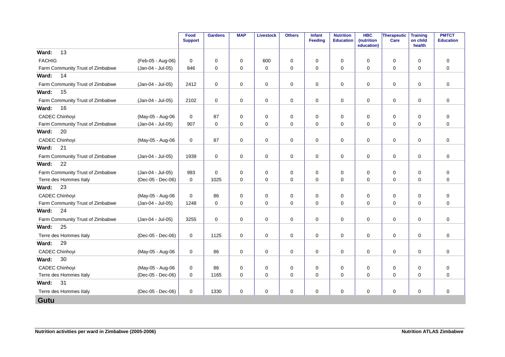|                                  |                   | Food<br><b>Support</b> | <b>Gardens</b> | <b>MAP</b>  | <b>Livestock</b> | <b>Others</b> | <b>Infant</b><br><b>Feeding</b> | <b>Nutrition</b><br><b>Education</b> | <b>HBC</b><br>(nutrition<br>education) | Therapeutic<br>Care | <b>Training</b><br>on child<br>health | <b>PMTCT</b><br><b>Education</b> |
|----------------------------------|-------------------|------------------------|----------------|-------------|------------------|---------------|---------------------------------|--------------------------------------|----------------------------------------|---------------------|---------------------------------------|----------------------------------|
| 13<br>Ward:                      |                   |                        |                |             |                  |               |                                 |                                      |                                        |                     |                                       |                                  |
| <b>FACHIG</b>                    | (Feb-05 - Aug-06) | $\mathbf 0$            | 0              | 0           | 600              | 0             | $\mathbf 0$                     | 0                                    | 0                                      | $\mathbf 0$         | $\mathbf 0$                           | $\mathbf 0$                      |
| Farm Community Trust of Zimbabwe | (Jan-04 - Jul-05) | 846                    | $\mathbf 0$    | 0           | $\mathbf 0$      | 0             | $\mathbf 0$                     | $\mathbf 0$                          | 0                                      | $\mathbf 0$         | $\mathbf 0$                           | $\mathbf 0$                      |
| 14<br>Ward:                      |                   |                        |                |             |                  |               |                                 |                                      |                                        |                     |                                       |                                  |
| Farm Community Trust of Zimbabwe | (Jan-04 - Jul-05) | 2412                   | $\mathbf 0$    | 0           | 0                | 0             | $\mathbf 0$                     | $\mathbf 0$                          | $\Omega$                               | $\mathbf 0$         | $\mathbf 0$                           | $\mathbf 0$                      |
| 15<br>Ward:                      |                   |                        |                |             |                  |               |                                 |                                      |                                        |                     |                                       |                                  |
| Farm Community Trust of Zimbabwe | (Jan-04 - Jul-05) | 2102                   | $\mathbf 0$    | 0           | 0                | 0             | 0                               | 0                                    | 0                                      | $\mathbf 0$         | 0                                     | $\mathbf 0$                      |
| 16<br>Ward:                      |                   |                        |                |             |                  |               |                                 |                                      |                                        |                     |                                       |                                  |
| <b>CADEC Chinhoyi</b>            | (May-05 - Aug-06  | $\Omega$               | 87             | $\Omega$    | $\mathbf 0$      | $\mathbf 0$   | $\Omega$                        | $\mathbf 0$                          | $\Omega$                               | $\mathbf 0$         | $\Omega$                              | $\mathbf 0$                      |
| Farm Community Trust of Zimbabwe | (Jan-04 - Jul-05) | 907                    | $\mathbf 0$    | 0           | $\mathbf 0$      | 0             | $\mathbf 0$                     | $\mathbf 0$                          | $\Omega$                               | $\mathbf 0$         | $\mathbf 0$                           | $\mathbf 0$                      |
| 20<br>Ward:                      |                   |                        |                |             |                  |               |                                 |                                      |                                        |                     |                                       |                                  |
| <b>CADEC Chinhoyi</b>            | (May-05 - Aug-06  | 0                      | 87             | 0           | $\mathbf 0$      | 0             | $\mathbf 0$                     | $\mathbf 0$                          | $\Omega$                               | $\mathbf 0$         | 0                                     | $\mathbf 0$                      |
| Ward:<br>21                      |                   |                        |                |             |                  |               |                                 |                                      |                                        |                     |                                       |                                  |
| Farm Community Trust of Zimbabwe | (Jan-04 - Jul-05) | 1939                   | 0              | 0           | 0                | 0             | 0                               | 0                                    | 0                                      | 0                   | 0                                     | 0                                |
| 22<br>Ward:                      |                   |                        |                |             |                  |               |                                 |                                      |                                        |                     |                                       |                                  |
| Farm Community Trust of Zimbabwe | (Jan-04 - Jul-05) | 993                    | $\mathbf 0$    | 0           | 0                | 0             | $\mathbf 0$                     | $\mathbf 0$                          | 0                                      | $\mathbf 0$         | 0                                     | 0                                |
| Terre des Hommes Italy           | (Dec-05 - Dec-06) | $\mathbf 0$            | 1025           | $\Omega$    | $\mathbf 0$      | 0             | $\mathbf 0$                     | $\Omega$                             | $\Omega$                               | $\mathbf 0$         | $\Omega$                              | $\mathbf 0$                      |
| 23<br>Ward:                      |                   |                        |                |             |                  |               |                                 |                                      |                                        |                     |                                       |                                  |
| <b>CADEC Chinhoyi</b>            | (May-05 - Aug-06  | 0                      | 86             | $\mathbf 0$ | 0                | 0             | $\mathbf 0$                     | $\mathbf 0$                          | 0                                      | $\mathbf 0$         | 0                                     | $\mathbf 0$                      |
| Farm Community Trust of Zimbabwe | (Jan-04 - Jul-05) | 1248                   | $\Omega$       | $\Omega$    | $\mathbf 0$      | 0             | $\Omega$                        | $\Omega$                             | $\Omega$                               | $\Omega$            | $\Omega$                              | $\mathbf 0$                      |
| 24<br>Ward:                      |                   |                        |                |             |                  |               |                                 |                                      |                                        |                     |                                       |                                  |
| Farm Community Trust of Zimbabwe | (Jan-04 - Jul-05) | 3255                   | 0              | 0           | 0                | 0             | 0                               | 0                                    | 0                                      | $\mathbf 0$         | 0                                     | $\mathbf 0$                      |
| 25<br>Ward:                      |                   |                        |                |             |                  |               |                                 |                                      |                                        |                     |                                       |                                  |
| Terre des Hommes Italy           | (Dec-05 - Dec-06) | 0                      | 1125           | 0           | $\mathbf 0$      | 0             | $\mathbf 0$                     | $\mathbf 0$                          | $\Omega$                               | $\mathbf 0$         | $\mathbf 0$                           | $\mathbf 0$                      |
| 29<br>Ward:                      |                   |                        |                |             |                  |               |                                 |                                      |                                        |                     |                                       |                                  |
| <b>CADEC Chinhoyi</b>            | (May-05 - Aug-06  | 0                      | 86             | 0           | $\mathbf 0$      | 0             | 0                               | $\mathbf 0$                          | 0                                      | $\mathbf 0$         | 0                                     | $\mathbf 0$                      |
| 30<br>Ward:                      |                   |                        |                |             |                  |               |                                 |                                      |                                        |                     |                                       |                                  |
| <b>CADEC Chinhoyi</b>            | (May-05 - Aug-06  | 0                      | 86             | 0           | 0                | 0             | $\mathbf 0$                     | $\mathbf 0$                          | 0                                      | $\mathbf 0$         | $\Omega$                              | $\mathbf 0$                      |
| Terre des Hommes Italy           | (Dec-05 - Dec-06) | $\mathbf 0$            | 1165           | 0           | $\mathbf 0$      | 0             | $\mathbf 0$                     | $\mathbf 0$                          | $\Omega$                               | $\mathbf 0$         | $\Omega$                              | $\mathbf 0$                      |
| 31<br>Ward:                      |                   |                        |                |             |                  |               |                                 |                                      |                                        |                     |                                       |                                  |
| Terre des Hommes Italy           | (Dec-05 - Dec-06) | 0                      | 1330           | 0           | $\mathbf 0$      | 0             | $\mathbf 0$                     | $\mathbf 0$                          | 0                                      | $\mathbf 0$         | $\mathbf 0$                           | $\mathbf 0$                      |
| <b>Gutu</b>                      |                   |                        |                |             |                  |               |                                 |                                      |                                        |                     |                                       |                                  |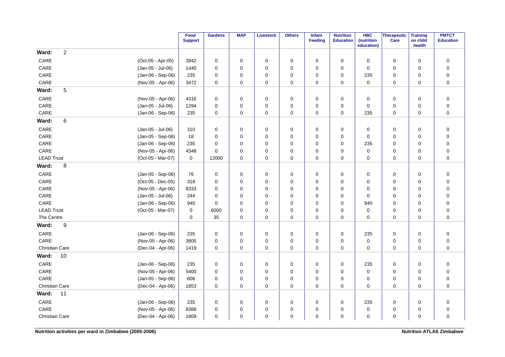|                                            | Food<br><b>Support</b> | <b>Gardens</b> | <b>MAP</b>  | <b>Livestock</b> | <b>Others</b> | Infant<br><b>Feeding</b> | <b>Nutrition</b><br><b>Education</b> | <b>HBC</b><br>(nutrition<br>education) | <b>Therapeutic</b><br>Care | <b>Training</b><br>on child<br>health | <b>PMTCT</b><br><b>Education</b> |
|--------------------------------------------|------------------------|----------------|-------------|------------------|---------------|--------------------------|--------------------------------------|----------------------------------------|----------------------------|---------------------------------------|----------------------------------|
| $\overline{c}$<br>Ward:                    |                        |                |             |                  |               |                          |                                      |                                        |                            |                                       |                                  |
| CARE<br>(Oct-05 - Apr-05)                  | 3942                   | 0              | 0           | $\mathbf 0$      | $\pmb{0}$     | $\mathbf 0$              | 0                                    | 0                                      | $\mathbf 0$                | $\mathbf 0$                           | $\pmb{0}$                        |
| CARE<br>(Jan-05 - Jul-06)                  | 1440                   | 0              | 0           | 0                | 0             | $\Omega$                 | 0                                    | 0                                      | 0                          | $\mathbf 0$                           | $\pmb{0}$                        |
| CARE<br>(Jan-06 - Sep-06)                  | 235                    | $\mathbf 0$    | 0           | $\mathbf 0$      | 0             | $\mathbf 0$              | 0                                    | 235                                    | 0                          | $\mathbf 0$                           | $\pmb{0}$                        |
| CARE<br>(Nov-05 - Apr-06)                  | 3472                   | $\mathbf 0$    | 0           | $\pmb{0}$        | 0             | $\mathbf 0$              | 0                                    | $\mathbf 0$                            | $\mathbf 0$                | $\mathbf 0$                           | $\pmb{0}$                        |
| 5<br>Ward:                                 |                        |                |             |                  |               |                          |                                      |                                        |                            |                                       |                                  |
| CARE<br>(Nov-05 - Apr-06)                  | 4316                   | $\mathbf 0$    | 0           | 0                | 0             | $\mathbf 0$              | $\mathbf 0$                          | 0                                      | 0                          | $\mathbf 0$                           | $\mathbf 0$                      |
| CARE<br>(Jan-05 - Jul-06)                  | 1294                   | $\mathbf 0$    | 0           | $\mathbf 0$      | 0             | 0                        | 0                                    | 0                                      | 0                          | $\mathbf 0$                           | $\pmb{0}$                        |
| CARE<br>(Jan-06 - Sep-06)                  | 235                    | $\mathbf 0$    | $\mathbf 0$ | $\mathbf 0$      | 0             | $\mathbf 0$              | $\mathbf 0$                          | 235                                    | 0                          | $\mathbf 0$                           | $\mathbf 0$                      |
| 6<br>Ward:                                 |                        |                |             |                  |               |                          |                                      |                                        |                            |                                       |                                  |
| CARE<br>(Jan-05 - Jul-06)                  | 310                    | 0              | 0           | $\mathbf 0$      | 0             | $\mathbf 0$              | $\mathbf 0$                          | $\mathbf 0$                            | 0                          | $\mathbf 0$                           | $\pmb{0}$                        |
| CARE<br>(Jan-05 - Sep-06)                  | 18                     | $\mathbf 0$    | 0           | $\mathbf 0$      | 0             | $\mathbf 0$              | 0                                    | 0                                      | 0                          | $\mathbf 0$                           | $\pmb{0}$                        |
| CARE<br>(Jan-06 - Sep-06)                  | 235                    | $\mathbf 0$    | 0           | $\mathbf 0$      | 0             | $\mathbf 0$              | 0                                    | 235                                    | 0                          | $\mathbf 0$                           | $\pmb{0}$                        |
| CARE<br>(Nov-05 - Apr-06)                  | 4348                   | $\Omega$       | 0           | $\mathbf 0$      | $\mathbf 0$   | $\Omega$                 | 0                                    | $\mathbf 0$                            | 0                          | $\mathbf 0$                           | $\pmb{0}$                        |
| <b>LEAD Trust</b><br>(Oct-05 - Mar-07)     | $\mathbf 0$            | 12000          | $\pmb{0}$   | $\pmb{0}$        | 0             | $\mathbf 0$              | 0                                    | 0                                      | $\mathbf 0$                | $\mathbf 0$                           | $\pmb{0}$                        |
| 8<br>Ward:                                 |                        |                |             |                  |               |                          |                                      |                                        |                            |                                       |                                  |
| CARE<br>(Jan-05 - Sep-06)                  | 76                     | 0              | 0           | 0                | 0             | 0                        | 0                                    | 0                                      | 0                          | $\mathbf 0$                           | $\pmb{0}$                        |
| CARE<br>(Oct-05 - Dec-05)                  | 318                    | $\mathbf 0$    | $\mathbf 0$ | $\mathbf 0$      | 0             | $\Omega$                 | 0                                    | $\mathbf 0$                            | 0                          | $\mathbf 0$                           | $\pmb{0}$                        |
| CARE<br>(Nov-05 - Apr-06)                  | 8333                   | 0              | 0           | 0                | 0             | $\mathbf 0$              | 0                                    | 0                                      | 0                          | $\mathbf 0$                           | $\pmb{0}$                        |
| CARE<br>(Jan-05 - Jul-06)                  | 244                    | $\mathbf 0$    | $\mathbf 0$ | $\mathbf 0$      | 0             | $\Omega$                 | 0                                    | $\mathbf 0$                            | 0                          | $\mathbf 0$                           | $\pmb{0}$                        |
| CARE<br>(Jan-06 - Sep-06)                  | 940                    | $\Omega$       | 0           | $\mathbf 0$      | 0             | $\Omega$                 | 0                                    | 940                                    | 0                          | 0                                     | $\pmb{0}$                        |
| <b>LEAD Trust</b><br>(Oct-05 - Mar-07)     | 0                      | 6000           | $\mathbf 0$ | $\mathbf 0$      | 0             | $\mathbf 0$              | 0                                    | $\mathbf 0$                            | 0                          | 0                                     | $\pmb{0}$                        |
| The Centre                                 | 0                      | 35             | 0           | $\pmb{0}$        | 0             | $\mathbf 0$              | 0                                    | $\mathbf 0$                            | 0                          | 0                                     | $\mathbf 0$                      |
| $\boldsymbol{9}$<br>Ward:                  |                        |                |             |                  |               |                          |                                      |                                        |                            |                                       |                                  |
| CARE<br>(Jan-06 - Sep-06)                  | 235                    | 0              | 0           | $\mathbf 0$      | $\pmb{0}$     | 0                        | 0                                    | 235                                    | $\mathbf 0$                | $\mathbf 0$                           | $\pmb{0}$                        |
| CARE<br>(Nov-05 - Apr-06)                  | 3805                   | $\mathbf 0$    | 0           | $\mathbf 0$      | 0             | 0                        | 0                                    | $\mathbf 0$                            | 0                          | $\mathbf 0$                           | $\pmb{0}$                        |
| <b>Christian Care</b><br>(Dec-04 - Apr-06) | 1419                   | $\mathbf 0$    | 0           | 0                | 0             | $\mathbf 0$              | 0                                    | 0                                      | 0                          | $\mathbf 0$                           | $\pmb{0}$                        |
| Ward:<br>10                                |                        |                |             |                  |               |                          |                                      |                                        |                            |                                       |                                  |
| CARE<br>(Jan-06 - Sep-06)                  | 235                    | $\mathbf 0$    | 0           | $\mathbf 0$      | 0             | 0                        | 0                                    | 235                                    | 0                          | $\mathbf 0$                           | $\pmb{0}$                        |
| CARE<br>(Nov-05 - Apr-06)                  | 5400                   | $\mathbf 0$    | 0           | 0                | 0             | 0                        | 0                                    | $\mathbf 0$                            | 0                          | $\mathbf 0$                           | $\pmb{0}$                        |
| CARE<br>(Jan-05 - Sep-06)                  | 606                    | $\mathbf 0$    | $\mathbf 0$ | $\pmb{0}$        | $\pmb{0}$     | $\Omega$                 | 0                                    | $\pmb{0}$                              | $\mathbf 0$                | $\mathbf 0$                           | $\pmb{0}$                        |
| <b>Christian Care</b><br>(Dec-04 - Apr-06) | 1853                   | $\mathbf 0$    | 0           | $\pmb{0}$        | 0             | 0                        | 0                                    | 0                                      | 0                          | $\mathbf 0$                           | $\mathbf 0$                      |
| 11<br>Ward:                                |                        |                |             |                  |               |                          |                                      |                                        |                            |                                       |                                  |
| CARE<br>(Jan-06 - Sep-06)                  | 235                    | $\mathbf 0$    | 0           | $\mathbf 0$      | 0             | $\mathbf 0$              | 0                                    | 235                                    | 0                          | $\mathbf 0$                           | $\pmb{0}$                        |
| CARE<br>(Nov-05 - Apr-06)                  | 8388                   | $\mathbf 0$    | 0           | $\mathbf 0$      | 0             | $\mathbf 0$              | 0                                    | $\mathbf 0$                            | 0                          | $\mathbf 0$                           | $\pmb{0}$                        |
| Christian Care<br>(Dec-04 - Apr-06)        | 1809                   | $\mathbf 0$    | $\mathbf 0$ | $\mathbf 0$      | 0             | $\mathbf 0$              | 0                                    | $\mathbf 0$                            | 0                          | $\mathbf 0$                           | $\pmb{0}$                        |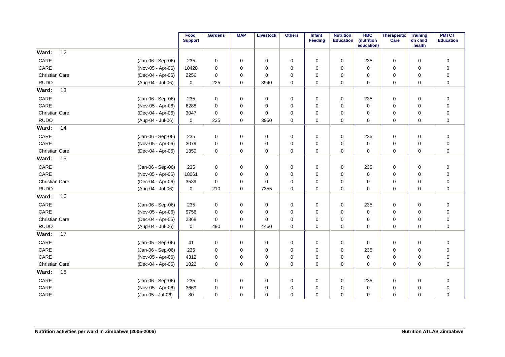|                       |                   | Food<br><b>Support</b> | <b>Gardens</b> | <b>MAP</b>  | <b>Livestock</b> | <b>Others</b> | Infant<br>Feeding | <b>Nutrition</b><br><b>Education</b> | <b>HBC</b><br>(nutrition | Therapeutic<br>Care | <b>Training</b><br>on child | <b>PMTCT</b><br><b>Education</b> |
|-----------------------|-------------------|------------------------|----------------|-------------|------------------|---------------|-------------------|--------------------------------------|--------------------------|---------------------|-----------------------------|----------------------------------|
|                       |                   |                        |                |             |                  |               |                   |                                      | education)               |                     | health                      |                                  |
| Ward:                 | 12                |                        |                |             |                  |               |                   |                                      |                          |                     |                             |                                  |
| CARE                  | (Jan-06 - Sep-06) | 235                    | $\mathbf 0$    | 0           | 0                | 0             | $\Omega$          | $\mathbf 0$                          | 235                      | 0                   | $\mathbf 0$                 | $\pmb{0}$                        |
| CARE                  | (Nov-05 - Apr-06) | 10428                  | $\mathbf 0$    | 0           | $\mathbf 0$      | 0             | $\Omega$          | 0                                    | $\mathbf 0$              | 0                   | $\mathbf 0$                 | $\pmb{0}$                        |
| <b>Christian Care</b> | (Dec-04 - Apr-06) | 2256                   | $\mathbf 0$    | 0           | $\mathbf 0$      | 0             | $\mathbf 0$       | 0                                    | 0                        | 0                   | $\mathbf 0$                 | $\pmb{0}$                        |
| <b>RUDO</b>           | (Aug-04 - Jul-06) | 0                      | 225            | 0           | 3940             | 0             | $\mathbf 0$       | 0                                    | 0                        | 0                   | $\mathbf 0$                 | $\pmb{0}$                        |
| Ward:                 | 13                |                        |                |             |                  |               |                   |                                      |                          |                     |                             |                                  |
| CARE                  | (Jan-06 - Sep-06) | 235                    | 0              | 0           | 0                | 0             | $\mathbf 0$       | 0                                    | 235                      | 0                   | $\mathbf 0$                 | $\pmb{0}$                        |
| CARE                  | (Nov-05 - Apr-06) | 6288                   | $\mathbf 0$    | 0           | 0                | 0             | 0                 | 0                                    | $\mathbf 0$              | 0                   | $\mathbf 0$                 | $\pmb{0}$                        |
| <b>Christian Care</b> | (Dec-04 - Apr-06) | 3047                   | $\mathbf 0$    | 0           | 0                | 0             | 0                 | 0                                    | 0                        | 0                   | $\mathbf 0$                 | $\pmb{0}$                        |
| <b>RUDO</b>           | (Aug-04 - Jul-06) | $\mathbf 0$            | 235            | 0           | 3950             | 0             | $\mathbf 0$       | 0                                    | 0                        | 0                   | $\mathbf 0$                 | $\mathbf 0$                      |
| Ward:                 | 14                |                        |                |             |                  |               |                   |                                      |                          |                     |                             |                                  |
| CARE                  | (Jan-06 - Sep-06) | 235                    | 0              | 0           | 0                | 0             | 0                 | 0                                    | 235                      | 0                   | 0                           | $\mathbf 0$                      |
| CARE                  | (Nov-05 - Apr-06) | 3079                   | $\mathbf 0$    | 0           | $\mathbf 0$      | 0             | $\Omega$          | 0                                    | 0                        | 0                   | $\mathbf 0$                 | $\pmb{0}$                        |
| <b>Christian Care</b> | (Dec-04 - Apr-06) | 1350                   | $\mathbf 0$    | 0           | 0                | 0             | $\mathbf 0$       | 0                                    | $\mathbf 0$              | 0                   | $\mathbf 0$                 | $\pmb{0}$                        |
| Ward:                 | 15                |                        |                |             |                  |               |                   |                                      |                          |                     |                             |                                  |
| CARE                  | (Jan-06 - Sep-06) | 235                    | 0              | 0           | 0                | 0             | 0                 | 0                                    | 235                      | 0                   | 0                           | $\mathbf 0$                      |
| CARE                  | (Nov-05 - Apr-06) | 18061                  | $\mathbf 0$    | 0           | $\mathbf 0$      | 0             | $\mathbf 0$       | 0                                    | $\mathbf 0$              | 0                   | $\mathbf 0$                 | $\pmb{0}$                        |
| <b>Christian Care</b> | (Dec-04 - Apr-06) | 3539                   | $\mathbf 0$    | 0           | $\mathbf 0$      | 0             | $\mathbf 0$       | 0                                    | $\mathbf 0$              | 0                   | $\mathbf 0$                 | $\pmb{0}$                        |
| <b>RUDO</b>           | (Aug-04 - Jul-06) | 0                      | 210            | 0           | 7355             | 0             | 0                 | 0                                    | 0                        | 0                   | $\mathbf 0$                 | $\pmb{0}$                        |
| Ward:                 | 16                |                        |                |             |                  |               |                   |                                      |                          |                     |                             |                                  |
| CARE                  | (Jan-06 - Sep-06) | 235                    | $\mathbf 0$    | 0           | $\mathbf 0$      | $\mathbf 0$   | $\mathbf 0$       | 0                                    | 235                      | 0                   | $\mathbf 0$                 | $\pmb{0}$                        |
| CARE                  | (Nov-05 - Apr-06) | 9756                   | $\mathbf 0$    | 0           | 0                | 0             | $\mathbf 0$       | 0                                    | $\mathbf 0$              | 0                   | $\mathbf 0$                 | $\pmb{0}$                        |
| <b>Christian Care</b> | (Dec-04 - Apr-06) | 2368                   | $\mathbf 0$    | 0           | 0                | 0             | $\Omega$          | 0                                    | 0                        | 0                   | 0                           | $\pmb{0}$                        |
| <b>RUDO</b>           | (Aug-04 - Jul-06) | 0                      | 490            | $\mathbf 0$ | 4460             | 0             | $\mathbf 0$       | $\mathbf 0$                          | $\mathbf 0$              | 0                   | 0                           | $\pmb{0}$                        |
| Ward:                 | 17                |                        |                |             |                  |               |                   |                                      |                          |                     |                             |                                  |
| CARE                  | (Jan-05 - Sep-06) | 41                     | 0              | 0           | 0                | 0             | 0                 | 0                                    | 0                        | 0                   | 0                           | $\pmb{0}$                        |
| CARE                  | (Jan-06 - Sep-06) | 235                    | $\mathbf 0$    | 0           | $\mathbf 0$      | 0             | $\Omega$          | $\mathbf 0$                          | 235                      | 0                   | $\mathbf 0$                 | $\pmb{0}$                        |
| CARE                  | (Nov-05 - Apr-06) | 4312                   | $\mathbf 0$    | 0           | $\mathbf 0$      | 0             | $\mathbf 0$       | 0                                    | 0                        | 0                   | $\mathbf 0$                 | $\pmb{0}$                        |
| Christian Care        | (Dec-04 - Apr-06) | 1822                   | $\mathbf 0$    | 0           | 0                | 0             | $\mathbf 0$       | $\mathbf 0$                          | $\mathbf 0$              | 0                   | $\mathbf 0$                 | $\pmb{0}$                        |
| Ward:                 | 18                |                        |                |             |                  |               |                   |                                      |                          |                     |                             |                                  |
| CARE                  | (Jan-06 - Sep-06) | 235                    | 0              | 0           | $\mathbf 0$      | 0             | $\mathbf 0$       | 0                                    | 235                      | 0                   | $\mathbf 0$                 | $\pmb{0}$                        |
| CARE                  | (Nov-05 - Apr-06) | 3669                   | $\mathbf 0$    | 0           | $\mathbf 0$      | 0             | 0                 | 0                                    | $\mathbf 0$              | 0                   | 0                           | $\pmb{0}$                        |
| CARE                  | (Jan-05 - Jul-06) | 80                     | $\mathbf 0$    | 0           | 0                | 0             | 0                 | 0                                    | 0                        | 0                   | 0                           | $\pmb{0}$                        |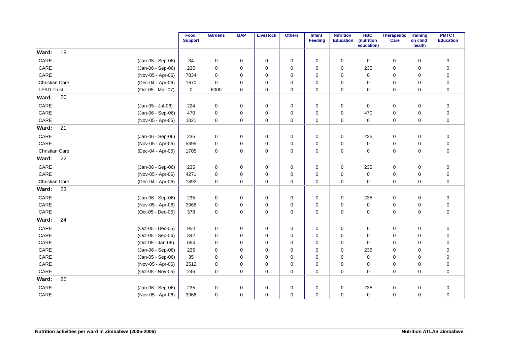|                       |    |                   | Food<br><b>Support</b> | <b>Gardens</b> | <b>MAP</b> | <b>Livestock</b> | <b>Others</b> | Infant<br>Feeding | <b>Nutrition</b><br><b>Education</b> | <b>HBC</b><br>(nutrition<br>education) | Therapeutic<br>Care | <b>Training</b><br>on child<br>health | <b>PMTCT</b><br><b>Education</b> |
|-----------------------|----|-------------------|------------------------|----------------|------------|------------------|---------------|-------------------|--------------------------------------|----------------------------------------|---------------------|---------------------------------------|----------------------------------|
| Ward:                 | 19 |                   |                        |                |            |                  |               |                   |                                      |                                        |                     |                                       |                                  |
| CARE                  |    | (Jan-05 - Sep-06) | 34                     | $\mathbf 0$    | 0          | $\mathbf 0$      | 0             | $\Omega$          | 0                                    | $\mathbf 0$                            | 0                   | $\mathbf 0$                           | $\pmb{0}$                        |
| CARE                  |    | (Jan-06 - Sep-06) | 235                    | $\mathbf 0$    | 0          | $\mathbf 0$      | 0             | $\Omega$          | 0                                    | 235                                    | 0                   | $\mathbf 0$                           | $\pmb{0}$                        |
| CARE                  |    | (Nov-05 - Apr-06) | 7834                   | $\mathbf 0$    | 0          | 0                | 0             | 0                 | 0                                    | $\mathbf 0$                            | 0                   | $\mathbf 0$                           | $\pmb{0}$                        |
| Christian Care        |    | (Dec-04 - Apr-06) | 1670                   | $\mathbf 0$    | 0          | 0                | 0             | 0                 | 0                                    | 0                                      | 0                   | 0                                     | $\pmb{0}$                        |
| <b>LEAD Trust</b>     |    | (Oct-05 - Mar-07) | 0                      | 6000           | 0          | 0                | 0             | $\Omega$          | $\mathbf 0$                          | $\mathbf 0$                            | 0                   | $\mathbf 0$                           | $\pmb{0}$                        |
| Ward:                 | 20 |                   |                        |                |            |                  |               |                   |                                      |                                        |                     |                                       |                                  |
| CARE                  |    | (Jan-05 - Jul-06) | 224                    | 0              | 0          | 0                | 0             | 0                 | 0                                    | 0                                      | 0                   | 0                                     | $\pmb{0}$                        |
| CARE                  |    | (Jan-06 - Sep-06) | 470                    | 0              | 0          | 0                | 0             | 0                 | 0                                    | 470                                    | 0                   | $\mathbf 0$                           | $\pmb{0}$                        |
| CARE                  |    | (Nov-05 - Apr-06) | 1021                   | $\mathbf 0$    | 0          | 0                | 0             | $\mathbf 0$       | $\mathbf 0$                          | $\mathbf 0$                            | 0                   | $\mathbf 0$                           | $\mathbf 0$                      |
| Ward:                 | 21 |                   |                        |                |            |                  |               |                   |                                      |                                        |                     |                                       |                                  |
| CARE                  |    | (Jan-06 - Sep-06) | 235                    | 0              | 0          | 0                | 0             | 0                 | 0                                    | 235                                    | 0                   | 0                                     | $\mathbf 0$                      |
| CARE                  |    | (Nov-05 - Apr-06) | 5395                   | $\mathbf 0$    | 0          | $\mathbf 0$      | 0             | $\Omega$          | $\mathbf 0$                          | 0                                      | 0                   | $\mathbf 0$                           | $\pmb{0}$                        |
| <b>Christian Care</b> |    | (Dec-04 - Apr-06) | 1705                   | $\mathbf 0$    | 0          | 0                | 0             | $\mathbf 0$       | $\mathbf 0$                          | 0                                      | 0                   | $\mathbf 0$                           | $\mathbf 0$                      |
| Ward:                 | 22 |                   |                        |                |            |                  |               |                   |                                      |                                        |                     |                                       |                                  |
| CARE                  |    | (Jan-06 - Sep-06) | 235                    | 0              | 0          | 0                | 0             | 0                 | 0                                    | 235                                    | 0                   | 0                                     | $\mathbf 0$                      |
| CARE                  |    | (Nov-05 - Apr-06) | 4271                   | $\mathbf 0$    | 0          | $\mathbf 0$      | 0             | $\mathbf 0$       | 0                                    | $\mathbf 0$                            | 0                   | $\mathbf 0$                           | $\pmb{0}$                        |
| Christian Care        |    | (Dec-04 - Apr-06) | 1892                   | $\mathbf 0$    | 0          | 0                | 0             | $\mathbf 0$       | 0                                    | 0                                      | 0                   | $\mathbf 0$                           | $\pmb{0}$                        |
| Ward:                 | 23 |                   |                        |                |            |                  |               |                   |                                      |                                        |                     |                                       |                                  |
| CARE                  |    | (Jan-06 - Sep-06) | 235                    | $\mathbf 0$    | 0          | 0                | 0             | $\mathbf 0$       | 0                                    | 235                                    | 0                   | $\mathbf 0$                           | $\pmb{0}$                        |
| CARE                  |    | (Nov-05 - Apr-06) | 3968                   | $\mathbf 0$    | 0          | $\mathbf 0$      | 0             | $\mathbf 0$       | 0                                    | $\mathbf 0$                            | 0                   | 0                                     | $\pmb{0}$                        |
| CARE                  |    | (Oct-05 - Dec-05) | 378                    | $\mathbf 0$    | 0          | 0                | 0             | 0                 | 0                                    | 0                                      | 0                   | 0                                     | $\pmb{0}$                        |
| Ward:                 | 24 |                   |                        |                |            |                  |               |                   |                                      |                                        |                     |                                       |                                  |
| CARE                  |    | (Oct-05 - Dec-05) | 954                    | $\mathbf 0$    | 0          | 0                | 0             | $\mathbf 0$       | 0                                    | 0                                      | 0                   | $\mathbf 0$                           | $\pmb{0}$                        |
| CARE                  |    | (Oct-05 - Sep-06) | 342                    | $\mathbf 0$    | 0          | 0                | 0             | 0                 | 0                                    | 0                                      | 0                   | $\mathbf 0$                           | $\pmb{0}$                        |
| CARE                  |    | (Oct-05 - Jan-06) | 654                    | 0              | 0          | 0                | 0             | 0                 | 0                                    | 0                                      | 0                   | $\mathbf 0$                           | $\pmb{0}$                        |
| CARE                  |    | (Jan-06 - Sep-06) | 235                    | $\mathbf 0$    | 0          | $\mathbf 0$      | 0             | $\Omega$          | 0                                    | 235                                    | 0                   | $\mathbf 0$                           | $\pmb{0}$                        |
| CARE                  |    | (Jan-05 - Sep-06) | 35                     | $\mathbf 0$    | 0          | 0                | 0             | $\Omega$          | 0                                    | $\mathbf 0$                            | 0                   | 0                                     | $\pmb{0}$                        |
| CARE                  |    | (Nov-05 - Apr-06) | 2512                   | 0              | 0          | 0                | 0             | 0                 | 0                                    | 0                                      | 0                   | 0                                     | $\pmb{0}$                        |
| CARE                  |    | (Oct-05 - Nov-05) | 246                    | $\Omega$       | $\Omega$   | $\mathbf 0$      | $\mathbf 0$   | $\Omega$          | $\Omega$                             | $\Omega$                               | 0                   | $\Omega$                              | $\mathbf 0$                      |
| Ward:                 | 25 |                   |                        |                |            |                  |               |                   |                                      |                                        |                     |                                       |                                  |
| CARE                  |    | (Jan-06 - Sep-06) | 235                    | 0              | 0          | $\mathbf 0$      | 0             | 0                 | 0                                    | 235                                    | $\mathbf 0$         | $\mathbf 0$                           | $\mathbf 0$                      |
| CARE                  |    | (Nov-05 - Apr-06) | 3966                   | 0              | 0          | 0                | 0             | 0                 | 0                                    | $\mathbf 0$                            | 0                   | $\mathbf 0$                           | $\pmb{0}$                        |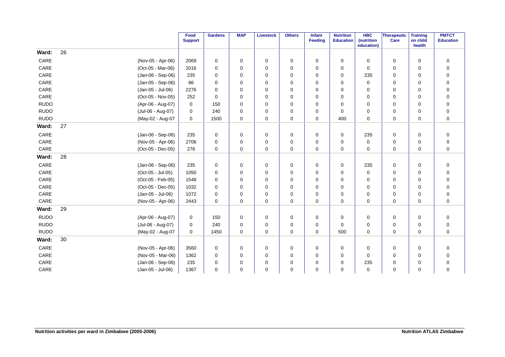|             |                   | Food<br><b>Support</b> | <b>Gardens</b> | <b>MAP</b>  | <b>Livestock</b> | <b>Others</b> | Infant<br>Feeding | <b>Nutrition</b><br><b>Education</b> | <b>HBC</b><br>(nutrition<br>education) | Therapeutic<br>Care | <b>Training</b><br>on child<br>health | <b>PMTCT</b><br><b>Education</b> |
|-------------|-------------------|------------------------|----------------|-------------|------------------|---------------|-------------------|--------------------------------------|----------------------------------------|---------------------|---------------------------------------|----------------------------------|
| Ward:       | 26                |                        |                |             |                  |               |                   |                                      |                                        |                     |                                       |                                  |
| CARE        | (Nov-05 - Apr-06) | 2069                   | $\mathbf 0$    | 0           | 0                | 0             | 0                 | 0                                    | 0                                      | 0                   | 0                                     | $\boldsymbol{0}$                 |
| CARE        | (Oct-05 - Mar-06) | 2016                   | $\Omega$       | 0           | $\mathbf 0$      | 0             | $\Omega$          | $\Omega$                             | $\Omega$                               | 0                   | $\mathbf 0$                           | $\pmb{0}$                        |
| CARE        | (Jan-06 - Sep-06) | 235                    | 0              | 0           | $\mathbf 0$      | 0             | $\Omega$          | 0                                    | 235                                    | 0                   | 0                                     | $\mathbf 0$                      |
| CARE        | (Jan-05 - Sep-06) | 86                     | $\Omega$       | 0           | $\mathbf 0$      | 0             | $\Omega$          | $\Omega$                             | $\mathbf 0$                            | 0                   | 0                                     | $\pmb{0}$                        |
| CARE        | (Jan-05 - Jul-06) | 2276                   | $\mathbf 0$    | $\mathbf 0$ | $\mathbf 0$      | 0             | $\Omega$          | 0                                    | $\mathbf 0$                            | 0                   | $\mathbf 0$                           | $\mathbf 0$                      |
| CARE        | (Oct-05 - Nov-05) | 252                    | $\Omega$       | 0           | $\mathbf 0$      | 0             | $\Omega$          | 0                                    | 0                                      | 0                   | $\mathbf 0$                           | $\pmb{0}$                        |
| <b>RUDO</b> | (Apr-06 - Aug-07) | $\mathbf 0$            | 150            | $\Omega$    | $\mathbf 0$      | 0             | $\Omega$          | $\Omega$                             | 0                                      | 0                   | $\Omega$                              | $\pmb{0}$                        |
| <b>RUDO</b> | (Jul-06 - Aug-07) | 0                      | 240            | 0           | $\mathbf 0$      | 0             | $\Omega$          | 0                                    | $\mathbf 0$                            | 0                   | $\mathbf 0$                           | $\pmb{0}$                        |
| <b>RUDO</b> | (May-02 - Aug-07  | 0                      | 1500           | $\mathbf 0$ | 0                | 0             | $\mathbf 0$       | 400                                  | 0                                      | 0                   | $\mathbf 0$                           | $\mathbf 0$                      |
| Ward:       | 27                |                        |                |             |                  |               |                   |                                      |                                        |                     |                                       |                                  |
| CARE        | (Jan-06 - Sep-06) | 235                    | 0              | 0           | 0                | 0             | 0                 | 0                                    | 235                                    | 0                   | 0                                     | $\pmb{0}$                        |
| CARE        | (Nov-05 - Apr-06) | 2706                   | $\mathbf 0$    | 0           | $\mathbf 0$      | 0             | $\Omega$          | 0                                    | $\mathbf 0$                            | 0                   | $\mathbf 0$                           | $\pmb{0}$                        |
| CARE        | (Oct-05 - Dec-05) | 276                    | $\mathbf 0$    | 0           | 0                | 0             | $\mathbf 0$       | 0                                    | 0                                      | 0                   | 0                                     | $\mathbf 0$                      |
| Ward:       | 28                |                        |                |             |                  |               |                   |                                      |                                        |                     |                                       |                                  |
| CARE        | (Jan-06 - Sep-06) | 235                    | $\mathbf 0$    | $\mathbf 0$ | $\mathbf 0$      | 0             | $\mathbf 0$       | $\mathbf 0$                          | 235                                    | 0                   | $\mathbf 0$                           | $\pmb{0}$                        |
| CARE        | (Oct-05 - Jul-05) | 1050                   | 0              | 0           | 0                | 0             | $\Omega$          | 0                                    | 0                                      | 0                   | $\mathbf 0$                           | $\boldsymbol{0}$                 |
| CARE        | (Oct-05 - Feb-05) | 1548                   | $\Omega$       | 0           | 0                | 0             | $\Omega$          | 0                                    | 0                                      | 0                   | $\mathbf 0$                           | $\pmb{0}$                        |
| CARE        | (Oct-05 - Dec-05) | 1032                   | $\mathbf 0$    | 0           | $\mathbf 0$      | 0             | $\Omega$          | 0                                    | $\mathbf 0$                            | 0                   | $\mathbf 0$                           | $\pmb{0}$                        |
| CARE        | (Jan-05 - Jul-06) | 1072                   | $\mathbf 0$    | 0           | 0                | 0             | $\Omega$          | 0                                    | 0                                      | 0                   | $\mathbf 0$                           | $\pmb{0}$                        |
| CARE        | (Nov-05 - Apr-06) | 2443                   | $\Omega$       | $\mathbf 0$ | $\mathbf 0$      | 0             | $\Omega$          | 0                                    | $\mathbf 0$                            | 0                   | $\mathbf 0$                           | $\mathbf 0$                      |
| Ward:       | 29                |                        |                |             |                  |               |                   |                                      |                                        |                     |                                       |                                  |
| <b>RUDO</b> | (Apr-06 - Aug-07) | 0                      | 150            | 0           | 0                | 0             | $\Omega$          | 0                                    | 0                                      | 0                   | $\mathbf 0$                           | $\mathbf 0$                      |
| <b>RUDO</b> | (Jul-06 - Aug-07) | 0                      | 240            | 0           | $\mathbf 0$      | 0             | $\mathbf 0$       | 0                                    | 0                                      | 0                   | 0                                     | $\mathbf 0$                      |
| <b>RUDO</b> | (May-02 - Aug-07  | 0                      | 1450           | 0           | 0                | 0             | $\mathbf 0$       | 500                                  | $\mathbf 0$                            | 0                   | $\mathbf 0$                           | $\pmb{0}$                        |
| Ward:       | 30                |                        |                |             |                  |               |                   |                                      |                                        |                     |                                       |                                  |
| CARE        | (Nov-05 - Apr-06) | 3560                   | 0              | 0           | 0                | 0             | 0                 | 0                                    | 0                                      | 0                   | 0                                     | $\mathbf 0$                      |
| CARE        | (Nov-05 - Mar-06) | 1362                   | $\mathbf 0$    | 0           | $\mathbf 0$      | 0             | $\Omega$          | 0                                    | $\mathbf 0$                            | 0                   | $\mathbf 0$                           | $\pmb{0}$                        |
| CARE        | (Jan-06 - Sep-06) | 235                    | $\mathbf 0$    | 0           | $\mathbf 0$      | 0             | $\Omega$          | 0                                    | 235                                    | 0                   | 0                                     | $\mathbf 0$                      |
| CARE        | (Jan-05 - Jul-06) | 1367                   | $\Omega$       | 0           | $\mathbf 0$      | 0             | $\Omega$          | 0                                    | $\mathbf 0$                            | 0                   | $\mathbf 0$                           | $\mathbf 0$                      |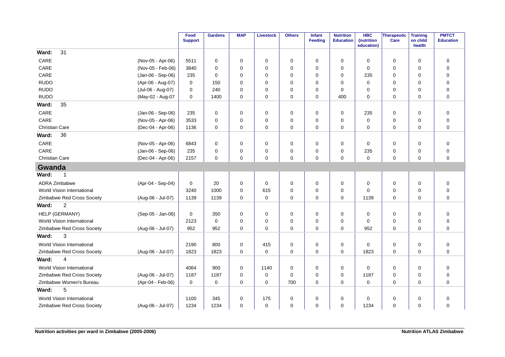|                            |                   | Food<br><b>Support</b> | <b>Gardens</b> | <b>MAP</b>  | <b>Livestock</b> | <b>Others</b> | Infant<br><b>Feeding</b> | <b>Nutrition</b><br><b>Education</b> | <b>HBC</b><br>(nutrition<br>education) | <b>Therapeutic</b><br>Care | <b>Training</b><br>on child<br>health | <b>PMTCT</b><br><b>Education</b> |
|----------------------------|-------------------|------------------------|----------------|-------------|------------------|---------------|--------------------------|--------------------------------------|----------------------------------------|----------------------------|---------------------------------------|----------------------------------|
| 31<br>Ward:                |                   |                        |                |             |                  |               |                          |                                      |                                        |                            |                                       |                                  |
| CARE                       | (Nov-05 - Apr-06) | 5511                   | $\mathbf 0$    | 0           | $\mathbf 0$      | 0             | $\mathbf 0$              | $\mathbf 0$                          | $\mathbf 0$                            | 0                          | $\mathbf 0$                           | $\pmb{0}$                        |
| CARE                       | (Nov-05 - Feb-06) | 3840                   | $\Omega$       | 0           | $\mathbf 0$      | 0             | $\Omega$                 | 0                                    | 0                                      | 0                          | $\mathbf 0$                           | $\mathbf 0$                      |
| CARE                       | (Jan-06 - Sep-06) | 235                    | $\Omega$       | 0           | $\mathbf 0$      | 0             | $\Omega$                 | $\Omega$                             | 235                                    | 0                          | 0                                     | $\mathbf 0$                      |
| <b>RUDO</b>                | (Apr-06 - Aug-07) | 0                      | 150            | 0           | $\mathbf 0$      | 0             | $\Omega$                 | $\Omega$                             | $\mathbf 0$                            | 0                          | 0                                     | $\mathbf 0$                      |
| <b>RUDO</b>                | (Jul-06 - Aug-07) | 0                      | 240            | 0           | $\mathbf 0$      | 0             | $\Omega$                 | 0                                    | 0                                      | 0                          | 0                                     | $\mathbf 0$                      |
| <b>RUDO</b>                | (May-02 - Aug-07  | 0                      | 1400           | 0           | $\mathbf 0$      | $\mathbf 0$   | $\Omega$                 | 400                                  | $\Omega$                               | $\mathbf 0$                | $\mathbf 0$                           | $\mathbf 0$                      |
| 35<br>Ward:                |                   |                        |                |             |                  |               |                          |                                      |                                        |                            |                                       |                                  |
| CARE                       | (Jan-06 - Sep-06) | 235                    | 0              | 0           | 0                | 0             | 0                        | 0                                    | 235                                    | 0                          | 0                                     | $\mathbf 0$                      |
| CARE                       | (Nov-05 - Apr-06) | 3533                   | $\mathbf 0$    | 0           | $\mathbf 0$      | 0             | 0                        | $\mathbf 0$                          | $\mathbf 0$                            | 0                          | $\mathbf 0$                           | $\mathbf 0$                      |
| <b>Christian Care</b>      | (Dec-04 - Apr-06) | 1136                   | $\mathbf 0$    | 0           | $\pmb{0}$        | $\mathbf 0$   | 0                        | 0                                    | $\mathbf 0$                            | 0                          | $\mathbf 0$                           | $\mathbf 0$                      |
| 36<br>Ward:                |                   |                        |                |             |                  |               |                          |                                      |                                        |                            |                                       |                                  |
| CARE                       | (Nov-05 - Apr-06) | 6843                   | 0              | 0           | 0                | 0             | $\Omega$                 | 0                                    | 0                                      | 0                          | $\mathbf 0$                           | $\mathbf 0$                      |
| CARE                       | (Jan-06 - Sep-06) | 235                    | $\mathbf 0$    | 0           | $\mathbf 0$      | 0             | $\mathbf 0$              | 0                                    | 235                                    | 0                          | $\mathbf 0$                           | $\pmb{0}$                        |
| <b>Christian Care</b>      | (Dec-04 - Apr-06) | 2157                   | $\Omega$       | 0           | $\mathbf 0$      | 0             | $\Omega$                 | 0                                    | $\mathbf 0$                            | $\mathbf 0$                | $\mathbf 0$                           | $\mathbf 0$                      |
| Gwanda                     |                   |                        |                |             |                  |               |                          |                                      |                                        |                            |                                       |                                  |
| Ward:<br>1                 |                   |                        |                |             |                  |               |                          |                                      |                                        |                            |                                       |                                  |
| ADRA Zimbabwe              | (Apr-04 - Sep-04) | 0                      | 20             | 0           | $\mathbf 0$      | $\mathbf 0$   | 0                        | 0                                    | 0                                      | 0                          | 0                                     | $\pmb{0}$                        |
| World Vision International |                   | 3240                   | 1000           | $\mathbf 0$ | 615              | 0             | $\Omega$                 | 0                                    | $\Omega$                               | 0                          | $\mathbf 0$                           | $\mathbf 0$                      |
| Zimbabwe Red Cross Society | (Aug-06 - Jul-07) | 1139                   | 1139           | 0           | 0                | 0             | 0                        | 0                                    | 1139                                   | 0                          | $\mathbf 0$                           | $\mathbf 0$                      |
| $\overline{2}$<br>Ward:    |                   |                        |                |             |                  |               |                          |                                      |                                        |                            |                                       |                                  |
| HELP (GERMANY)             | (Sep-05 - Jan-06) | 0                      | 350            | 0           | $\mathbf 0$      | 0             | $\mathbf 0$              | 0                                    | 0                                      | 0                          | $\mathbf 0$                           | $\mathbf 0$                      |
| World Vision International |                   | 2123                   | $\mathbf 0$    | $\mathbf 0$ | $\mathbf 0$      | 0             | 0                        | 0                                    | 0                                      | 0                          | $\mathbf 0$                           | $\mathbf 0$                      |
| Zimbabwe Red Cross Society | (Aug-06 - Jul-07) | 952                    | 952            | $\mathbf 0$ | $\mathbf 0$      | $\mathbf 0$   | 0                        | $\mathbf 0$                          | 952                                    | $\mathbf 0$                | $\mathbf 0$                           | $\mathbf 0$                      |
| 3<br>Ward:                 |                   |                        |                |             |                  |               |                          |                                      |                                        |                            |                                       |                                  |
| World Vision International |                   | 2190                   | 800            | 0           | 415              | 0             | $\mathbf 0$              | 0                                    | $\Omega$                               | 0                          | $\mathbf 0$                           | $\pmb{0}$                        |
| Zimbabwe Red Cross Society | (Aug-06 - Jul-07) | 1823                   | 1823           | 0           | $\mathbf 0$      | 0             | $\Omega$                 | 0                                    | 1823                                   | $\mathbf 0$                | $\Omega$                              | $\mathbf 0$                      |
| 4<br>Ward:                 |                   |                        |                |             |                  |               |                          |                                      |                                        |                            |                                       |                                  |
| World Vision International |                   | 4064                   | 900            | $\Omega$    | 1140             | $\mathbf 0$   | $\Omega$                 | 0                                    | $\Omega$                               | $\mathbf 0$                | $\mathbf 0$                           | $\mathbf 0$                      |
| Zimbabwe Red Cross Society | (Aug-06 - Jul-07) | 1187                   | 1187           | $\mathbf 0$ | $\mathbf 0$      | 0             | $\mathbf 0$              | 0                                    | 1187                                   | 0                          | 0                                     | $\mathbf 0$                      |
| Zimbabwe Women's Bureau    | (Apr-04 - Feb-06) | 0                      | 0              | 0           | $\mathbf 0$      | 700           | 0                        | 0                                    | 0                                      | 0                          | 0                                     | $\mathbf 0$                      |
| 5<br>Ward:                 |                   |                        |                |             |                  |               |                          |                                      |                                        |                            |                                       |                                  |
| World Vision International |                   | 1100                   | 345            | 0           | 175              | 0             | $\Omega$                 | 0                                    | $\mathbf 0$                            | 0                          | $\mathbf 0$                           | $\mathbf 0$                      |
| Zimbabwe Red Cross Society | (Aug-06 - Jul-07) | 1234                   | 1234           | 0           | $\mathbf 0$      | 0             | $\Omega$                 | 0                                    | 1234                                   | 0                          | $\mathbf 0$                           | $\mathbf 0$                      |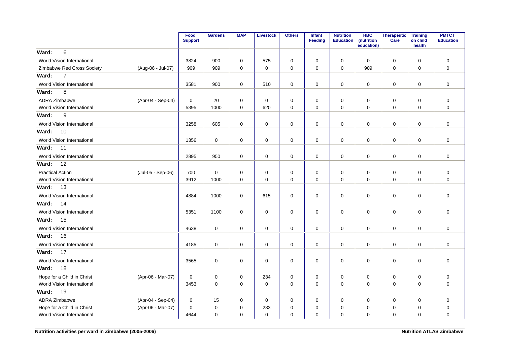|                            |                   | Food<br><b>Support</b> | <b>Gardens</b> | <b>MAP</b>  | <b>Livestock</b> | <b>Others</b> | <b>Infant</b><br><b>Feeding</b> | <b>Nutrition</b><br><b>Education</b> | <b>HBC</b><br>(nutrition<br>education) | Therapeutic<br>Care | <b>Training</b><br>on child<br>health | <b>PMTCT</b><br><b>Education</b> |
|----------------------------|-------------------|------------------------|----------------|-------------|------------------|---------------|---------------------------------|--------------------------------------|----------------------------------------|---------------------|---------------------------------------|----------------------------------|
| 6<br>Ward:                 |                   |                        |                |             |                  |               |                                 |                                      |                                        |                     |                                       |                                  |
| World Vision International |                   | 3824                   | 900            | 0           | 575              | 0             | $\mathbf 0$                     | 0                                    | 0                                      | $\mathbf 0$         | $\mathbf 0$                           | $\mathbf 0$                      |
| Zimbabwe Red Cross Society | (Aug-06 - Jul-07) | 909                    | 909            | 0           | 0                | 0             | $\mathbf 0$                     | 0                                    | 909                                    | 0                   | 0                                     | $\mathbf 0$                      |
| $\overline{7}$<br>Ward:    |                   |                        |                |             |                  |               |                                 |                                      |                                        |                     |                                       |                                  |
| World Vision International |                   | 3581                   | 900            | 0           | 510              | 0             | $\mathbf 0$                     | $\mathbf 0$                          | 0                                      | $\mathsf{O}\xspace$ | 0                                     | $\mathbf 0$                      |
| 8<br>Ward:                 |                   |                        |                |             |                  |               |                                 |                                      |                                        |                     |                                       |                                  |
| ADRA Zimbabwe              | (Apr-04 - Sep-04) | 0                      | 20             | $\mathbf 0$ | 0                | $\mathbf 0$   | 0                               | $\mathbf 0$                          | 0                                      | $\mathbf 0$         | 0                                     | $\pmb{0}$                        |
| World Vision International |                   | 5395                   | 1000           | $\mathbf 0$ | 620              | 0             | $\mathbf 0$                     | $\mathbf 0$                          | $\mathbf 0$                            | $\mathbf 0$         | $\mathbf 0$                           | $\mathbf 0$                      |
| 9<br>Ward:                 |                   |                        |                |             |                  |               |                                 |                                      |                                        |                     |                                       |                                  |
| World Vision International |                   | 3258                   | 605            | 0           | 0                | 0             | $\mathbf 0$                     | $\mathbf 0$                          | 0                                      | $\mathsf{O}\xspace$ | 0                                     | $\pmb{0}$                        |
| Ward:<br>10                |                   |                        |                |             |                  |               |                                 |                                      |                                        |                     |                                       |                                  |
| World Vision International |                   | 1356                   | 0              | 0           | 0                | 0             | 0                               | 0                                    | 0                                      | $\mathbf 0$         | 0                                     | $\mathbf 0$                      |
| Ward:<br>11                |                   |                        |                |             |                  |               |                                 |                                      |                                        |                     |                                       |                                  |
| World Vision International |                   | 2895                   | 950            | 0           | 0                | 0             | 0                               | 0                                    | 0                                      | $\mathsf{O}\xspace$ | 0                                     | 0                                |
| 12<br>Ward:                |                   |                        |                |             |                  |               |                                 |                                      |                                        |                     |                                       |                                  |
| <b>Practical Action</b>    | (Jul-05 - Sep-06) | 700                    | $\mathbf 0$    | 0           | $\mathbf 0$      | 0             | 0                               | 0                                    | 0                                      | $\mathbf 0$         | 0                                     | 0                                |
| World Vision International |                   | 3912                   | 1000           | 0           | 0                | 0             | $\mathbf 0$                     | $\mathbf 0$                          | $\mathbf 0$                            | $\mathbf 0$         | $\mathbf 0$                           | $\mathbf 0$                      |
| 13<br>Ward:                |                   |                        |                |             |                  |               |                                 |                                      |                                        |                     |                                       |                                  |
| World Vision International |                   | 4884                   | 1000           | $\mathbf 0$ | 615              | 0             | $\mathbf 0$                     | $\mathbf 0$                          | 0                                      | $\mathsf{O}\xspace$ | $\mathbf 0$                           | $\pmb{0}$                        |
| 14<br>Ward:                |                   |                        |                |             |                  |               |                                 |                                      |                                        |                     |                                       |                                  |
| World Vision International |                   | 5351                   | 1100           | 0           | 0                | 0             | $\mathbf 0$                     | $\mathbf 0$                          | $\mathbf 0$                            | $\mathbf 0$         | $\mathbf 0$                           | $\mathbf 0$                      |
| 15<br>Ward:                |                   |                        |                |             |                  |               |                                 |                                      |                                        |                     |                                       |                                  |
| World Vision International |                   | 4638                   | $\mathbf 0$    | 0           | $\mathbf 0$      | 0             | $\mathbf 0$                     | $\mathbf 0$                          | 0                                      | $\mathbf 0$         | $\mathbf 0$                           | $\mathbf 0$                      |
| 16<br>Ward:                |                   |                        |                |             |                  |               |                                 |                                      |                                        |                     |                                       |                                  |
| World Vision International |                   | 4185                   | $\mathbf 0$    | $\mathbf 0$ | 0                | 0             | 0                               | $\mathbf 0$                          | 0                                      | $\mathbf 0$         | $\mathbf 0$                           | $\mathbf 0$                      |
| 17<br>Ward:                |                   |                        |                |             |                  |               |                                 |                                      |                                        |                     |                                       |                                  |
| World Vision International |                   | 3565                   | $\mathbf 0$    | 0           | $\mathbf 0$      | 0             | $\mathbf 0$                     | $\mathbf 0$                          | 0                                      | $\mathsf{O}\xspace$ | $\mathbf 0$                           | $\mathbf 0$                      |
| 18<br>Ward:                |                   |                        |                |             |                  |               |                                 |                                      |                                        |                     |                                       |                                  |
| Hope for a Child in Christ | (Apr-06 - Mar-07) | 0                      | 0              | $\mathbf 0$ | 234              | $\mathbf 0$   | 0                               | $\mathbf 0$                          | 0                                      | $\mathbf 0$         | 0                                     | $\pmb{0}$                        |
| World Vision International |                   | 3453                   | $\mathbf 0$    | $\mathbf 0$ | $\mathbf 0$      | $\mathbf 0$   | $\mathbf 0$                     | $\mathbf 0$                          | $\mathbf 0$                            | $\mathbf 0$         | $\mathbf 0$                           | $\mathbf 0$                      |
| 19<br>Ward:                |                   |                        |                |             |                  |               |                                 |                                      |                                        |                     |                                       |                                  |
| ADRA Zimbabwe              | (Apr-04 - Sep-04) | 0                      | 15             | 0           | 0                | 0             | 0                               | 0                                    | 0                                      | 0                   | 0                                     | 0                                |
| Hope for a Child in Christ | (Apr-06 - Mar-07) | $\pmb{0}$              | $\pmb{0}$      | 0           | 233              | 0             | 0                               | $\mathbf 0$                          | 0                                      | 0                   | 0                                     | $\pmb{0}$                        |
| World Vision International |                   | 4644                   | $\pmb{0}$      | 0           | $\mathbf 0$      | 0             | 0                               | 0                                    | 0                                      | $\pmb{0}$           | 0                                     | $\mathbf 0$                      |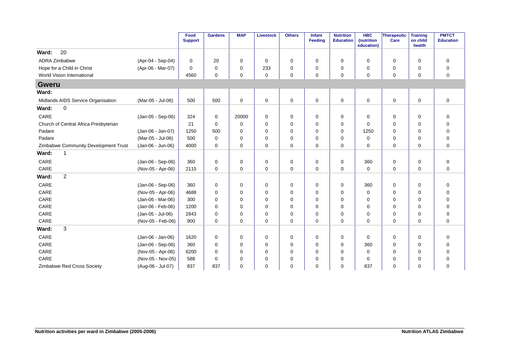|                                       |                   | Food<br><b>Support</b> | <b>Gardens</b> | <b>MAP</b>  | <b>Livestock</b> | <b>Others</b> | Infant<br>Feeding | <b>Nutrition</b><br><b>Education</b> | <b>HBC</b><br>(nutrition<br>education) | <b>Therapeutic</b><br>Care | <b>Training</b><br>on child<br>health | <b>PMTCT</b><br><b>Education</b> |
|---------------------------------------|-------------------|------------------------|----------------|-------------|------------------|---------------|-------------------|--------------------------------------|----------------------------------------|----------------------------|---------------------------------------|----------------------------------|
| 20<br>Ward:                           |                   |                        |                |             |                  |               |                   |                                      |                                        |                            |                                       |                                  |
| ADRA Zimbabwe                         | (Apr-04 - Sep-04) | 0                      | 20             | 0           | $\mathbf 0$      | 0             | $\mathbf 0$       | $\mathbf 0$                          | $\mathbf 0$                            | 0                          | 0                                     | $\mathbf 0$                      |
| Hope for a Child in Christ            | (Apr-06 - Mar-07) | 0                      | 0              | $\mathbf 0$ | 233              | 0             | $\Omega$          | 0                                    | 0                                      | 0                          | 0                                     | $\mathbf 0$                      |
| World Vision International            |                   | 4560                   | $\mathbf 0$    | 0           | $\mathbf 0$      | 0             | $\Omega$          | $\mathbf 0$                          | 0                                      | $\mathbf 0$                | 0                                     | $\mathbf 0$                      |
| <b>Gweru</b>                          |                   |                        |                |             |                  |               |                   |                                      |                                        |                            |                                       |                                  |
| Ward:                                 |                   |                        |                |             |                  |               |                   |                                      |                                        |                            |                                       |                                  |
| Midlands AIDS Service Organisation    | (Mar-05 - Jul-06) | 500                    | 500            | 0           | $\pmb{0}$        | $\mathbf 0$   | $\mathbf 0$       | 0                                    | $\mathbf 0$                            | $\pmb{0}$                  | 0                                     | $\pmb{0}$                        |
| 0<br>Ward:                            |                   |                        |                |             |                  |               |                   |                                      |                                        |                            |                                       |                                  |
| CARE                                  | (Jan-05 - Sep-06) | 324                    | 0              | 20000       | 0                | 0             | 0                 | 0                                    | 0                                      | 0                          | 0                                     | $\mathbf 0$                      |
| Church of Central Africa Presbyterian |                   | 21                     | $\Omega$       | 0           | $\mathbf 0$      | 0             | 0                 | 0                                    | $\Omega$                               | 0                          | 0                                     | $\mathbf 0$                      |
| Padare                                | (Jan-06 - Jan-07) | 1250                   | 500            | 0           | $\mathbf 0$      | 0             | $\Omega$          | 0                                    | 1250                                   | 0                          | 0                                     | $\mathbf 0$                      |
| Padare                                | (Mar-05 - Jul-06) | 500                    | $\Omega$       | $\Omega$    | $\mathbf 0$      | 0             | $\Omega$          | $\Omega$                             | $\Omega$                               | $\mathbf 0$                | $\Omega$                              | $\mathbf 0$                      |
| Zimbabwe Community Development Trust  | (Jan-06 - Jun-06) | 4000                   | $\Omega$       | $\mathbf 0$ | $\mathbf 0$      | 0             | $\mathbf 0$       | 0                                    | $\Omega$                               | $\mathbf 0$                | 0                                     | $\mathbf 0$                      |
| Ward:<br>-1                           |                   |                        |                |             |                  |               |                   |                                      |                                        |                            |                                       |                                  |
| CARE                                  | (Jan-06 - Sep-06) | 360                    | $\mathbf 0$    | 0           | 0                | 0             | 0                 | 0                                    | 360                                    | $\mathbf 0$                | 0                                     | $\pmb{0}$                        |
| CARE                                  | (Nov-05 - Apr-06) | 2115                   | $\mathbf 0$    | $\mathbf 0$ | $\mathbf 0$      | 0             | $\mathbf 0$       | $\mathbf 0$                          | 0                                      | 0                          | 0                                     | $\mathbf 0$                      |
| $\overline{2}$<br>Ward:               |                   |                        |                |             |                  |               |                   |                                      |                                        |                            |                                       |                                  |
| CARE                                  | (Jan-06 - Sep-06) | 360                    | 0              | 0           | $\mathbf 0$      | 0             | 0                 | 0                                    | 360                                    | 0                          | 0                                     | 0                                |
| CARE                                  | (Nov-05 - Apr-06) | 4688                   | $\Omega$       | $\Omega$    | $\mathbf 0$      | 0             | $\Omega$          | $\Omega$                             | $\Omega$                               | 0                          | 0                                     | 0                                |
| CARE                                  | (Jan-06 - Mar-06) | 300                    | $\Omega$       | $\Omega$    | $\mathbf 0$      | 0             | $\Omega$          | 0                                    | $\Omega$                               | 0                          | 0                                     | $\mathbf 0$                      |
| CARE                                  | (Jan-06 - Feb-06) | 1200                   | $\Omega$       | $\Omega$    | $\mathbf 0$      | 0             | $\Omega$          | $\Omega$                             | $\Omega$                               | 0                          | 0                                     | $\mathbf 0$                      |
| CARE                                  | (Jan-05 - Jul-06) | 2843                   | $\Omega$       | 0           | $\mathbf 0$      | 0             | $\Omega$          | 0                                    | $\Omega$                               | 0                          | 0                                     | $\mathbf 0$                      |
| CARE                                  | (Nov-05 - Feb-06) | 900                    | $\Omega$       | 0           | $\mathbf 0$      | 0             | $\Omega$          | 0                                    | 0                                      | 0                          | 0                                     | $\mathbf 0$                      |
| 3<br>Ward:                            |                   |                        |                |             |                  |               |                   |                                      |                                        |                            |                                       |                                  |
| CARE                                  | (Jan-06 - Jan-06) | 1620                   | 0              | 0           | 0                | 0             | 0                 | 0                                    | 0                                      | 0                          | 0                                     | $\mathbf 0$                      |
| CARE                                  | (Jan-06 - Sep-06) | 360                    | 0              | 0           | $\mathbf 0$      | 0             | 0                 | 0                                    | 360                                    | 0                          | 0                                     | 0                                |
| CARE                                  | (Nov-05 - Apr-06) | 6200                   | $\Omega$       | $\Omega$    | $\mathbf 0$      | 0             | $\Omega$          | $\Omega$                             | 0                                      | $\mathbf 0$                | $\Omega$                              | $\mathbf 0$                      |
| CARE                                  | (Nov-05 - Nov-05) | 588                    | $\Omega$       | $\Omega$    | $\mathbf 0$      | 0             | $\Omega$          | $\Omega$                             | $\Omega$                               | 0                          | $\Omega$                              | $\mathbf 0$                      |
| Zimbabwe Red Cross Society            | (Aug-06 - Jul-07) | 837                    | 837            | $\Omega$    | $\mathbf 0$      | 0             | $\Omega$          | $\Omega$                             | 837                                    | $\mathbf 0$                | $\Omega$                              | $\mathbf 0$                      |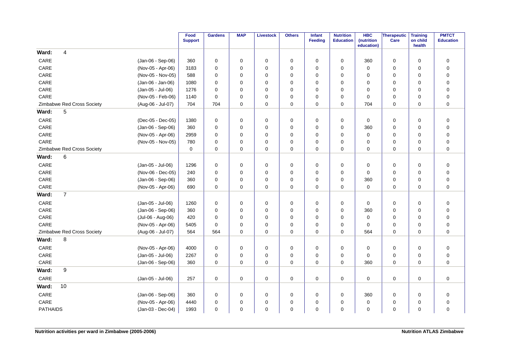|                 |                            |                   | Food<br><b>Support</b> | <b>Gardens</b> | <b>MAP</b>  | <b>Livestock</b> | <b>Others</b> | Infant<br>Feeding | <b>Nutrition</b><br><b>Education</b> | <b>HBC</b><br>(nutrition<br>education) | Therapeutic<br>Care | <b>Training</b><br>on child<br>health | <b>PMTCT</b><br><b>Education</b> |
|-----------------|----------------------------|-------------------|------------------------|----------------|-------------|------------------|---------------|-------------------|--------------------------------------|----------------------------------------|---------------------|---------------------------------------|----------------------------------|
| Ward:           | 4                          |                   |                        |                |             |                  |               |                   |                                      |                                        |                     |                                       |                                  |
| CARE            |                            | (Jan-06 - Sep-06) | 360                    | 0              | 0           | 0                | 0             | 0                 | 0                                    | 360                                    | 0                   | 0                                     | $\mathbf 0$                      |
| CARE            |                            | (Nov-05 - Apr-06) | 3183                   | 0              | 0           | $\mathbf 0$      | 0             | $\Omega$          | 0                                    | $\mathbf 0$                            | 0                   | $\mathbf 0$                           | $\pmb{0}$                        |
| CARE            |                            | (Nov-05 - Nov-05) | 588                    | 0              | 0           | $\mathbf 0$      | 0             | $\Omega$          | 0                                    | 0                                      | 0                   | 0                                     | $\pmb{0}$                        |
| CARE            |                            | (Jan-06 - Jan-06) | 1080                   | 0              | 0           | $\mathbf 0$      | 0             | $\Omega$          | 0                                    | 0                                      | 0                   | $\mathbf 0$                           | $\mathbf 0$                      |
| $\mathsf{CARE}$ |                            | (Jan-05 - Jul-06) | 1276                   | 0              | 0           | 0                | 0             | $\Omega$          | $\Omega$                             | 0                                      | 0                   | $\Omega$                              | $\pmb{0}$                        |
| CARE            |                            | (Nov-05 - Feb-06) | 1140                   | $\mathbf 0$    | $\mathbf 0$ | $\mathbf 0$      | 0             | $\Omega$          | 0                                    | $\mathbf 0$                            | 0                   | $\mathbf 0$                           | $\pmb{0}$                        |
|                 | Zimbabwe Red Cross Society | (Aug-06 - Jul-07) | 704                    | 704            | $\Omega$    | $\mathbf 0$      | 0             | $\Omega$          | $\Omega$                             | 704                                    | 0                   | $\Omega$                              | $\mathbf 0$                      |
| Ward:           | 5                          |                   |                        |                |             |                  |               |                   |                                      |                                        |                     |                                       |                                  |
| CARE            |                            | (Dec-05 - Dec-05) | 1380                   | 0              | $\mathbf 0$ | $\mathbf 0$      | 0             | $\mathbf 0$       | 0                                    | 0                                      | 0                   | $\mathbf 0$                           | $\mathbf 0$                      |
| CARE            |                            | (Jan-06 - Sep-06) | 360                    | 0              | $\mathbf 0$ | $\mathbf 0$      | $\mathbf 0$   | $\Omega$          | 0                                    | 360                                    | 0                   | $\mathbf 0$                           | $\mathbf 0$                      |
| $\mathsf{CARE}$ |                            | (Nov-05 - Apr-06) | 2959                   | 0              | 0           | 0                | 0             | $\Omega$          | 0                                    | $\mathbf 0$                            | 0                   | $\mathbf 0$                           | $\pmb{0}$                        |
| $\mathsf{CARE}$ |                            | (Nov-05 - Nov-05) | 780                    | 0              | $\mathbf 0$ | $\mathbf 0$      | 0             | $\Omega$          | 0                                    | $\mathbf 0$                            | 0                   | $\mathbf 0$                           | $\pmb{0}$                        |
|                 | Zimbabwe Red Cross Society |                   | $\mathbf 0$            | $\Omega$       | $\Omega$    | $\mathbf 0$      | 0             | $\Omega$          | $\Omega$                             | $\Omega$                               | 0                   | $\Omega$                              | $\mathbf 0$                      |
| Ward:           | 6                          |                   |                        |                |             |                  |               |                   |                                      |                                        |                     |                                       |                                  |
| CARE            |                            | (Jan-05 - Jul-06) | 1296                   | 0              | 0           | 0                | 0             | 0                 | 0                                    | 0                                      | 0                   | $\mathbf 0$                           | $\mathbf 0$                      |
| CARE            |                            | (Nov-06 - Dec-05) | 240                    | 0              | 0           | $\mathbf 0$      | 0             | $\Omega$          | 0                                    | $\mathbf 0$                            | 0                   | $\mathbf 0$                           | $\pmb{0}$                        |
| CARE            |                            | (Jan-06 - Sep-06) | 360                    | 0              | 0           | 0                | 0             | $\Omega$          | 0                                    | 360                                    | 0                   | $\mathbf 0$                           | $\pmb{0}$                        |
| CARE            |                            | (Nov-05 - Apr-06) | 690                    | 0              | $\mathbf 0$ | $\mathbf 0$      | 0             | $\Omega$          | 0                                    | $\mathbf 0$                            | $\mathbf 0$         | $\mathbf 0$                           | $\mathbf 0$                      |
| Ward:           | $\overline{7}$             |                   |                        |                |             |                  |               |                   |                                      |                                        |                     |                                       |                                  |
| CARE            |                            | (Jan-05 - Jul-06) | 1260                   | 0              | $\mathbf 0$ | 0                | 0             | $\Omega$          | 0                                    | 0                                      | 0                   | $\mathbf 0$                           | $\mathbf 0$                      |
| CARE            |                            | (Jan-06 - Sep-06) | 360                    | 0              | 0           | 0                | 0             | $\Omega$          | 0                                    | 360                                    | 0                   | 0                                     | $\pmb{0}$                        |
| CARE            |                            | (Jul-06 - Aug-06) | 420                    | 0              | $\mathbf 0$ | $\mathbf 0$      | 0             | $\Omega$          | 0                                    | $\mathbf 0$                            | 0                   | 0                                     | $\pmb{0}$                        |
| CARE            |                            | (Nov-05 - Apr-06) | 5405                   | 0              | $\mathbf 0$ | 0                | 0             | 0                 | 0                                    | $\mathbf 0$                            | 0                   | $\mathbf 0$                           | $\pmb{0}$                        |
|                 | Zimbabwe Red Cross Society | (Aug-06 - Jul-07) | 564                    | 564            | $\Omega$    | $\mathbf 0$      | 0             | $\Omega$          | 0                                    | 564                                    | $\mathbf 0$         | $\Omega$                              | $\overline{0}$                   |
| Ward:           | 8                          |                   |                        |                |             |                  |               |                   |                                      |                                        |                     |                                       |                                  |
| CARE            |                            | (Nov-05 - Apr-06) | 4000                   | 0              | $\mathbf 0$ | 0                | 0             | $\Omega$          | 0                                    | 0                                      | 0                   | $\mathbf 0$                           | $\mathbf 0$                      |
| CARE            |                            | (Jan-05 - Jul-06) | 2267                   | 0              | 0           | $\mathbf 0$      | 0             | $\mathbf 0$       | 0                                    | $\mathbf 0$                            | 0                   | $\mathbf 0$                           | $\pmb{0}$                        |
| CARE            |                            | (Jan-06 - Sep-06) | 360                    | 0              | $\Omega$    | $\Omega$         | $\Omega$      | $\Omega$          | $\Omega$                             | 360                                    | $\mathbf 0$         | $\Omega$                              | $\mathbf 0$                      |
| Ward:           | $\boldsymbol{9}$           |                   |                        |                |             |                  |               |                   |                                      |                                        |                     |                                       |                                  |
| CARE            |                            | (Jan-05 - Jul-06) | 257                    | 0              | $\mathbf 0$ | 0                | $\pmb{0}$     | 0                 | 0                                    | 0                                      | 0                   | $\mathbf 0$                           | $\pmb{0}$                        |
| Ward:           | 10                         |                   |                        |                |             |                  |               |                   |                                      |                                        |                     |                                       |                                  |
| CARE            |                            | (Jan-06 - Sep-06) | 360                    | 0              | 0           | $\mathbf 0$      | 0             | 0                 | 0                                    | 360                                    | 0                   | 0                                     | $\pmb{0}$                        |
| CARE            |                            | (Nov-05 - Apr-06) | 4440                   | $\Omega$       | 0           | 0                | 0             | $\Omega$          | $\Omega$                             | $\mathbf 0$                            | 0                   | $\mathbf 0$                           | $\mathbf 0$                      |
| <b>PATHAIDS</b> |                            | (Jan-03 - Dec-04) | 1993                   | 0              | $\mathbf 0$ | $\mathbf 0$      | 0             | $\mathbf 0$       | 0                                    | $\mathbf 0$                            | 0                   | $\mathbf 0$                           | $\pmb{0}$                        |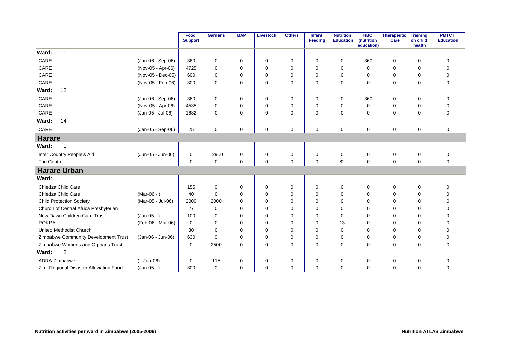|                                         |                   | Food<br><b>Support</b> | <b>Gardens</b> | <b>MAP</b>  | Livestock   | <b>Others</b> | <b>Infant</b><br>Feeding | <b>Nutrition</b><br><b>Education</b> | <b>HBC</b><br>(nutrition<br>education) | Therapeutic<br>Care | <b>Training</b><br>on child<br>health | <b>PMTCT</b><br><b>Education</b> |
|-----------------------------------------|-------------------|------------------------|----------------|-------------|-------------|---------------|--------------------------|--------------------------------------|----------------------------------------|---------------------|---------------------------------------|----------------------------------|
| 11<br>Ward:                             |                   |                        |                |             |             |               |                          |                                      |                                        |                     |                                       |                                  |
| CARE                                    | (Jan-06 - Sep-06) | 360                    | 0              | 0           | 0           | 0             | $\mathbf 0$              | $\mathbf 0$                          | 360                                    | 0                   | $\mathbf 0$                           | $\mathbf 0$                      |
| CARE                                    | (Nov-05 - Apr-06) | 4725                   | $\mathbf 0$    | $\Omega$    | 0           | $\mathbf 0$   | $\Omega$                 | $\Omega$                             | $\Omega$                               | 0                   | $\Omega$                              | $\mathbf 0$                      |
| CARE                                    | (Nov-05 - Dec-05) | 600                    | $\mathbf 0$    | $\Omega$    | 0           | $\mathbf 0$   | $\Omega$                 | $\Omega$                             | $\mathbf 0$                            | 0                   | 0                                     | $\mathbf 0$                      |
| CARE                                    | (Nov-05 - Feb-06) | 300                    | $\mathbf 0$    | $\mathbf 0$ | 0           | $\mathbf 0$   | $\mathbf 0$              | $\mathbf 0$                          | 0                                      | 0                   | $\mathbf 0$                           | $\mathbf 0$                      |
| 12<br>Ward:                             |                   |                        |                |             |             |               |                          |                                      |                                        |                     |                                       |                                  |
| CARE                                    | (Jan-06 - Sep-06) | 360                    | $\mathbf 0$    | 0           | 0           | 0             | $\mathbf 0$              | $\mathbf 0$                          | 360                                    | 0                   | $\mathbf 0$                           | $\mathbf 0$                      |
| CARE                                    | (Nov-05 - Apr-06) | 4535                   | $\mathbf 0$    | $\Omega$    | 0           | 0             | $\Omega$                 | $\Omega$                             | $\Omega$                               | 0                   | $\Omega$                              | $\mathbf 0$                      |
| CARE                                    | (Jan-05 - Jul-06) | 1682                   | $\Omega$       | $\Omega$    | $\mathbf 0$ | $\mathbf 0$   | $\Omega$                 | $\Omega$                             | $\Omega$                               | $\mathbf 0$         | $\Omega$                              | $\mathbf 0$                      |
| 14<br>Ward:                             |                   |                        |                |             |             |               |                          |                                      |                                        |                     |                                       |                                  |
| CARE                                    | (Jan-05 - Sep-06) | 25                     | $\mathbf 0$    | $\mathbf 0$ | $\mathbf 0$ | 0             | $\mathbf 0$              | $\mathbf 0$                          | $\Omega$                               | $\mathbf 0$         | $\mathbf 0$                           | $\mathbf 0$                      |
| <b>Harare</b>                           |                   |                        |                |             |             |               |                          |                                      |                                        |                     |                                       |                                  |
| Ward:<br>$\mathbf 1$                    |                   |                        |                |             |             |               |                          |                                      |                                        |                     |                                       |                                  |
| Inter Country People's Aid              | (Jun-05 - Jun-06) | $\mathbf 0$            | 12900          | 0           | 0           | 0             | 0                        | 0                                    | $\mathbf 0$                            | 0                   | $\mathbf 0$                           | $\mathbf 0$                      |
| The Centre                              |                   | $\mathbf 0$            | 0              | 0           | 0           | 0             | $\mathbf 0$              | 82                                   | $\mathbf 0$                            | 0                   | $\mathbf 0$                           | $\mathbf 0$                      |
| <b>Harare Urban</b>                     |                   |                        |                |             |             |               |                          |                                      |                                        |                     |                                       |                                  |
| Ward:                                   |                   |                        |                |             |             |               |                          |                                      |                                        |                     |                                       |                                  |
| Chiedza Child Care                      |                   | 155                    | 0              | 0           | 0           | 0             | 0                        | 0                                    | 0                                      | 0                   | $\mathbf 0$                           | 0                                |
| Chiedza Child Care                      | $(Mar-06 - )$     | 40                     | $\Omega$       | $\Omega$    | 0           | 0             | $\Omega$                 | 0                                    | $\Omega$                               | 0                   | 0                                     | $\mathbf 0$                      |
| <b>Child Protection Society</b>         | (Mar-05 - Jul-06) | 2000                   | 2000           | $\Omega$    | $\mathbf 0$ | $\mathbf 0$   | $\Omega$                 | $\Omega$                             | $\Omega$                               | 0                   | $\Omega$                              | $\mathbf 0$                      |
| Church of Central Africa Presbyterian   |                   | 27                     | $\mathbf 0$    | $\Omega$    | 0           | $\mathbf 0$   | $\Omega$                 | $\Omega$                             | $\Omega$                               | 0                   | $\Omega$                              | $\mathbf 0$                      |
| New Dawn Children Care Trust            | $(Jun-05 - )$     | 100                    | $\Omega$       | $\Omega$    | 0           | $\mathbf 0$   | $\Omega$                 | $\Omega$                             | $\Omega$                               | $\Omega$            | $\Omega$                              | $\mathbf 0$                      |
| <b>ROKPA</b>                            | (Feb-06 - Mar-06) | $\mathbf 0$            | $\Omega$       | $\Omega$    | $\mathbf 0$ | $\mathbf 0$   | $\Omega$                 | 13                                   | $\Omega$                               | 0                   | $\Omega$                              | $\mathbf 0$                      |
| United Methodist Church                 |                   | 80                     | $\Omega$       | $\Omega$    | $\mathbf 0$ | $\mathbf 0$   | $\Omega$                 | $\Omega$                             | $\Omega$                               | 0                   | $\Omega$                              | $\mathbf 0$                      |
| Zimbabwe Community Development Trust    | (Jan-06 - Jun-06) | 630                    | $\mathbf 0$    | 0           | 0           | $\mathbf 0$   | 0                        | $\mathbf 0$                          | $\mathbf 0$                            | $\mathbf 0$         | $\mathbf 0$                           | $\mathbf 0$                      |
| Zimbabwe Womens and Orphans Trust       |                   | 0                      | 2500           | 0           | $\mathbf 0$ | $\mathbf 0$   | $\Omega$                 | 0                                    | $\Omega$                               | 0                   | $\mathbf 0$                           | $\mathbf 0$                      |
| 2<br>Ward:                              |                   |                        |                |             |             |               |                          |                                      |                                        |                     |                                       |                                  |
| <b>ADRA Zimbabwe</b>                    | $(-$ Jun-06)      | 0                      | 115            | 0           | 0           | 0             | 0                        | 0                                    | 0                                      | 0                   | 0                                     | 0                                |
| Zim. Regional Disaster Alleviation Fund | $(Jun-05 - )$     | 300                    | 0              | 0           | 0           | 0             | 0                        | 0                                    | $\Omega$                               | 0                   | 0                                     | $\mathbf 0$                      |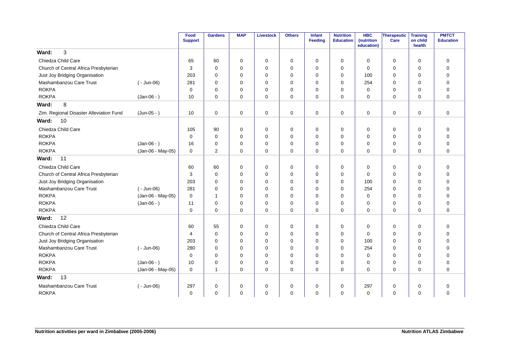|                                         |                   | Food<br><b>Support</b> | <b>Gardens</b> | <b>MAP</b>  | <b>Livestock</b> | <b>Others</b> | <b>Infant</b><br><b>Feeding</b> | <b>Nutrition</b><br><b>Education</b> | <b>HBC</b><br>(nutrition<br>education) | Therapeutic<br>Care | <b>Training</b><br>on child<br>health | <b>PMTCT</b><br><b>Education</b> |
|-----------------------------------------|-------------------|------------------------|----------------|-------------|------------------|---------------|---------------------------------|--------------------------------------|----------------------------------------|---------------------|---------------------------------------|----------------------------------|
| 3<br>Ward:                              |                   |                        |                |             |                  |               |                                 |                                      |                                        |                     |                                       |                                  |
| Chiedza Child Care                      |                   | 65                     | 60             | 0           | 0                | 0             | $\mathbf 0$                     | $\mathbf 0$                          | $\Omega$                               | $\mathbf 0$         | 0                                     | $\mathbf 0$                      |
| Church of Central Africa Presbyterian   |                   | 3                      | $\mathbf 0$    | 0           | 0                | 0             | 0                               | 0                                    | 0                                      | 0                   | 0                                     | $\mathbf 0$                      |
| Just Joy Bridging Organisation          |                   | 203                    | $\mathbf 0$    | 0           | $\mathbf 0$      | 0             | $\mathbf 0$                     | $\mathbf 0$                          | 100                                    | 0                   | 0                                     | $\mathbf 0$                      |
| Mashambanzou Care Trust                 | ( - Jun-06)       | 281                    | $\Omega$       | $\Omega$    | 0                | 0             | $\Omega$                        | $\Omega$                             | 254                                    | 0                   | $\Omega$                              | $\mathbf 0$                      |
| <b>ROKPA</b>                            |                   | 0                      | $\mathbf 0$    | 0           | $\mathbf 0$      | 0             | $\mathbf 0$                     | $\mathbf 0$                          | $\Omega$                               | 0                   | $\mathbf 0$                           | $\mathbf 0$                      |
| <b>ROKPA</b>                            | $(Jan-06 - )$     | 10                     | $\mathbf 0$    | 0           | 0                | 0             | $\mathbf 0$                     | 0                                    | $\Omega$                               | 0                   | $\mathbf 0$                           | $\mathbf 0$                      |
| 8<br>Ward:                              |                   |                        |                |             |                  |               |                                 |                                      |                                        |                     |                                       |                                  |
| Zim. Regional Disaster Alleviation Fund | (Jun-05 - )       | 10                     | $\mathbf 0$    | 0           | 0                | 0             | 0                               | 0                                    | 0                                      | $\mathbf 0$         | 0                                     | $\mathbf 0$                      |
| 10<br>Ward:                             |                   |                        |                |             |                  |               |                                 |                                      |                                        |                     |                                       |                                  |
| Chiedza Child Care                      |                   | 105                    | 90             | $\mathbf 0$ | 0                | 0             | $\mathbf 0$                     | 0                                    | 0                                      | 0                   | 0                                     | $\mathbf 0$                      |
| <b>ROKPA</b>                            |                   | $\mathbf 0$            | $\mathbf 0$    | 0           | $\mathbf 0$      | 0             | $\mathbf 0$                     | $\mathbf 0$                          | $\Omega$                               | 0                   | $\mathbf 0$                           | $\mathbf 0$                      |
| <b>ROKPA</b>                            | $(Jan-06 - )$     | 16                     | $\mathbf 0$    | 0           | 0                | 0             | $\mathbf 0$                     | 0                                    | $\Omega$                               | 0                   | $\mathbf 0$                           | $\mathbf 0$                      |
| <b>ROKPA</b>                            | (Jan-06 - May-05) | 0                      | $\overline{2}$ | 0           | 0                | 0             | $\mathbf 0$                     | $\mathbf 0$                          | $\Omega$                               | 0                   | 0                                     | $\mathbf 0$                      |
| Ward:<br>11                             |                   |                        |                |             |                  |               |                                 |                                      |                                        |                     |                                       |                                  |
| Chiedza Child Care                      |                   | 60                     | 60             | 0           | 0                | 0             | 0                               | 0                                    | 0                                      | 0                   | 0                                     | 0                                |
| Church of Central Africa Presbyterian   |                   | 3                      | $\mathbf 0$    | $\mathbf 0$ | $\mathbf 0$      | 0             | $\mathbf 0$                     | 0                                    | $\Omega$                               | 0                   | 0                                     | $\mathbf 0$                      |
| Just Joy Bridging Organisation          |                   | 203                    | $\mathbf 0$    | 0           | 0                | 0             | 0                               | 0                                    | 100                                    | 0                   | 0                                     | $\mathbf 0$                      |
| Mashambanzou Care Trust                 | $(-$ Jun-06)      | 281                    | $\mathbf 0$    | $\Omega$    | $\mathbf 0$      | 0             | 0                               | 0                                    | 254                                    | 0                   | 0                                     | $\mathbf 0$                      |
| <b>ROKPA</b>                            | (Jan-06 - May-05) | 0                      | -1             | 0           | 0                | 0             | $\Omega$                        | $\Omega$                             | $\Omega$                               | 0                   | $\Omega$                              | $\Omega$                         |
| <b>ROKPA</b>                            | $(Jan-06 - )$     | 11                     | 0              | 0           | 0                | 0             | 0                               | 0                                    | $\Omega$                               | 0                   | $\mathbf 0$                           | $\mathbf 0$                      |
| <b>ROKPA</b>                            |                   | 0                      | $\Omega$       | $\Omega$    | 0                | 0             | 0                               | 0                                    | $\Omega$                               | 0                   | $\Omega$                              | $\mathbf 0$                      |
| 12<br>Ward:                             |                   |                        |                |             |                  |               |                                 |                                      |                                        |                     |                                       |                                  |
| Chiedza Child Care                      |                   | 60                     | 55             | 0           | 0                | 0             | $\mathbf 0$                     | 0                                    | 0                                      | 0                   | 0                                     | $\mathbf 0$                      |
| Church of Central Africa Presbyterian   |                   | 4                      | $\mathbf 0$    | 0           | $\mathbf 0$      | 0             | $\mathbf 0$                     | 0                                    | $\Omega$                               | 0                   | 0                                     | $\mathbf 0$                      |
| Just Joy Bridging Organisation          |                   | 203                    | $\mathbf 0$    | 0           | $\mathbf 0$      | 0             | $\mathbf 0$                     | $\mathbf 0$                          | 100                                    | $\mathbf 0$         | 0                                     | $\mathbf 0$                      |
| Mashambanzou Care Trust                 | $(-$ Jun-06)      | 280                    | $\Omega$       | $\Omega$    | 0                | 0             | $\Omega$                        | 0                                    | 254                                    | 0                   | $\Omega$                              | $\mathbf 0$                      |
| <b>ROKPA</b>                            |                   | 0                      | $\Omega$       | 0           | 0                | 0             | 0                               | $\mathbf 0$                          | $\mathbf 0$                            | 0                   | $\mathbf 0$                           | $\mathbf 0$                      |
| <b>ROKPA</b>                            | $(Jan-06 - )$     | 10                     | $\Omega$       | 0           | $\mathbf 0$      | 0             | $\mathbf 0$                     | $\mathbf 0$                          | $\Omega$                               | 0                   | $\Omega$                              | $\mathbf 0$                      |
| <b>ROKPA</b>                            | (Jan-06 - May-05) | 0                      | $\overline{1}$ | 0           | 0                | 0             | $\mathbf 0$                     | $\mathbf 0$                          | $\Omega$                               | $\mathbf 0$         | 0                                     | $\mathbf 0$                      |
| 13<br>Ward:                             |                   |                        |                |             |                  |               |                                 |                                      |                                        |                     |                                       |                                  |
| Mashambanzou Care Trust                 | $(-$ Jun-06)      | 297                    | 0              | 0           | 0                | 0             | 0                               | 0                                    | 297                                    | 0                   | 0                                     | 0                                |
| <b>ROKPA</b>                            |                   | 0                      | $\mathbf 0$    | 0           | 0                | 0             | $\mathbf 0$                     | $\mathbf 0$                          | $\Omega$                               | 0                   | $\mathbf 0$                           | $\mathbf 0$                      |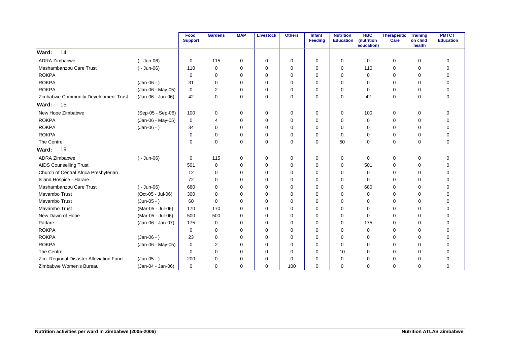|                                         |                   | Food<br><b>Support</b> | <b>Gardens</b> | <b>MAP</b>  | <b>Livestock</b> | <b>Others</b> | <b>Infant</b><br>Feeding | <b>Nutrition</b><br><b>Education</b> | <b>HBC</b><br>(nutrition<br>education) | <b>Therapeutic</b><br>Care | <b>Training</b><br>on child<br>health | <b>PMTCT</b><br><b>Education</b> |
|-----------------------------------------|-------------------|------------------------|----------------|-------------|------------------|---------------|--------------------------|--------------------------------------|----------------------------------------|----------------------------|---------------------------------------|----------------------------------|
| 14<br>Ward:                             |                   |                        |                |             |                  |               |                          |                                      |                                        |                            |                                       |                                  |
| ADRA Zimbabwe                           | $(-$ Jun-06)      | 0                      | 115            | 0           | $\mathbf 0$      | 0             | 0                        | 0                                    | 0                                      | 0                          | $\mathbf 0$                           | $\mathbf 0$                      |
| Mashambanzou Care Trust                 | $(-$ Jun-06)      | 110                    | $\Omega$       | $\Omega$    | $\Omega$         | $\Omega$      | $\Omega$                 | $\Omega$                             | 110                                    | $\Omega$                   | $\Omega$                              | $\mathbf 0$                      |
| <b>ROKPA</b>                            |                   | $\Omega$               | $\Omega$       | $\Omega$    | $\mathbf 0$      | 0             | $\Omega$                 | $\Omega$                             | $\mathbf 0$                            | 0                          | $\Omega$                              | $\mathbf 0$                      |
| <b>ROKPA</b>                            | $(Jan-06 - )$     | 31                     | $\Omega$       | $\Omega$    | $\mathbf 0$      | 0             | $\Omega$                 | $\Omega$                             | $\Omega$                               | 0                          | $\Omega$                              | $\mathbf 0$                      |
| <b>ROKPA</b>                            | (Jan-06 - May-05) | 0                      | $\overline{2}$ | 0           | $\mathbf 0$      | 0             | $\Omega$                 | 0                                    | 0                                      | 0                          | 0                                     | $\mathbf 0$                      |
| Zimbabwe Community Development Trust    | (Jan-06 - Jun-06) | 42                     | $\Omega$       | 0           | $\mathbf 0$      | 0             | $\Omega$                 | 0                                    | 42                                     | 0                          | 0                                     | $\mathbf 0$                      |
| 15<br>Ward:                             |                   |                        |                |             |                  |               |                          |                                      |                                        |                            |                                       |                                  |
| New Hope Zimbabwe                       | (Sep-05 - Sep-06) | 100                    | $\mathbf 0$    | $\mathbf 0$ | $\mathbf 0$      | 0             | $\Omega$                 | $\mathbf 0$                          | 100                                    | $\mathbf 0$                | $\mathbf 0$                           | $\mathbf 0$                      |
| <b>ROKPA</b>                            | (Jan-06 - May-05) | 0                      | 4              | $\Omega$    | $\mathbf 0$      | 0             | $\Omega$                 | 0                                    | $\mathbf 0$                            | 0                          | 0                                     | $\mathbf 0$                      |
| <b>ROKPA</b>                            | $(Jan-06 - )$     | 34                     | $\mathbf 0$    | 0           | $\mathbf 0$      | 0             | $\Omega$                 | 0                                    | 0                                      | 0                          | $\mathbf 0$                           | $\mathbf 0$                      |
| <b>ROKPA</b>                            |                   | 0                      | $\Omega$       | $\Omega$    | $\mathbf 0$      | 0             | $\Omega$                 | 0                                    | 0                                      | 0                          | $\mathbf 0$                           | $\mathbf 0$                      |
| The Centre                              |                   | $\Omega$               | $\Omega$       | $\Omega$    | $\mathbf 0$      | 0             | $\Omega$                 | 50                                   | $\Omega$                               | $\mathbf 0$                | $\Omega$                              | $\mathbf 0$                      |
| 19<br>Ward:                             |                   |                        |                |             |                  |               |                          |                                      |                                        |                            |                                       |                                  |
| ADRA Zimbabwe                           | $(-$ Jun-06)      | 0                      | 115            | 0           | 0                | 0             | $\Omega$                 | 0                                    | 0                                      | 0                          | 0                                     | 0                                |
| <b>AIDS Counselling Trust</b>           |                   | 501                    | $\mathbf 0$    | 0           | 0                | 0             | $\Omega$                 | 0                                    | 501                                    | 0                          | 0                                     | $\mathbf 0$                      |
| Church of Central Africa Presbyterian   |                   | 12                     | 0              | 0           | $\mathbf 0$      | 0             | $\Omega$                 | 0                                    | 0                                      | 0                          | 0                                     | $\mathbf 0$                      |
| <b>Island Hospice - Harare</b>          |                   | 72                     | $\Omega$       | $\Omega$    | $\mathbf 0$      | 0             | $\Omega$                 | 0                                    | $\Omega$                               | 0                          | $\Omega$                              | $\mathbf 0$                      |
| Mashambanzou Care Trust                 | $(-$ Jun-06)      | 680                    | $\Omega$       | $\Omega$    | $\mathbf 0$      | 0             | $\Omega$                 | 0                                    | 680                                    | 0                          | $\Omega$                              | $\mathbf 0$                      |
| Mavambo Trust                           | (Oct-05 - Jul-06) | 300                    | $\Omega$       | 0           | $\mathbf 0$      | 0             | $\Omega$                 | $\mathbf 0$                          | 0                                      | 0                          | $\Omega$                              | $\mathbf 0$                      |
| Mavambo Trust                           | $(Jun-05 - )$     | 60                     | $\Omega$       | $\Omega$    | $\mathbf 0$      | 0             | $\Omega$                 | 0                                    | 0                                      | 0                          | 0                                     | $\mathbf 0$                      |
| Mavambo Trust                           | (Mar-05 - Jul-06) | 170                    | 170            | 0           | $\mathbf 0$      | 0             | $\Omega$                 | 0                                    | 0                                      | 0                          | 0                                     | $\mathbf 0$                      |
| New Dawn of Hope                        | (Mar-05 - Jul-06) | 500                    | 500            | $\Omega$    | $\mathbf 0$      | 0             | $\Omega$                 | $\Omega$                             | $\Omega$                               | 0                          | $\Omega$                              | 0                                |
| Padare                                  | (Jan-06 - Jan-07) | 175                    | $\mathbf 0$    | $\Omega$    | $\mathbf 0$      | 0             | $\Omega$                 | 0                                    | 175                                    | $\mathbf 0$                | $\Omega$                              | $\mathbf 0$                      |
| <b>ROKPA</b>                            |                   | 0                      | $\Omega$       | $\Omega$    | $\mathbf 0$      | 0             | $\Omega$                 | $\Omega$                             | 0                                      | 0                          | $\Omega$                              | $\mathbf 0$                      |
| <b>ROKPA</b>                            | $(Jan-06 - )$     | 23                     | $\Omega$       | $\Omega$    | $\mathbf 0$      | 0             | $\Omega$                 | 0                                    | 0                                      | 0                          | $\Omega$                              | $\mathbf 0$                      |
| <b>ROKPA</b>                            | (Jan-06 - May-05) | 0                      | $\overline{2}$ | $\Omega$    | $\mathbf 0$      | 0             | $\Omega$                 | $\mathbf 0$                          | 0                                      | 0                          | 0                                     | $\mathbf 0$                      |
| The Centre                              |                   | 0                      | $\Omega$       | 0           | $\Omega$         | 0             | $\Omega$                 | 10                                   | $\Omega$                               | $\Omega$                   | $\Omega$                              | $\mathbf 0$                      |
| Zim. Regional Disaster Alleviation Fund | $(Jun-05 - )$     | 200                    | $\Omega$       | $\Omega$    | $\mathbf 0$      | 0             | $\Omega$                 | $\Omega$                             | $\Omega$                               | 0                          | $\Omega$                              | $\mathbf 0$                      |
| Zimbabwe Women's Bureau                 | (Jan-04 - Jan-06) | 0                      | $\Omega$       | 0           | $\Omega$         | 100           | $\Omega$                 | $\Omega$                             | $\Omega$                               | 0                          | $\Omega$                              | $\mathbf 0$                      |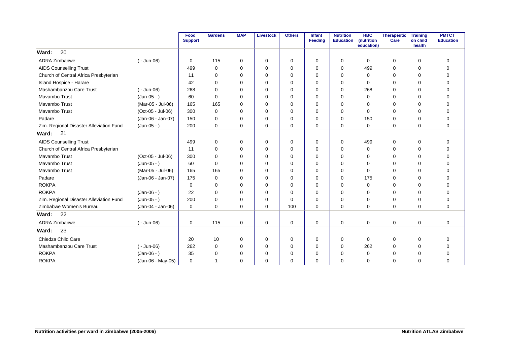|                                         |                   | Food<br><b>Support</b> | <b>Gardens</b>           | <b>MAP</b>  | <b>Livestock</b> | <b>Others</b> | Infant<br>Feeding | <b>Nutrition</b><br><b>Education</b> | <b>HBC</b><br>(nutrition<br>education) | Therapeutic<br>Care | <b>Training</b><br>on child<br>health | <b>PMTCT</b><br><b>Education</b> |
|-----------------------------------------|-------------------|------------------------|--------------------------|-------------|------------------|---------------|-------------------|--------------------------------------|----------------------------------------|---------------------|---------------------------------------|----------------------------------|
| 20<br>Ward:                             |                   |                        |                          |             |                  |               |                   |                                      |                                        |                     |                                       |                                  |
| ADRA Zimbabwe                           | $(-$ Jun-06)      | 0                      | 115                      | $\Omega$    | $\mathbf 0$      | 0             | $\Omega$          | 0                                    | $\Omega$                               | 0                   | 0                                     | 0                                |
| <b>AIDS Counselling Trust</b>           |                   | 499                    | $\Omega$                 | $\Omega$    | $\mathbf 0$      | 0             | $\Omega$          | $\Omega$                             | 499                                    | 0                   | $\Omega$                              | $\overline{0}$                   |
| Church of Central Africa Presbyterian   |                   | 11                     | $\Omega$                 | $\Omega$    | $\Omega$         | 0             | $\Omega$          | $\Omega$                             | $\Omega$                               | 0                   | $\Omega$                              | $\mathbf 0$                      |
| Island Hospice - Harare                 |                   | 42                     | $\Omega$                 | $\Omega$    | $\Omega$         | 0             | $\Omega$          | $\Omega$                             | $\Omega$                               | 0                   | $\Omega$                              | $\mathbf 0$                      |
| Mashambanzou Care Trust                 | $(-$ Jun-06)      | 268                    | $\Omega$                 | $\Omega$    | $\mathbf 0$      | 0             | $\Omega$          | $\Omega$                             | 268                                    | 0                   | $\Omega$                              | $\Omega$                         |
| Mavambo Trust                           | $(Jun-05 - )$     | 60                     | $\Omega$                 | $\Omega$    | $\mathbf 0$      | 0             | $\Omega$          | $\Omega$                             | $\Omega$                               | 0                   | $\Omega$                              | $\overline{0}$                   |
| Mavambo Trust                           | (Mar-05 - Jul-06) | 165                    | 165                      | 0           | $\Omega$         | 0             | $\Omega$          | $\Omega$                             | $\Omega$                               | 0                   | $\Omega$                              | $\mathbf 0$                      |
| Mavambo Trust                           | (Oct-05 - Jul-06) | 300                    | $\Omega$                 | $\Omega$    | $\Omega$         | 0             | $\Omega$          | $\Omega$                             | $\Omega$                               | 0                   | $\Omega$                              | $\mathbf 0$                      |
| Padare                                  | (Jan-06 - Jan-07) | 150                    | $\Omega$                 | $\Omega$    | $\mathbf 0$      | 0             | $\Omega$          | $\Omega$                             | 150                                    | 0                   | $\Omega$                              | $\mathbf 0$                      |
| Zim. Regional Disaster Alleviation Fund | $(Jun-05 - )$     | 200                    | $\Omega$                 | $\Omega$    | $\Omega$         | 0             | $\Omega$          | $\Omega$                             | $\mathbf 0$                            | 0                   | $\Omega$                              | $\mathbf 0$                      |
| 21<br>Ward:                             |                   |                        |                          |             |                  |               |                   |                                      |                                        |                     |                                       |                                  |
| <b>AIDS Counselling Trust</b>           |                   | 499                    | 0                        | $\Omega$    | $\mathbf 0$      | 0             | $\Omega$          | $\Omega$                             | 499                                    | 0                   | $\mathbf 0$                           | 0                                |
| Church of Central Africa Presbyterian   |                   | 11                     | $\Omega$                 | $\Omega$    | $\mathbf 0$      | 0             | $\Omega$          | $\Omega$                             | 0                                      | 0                   | $\Omega$                              | $\mathbf 0$                      |
| Mavambo Trust                           | (Oct-05 - Jul-06) | 300                    | $\Omega$                 | $\Omega$    | $\mathbf 0$      | 0             | $\Omega$          | $\Omega$                             | $\Omega$                               | 0                   | $\Omega$                              | $\mathbf 0$                      |
| Mavambo Trust                           | $(Jun-05 - )$     | 60                     | $\Omega$                 | $\Omega$    | $\mathbf 0$      | 0             | $\Omega$          | $\Omega$                             | $\Omega$                               | 0                   | $\Omega$                              | $\mathbf 0$                      |
| Mavambo Trust                           | (Mar-05 - Jul-06) | 165                    | 165                      | $\Omega$    | $\mathbf 0$      | 0             | $\Omega$          | $\Omega$                             | $\Omega$                               | 0                   | $\Omega$                              | $\mathbf 0$                      |
| Padare                                  | (Jan-06 - Jan-07) | 175                    | $\Omega$                 | $\Omega$    | $\Omega$         | 0             | $\Omega$          | $\Omega$                             | 175                                    | 0                   | $\Omega$                              | $\Omega$                         |
| <b>ROKPA</b>                            |                   | $\Omega$               | $\Omega$                 | $\Omega$    | $\mathbf 0$      | 0             | $\Omega$          | $\Omega$                             | $\Omega$                               | 0                   | $\Omega$                              | $\mathbf 0$                      |
| <b>ROKPA</b>                            | $(Jan-06 - )$     | 22                     | $\Omega$                 | $\Omega$    | $\mathbf 0$      | 0             | $\Omega$          | $\Omega$                             | $\Omega$                               | 0                   | $\Omega$                              | 0                                |
| Zim. Regional Disaster Alleviation Fund | $(Jun-05 - )$     | 200                    | $\Omega$                 | $\Omega$    | $\mathbf 0$      | 0             | $\Omega$          | $\Omega$                             | $\Omega$                               | 0                   | $\Omega$                              | 0                                |
| Zimbabwe Women's Bureau                 | (Jan-04 - Jan-06) | 0                      | $\Omega$                 | $\Omega$    | $\Omega$         | 100           | $\Omega$          | $\Omega$                             | $\Omega$                               | 0                   | $\Omega$                              | $\mathbf 0$                      |
| Ward:<br>22                             |                   |                        |                          |             |                  |               |                   |                                      |                                        |                     |                                       |                                  |
| ADRA Zimbabwe                           | $(-$ Jun-06)      | 0                      | 115                      | $\mathbf 0$ | 0                | $\mathbf 0$   | $\Omega$          | $\mathbf 0$                          | $\mathbf 0$                            | $\mathbf 0$         | $\mathbf 0$                           | $\mathbf 0$                      |
| 23<br>Ward:                             |                   |                        |                          |             |                  |               |                   |                                      |                                        |                     |                                       |                                  |
| Chiedza Child Care                      |                   | 20                     | 10                       | $\mathbf 0$ | 0                | $\mathbf 0$   | 0                 | 0                                    | 0                                      | 0                   | $\mathbf 0$                           | $\mathbf 0$                      |
| Mashambanzou Care Trust                 | $(-$ Jun-06)      | 262                    | $\mathbf 0$              | $\Omega$    | $\mathbf 0$      | 0             | $\Omega$          | 0                                    | 262                                    | 0                   | $\Omega$                              | $\mathbf 0$                      |
| <b>ROKPA</b>                            | $(Jan-06 - )$     | 35                     | $\Omega$                 | 0           | $\mathbf 0$      | 0             | $\Omega$          | 0                                    | 0                                      | 0                   | $\Omega$                              | $\mathbf 0$                      |
| <b>ROKPA</b>                            | (Jan-06 - May-05) | 0                      | $\overline{\phantom{a}}$ | $\Omega$    | $\Omega$         | 0             | $\Omega$          | $\Omega$                             | $\Omega$                               | 0                   | $\Omega$                              | $\mathbf 0$                      |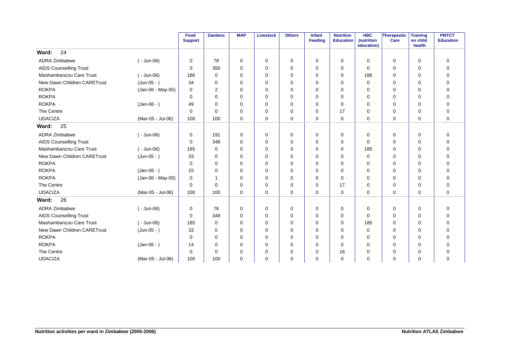|                               |                   | Food<br><b>Support</b> | <b>Gardens</b> | <b>MAP</b>  | <b>Livestock</b> | <b>Others</b> | Infant<br>Feeding | <b>Nutrition</b><br><b>Education</b> | <b>HBC</b><br>(nutrition<br>education) | Therapeutic<br>Care | <b>Training</b><br>on child<br>health | <b>PMTCT</b><br><b>Education</b> |
|-------------------------------|-------------------|------------------------|----------------|-------------|------------------|---------------|-------------------|--------------------------------------|----------------------------------------|---------------------|---------------------------------------|----------------------------------|
| 24<br>Ward:                   |                   |                        |                |             |                  |               |                   |                                      |                                        |                     |                                       |                                  |
| <b>ADRA Zimbabwe</b>          | $(-$ Jun-06)      | 0                      | 78             | 0           | 0                | 0             | 0                 | 0                                    | 0                                      | 0                   | $\mathbf 0$                           | $\mathbf 0$                      |
| <b>AIDS Counselling Trust</b> |                   | $\Omega$               | 350            | $\Omega$    | 0                | 0             | $\Omega$          | 0                                    | $\Omega$                               | 0                   | $\Omega$                              | $\mathbf 0$                      |
| Mashambanzou Care Trust       | $(-$ Jun-06)      | 186                    | $\mathbf 0$    | 0           | 0                | 0             | $\Omega$          | 0                                    | 186                                    | 0                   | 0                                     | $\mathbf 0$                      |
| New Dawn Children CARETrust   | $(Jun-05 - )$     | 34                     | 0              | 0           | 0                | 0             | 0                 | 0                                    | 0                                      | 0                   | 0                                     | 0                                |
| <b>ROKPA</b>                  | (Jan-06 - May-05) | 0                      | 2              | 0           | 0                | 0             | 0                 | $\mathbf 0$                          | 0                                      | 0                   | 0                                     | $\mathbf 0$                      |
| <b>ROKPA</b>                  |                   | $\Omega$               | $\Omega$       | $\Omega$    | $\mathbf 0$      | 0             | $\Omega$          | $\Omega$                             | $\Omega$                               | 0                   | $\Omega$                              | $\mathbf 0$                      |
| <b>ROKPA</b>                  | $(Jan-06 - )$     | 49                     | $\Omega$       | $\Omega$    | 0                | 0             | $\Omega$          | $\Omega$                             | $\Omega$                               | 0                   | $\Omega$                              | $\mathbf 0$                      |
| The Centre                    |                   | $\Omega$               | $\Omega$       | 0           | 0                | 0             | $\Omega$          | 17                                   | 0                                      | 0                   | 0                                     | $\mathbf 0$                      |
| <b>UDACIZA</b>                | (Mar-05 - Jul-06) | 100                    | 100            | $\mathbf 0$ | $\mathbf 0$      | 0             | 0                 | 0                                    | $\mathbf 0$                            | 0                   | 0                                     | $\mathbf 0$                      |
| 25<br>Ward:                   |                   |                        |                |             |                  |               |                   |                                      |                                        |                     |                                       |                                  |
| <b>ADRA Zimbabwe</b>          | $(-$ Jun-06)      | 0                      | 191            | 0           | 0                | 0             | 0                 | 0                                    | 0                                      | 0                   | $\mathbf 0$                           | 0                                |
| <b>AIDS Counselling Trust</b> |                   | $\mathbf 0$            | 348            | 0           | 0                | 0             | 0                 | $\mathbf 0$                          | 0                                      | 0                   | $\mathbf 0$                           | $\mathbf 0$                      |
| Mashambanzou Care Trust       | $(-$ Jun-06)      | 185                    | $\mathbf 0$    | 0           | $\mathbf 0$      | 0             | $\Omega$          | 0                                    | 185                                    | 0                   | 0                                     | $\mathbf 0$                      |
| New Dawn Children CARETrust   | (Jun-05 - )       | 33                     | $\Omega$       | $\Omega$    | 0                | $\mathbf 0$   | $\Omega$          | 0                                    | $\Omega$                               | 0                   | $\Omega$                              | $\mathbf 0$                      |
| <b>ROKPA</b>                  |                   | $\Omega$               | $\Omega$       | $\Omega$    | 0                | 0             | $\Omega$          | 0                                    | 0                                      | 0                   | $\Omega$                              | $\mathbf 0$                      |
| <b>ROKPA</b>                  | $(Jan-06 - )$     | 15                     | 0              | $\Omega$    | 0                | 0             | $\Omega$          | 0                                    | 0                                      | 0                   | $\Omega$                              | 0                                |
| <b>ROKPA</b>                  | (Jan-06 - May-05) | $\mathbf 0$            | $\mathbf{1}$   | 0           | 0                | 0             | $\Omega$          | $\mathbf 0$                          | 0                                      | 0                   | 0                                     | $\mathbf 0$                      |
| The Centre                    |                   | 0                      | $\Omega$       | 0           | $\mathbf 0$      | 0             | $\Omega$          | 17                                   | 0                                      | 0                   | $\mathbf 0$                           | $\mathbf 0$                      |
| <b>UDACIZA</b>                | (Mar-05 - Jul-06) | 100                    | 100            | $\Omega$    | $\mathbf 0$      | $\mathbf 0$   | $\Omega$          | $\mathbf 0$                          | $\Omega$                               | 0                   | $\Omega$                              | $\mathbf 0$                      |
| 26<br>Ward:                   |                   |                        |                |             |                  |               |                   |                                      |                                        |                     |                                       |                                  |
| <b>ADRA Zimbabwe</b>          | $(-$ Jun-06)      | $\mathbf 0$            | 76             | $\mathbf 0$ | 0                | 0             | 0                 | $\mathbf 0$                          | 0                                      | 0                   | $\mathbf 0$                           | $\mathbf 0$                      |
| <b>AIDS Counselling Trust</b> |                   | $\Omega$               | 348            | $\Omega$    | 0                | 0             | $\Omega$          | $\Omega$                             | $\Omega$                               | 0                   | $\Omega$                              | $\mathbf 0$                      |
| Mashambanzou Care Trust       | $(-$ Jun-06)      | 185                    | 0              | $\Omega$    | 0                | 0             | $\Omega$          | 0                                    | 185                                    | 0                   | 0                                     | $\mathbf 0$                      |
| New Dawn Children CARETrust   | $(Jun-05 - )$     | 33                     | 0              | 0           | 0                | 0             | 0                 | 0                                    | 0                                      | 0                   | 0                                     | $\mathbf 0$                      |
| <b>ROKPA</b>                  |                   | 0                      | $\Omega$       | $\Omega$    | $\mathbf 0$      | $\mathbf 0$   | $\Omega$          | $\mathbf 0$                          | 0                                      | 0                   | $\Omega$                              | $\mathbf 0$                      |
| <b>ROKPA</b>                  | $(Jan-06 - )$     | 14                     | $\Omega$       | 0           | $\mathbf 0$      | 0             | $\Omega$          | 0                                    | 0                                      | 0                   | 0                                     | $\mathbf 0$                      |
| The Centre                    |                   | 0                      | $\Omega$       | 0           | 0                | 0             | 0                 | 16                                   | $\Omega$                               | 0                   | $\Omega$                              | $\mathbf 0$                      |
| <b>UDACIZA</b>                | (Mar-05 - Jul-06) | 100                    | 100            | $\Omega$    | 0                | 0             | 0                 | 0                                    | $\Omega$                               | 0                   | $\Omega$                              | $\mathbf 0$                      |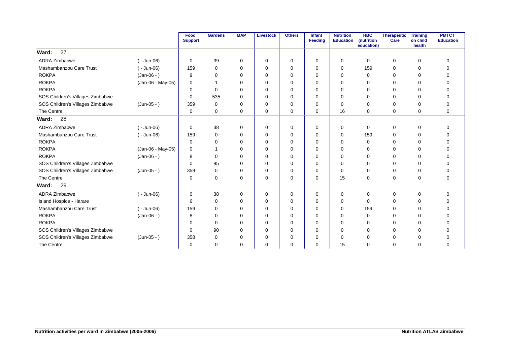|                                  |                   | Food<br><b>Support</b> | <b>Gardens</b> | <b>MAP</b> | <b>Livestock</b> | <b>Others</b> | Infant<br>Feeding | <b>Nutrition</b><br><b>Education</b> | <b>HBC</b><br>(nutrition<br>education) | Therapeutic<br>Care | <b>Training</b><br>on child<br>health | <b>PMTCT</b><br><b>Education</b> |
|----------------------------------|-------------------|------------------------|----------------|------------|------------------|---------------|-------------------|--------------------------------------|----------------------------------------|---------------------|---------------------------------------|----------------------------------|
| 27<br>Ward:                      |                   |                        |                |            |                  |               |                   |                                      |                                        |                     |                                       |                                  |
| ADRA Zimbabwe                    | $(-$ Jun-06)      | 0                      | 39             | 0          | 0                | 0             | 0                 | 0                                    | 0                                      | 0                   | 0                                     | $\mathbf 0$                      |
| Mashambanzou Care Trust          | $(-$ Jun-06)      | 159                    | $\Omega$       | $\Omega$   | $\mathbf 0$      | $\mathbf 0$   | $\Omega$          | $\Omega$                             | 159                                    | 0                   | $\Omega$                              | $\Omega$                         |
| <b>ROKPA</b>                     | $(Jan-06 - )$     | 9                      | 0              | $\Omega$   | 0                | 0             | $\Omega$          | 0                                    | $\Omega$                               | 0                   | $\Omega$                              | 0                                |
| <b>ROKPA</b>                     | (Jan-06 - May-05) | 0                      |                | $\Omega$   | 0                | $\Omega$      | $\Omega$          | $\Omega$                             | $\Omega$                               | $\Omega$            | $\Omega$                              | $\Omega$                         |
| <b>ROKPA</b>                     |                   | $\Omega$               | $\Omega$       | $\Omega$   | $\mathbf 0$      | 0             | $\Omega$          | $\Omega$                             | $\Omega$                               | 0                   | $\Omega$                              | $\mathbf 0$                      |
| SOS Children's Villages Zimbabwe |                   | 0                      | 535            | $\Omega$   | 0                | 0             | 0                 | $\Omega$                             | 0                                      | 0                   | $\Omega$                              | $\mathbf 0$                      |
| SOS Children's Villages Zimbabwe | $(Jun-05 - )$     | 359                    | $\Omega$       | $\Omega$   | 0                | 0             | $\Omega$          | $\Omega$                             | $\Omega$                               | 0                   | $\Omega$                              | $\mathbf 0$                      |
| The Centre                       |                   | $\Omega$               | $\Omega$       | $\Omega$   | $\mathbf 0$      | $\Omega$      | $\Omega$          | 16                                   | $\Omega$                               | $\Omega$            | $\Omega$                              | $\Omega$                         |
| 28<br>Ward:                      |                   |                        |                |            |                  |               |                   |                                      |                                        |                     |                                       |                                  |
| <b>ADRA Zimbabwe</b>             | $(-$ Jun-06)      | 0                      | 38             | 0          | 0                | 0             | 0                 | 0                                    | 0                                      | $\mathbf 0$         | 0                                     | $\mathbf 0$                      |
| Mashambanzou Care Trust          | $(-$ Jun-06)      | 159                    | $\mathbf 0$    | 0          | 0                | 0             | $\Omega$          | $\Omega$                             | 159                                    | 0                   | $\Omega$                              | $\mathbf 0$                      |
| <b>ROKPA</b>                     |                   | $\Omega$               | 0              | $\Omega$   | 0                | 0             | $\Omega$          | $\Omega$                             | $\Omega$                               | 0                   | $\Omega$                              | $\mathbf 0$                      |
| <b>ROKPA</b>                     | (Jan-06 - May-05) | $\Omega$               | -1             | $\Omega$   | $\mathbf 0$      | 0             | $\Omega$          | $\Omega$                             | $\Omega$                               | $\Omega$            | $\Omega$                              | $\Omega$                         |
| <b>ROKPA</b>                     | $(Jan-06 - )$     | 8                      | $\Omega$       | $\Omega$   | 0                | 0             | $\Omega$          | $\Omega$                             | $\Omega$                               | 0                   | $\Omega$                              | 0                                |
| SOS Children's Villages Zimbabwe |                   | $\Omega$               | 85             | $\Omega$   | 0                | $\Omega$      | $\Omega$          | $\Omega$                             | 0                                      | 0                   | $\Omega$                              | $\mathbf 0$                      |
| SOS Children's Villages Zimbabwe | $(Jun-05 - )$     | 359                    | $\mathbf 0$    | 0          | 0                | 0             | $\Omega$          | 0                                    | $\Omega$                               | 0                   | $\Omega$                              | $\mathbf 0$                      |
| The Centre                       |                   | 0                      | 0              | $\Omega$   | 0                | 0             | 0                 | 15                                   | $\Omega$                               | 0                   | $\Omega$                              | $\mathbf 0$                      |
| 29<br>Ward:                      |                   |                        |                |            |                  |               |                   |                                      |                                        |                     |                                       |                                  |
| ADRA Zimbabwe                    | $(-$ Jun-06)      | 0                      | 38             | 0          | 0                | 0             | 0                 | 0                                    | $\Omega$                               | 0                   | 0                                     | 0                                |
| Island Hospice - Harare          |                   | 6                      | $\Omega$       | $\Omega$   | 0                | 0             | $\Omega$          | $\Omega$                             | 0                                      | 0                   | $\Omega$                              | $\mathbf 0$                      |
| Mashambanzou Care Trust          | $(-$ Jun-06)      | 159                    | $\Omega$       | $\Omega$   | 0                | 0             | $\Omega$          | $\Omega$                             | 159                                    | 0                   | $\Omega$                              | $\mathbf 0$                      |
| <b>ROKPA</b>                     | $(Jan-06 - )$     | 8                      | $\Omega$       | $\Omega$   | 0                | 0             | $\Omega$          | $\Omega$                             | $\Omega$                               | 0                   | $\Omega$                              | $\mathbf 0$                      |
| <b>ROKPA</b>                     |                   | 0                      | $\Omega$       | $\Omega$   | 0                | 0             | 0                 | $\Omega$                             | $\Omega$                               | 0                   | 0                                     | $\mathbf 0$                      |
| SOS Children's Villages Zimbabwe |                   | 0                      | 90             | 0          | $\mathbf 0$      | $\mathbf 0$   | 0                 | 0                                    | 0                                      | 0                   | 0                                     | $\mathbf 0$                      |
| SOS Children's Villages Zimbabwe | $(Jun-05 - )$     | 358                    | 0              | 0          | 0                | 0             | 0                 | 0                                    | $\Omega$                               | 0                   | 0                                     | 0                                |
| The Centre                       |                   | 0                      | $\mathbf 0$    | $\Omega$   | $\mathbf 0$      | 0             | $\Omega$          | 15                                   | 0                                      | 0                   | 0                                     | $\Omega$                         |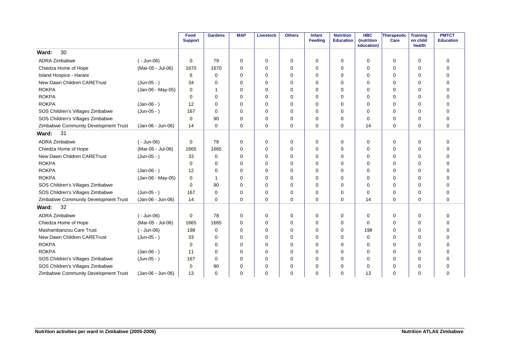|                                      |                   | Food<br><b>Support</b> | <b>Gardens</b> | <b>MAP</b>  | <b>Livestock</b> | <b>Others</b> | <b>Infant</b><br><b>Feeding</b> | <b>Nutrition</b><br><b>Education</b> | <b>HBC</b><br>(nutrition<br>education) | <b>Therapeutic</b><br>Care | <b>Training</b><br>on child<br>health | <b>PMTCT</b><br><b>Education</b> |
|--------------------------------------|-------------------|------------------------|----------------|-------------|------------------|---------------|---------------------------------|--------------------------------------|----------------------------------------|----------------------------|---------------------------------------|----------------------------------|
| 30<br>Ward:                          |                   |                        |                |             |                  |               |                                 |                                      |                                        |                            |                                       |                                  |
| <b>ADRA Zimbabwe</b>                 | $(-$ Jun-06)      | 0                      | 79             | $\mathbf 0$ | 0                | 0             | $\Omega$                        | 0                                    | 0                                      | 0                          | $\mathbf 0$                           | 0                                |
| Chiedza Home of Hope                 | (Mar-05 - Jul-06) | 1670                   | 1670           | $\Omega$    | $\mathbf 0$      | 0             | $\Omega$                        | 0                                    | $\mathbf 0$                            | 0                          | $\mathbf 0$                           | $\mathbf 0$                      |
| Island Hospice - Harare              |                   | 6                      | $\mathbf 0$    | 0           | 0                | 0             | $\Omega$                        | 0                                    | 0                                      | 0                          | 0                                     | $\mathbf 0$                      |
| New Dawn Children CARETrust          | $(Jun-05 - )$     | 34                     | 0              | $\Omega$    | $\Omega$         | $\Omega$      | $\Omega$                        | $\Omega$                             | $\Omega$                               | 0                          | $\Omega$                              | $\Omega$                         |
| <b>ROKPA</b>                         | (Jan-06 - May-05) | $\Omega$               | 1              | $\Omega$    | 0                | 0             | $\Omega$                        | $\Omega$                             | $\Omega$                               | $\Omega$                   | $\Omega$                              | $\mathbf 0$                      |
| <b>ROKPA</b>                         |                   | 0                      | 0              | $\Omega$    | 0                | 0             | $\Omega$                        | $\Omega$                             | 0                                      | 0                          | $\Omega$                              | $\mathbf 0$                      |
| <b>ROKPA</b>                         | $(Jan-06 - )$     | 12                     | $\Omega$       | $\mathbf 0$ | $\mathbf 0$      | 0             | $\Omega$                        | 0                                    | $\mathbf 0$                            | 0                          | $\mathbf 0$                           | $\mathbf 0$                      |
| SOS Children's Villages Zimbabwe     | $(Jun-05 - )$     | 167                    | 0              | 0           | 0                | 0             | $\Omega$                        | 0                                    | 0                                      | 0                          | 0                                     | $\mathbf 0$                      |
| SOS Children's Villages Zimbabwe     |                   | $\Omega$               | 90             | $\Omega$    | $\Omega$         | 0             | $\Omega$                        | $\Omega$                             | $\Omega$                               | 0                          | $\Omega$                              | $\mathbf 0$                      |
| Zimbabwe Community Development Trust | (Jan-06 - Jun-06) | 14                     | 0              | 0           | $\mathbf 0$      | 0             | $\Omega$                        | 0                                    | 14                                     | 0                          | 0                                     | $\mathbf 0$                      |
| 31<br>Ward:                          |                   |                        |                |             |                  |               |                                 |                                      |                                        |                            |                                       |                                  |
| <b>ADRA Zimbabwe</b>                 | $(-$ Jun-06)      | 0                      | 78             | 0           | 0                | 0             | $\Omega$                        | 0                                    | 0                                      | 0                          | 0                                     | $\mathbf 0$                      |
| Chiedza Home of Hope                 | (Mar-05 - Jul-06) | 1665                   | 1665           | $\mathbf 0$ | $\mathbf 0$      | 0             | $\Omega$                        | $\mathbf 0$                          | 0                                      | 0                          | $\mathbf 0$                           | $\mathbf 0$                      |
| New Dawn Children CARETrust          | $(Jun-05 - )$     | 33                     | 0              | 0           | $\mathbf 0$      | $\mathbf 0$   | $\Omega$                        | 0                                    | 0                                      | 0                          | 0                                     | $\mathbf 0$                      |
| <b>ROKPA</b>                         |                   | 0                      | $\Omega$       | $\Omega$    | 0                | 0             | $\Omega$                        | $\Omega$                             | $\Omega$                               | 0                          | $\Omega$                              | $\mathbf 0$                      |
| <b>ROKPA</b>                         | $(Jan-06 - )$     | 12                     | 0              | $\Omega$    | $\Omega$         | 0             | $\Omega$                        | $\Omega$                             | $\Omega$                               | 0                          | $\Omega$                              | $\Omega$                         |
| <b>ROKPA</b>                         | (Jan-06 - May-05) | $\Omega$               | 1              | $\Omega$    | 0                | 0             | $\Omega$                        | $\Omega$                             | 0                                      | 0                          | $\Omega$                              | $\mathbf 0$                      |
| SOS Children's Villages Zimbabwe     |                   | 0                      | 90             | $\Omega$    | $\mathbf 0$      | $\mathbf 0$   | $\Omega$                        | $\Omega$                             | 0                                      | 0                          | 0                                     | $\mathbf 0$                      |
| SOS Children's Villages Zimbabwe     | $(Jun-05 - )$     | 167                    | 0              | $\mathbf 0$ | $\mathbf 0$      | $\mathbf 0$   | $\Omega$                        | 0                                    | 0                                      | 0                          | 0                                     | $\mathbf 0$                      |
| Zimbabwe Community Development Trust | (Jan-06 - Jun-06) | 14                     | $\Omega$       | $\Omega$    | $\Omega$         | $\Omega$      | $\Omega$                        | $\Omega$                             | 14                                     | $\Omega$                   | $\Omega$                              | $\Omega$                         |
| 32<br>Ward:                          |                   |                        |                |             |                  |               |                                 |                                      |                                        |                            |                                       |                                  |
| <b>ADRA Zimbabwe</b>                 | $(-$ Jun-06)      | 0                      | 78             | $\mathbf 0$ | 0                | 0             | $\Omega$                        | 0                                    | 0                                      | 0                          | $\mathbf 0$                           | $\mathbf 0$                      |
| Chiedza Home of Hope                 | (Mar-05 - Jul-06) | 1665                   | 1665           | $\Omega$    | 0                | 0             | $\Omega$                        | 0                                    | $\Omega$                               | 0                          | $\Omega$                              | $\mathbf 0$                      |
| Mashambanzou Care Trust              | $(-$ Jun-06)      | 198                    | 0              | $\Omega$    | $\mathbf 0$      | $\mathbf 0$   | $\Omega$                        | 0                                    | 198                                    | 0                          | 0                                     | $\mathbf 0$                      |
| New Dawn Children CARETrust          | $(Jun-05 - )$     | 33                     | 0              | 0           | 0                | 0             | $\Omega$                        | 0                                    | $\mathbf 0$                            | 0                          | 0                                     | $\mathbf 0$                      |
| <b>ROKPA</b>                         |                   | 0                      | $\Omega$       | $\Omega$    | $\Omega$         | 0             | $\Omega$                        | $\Omega$                             | $\Omega$                               | 0                          | $\Omega$                              | $\Omega$                         |
| <b>ROKPA</b>                         | $(Jan-06 - )$     | 11                     | $\Omega$       | $\Omega$    | 0                | 0             | $\Omega$                        | $\Omega$                             | $\Omega$                               | 0                          | $\Omega$                              | $\mathbf 0$                      |
| SOS Children's Villages Zimbabwe     | $(Jun-05 - )$     | 167                    | $\Omega$       | $\Omega$    | $\Omega$         | 0             | $\Omega$                        | $\Omega$                             | $\Omega$                               | 0                          | $\Omega$                              | $\mathbf 0$                      |
| SOS Children's Villages Zimbabwe     |                   | 0                      | 90             | 0           | $\mathbf 0$      | $\mathbf 0$   | $\Omega$                        | 0                                    | 0                                      | 0                          | $\Omega$                              | $\mathbf 0$                      |
| Zimbabwe Community Development Trust | (Jan-06 - Jun-06) | 13                     | $\Omega$       | $\Omega$    | $\Omega$         | 0             | $\Omega$                        | $\Omega$                             | 13                                     | 0                          | 0                                     | $\mathbf 0$                      |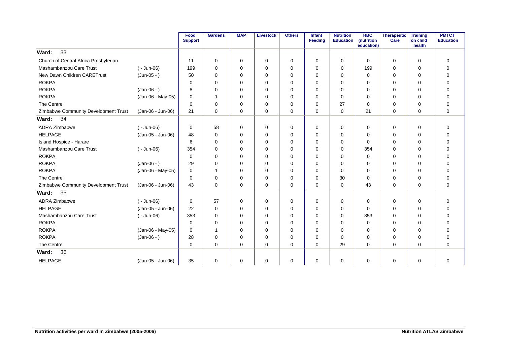|                                       |                   | Food<br><b>Support</b> | <b>Gardens</b> | <b>MAP</b>  | <b>Livestock</b> | <b>Others</b> | Infant<br>Feeding | <b>Nutrition</b><br><b>Education</b> | <b>HBC</b><br>(nutrition<br>education) | Therapeutic<br>Care | <b>Training</b><br>on child<br>health | <b>PMTCT</b><br><b>Education</b> |
|---------------------------------------|-------------------|------------------------|----------------|-------------|------------------|---------------|-------------------|--------------------------------------|----------------------------------------|---------------------|---------------------------------------|----------------------------------|
| 33<br>Ward:                           |                   |                        |                |             |                  |               |                   |                                      |                                        |                     |                                       |                                  |
| Church of Central Africa Presbyterian |                   | 11                     | 0              | 0           | 0                | 0             | 0                 | 0                                    | 0                                      | 0                   | 0                                     | 0                                |
| Mashambanzou Care Trust               | $(-$ Jun-06)      | 199                    | 0              | 0           | 0                | 0             | 0                 | 0                                    | 199                                    | 0                   | $\mathbf 0$                           | $\mathbf 0$                      |
| New Dawn Children CARETrust           | $(Jun-05 - )$     | 50                     | $\mathbf 0$    | $\Omega$    | 0                | $\mathbf 0$   | $\Omega$          | $\mathbf 0$                          | $\mathbf 0$                            | 0                   | 0                                     | $\mathbf 0$                      |
| <b>ROKPA</b>                          |                   | 0                      | $\Omega$       | $\Omega$    | $\mathbf 0$      | 0             | $\Omega$          | $\mathbf 0$                          | 0                                      | 0                   | $\Omega$                              | $\mathbf 0$                      |
| <b>ROKPA</b>                          | $(Jan-06 - )$     | 8                      | $\Omega$       | $\Omega$    | 0                | 0             | $\Omega$          | $\Omega$                             | $\Omega$                               | 0                   | $\Omega$                              | $\Omega$                         |
| <b>ROKPA</b>                          | (Jan-06 - May-05) | $\Omega$               | $\mathbf 1$    | $\Omega$    | 0                | 0             | $\Omega$          | 0                                    | $\Omega$                               | 0                   | $\Omega$                              | 0                                |
| The Centre                            |                   | $\Omega$               | 0              | $\Omega$    | 0                | 0             | 0                 | 27                                   | $\Omega$                               | 0                   | $\Omega$                              | 0                                |
| Zimbabwe Community Development Trust  | (Jan-06 - Jun-06) | 21                     | $\Omega$       | $\Omega$    | 0                | 0             | $\Omega$          | $\Omega$                             | 21                                     | 0                   | $\Omega$                              | $\Omega$                         |
| 34<br>Ward:                           |                   |                        |                |             |                  |               |                   |                                      |                                        |                     |                                       |                                  |
| <b>ADRA Zimbabwe</b>                  | $(-$ Jun-06)      | 0                      | 58             | 0           | 0                | 0             | $\Omega$          | 0                                    | 0                                      | 0                   | $\mathbf 0$                           | 0                                |
| <b>HELPAGE</b>                        | (Jan-05 - Jun-06) | 48                     | 0              | $\Omega$    | 0                | 0             | $\Omega$          | 0                                    | $\Omega$                               | 0                   | $\Omega$                              | $\mathbf 0$                      |
| Island Hospice - Harare               |                   | 6                      | $\Omega$       | 0           | 0                | 0             | 0                 | $\Omega$                             | $\Omega$                               | 0                   | $\Omega$                              | 0                                |
| Mashambanzou Care Trust               | $(-$ Jun-06)      | 354                    | $\Omega$       | $\Omega$    | 0                | 0             | $\Omega$          | $\Omega$                             | 354                                    | 0                   | $\Omega$                              | $\overline{0}$                   |
| <b>ROKPA</b>                          |                   | $\Omega$               | $\Omega$       | $\Omega$    | 0                | 0             | 0                 | $\Omega$                             | $\Omega$                               | 0                   | $\Omega$                              | $\overline{0}$                   |
| <b>ROKPA</b>                          | $(Jan-06 - )$     | 29                     | $\Omega$       | 0           | 0                | 0             | $\Omega$          | $\Omega$                             | $\Omega$                               | $\Omega$            | $\Omega$                              | $\overline{0}$                   |
| <b>ROKPA</b>                          | (Jan-06 - May-05) | 0                      | -1             | 0           | 0                | 0             | $\Omega$          | 0                                    | 0                                      | 0                   | 0                                     | $\mathbf 0$                      |
| The Centre                            |                   | 0                      | 0              | 0           | 0                | 0             | 0                 | 30                                   | 0                                      | 0                   | 0                                     | $\mathbf 0$                      |
| Zimbabwe Community Development Trust  | (Jan-06 - Jun-06) | 43                     | $\Omega$       | 0           | $\mathbf 0$      | $\mathbf 0$   | $\Omega$          | $\mathbf 0$                          | 43                                     | 0                   | $\Omega$                              | $\mathbf 0$                      |
| 35<br>Ward:                           |                   |                        |                |             |                  |               |                   |                                      |                                        |                     |                                       |                                  |
| <b>ADRA Zimbabwe</b>                  | $(-$ Jun-06)      | 0                      | 57             | 0           | 0                | 0             | 0                 | 0                                    | 0                                      | 0                   | $\mathbf 0$                           | 0                                |
| <b>HELPAGE</b>                        | (Jan-05 - Jun-06) | 22                     | $\mathbf 0$    | 0           | 0                | 0             | 0                 | 0                                    | 0                                      | 0                   | 0                                     | $\mathbf 0$                      |
| Mashambanzou Care Trust               | $(-$ Jun-06)      | 353                    | $\Omega$       | $\Omega$    | 0                | 0             | $\Omega$          | $\mathbf 0$                          | 353                                    | 0                   | $\Omega$                              | $\mathbf 0$                      |
| <b>ROKPA</b>                          |                   | $\Omega$               | $\mathbf 0$    | $\Omega$    | 0                | 0             | $\Omega$          | 0                                    | $\Omega$                               | 0                   | $\Omega$                              | $\mathbf 0$                      |
| <b>ROKPA</b>                          | (Jan-06 - May-05) | $\mathbf 0$            | $\mathbf 1$    | $\Omega$    | 0                | $\mathbf 0$   | $\Omega$          | 0                                    | 0                                      | 0                   | $\Omega$                              | $\mathbf 0$                      |
| <b>ROKPA</b>                          | $(Jan-06 - )$     | 28                     | 0              | $\Omega$    | $\mathbf 0$      | 0             | $\Omega$          | $\Omega$                             | $\Omega$                               | 0                   | $\Omega$                              | $\mathbf 0$                      |
| The Centre                            |                   | $\mathbf 0$            | $\Omega$       | $\Omega$    | $\mathbf 0$      | $\mathbf 0$   | $\Omega$          | 29                                   | $\Omega$                               | 0                   | $\Omega$                              | $\mathbf 0$                      |
| 36<br>Ward:                           |                   |                        |                |             |                  |               |                   |                                      |                                        |                     |                                       |                                  |
| <b>HELPAGE</b>                        | (Jan-05 - Jun-06) | 35                     | 0              | $\mathbf 0$ | 0                | 0             | $\mathbf 0$       | $\mathbf 0$                          | 0                                      | 0                   | $\mathbf 0$                           | $\mathbf 0$                      |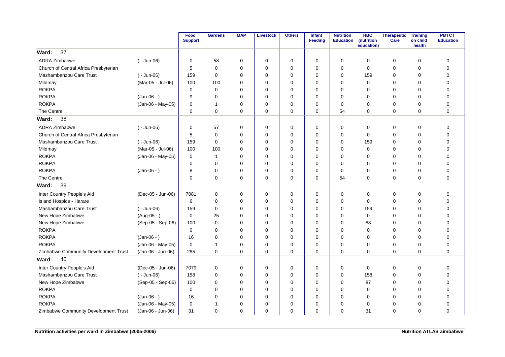|                                       |                   | Food<br><b>Support</b> | <b>Gardens</b> | <b>MAP</b>  | <b>Livestock</b> | <b>Others</b> | Infant<br><b>Feeding</b> | <b>Nutrition</b><br><b>Education</b> | <b>HBC</b><br>(nutrition<br>education) | Therapeutic<br>Care | <b>Training</b><br>on child<br>health | <b>PMTCT</b><br><b>Education</b> |
|---------------------------------------|-------------------|------------------------|----------------|-------------|------------------|---------------|--------------------------|--------------------------------------|----------------------------------------|---------------------|---------------------------------------|----------------------------------|
| 37<br>Ward:                           |                   |                        |                |             |                  |               |                          |                                      |                                        |                     |                                       |                                  |
| <b>ADRA Zimbabwe</b>                  | $(-$ Jun-06)      | 0                      | 58             | 0           | $\mathbf 0$      | 0             | $\Omega$                 | 0                                    | 0                                      | 0                   | 0                                     | 0                                |
| Church of Central Africa Presbyterian |                   | 5                      | $\Omega$       | $\mathbf 0$ | $\mathbf 0$      | 0             | $\Omega$                 | 0                                    | $\mathbf 0$                            | 0                   | $\mathbf 0$                           | $\mathbf 0$                      |
| Mashambanzou Care Trust               | $(-$ Jun-06)      | 159                    | $\mathbf 0$    | 0           | $\mathbf 0$      | 0             | $\mathbf 0$              | 0                                    | 159                                    | 0                   | $\mathbf 0$                           | $\mathbf 0$                      |
| Mildmay                               | (Mar-05 - Jul-06) | 100                    | 100            | $\Omega$    | $\mathbf 0$      | 0             | $\Omega$                 | $\Omega$                             | $\mathbf 0$                            | 0                   | 0                                     | $\mathbf 0$                      |
| <b>ROKPA</b>                          |                   | $\mathbf 0$            | $\mathbf 0$    | $\Omega$    | $\mathbf 0$      | 0             | $\Omega$                 | 0                                    | 0                                      | 0                   | $\mathbf 0$                           | $\mathbf 0$                      |
| <b>ROKPA</b>                          | $(Jan-06 - )$     | 9                      | $\Omega$       | 0           | 0                | 0             | $\Omega$                 | $\Omega$                             | 0                                      | 0                   | $\Omega$                              | $\mathbf 0$                      |
| <b>ROKPA</b>                          | (Jan-06 - May-05) | 0                      | $\overline{1}$ | $\mathbf 0$ | $\mathbf 0$      | 0             | $\Omega$                 | 0                                    | $\mathbf 0$                            | $\mathbf 0$         | $\mathbf 0$                           | $\mathbf 0$                      |
| The Centre                            |                   | 0                      | $\Omega$       | 0           | $\mathbf 0$      | 0             | $\Omega$                 | 54                                   | $\Omega$                               | $\mathbf 0$         | $\mathbf 0$                           | $\mathbf 0$                      |
| 38<br>Ward:                           |                   |                        |                |             |                  |               |                          |                                      |                                        |                     |                                       |                                  |
| <b>ADRA Zimbabwe</b>                  | ( - Jun-06)       | 0                      | 57             | $\mathbf 0$ | $\mathbf 0$      | 0             | $\Omega$                 | 0                                    | 0                                      | $\mathbf 0$         | $\mathbf 0$                           | $\mathbf 0$                      |
| Church of Central Africa Presbyterian |                   | 5                      | $\mathbf 0$    | $\mathbf 0$ | $\mathbf 0$      | $\mathbf 0$   | $\Omega$                 | 0                                    | $\mathbf 0$                            | $\mathbf 0$         | $\mathbf 0$                           | $\mathbf 0$                      |
| Mashambanzou Care Trust               | $(-$ Jun-06)      | 159                    | $\mathbf 0$    | $\mathbf 0$ | $\mathbf 0$      | 0             | $\mathbf 0$              | 0                                    | 159                                    | 0                   | $\mathbf 0$                           | $\mathbf 0$                      |
| Mildmay                               | (Mar-05 - Jul-06) | 100                    | 100            | $\mathbf 0$ | $\Omega$         | 0             | $\Omega$                 | $\Omega$                             | $\mathbf 0$                            | $\mathbf 0$         | $\mathbf 0$                           | $\mathbf 0$                      |
| <b>ROKPA</b>                          | (Jan-06 - May-05) | 0                      | $\mathbf{1}$   | 0           | $\mathbf 0$      | 0             | $\mathbf 0$              | 0                                    | 0                                      | 0                   | 0                                     | $\mathbf 0$                      |
| <b>ROKPA</b>                          |                   | 0                      | $\mathbf 0$    | 0           | $\mathbf 0$      | 0             | $\mathbf 0$              | 0                                    | 0                                      | 0                   | $\mathbf 0$                           | $\mathbf 0$                      |
| <b>ROKPA</b>                          | $(Jan-06 - )$     | 8                      | $\Omega$       | 0           | $\mathbf 0$      | 0             | $\Omega$                 | 0                                    | 0                                      | 0                   | $\mathbf 0$                           | $\mathbf 0$                      |
| The Centre                            |                   | 0                      | $\mathbf 0$    | 0           | 0                | 0             | $\mathbf 0$              | 54                                   | $\mathbf 0$                            | 0                   | $\mathbf 0$                           | $\mathbf 0$                      |
| Ward:<br>39                           |                   |                        |                |             |                  |               |                          |                                      |                                        |                     |                                       |                                  |
| Inter Country People's Aid            | (Dec-05 - Jun-06) | 7081                   | 0              | 0           | $\mathbf 0$      | 0             | 0                        | 0                                    | 0                                      | 0                   | $\mathbf 0$                           | $\mathbf 0$                      |
| <b>Island Hospice - Harare</b>        |                   | 6                      | $\mathbf 0$    | $\mathbf 0$ | $\mathbf 0$      | 0             | $\Omega$                 | 0                                    | 0                                      | 0                   | $\mathbf 0$                           | $\mathbf 0$                      |
| Mashambanzou Care Trust               | $(-$ Jun-06)      | 159                    | $\mathbf 0$    | 0           | 0                | 0             | $\mathbf 0$              | 0                                    | 159                                    | 0                   | 0                                     | $\mathbf 0$                      |
| New Hope Zimbabwe                     | $(Aug-05 - )$     | 0                      | 25             | $\Omega$    | $\mathbf 0$      | 0             | $\Omega$                 | $\Omega$                             | $\mathbf 0$                            | 0                   | $\Omega$                              | $\mathbf 0$                      |
| New Hope Zimbabwe                     | (Sep-05 - Sep-06) | 100                    | $\mathbf 0$    | $\Omega$    | $\mathbf 0$      | 0             | $\Omega$                 | 0                                    | 88                                     | 0                   | 0                                     | $\mathbf 0$                      |
| <b>ROKPA</b>                          |                   | 0                      | 0              | 0           | 0                | 0             | 0                        | 0                                    | 0                                      | 0                   | $\mathbf 0$                           | $\mathbf 0$                      |
| <b>ROKPA</b>                          | $(Jan-06 - )$     | 16                     | $\mathbf 0$    | $\Omega$    | $\mathbf 0$      | 0             | $\Omega$                 | 0                                    | $\mathbf 0$                            | $\mathbf 0$         | $\mathbf 0$                           | $\mathbf 0$                      |
| <b>ROKPA</b>                          | (Jan-06 - May-05) | $\mathbf 0$            | -1             | 0           | 0                | 0             | $\mathbf 0$              | 0                                    | 0                                      | 0                   | 0                                     | $\pmb{0}$                        |
| Zimbabwe Community Development Trust  | (Jan-06 - Jun-06) | 285                    | $\Omega$       | $\Omega$    | $\Omega$         | 0             | $\Omega$                 | $\Omega$                             | $\Omega$                               | 0                   | $\Omega$                              | $\overline{0}$                   |
| 40<br>Ward:                           |                   |                        |                |             |                  |               |                          |                                      |                                        |                     |                                       |                                  |
| Inter Country People's Aid            | (Dec-05 - Jun-06) | 7079                   | $\mathbf 0$    | $\mathbf 0$ | $\mathbf 0$      | $\mathbf 0$   | $\mathbf 0$              | $\mathbf 0$                          | $\mathbf 0$                            | 0                   | $\mathbf 0$                           | $\mathbf 0$                      |
| Mashambanzou Care Trust               | $(-$ Jun-06)      | 158                    | 0              | 0           | 0                | 0             | 0                        | 0                                    | 158                                    | 0                   | $\mathbf 0$                           | $\mathbf 0$                      |
| New Hope Zimbabwe                     | (Sep-05 - Sep-06) | 100                    | $\mathbf 0$    | $\mathbf 0$ | $\mathbf 0$      | 0             | $\mathbf 0$              | 0                                    | 87                                     | $\mathbf 0$         | $\mathbf 0$                           | $\mathbf 0$                      |
| <b>ROKPA</b>                          |                   | 0                      | $\mathbf 0$    | $\mathbf 0$ | $\mathbf 0$      | 0             | $\Omega$                 | 0                                    | $\mathbf 0$                            | $\mathbf 0$         | $\mathbf 0$                           | $\mathbf 0$                      |
| <b>ROKPA</b>                          | $(Jan-06 - )$     | 16                     | 0              | 0           | 0                | 0             | 0                        | 0                                    | 0                                      | 0                   | $\mathbf 0$                           | 0                                |
| <b>ROKPA</b>                          | (Jan-06 - May-05) | 0                      | -1             | $\mathbf 0$ | $\mathbf 0$      | 0             | $\Omega$                 | $\Omega$                             | $\mathbf 0$                            | $\mathbf 0$         | $\mathbf 0$                           | $\mathbf 0$                      |
| Zimbabwe Community Development Trust  | (Jan-06 - Jun-06) | 31                     | $\mathbf 0$    | 0           | $\mathbf 0$      | 0             | $\Omega$                 | 0                                    | 31                                     | 0                   | 0                                     | $\mathbf 0$                      |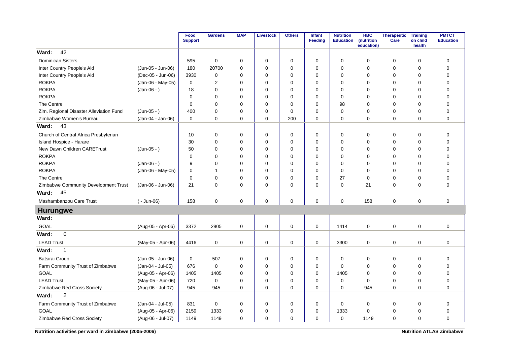|                                         |                   | Food<br><b>Support</b> | <b>Gardens</b> | <b>MAP</b>  | <b>Livestock</b> | <b>Others</b> | Infant<br>Feeding | <b>Nutrition</b><br><b>Education</b> | <b>HBC</b><br>(nutrition<br>education) | <b>Therapeutic</b><br>Care | <b>Training</b><br>on child<br>health | <b>PMTCT</b><br><b>Education</b> |
|-----------------------------------------|-------------------|------------------------|----------------|-------------|------------------|---------------|-------------------|--------------------------------------|----------------------------------------|----------------------------|---------------------------------------|----------------------------------|
| 42<br>Ward:                             |                   |                        |                |             |                  |               |                   |                                      |                                        |                            |                                       |                                  |
| <b>Dominican Sisters</b>                |                   | 595                    | $\mathbf 0$    | 0           | 0                | 0             | $\mathbf 0$       | 0                                    | $\mathbf 0$                            | 0                          | $\mathbf 0$                           | $\mathbf 0$                      |
| Inter Country People's Aid              | (Jun-05 - Jun-06) | 180                    | 20700          | $\Omega$    | $\mathbf 0$      | 0             | $\Omega$          | $\Omega$                             | $\mathbf 0$                            | 0                          | $\mathbf 0$                           | $\mathbf 0$                      |
| Inter Country People's Aid              | (Dec-05 - Jun-06) | 3930                   | $\mathbf 0$    | $\mathbf 0$ | $\mathbf 0$      | 0             | $\Omega$          | 0                                    | $\mathbf 0$                            | 0                          | $\mathbf 0$                           | $\pmb{0}$                        |
| <b>ROKPA</b>                            | (Jan-06 - May-05) | 0                      | $\overline{2}$ | 0           | $\mathbf 0$      | 0             | $\mathbf 0$       | 0                                    | 0                                      | 0                          | 0                                     | $\mathbf 0$                      |
| <b>ROKPA</b>                            | $(Jan-06 - )$     | 18                     | $\Omega$       | 0           | $\mathbf 0$      | $\mathbf 0$   | $\Omega$          | $\Omega$                             | 0                                      | 0                          | $\Omega$                              | $\mathbf 0$                      |
| <b>ROKPA</b>                            |                   | 0                      | $\Omega$       | $\Omega$    | $\mathbf 0$      | 0             | $\Omega$          | 0                                    | 0                                      | 0                          | $\mathbf 0$                           | $\mathbf 0$                      |
| The Centre                              |                   | 0                      | 0              | 0           | $\mathbf 0$      | 0             | $\mathbf 0$       | 98                                   | 0                                      | 0                          | 0                                     | $\mathbf 0$                      |
| Zim. Regional Disaster Alleviation Fund | $(Jun-05 - )$     | 400                    | $\Omega$       | $\Omega$    | $\mathbf 0$      | 0             | $\Omega$          | $\Omega$                             | $\Omega$                               | $\mathbf 0$                | $\mathbf 0$                           | $\mathbf 0$                      |
| Zimbabwe Women's Bureau                 | (Jan-04 - Jan-06) | $\mathbf 0$            | $\Omega$       | 0           | $\mathbf 0$      | 200           | $\mathbf 0$       | 0                                    | $\mathbf 0$                            | $\mathbf 0$                | $\mathbf 0$                           | $\overline{0}$                   |
| 43<br>Ward:                             |                   |                        |                |             |                  |               |                   |                                      |                                        |                            |                                       |                                  |
| Church of Central Africa Presbyterian   |                   | 10                     | $\mathbf 0$    | $\mathbf 0$ | 0                | 0             | $\mathbf 0$       | $\mathbf 0$                          | $\mathbf 0$                            | 0                          | $\mathbf 0$                           | $\mathbf 0$                      |
| Island Hospice - Harare                 |                   | 30                     | $\Omega$       | 0           | $\mathbf 0$      | 0             | $\Omega$          | $\Omega$                             | $\mathbf 0$                            | 0                          | $\mathbf 0$                           | $\pmb{0}$                        |
| New Dawn Children CARETrust             | $(Jun-05 - )$     | 50                     | 0              | 0           | $\mathbf 0$      | 0             | $\mathbf 0$       | 0                                    | 0                                      | 0                          | 0                                     | $\mathbf 0$                      |
| <b>ROKPA</b>                            |                   | $\mathbf 0$            | $\mathbf 0$    | $\mathbf 0$ | $\mathbf 0$      | $\mathbf 0$   | 0                 | 0                                    | $\mathbf 0$                            | $\mathbf 0$                | $\mathbf 0$                           | $\mathbf 0$                      |
| <b>ROKPA</b>                            | $(Jan-06 - )$     | 9                      | $\Omega$       | $\Omega$    | $\Omega$         | 0             | $\Omega$          | $\Omega$                             | $\Omega$                               | $\Omega$                   | $\Omega$                              | $\Omega$                         |
| <b>ROKPA</b>                            | (Jan-06 - May-05) | 0                      | -1             | $\Omega$    | $\mathbf 0$      | 0             | $\Omega$          | 0                                    | 0                                      | 0                          | 0                                     | $\mathbf 0$                      |
| The Centre                              |                   | 0                      | $\mathbf 0$    | $\mathbf 0$ | $\mathbf 0$      | 0             | $\mathbf 0$       | 27                                   | $\mathbf 0$                            | 0                          | $\mathbf 0$                           | $\mathbf 0$                      |
| Zimbabwe Community Development Trust    | (Jan-06 - Jun-06) | 21                     | $\Omega$       | $\Omega$    | $\Omega$         | $\Omega$      | $\Omega$          | $\Omega$                             | 21                                     | $\mathbf 0$                | $\Omega$                              | $\Omega$                         |
| 45<br>Ward:                             |                   |                        |                |             |                  |               |                   |                                      |                                        |                            |                                       |                                  |
| Mashambanzou Care Trust                 | $(-$ Jun-06)      | 158                    | $\mathbf 0$    | 0           | $\mathbf 0$      | $\mathbf 0$   | $\Omega$          | $\mathbf 0$                          | 158                                    | $\mathbf 0$                | $\mathbf 0$                           | $\mathbf 0$                      |
| <b>Hurungwe</b>                         |                   |                        |                |             |                  |               |                   |                                      |                                        |                            |                                       |                                  |
| Ward:                                   |                   |                        |                |             |                  |               |                   |                                      |                                        |                            |                                       |                                  |
| GOAL                                    | (Aug-05 - Apr-06) | 3372                   | 2805           | 0           | $\pmb{0}$        | 0             | 0                 | 1414                                 | 0                                      | 0                          | $\mathbf 0$                           | $\pmb{0}$                        |
| Ward:<br>$\Omega$                       |                   |                        |                |             |                  |               |                   |                                      |                                        |                            |                                       |                                  |
| <b>LEAD Trust</b>                       | (May-05 - Apr-06) | 4416                   | 0              | 0           | 0                | 0             | 0                 | 3300                                 | 0                                      | 0                          | $\mathbf 0$                           | $\mathbf 0$                      |
| Ward:<br>$\mathbf{1}$                   |                   |                        |                |             |                  |               |                   |                                      |                                        |                            |                                       |                                  |
| <b>Batsirai Group</b>                   | (Jun-05 - Jun-06) | 0                      | 507            | 0           | $\mathbf 0$      | 0             | 0                 | 0                                    | 0                                      | 0                          | $\mathbf 0$                           | $\mathbf 0$                      |
| Farm Community Trust of Zimbabwe        | (Jan-04 - Jul-05) | 676                    | $\mathbf 0$    | 0           | $\mathbf 0$      | $\mathbf 0$   | $\Omega$          | $\Omega$                             | 0                                      | 0                          | 0                                     | $\mathbf 0$                      |
| GOAL                                    | (Aug-05 - Apr-06) | 1405                   | 1405           | $\mathbf 0$ | $\mathbf 0$      | 0             | $\Omega$          | 1405                                 | $\mathbf 0$                            | 0                          | $\mathbf 0$                           | $\mathbf 0$                      |
| <b>LEAD Trust</b>                       | (May-05 - Apr-06) | 720                    | $\mathbf 0$    | 0           | $\mathbf 0$      | 0             | $\Omega$          | $\mathbf 0$                          | $\Omega$                               | 0                          | $\mathbf 0$                           | $\mathbf 0$                      |
| Zimbabwe Red Cross Society              | (Aug-06 - Jul-07) | 945                    | 945            | $\Omega$    | $\mathbf 0$      | $\mathbf 0$   | $\Omega$          | $\Omega$                             | 945                                    | $\mathbf 0$                | $\Omega$                              | $\mathbf 0$                      |
| $\overline{c}$<br>Ward:                 |                   |                        |                |             |                  |               |                   |                                      |                                        |                            |                                       |                                  |
| Farm Community Trust of Zimbabwe        | (Jan-04 - Jul-05) | 831                    | 0              | 0           | 0                | 0             | 0                 | $\mathbf 0$                          | 0                                      | 0                          | 0                                     | $\mathbf 0$                      |
| <b>GOAL</b>                             | (Aug-05 - Apr-06) | 2159                   | 1333           | 0           | $\mathbf 0$      | 0             | $\mathbf 0$       | 1333                                 | $\mathbf 0$                            | 0                          | $\mathbf 0$                           | $\pmb{0}$                        |
| Zimbabwe Red Cross Society              | (Aug-06 - Jul-07) | 1149                   | 1149           | $\mathbf 0$ | $\Omega$         | 0             | $\Omega$          | $\mathbf 0$                          | 1149                                   | $\Omega$                   | $\mathbf 0$                           | $\Omega$                         |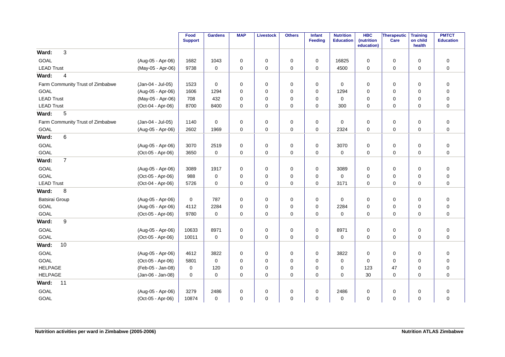|                                  |                   | Food<br><b>Support</b> | <b>Gardens</b>      | <b>MAP</b>  | <b>Livestock</b> | <b>Others</b> | <b>Infant</b><br>Feeding | <b>Nutrition</b><br><b>Education</b> | <b>HBC</b><br>(nutrition<br>education) | Therapeutic<br>Care | <b>Training</b><br>on child<br>health | <b>PMTCT</b><br><b>Education</b> |
|----------------------------------|-------------------|------------------------|---------------------|-------------|------------------|---------------|--------------------------|--------------------------------------|----------------------------------------|---------------------|---------------------------------------|----------------------------------|
| 3<br>Ward:                       |                   |                        |                     |             |                  |               |                          |                                      |                                        |                     |                                       |                                  |
| GOAL                             | (Aug-05 - Apr-06) | 1682                   | 1043                | $\mathbf 0$ | $\mathbf 0$      | $\pmb{0}$     | 0                        | 16825                                | $\Omega$                               | $\mathbf 0$         | $\mathbf 0$                           | $\mathbf 0$                      |
| <b>LEAD Trust</b>                | (May-05 - Apr-06) | 9738                   | $\mathbf 0$         | $\mathbf 0$ | $\mathbf 0$      | $\mathbf 0$   | $\mathbf 0$              | 4500                                 | $\mathbf 0$                            | $\mathsf{O}\xspace$ | $\mathbf 0$                           | $\pmb{0}$                        |
| $\overline{\mathbf{4}}$<br>Ward: |                   |                        |                     |             |                  |               |                          |                                      |                                        |                     |                                       |                                  |
| Farm Community Trust of Zimbabwe | (Jan-04 - Jul-05) | 1523                   | $\mathbf 0$         | $\mathbf 0$ | $\mathbf 0$      | 0             | $\mathbf 0$              | 0                                    | $\mathbf 0$                            | 0                   | 0                                     | $\mathbf 0$                      |
| <b>GOAL</b>                      | (Aug-05 - Apr-06) | 1606                   | 1294                | $\mathbf 0$ | $\mathbf 0$      | 0             | $\mathbf 0$              | 1294                                 | $\mathbf 0$                            | 0                   | $\mathbf 0$                           | $\mathbf 0$                      |
| <b>LEAD Trust</b>                | (May-05 - Apr-06) | 708                    | 432                 | $\mathbf 0$ | $\mathbf 0$      | $\mathbf 0$   | $\mathbf 0$              | $\mathbf 0$                          | $\mathbf 0$                            | 0                   | $\mathbf 0$                           | $\mathbf 0$                      |
| <b>LEAD Trust</b>                | (Oct-04 - Apr-06) | 8700                   | 8400                | $\mathbf 0$ | $\mathbf 0$      | $\mathbf 0$   | $\mathbf 0$              | 300                                  | $\mathbf 0$                            | $\mathbf 0$         | $\mathbf 0$                           | $\mathbf 0$                      |
| 5<br>Ward:                       |                   |                        |                     |             |                  |               |                          |                                      |                                        |                     |                                       |                                  |
| Farm Community Trust of Zimbabwe | (Jan-04 - Jul-05) | 1140                   | $\mathsf{O}\xspace$ | $\pmb{0}$   | $\pmb{0}$        | $\pmb{0}$     | 0                        | $\mathbf 0$                          | $\mathbf 0$                            | $\mathsf 0$         | $\mathbf 0$                           | $\pmb{0}$                        |
| GOAL                             | (Aug-05 - Apr-06) | 2602                   | 1969                | $\mathbf 0$ | $\mathbf 0$      | $\mathbf 0$   | $\mathbf 0$              | 2324                                 | $\mathbf 0$                            | $\mathbf 0$         | $\mathbf 0$                           | $\mathbf 0$                      |
| 6<br>Ward:                       |                   |                        |                     |             |                  |               |                          |                                      |                                        |                     |                                       |                                  |
| GOAL                             | (Aug-05 - Apr-06) | 3070                   | 2519                | 0           | $\mathbf 0$      | $\pmb{0}$     | $\mathbf 0$              | 3070                                 | $\mathbf 0$                            | 0                   | $\mathbf 0$                           | $\mathbf 0$                      |
| GOAL                             | (Oct-05 - Apr-06) | 3650                   | $\mathbf 0$         | $\mathbf 0$ | $\mathbf 0$      | $\mathbf 0$   | $\mathbf 0$              | $\mathbf 0$                          | $\mathbf 0$                            | $\mathbf 0$         | $\Omega$                              | $\mathbf 0$                      |
| $\overline{7}$<br>Ward:          |                   |                        |                     |             |                  |               |                          |                                      |                                        |                     |                                       |                                  |
| GOAL                             | (Aug-05 - Apr-06) | 3089                   | 1917                | 0           | 0                | $\pmb{0}$     | 0                        | 3089                                 | $\mathbf 0$                            | $\pmb{0}$           | 0                                     | $\pmb{0}$                        |
| GOAL                             | (Oct-05 - Apr-06) | 988                    | $\mathbf 0$         | 0           | $\mathbf 0$      | 0             | $\mathbf 0$              | $\mathbf 0$                          | 0                                      | 0                   | $\mathbf 0$                           | $\mathbf 0$                      |
| <b>LEAD Trust</b>                | (Oct-04 - Apr-06) | 5726                   | $\mathbf 0$         | $\mathbf 0$ | $\mathbf 0$      | $\mathbf 0$   | 0                        | 3171                                 | $\mathbf 0$                            | 0                   | $\mathbf 0$                           | $\mathbf 0$                      |
| Ward:<br>8                       |                   |                        |                     |             |                  |               |                          |                                      |                                        |                     |                                       |                                  |
| <b>Batsirai Group</b>            | (Aug-05 - Apr-06) | $\mathbf 0$            | 787                 | $\mathbf 0$ | $\mathbf 0$      | 0             | $\mathbf 0$              | $\mathbf 0$                          | 0                                      | 0                   | $\mathbf 0$                           | $\mathbf 0$                      |
| <b>GOAL</b>                      | (Aug-05 - Apr-06) | 4112                   | 2284                | $\mathbf 0$ | $\mathbf 0$      | $\mathbf 0$   | $\mathbf 0$              | 2284                                 | 0                                      | 0                   | $\mathbf 0$                           | $\mathbf 0$                      |
| GOAL                             | (Oct-05 - Apr-06) | 9780                   | $\mathbf 0$         | $\mathbf 0$ | 0                | 0             | 0                        | 0                                    | $\mathbf 0$                            | 0                   | $\mathbf 0$                           | $\mathbf 0$                      |
| 9<br>Ward:                       |                   |                        |                     |             |                  |               |                          |                                      |                                        |                     |                                       |                                  |
| GOAL                             | (Aug-05 - Apr-06) | 10633                  | 8971                | 0           | 0                | 0             | 0                        | 8971                                 | 0                                      | 0                   | 0                                     | $\pmb{0}$                        |
| GOAL                             | (Oct-05 - Apr-06) | 10011                  | $\mathbf 0$         | $\mathbf 0$ | $\mathbf 0$      | $\mathbf 0$   | $\mathbf 0$              | $\mathbf 0$                          | 0                                      | 0                   | $\mathbf 0$                           | $\mathbf 0$                      |
| 10<br>Ward:                      |                   |                        |                     |             |                  |               |                          |                                      |                                        |                     |                                       |                                  |
| GOAL                             | (Aug-05 - Apr-06) | 4612                   | 3822                | $\mathbf 0$ | $\mathbf 0$      | 0             | $\mathbf 0$              | 3822                                 | 0                                      | 0                   | $\mathbf 0$                           | $\mathbf 0$                      |
| GOAL                             | (Oct-05 - Apr-06) | 5801                   | 0                   | 0           | 0                | 0             | 0                        | 0                                    | 0                                      | 0                   | 0                                     | 0                                |
| <b>HELPAGE</b>                   | (Feb-05 - Jan-08) | 0                      | 120                 | 0           | 0                | 0             | 0                        | 0                                    | 123                                    | 47                  | 0                                     | $\mathbf 0$                      |
| <b>HELPAGE</b>                   | (Jan-06 - Jan-08) | $\mathbf 0$            | $\mathbf 0$         | 0           | $\mathbf 0$      | $\mathbf 0$   | $\mathbf 0$              | $\Omega$                             | 30                                     | 0                   | $\Omega$                              | $\mathbf 0$                      |
| Ward:<br>11                      |                   |                        |                     |             |                  |               |                          |                                      |                                        |                     |                                       |                                  |
| GOAL                             | (Aug-05 - Apr-06) | 3279                   | 2486                | $\mathbf 0$ | $\mathbf 0$      | 0             | $\mathbf 0$              | 2486                                 | 0                                      | 0                   | $\mathbf 0$                           | $\mathbf 0$                      |
| GOAL                             | (Oct-05 - Apr-06) | 10874                  | $\mathbf 0$         | $\mathbf 0$ | $\mathbf 0$      | $\mathbf 0$   | $\mathbf 0$              | $\mathbf 0$                          | $\mathbf 0$                            | $\mathbf 0$         | $\mathbf 0$                           | $\mathbf 0$                      |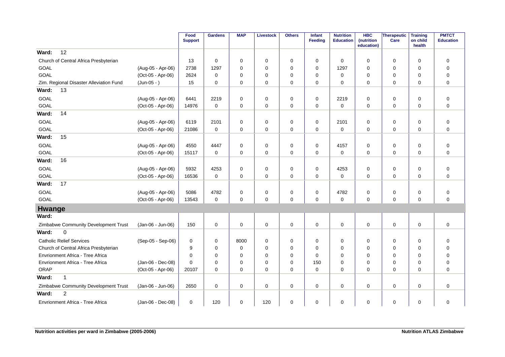|                                         |                   | Food<br><b>Support</b> | <b>Gardens</b> | <b>MAP</b>  | <b>Livestock</b> | <b>Others</b> | Infant<br>Feeding | <b>Nutrition</b><br><b>Education</b> | <b>HBC</b><br>(nutrition<br>education) | Therapeutic<br>Care | <b>Training</b><br>on child<br>health | <b>PMTCT</b><br><b>Education</b> |
|-----------------------------------------|-------------------|------------------------|----------------|-------------|------------------|---------------|-------------------|--------------------------------------|----------------------------------------|---------------------|---------------------------------------|----------------------------------|
| 12<br>Ward:                             |                   |                        |                |             |                  |               |                   |                                      |                                        |                     |                                       |                                  |
| Church of Central Africa Presbyterian   |                   | 13                     | $\mathbf 0$    | $\mathbf 0$ | 0                | 0             | 0                 | $\mathbf 0$                          | $\mathbf 0$                            | 0                   | $\mathbf 0$                           | $\mathbf 0$                      |
| <b>GOAL</b>                             | (Aug-05 - Apr-06) | 2738                   | 1297           | $\Omega$    | 0                | $\mathbf 0$   | 0                 | 1297                                 | $\Omega$                               | $\mathbf 0$         | 0                                     | 0                                |
| GOAL                                    | (Oct-05 - Apr-06) | 2624                   | 0              | 0           | 0                | 0             | 0                 | $\mathbf 0$                          | 0                                      | 0                   | 0                                     | 0                                |
| Zim. Regional Disaster Alleviation Fund | $(Jun-05 - )$     | 15                     | $\mathbf 0$    | $\mathbf 0$ | $\mathbf 0$      | $\mathbf 0$   | $\mathbf 0$       | $\Omega$                             | $\mathbf 0$                            | $\mathbf 0$         | $\mathbf 0$                           | $\mathbf 0$                      |
| Ward:<br>13                             |                   |                        |                |             |                  |               |                   |                                      |                                        |                     |                                       |                                  |
| <b>GOAL</b>                             | (Aug-05 - Apr-06) | 6441                   | 2219           | 0           | 0                | $\mathbf 0$   | 0                 | 2219                                 | 0                                      | 0                   | 0                                     | $\mathbf 0$                      |
| <b>GOAL</b>                             | (Oct-05 - Apr-06) | 14976                  | $\mathbf 0$    | $\mathbf 0$ | 0                | 0             | $\mathbf 0$       | $\mathbf 0$                          | $\mathbf 0$                            | 0                   | $\mathbf 0$                           | $\mathbf 0$                      |
| 14<br>Ward:                             |                   |                        |                |             |                  |               |                   |                                      |                                        |                     |                                       |                                  |
| <b>GOAL</b>                             | (Aug-05 - Apr-06) | 6119                   | 2101           | $\mathbf 0$ | 0                | 0             | $\mathbf 0$       | 2101                                 | $\mathbf 0$                            | 0                   | $\mathbf 0$                           | $\mathbf 0$                      |
| <b>GOAL</b>                             | (Oct-05 - Apr-06) | 21086                  | $\mathsf 0$    | 0           | 0                | 0             | 0                 | $\mathbf 0$                          | 0                                      | $\mathsf 0$         | 0                                     | $\mathbf 0$                      |
| Ward:<br>15                             |                   |                        |                |             |                  |               |                   |                                      |                                        |                     |                                       |                                  |
| <b>GOAL</b>                             | (Aug-05 - Apr-06) | 4550                   | 4447           | 0           | 0                | 0             | 0                 | 4157                                 | $\mathbf 0$                            | 0                   | 0                                     | $\mathbf 0$                      |
| GOAL                                    | (Oct-05 - Apr-06) | 15117                  | $\Omega$       | $\Omega$    | $\mathbf 0$      | $\Omega$      | $\Omega$          | $\Omega$                             | $\Omega$                               | $\mathbf 0$         | $\Omega$                              | $\mathbf 0$                      |
| 16<br>Ward:                             |                   |                        |                |             |                  |               |                   |                                      |                                        |                     |                                       |                                  |
| GOAL                                    | (Aug-05 - Apr-06) | 5932                   | 4253           | 0           | 0                | $\pmb{0}$     | 0                 | 4253                                 | 0                                      | 0                   | 0                                     | $\mathbf 0$                      |
| <b>GOAL</b>                             | (Oct-05 - Apr-06) | 16536                  | $\mathbf 0$    | 0           | 0                | $\mathbf 0$   | $\mathbf 0$       | $\mathbf 0$                          | $\mathbf 0$                            | $\mathbf 0$         | $\Omega$                              | $\mathbf 0$                      |
| 17<br>Ward:                             |                   |                        |                |             |                  |               |                   |                                      |                                        |                     |                                       |                                  |
| <b>GOAL</b>                             | (Aug-05 - Apr-06) | 5086                   | 4782           | 0           | 0                | 0             | 0                 | 4782                                 | 0                                      | 0                   | 0                                     | $\mathbf 0$                      |
| GOAL                                    | (Oct-05 - Apr-06) | 13543                  | $\mathbf 0$    | 0           | $\mathbf 0$      | $\mathbf 0$   | 0                 | $\mathbf 0$                          | 0                                      | $\mathbf 0$         | $\mathbf 0$                           | $\mathbf 0$                      |
| Hwange                                  |                   |                        |                |             |                  |               |                   |                                      |                                        |                     |                                       |                                  |
| Ward:                                   |                   |                        |                |             |                  |               |                   |                                      |                                        |                     |                                       |                                  |
| Zimbabwe Community Development Trust    | (Jan-06 - Jun-06) | 150                    | $\mathbf 0$    | 0           | $\pmb{0}$        | $\mathbf 0$   | 0                 | $\mathbf 0$                          | 0                                      | $\mathsf 0$         | $\mathbf 0$                           | $\mathbf 0$                      |
| Ward:<br>$\Omega$                       |                   |                        |                |             |                  |               |                   |                                      |                                        |                     |                                       |                                  |
| <b>Catholic Relief Services</b>         | (Sep-05 - Sep-06) | 0                      | 0              | 8000        | 0                | 0             | 0                 | 0                                    | 0                                      | 0                   | 0                                     | 0                                |
| Church of Central Africa Presbyterian   |                   | 9                      | $\mathbf 0$    | 0           | 0                | $\mathbf 0$   | $\Omega$          | $\Omega$                             | $\Omega$                               | $\mathbf 0$         | $\mathbf 0$                           | $\mathbf 0$                      |
| Envrionment Africa - Tree Africa        |                   | $\mathbf 0$            | $\mathbf 0$    | $\Omega$    | 0                | 0             | $\mathbf 0$       | 0                                    | $\mathbf 0$                            | 0                   | $\mathbf 0$                           | $\mathbf 0$                      |
| Envrionment Africa - Tree Africa        | (Jan-06 - Dec-08) | $\Omega$               | 0              | $\Omega$    | $\mathbf 0$      | $\mathbf 0$   | 150               | $\Omega$                             | $\mathbf 0$                            | 0                   | $\mathbf 0$                           | $\mathbf 0$                      |
| ORAP                                    | (Oct-05 - Apr-06) | 20107                  | $\Omega$       | $\Omega$    | $\mathbf 0$      | $\Omega$      | $\mathbf 0$       | $\Omega$                             | $\Omega$                               | $\mathbf 0$         | $\Omega$                              | $\mathbf 0$                      |
| $\mathbf{1}$<br>Ward:                   |                   |                        |                |             |                  |               |                   |                                      |                                        |                     |                                       |                                  |
| Zimbabwe Community Development Trust    | (Jan-06 - Jun-06) | 2650                   | $\mathbf 0$    | 0           | 0                | 0             | 0                 | 0                                    | $\mathbf 0$                            | 0                   | $\mathbf 0$                           | $\mathbf 0$                      |
| $\overline{c}$<br>Ward:                 |                   |                        |                |             |                  |               |                   |                                      |                                        |                     |                                       |                                  |
| Envrionment Africa - Tree Africa        | (Jan-06 - Dec-08) | $\mathbf 0$            | 120            | 0           | 120              | $\mathbf 0$   | 0                 | $\mathbf 0$                          | 0                                      | $\mathbf 0$         | $\mathbf 0$                           | $\mathbf 0$                      |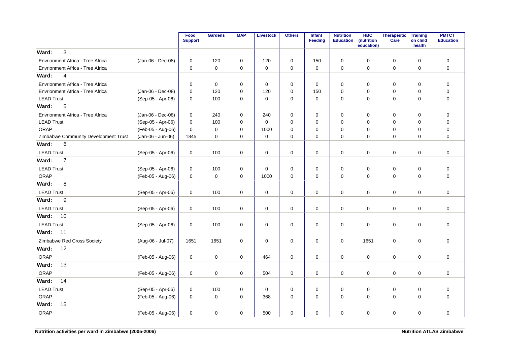|                                      |                   | Food<br><b>Support</b> | <b>Gardens</b> | <b>MAP</b>  | Livestock   | <b>Others</b> | <b>Infant</b><br>Feeding | <b>Nutrition</b><br><b>Education</b> | <b>HBC</b><br>(nutrition<br>education) | <b>Therapeutic</b><br>Care | <b>Training</b><br>on child<br>health | <b>PMTCT</b><br><b>Education</b> |
|--------------------------------------|-------------------|------------------------|----------------|-------------|-------------|---------------|--------------------------|--------------------------------------|----------------------------------------|----------------------------|---------------------------------------|----------------------------------|
| 3<br>Ward:                           |                   |                        |                |             |             |               |                          |                                      |                                        |                            |                                       |                                  |
| Envrionment Africa - Tree Africa     | (Jan-06 - Dec-08) | 0                      | 120            | $\mathbf 0$ | 120         | 0             | 150                      | $\mathbf 0$                          | $\mathbf 0$                            | $\mathbf 0$                | $\mathbf 0$                           | $\mathbf 0$                      |
| Envrionment Africa - Tree Africa     |                   | 0                      | $\mathbf 0$    | 0           | $\mathbf 0$ | $\mathbf 0$   | $\mathbf 0$              | $\mathbf 0$                          | 0                                      | $\mathbf 0$                | 0                                     | $\mathbf 0$                      |
| $\overline{4}$<br>Ward:              |                   |                        |                |             |             |               |                          |                                      |                                        |                            |                                       |                                  |
| Envrionment Africa - Tree Africa     |                   | $\mathbf 0$            | $\mathbf 0$    | 0           | $\mathbf 0$ | $\pmb{0}$     | $\mathbf 0$              | $\mathbf 0$                          | 0                                      | $\mathbf 0$                | $\mathbf 0$                           | $\mathbf 0$                      |
| Envrionment Africa - Tree Africa     | (Jan-06 - Dec-08) | $\mathbf 0$            | 120            | 0           | 120         | 0             | 150                      | $\mathbf 0$                          | 0                                      | $\mathbf 0$                | 0                                     | $\mathbf 0$                      |
| <b>LEAD Trust</b>                    | (Sep-05 - Apr-06) | $\mathbf 0$            | 100            | $\mathbf 0$ | $\mathbf 0$ | $\pmb{0}$     | $\mathbf 0$              | $\mathbf 0$                          | 0                                      | $\mathbf 0$                | 0                                     | $\mathbf 0$                      |
| 5<br>Ward:                           |                   |                        |                |             |             |               |                          |                                      |                                        |                            |                                       |                                  |
| Envrionment Africa - Tree Africa     | (Jan-06 - Dec-08) | 0                      | 240            | 0           | 240         | 0             | 0                        | 0                                    | 0                                      | 0                          | 0                                     | 0                                |
| <b>LEAD Trust</b>                    | (Sep-05 - Apr-06) | $\mathbf 0$            | 100            | 0           | 0           | 0             | $\mathbf 0$              | $\mathbf 0$                          | 0                                      | $\mathbf 0$                | $\mathbf 0$                           | $\mathbf 0$                      |
| ORAP                                 | (Feb-05 - Aug-06) | 0                      | 0              | 0           | 1000        | 0             | 0                        | 0                                    | 0                                      | 0                          | 0                                     | $\mathbf 0$                      |
| Zimbabwe Community Development Trust | (Jan-06 - Jun-06) | 1845                   | $\Omega$       | $\Omega$    | $\mathbf 0$ | $\Omega$      | $\mathbf 0$              | $\Omega$                             | 0                                      | $\mathbf 0$                | $\Omega$                              | $\overline{0}$                   |
| Ward:<br>6                           |                   |                        |                |             |             |               |                          |                                      |                                        |                            |                                       |                                  |
| <b>LEAD Trust</b>                    | (Sep-05 - Apr-06) | 0                      | 100            | 0           | $\mathsf 0$ | $\pmb{0}$     | $\mathsf 0$              | $\pmb{0}$                            | $\mathbf 0$                            | $\mathbf 0$                | $\mathbf 0$                           | $\mathsf 0$                      |
| Ward:<br>$\overline{7}$              |                   |                        |                |             |             |               |                          |                                      |                                        |                            |                                       |                                  |
| <b>LEAD Trust</b>                    | (Sep-05 - Apr-06) | 0                      | 100            | 0           | 0           | 0             | 0                        | 0                                    | 0                                      | 0                          | 0                                     | $\mathbf 0$                      |
| ORAP                                 | (Feb-05 - Aug-06) | $\mathbf 0$            | $\mathbf 0$    | $\mathbf 0$ | 1000        | $\mathbf 0$   | $\mathbf 0$              | $\mathbf 0$                          | $\Omega$                               | $\mathbf 0$                | $\mathbf 0$                           | $\mathbf 0$                      |
| 8<br>Ward:                           |                   |                        |                |             |             |               |                          |                                      |                                        |                            |                                       |                                  |
| <b>LEAD Trust</b>                    | (Sep-05 - Apr-06) | $\mathbf 0$            | 100            | $\mathbf 0$ | $\mathbf 0$ | $\mathbf 0$   | $\mathbf 0$              | $\mathbf 0$                          | $\Omega$                               | $\mathbf 0$                | 0                                     | $\mathbf 0$                      |
| Ward:<br>9                           |                   |                        |                |             |             |               |                          |                                      |                                        |                            |                                       |                                  |
| <b>LEAD Trust</b>                    | (Sep-05 - Apr-06) | 0                      | 100            | 0           | $\mathbf 0$ | $\pmb{0}$     | $\mathbf 0$              | $\pmb{0}$                            | $\Omega$                               | $\mathsf{O}\xspace$        | 0                                     | 0                                |
| Ward:<br>10                          |                   |                        |                |             |             |               |                          |                                      |                                        |                            |                                       |                                  |
| <b>LEAD Trust</b>                    | (Sep-05 - Apr-06) | 0                      | 100            | 0           | 0           | 0             | 0                        | 0                                    | 0                                      | $\mathbf 0$                | 0                                     | $\mathbf 0$                      |
| Ward:<br>11                          |                   |                        |                |             |             |               |                          |                                      |                                        |                            |                                       |                                  |
| Zimbabwe Red Cross Society           | (Aug-06 - Jul-07) | 1651                   | 1651           | 0           | 0           | 0             | 0                        | 0                                    | 1651                                   | $\mathbf 0$                | $\mathbf 0$                           | $\mathbf 0$                      |
| 12<br>Ward:                          |                   |                        |                |             |             |               |                          |                                      |                                        |                            |                                       |                                  |
| ORAP                                 | (Feb-05 - Aug-06) | 0                      | 0              | $\mathbf 0$ | 464         | 0             | 0                        | 0                                    | 0                                      | $\mathbf 0$                | $\mathbf 0$                           | $\mathbf 0$                      |
| 13<br>Ward:                          |                   |                        |                |             |             |               |                          |                                      |                                        |                            |                                       |                                  |
| ORAP                                 | (Feb-05 - Aug-06) | 0                      | 0              | $\mathbf 0$ | 504         | 0             | 0                        | 0                                    | 0                                      | 0                          | 0                                     | $\mathbf 0$                      |
| 14<br>Ward:                          |                   |                        |                |             |             |               |                          |                                      |                                        |                            |                                       |                                  |
| <b>LEAD Trust</b>                    | (Sep-05 - Apr-06) | 0                      | 100            | 0           | 0           | 0             | 0                        | 0                                    | 0                                      | $\mathbf 0$                | 0                                     | 0                                |
| ORAP                                 | (Feb-05 - Aug-06) | $\mathbf 0$            | 0              | $\mathbf 0$ | 368         | 0             | 0                        | $\mathbf 0$                          | 0                                      | 0                          | $\mathbf 0$                           | $\mathbf 0$                      |
| 15<br>Ward:                          |                   |                        |                |             |             |               |                          |                                      |                                        |                            |                                       |                                  |
| <b>ORAP</b>                          | (Feb-05 - Aug-06) | 0                      | 0              | 0           | 500         | 0             | 0                        | 0                                    | 0                                      | 0                          | 0                                     | $\mathbf 0$                      |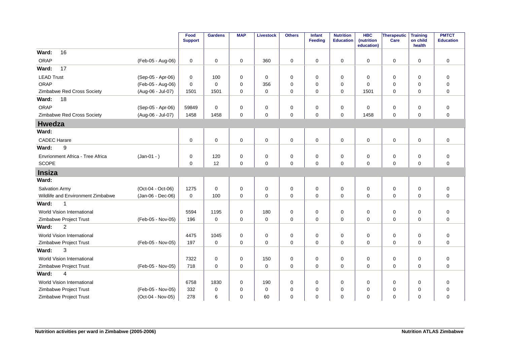|                                   |                   | Food<br><b>Support</b> | <b>Gardens</b> | <b>MAP</b>  | <b>Livestock</b> | <b>Others</b> | Infant<br>Feeding | <b>Nutrition</b><br><b>Education</b> | <b>HBC</b><br>(nutrition<br>education) | <b>Therapeutic</b><br>Care | <b>Training</b><br>on child<br>health | <b>PMTCT</b><br><b>Education</b> |
|-----------------------------------|-------------------|------------------------|----------------|-------------|------------------|---------------|-------------------|--------------------------------------|----------------------------------------|----------------------------|---------------------------------------|----------------------------------|
| 16<br>Ward:                       |                   |                        |                |             |                  |               |                   |                                      |                                        |                            |                                       |                                  |
| ORAP                              | (Feb-05 - Aug-06) | 0                      | $\mathbf 0$    | $\mathbf 0$ | 360              | 0             | $\mathbf 0$       | $\mathbf 0$                          | $\mathbf 0$                            | $\mathbf 0$                | $\mathbf 0$                           | $\mathbf 0$                      |
| Ward:<br>17                       |                   |                        |                |             |                  |               |                   |                                      |                                        |                            |                                       |                                  |
| <b>LEAD Trust</b>                 | (Sep-05 - Apr-06) | 0                      | 100            | $\mathbf 0$ | 0                | 0             | $\mathbf 0$       | $\mathbf 0$                          | 0                                      | $\mathbf 0$                | 0                                     | 0                                |
| ORAP                              | (Feb-05 - Aug-06) | $\mathbf 0$            | $\Omega$       | $\mathbf 0$ | 356              | 0             | $\Omega$          | $\Omega$                             | $\Omega$                               | $\mathbf 0$                | 0                                     | $\mathbf 0$                      |
| Zimbabwe Red Cross Society        | (Aug-06 - Jul-07) | 1501                   | 1501           | $\mathbf 0$ | $\mathbf 0$      | 0             | $\mathbf 0$       | $\mathbf 0$                          | 1501                                   | $\mathbf 0$                | $\mathbf 0$                           | $\mathbf 0$                      |
| 18<br>Ward:                       |                   |                        |                |             |                  |               |                   |                                      |                                        |                            |                                       |                                  |
| ORAP                              | (Sep-05 - Apr-06) | 59849                  | 0              | 0           | 0                | 0             | 0                 | 0                                    | 0                                      | $\mathbf 0$                | 0                                     | 0                                |
| Zimbabwe Red Cross Society        | (Aug-06 - Jul-07) | 1458                   | 1458           | $\mathbf 0$ | 0                | $\mathbf 0$   | $\mathbf 0$       | $\mathbf 0$                          | 1458                                   | $\mathbf 0$                | $\mathbf 0$                           | $\mathbf 0$                      |
| <b>Hwedza</b>                     |                   |                        |                |             |                  |               |                   |                                      |                                        |                            |                                       |                                  |
| Ward:                             |                   |                        |                |             |                  |               |                   |                                      |                                        |                            |                                       |                                  |
| <b>CADEC Harare</b>               |                   | $\mathbf 0$            | $\mathbf 0$    | $\mathbf 0$ | $\mathbf 0$      | 0             | $\mathbf 0$       | $\mathbf 0$                          | $\Omega$                               | $\mathbf 0$                | $\mathbf 0$                           | $\mathbf 0$                      |
| 9<br>Ward:                        |                   |                        |                |             |                  |               |                   |                                      |                                        |                            |                                       |                                  |
| Envrionment Africa - Tree Africa  | $(Jan-01 - )$     | 0                      | 120            | 0           | $\mathbf 0$      | $\mathbf 0$   | 0                 | 0                                    | 0                                      | 0                          | $\mathbf 0$                           | $\pmb{0}$                        |
| <b>SCOPE</b>                      |                   | 0                      | 12             | $\mathbf 0$ | $\mathbf 0$      | 0             | 0                 | $\mathbf 0$                          | $\Omega$                               | $\mathbf 0$                | $\mathbf 0$                           | $\overline{0}$                   |
| <b>Insiza</b>                     |                   |                        |                |             |                  |               |                   |                                      |                                        |                            |                                       |                                  |
| Ward:                             |                   |                        |                |             |                  |               |                   |                                      |                                        |                            |                                       |                                  |
| <b>Salvation Army</b>             | (Oct-04 - Oct-06) | 1275                   | $\mathbf 0$    | 0           | 0                | $\mathbf 0$   | 0                 | 0                                    | 0                                      | 0                          | 0                                     | $\pmb{0}$                        |
| Wildlife and Environment Zimbabwe | (Jan-06 - Dec-06) | $\mathbf 0$            | 100            | 0           | 0                | 0             | 0                 | $\mathbf 0$                          | 0                                      | $\mathbf 0$                | $\mathbf 0$                           | $\mathbf 0$                      |
| $\mathbf{1}$<br>Ward:             |                   |                        |                |             |                  |               |                   |                                      |                                        |                            |                                       |                                  |
| World Vision International        |                   | 5594                   | 1195           | 0           | 180              | 0             | 0                 | 0                                    | 0                                      | 0                          | $\mathbf 0$                           | $\mathbf 0$                      |
| Zimbabwe Project Trust            | (Feb-05 - Nov-05) | 196                    | $\mathbf 0$    | $\Omega$    | $\mathbf 0$      | 0             | $\mathbf 0$       | $\Omega$                             | $\Omega$                               | $\mathbf 0$                | $\Omega$                              | $\overline{0}$                   |
| $\overline{2}$<br>Ward:           |                   |                        |                |             |                  |               |                   |                                      |                                        |                            |                                       |                                  |
| World Vision International        |                   | 4475                   | 1045           | $\mathbf 0$ | 0                | 0             | $\mathbf 0$       | $\mathbf 0$                          | 0                                      | $\mathbf 0$                | $\mathbf 0$                           | $\mathbf 0$                      |
| Zimbabwe Project Trust            | (Feb-05 - Nov-05) | 197                    | $\mathbf 0$    | $\Omega$    | $\mathbf 0$      | 0             | $\mathbf 0$       | $\Omega$                             | $\Omega$                               | $\mathbf 0$                | $\Omega$                              | $\overline{0}$                   |
| 3<br>Ward:                        |                   |                        |                |             |                  |               |                   |                                      |                                        |                            |                                       |                                  |
| World Vision International        |                   | 7322                   | $\mathbf 0$    | $\mathbf 0$ | 150              | 0             | $\mathbf 0$       | $\mathbf 0$                          | 0                                      | 0                          | 0                                     | $\mathbf 0$                      |
| Zimbabwe Project Trust            | (Feb-05 - Nov-05) | 718                    | $\mathbf 0$    | $\mathbf 0$ | 0                | $\mathbf 0$   | $\mathbf 0$       | $\mathbf 0$                          | 0                                      | $\mathbf 0$                | 0                                     | $\mathbf 0$                      |
| 4<br>Ward:                        |                   |                        |                |             |                  |               |                   |                                      |                                        |                            |                                       |                                  |
| World Vision International        |                   | 6758                   | 1830           | 0           | 190              | 0             | 0                 | 0                                    | 0                                      | 0                          | 0                                     | 0                                |
| Zimbabwe Project Trust            | (Feb-05 - Nov-05) | 332                    | 0              | 0           | 0                | 0             | 0                 | 0                                    | 0                                      | 0                          | 0                                     | $\mathbf 0$                      |
| Zimbabwe Project Trust            | (Oct-04 - Nov-05) | 278                    | 6              | 0           | 60               | $\mathbf 0$   | 0                 | 0                                    | 0                                      | $\mathbf 0$                | 0                                     | $\mathbf 0$                      |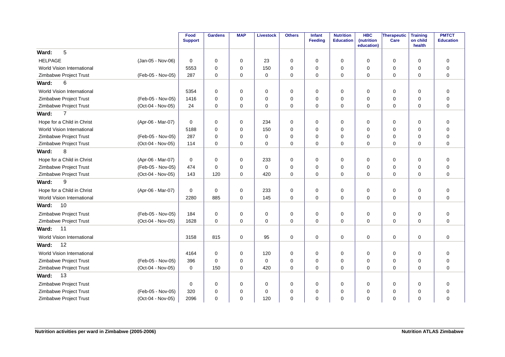|                            |                   | Food           | <b>Gardens</b> | <b>MAP</b>  | <b>Livestock</b> | <b>Others</b> | Infant         | <b>Nutrition</b> | <b>HBC</b>               | <b>Therapeutic</b> | <b>Training</b>    | <b>PMTCT</b>     |
|----------------------------|-------------------|----------------|----------------|-------------|------------------|---------------|----------------|------------------|--------------------------|--------------------|--------------------|------------------|
|                            |                   | <b>Support</b> |                |             |                  |               | <b>Feeding</b> | <b>Education</b> | (nutrition<br>education) | Care               | on child<br>health | <b>Education</b> |
| 5<br>Ward:                 |                   |                |                |             |                  |               |                |                  |                          |                    |                    |                  |
| <b>HELPAGE</b>             | (Jan-05 - Nov-06) | $\mathbf 0$    | $\mathbf 0$    | 0           | 23               | 0             | $\mathbf 0$    | 0                | $\mathbf 0$              | 0                  | $\mathbf 0$        | $\mathbf 0$      |
| World Vision International |                   | 5553           | $\Omega$       | $\mathbf 0$ | 150              | 0             | $\Omega$       | 0                | $\mathbf 0$              | 0                  | $\mathbf 0$        | $\mathbf 0$      |
| Zimbabwe Project Trust     | (Feb-05 - Nov-05) | 287            | $\Omega$       | $\mathbf 0$ | $\mathbf 0$      | 0             | $\Omega$       | 0                | $\mathbf 0$              | $\mathbf 0$        | $\Omega$           | $\mathbf 0$      |
| 6<br>Ward:                 |                   |                |                |             |                  |               |                |                  |                          |                    |                    |                  |
| World Vision International |                   | 5354           | $\mathbf 0$    | $\mathbf 0$ | $\mathbf 0$      | $\mathbf 0$   | $\Omega$       | 0                | $\mathbf 0$              | $\mathbf 0$        | $\mathbf 0$        | $\mathbf 0$      |
| Zimbabwe Project Trust     | (Feb-05 - Nov-05) | 1416           | $\mathbf 0$    | $\mathbf 0$ | $\mathbf 0$      | $\pmb{0}$     | $\Omega$       | 0                | $\mathbf 0$              | 0                  | $\mathbf 0$        | $\mathbf 0$      |
| Zimbabwe Project Trust     | (Oct-04 - Nov-05) | 24             | $\mathbf 0$    | 0           | 0                | 0             | 0              | 0                | 0                        | 0                  | 0                  | $\mathbf 0$      |
| $\overline{7}$<br>Ward:    |                   |                |                |             |                  |               |                |                  |                          |                    |                    |                  |
| Hope for a Child in Christ | (Apr-06 - Mar-07) | $\mathbf 0$    | $\mathbf 0$    | $\mathbf 0$ | 234              | 0             | $\mathbf 0$    | $\mathbf 0$      | 0                        | 0                  | 0                  | $\mathbf 0$      |
| World Vision International |                   | 5188           | $\mathbf 0$    | $\mathbf 0$ | 150              | 0             | $\Omega$       | 0                | $\mathbf 0$              | 0                  | $\mathbf 0$        | $\mathbf 0$      |
| Zimbabwe Project Trust     | (Feb-05 - Nov-05) | 287            | $\mathbf 0$    | $\mathbf 0$ | $\mathbf 0$      | 0             | $\Omega$       | 0                | $\mathbf 0$              | $\mathbf 0$        | $\mathbf 0$        | $\mathbf 0$      |
| Zimbabwe Project Trust     | (Oct-04 - Nov-05) | 114            | $\Omega$       | $\Omega$    | $\mathbf 0$      | 0             | $\Omega$       | $\Omega$         | $\Omega$                 | 0                  | $\Omega$           | $\mathbf 0$      |
| 8<br>Ward:                 |                   |                |                |             |                  |               |                |                  |                          |                    |                    |                  |
| Hope for a Child in Christ | (Apr-06 - Mar-07) | $\mathbf 0$    | $\Omega$       | $\Omega$    | 233              | $\mathbf 0$   | $\Omega$       | 0                | $\Omega$                 | $\mathbf 0$        | $\Omega$           | $\mathbf 0$      |
| Zimbabwe Project Trust     | (Feb-05 - Nov-05) | 474            | $\Omega$       | $\mathbf 0$ | $\mathbf 0$      | $\pmb{0}$     | $\Omega$       | 0                | $\mathbf 0$              | 0                  | $\mathbf 0$        | $\pmb{0}$        |
| Zimbabwe Project Trust     | (Oct-04 - Nov-05) | 143            | 120            | 0           | 420              | 0             | $\mathbf 0$    | $\mathbf 0$      | 0                        | 0                  | 0                  | $\mathbf 0$      |
| 9<br>Ward:                 |                   |                |                |             |                  |               |                |                  |                          |                    |                    |                  |
| Hope for a Child in Christ | (Apr-06 - Mar-07) | $\mathbf 0$    | $\mathbf 0$    | $\mathbf 0$ | 233              | 0             | $\mathbf 0$    | 0                | 0                        | 0                  | $\mathbf 0$        | $\mathbf 0$      |
| World Vision International |                   | 2280           | 885            | $\mathbf 0$ | 145              | 0             | $\mathbf 0$    | $\mathbf 0$      | $\mathbf 0$              | $\mathbf 0$        | $\mathbf 0$        | $\mathbf 0$      |
| 10<br>Ward:                |                   |                |                |             |                  |               |                |                  |                          |                    |                    |                  |
| Zimbabwe Project Trust     | (Feb-05 - Nov-05) | 184            | $\mathbf 0$    | $\mathbf 0$ | $\mathbf 0$      | $\mathbf 0$   | $\Omega$       | $\mathbf 0$      | $\mathbf 0$              | 0                  | $\mathbf 0$        | $\mathbf 0$      |
| Zimbabwe Project Trust     | (Oct-04 - Nov-05) | 1628           | $\Omega$       | $\mathbf 0$ | $\Omega$         | 0             | $\Omega$       | $\mathbf 0$      | $\Omega$                 | $\mathbf 0$        | $\Omega$           | $\mathbf 0$      |
| 11<br>Ward:                |                   |                |                |             |                  |               |                |                  |                          |                    |                    |                  |
| World Vision International |                   | 3158           | 815            | $\mathbf 0$ | 95               | 0             | $\mathbf 0$    | 0                | 0                        | 0                  | 0                  | $\mathbf 0$      |
| 12<br>Ward:                |                   |                |                |             |                  |               |                |                  |                          |                    |                    |                  |
| World Vision International |                   | 4164           | $\mathbf 0$    | $\mathbf 0$ | 120              | 0             | $\Omega$       | 0                | 0                        | 0                  | $\mathbf 0$        | $\mathbf 0$      |
| Zimbabwe Project Trust     | (Feb-05 - Nov-05) | 396            | $\Omega$       | 0           | $\mathbf 0$      | 0             | $\Omega$       | 0                | 0                        | 0                  | $\mathbf 0$        | $\mathbf 0$      |
| Zimbabwe Project Trust     | (Oct-04 - Nov-05) | $\mathbf 0$    | 150            | $\Omega$    | 420              | $\mathbf 0$   | $\Omega$       | $\mathbf 0$      | $\Omega$                 | $\mathbf 0$        | $\Omega$           | $\Omega$         |
| 13<br>Ward:                |                   |                |                |             |                  |               |                |                  |                          |                    |                    |                  |
| Zimbabwe Project Trust     |                   | $\mathbf 0$    | $\mathbf 0$    | $\mathbf 0$ | $\mathbf 0$      | 0             | $\Omega$       | $\mathbf 0$      | $\mathbf 0$              | 0                  | $\mathbf 0$        | $\mathbf 0$      |
| Zimbabwe Project Trust     | (Feb-05 - Nov-05) | 320            | $\Omega$       | 0           | $\Omega$         | 0             | $\Omega$       | $\Omega$         | $\mathbf 0$              | 0                  | $\Omega$           | $\mathbf 0$      |
| Zimbabwe Project Trust     | (Oct-04 - Nov-05) | 2096           | $\Omega$       | $\Omega$    | 120              | $\Omega$      | $\Omega$       | $\Omega$         | $\Omega$                 | $\Omega$           | $\Omega$           | $\Omega$         |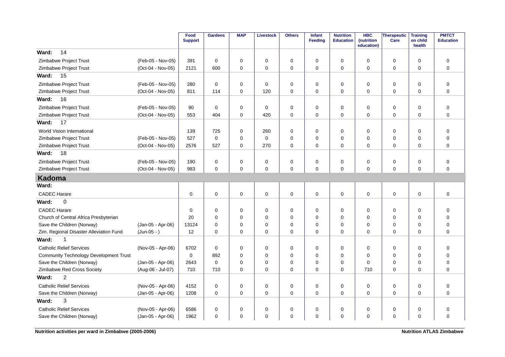|                                               |                   | Food<br><b>Support</b> | <b>Gardens</b> | <b>MAP</b> | <b>Livestock</b> | <b>Others</b> | <b>Infant</b><br>Feeding | <b>Nutrition</b><br><b>Education</b> | <b>HBC</b><br>(nutrition<br>education) | <b>Therapeutic</b><br>Care | <b>Training</b><br>on child<br>health | <b>PMTCT</b><br><b>Education</b> |
|-----------------------------------------------|-------------------|------------------------|----------------|------------|------------------|---------------|--------------------------|--------------------------------------|----------------------------------------|----------------------------|---------------------------------------|----------------------------------|
| 14<br>Ward:                                   |                   |                        |                |            |                  |               |                          |                                      |                                        |                            |                                       |                                  |
| Zimbabwe Project Trust                        | (Feb-05 - Nov-05) | 391                    | $\mathbf 0$    | 0          | 0                | $\pmb{0}$     | $\Omega$                 | 0                                    | $\Omega$                               | 0                          | $\Omega$                              | $\mathbf 0$                      |
| Zimbabwe Project Trust                        | (Oct-04 - Nov-05) | 2121                   | 600            | 0          | 0                | 0             | $\mathbf 0$              | 0                                    | $\Omega$                               | 0                          | 0                                     | $\mathbf 0$                      |
| Ward:<br>15                                   |                   |                        |                |            |                  |               |                          |                                      |                                        |                            |                                       |                                  |
| Zimbabwe Project Trust                        | (Feb-05 - Nov-05) | 280                    | $\mathbf 0$    | 0          | $\mathbf 0$      | $\mathbf 0$   | $\mathbf 0$              | $\mathbf 0$                          | 0                                      | 0                          | $\mathbf 0$                           | $\mathbf 0$                      |
| Zimbabwe Project Trust                        | (Oct-04 - Nov-05) | 811                    | 114            | $\Omega$   | 120              | $\pmb{0}$     | 0                        | $\Omega$                             | $\Omega$                               | 0                          | $\Omega$                              | $\Omega$                         |
| 16<br>Ward:                                   |                   |                        |                |            |                  |               |                          |                                      |                                        |                            |                                       |                                  |
| Zimbabwe Project Trust                        | (Feb-05 - Nov-05) | 90                     | $\mathbf 0$    | 0          | $\mathbf 0$      | $\pmb{0}$     | $\mathbf 0$              | 0                                    | $\Omega$                               | 0                          | $\mathbf 0$                           | $\mathbf 0$                      |
| Zimbabwe Project Trust                        | (Oct-04 - Nov-05) | 553                    | 404            | $\Omega$   | 420              | $\mathbf 0$   | $\mathbf 0$              | $\Omega$                             | $\Omega$                               | $\mathbf 0$                | $\Omega$                              | $\Omega$                         |
| Ward:<br>17                                   |                   |                        |                |            |                  |               |                          |                                      |                                        |                            |                                       |                                  |
| World Vision International                    |                   | 139                    | 725            | 0          | 260              | $\pmb{0}$     | $\Omega$                 | 0                                    | $\Omega$                               | $\pmb{0}$                  | $\Omega$                              | $\mathbf 0$                      |
| Zimbabwe Project Trust                        | (Feb-05 - Nov-05) | 527                    | $\mathbf 0$    | 0          | $\mathbf 0$      | $\mathbf 0$   | $\mathbf 0$              | 0                                    | $\Omega$                               | 0                          | $\mathbf 0$                           | $\mathbf 0$                      |
| Zimbabwe Project Trust                        | (Oct-04 - Nov-05) | 2576                   | 527            | $\Omega$   | 270              | $\mathbf 0$   | $\mathbf 0$              | $\Omega$                             | $\Omega$                               | $\mathbf 0$                | $\Omega$                              | $\Omega$                         |
| Ward:<br>18                                   |                   |                        |                |            |                  |               |                          |                                      |                                        |                            |                                       |                                  |
| Zimbabwe Project Trust                        | (Feb-05 - Nov-05) | 190                    | $\pmb{0}$      | 0          | $\mathbf 0$      | $\mathbf 0$   | $\mathbf 0$              | $\mathbf 0$                          | $\Omega$                               | 0                          | 0                                     | $\pmb{0}$                        |
| Zimbabwe Project Trust                        | (Oct-04 - Nov-05) | 983                    | $\mathbf 0$    | 0          | $\pmb{0}$        | $\mathbf 0$   | $\mathbf 0$              | $\mathbf 0$                          | 0                                      | $\mathbf 0$                | 0                                     | $\mathbf 0$                      |
| <b>Kadoma</b>                                 |                   |                        |                |            |                  |               |                          |                                      |                                        |                            |                                       |                                  |
| Ward:                                         |                   |                        |                |            |                  |               |                          |                                      |                                        |                            |                                       |                                  |
| <b>CADEC Harare</b>                           |                   | 0                      | $\mathbf 0$    | 0          | $\mathbf 0$      | $\pmb{0}$     | $\mathbf 0$              | $\pmb{0}$                            | 0                                      | $\mathbf 0$                | 0                                     | $\mathbf 0$                      |
| Ward:<br>$\mathbf 0$                          |                   |                        |                |            |                  |               |                          |                                      |                                        |                            |                                       |                                  |
| <b>CADEC Harare</b>                           |                   | $\mathbf 0$            | $\mathbf 0$    | 0          | 0                | $\mathbf 0$   | $\mathbf 0$              | $\mathbf 0$                          | 0                                      | 0                          | 0                                     | $\mathbf 0$                      |
| Church of Central Africa Presbyterian         |                   | 20                     | $\mathbf 0$    | 0          | $\mathbf 0$      | $\pmb{0}$     | $\mathbf 0$              | $\mathbf 0$                          | 0                                      | 0                          | $\mathbf 0$                           | $\mathbf 0$                      |
| Save the Children (Norway)                    | (Jan-05 - Apr-06) | 13124                  | $\mathbf 0$    | 0          | 0                | 0             | $\mathbf 0$              | $\mathbf 0$                          | 0                                      | 0                          | 0                                     | $\mathbf 0$                      |
| Zim. Regional Disaster Alleviation Fund       | $(Jun-05 - )$     | 12                     | $\Omega$       | $\Omega$   | $\mathbf 0$      | $\Omega$      | $\Omega$                 | $\Omega$                             | $\Omega$                               | $\Omega$                   | $\Omega$                              | $\Omega$                         |
| Ward:<br>1                                    |                   |                        |                |            |                  |               |                          |                                      |                                        |                            |                                       |                                  |
| <b>Catholic Relief Services</b>               | (Nov-05 - Apr-06) | 6702                   | $\mathbf 0$    | 0          | 0                | 0             | $\mathbf 0$              | $\mathbf 0$                          | 0                                      | 0                          | $\mathbf 0$                           | $\mathbf 0$                      |
| <b>Community Technology Development Trust</b> |                   | 0                      | 892            | 0          | $\mathbf 0$      | $\mathbf 0$   | $\Omega$                 | $\mathbf 0$                          | $\Omega$                               | $\mathbf 0$                | $\mathbf 0$                           | $\overline{0}$                   |
| Save the Children (Norway)                    | (Jan-05 - Apr-06) | 2643                   | $\mathbf 0$    | $\Omega$   | $\mathbf 0$      | $\mathbf 0$   | $\Omega$                 | 0                                    | $\Omega$                               | $\mathbf 0$                | $\Omega$                              | $\mathbf 0$                      |
| Zimbabwe Red Cross Society                    | (Aug-06 - Jul-07) | 710                    | 710            | $\Omega$   | $\mathbf 0$      | $\mathbf 0$   | $\mathbf 0$              | $\mathbf 0$                          | 710                                    | $\mathbf 0$                | $\Omega$                              | $\overline{0}$                   |
| $\overline{2}$<br>Ward:                       |                   |                        |                |            |                  |               |                          |                                      |                                        |                            |                                       |                                  |
| <b>Catholic Relief Services</b>               | (Nov-05 - Apr-06) | 4152                   | 0              | 0          | 0                | 0             | 0                        | 0                                    | $\Omega$                               | 0                          | 0                                     | $\mathbf 0$                      |
| Save the Children (Norway)                    | (Jan-05 - Apr-06) | 1208                   | $\Omega$       | $\Omega$   | $\mathbf 0$      | $\mathbf 0$   | $\Omega$                 | $\Omega$                             | $\Omega$                               | $\mathbf 0$                | $\Omega$                              | $\Omega$                         |
| 3<br>Ward:                                    |                   |                        |                |            |                  |               |                          |                                      |                                        |                            |                                       |                                  |
| <b>Catholic Relief Services</b>               | (Nov-05 - Apr-06) | 6586                   | 0              | 0          | $\mathbf 0$      | $\pmb{0}$     | 0                        | 0                                    | 0                                      | 0                          | 0                                     | $\mathbf 0$                      |
| Save the Children (Norway)                    | (Jan-05 - Apr-06) | 1962                   | $\mathbf 0$    | 0          | $\mathbf 0$      | $\mathbf 0$   | $\mathbf 0$              | $\mathbf 0$                          | $\Omega$                               | $\mathbf 0$                | 0                                     | $\overline{0}$                   |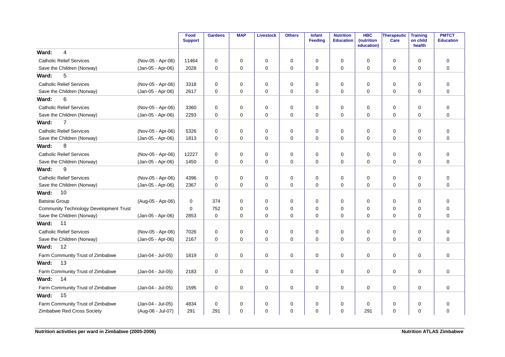|                                               |                   | Food<br><b>Support</b> | <b>Gardens</b> | <b>MAP</b>  | <b>Livestock</b> | <b>Others</b> | Infant<br>Feeding | <b>Nutrition</b><br><b>Education</b> | <b>HBC</b><br>(nutrition<br>education) | <b>Therapeutic</b><br>Care | <b>Training</b><br>on child<br>health | <b>PMTCT</b><br><b>Education</b> |
|-----------------------------------------------|-------------------|------------------------|----------------|-------------|------------------|---------------|-------------------|--------------------------------------|----------------------------------------|----------------------------|---------------------------------------|----------------------------------|
| Ward:<br>4                                    |                   |                        |                |             |                  |               |                   |                                      |                                        |                            |                                       |                                  |
| <b>Catholic Relief Services</b>               | (Nov-05 - Apr-06) | 11464                  | $\Omega$       | $\Omega$    | 0                | 0             | $\Omega$          | $\Omega$                             | $\Omega$                               | $\mathbf 0$                | $\Omega$                              | $\overline{0}$                   |
| Save the Children (Norway)                    | (Jan-05 - Apr-06) | 2028                   | $\mathbf 0$    | 0           | $\mathbf 0$      | 0             | $\mathbf 0$       | $\mathbf 0$                          | $\Omega$                               | $\mathbf 0$                | $\mathbf 0$                           | $\overline{0}$                   |
| 5<br>Ward:                                    |                   |                        |                |             |                  |               |                   |                                      |                                        |                            |                                       |                                  |
| <b>Catholic Relief Services</b>               | (Nov-05 - Apr-06) | 3318                   | 0              | 0           | 0                | 0             | 0                 | 0                                    | 0                                      | 0                          | 0                                     | 0                                |
| Save the Children (Norway)                    | (Jan-05 - Apr-06) | 2617                   | $\mathbf 0$    | 0           | $\mathbf 0$      | 0             | $\mathbf 0$       | $\mathbf 0$                          | 0                                      | $\mathbf 0$                | $\mathbf 0$                           | $\overline{0}$                   |
| 6<br>Ward:                                    |                   |                        |                |             |                  |               |                   |                                      |                                        |                            |                                       |                                  |
| <b>Catholic Relief Services</b>               | (Nov-05 - Apr-06) | 3360                   | 0              | 0           | 0                | 0             | $\mathbf 0$       | 0                                    | 0                                      | 0                          | 0                                     | $\mathbf 0$                      |
| Save the Children (Norway)                    | (Jan-05 - Apr-06) | 2293                   | $\Omega$       | $\Omega$    | $\mathbf 0$      | $\Omega$      | $\Omega$          | $\Omega$                             | $\Omega$                               | $\Omega$                   | $\Omega$                              | $\mathbf 0$                      |
| $\overline{7}$<br>Ward:                       |                   |                        |                |             |                  |               |                   |                                      |                                        |                            |                                       |                                  |
| <b>Catholic Relief Services</b>               | (Nov-05 - Apr-06) | 5326                   | $\mathbf 0$    | $\mathbf 0$ | 0                | 0             | $\mathbf 0$       | $\mathbf 0$                          | $\Omega$                               | 0                          | $\mathbf 0$                           | $\mathbf 0$                      |
| Save the Children (Norway)                    | (Jan-05 - Apr-06) | 1813                   | $\mathbf 0$    | 0           | $\mathbf 0$      | $\mathbf 0$   | $\mathbf 0$       | $\mathbf 0$                          | 0                                      | 0                          | $\mathbf 0$                           | $\mathbf 0$                      |
| 8<br>Ward:                                    |                   |                        |                |             |                  |               |                   |                                      |                                        |                            |                                       |                                  |
| <b>Catholic Relief Services</b>               | (Nov-05 - Apr-06) | 12227                  | $\mathbf 0$    | 0           | 0                | 0             | $\mathbf 0$       | $\mathbf 0$                          | 0                                      | 0                          | $\mathbf 0$                           | $\overline{0}$                   |
| Save the Children (Norway)                    | (Jan-05 - Apr-06) | 1450                   | $\mathbf 0$    | 0           | $\mathbf 0$      | 0             | 0                 | $\mathbf 0$                          | $\Omega$                               | 0                          | 0                                     | $\mathbf 0$                      |
| 9<br>Ward:                                    |                   |                        |                |             |                  |               |                   |                                      |                                        |                            |                                       |                                  |
| <b>Catholic Relief Services</b>               | (Nov-05 - Apr-06) | 4396                   | $\mathbf 0$    | 0           | 0                | 0             | 0                 | 0                                    | 0                                      | 0                          | 0                                     | 0                                |
| Save the Children (Norway)                    | (Jan-05 - Apr-06) | 2367                   | $\mathbf 0$    | 0           | $\mathbf 0$      | 0             | $\mathbf 0$       | $\mathbf 0$                          | $\Omega$                               | $\mathbf 0$                | $\mathbf 0$                           | $\mathbf 0$                      |
| 10<br>Ward:                                   |                   |                        |                |             |                  |               |                   |                                      |                                        |                            |                                       |                                  |
| <b>Batsirai Group</b>                         | (Aug-05 - Apr-06) | 0                      | 374            | 0           | 0                | 0             | 0                 | 0                                    | $\Omega$                               | 0                          | 0                                     | $\mathbf 0$                      |
| <b>Community Technology Development Trust</b> |                   | $\Omega$               | 752            | $\Omega$    | $\mathbf 0$      | 0             | $\Omega$          | $\Omega$                             | $\Omega$                               | $\mathbf 0$                | $\Omega$                              | $\mathbf 0$                      |
| Save the Children (Norway)                    | (Jan-05 - Apr-06) | 2853                   | $\mathbf 0$    | 0           | 0                | 0             | 0                 | $\mathbf 0$                          | 0                                      | 0                          | 0                                     | $\mathbf 0$                      |
| 11<br>Ward:                                   |                   |                        |                |             |                  |               |                   |                                      |                                        |                            |                                       |                                  |
| <b>Catholic Relief Services</b>               | (Nov-05 - Apr-06) | 7026                   | $\mathbf 0$    | 0           | 0                | 0             | $\mathbf 0$       | $\mathbf 0$                          | 0                                      | 0                          | $\mathbf 0$                           | $\mathbf 0$                      |
| Save the Children (Norway)                    | (Jan-05 - Apr-06) | 2167                   | $\mathbf 0$    | 0           | $\mathbf 0$      | 0             | $\mathbf 0$       | $\mathbf 0$                          | 0                                      | $\mathbf 0$                | $\mathbf 0$                           | $\mathbf 0$                      |
| 12<br>Ward:                                   |                   |                        |                |             |                  |               |                   |                                      |                                        |                            |                                       |                                  |
| Farm Community Trust of Zimbabwe              | (Jan-04 - Jul-05) | 1819                   | $\Omega$       | $\Omega$    | 0                | 0             | 0                 | $\Omega$                             | $\Omega$                               | $\mathbf 0$                | $\Omega$                              | $\Omega$                         |
| 13<br>Ward:                                   |                   |                        |                |             |                  |               |                   |                                      |                                        |                            |                                       |                                  |
| Farm Community Trust of Zimbabwe              | (Jan-04 - Jul-05) | 2183                   | $\mathbf 0$    | 0           | $\mathbf 0$      | 0             | 0                 | $\mathbf 0$                          | 0                                      | $\pmb{0}$                  | $\mathbf 0$                           | $\mathbf 0$                      |
| 14<br>Ward:                                   |                   |                        |                |             |                  |               |                   |                                      |                                        |                            |                                       |                                  |
| Farm Community Trust of Zimbabwe              | (Jan-04 - Jul-05) | 1595                   | 0              | 0           | 0                | 0             | 0                 | 0                                    | 0                                      | 0                          | 0                                     | $\mathbf 0$                      |
| 15<br>Ward:                                   |                   |                        |                |             |                  |               |                   |                                      |                                        |                            |                                       |                                  |
| Farm Community Trust of Zimbabwe              | (Jan-04 - Jul-05) | 4834                   | $\mathbf 0$    | 0           | 0                | 0             | 0                 | $\mathbf 0$                          | 0                                      | 0                          | $\mathbf 0$                           | $\mathbf 0$                      |
| Zimbabwe Red Cross Society                    | (Aug-06 - Jul-07) | 291                    | 291            | 0           | $\mathbf 0$      | $\mathbf 0$   | 0                 | $\mathbf 0$                          | 291                                    | $\mathbf 0$                | 0                                     | $\mathbf 0$                      |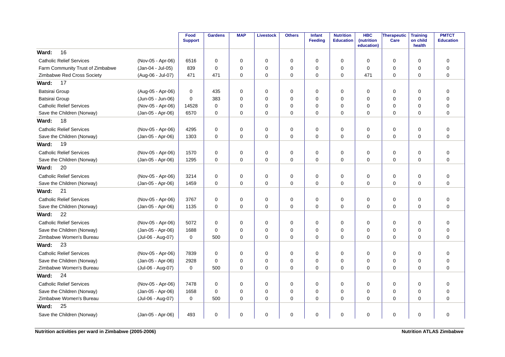|                                  |                   | Food<br><b>Support</b> | <b>Gardens</b> | <b>MAP</b>  | <b>Livestock</b> | <b>Others</b> | <b>Infant</b><br>Feeding | <b>Nutrition</b><br><b>Education</b> | <b>HBC</b><br>(nutrition<br>education) | <b>Therapeutic</b><br>Care | <b>Training</b><br>on child<br>health | <b>PMTCT</b><br><b>Education</b> |
|----------------------------------|-------------------|------------------------|----------------|-------------|------------------|---------------|--------------------------|--------------------------------------|----------------------------------------|----------------------------|---------------------------------------|----------------------------------|
| 16<br>Ward:                      |                   |                        |                |             |                  |               |                          |                                      |                                        |                            |                                       |                                  |
| <b>Catholic Relief Services</b>  | (Nov-05 - Apr-06) | 6516                   | $\mathbf 0$    | $\mathbf 0$ | $\mathbf 0$      | 0             | $\Omega$                 | 0                                    | $\mathbf 0$                            | $\mathbf 0$                | $\mathbf 0$                           | $\mathbf 0$                      |
| Farm Community Trust of Zimbabwe | (Jan-04 - Jul-05) | 839                    | $\Omega$       | $\Omega$    | $\Omega$         | 0             | $\Omega$                 | 0                                    | $\Omega$                               | 0                          | $\mathbf 0$                           | $\Omega$                         |
| Zimbabwe Red Cross Society       | (Aug-06 - Jul-07) | 471                    | 471            | 0           | $\mathbf 0$      | 0             | $\Omega$                 | 0                                    | 471                                    | 0                          | $\Omega$                              | $\Omega$                         |
| Ward:<br>17                      |                   |                        |                |             |                  |               |                          |                                      |                                        |                            |                                       |                                  |
| <b>Batsirai Group</b>            | (Aug-05 - Apr-06) | 0                      | 435            | 0           | $\mathbf 0$      | 0             | $\Omega$                 | 0                                    | 0                                      | 0                          | $\mathbf 0$                           | $\mathbf 0$                      |
| Batsirai Group                   | (Jun-05 - Jun-06) | 0                      | 383            | 0           | $\mathbf 0$      | 0             | $\Omega$                 | 0                                    | $\Omega$                               | 0                          | $\Omega$                              | $\mathbf 0$                      |
| <b>Catholic Relief Services</b>  | (Nov-05 - Apr-06) | 14528                  | $\mathbf 0$    | $\Omega$    | $\mathbf 0$      | 0             | $\Omega$                 | 0                                    | 0                                      | 0                          | 0                                     | $\mathbf 0$                      |
| Save the Children (Norway)       | (Jan-05 - Apr-06) | 6570                   | $\Omega$       | $\Omega$    | $\Omega$         | 0             | $\Omega$                 | $\Omega$                             | $\Omega$                               | $\mathbf 0$                | $\Omega$                              | $\Omega$                         |
| 18<br>Ward:                      |                   |                        |                |             |                  |               |                          |                                      |                                        |                            |                                       |                                  |
| <b>Catholic Relief Services</b>  | (Nov-05 - Apr-06) | 4295                   | 0              | 0           | $\mathbf 0$      | 0             | 0                        | 0                                    | 0                                      | 0                          | $\mathbf 0$                           | 0                                |
| Save the Children (Norway)       | (Jan-05 - Apr-06) | 1303                   | 0              | 0           | $\mathbf 0$      | 0             | 0                        | 0                                    | 0                                      | 0                          | $\mathbf 0$                           | $\mathbf 0$                      |
| 19<br>Ward:                      |                   |                        |                |             |                  |               |                          |                                      |                                        |                            |                                       |                                  |
| <b>Catholic Relief Services</b>  | (Nov-05 - Apr-06) | 1570                   | $\mathbf 0$    | $\mathbf 0$ | $\mathbf 0$      | $\pmb{0}$     | $\Omega$                 | 0                                    | $\mathbf 0$                            | $\mathbf 0$                | $\mathbf 0$                           | $\mathbf 0$                      |
| Save the Children (Norway)       | (Jan-05 - Apr-06) | 1295                   | $\Omega$       | $\Omega$    | $\Omega$         | 0             | $\Omega$                 | $\Omega$                             | $\Omega$                               | 0                          | $\Omega$                              | $\Omega$                         |
| 20<br>Ward:                      |                   |                        |                |             |                  |               |                          |                                      |                                        |                            |                                       |                                  |
| <b>Catholic Relief Services</b>  | (Nov-05 - Apr-06) | 3214                   | $\mathbf 0$    | 0           | $\mathbf 0$      | 0             | $\mathbf 0$              | 0                                    | 0                                      | 0                          | $\mathbf 0$                           | 0                                |
| Save the Children (Norway)       | (Jan-05 - Apr-06) | 1459                   | $\mathbf 0$    | 0           | $\mathbf 0$      | 0             | $\Omega$                 | 0                                    | $\Omega$                               | $\mathbf 0$                | $\mathbf 0$                           | $\Omega$                         |
| 21<br>Ward:                      |                   |                        |                |             |                  |               |                          |                                      |                                        |                            |                                       |                                  |
| <b>Catholic Relief Services</b>  | (Nov-05 - Apr-06) | 3767                   | 0              | 0           | 0                | 0             | 0                        | 0                                    | 0                                      | 0                          | $\mathbf 0$                           | 0                                |
| Save the Children (Norway)       | (Jan-05 - Apr-06) | 1135                   | $\mathbf 0$    | 0           | $\mathbf 0$      | 0             | $\mathbf 0$              | 0                                    | $\mathbf 0$                            | 0                          | $\mathbf 0$                           | $\mathbf 0$                      |
| 22<br>Ward:                      |                   |                        |                |             |                  |               |                          |                                      |                                        |                            |                                       |                                  |
| <b>Catholic Relief Services</b>  | (Nov-05 - Apr-06) | 5072                   | $\Omega$       | $\mathbf 0$ | $\mathbf 0$      | $\mathbf 0$   | $\Omega$                 | 0                                    | $\mathbf 0$                            | $\mathbf 0$                | $\mathbf 0$                           | $\mathbf 0$                      |
| Save the Children (Norway)       | (Jan-05 - Apr-06) | 1688                   | $\Omega$       | $\Omega$    | $\mathbf 0$      | 0             | $\Omega$                 | $\Omega$                             | $\mathbf 0$                            | 0                          | $\Omega$                              | $\overline{0}$                   |
| Zimbabwe Women's Bureau          | (Jul-06 - Aug-07) | 0                      | 500            | $\Omega$    | $\Omega$         | $\Omega$      | $\Omega$                 | $\Omega$                             | $\Omega$                               | 0                          | $\Omega$                              | $\Omega$                         |
| 23<br>Ward:                      |                   |                        |                |             |                  |               |                          |                                      |                                        |                            |                                       |                                  |
| <b>Catholic Relief Services</b>  | (Nov-05 - Apr-06) | 7839                   | $\Omega$       | $\mathbf 0$ | $\mathbf 0$      | 0             | $\Omega$                 | 0                                    | $\mathbf 0$                            | $\mathbf 0$                | $\mathbf 0$                           | 0                                |
| Save the Children (Norway)       | (Jan-05 - Apr-06) | 2928                   | $\Omega$       | 0           | $\mathbf 0$      | 0             | $\Omega$                 | 0                                    | 0                                      | 0                          | $\mathbf 0$                           | $\mathbf 0$                      |
| Zimbabwe Women's Bureau          | (Jul-06 - Aug-07) | 0                      | 500            | $\Omega$    | $\Omega$         | $\Omega$      | $\Omega$                 | $\Omega$                             | $\Omega$                               | $\mathbf 0$                | $\Omega$                              | $\Omega$                         |
| 24<br>Ward:                      |                   |                        |                |             |                  |               |                          |                                      |                                        |                            |                                       |                                  |
| <b>Catholic Relief Services</b>  | (Nov-05 - Apr-06) | 7478                   | 0              | 0           | $\mathbf 0$      | 0             | 0                        | 0                                    | 0                                      | 0                          | $\mathbf 0$                           | 0                                |
| Save the Children (Norway)       | (Jan-05 - Apr-06) | 1658                   | $\Omega$       | $\mathbf 0$ | $\mathbf 0$      | 0             | $\Omega$                 | 0                                    | 0                                      | 0                          | $\mathbf 0$                           | $\mathbf 0$                      |
| Zimbabwe Women's Bureau          | (Jul-06 - Aug-07) | 0                      | 500            | 0           | $\mathbf 0$      | 0             | $\Omega$                 | 0                                    | $\Omega$                               | 0                          | $\Omega$                              | $\Omega$                         |
| 25<br>Ward:                      |                   |                        |                |             |                  |               |                          |                                      |                                        |                            |                                       |                                  |
| Save the Children (Norway)       | (Jan-05 - Apr-06) | 493                    | 0              | 0           | $\mathbf 0$      | 0             | 0                        | 0                                    | $\mathbf 0$                            | 0                          | 0                                     | 0                                |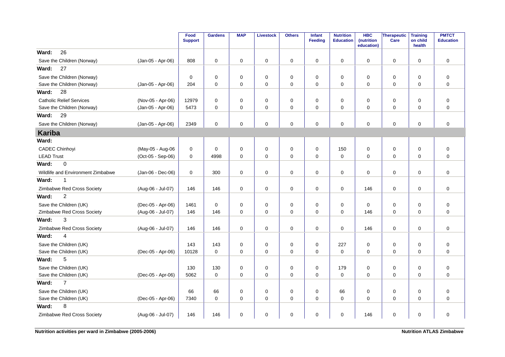|                                   |                   | Food<br><b>Support</b> | <b>Gardens</b> | <b>MAP</b>  | <b>Livestock</b> | <b>Others</b> | Infant<br>Feeding | <b>Nutrition</b><br><b>Education</b> | <b>HBC</b><br>(nutrition<br>education) | <b>Therapeutic</b><br>Care | <b>Training</b><br>on child<br>health | <b>PMTCT</b><br><b>Education</b> |
|-----------------------------------|-------------------|------------------------|----------------|-------------|------------------|---------------|-------------------|--------------------------------------|----------------------------------------|----------------------------|---------------------------------------|----------------------------------|
| 26<br>Ward:                       |                   |                        |                |             |                  |               |                   |                                      |                                        |                            |                                       |                                  |
| Save the Children (Norway)        | (Jan-05 - Apr-06) | 808                    | $\mathbf 0$    | $\mathbf 0$ | $\mathbf 0$      | 0             | $\mathbf 0$       | 0                                    | $\mathbf 0$                            | $\mathbf 0$                | $\mathbf 0$                           | $\mathbf 0$                      |
| 27<br>Ward:                       |                   |                        |                |             |                  |               |                   |                                      |                                        |                            |                                       |                                  |
| Save the Children (Norway)        |                   | 0                      | 0              | 0           | $\mathbf 0$      | 0             | $\mathbf 0$       | 0                                    | $\mathbf 0$                            | 0                          | 0                                     | 0                                |
| Save the Children (Norway)        | (Jan-05 - Apr-06) | 204                    | $\mathbf 0$    | 0           | $\mathbf 0$      | $\mathbf 0$   | $\mathbf 0$       | $\mathbf 0$                          | $\mathbf 0$                            | $\mathbf 0$                | $\mathbf 0$                           | $\mathbf 0$                      |
| 28<br>Ward:                       |                   |                        |                |             |                  |               |                   |                                      |                                        |                            |                                       |                                  |
| <b>Catholic Relief Services</b>   | (Nov-05 - Apr-06) | 12979                  | $\mathbf 0$    | $\mathbf 0$ | 0                | 0             | $\mathbf 0$       | 0                                    | $\mathbf 0$                            | 0                          | 0                                     | $\mathbf 0$                      |
| Save the Children (Norway)        | (Jan-05 - Apr-06) | 5473                   | 0              | 0           | 0                | 0             | 0                 | 0                                    | 0                                      | 0                          | $\mathbf 0$                           | 0                                |
| 29<br>Ward:                       |                   |                        |                |             |                  |               |                   |                                      |                                        |                            |                                       |                                  |
| Save the Children (Norway)        | (Jan-05 - Apr-06) | 2349                   | $\mathbf 0$    | 0           | $\mathbf 0$      | 0             | $\mathbf 0$       | 0                                    | $\mathbf 0$                            | $\mathbf 0$                | $\mathbf 0$                           | $\mathbf 0$                      |
| <b>Kariba</b>                     |                   |                        |                |             |                  |               |                   |                                      |                                        |                            |                                       |                                  |
| Ward:                             |                   |                        |                |             |                  |               |                   |                                      |                                        |                            |                                       |                                  |
| <b>CADEC Chinhoyi</b>             | (May-05 - Aug-06  | 0                      | $\Omega$       | $\mathbf 0$ | $\mathbf 0$      | $\pmb{0}$     | $\mathbf 0$       | 150                                  | $\mathbf 0$                            | $\mathbf 0$                | $\mathbf 0$                           | $\pmb{0}$                        |
| <b>LEAD Trust</b>                 | (Oct-05 - Sep-06) | 0                      | 4998           | 0           | $\mathbf 0$      | 0             | $\pmb{0}$         | 0                                    | $\mathbf 0$                            | 0                          | $\mathbf 0$                           | $\mathbf 0$                      |
| $\mathsf 0$<br>Ward:              |                   |                        |                |             |                  |               |                   |                                      |                                        |                            |                                       |                                  |
| Wildlife and Environment Zimbabwe | (Jan-06 - Dec-06) | $\mathbf 0$            | 300            | 0           | 0                | 0             | $\mathbf 0$       | 0                                    | $\mathbf 0$                            | 0                          | 0                                     | 0                                |
| Ward:<br>1                        |                   |                        |                |             |                  |               |                   |                                      |                                        |                            |                                       |                                  |
| Zimbabwe Red Cross Society        | (Aug-06 - Jul-07) | 146                    | 146            | 0           | 0                | 0             | 0                 | 0                                    | 146                                    | 0                          | 0                                     | $\mathbf 0$                      |
| $\overline{2}$<br>Ward:           |                   |                        |                |             |                  |               |                   |                                      |                                        |                            |                                       |                                  |
| Save the Children (UK)            | (Dec-05 - Apr-06) | 1461                   | $\mathbf 0$    | $\mathbf 0$ | $\mathbf 0$      | $\mathbf 0$   | $\mathbf 0$       | $\mathbf 0$                          | $\Omega$                               | $\mathbf 0$                | $\mathbf 0$                           | $\mathbf 0$                      |
| Zimbabwe Red Cross Society        | (Aug-06 - Jul-07) | 146                    | 146            | $\Omega$    | $\Omega$         | 0             | $\Omega$          | $\Omega$                             | 146                                    | $\mathbf 0$                | $\Omega$                              | $\Omega$                         |
| 3<br>Ward:                        |                   |                        |                |             |                  |               |                   |                                      |                                        |                            |                                       |                                  |
| Zimbabwe Red Cross Society        | (Aug-06 - Jul-07) | 146                    | 146            | $\mathbf 0$ | $\mathbf 0$      | $\mathbf 0$   | $\mathbf 0$       | $\mathbf 0$                          | 146                                    | $\mathbf 0$                | $\mathbf 0$                           | $\mathbf 0$                      |
| 4<br>Ward:                        |                   |                        |                |             |                  |               |                   |                                      |                                        |                            |                                       |                                  |
| Save the Children (UK)            |                   | 143                    | 143            | 0           | $\mathbf 0$      | 0             | 0                 | 227                                  | $\mathbf 0$                            | 0                          | $\mathbf 0$                           | $\mathbf 0$                      |
| Save the Children (UK)            | (Dec-05 - Apr-06) | 10128                  | $\mathbf 0$    | $\mathbf 0$ | $\mathbf 0$      | 0             | $\mathbf 0$       | $\mathbf 0$                          | $\mathbf 0$                            | $\mathbf 0$                | $\mathbf 0$                           | $\mathbf 0$                      |
| 5<br>Ward:                        |                   |                        |                |             |                  |               |                   |                                      |                                        |                            |                                       |                                  |
| Save the Children (UK)            |                   | 130                    | 130            | $\mathbf 0$ | $\mathbf 0$      | $\mathbf 0$   | $\mathbf 0$       | 179                                  | $\mathbf 0$                            | 0                          | $\mathbf 0$                           | $\overline{0}$                   |
| Save the Children (UK)            | (Dec-05 - Apr-06) | 5062                   | $\mathbf 0$    | $\Omega$    | $\mathbf 0$      | $\mathbf 0$   | $\mathbf 0$       | 0                                    | $\Omega$                               | 0                          | $\Omega$                              | $\mathbf 0$                      |
| $\overline{7}$<br>Ward:           |                   |                        |                |             |                  |               |                   |                                      |                                        |                            |                                       |                                  |
| Save the Children (UK)            |                   | 66                     | 66             | 0           | $\mathbf 0$      | $\mathbf 0$   | $\mathbf 0$       | 66                                   | $\mathbf 0$                            | 0                          | $\mathbf 0$                           | $\mathbf 0$                      |
| Save the Children (UK)            | (Dec-05 - Apr-06) | 7340                   | $\mathbf 0$    | $\mathbf 0$ | $\mathbf 0$      | $\mathbf 0$   | $\mathbf 0$       | $\mathbf 0$                          | 0                                      | 0                          | $\Omega$                              | $\mathbf 0$                      |
| 8<br>Ward:                        |                   |                        |                |             |                  |               |                   |                                      |                                        |                            |                                       |                                  |
| Zimbabwe Red Cross Society        | (Aug-06 - Jul-07) | 146                    | 146            | 0           | $\pmb{0}$        | 0             | 0                 | 0                                    | 146                                    | 0                          | 0                                     | $\pmb{0}$                        |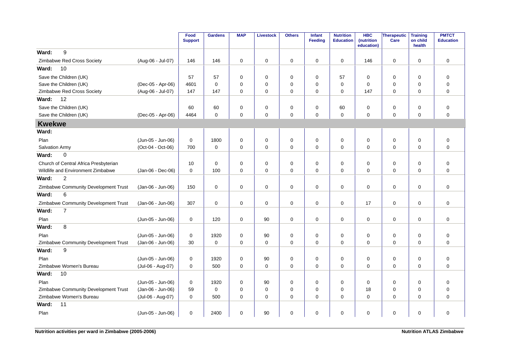|                                       |                   | Food<br><b>Support</b> | <b>Gardens</b> | <b>MAP</b>  | <b>Livestock</b> | <b>Others</b> | <b>Infant</b><br><b>Feeding</b> | <b>Nutrition</b><br><b>Education</b> | <b>HBC</b><br>(nutrition<br>education) | <b>Therapeutic</b><br>Care | <b>Training</b><br>on child<br>health | <b>PMTCT</b><br><b>Education</b> |
|---------------------------------------|-------------------|------------------------|----------------|-------------|------------------|---------------|---------------------------------|--------------------------------------|----------------------------------------|----------------------------|---------------------------------------|----------------------------------|
| 9<br>Ward:                            |                   |                        |                |             |                  |               |                                 |                                      |                                        |                            |                                       |                                  |
| Zimbabwe Red Cross Society            | (Aug-06 - Jul-07) | 146                    | 146            | 0           | 0                | 0             | 0                               | 0                                    | 146                                    | $\mathbf 0$                | 0                                     | $\mathbf 0$                      |
| Ward:<br>10                           |                   |                        |                |             |                  |               |                                 |                                      |                                        |                            |                                       |                                  |
| Save the Children (UK)                |                   | 57                     | 57             | 0           | 0                | 0             | $\mathbf 0$                     | 57                                   | 0                                      | 0                          | 0                                     | $\mathbf 0$                      |
| Save the Children (UK)                | (Dec-05 - Apr-06) | 4601                   | $\mathbf 0$    | $\mathbf 0$ | 0                | 0             | $\mathbf 0$                     | $\mathbf 0$                          | 0                                      | $\mathbf 0$                | $\mathbf 0$                           | $\mathbf 0$                      |
| Zimbabwe Red Cross Society            | (Aug-06 - Jul-07) | 147                    | 147            | $\mathbf 0$ | 0                | $\mathbf 0$   | $\mathbf 0$                     | $\mathbf 0$                          | 147                                    | $\mathbf 0$                | 0                                     | $\mathbf 0$                      |
| 12<br>Ward:                           |                   |                        |                |             |                  |               |                                 |                                      |                                        |                            |                                       |                                  |
| Save the Children (UK)                |                   | 60                     | 60             | 0           | 0                | 0             | $\mathbf 0$                     | 60                                   | 0                                      | $\mathbf 0$                | 0                                     | $\mathbf 0$                      |
| Save the Children (UK)                | (Dec-05 - Apr-06) | 4464                   | $\mathbf 0$    | 0           | $\mathbf 0$      | $\mathbf 0$   | $\mathbf 0$                     | $\mathbf 0$                          | 0                                      | $\mathbf 0$                | $\mathbf 0$                           | $\overline{0}$                   |
| <b>Kwekwe</b>                         |                   |                        |                |             |                  |               |                                 |                                      |                                        |                            |                                       |                                  |
| Ward:                                 |                   |                        |                |             |                  |               |                                 |                                      |                                        |                            |                                       |                                  |
| Plan                                  | (Jun-05 - Jun-06) | 0                      | 1800           | 0           | $\mathbf 0$      | 0             | $\mathbf 0$                     | 0                                    | 0                                      | $\mathbf 0$                | $\mathbf 0$                           | $\mathbf 0$                      |
| <b>Salvation Army</b>                 | (Oct-04 - Oct-06) | 700                    | 0              | 0           | 0                | 0             | 0                               | $\mathbf 0$                          | $\Omega$                               | 0                          | 0                                     | $\mathbf 0$                      |
| 0<br>Ward:                            |                   |                        |                |             |                  |               |                                 |                                      |                                        |                            |                                       |                                  |
| Church of Central Africa Presbyterian |                   | 10                     | $\mathbf 0$    | $\mathbf 0$ | $\mathbf 0$      | $\mathbf 0$   | $\mathbf 0$                     | $\mathbf 0$                          | $\Omega$                               | 0                          | $\mathbf 0$                           | $\mathbf 0$                      |
| Wildlife and Environment Zimbabwe     | (Jan-06 - Dec-06) | 0                      | 100            | 0           | $\mathbf 0$      | $\mathbf 0$   | $\mathbf 0$                     | $\mathbf 0$                          | 0                                      | $\mathbf 0$                | $\mathbf 0$                           | $\mathbf 0$                      |
| $\overline{c}$<br>Ward:               |                   |                        |                |             |                  |               |                                 |                                      |                                        |                            |                                       |                                  |
| Zimbabwe Community Development Trust  | (Jan-06 - Jun-06) | 150                    | $\mathbf 0$    | $\mathbf 0$ | 0                | $\mathbf 0$   | $\mathbf 0$                     | $\mathbf 0$                          | $\Omega$                               | $\mathbf 0$                | 0                                     | $\mathbf 0$                      |
| 6<br>Ward:                            |                   |                        |                |             |                  |               |                                 |                                      |                                        |                            |                                       |                                  |
| Zimbabwe Community Development Trust  | (Jan-06 - Jun-06) | 307                    | $\mathbf 0$    | $\Omega$    | $\mathbf 0$      | 0             | $\mathbf 0$                     | $\mathbf 0$                          | 17                                     | $\mathbf 0$                | $\Omega$                              | $\mathbf 0$                      |
| Ward:<br>$\overline{7}$               |                   |                        |                |             |                  |               |                                 |                                      |                                        |                            |                                       |                                  |
| Plan                                  | (Jun-05 - Jun-06) | 0                      | 120            | $\mathbf 0$ | 90               | 0             | $\mathbf 0$                     | $\mathbf 0$                          | 0                                      | $\mathbf 0$                | 0                                     | $\mathbf 0$                      |
| 8<br>Ward:                            |                   |                        |                |             |                  |               |                                 |                                      |                                        |                            |                                       |                                  |
| Plan                                  | (Jun-05 - Jun-06) | 0                      | 1920           | 0           | 90               | 0             | $\mathbf 0$                     | $\mathbf 0$                          | 0                                      | $\mathbf 0$                | 0                                     | $\mathbf 0$                      |
| Zimbabwe Community Development Trust  | (Jan-06 - Jun-06) | 30                     | $\Omega$       | $\Omega$    | $\mathbf 0$      | 0             | $\Omega$                        | $\Omega$                             | $\Omega$                               | $\mathbf 0$                | $\Omega$                              | $\overline{0}$                   |
| 9<br>Ward:                            |                   |                        |                |             |                  |               |                                 |                                      |                                        |                            |                                       |                                  |
| Plan                                  | (Jun-05 - Jun-06) | 0                      | 1920           | $\mathbf 0$ | 90               | 0             | $\mathbf 0$                     | $\mathbf 0$                          | $\mathbf 0$                            | $\mathbf 0$                | $\mathbf 0$                           | $\mathbf 0$                      |
| Zimbabwe Women's Bureau               | (Jul-06 - Aug-07) | 0                      | 500            | $\Omega$    | $\mathbf 0$      | $\mathbf 0$   | $\mathbf 0$                     | $\Omega$                             | $\Omega$                               | $\mathbf 0$                | $\Omega$                              | $\Omega$                         |
| 10<br>Ward:                           |                   |                        |                |             |                  |               |                                 |                                      |                                        |                            |                                       |                                  |
| Plan                                  | (Jun-05 - Jun-06) | $\mathbf 0$            | 1920           | $\mathbf 0$ | 90               | 0             | $\Omega$                        | $\mathbf 0$                          | 0                                      | $\mathbf 0$                | $\Omega$                              | $\mathbf 0$                      |
| Zimbabwe Community Development Trust  | (Jan-06 - Jun-06) | 59                     | $\Omega$       | 0           | $\mathbf 0$      | $\mathbf 0$   | $\Omega$                        | $\Omega$                             | 18                                     | $\mathbf 0$                | $\Omega$                              | $\mathbf 0$                      |
| Zimbabwe Women's Bureau               | (Jul-06 - Aug-07) | 0                      | 500            | $\Omega$    | $\mathbf 0$      | $\mathbf 0$   | $\mathbf 0$                     | $\Omega$                             | $\Omega$                               | $\mathbf 0$                | $\Omega$                              | $\Omega$                         |
| 11<br>Ward:                           |                   |                        |                |             |                  |               |                                 |                                      |                                        |                            |                                       |                                  |
| Plan                                  | (Jun-05 - Jun-06) | 0                      | 2400           | 0           | 90               | 0             | $\mathbf 0$                     | $\mathbf 0$                          | 0                                      | $\pmb{0}$                  | 0                                     | $\mathbf 0$                      |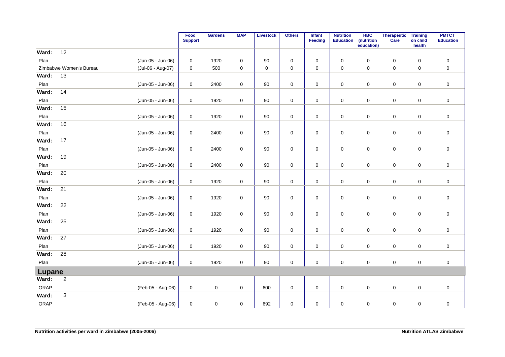|        |                         |                   | Food<br><b>Support</b> | <b>Gardens</b> | <b>MAP</b> | <b>Livestock</b> | <b>Others</b> | Infant<br>Feeding | <b>Nutrition</b><br><b>Education</b> | <b>HBC</b><br>(nutrition<br>education) | Therapeutic<br>Care | <b>Training</b><br>on child<br>health | <b>PMTCT</b><br><b>Education</b> |
|--------|-------------------------|-------------------|------------------------|----------------|------------|------------------|---------------|-------------------|--------------------------------------|----------------------------------------|---------------------|---------------------------------------|----------------------------------|
| Ward:  | 12                      |                   |                        |                |            |                  |               |                   |                                      |                                        |                     |                                       |                                  |
| Plan   |                         | (Jun-05 - Jun-06) | 0                      | 1920           | 0          | 90               | 0             | 0                 | 0                                    | 0                                      | $\mathbf 0$         | 0                                     | 0                                |
|        | Zimbabwe Women's Bureau | (Jul-06 - Aug-07) | $\pmb{0}$              | 500            | $\pmb{0}$  | $\pmb{0}$        | $\mathsf 0$   | 0                 | $\mathsf 0$                          | $\mathbf 0$                            | $\pmb{0}$           | $\mathsf 0$                           | $\pmb{0}$                        |
| Ward:  | 13                      |                   |                        |                |            |                  |               |                   |                                      |                                        |                     |                                       |                                  |
| Plan   |                         | (Jun-05 - Jun-06) | $\pmb{0}$              | 2400           | $\pmb{0}$  | 90               | $\mathbf 0$   | 0                 | $\mathbf 0$                          | $\pmb{0}$                              | $\mathbf 0$         | $\pmb{0}$                             | $\pmb{0}$                        |
| Ward:  | 14                      |                   |                        |                |            |                  |               |                   |                                      |                                        |                     |                                       |                                  |
| Plan   |                         | (Jun-05 - Jun-06) | 0                      | 1920           | $\pmb{0}$  | $90\,$           | $\mathbf 0$   | 0                 | $\pmb{0}$                            | $\mathsf 0$                            | $\mathsf 0$         | $\pmb{0}$                             | $\pmb{0}$                        |
| Ward:  | 15                      |                   |                        |                |            |                  |               |                   |                                      |                                        |                     |                                       |                                  |
| Plan   |                         | (Jun-05 - Jun-06) | $\pmb{0}$              | 1920           | $\pmb{0}$  | $90\,$           | $\mathbf 0$   | 0                 | $\pmb{0}$                            | 0                                      | $\mathsf 0$         | $\pmb{0}$                             | $\pmb{0}$                        |
| Ward:  | 16                      |                   |                        |                |            |                  |               |                   |                                      |                                        |                     |                                       |                                  |
| Plan   |                         | (Jun-05 - Jun-06) | 0                      | 2400           | 0          | 90               | $\pmb{0}$     | 0                 | 0                                    | 0                                      | $\mathbf 0$         | 0                                     | $\mathsf 0$                      |
| Ward:  | 17                      |                   |                        |                |            |                  |               |                   |                                      |                                        |                     |                                       |                                  |
| Plan   |                         | (Jun-05 - Jun-06) | 0                      | 2400           | 0          | 90               | $\pmb{0}$     | 0                 | $\mathbf 0$                          | 0                                      | $\mathsf 0$         | $\mathbf 0$                           | $\pmb{0}$                        |
| Ward:  | 19                      |                   |                        |                |            |                  |               |                   |                                      |                                        |                     |                                       |                                  |
| Plan   |                         | (Jun-05 - Jun-06) | 0                      | 2400           | 0          | 90               | $\pmb{0}$     | 0                 | 0                                    | 0                                      | $\mathbf 0$         | 0                                     | $\mathsf 0$                      |
| Ward:  | 20                      |                   |                        |                |            |                  |               |                   |                                      |                                        |                     |                                       |                                  |
| Plan   |                         | (Jun-05 - Jun-06) | 0                      | 1920           | 0          | $90\,$           | $\pmb{0}$     | 0                 | 0                                    | 0                                      | $\mathsf 0$         | $\pmb{0}$                             | $\pmb{0}$                        |
| Ward:  | 21                      |                   |                        |                |            |                  |               |                   |                                      |                                        |                     |                                       |                                  |
| Plan   |                         | (Jun-05 - Jun-06) | $\mathbf 0$            | 1920           | $\pmb{0}$  | 90               | $\pmb{0}$     | 0                 | $\mathbf 0$                          | $\mathsf 0$                            | $\mathbf 0$         | $\mathbf 0$                           | $\mathsf 0$                      |
| Ward:  | $\overline{22}$         |                   |                        |                |            |                  |               |                   |                                      |                                        |                     |                                       |                                  |
| Plan   |                         | (Jun-05 - Jun-06) | $\pmb{0}$              | 1920           | $\pmb{0}$  | 90               | $\mathbf 0$   | 0                 | $\pmb{0}$                            | 0                                      | $\mathsf 0$         | $\mathbf 0$                           | $\pmb{0}$                        |
| Ward:  | 25                      |                   |                        |                |            |                  |               |                   |                                      |                                        |                     |                                       |                                  |
| Plan   |                         | (Jun-05 - Jun-06) | 0                      | 1920           | $\pmb{0}$  | $90\,$           | $\pmb{0}$     | 0                 | 0                                    | 0                                      | $\mathsf 0$         | $\pmb{0}$                             | $\pmb{0}$                        |
| Ward:  | 27                      |                   |                        |                |            |                  |               |                   |                                      |                                        |                     |                                       |                                  |
| Plan   |                         | (Jun-05 - Jun-06) | 0                      | 1920           | 0          | $90\,$           | $\pmb{0}$     | 0                 | $\pmb{0}$                            | 0                                      | $\mathsf 0$         | $\pmb{0}$                             | $\pmb{0}$                        |
| Ward:  | 28                      |                   |                        |                |            |                  |               |                   |                                      |                                        |                     |                                       |                                  |
| Plan   |                         | (Jun-05 - Jun-06) | $\mathbf 0$            | 1920           | 0          | 90               | $\pmb{0}$     | 0                 | $\mathbf 0$                          | $\mathbf 0$                            | $\mathbf 0$         | 0                                     | $\mathsf 0$                      |
| Lupane |                         |                   |                        |                |            |                  |               |                   |                                      |                                        |                     |                                       |                                  |
| Ward:  | $\sqrt{2}$              |                   |                        |                |            |                  |               |                   |                                      |                                        |                     |                                       |                                  |
| ORAP   |                         | (Feb-05 - Aug-06) | 0                      | $\mathbf 0$    | 0          | 600              | $\pmb{0}$     | $\mathbf 0$       | $\pmb{0}$                            | 0                                      | $\mathsf 0$         | $\mathbf 0$                           | $\mathsf 0$                      |
| Ward:  | 3                       |                   |                        |                |            |                  |               |                   |                                      |                                        |                     |                                       |                                  |
| ORAP   |                         | (Feb-05 - Aug-06) | 0                      | 0              | 0          | 692              | 0             | 0                 | 0                                    | 0                                      | 0                   | 0                                     | $\pmb{0}$                        |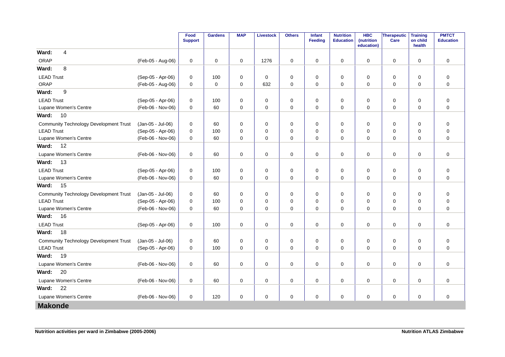|                                               |                   | Food<br><b>Support</b> | <b>Gardens</b> | <b>MAP</b>  | Livestock   | <b>Others</b> | <b>Infant</b><br><b>Feeding</b> | <b>Nutrition</b><br><b>Education</b> | <b>HBC</b><br>(nutrition<br>education) | Therapeutic<br>Care | <b>Training</b><br>on child<br>health | <b>PMTCT</b><br><b>Education</b> |
|-----------------------------------------------|-------------------|------------------------|----------------|-------------|-------------|---------------|---------------------------------|--------------------------------------|----------------------------------------|---------------------|---------------------------------------|----------------------------------|
| $\overline{4}$<br>Ward:                       |                   |                        |                |             |             |               |                                 |                                      |                                        |                     |                                       |                                  |
| ORAP                                          | (Feb-05 - Aug-06) | 0                      | $\mathbf 0$    | $\mathbf 0$ | 1276        | 0             | 0                               | 0                                    | 0                                      | $\mathbf 0$         | $\mathbf 0$                           | $\mathbf 0$                      |
| 8<br>Ward:                                    |                   |                        |                |             |             |               |                                 |                                      |                                        |                     |                                       |                                  |
| <b>LEAD Trust</b>                             | (Sep-05 - Apr-06) | 0                      | 100            | 0           | 0           | $\pmb{0}$     | 0                               | 0                                    | 0                                      | $\mathbf 0$         | 0                                     | $\pmb{0}$                        |
| ORAP                                          | (Feb-05 - Aug-06) | $\mathbf 0$            | $\mathbf 0$    | 0           | 632         | $\pmb{0}$     | $\mathbf 0$                     | $\mathbf 0$                          | $\mathbf 0$                            | $\mathbf 0$         | $\mathbf 0$                           | $\mathbf 0$                      |
| 9<br>Ward:                                    |                   |                        |                |             |             |               |                                 |                                      |                                        |                     |                                       |                                  |
| <b>LEAD Trust</b>                             | (Sep-05 - Apr-06) | 0                      | 100            | 0           | 0           | $\pmb{0}$     | 0                               | 0                                    | 0                                      | 0                   | 0                                     | $\pmb{0}$                        |
| Lupane Women's Centre                         | (Feb-06 - Nov-06) | 0                      | 60             | 0           | 0           | 0             | 0                               | 0                                    | 0                                      | 0                   | 0                                     | $\pmb{0}$                        |
| 10<br>Ward:                                   |                   |                        |                |             |             |               |                                 |                                      |                                        |                     |                                       |                                  |
| <b>Community Technology Development Trust</b> | (Jan-05 - Jul-06) | $\mathbf 0$            | 60             | $\mathbf 0$ | $\mathbf 0$ | 0             | $\mathbf 0$                     | $\mathbf 0$                          | 0                                      | 0                   | $\mathbf 0$                           | $\mathbf 0$                      |
| <b>LEAD Trust</b>                             | (Sep-05 - Apr-06) | 0                      | 100            | 0           | $\mathbf 0$ | 0             | 0                               | 0                                    | 0                                      | 0                   | $\mathbf 0$                           | $\mathbf 0$                      |
| Lupane Women's Centre                         | (Feb-06 - Nov-06) | 0                      | 60             | 0           | $\mathbf 0$ | $\mathbf 0$   | $\mathbf 0$                     | 0                                    | 0                                      | 0                   | 0                                     | $\mathbf 0$                      |
| Ward:<br>12                                   |                   |                        |                |             |             |               |                                 |                                      |                                        |                     |                                       |                                  |
| Lupane Women's Centre                         | (Feb-06 - Nov-06) | $\pmb{0}$              | 60             | $\mathbf 0$ | $\mathbf 0$ | $\pmb{0}$     | $\mathbf 0$                     | $\mathbf 0$                          | $\mathbf 0$                            | $\mathbf 0$         | 0                                     | $\mathbf 0$                      |
| Ward:<br>13                                   |                   |                        |                |             |             |               |                                 |                                      |                                        |                     |                                       |                                  |
| <b>LEAD Trust</b>                             | (Sep-05 - Apr-06) | $\mathbf 0$            | 100            | 0           | 0           | $\mathbf 0$   | 0                               | $\mathbf 0$                          | 0                                      | 0                   | $\mathbf 0$                           | 0                                |
| Lupane Women's Centre                         | (Feb-06 - Nov-06) | 0                      | 60             | 0           | 0           | $\pmb{0}$     | 0                               | 0                                    | 0                                      | 0                   | 0                                     | $\pmb{0}$                        |
| 15<br>Ward:                                   |                   |                        |                |             |             |               |                                 |                                      |                                        |                     |                                       |                                  |
| <b>Community Technology Development Trust</b> | (Jan-05 - Jul-06) | $\mathbf 0$            | 60             | $\mathbf 0$ | 0           | 0             | $\mathbf 0$                     | $\mathbf 0$                          | 0                                      | 0                   | $\mathbf 0$                           | $\boldsymbol{0}$                 |
| <b>LEAD Trust</b>                             | (Sep-05 - Apr-06) | $\Omega$               | 100            | 0           | $\mathbf 0$ | $\mathbf 0$   | 0                               | $\Omega$                             | 0                                      | 0                   | $\mathbf 0$                           | $\mathbf 0$                      |
| Lupane Women's Centre                         | (Feb-06 - Nov-06) | 0                      | 60             | 0           | $\mathbf 0$ | $\mathbf 0$   | $\mathbf 0$                     | 0                                    | 0                                      | 0                   | 0                                     | $\mathbf 0$                      |
| 16<br>Ward:                                   |                   |                        |                |             |             |               |                                 |                                      |                                        |                     |                                       |                                  |
| <b>LEAD Trust</b>                             | (Sep-05 - Apr-06) | 0                      | 100            | 0           | $\mathbf 0$ | 0             | 0                               | 0                                    | 0                                      | 0                   | 0                                     | $\mathbf 0$                      |
| Ward:<br>18                                   |                   |                        |                |             |             |               |                                 |                                      |                                        |                     |                                       |                                  |
| <b>Community Technology Development Trust</b> | (Jan-05 - Jul-06) | $\mathbf 0$            | 60             | 0           | 0           | 0             | 0                               | 0                                    | 0                                      | 0                   | $\mathbf 0$                           | 0                                |
| <b>LEAD Trust</b>                             | (Sep-05 - Apr-06) | 0                      | 100            | 0           | 0           | $\pmb{0}$     | 0                               | 0                                    | 0                                      | 0                   | 0                                     | $\mathbf 0$                      |
| 19<br>Ward:                                   |                   |                        |                |             |             |               |                                 |                                      |                                        |                     |                                       |                                  |
| Lupane Women's Centre                         | (Feb-06 - Nov-06) | 0                      | 60             | $\mathbf 0$ | $\mathbf 0$ | $\pmb{0}$     | 0                               | 0                                    | 0                                      | 0                   | $\mathbf 0$                           | $\mathbf 0$                      |
| 20<br>Ward:                                   |                   |                        |                |             |             |               |                                 |                                      |                                        |                     |                                       |                                  |
| Lupane Women's Centre                         | (Feb-06 - Nov-06) | $\mathbf 0$            | 60             | 0           | $\mathbf 0$ | $\mathbf 0$   | $\mathbf 0$                     | $\mathbf 0$                          | $\Omega$                               | 0                   | 0                                     | $\mathbf 0$                      |
| 22<br>Ward:                                   |                   |                        |                |             |             |               |                                 |                                      |                                        |                     |                                       |                                  |
| Lupane Women's Centre                         | (Feb-06 - Nov-06) | $\mathbf 0$            | 120            | $\mathbf 0$ | $\mathbf 0$ | 0             | $\mathbf 0$                     | 0                                    | $\mathbf 0$                            | 0                   | 0                                     | $\mathbf 0$                      |
| <b>Makonde</b>                                |                   |                        |                |             |             |               |                                 |                                      |                                        |                     |                                       |                                  |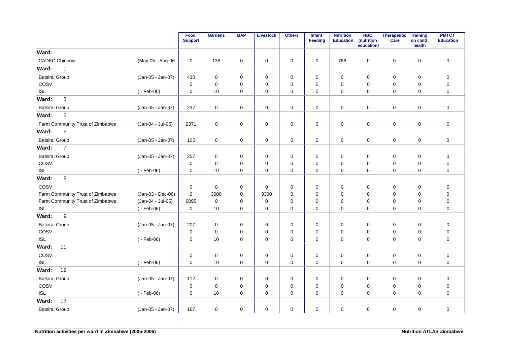|                                  |                   | Food<br><b>Support</b> | <b>Gardens</b> | <b>MAP</b>  | <b>Livestock</b> | <b>Others</b> | <b>Infant</b><br><b>Feeding</b> | <b>Nutrition</b><br><b>Education</b> | <b>HBC</b><br>(nutrition<br>education) | Therapeutic<br>Care | <b>Training</b><br>on child<br>health | <b>PMTCT</b><br><b>Education</b> |
|----------------------------------|-------------------|------------------------|----------------|-------------|------------------|---------------|---------------------------------|--------------------------------------|----------------------------------------|---------------------|---------------------------------------|----------------------------------|
| Ward:                            |                   |                        |                |             |                  |               |                                 |                                      |                                        |                     |                                       |                                  |
| CADEC Chinhoyi                   | (May-05 - Aug-06  | 0                      | 138            | 0           | $\pmb{0}$        | $\pmb{0}$     | 0                               | 768                                  | 0                                      | $\mathbf 0$         | $\mathbf 0$                           | $\mathsf 0$                      |
| Ward:<br>$\mathbf{1}$            |                   |                        |                |             |                  |               |                                 |                                      |                                        |                     |                                       |                                  |
| <b>Batsirai Group</b>            | (Jan-05 - Jan-07) | 430                    | $\mathbf 0$    | 0           | 0                | $\pmb{0}$     | 0                               | $\pmb{0}$                            | $\mathbf 0$                            | 0                   | 0                                     | $\mathsf 0$                      |
| COSV                             |                   | $\mathbf 0$            | $\mathbf 0$    | 0           | $\mathbf 0$      | $\mathbf 0$   | $\mathbf 0$                     | $\mathbf 0$                          | 0                                      | 0                   | $\mathbf 0$                           | $\mathbf 0$                      |
| <b>ISL</b>                       | $(-Feb-06)$       | $\mathbf 0$            | 10             | $\mathbf 0$ | $\mathbf 0$      | $\pmb{0}$     | 0                               | $\mathbf 0$                          | $\mathbf 0$                            | $\mathbf 0$         | 0                                     | $\mathbf 0$                      |
| 3<br>Ward:                       |                   |                        |                |             |                  |               |                                 |                                      |                                        |                     |                                       |                                  |
| <b>Batsirai Group</b>            | (Jan-05 - Jan-07) | 237                    | $\mathbf 0$    | 0           | $\mathbf 0$      | $\pmb{0}$     | 0                               | $\mathbf 0$                          | $\mathbf 0$                            | $\mathbf 0$         | $\mathbf 0$                           | $\mathbf 0$                      |
| $\sqrt{5}$<br>Ward:              |                   |                        |                |             |                  |               |                                 |                                      |                                        |                     |                                       |                                  |
| Farm Community Trust of Zimbabwe | (Jan-04 - Jul-05) | 2371                   | 0              | 0           | 0                | 0             | 0                               | 0                                    | 0                                      | $\mathbf 0$         | 0                                     | 0                                |
| $\,6\,$<br>Ward:                 |                   |                        |                |             |                  |               |                                 |                                      |                                        |                     |                                       |                                  |
| <b>Batsirai Group</b>            | (Jan-05 - Jan-07) | 105                    | $\pmb{0}$      | 0           | $\pmb{0}$        | $\pmb{0}$     | 0                               | $\pmb{0}$                            | 0                                      | $\mathbf 0$         | 0                                     | $\mathsf 0$                      |
| $\overline{7}$<br>Ward:          |                   |                        |                |             |                  |               |                                 |                                      |                                        |                     |                                       |                                  |
| <b>Batsirai Group</b>            | (Jan-05 - Jan-07) | 257                    | $\mathbf 0$    | 0           | 0                | $\pmb{0}$     | 0                               | 0                                    | $\mathbf 0$                            | $\mathbf 0$         | 0                                     | $\mathsf 0$                      |
| COSV                             |                   | 0                      | $\mathbf 0$    | $\mathbf 0$ | 0                | 0             | $\mathbf 0$                     | $\mathbf 0$                          | $\mathbf 0$                            | 0                   | $\mathbf 0$                           | 0                                |
| <b>ISL</b>                       | $(-Feb-06)$       | $\mathbf 0$            | 10             | $\mathbf 0$ | $\mathbf 0$      | $\mathbf 0$   | $\mathbf 0$                     | $\mathbf 0$                          | $\mathbf 0$                            | 0                   | $\mathbf 0$                           | $\mathbf 0$                      |
| 8<br>Ward:                       |                   |                        |                |             |                  |               |                                 |                                      |                                        |                     |                                       |                                  |
| COSV                             |                   | 0                      | $\mathbf 0$    | $\mathbf 0$ | $\mathbf 0$      | $\pmb{0}$     | $\mathbf 0$                     | $\mathbf 0$                          | $\mathbf 0$                            | $\mathbf 0$         | $\mathbf 0$                           | $\mathsf 0$                      |
| Farm Community Trust of Zimbabwe | (Jan-03 - Dec-06) | 0                      | 3000           | 0           | 3300             | 0             | 0                               | 0                                    | $\mathbf 0$                            | 0                   | 0                                     | 0                                |
| Farm Community Trust of Zimbabwe | (Jan-04 - Jul-05) | 6095                   | $\mathbf 0$    | 0           | $\mathbf 0$      | $\pmb{0}$     | 0                               | $\mathbf 0$                          | $\mathbf 0$                            | $\mathbf 0$         | $\mathbf 0$                           | $\mathsf 0$                      |
| <b>ISL</b>                       | $(-Feb-06)$       | 0                      | 10             | $\mathbf 0$ | $\mathbf 0$      | $\mathbf 0$   | 0                               | $\mathbf 0$                          | $\mathbf 0$                            | 0                   | $\mathbf 0$                           | $\mathbf 0$                      |
| 9<br>Ward:                       |                   |                        |                |             |                  |               |                                 |                                      |                                        |                     |                                       |                                  |
| <b>Batsirai Group</b>            | (Jan-05 - Jan-07) | 207                    | 0              | 0           | 0                | 0             | 0                               | 0                                    | 0                                      | $\mathbf 0$         | $\mathbf 0$                           | $\mathsf 0$                      |
| COSV                             |                   | $\pmb{0}$              | $\mathbf 0$    | $\mathbf 0$ | 0                | $\pmb{0}$     | $\mathbf 0$                     | $\mathbf 0$                          | $\mathbf 0$                            | 0                   | $\mathbf 0$                           | $\mathsf 0$                      |
| <b>ISL</b>                       | $(-Feb-06)$       | $\pmb{0}$              | 10             | $\mathbf 0$ | $\mathbf 0$      | $\pmb{0}$     | 0                               | $\mathbf 0$                          | $\mathbf 0$                            | 0                   | 0                                     | $\mathbf 0$                      |
| 11<br>Ward:                      |                   |                        |                |             |                  |               |                                 |                                      |                                        |                     |                                       |                                  |
| COSV                             |                   | 0                      | $\mathbf 0$    | 0           | 0                | 0             | 0                               | 0                                    | 0                                      | 0                   | 0                                     | $\mathsf 0$                      |
| <b>ISL</b>                       | $(-Feb-06)$       | $\mathbf 0$            | 10             | $\Omega$    | $\mathbf 0$      | $\mathbf 0$   | $\mathbf 0$                     | $\Omega$                             | $\Omega$                               | $\mathbf 0$         | $\Omega$                              | $\mathbf 0$                      |
| 12<br>Ward:                      |                   |                        |                |             |                  |               |                                 |                                      |                                        |                     |                                       |                                  |
| <b>Batsirai Group</b>            | (Jan-05 - Jan-07) | 112                    | $\mathbf 0$    | 0           | 0                | $\pmb{0}$     | 0                               | 0                                    | 0                                      | 0                   | 0                                     | $\mathsf 0$                      |
| COSV                             |                   | $\pmb{0}$              | $\mathbf 0$    | $\mathbf 0$ | $\mathbf 0$      | $\pmb{0}$     | 0                               | $\mathbf 0$                          | $\mathbf 0$                            | 0                   | $\mathbf 0$                           | $\pmb{0}$                        |
| ISL                              | $(-Feb-06)$       | $\mathbf 0$            | 10             | 0           | 0                | $\mathbf 0$   | 0                               | 0                                    | 0                                      | 0                   | 0                                     | $\mathbf 0$                      |
| 13<br>Ward:                      |                   |                        |                |             |                  |               |                                 |                                      |                                        |                     |                                       |                                  |
| Batsirai Group                   | (Jan-05 - Jan-07) | 167                    | 0              | 0           | 0                | 0             | 0                               | 0                                    | 0                                      | 0                   | 0                                     | $\mathsf 0$                      |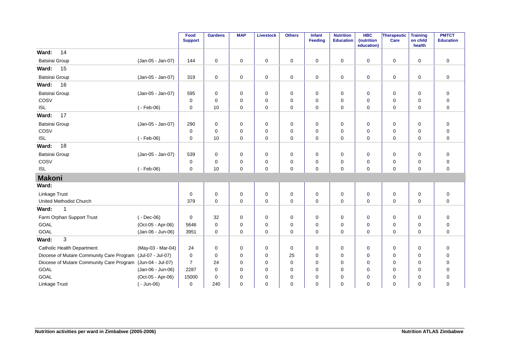|                                                            |                   | Food<br><b>Support</b> | <b>Gardens</b> | <b>MAP</b>  | <b>Livestock</b> | <b>Others</b> | <b>Infant</b><br>Feeding | <b>Nutrition</b><br><b>Education</b> | <b>HBC</b><br>(nutrition<br>education) | Therapeutic<br>Care | <b>Training</b><br>on child<br>health | <b>PMTCT</b><br><b>Education</b> |
|------------------------------------------------------------|-------------------|------------------------|----------------|-------------|------------------|---------------|--------------------------|--------------------------------------|----------------------------------------|---------------------|---------------------------------------|----------------------------------|
| 14<br>Ward:                                                |                   |                        |                |             |                  |               |                          |                                      |                                        |                     |                                       |                                  |
| Batsirai Group                                             | (Jan-05 - Jan-07) | 144                    | $\mathbf 0$    | $\mathbf 0$ | 0                | $\mathbf 0$   | 0                        | 0                                    | 0                                      | $\mathbf 0$         | 0                                     | 0                                |
| Ward:<br>15                                                |                   |                        |                |             |                  |               |                          |                                      |                                        |                     |                                       |                                  |
| Batsirai Group                                             | (Jan-05 - Jan-07) | 319                    | $\mathbf 0$    | 0           | 0                | 0             | 0                        | 0                                    | 0                                      | 0                   | $\mathbf 0$                           | 0                                |
| Ward:<br>16                                                |                   |                        |                |             |                  |               |                          |                                      |                                        |                     |                                       |                                  |
| Batsirai Group                                             | (Jan-05 - Jan-07) | 595                    | $\mathbf 0$    | $\mathbf 0$ | $\mathbf 0$      | 0             | 0                        | $\mathbf 0$                          | 0                                      | $\mathbf 0$         | 0                                     | 0                                |
| COSV                                                       |                   | $\mathbf 0$            | $\Omega$       | $\mathbf 0$ | $\mathbf 0$      | $\mathbf 0$   | $\mathbf 0$              | $\Omega$                             | $\Omega$                               | $\mathbf 0$         | $\mathbf 0$                           | 0                                |
| ISL                                                        | $(-Feb-06)$       | 0                      | 10             | $\mathbf 0$ | $\mathbf 0$      | 0             | $\mathbf 0$              | $\mathbf 0$                          | $\mathbf 0$                            | $\mathbf 0$         | 0                                     | 0                                |
| 17<br>Ward:                                                |                   |                        |                |             |                  |               |                          |                                      |                                        |                     |                                       |                                  |
| <b>Batsirai Group</b>                                      | (Jan-05 - Jan-07) | 290                    | $\mathbf 0$    | 0           | 0                | 0             | 0                        | 0                                    | 0                                      | 0                   | 0                                     | 0                                |
| COSV                                                       |                   | 0                      | $\mathbf 0$    | $\mathbf 0$ | $\mathbf 0$      | $\mathbf 0$   | $\mathbf 0$              | $\mathbf 0$                          | $\mathbf 0$                            | $\mathbf 0$         | 0                                     | 0                                |
| <b>ISL</b>                                                 | $(-Feb-06)$       | 0                      | 10             | $\Omega$    | $\Omega$         | $\Omega$      | $\mathbf 0$              | $\Omega$                             | $\Omega$                               | $\Omega$            | $\mathbf 0$                           | $\mathbf 0$                      |
| Ward:<br>18                                                |                   |                        |                |             |                  |               |                          |                                      |                                        |                     |                                       |                                  |
| Batsirai Group                                             | (Jan-05 - Jan-07) | 539                    | $\mathbf 0$    | 0           | $\mathbf 0$      | $\mathbf 0$   | 0                        | $\mathbf 0$                          | $\mathbf 0$                            | $\mathbf 0$         | 0                                     | 0                                |
| COSV                                                       |                   | 0                      | $\mathbf 0$    | 0           | 0                | 0             | 0                        | 0                                    | 0                                      | 0                   | 0                                     | 0                                |
| <b>ISL</b>                                                 | $(-Feb-06)$       | 0                      | 10             | $\mathbf 0$ | $\mathbf 0$      | $\mathbf 0$   | $\mathbf 0$              | $\mathbf 0$                          | $\mathbf 0$                            | $\mathbf 0$         | $\mathbf 0$                           | 0                                |
| <b>Makoni</b>                                              |                   |                        |                |             |                  |               |                          |                                      |                                        |                     |                                       |                                  |
| Ward:                                                      |                   |                        |                |             |                  |               |                          |                                      |                                        |                     |                                       |                                  |
| Linkage Trust                                              |                   | $\mathbf 0$            | $\mathbf 0$    | $\mathbf 0$ | 0                | 0             | 0                        | $\mathbf 0$                          | 0                                      | 0                   | 0                                     | 0                                |
| United Methodist Church                                    |                   | 379                    | $\mathbf 0$    | 0           | $\mathbf 0$      | $\pmb{0}$     | $\mathbf 0$              | $\mathbf 0$                          | $\mathbf 0$                            | $\mathbf 0$         | $\mathbf 0$                           | 0                                |
| Ward:<br>$\mathbf 1$                                       |                   |                        |                |             |                  |               |                          |                                      |                                        |                     |                                       |                                  |
| Farm Orphan Support Trust                                  | $(-$ Dec-06)      | $\mathbf 0$            | 32             | 0           | $\mathbf 0$      | 0             | 0                        | $\mathbf 0$                          | 0                                      | $\mathbf 0$         | 0                                     | 0                                |
| GOAL                                                       | (Oct-05 - Apr-06) | 5646                   | $\Omega$       | $\mathbf 0$ | $\mathbf 0$      | $\mathbf 0$   | 0                        | $\Omega$                             | $\Omega$                               | $\mathbf 0$         | $\mathbf 0$                           | 0                                |
| GOAL                                                       | (Jan-06 - Jun-06) | 3951                   | $\mathbf 0$    | $\mathbf 0$ | $\mathbf 0$      | $\mathbf 0$   | 0                        | $\mathbf 0$                          | $\mathbf 0$                            | $\mathbf 0$         | 0                                     | 0                                |
| 3<br>Ward:                                                 |                   |                        |                |             |                  |               |                          |                                      |                                        |                     |                                       |                                  |
| <b>Catholic Health Department</b>                          | (May-03 - Mar-04) | 24                     | $\mathbf 0$    | 0           | 0                | 0             | 0                        | 0                                    | 0                                      | 0                   | 0                                     | 0                                |
| Diocese of Mutare Community Care Program                   | (Jul-07 - Jul-07) | 0                      | $\mathbf 0$    | 0           | $\mathbf 0$      | 25            | 0                        | $\mathbf 0$                          | $\mathbf 0$                            | $\mathbf 0$         | $\mathbf 0$                           | 0                                |
| Diocese of Mutare Community Care Program (Jun-04 - Jul-07) |                   | $\overline{7}$         | 24             | $\mathbf 0$ | $\Omega$         | $\mathbf 0$   | $\mathbf 0$              | $\Omega$                             | $\Omega$                               | $\mathbf 0$         | $\mathbf 0$                           | $\mathbf 0$                      |
| GOAL                                                       | (Jan-06 - Jun-06) | 2287                   | $\Omega$       | 0           | 0                | 0             | 0                        | $\Omega$                             | $\Omega$                               | 0                   | $\mathbf 0$                           | 0                                |
| <b>GOAL</b>                                                | (Oct-05 - Apr-06) | 15000                  | $\mathbf 0$    | 0           | $\mathbf 0$      | $\mathbf 0$   | 0                        | $\mathbf 0$                          | $\mathbf 0$                            | $\mathbf 0$         | $\mathbf 0$                           | 0                                |
| Linkage Trust                                              | (- Jun-06)        | 0                      | 240            | 0           | $\mathbf 0$      | $\mathbf 0$   | 0                        | $\Omega$                             | $\mathbf 0$                            | $\Omega$            | $\Omega$                              | 0                                |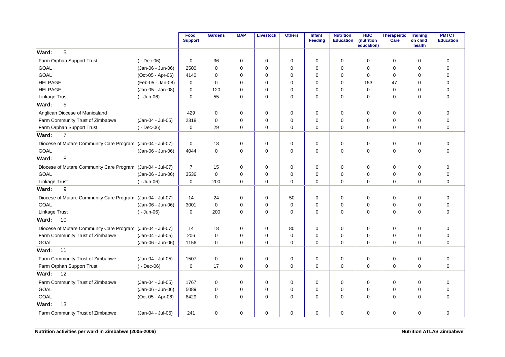|                                                            |                   | Food<br><b>Support</b> | <b>Gardens</b> | <b>MAP</b>  | <b>Livestock</b> | <b>Others</b> | Infant<br>Feeding | <b>Nutrition</b><br><b>Education</b> | <b>HBC</b><br>(nutrition<br>education) | <b>Therapeutic</b><br>Care | <b>Training</b><br>on child<br>health | <b>PMTCT</b><br><b>Education</b> |
|------------------------------------------------------------|-------------------|------------------------|----------------|-------------|------------------|---------------|-------------------|--------------------------------------|----------------------------------------|----------------------------|---------------------------------------|----------------------------------|
| 5<br>Ward:                                                 |                   |                        |                |             |                  |               |                   |                                      |                                        |                            |                                       |                                  |
| Farm Orphan Support Trust                                  | $(-$ Dec-06)      | $\mathbf 0$            | 36             | $\mathbf 0$ | $\mathbf 0$      | $\mathbf 0$   | $\Omega$          | 0                                    | $\mathbf 0$                            | $\mathbf 0$                | $\mathbf 0$                           | 0                                |
| GOAL                                                       | (Jan-06 - Jun-06) | 2500                   | $\Omega$       | $\mathbf 0$ | $\mathbf 0$      | 0             | $\Omega$          | 0                                    | $\Omega$                               | 0                          | $\mathbf 0$                           | $\mathbf 0$                      |
| <b>GOAL</b>                                                | (Oct-05 - Apr-06) | 4140                   | 0              | $\Omega$    | $\mathbf 0$      | 0             | $\Omega$          | 0                                    | 0                                      | 0                          | $\Omega$                              | $\mathbf 0$                      |
| <b>HELPAGE</b>                                             | (Feb-05 - Jan-08) | 0                      | 0              | 0           | $\mathbf 0$      | 0             | $\Omega$          | 0                                    | 153                                    | 47                         | 0                                     | $\mathbf 0$                      |
| <b>HELPAGE</b>                                             | (Jan-05 - Jan-08) | 0                      | 120            | 0           | $\mathbf 0$      | 0             | $\Omega$          | 0                                    | $\mathbf 0$                            | 0                          | 0                                     | 0                                |
| Linkage Trust                                              | $(-$ Jun-06)      | 0                      | 55             | $\Omega$    | $\mathbf 0$      | 0             | $\Omega$          | $\Omega$                             | $\Omega$                               | 0                          | $\Omega$                              | $\overline{0}$                   |
| 6<br>Ward:                                                 |                   |                        |                |             |                  |               |                   |                                      |                                        |                            |                                       |                                  |
| Anglican Diocese of Manicaland                             |                   | 429                    | 0              | $\Omega$    | 0                | 0             | $\Omega$          | $\Omega$                             | $\Omega$                               | 0                          | $\Omega$                              | 0                                |
| Farm Community Trust of Zimbabwe                           | (Jan-04 - Jul-05) | 2318                   | $\Omega$       | $\Omega$    | $\mathbf 0$      | 0             | $\Omega$          | 0                                    | $\mathbf 0$                            | 0                          | $\mathbf 0$                           | $\mathbf 0$                      |
| Farm Orphan Support Trust                                  | $(-$ Dec-06)      | 0                      | 29             | $\Omega$    | $\mathbf 0$      | $\mathbf 0$   | $\Omega$          | 0                                    | $\Omega$                               | 0                          | $\mathbf 0$                           | $\mathbf 0$                      |
| $\overline{7}$<br>Ward:                                    |                   |                        |                |             |                  |               |                   |                                      |                                        |                            |                                       |                                  |
| Diocese of Mutare Community Care Program (Jun-04 - Jul-07) |                   | $\mathbf 0$            | 18             | $\mathbf 0$ | $\mathbf 0$      | $\mathbf 0$   | $\mathbf 0$       | 0                                    | $\mathbf 0$                            | $\mathbf 0$                | $\mathbf 0$                           | $\mathbf 0$                      |
| <b>GOAL</b>                                                | (Jan-06 - Jun-06) | 4044                   | $\mathbf 0$    | $\mathbf 0$ | $\mathbf 0$      | 0             | $\mathbf 0$       | 0                                    | $\Omega$                               | 0                          | $\mathbf 0$                           | $\mathbf 0$                      |
| 8<br>Ward:                                                 |                   |                        |                |             |                  |               |                   |                                      |                                        |                            |                                       |                                  |
| Diocese of Mutare Community Care Program (Jun-04 - Jul-07) |                   | $\overline{7}$         | 15             | $\mathbf 0$ | $\mathbf 0$      | $\pmb{0}$     | $\mathbf 0$       | 0                                    | $\mathbf 0$                            | 0                          | $\mathbf 0$                           | $\mathbf 0$                      |
| GOAL                                                       | (Jan-06 - Jun-06) | 3536                   | $\mathbf 0$    | 0           | $\mathbf 0$      | 0             | $\mathbf 0$       | 0                                    | 0                                      | 0                          | $\mathbf 0$                           | $\mathbf 0$                      |
| Linkage Trust                                              | $(-$ Jun-06)      | 0                      | 200            | 0           | $\mathbf 0$      | 0             | $\mathbf 0$       | 0                                    | 0                                      | 0                          | 0                                     | $\mathbf 0$                      |
| 9<br>Ward:                                                 |                   |                        |                |             |                  |               |                   |                                      |                                        |                            |                                       |                                  |
| Diocese of Mutare Community Care Program (Jun-04 - Jul-07) |                   | 14                     | 24             | $\mathbf 0$ | $\mathbf 0$      | 50            | $\mathbf 0$       | 0                                    | 0                                      | 0                          | $\mathbf 0$                           | 0                                |
| <b>GOAL</b>                                                | (Jan-06 - Jun-06) | 3001                   | $\mathbf 0$    | 0           | $\mathbf 0$      | 0             | $\mathbf 0$       | 0                                    | 0                                      | 0                          | $\mathbf 0$                           | $\mathbf 0$                      |
| Linkage Trust                                              | $(-$ Jun-06)      | $\mathbf 0$            | 200            | $\Omega$    | $\mathbf 0$      | 0             | 0                 | $\Omega$                             | $\Omega$                               | 0                          | $\Omega$                              | $\mathbf 0$                      |
| Ward:<br>10                                                |                   |                        |                |             |                  |               |                   |                                      |                                        |                            |                                       |                                  |
| Diocese of Mutare Community Care Program (Jun-04 - Jul-07) |                   | 14                     | 18             | $\mathbf 0$ | $\mathbf 0$      | 80            | $\Omega$          | 0                                    | 0                                      | 0                          | $\mathbf 0$                           | $\pmb{0}$                        |
| Farm Community Trust of Zimbabwe                           | (Jan-04 - Jul-05) | 206                    | $\mathbf 0$    | $\Omega$    | $\mathbf 0$      | $\mathbf 0$   | $\Omega$          | 0                                    | $\Omega$                               | 0                          | $\mathbf 0$                           | $\mathbf 0$                      |
| <b>GOAL</b>                                                | (Jan-06 - Jun-06) | 1156                   | 0              | $\Omega$    | $\mathbf 0$      | 0             | $\mathbf 0$       | 0                                    | $\Omega$                               | 0                          | $\mathbf 0$                           | $\mathbf 0$                      |
| 11<br>Ward:                                                |                   |                        |                |             |                  |               |                   |                                      |                                        |                            |                                       |                                  |
| Farm Community Trust of Zimbabwe                           | (Jan-04 - Jul-05) | 1507                   | $\mathbf 0$    | 0           | $\mathbf 0$      | 0             | $\mathbf 0$       | 0                                    | 0                                      | 0                          | $\mathbf 0$                           | $\mathbf 0$                      |
| Farm Orphan Support Trust                                  | $(-$ Dec-06)      | 0                      | 17             | $\mathbf 0$ | $\mathbf 0$      | 0             | $\mathbf 0$       | 0                                    | $\mathbf 0$                            | $\mathbf 0$                | $\mathbf 0$                           | $\mathbf 0$                      |
| 12<br>Ward:                                                |                   |                        |                |             |                  |               |                   |                                      |                                        |                            |                                       |                                  |
| Farm Community Trust of Zimbabwe                           | (Jan-04 - Jul-05) | 1767                   | $\mathbf 0$    | 0           | 0                | 0             | 0                 | $\mathbf 0$                          | 0                                      | 0                          | $\mathbf 0$                           | $\mathbf 0$                      |
| GOAL                                                       | (Jan-06 - Jun-06) | 5089                   | $\mathbf 0$    | 0           | 0                | 0             | $\mathbf 0$       | 0                                    | 0                                      | 0                          | $\mathbf 0$                           | $\mathbf 0$                      |
| GOAL                                                       | (Oct-05 - Apr-06) | 8429                   | $\Omega$       | 0           | $\mathbf 0$      | 0             | 0                 | 0                                    | 0                                      | 0                          | $\mathbf 0$                           | $\mathbf 0$                      |
| 13<br>Ward:                                                |                   |                        |                |             |                  |               |                   |                                      |                                        |                            |                                       |                                  |
| Farm Community Trust of Zimbabwe                           | (Jan-04 - Jul-05) | 241                    | 0              | 0           | 0                | 0             | $\mathbf 0$       | 0                                    | 0                                      | 0                          | 0                                     | $\mathbf 0$                      |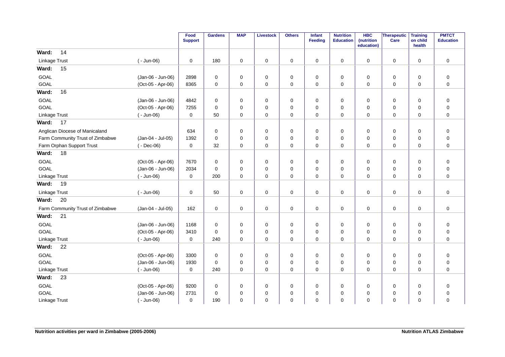|                                  |                   | Food<br><b>Support</b> | <b>Gardens</b> | <b>MAP</b>  | <b>Livestock</b> | <b>Others</b> | Infant<br><b>Feeding</b> | <b>Nutrition</b><br><b>Education</b> | <b>HBC</b><br>(nutrition<br>education) | Therapeutic<br>Care | <b>Training</b><br>on child<br>health | <b>PMTCT</b><br><b>Education</b> |
|----------------------------------|-------------------|------------------------|----------------|-------------|------------------|---------------|--------------------------|--------------------------------------|----------------------------------------|---------------------|---------------------------------------|----------------------------------|
| 14<br>Ward:                      |                   |                        |                |             |                  |               |                          |                                      |                                        |                     |                                       |                                  |
| Linkage Trust                    | $(-$ Jun-06)      | 0                      | 180            | 0           | 0                | 0             | 0                        | 0                                    | $\mathbf 0$                            | $\mathbf 0$         | $\mathbf 0$                           | $\mathbf 0$                      |
| Ward:<br>15                      |                   |                        |                |             |                  |               |                          |                                      |                                        |                     |                                       |                                  |
| GOAL                             | (Jan-06 - Jun-06) | 2898                   | 0              | 0           | $\mathbf 0$      | 0             | 0                        | 0                                    | 0                                      | 0                   | $\mathbf 0$                           | $\mathbf 0$                      |
| GOAL                             | (Oct-05 - Apr-06) | 8365                   | 0              | 0           | 0                | 0             | $\mathbf 0$              | 0                                    | $\mathbf 0$                            | 0                   | $\mathbf 0$                           | $\mathbf 0$                      |
| Ward:<br>16                      |                   |                        |                |             |                  |               |                          |                                      |                                        |                     |                                       |                                  |
| GOAL                             | (Jan-06 - Jun-06) | 4842                   | 0              | 0           | 0                | 0             | 0                        | 0                                    | 0                                      | 0                   | $\mathbf 0$                           | $\mathbf 0$                      |
| GOAL                             | (Oct-05 - Apr-06) | 7255                   | 0              | 0           | $\mathbf 0$      | 0             | $\Omega$                 | 0                                    | 0                                      | $\mathbf 0$         | $\mathbf 0$                           | $\mathbf 0$                      |
| <b>Linkage Trust</b>             | $(-$ Jun-06)      | 0                      | 50             | 0           | 0                | 0             | 0                        | 0                                    | 0                                      | 0                   | $\mathbf 0$                           | $\mathbf 0$                      |
| Ward:<br>17                      |                   |                        |                |             |                  |               |                          |                                      |                                        |                     |                                       |                                  |
| Anglican Diocese of Manicaland   |                   | 634                    | $\mathsf 0$    | 0           | 0                | 0             | 0                        | 0                                    | 0                                      | 0                   | 0                                     | $\pmb{0}$                        |
| Farm Community Trust of Zimbabwe | (Jan-04 - Jul-05) | 1392                   | 0              | 0           | $\mathbf 0$      | 0             | $\mathbf 0$              | $\mathbf 0$                          | $\mathbf 0$                            | 0                   | $\mathbf 0$                           | $\pmb{0}$                        |
| Farm Orphan Support Trust        | $(-$ Dec-06)      | 0                      | 32             | $\Omega$    | $\mathbf 0$      | 0             | $\mathbf 0$              | $\Omega$                             | $\Omega$                               | $\mathbf 0$         | $\mathbf 0$                           | $\mathbf 0$                      |
| 18<br>Ward:                      |                   |                        |                |             |                  |               |                          |                                      |                                        |                     |                                       |                                  |
| GOAL                             | (Oct-05 - Apr-06) | 7670                   | 0              | 0           | 0                | 0             | $\mathbf 0$              | $\mathbf 0$                          | $\mathbf 0$                            | 0                   | $\mathbf 0$                           | $\mathbf 0$                      |
| GOAL                             | (Jan-06 - Jun-06) | 2034                   | $\mathbf 0$    | 0           | 0                | 0             | $\mathbf 0$              | $\mathbf 0$                          | $\mathbf 0$                            | 0                   | $\mathbf 0$                           | $\pmb{0}$                        |
| Linkage Trust                    | $(-$ Jun-06)      | 0                      | 200            | 0           | 0                | 0             | 0                        | 0                                    | 0                                      | 0                   | 0                                     | $\mathbf 0$                      |
| Ward:<br>19                      |                   |                        |                |             |                  |               |                          |                                      |                                        |                     |                                       |                                  |
| Linkage Trust                    | $(-$ Jun-06)      | 0                      | 50             | 0           | 0                | 0             | 0                        | 0                                    | 0                                      | 0                   | 0                                     | $\mathbf 0$                      |
| Ward:<br>20                      |                   |                        |                |             |                  |               |                          |                                      |                                        |                     |                                       |                                  |
| Farm Community Trust of Zimbabwe | (Jan-04 - Jul-05) | 162                    | $\mathsf 0$    | 0           | $\mathsf 0$      | 0             | $\mathbf 0$              | 0                                    | 0                                      | $\mathsf 0$         | $\mathbf 0$                           | $\pmb{0}$                        |
| 21<br>Ward:                      |                   |                        |                |             |                  |               |                          |                                      |                                        |                     |                                       |                                  |
| GOAL                             | (Jan-06 - Jun-06) | 1168                   | $\mathsf 0$    | 0           | $\pmb{0}$        | 0             | $\mathbf 0$              | $\mathbf 0$                          | $\mathbf 0$                            | $\mathbf 0$         | $\mathbf 0$                           | $\pmb{0}$                        |
| GOAL                             | (Oct-05 - Apr-06) | 3410                   | $\mathbf 0$    | 0           | $\mathbf 0$      | 0             | $\mathbf 0$              | 0                                    | 0                                      | 0                   | $\mathbf 0$                           | $\pmb{0}$                        |
| Linkage Trust                    | $(-$ Jun-06)      | 0                      | 240            | $\mathbf 0$ | $\mathbf 0$      | 0             | $\Omega$                 | $\Omega$                             | $\Omega$                               | $\mathbf 0$         | $\Omega$                              | $\mathbf 0$                      |
| 22<br>Ward:                      |                   |                        |                |             |                  |               |                          |                                      |                                        |                     |                                       |                                  |
| GOAL                             | (Oct-05 - Apr-06) | 3300                   | 0              | 0           | 0                | 0             | $\mathbf 0$              | 0                                    | 0                                      | 0                   | $\mathbf 0$                           | $\mathbf 0$                      |
| <b>GOAL</b>                      | (Jan-06 - Jun-06) | 1930                   | $\mathbf 0$    | 0           | 0                | 0             | $\mathbf 0$              | $\mathbf 0$                          | $\mathbf 0$                            | 0                   | $\mathbf 0$                           | $\mathbf 0$                      |
| Linkage Trust                    | $(-$ Jun-06)      | 0                      | 240            | 0           | 0                | 0             | 0                        | 0                                    | 0                                      | 0                   | 0                                     | $\mathbf 0$                      |
| Ward:<br>23                      |                   |                        |                |             |                  |               |                          |                                      |                                        |                     |                                       |                                  |
| GOAL                             | (Oct-05 - Apr-06) | 9200                   | 0              | 0           | 0                | 0             | 0                        | 0                                    | 0                                      | 0                   | $\mathbf 0$                           | $\pmb{0}$                        |
| GOAL                             | (Jan-06 - Jun-06) | 2731                   | 0              | 0           | 0                | 0             | 0                        | $\mathbf 0$                          | $\mathbf 0$                            | 0                   | $\mathbf 0$                           | $\pmb{0}$                        |
| Linkage Trust                    | $(-$ Jun-06)      | 0                      | 190            | 0           | $\mathbf 0$      | 0             | $\mathbf 0$              | $\mathbf 0$                          | 0                                      | $\mathbf 0$         | $\mathbf 0$                           | $\mathbf 0$                      |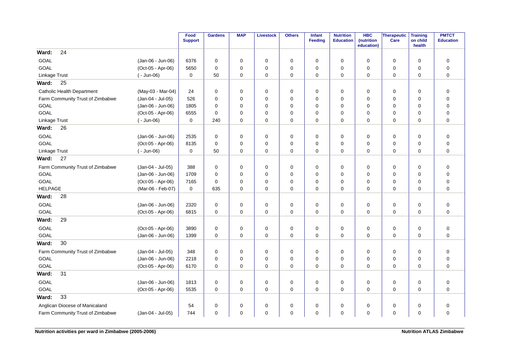|                                   |                   | Food<br><b>Support</b> | <b>Gardens</b> | <b>MAP</b>  | <b>Livestock</b> | <b>Others</b> | Infant<br><b>Feeding</b> | <b>Nutrition</b><br><b>Education</b> | <b>HBC</b><br>(nutrition<br>education) | <b>Therapeutic</b><br>Care | <b>Training</b><br>on child<br>health | <b>PMTCT</b><br><b>Education</b> |
|-----------------------------------|-------------------|------------------------|----------------|-------------|------------------|---------------|--------------------------|--------------------------------------|----------------------------------------|----------------------------|---------------------------------------|----------------------------------|
| 24<br>Ward:                       |                   |                        |                |             |                  |               |                          |                                      |                                        |                            |                                       |                                  |
| <b>GOAL</b>                       | (Jan-06 - Jun-06) | 6376                   | 0              | 0           | 0                | 0             | $\Omega$                 | 0                                    | 0                                      | 0                          | 0                                     | $\pmb{0}$                        |
| <b>GOAL</b>                       | (Oct-05 - Apr-06) | 5650                   | $\Omega$       | $\mathbf 0$ | $\mathbf 0$      | 0             | $\Omega$                 | 0                                    | $\mathbf 0$                            | 0                          | $\mathbf 0$                           | $\mathbf 0$                      |
| Linkage Trust                     | $(-$ Jun-06)      | 0                      | 50             | 0           | $\mathbf 0$      | $\mathbf 0$   | $\mathbf 0$              | $\mathbf 0$                          | $\Omega$                               | $\mathbf 0$                | $\mathbf 0$                           | $\mathbf 0$                      |
| Ward:<br>25                       |                   |                        |                |             |                  |               |                          |                                      |                                        |                            |                                       |                                  |
| <b>Catholic Health Department</b> | (May-03 - Mar-04) | 24                     | $\mathbf 0$    | $\mathbf 0$ | $\mathbf 0$      | $\mathbf 0$   | $\Omega$                 | $\mathbf 0$                          | $\mathbf 0$                            | $\mathbf 0$                | $\mathbf 0$                           | 0                                |
| Farm Community Trust of Zimbabwe  | (Jan-04 - Jul-05) | 526                    | $\Omega$       | $\mathbf 0$ | $\mathbf 0$      | 0             | $\Omega$                 | 0                                    | $\mathbf 0$                            | 0                          | $\mathbf 0$                           | $\mathbf 0$                      |
| GOAL                              | (Jan-06 - Jun-06) | 1805                   | $\Omega$       | $\Omega$    | $\Omega$         | 0             | $\Omega$                 | 0                                    | 0                                      | $\mathbf 0$                | $\Omega$                              | $\mathbf 0$                      |
| GOAL                              | (Oct-05 - Apr-06) | 6555                   | 0              | 0           | $\mathbf 0$      | 0             | $\mathbf 0$              | 0                                    | 0                                      | 0                          | $\mathbf 0$                           | 0                                |
| Linkage Trust                     | $(-$ Jun-06)      | 0                      | 240            | 0           | $\mathbf 0$      | $\mathbf 0$   | $\Omega$                 | 0                                    | $\mathbf 0$                            | 0                          | $\mathbf 0$                           | $\mathbf 0$                      |
| Ward:<br>26                       |                   |                        |                |             |                  |               |                          |                                      |                                        |                            |                                       |                                  |
| GOAL                              | (Jan-06 - Jun-06) | 2535                   | $\mathbf 0$    | $\mathbf 0$ | $\mathbf 0$      | 0             | $\mathbf 0$              | 0                                    | $\mathbf 0$                            | 0                          | $\mathbf 0$                           | $\mathbf 0$                      |
| GOAL                              | (Oct-05 - Apr-06) | 8135                   | $\mathbf 0$    | 0           | 0                | 0             | $\mathbf 0$              | 0                                    | 0                                      | 0                          | $\mathbf 0$                           | 0                                |
| Linkage Trust                     | $(-$ Jun-06)      | $\mathbf 0$            | 50             | $\mathbf 0$ | $\mathbf 0$      | $\mathbf 0$   | $\mathbf 0$              | 0                                    | $\mathbf 0$                            | 0                          | $\mathbf 0$                           | $\mathbf 0$                      |
| Ward:<br>27                       |                   |                        |                |             |                  |               |                          |                                      |                                        |                            |                                       |                                  |
| Farm Community Trust of Zimbabwe  | (Jan-04 - Jul-05) | 388                    | $\mathbf 0$    | $\mathbf 0$ | $\mathbf 0$      | 0             | $\mathbf 0$              | 0                                    | $\mathbf 0$                            | 0                          | $\mathbf 0$                           | 0                                |
| <b>GOAL</b>                       | (Jan-06 - Jun-06) | 1709                   | 0              | 0           | $\mathbf 0$      | 0             | $\mathbf 0$              | 0                                    | 0                                      | 0                          | $\mathbf 0$                           | 0                                |
| GOAL                              | (Oct-05 - Apr-06) | 7165                   | $\mathbf 0$    | $\mathbf 0$ | $\mathbf 0$      | 0             | $\mathbf 0$              | 0                                    | 0                                      | 0                          | $\mathbf 0$                           | $\mathbf 0$                      |
| <b>HELPAGE</b>                    | (Mar-06 - Feb-07) | $\mathbf 0$            | 635            | 0           | $\mathbf 0$      | $\mathbf 0$   | 0                        | $\mathbf 0$                          | 0                                      | 0                          | 0                                     | $\overline{0}$                   |
| 28<br>Ward:                       |                   |                        |                |             |                  |               |                          |                                      |                                        |                            |                                       |                                  |
| <b>GOAL</b>                       | (Jan-06 - Jun-06) | 2320                   | 0              | 0           | 0                | 0             | 0                        | 0                                    | 0                                      | 0                          | 0                                     | $\mathbf 0$                      |
| GOAL                              | (Oct-05 - Apr-06) | 6815                   | $\mathbf 0$    | $\mathbf 0$ | $\mathbf 0$      | 0             | $\mathbf 0$              | $\mathbf 0$                          | $\mathbf 0$                            | 0                          | $\mathbf 0$                           | $\mathbf 0$                      |
| 29<br>Ward:                       |                   |                        |                |             |                  |               |                          |                                      |                                        |                            |                                       |                                  |
| GOAL                              | (Oct-05 - Apr-06) | 3890                   | 0              | 0           | $\mathbf 0$      | 0             | $\mathbf 0$              | 0                                    | $\mathbf 0$                            | 0                          | $\mathbf 0$                           | $\mathbf 0$                      |
| <b>GOAL</b>                       | (Jan-06 - Jun-06) | 1399                   | $\mathbf 0$    | 0           | $\mathbf 0$      | 0             | 0                        | 0                                    | 0                                      | 0                          | $\mathbf 0$                           | $\mathbf 0$                      |
| 30<br>Ward:                       |                   |                        |                |             |                  |               |                          |                                      |                                        |                            |                                       |                                  |
| Farm Community Trust of Zimbabwe  | (Jan-04 - Jul-05) | 348                    | 0              | 0           | 0                | 0             | $\mathbf 0$              | 0                                    | 0                                      | 0                          | 0                                     | $\mathbf 0$                      |
| GOAL                              | (Jan-06 - Jun-06) | 2218                   | $\mathbf 0$    | $\mathbf 0$ | $\mathbf 0$      | 0             | $\mathbf 0$              | 0                                    | 0                                      | 0                          | $\mathbf 0$                           | 0                                |
| <b>GOAL</b>                       | (Oct-05 - Apr-06) | 6170                   | $\Omega$       | 0           | $\mathbf 0$      | $\Omega$      | $\Omega$                 | $\Omega$                             | $\Omega$                               | 0                          | $\Omega$                              | $\Omega$                         |
| 31<br>Ward:                       |                   |                        |                |             |                  |               |                          |                                      |                                        |                            |                                       |                                  |
| <b>GOAL</b>                       | (Jan-06 - Jun-06) | 1813                   | 0              | 0           | 0                | 0             | 0                        | 0                                    | 0                                      | 0                          | 0                                     | $\mathbf 0$                      |
| GOAL                              | (Oct-05 - Apr-06) | 5535                   | $\mathbf 0$    | $\mathbf 0$ | 0                | $\mathbf 0$   | $\mathbf 0$              | 0                                    | 0                                      | 0                          | $\mathbf 0$                           | 0                                |
| 33<br>Ward:                       |                   |                        |                |             |                  |               |                          |                                      |                                        |                            |                                       |                                  |
| Anglican Diocese of Manicaland    |                   | 54                     | 0              | 0           | $\mathbf 0$      | 0             | 0                        | 0                                    | 0                                      | $\mathbf 0$                | 0                                     | $\mathbf 0$                      |
| Farm Community Trust of Zimbabwe  | (Jan-04 - Jul-05) | 744                    | $\mathbf 0$    | 0           | $\mathbf 0$      | 0             | 0                        | 0                                    | 0                                      | 0                          | 0                                     | $\mathbf 0$                      |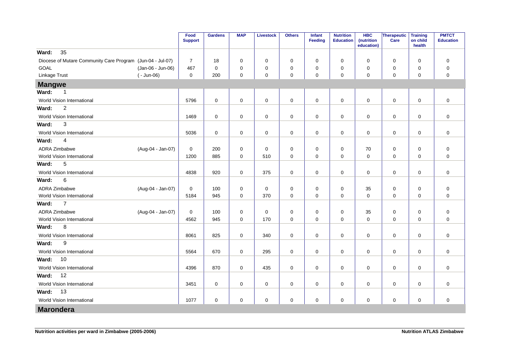|                                                            |                   | Food<br><b>Support</b> | <b>Gardens</b>      | <b>MAP</b>  | <b>Livestock</b>    | <b>Others</b> | <b>Infant</b><br><b>Feeding</b> | <b>Nutrition</b><br><b>Education</b> | <b>HBC</b><br>(nutrition<br>education) | Therapeutic<br><b>Care</b> | <b>Training</b><br>on child<br>health | <b>PMTCT</b><br><b>Education</b> |
|------------------------------------------------------------|-------------------|------------------------|---------------------|-------------|---------------------|---------------|---------------------------------|--------------------------------------|----------------------------------------|----------------------------|---------------------------------------|----------------------------------|
| 35<br>Ward:                                                |                   |                        |                     |             |                     |               |                                 |                                      |                                        |                            |                                       |                                  |
| Diocese of Mutare Community Care Program (Jun-04 - Jul-07) |                   | $\overline{7}$         | 18                  | $\mathbf 0$ | $\mathbf 0$         | $\mathbf 0$   | $\mathbf 0$                     | $\mathbf 0$                          | $\Omega$                               | 0                          | $\mathbf 0$                           | $\mathbf 0$                      |
| <b>GOAL</b>                                                | (Jan-06 - Jun-06) | 467                    | $\mathbf 0$         | $\mathbf 0$ | $\mathbf 0$         | 0             | 0                               | $\mathbf 0$                          | $\mathbf 0$                            | 0                          | 0                                     | 0                                |
| Linkage Trust                                              | $(-$ Jun-06)      | $\mathbf 0$            | 200                 | $\mathbf 0$ | $\mathsf{O}\xspace$ | $\mathbf 0$   | 0                               | $\mathbf 0$                          | $\mathbf 0$                            | $\mathsf{O}\xspace$        | $\mathbf 0$                           | $\mathbf 0$                      |
| <b>Mangwe</b>                                              |                   |                        |                     |             |                     |               |                                 |                                      |                                        |                            |                                       |                                  |
| Ward:<br>$\overline{1}$                                    |                   |                        |                     |             |                     |               |                                 |                                      |                                        |                            |                                       |                                  |
| World Vision International                                 |                   | 5796                   | $\mathsf{O}\xspace$ | $\mathbf 0$ | $\mathbf 0$         | $\pmb{0}$     | $\mathbf 0$                     | $\mathbf 0$                          | $\mathbf 0$                            | $\mathbf 0$                | $\mathbf 0$                           | $\mathbf 0$                      |
| $\overline{c}$<br>Ward:                                    |                   |                        |                     |             |                     |               |                                 |                                      |                                        |                            |                                       |                                  |
| World Vision International                                 |                   | 1469                   | $\mathbf 0$         | $\mathbf 0$ | $\mathsf{O}\xspace$ | $\pmb{0}$     | 0                               | 0                                    | $\mathbf 0$                            | $\mathsf 0$                | $\mathbf 0$                           | $\mathbf 0$                      |
| 3<br>Ward:                                                 |                   |                        |                     |             |                     |               |                                 |                                      |                                        |                            |                                       |                                  |
| World Vision International                                 |                   | 5036                   | $\mathbf 0$         | $\mathbf 0$ | $\mathbf 0$         | $\pmb{0}$     | $\mathbf 0$                     | $\mathbf 0$                          | 0                                      | $\mathbf 0$                | $\mathbf 0$                           | $\mathbf 0$                      |
| Ward:<br>4                                                 |                   |                        |                     |             |                     |               |                                 |                                      |                                        |                            |                                       |                                  |
| <b>ADRA Zimbabwe</b>                                       | (Aug-04 - Jan-07) | 0                      | 200                 | $\mathbf 0$ | $\mathbf 0$         | 0             | $\mathbf 0$                     | $\mathbf 0$                          | 70                                     | $\mathbf 0$                | $\mathbf 0$                           | $\mathbf 0$                      |
| World Vision International                                 |                   | 1200                   | 885                 | $\mathbf 0$ | 510                 | $\mathbf 0$   | 0                               | $\mathbf 0$                          | $\mathbf 0$                            | $\mathbf 0$                | $\mathbf 0$                           | $\mathbf 0$                      |
| 5<br>Ward:                                                 |                   |                        |                     |             |                     |               |                                 |                                      |                                        |                            |                                       |                                  |
| World Vision International                                 |                   | 4838                   | 920                 | 0           | 375                 | $\pmb{0}$     | 0                               | $\mathbf 0$                          | $\mathbf 0$                            | $\mathsf 0$                | 0                                     | $\mathbf 0$                      |
| Ward:<br>6                                                 |                   |                        |                     |             |                     |               |                                 |                                      |                                        |                            |                                       |                                  |
| ADRA Zimbabwe                                              | (Aug-04 - Jan-07) | $\mathbf 0$            | 100                 | $\pmb{0}$   | $\mathbf 0$         | $\pmb{0}$     | 0                               | 0                                    | 35                                     | $\mathsf 0$                | $\mathbf 0$                           | $\mathsf 0$                      |
| World Vision International                                 |                   | 5184                   | 945                 | $\mathbf 0$ | 370                 | $\mathbf 0$   | $\mathbf 0$                     | $\mathbf 0$                          | $\mathbf 0$                            | 0                          | $\mathbf 0$                           | $\mathbf 0$                      |
| $\overline{7}$<br>Ward:                                    |                   |                        |                     |             |                     |               |                                 |                                      |                                        |                            |                                       |                                  |
| <b>ADRA Zimbabwe</b>                                       | (Aug-04 - Jan-07) | $\mathbf 0$            | 100                 | $\mathbf 0$ | $\mathbf 0$         | 0             | $\mathbf 0$                     | $\mathbf 0$                          | 35                                     | 0                          | 0                                     | $\mathbf 0$                      |
| World Vision International                                 |                   | 4562                   | 945                 | 0           | 170                 | $\mathbf 0$   | 0                               | $\mathbf 0$                          | $\mathbf 0$                            | 0                          | $\mathbf 0$                           | $\mathbf 0$                      |
| Ward:<br>8                                                 |                   |                        |                     |             |                     |               |                                 |                                      |                                        |                            |                                       |                                  |
| World Vision International                                 |                   | 8061                   | 825                 | 0           | 340                 | $\pmb{0}$     | 0                               | $\mathbf 0$                          | $\mathbf 0$                            | $\mathsf 0$                | $\mathbf 0$                           | $\mathbf 0$                      |
| Ward:<br>9                                                 |                   |                        |                     |             |                     |               |                                 |                                      |                                        |                            |                                       |                                  |
| World Vision International                                 |                   | 5564                   | 670                 | $\pmb{0}$   | 295                 | $\pmb{0}$     | $\mathbf 0$                     | $\mathbf 0$                          | $\mathbf 0$                            | $\mathsf 0$                | $\mathbf 0$                           | $\mathbf 0$                      |
| 10<br>Ward:                                                |                   |                        |                     |             |                     |               |                                 |                                      |                                        |                            |                                       |                                  |
| World Vision International                                 |                   | 4396                   | 870                 | $\mathbf 0$ | 435                 | $\pmb{0}$     | 0                               | $\mathbf 0$                          | 0                                      | $\mathbf 0$                | $\mathbf 0$                           | $\mathbf 0$                      |
| 12<br>Ward:                                                |                   |                        |                     |             |                     |               |                                 |                                      |                                        |                            |                                       |                                  |
| World Vision International                                 |                   | 3451                   | $\mathbf 0$         | $\mathbf 0$ | $\mathbf 0$         | $\mathbf 0$   | 0                               | $\mathbf 0$                          | $\mathbf 0$                            | $\mathbf 0$                | $\mathbf 0$                           | $\mathbf 0$                      |
| 13<br>Ward:                                                |                   |                        |                     |             |                     |               |                                 |                                      |                                        |                            |                                       |                                  |
| World Vision International                                 |                   | 1077                   | 0                   | $\mathbf 0$ | $\mathbf 0$         | 0             | $\mathbf 0$                     | 0                                    | $\mathbf 0$                            | 0                          | $\mathbf 0$                           | $\mathbf 0$                      |
| <b>Marondera</b>                                           |                   |                        |                     |             |                     |               |                                 |                                      |                                        |                            |                                       |                                  |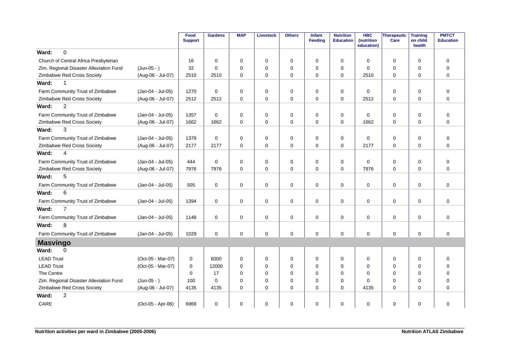|                                         |                   | Food<br><b>Support</b> | <b>Gardens</b> | <b>MAP</b>  | Livestock   | <b>Others</b> | <b>Infant</b><br>Feeding | <b>Nutrition</b><br><b>Education</b> | <b>HBC</b><br>(nutrition<br>education) | Therapeutic<br>Care | <b>Training</b><br>on child<br>health | <b>PMTCT</b><br><b>Education</b> |
|-----------------------------------------|-------------------|------------------------|----------------|-------------|-------------|---------------|--------------------------|--------------------------------------|----------------------------------------|---------------------|---------------------------------------|----------------------------------|
| 0<br>Ward:                              |                   |                        |                |             |             |               |                          |                                      |                                        |                     |                                       |                                  |
| Church of Central Africa Presbyterian   |                   | 16                     | $\Omega$       | $\Omega$    | $\mathbf 0$ | $\mathbf 0$   | $\Omega$                 | $\mathbf 0$                          | $\Omega$                               | 0                   | $\Omega$                              | $\mathbf 0$                      |
| Zim. Regional Disaster Alleviation Fund | $(Jun-05 - )$     | 32                     | $\Omega$       | $\Omega$    | $\mathbf 0$ | $\mathbf 0$   | $\Omega$                 | $\mathbf 0$                          | $\Omega$                               | 0                   | 0                                     | $\mathbf 0$                      |
| Zimbabwe Red Cross Society              | (Aug-06 - Jul-07) | 2510                   | 2510           | $\mathbf 0$ | $\mathbf 0$ | $\mathbf 0$   | $\mathbf 0$              | $\mathbf 0$                          | 2510                                   | $\mathbf 0$         | $\mathbf 0$                           | $\mathbf 0$                      |
| Ward:<br>1                              |                   |                        |                |             |             |               |                          |                                      |                                        |                     |                                       |                                  |
| Farm Community Trust of Zimbabwe        | (Jan-04 - Jul-05) | 1270                   | $\Omega$       | $\Omega$    | 0           | 0             | $\Omega$                 | 0                                    | $\Omega$                               | $\mathbf 0$         | $\Omega$                              | $\mathbf 0$                      |
| Zimbabwe Red Cross Society              | (Aug-06 - Jul-07) | 2512                   | 2512           | 0           | $\mathbf 0$ | $\mathbf 0$   | $\Omega$                 | $\mathbf 0$                          | 2512                                   | $\mathbf 0$         | $\mathbf 0$                           | $\mathbf 0$                      |
| $\overline{c}$<br>Ward:                 |                   |                        |                |             |             |               |                          |                                      |                                        |                     |                                       |                                  |
| Farm Community Trust of Zimbabwe        | (Jan-04 - Jul-05) | 1357                   | $\Omega$       | $\Omega$    | $\mathbf 0$ | 0             | $\Omega$                 | 0                                    | $\Omega$                               | 0                   | $\Omega$                              | $\mathbf 0$                      |
| Zimbabwe Red Cross Society              | (Aug-06 - Jul-07) | 1662                   | 1662           | $\mathbf 0$ | $\mathbf 0$ | $\mathbf 0$   | $\mathbf 0$              | $\mathbf 0$                          | 1662                                   | $\mathbf 0$         | $\mathbf 0$                           | $\mathbf 0$                      |
| 3<br>Ward:                              |                   |                        |                |             |             |               |                          |                                      |                                        |                     |                                       |                                  |
| Farm Community Trust of Zimbabwe        | (Jan-04 - Jul-05) | 1379                   | $\mathbf 0$    | 0           | $\mathbf 0$ | $\pmb{0}$     | $\mathbf 0$              | 0                                    | $\mathbf 0$                            | 0                   | $\mathbf 0$                           | $\pmb{0}$                        |
| Zimbabwe Red Cross Society              | (Aug-06 - Jul-07) | 2177                   | 2177           | $\Omega$    | $\Omega$    | $\Omega$      | $\Omega$                 | $\Omega$                             | 2177                                   | $\Omega$            | $\Omega$                              | $\Omega$                         |
| Ward:<br>4                              |                   |                        |                |             |             |               |                          |                                      |                                        |                     |                                       |                                  |
| Farm Community Trust of Zimbabwe        | (Jan-04 - Jul-05) | 444                    | $\Omega$       | $\mathbf 0$ | 0           | 0             | 0                        | 0                                    | $\Omega$                               | 0                   | $\mathbf 0$                           | $\mathbf 0$                      |
| Zimbabwe Red Cross Society              | (Aug-06 - Jul-07) | 7976                   | 7976           | $\Omega$    | $\mathbf 0$ | 0             | $\Omega$                 | 0                                    | 7976                                   | 0                   | $\Omega$                              | $\mathbf 0$                      |
| 5<br>Ward:                              |                   |                        |                |             |             |               |                          |                                      |                                        |                     |                                       |                                  |
| Farm Community Trust of Zimbabwe        | (Jan-04 - Jul-05) | 505                    | $\mathbf 0$    | 0           | $\mathbf 0$ | 0             | $\mathbf 0$              | 0                                    | $\mathbf 0$                            | $\mathbf 0$         | 0                                     | $\mathbf 0$                      |
| 6<br>Ward:                              |                   |                        |                |             |             |               |                          |                                      |                                        |                     |                                       |                                  |
| Farm Community Trust of Zimbabwe        | (Jan-04 - Jul-05) | 1394                   | $\mathbf 0$    | $\mathbf 0$ | $\mathbf 0$ | 0             | $\mathbf 0$              | 0                                    | $\mathbf 0$                            | $\mathbf 0$         | $\mathbf 0$                           | $\mathbf 0$                      |
| $\overline{7}$<br>Ward:                 |                   |                        |                |             |             |               |                          |                                      |                                        |                     |                                       |                                  |
| Farm Community Trust of Zimbabwe        | (Jan-04 - Jul-05) | 1148                   | $\mathbf 0$    | $\mathbf 0$ | $\mathbf 0$ | $\mathbf 0$   | $\mathbf 0$              | 0                                    | $\mathbf 0$                            | 0                   | $\mathbf 0$                           | $\mathbf 0$                      |
| 8<br>Ward:                              |                   |                        |                |             |             |               |                          |                                      |                                        |                     |                                       |                                  |
| Farm Community Trust of Zimbabwe        | (Jan-04 - Jul-05) | 1029                   | $\mathbf 0$    | 0           | $\mathbf 0$ | 0             | $\mathbf 0$              | 0                                    | $\mathbf 0$                            | $\mathbf 0$         | $\mathbf 0$                           | $\mathbf 0$                      |
| <b>Masvingo</b>                         |                   |                        |                |             |             |               |                          |                                      |                                        |                     |                                       |                                  |
| Ward:<br>$\Omega$                       |                   |                        |                |             |             |               |                          |                                      |                                        |                     |                                       |                                  |
| <b>LEAD Trust</b>                       | (Oct-05 - Mar-07) | 0                      | 6000           | 0           | $\mathbf 0$ | 0             | $\Omega$                 | 0                                    | 0                                      | 0                   | $\mathbf 0$                           | $\mathbf 0$                      |
| <b>LEAD Trust</b>                       | (Oct-05 - Mar-07) | $\mathbf 0$            | 12000          | $\mathbf 0$ | $\mathbf 0$ | $\mathbf 0$   | $\Omega$                 | 0                                    | $\mathbf 0$                            | 0                   | $\mathbf 0$                           | $\mathbf 0$                      |
| The Centre                              |                   | 0                      | 17             | $\Omega$    | $\Omega$    | 0             | $\Omega$                 | $\Omega$                             | $\Omega$                               | 0                   | $\Omega$                              | $\mathbf 0$                      |
| Zim. Regional Disaster Alleviation Fund | $(Jun-05 - )$     | 100                    | $\Omega$       | 0           | $\mathbf 0$ | $\mathbf 0$   | $\Omega$                 | $\Omega$                             | $\Omega$                               | 0                   | 0                                     | $\mathbf 0$                      |
| Zimbabwe Red Cross Society              | (Aug-06 - Jul-07) | 4135                   | 4135           | $\mathbf 0$ | $\mathbf 0$ | 0             | $\mathbf 0$              | $\mathbf 0$                          | 4135                                   | $\mathbf 0$         | $\Omega$                              | $\mathbf 0$                      |
| $\overline{c}$<br>Ward:                 |                   |                        |                |             |             |               |                          |                                      |                                        |                     |                                       |                                  |
| CARE                                    | (Oct-05 - Apr-06) | 6969                   | $\Omega$       | 0           | $\mathbf 0$ | 0             | $\Omega$                 | $\mathbf 0$                          | $\mathbf 0$                            | $\mathbf 0$         | $\mathbf 0$                           | $\mathbf 0$                      |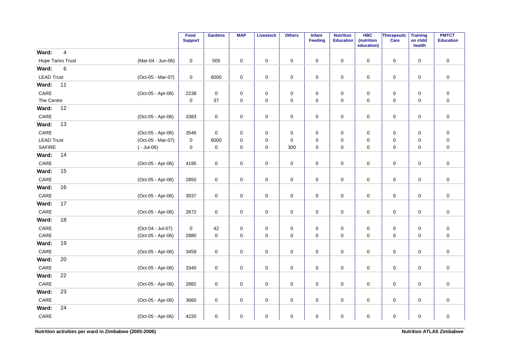|                          |                         |                   | Food<br><b>Support</b> | <b>Gardens</b>      | <b>MAP</b>  | <b>Livestock</b>    | <b>Others</b> | Infant<br><b>Feeding</b> | <b>Nutrition</b><br><b>Education</b> | <b>HBC</b><br>(nutrition<br>education) | Therapeutic<br>Care | <b>Training</b><br>on child<br>health | <b>PMTCT</b><br><b>Education</b> |
|--------------------------|-------------------------|-------------------|------------------------|---------------------|-------------|---------------------|---------------|--------------------------|--------------------------------------|----------------------------------------|---------------------|---------------------------------------|----------------------------------|
| Ward:                    | $\overline{\mathbf{4}}$ |                   |                        |                     |             |                     |               |                          |                                      |                                        |                     |                                       |                                  |
| <b>Hope Tariro Trust</b> |                         | (Mar-04 - Jun-06) | $\pmb{0}$              | 505                 | $\pmb{0}$   | $\pmb{0}$           | $\mathbf 0$   | $\mathsf 0$              | $\pmb{0}$                            | $\pmb{0}$                              | $\mathsf 0$         | $\mathsf 0$                           | $\pmb{0}$                        |
| Ward:                    | $\,6\,$                 |                   |                        |                     |             |                     |               |                          |                                      |                                        |                     |                                       |                                  |
| <b>LEAD Trust</b>        |                         | (Oct-05 - Mar-07) | 0                      | 6000                | $\pmb{0}$   | $\pmb{0}$           | $\pmb{0}$     | $\mathsf 0$              | $\pmb{0}$                            | $\pmb{0}$                              | $\pmb{0}$           | $\pmb{0}$                             | $\pmb{0}$                        |
| Ward:                    | 11                      |                   |                        |                     |             |                     |               |                          |                                      |                                        |                     |                                       |                                  |
| CARE                     |                         | (Oct-05 - Apr-06) | 2238                   | 0                   | 0           | 0                   | 0             | 0                        | 0                                    | 0                                      | 0                   | $\mathbf 0$                           | $\pmb{0}$                        |
| The Centre               |                         |                   | $\mathbf{0}$           | 37                  | 0           | $\mathsf{O}\xspace$ | $\pmb{0}$     | $\mathbf 0$              | $\pmb{0}$                            | 0                                      | $\mathsf 0$         | $\mathbf 0$                           | $\pmb{0}$                        |
| Ward:                    | 12                      |                   |                        |                     |             |                     |               |                          |                                      |                                        |                     |                                       |                                  |
| CARE                     |                         | (Oct-05 - Apr-06) | 3383                   | $\mathsf{O}\xspace$ | $\pmb{0}$   | $\pmb{0}$           | $\pmb{0}$     | $\mathsf 0$              | $\pmb{0}$                            | 0                                      | $\pmb{0}$           | $\pmb{0}$                             | $\pmb{0}$                        |
| Ward:                    | 13                      |                   |                        |                     |             |                     |               |                          |                                      |                                        |                     |                                       |                                  |
| $\mathsf{CARE}$          |                         | (Oct-05 - Apr-06) | 3546                   | $\mathsf{O}\xspace$ | 0           | 0                   | 0             | 0                        | 0                                    | 0                                      | 0                   | $\mathbf 0$                           | $\pmb{0}$                        |
| <b>LEAD Trust</b>        |                         | (Oct-05 - Mar-07) | $\pmb{0}$              | 6000                | 0           | $\mathbf 0$         | $\pmb{0}$     | $\mathbf 0$              | $\mathbf 0$                          | 0                                      | 0                   | $\mathbf 0$                           | $\pmb{0}$                        |
| <b>SAFIRE</b>            |                         | $(-$ Jul-06)      | $\mathbf 0$            | $\pmb{0}$           | $\mathbf 0$ | $\pmb{0}$           | 300           | $\mathbf 0$              | $\mathbf 0$                          | $\mathbf 0$                            | $\pmb{0}$           | $\mathbf 0$                           | $\mathbf 0$                      |
| Ward:                    | 14                      |                   |                        |                     |             |                     |               |                          |                                      |                                        |                     |                                       |                                  |
| $\mathsf{CARE}$          |                         | (Oct-05 - Apr-06) | 4195                   | $\pmb{0}$           | $\pmb{0}$   | $\pmb{0}$           | $\mathbf 0$   | $\mathsf 0$              | $\pmb{0}$                            | $\mathbf 0$                            | $\mathsf 0$         | $\pmb{0}$                             | $\pmb{0}$                        |
| Ward:                    | 15                      |                   |                        |                     |             |                     |               |                          |                                      |                                        |                     |                                       |                                  |
| CARE                     |                         | (Oct-05 - Apr-06) | 2850                   | $\mathbf 0$         | 0           | $\mathsf{O}\xspace$ | $\mathbf 0$   | 0                        | 0                                    | 0                                      | 0                   | 0                                     | $\pmb{0}$                        |
| Ward:                    | 16                      |                   |                        |                     |             |                     |               |                          |                                      |                                        |                     |                                       |                                  |
| CARE                     |                         | (Oct-05 - Apr-06) | 3037                   | $\mathsf{O}\xspace$ | 0           | $\pmb{0}$           | $\pmb{0}$     | $\mathbf 0$              | $\pmb{0}$                            | 0                                      | $\pmb{0}$           | $\mathbf 0$                           | $\pmb{0}$                        |
| Ward:                    | 17                      |                   |                        |                     |             |                     |               |                          |                                      |                                        |                     |                                       |                                  |
| CARE                     |                         | (Oct-05 - Apr-06) | 2672                   | $\mathsf{O}\xspace$ | $\pmb{0}$   | $\mathsf{O}\xspace$ | $\pmb{0}$     | $\mathbf 0$              | $\pmb{0}$                            | 0                                      | $\mathbf 0$         | $\mathbf 0$                           | $\pmb{0}$                        |
| Ward:                    | 18                      |                   |                        |                     |             |                     |               |                          |                                      |                                        |                     |                                       |                                  |
| $\mathsf{CARE}$          |                         | (Oct-04 - Jul-07) | $\mathbf 0$            | 42                  | $\pmb{0}$   | $\pmb{0}$           | $\pmb{0}$     | $\mathsf 0$              | $\pmb{0}$                            | $\mathbf 0$                            | $\pmb{0}$           | $\mathsf 0$                           | $\pmb{0}$                        |
| CARE                     |                         | (Oct-05 - Apr-06) | 2880                   | $\mathbf 0$         | 0           | $\mathsf{O}\xspace$ | $\pmb{0}$     | $\mathbf 0$              | $\pmb{0}$                            | 0                                      | $\mathsf 0$         | $\mathbf 0$                           | $\pmb{0}$                        |
| Ward:                    | 19                      |                   |                        |                     |             |                     |               |                          |                                      |                                        |                     |                                       |                                  |
| CARE                     |                         | (Oct-05 - Apr-06) | 3459                   | $\mathsf{O}\xspace$ | $\pmb{0}$   | $\mathsf{O}\xspace$ | $\pmb{0}$     | $\mathbf 0$              | $\pmb{0}$                            | 0                                      | $\mathsf{O}$        | $\mathbf 0$                           | $\pmb{0}$                        |
| Ward:                    | 20                      |                   |                        |                     |             |                     |               |                          |                                      |                                        |                     |                                       |                                  |
| CARE                     |                         | (Oct-05 - Apr-06) | 3340                   | $\pmb{0}$           | $\mathbf 0$ | $\pmb{0}$           | $\mathbf 0$   | $\mathbf 0$              | $\mathbf 0$                          | $\mathbf 0$                            | $\mathsf 0$         | $\mathbf 0$                           | $\pmb{0}$                        |
| Ward:                    | 22                      |                   |                        |                     |             |                     |               |                          |                                      |                                        |                     |                                       |                                  |
| CARE                     |                         | (Oct-05 - Apr-06) | 2882                   | $\mathsf{O}\xspace$ | $\pmb{0}$   | $\pmb{0}$           | $\mathsf 0$   | $\mathsf{O}\xspace$      | $\mathsf 0$                          | $\mathbf 0$                            | $\mathsf 0$         | $\mathbf 0$                           | $\pmb{0}$                        |
| Ward:                    | 23                      |                   |                        |                     |             |                     |               |                          |                                      |                                        |                     |                                       |                                  |
| CARE                     |                         | (Oct-05 - Apr-06) | 3660                   | $\mathbf 0$         | 0           | $\mathsf{O}\xspace$ | $\pmb{0}$     | 0                        | $\pmb{0}$                            | 0                                      | $\mathsf 0$         | $\mathbf 0$                           | $\pmb{0}$                        |
| Ward:                    | 24                      |                   |                        |                     |             |                     |               |                          |                                      |                                        |                     |                                       |                                  |
| CARE                     |                         | (Oct-05 - Apr-06) | 4220                   | $\mathsf{O}\xspace$ | 0           | $\pmb{0}$           | $\pmb{0}$     | 0                        | 0                                    | 0                                      | 0                   | 0                                     | $\pmb{0}$                        |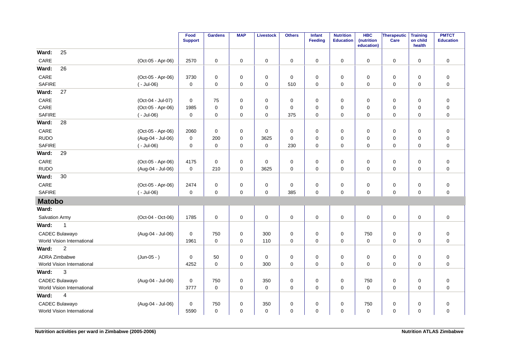|                            |                   | Food<br><b>Support</b> | <b>Gardens</b>      | <b>MAP</b>  | <b>Livestock</b> | <b>Others</b> | Infant<br>Feeding | <b>Nutrition</b><br><b>Education</b> | <b>HBC</b><br>(nutrition<br>education) | Therapeutic<br>Care | <b>Training</b><br>on child<br>health | <b>PMTCT</b><br><b>Education</b> |
|----------------------------|-------------------|------------------------|---------------------|-------------|------------------|---------------|-------------------|--------------------------------------|----------------------------------------|---------------------|---------------------------------------|----------------------------------|
| 25<br>Ward:                |                   |                        |                     |             |                  |               |                   |                                      |                                        |                     |                                       |                                  |
| CARE                       | (Oct-05 - Apr-06) | 2570                   | $\mathsf{O}\xspace$ | 0           | 0                | 0             | 0                 | 0                                    | 0                                      | 0                   | 0                                     | $\pmb{0}$                        |
| Ward:<br>26                |                   |                        |                     |             |                  |               |                   |                                      |                                        |                     |                                       |                                  |
| CARE                       | (Oct-05 - Apr-06) | 3730                   | $\mathbf 0$         | $\mathbf 0$ | $\mathbf 0$      | $\mathbf 0$   | $\mathbf 0$       | $\mathbf 0$                          | $\mathbf 0$                            | $\mathbf 0$         | 0                                     | $\pmb{0}$                        |
| <b>SAFIRE</b>              | $(-$ Jul-06)      | $\mathsf 0$            | $\mathbf 0$         | $\mathbf 0$ | $\mathbf 0$      | 510           | $\mathbf 0$       | $\mathbf 0$                          | 0                                      | 0                   | $\mathbf 0$                           | $\mathbf 0$                      |
| 27<br>Ward:                |                   |                        |                     |             |                  |               |                   |                                      |                                        |                     |                                       |                                  |
| CARE                       | (Oct-04 - Jul-07) | 0                      | 75                  | 0           | 0                | 0             | 0                 | 0                                    | 0                                      | 0                   | 0                                     | $\pmb{0}$                        |
| CARE                       | (Oct-05 - Apr-06) | 1985                   | $\mathbf 0$         | $\mathbf 0$ | $\mathbf 0$      | $\mathbf 0$   | $\mathbf 0$       | $\mathbf 0$                          | $\mathbf 0$                            | $\mathbf 0$         | $\mathbf 0$                           | $\pmb{0}$                        |
| <b>SAFIRE</b>              | $(-$ Jul-06)      | $\pmb{0}$              | $\mathbf 0$         | $\mathbf 0$ | $\mathbf 0$      | 375           | $\mathbf 0$       | $\mathbf 0$                          | $\mathbf 0$                            | $\mathbf 0$         | $\mathbf 0$                           | $\mathbf 0$                      |
| 28<br>Ward:                |                   |                        |                     |             |                  |               |                   |                                      |                                        |                     |                                       |                                  |
| CARE                       | (Oct-05 - Apr-06) | 2060                   | $\mathbf 0$         | 0           | 0                | 0             | 0                 | 0                                    | 0                                      | 0                   | $\mathbf 0$                           | $\pmb{0}$                        |
| <b>RUDO</b>                | (Aug-04 - Jul-06) | $\mathbf 0$            | 200                 | $\mathbf 0$ | 3625             | $\mathbf 0$   | $\Omega$          | $\mathbf 0$                          | $\mathbf 0$                            | $\mathbf 0$         | $\mathbf 0$                           | $\pmb{0}$                        |
| <b>SAFIRE</b>              | $(-$ Jul-06)      | $\mathbf 0$            | $\mathbf 0$         | $\mathbf 0$ | $\mathbf 0$      | 230           | $\mathbf 0$       | $\mathbf 0$                          | $\mathbf 0$                            | $\mathbf 0$         | $\mathbf 0$                           | $\pmb{0}$                        |
| Ward:<br>29                |                   |                        |                     |             |                  |               |                   |                                      |                                        |                     |                                       |                                  |
| CARE                       | (Oct-05 - Apr-06) | 4175                   | $\mathbf 0$         | 0           | $\mathbf 0$      | $\pmb{0}$     | 0                 | 0                                    | 0                                      | $\mathbf 0$         | $\mathbf 0$                           | $\pmb{0}$                        |
| <b>RUDO</b>                | (Aug-04 - Jul-06) | $\mathbf 0$            | 210                 | $\mathbf 0$ | 3625             | $\mathbf 0$   | $\mathbf 0$       | $\mathbf 0$                          | $\Omega$                               | $\mathbf 0$         | $\mathbf 0$                           | $\mathbf 0$                      |
| 30<br>Ward:                |                   |                        |                     |             |                  |               |                   |                                      |                                        |                     |                                       |                                  |
| CARE                       | (Oct-05 - Apr-06) | 2474                   | $\mathsf{O}\xspace$ | 0           | $\pmb{0}$        | $\pmb{0}$     | $\pmb{0}$         | 0                                    | 0                                      | $\mathbf 0$         | 0                                     | $\pmb{0}$                        |
| <b>SAFIRE</b>              | $(-$ Jul-06)      | $\pmb{0}$              | $\mathbf 0$         | $\mathbf 0$ | $\mathbf 0$      | 385           | $\mathbf 0$       | $\pmb{0}$                            | 0                                      | 0                   | $\mathbf 0$                           | $\mathbf 0$                      |
| <b>Matobo</b>              |                   |                        |                     |             |                  |               |                   |                                      |                                        |                     |                                       |                                  |
| Ward:                      |                   |                        |                     |             |                  |               |                   |                                      |                                        |                     |                                       |                                  |
| <b>Salvation Army</b>      | (Oct-04 - Oct-06) | 1785                   | $\mathbf 0$         | $\mathbf 0$ | $\mathbf 0$      | $\mathbf 0$   | $\mathbf 0$       | $\mathbf 0$                          | $\Omega$                               | $\mathsf{O}\xspace$ | $\mathbf 0$                           | $\mathbf 0$                      |
| Ward:<br>$\mathbf 1$       |                   |                        |                     |             |                  |               |                   |                                      |                                        |                     |                                       |                                  |
| <b>CADEC Bulawayo</b>      | (Aug-04 - Jul-06) | $\pmb{0}$              | 750                 | $\pmb{0}$   | 300              | $\pmb{0}$     | $\mathbf 0$       | $\pmb{0}$                            | 750                                    | $\mathbf 0$         | $\mathbf 0$                           | $\pmb{0}$                        |
| World Vision International |                   | 1961                   | $\mathbf 0$         | 0           | 110              | $\mathbf 0$   | $\mathbf 0$       | $\mathbf 0$                          | $\mathbf 0$                            | 0                   | $\mathbf 0$                           | $\pmb{0}$                        |
| $\overline{2}$<br>Ward:    |                   |                        |                     |             |                  |               |                   |                                      |                                        |                     |                                       |                                  |
| <b>ADRA Zimbabwe</b>       | $(Jun-05 - )$     | $\mathbf 0$            | 50                  | $\mathbf 0$ | 0                | 0             | $\mathbf 0$       | $\mathbf 0$                          | 0                                      | 0                   | $\mathbf 0$                           | $\boldsymbol{0}$                 |
| World Vision International |                   | 4252                   | $\mathbf 0$         | 0           | 300              | $\mathbf 0$   | $\mathbf 0$       | $\mathbf 0$                          | 0                                      | 0                   | $\mathbf 0$                           | $\mathbf 0$                      |
| 3<br>Ward:                 |                   |                        |                     |             |                  |               |                   |                                      |                                        |                     |                                       |                                  |
| CADEC Bulawayo             | (Aug-04 - Jul-06) | 0                      | 750                 | 0           | 350              | $\pmb{0}$     | 0                 | 0                                    | 750                                    | 0                   | 0                                     | $\pmb{0}$                        |
| World Vision International |                   | 3777                   | $\mathbf 0$         | $\mathbf 0$ | $\mathbf 0$      | $\mathbf 0$   | $\mathbf 0$       | $\mathbf 0$                          | $\mathbf 0$                            | $\mathbf 0$         | $\mathbf 0$                           | $\mathbf 0$                      |
| Ward:<br>$\overline{4}$    |                   |                        |                     |             |                  |               |                   |                                      |                                        |                     |                                       |                                  |
| CADEC Bulawayo             | (Aug-04 - Jul-06) | $\pmb{0}$              | 750                 | $\pmb{0}$   | 350              | $\pmb{0}$     | $\mathbf 0$       | $\pmb{0}$                            | 750                                    | $\mathbf 0$         | $\mathbf 0$                           | $\pmb{0}$                        |
| World Vision International |                   | 5590                   | $\mathbf 0$         | $\mathbf 0$ | $\mathbf 0$      | $\pmb{0}$     | 0                 | 0                                    | $\mathbf 0$                            | 0                   | 0                                     | $\pmb{0}$                        |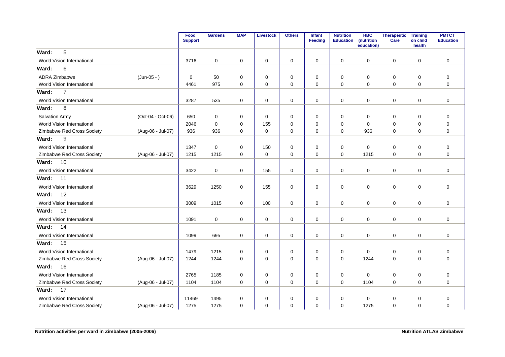|                                   |                   | Food<br><b>Support</b> | <b>Gardens</b> | <b>MAP</b>  | Livestock   | <b>Others</b> | Infant<br>Feeding | <b>Nutrition</b><br><b>Education</b> | <b>HBC</b><br>(nutrition<br>education) | Therapeutic<br>Care | <b>Training</b><br>on child<br>health | <b>PMTCT</b><br><b>Education</b> |
|-----------------------------------|-------------------|------------------------|----------------|-------------|-------------|---------------|-------------------|--------------------------------------|----------------------------------------|---------------------|---------------------------------------|----------------------------------|
| 5<br>Ward:                        |                   |                        |                |             |             |               |                   |                                      |                                        |                     |                                       |                                  |
| World Vision International        |                   | 3716                   | $\mathbf 0$    | $\mathbf 0$ | $\mathbf 0$ | 0             | $\mathbf 0$       | $\mathbf 0$                          | $\Omega$                               | 0                   | $\mathbf 0$                           | $\mathbf 0$                      |
| 6<br>Ward:                        |                   |                        |                |             |             |               |                   |                                      |                                        |                     |                                       |                                  |
| ADRA Zimbabwe                     | $(Jun-05 - )$     | 0                      | 50             | 0           | 0           | 0             | 0                 | 0                                    | 0                                      | 0                   | 0                                     | $\mathbf 0$                      |
| World Vision International        |                   | 4461                   | 975            | $\mathbf 0$ | $\mathbf 0$ | 0             | $\mathbf 0$       | 0                                    | $\Omega$                               | $\mathbf 0$         | $\mathbf 0$                           | $\overline{0}$                   |
| $\overline{7}$<br>Ward:           |                   |                        |                |             |             |               |                   |                                      |                                        |                     |                                       |                                  |
| World Vision International        |                   | 3287                   | 535            | 0           | $\mathbf 0$ | 0             | $\mathbf 0$       | 0                                    | 0                                      | 0                   | 0                                     | $\mathbf 0$                      |
| 8<br>Ward:                        |                   |                        |                |             |             |               |                   |                                      |                                        |                     |                                       |                                  |
| Salvation Army                    | (Oct-04 - Oct-06) | 650                    | 0              | 0           | 0           | 0             | 0                 | 0                                    | 0                                      | 0                   | 0                                     | $\mathbf 0$                      |
| World Vision International        |                   | 2046                   | $\mathbf 0$    | $\mathbf 0$ | 155         | 0             | 0                 | $\mathbf 0$                          | 0                                      | 0                   | $\mathbf 0$                           | $\pmb{0}$                        |
| Zimbabwe Red Cross Society        | (Aug-06 - Jul-07) | 936                    | 936            | 0           | 0           | 0             | 0                 | 0                                    | 936                                    | 0                   | 0                                     | $\mathbf 0$                      |
| 9<br>Ward:                        |                   |                        |                |             |             |               |                   |                                      |                                        |                     |                                       |                                  |
| World Vision International        |                   | 1347                   | $\mathbf 0$    | $\mathbf 0$ | 150         | 0             | $\mathbf 0$       | 0                                    | 0                                      | 0                   | 0                                     | $\mathbf 0$                      |
| Zimbabwe Red Cross Society        | (Aug-06 - Jul-07) | 1215                   | 1215           | $\mathbf 0$ | $\pmb{0}$   | 0             | $\mathbf 0$       | 0                                    | 1215                                   | $\mathbf 0$         | $\mathbf 0$                           | $\mathbf 0$                      |
| 10<br>Ward:                       |                   |                        |                |             |             |               |                   |                                      |                                        |                     |                                       |                                  |
| World Vision International        |                   | 3422                   | $\mathbf 0$    | $\mathbf 0$ | 155         | 0             | 0                 | 0                                    | $\mathbf 0$                            | 0                   | $\mathbf 0$                           | $\mathbf 0$                      |
| 11<br>Ward:                       |                   |                        |                |             |             |               |                   |                                      |                                        |                     |                                       |                                  |
| World Vision International        |                   | 3629                   | 1250           | $\mathbf 0$ | 155         | 0             | $\mathbf 0$       | 0                                    | $\mathbf 0$                            | $\mathbf 0$         | 0                                     | $\mathbf 0$                      |
| 12<br>Ward:                       |                   |                        |                |             |             |               |                   |                                      |                                        |                     |                                       |                                  |
| World Vision International        |                   | 3009                   | 1015           | $\mathbf 0$ | 100         | 0             | $\mathbf 0$       | $\mathbf 0$                          | $\mathbf 0$                            | $\mathbf 0$         | $\mathbf 0$                           | $\mathbf 0$                      |
| 13<br>Ward:                       |                   |                        |                |             |             |               |                   |                                      |                                        |                     |                                       |                                  |
| World Vision International        |                   | 1091                   | $\mathbf 0$    | $\mathbf 0$ | $\pmb{0}$   | $\mathbf 0$   | $\mathbf 0$       | 0                                    | 0                                      | $\mathbf 0$         | $\mathbf 0$                           | $\mathbf 0$                      |
| Ward:<br>14                       |                   |                        |                |             |             |               |                   |                                      |                                        |                     |                                       |                                  |
| <b>World Vision International</b> |                   | 1099                   | 695            | 0           | $\mathbf 0$ | $\mathbf 0$   | $\mathbf 0$       | $\mathbf 0$                          | $\Omega$                               | 0                   | 0                                     | $\mathbf 0$                      |
| 15<br>Ward:                       |                   |                        |                |             |             |               |                   |                                      |                                        |                     |                                       |                                  |
| World Vision International        |                   | 1479                   | 1215           | $\mathbf 0$ | 0           | 0             | 0                 | 0                                    | $\Omega$                               | 0                   | 0                                     | $\mathbf 0$                      |
| Zimbabwe Red Cross Society        | (Aug-06 - Jul-07) | 1244                   | 1244           | $\Omega$    | $\mathbf 0$ | $\mathbf 0$   | $\Omega$          | $\Omega$                             | 1244                                   | 0                   | $\Omega$                              | $\mathbf 0$                      |
| 16<br>Ward:                       |                   |                        |                |             |             |               |                   |                                      |                                        |                     |                                       |                                  |
| World Vision International        |                   | 2765                   | 1185           | $\mathbf 0$ | 0           | 0             | $\mathbf 0$       | $\mathbf 0$                          | 0                                      | 0                   | 0                                     | $\mathbf 0$                      |
| Zimbabwe Red Cross Society        | (Aug-06 - Jul-07) | 1104                   | 1104           | $\mathbf 0$ | $\mathbf 0$ | $\mathbf 0$   | $\mathbf 0$       | $\mathbf 0$                          | 1104                                   | $\mathbf 0$         | $\mathbf 0$                           | $\mathbf 0$                      |
| 17<br>Ward:                       |                   |                        |                |             |             |               |                   |                                      |                                        |                     |                                       |                                  |
| World Vision International        |                   | 11469                  | 1495           | 0           | 0           | 0             | 0                 | 0                                    | 0                                      | 0                   | 0                                     | 0                                |
| Zimbabwe Red Cross Society        | (Aug-06 - Jul-07) | 1275                   | 1275           | 0           | $\mathbf 0$ | $\mathbf 0$   | 0                 | $\mathbf 0$                          | 1275                                   | 0                   | 0                                     | $\mathbf 0$                      |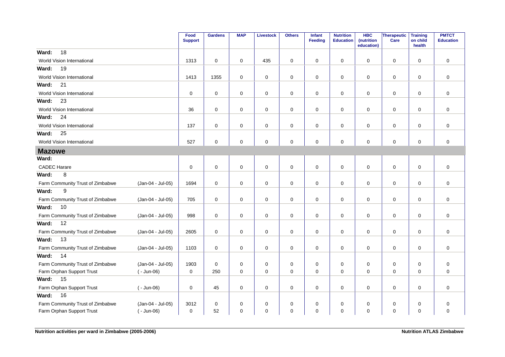|                                  |                   | Food<br><b>Support</b> | <b>Gardens</b> | <b>MAP</b>  | <b>Livestock</b> | <b>Others</b> | <b>Infant</b><br>Feeding | <b>Nutrition</b><br><b>Education</b> | <b>HBC</b><br>(nutrition<br>education) | Therapeutic<br>Care | <b>Training</b><br>on child<br>health | <b>PMTCT</b><br><b>Education</b> |
|----------------------------------|-------------------|------------------------|----------------|-------------|------------------|---------------|--------------------------|--------------------------------------|----------------------------------------|---------------------|---------------------------------------|----------------------------------|
| 18<br>Ward:                      |                   |                        |                |             |                  |               |                          |                                      |                                        |                     |                                       |                                  |
| World Vision International       |                   | 1313                   | $\mathbf{0}$   | $\mathbf 0$ | 435              | 0             | $\mathbf 0$              | $\mathbf 0$                          | $\mathbf 0$                            | $\mathsf{O}\xspace$ | $\mathbf 0$                           | $\mathbf 0$                      |
| 19<br>Ward:                      |                   |                        |                |             |                  |               |                          |                                      |                                        |                     |                                       |                                  |
| World Vision International       |                   | 1413                   | 1355           | 0           | 0                | 0             | $\mathbf 0$              | $\mathbf 0$                          | 0                                      | $\mathbf 0$         | 0                                     | $\mathbf 0$                      |
| Ward:<br>21                      |                   |                        |                |             |                  |               |                          |                                      |                                        |                     |                                       |                                  |
| World Vision International       |                   | 0                      | $\mathbf 0$    | $\mathbf 0$ | 0                | 0             | $\mathbf 0$              | $\mathbf 0$                          | 0                                      | $\mathsf{O}\xspace$ | $\mathbf 0$                           | $\mathbf 0$                      |
| Ward:<br>23                      |                   |                        |                |             |                  |               |                          |                                      |                                        |                     |                                       |                                  |
| World Vision International       |                   | 36                     | $\mathbf 0$    | 0           | $\mathbf 0$      | 0             | $\mathbf 0$              | $\mathbf 0$                          | 0                                      | $\mathbf 0$         | 0                                     | $\mathbf 0$                      |
| 24<br>Ward:                      |                   |                        |                |             |                  |               |                          |                                      |                                        |                     |                                       |                                  |
| World Vision International       |                   | 137                    | $\mathbf 0$    | 0           | 0                | 0             | 0                        | $\pmb{0}$                            | 0                                      | $\mathbf 0$         | $\mathbf 0$                           | 0                                |
| 25<br>Ward:                      |                   |                        |                |             |                  |               |                          |                                      |                                        |                     |                                       |                                  |
| World Vision International       |                   | 527                    | $\mathbf 0$    | 0           | $\mathbf 0$      | 0             | $\mathbf 0$              | $\mathbf 0$                          | $\mathbf 0$                            | $\mathbf 0$         | $\mathbf 0$                           | $\mathbf 0$                      |
| <b>Mazowe</b>                    |                   |                        |                |             |                  |               |                          |                                      |                                        |                     |                                       |                                  |
| Ward:                            |                   |                        |                |             |                  |               |                          |                                      |                                        |                     |                                       |                                  |
| <b>CADEC Harare</b>              |                   | 0                      | $\mathbf 0$    | 0           | $\pmb{0}$        | 0             | $\mathbf 0$              | $\mathbf 0$                          | $\mathbf 0$                            | $\mathbf 0$         | 0                                     | $\mathbf 0$                      |
| Ward:<br>8                       |                   |                        |                |             |                  |               |                          |                                      |                                        |                     |                                       |                                  |
| Farm Community Trust of Zimbabwe | (Jan-04 - Jul-05) | 1694                   | $\mathbf 0$    | $\mathbf 0$ | 0                | $\mathbf 0$   | 0                        | 0                                    | 0                                      | $\mathbf 0$         | $\mathbf 0$                           | 0                                |
| $\boldsymbol{9}$<br>Ward:        |                   |                        |                |             |                  |               |                          |                                      |                                        |                     |                                       |                                  |
| Farm Community Trust of Zimbabwe | (Jan-04 - Jul-05) | 705                    | $\mathbf 0$    | $\mathbf 0$ | $\mathbf 0$      | 0             | $\mathbf 0$              | $\mathbf 0$                          | $\mathbf 0$                            | $\mathbf 0$         | $\mathbf 0$                           | $\mathbf 0$                      |
| Ward:<br>10                      |                   |                        |                |             |                  |               |                          |                                      |                                        |                     |                                       |                                  |
| Farm Community Trust of Zimbabwe | (Jan-04 - Jul-05) | 998                    | $\mathbf 0$    | 0           | 0                | $\mathbf 0$   | 0                        | $\pmb{0}$                            | 0                                      | $\mathbf 0$         | 0                                     | $\mathbf 0$                      |
| 12<br>Ward:                      |                   |                        |                |             |                  |               |                          |                                      |                                        |                     |                                       |                                  |
| Farm Community Trust of Zimbabwe | (Jan-04 - Jul-05) | 2605                   | $\mathbf 0$    | 0           | $\mathbf 0$      | $\mathbf 0$   | $\mathbf 0$              | $\mathbf 0$                          | $\mathbf 0$                            | $\mathbf 0$         | $\mathbf 0$                           | $\mathbf 0$                      |
| 13<br>Ward:                      |                   |                        |                |             |                  |               |                          |                                      |                                        |                     |                                       |                                  |
| Farm Community Trust of Zimbabwe | (Jan-04 - Jul-05) | 1103                   | $\mathbf 0$    | $\mathbf 0$ | $\mathbf 0$      | $\mathbf 0$   | $\mathbf 0$              | $\mathbf 0$                          | $\mathbf 0$                            | $\mathbf 0$         | $\mathbf 0$                           | $\mathbf 0$                      |
| Ward:<br>14                      |                   |                        |                |             |                  |               |                          |                                      |                                        |                     |                                       |                                  |
| Farm Community Trust of Zimbabwe | (Jan-04 - Jul-05) | 1903                   | $\mathbf 0$    | 0           | 0                | 0             | 0                        | 0                                    | 0                                      | 0                   | 0                                     | $\mathbf 0$                      |
| Farm Orphan Support Trust        | $(-$ Jun-06)      | $\mathbf 0$            | 250            | 0           | 0                | 0             | $\mathbf 0$              | $\Omega$                             | $\mathbf 0$                            | $\mathbf 0$         | $\Omega$                              | $\mathbf 0$                      |
| Ward:<br>15                      |                   |                        |                |             |                  |               |                          |                                      |                                        |                     |                                       |                                  |
| Farm Orphan Support Trust        | $(-$ Jun-06)      | 0                      | 45             | 0           | 0                | 0             | 0                        | 0                                    | 0                                      | $\mathbf 0$         | 0                                     | $\mathbf 0$                      |
| 16<br>Ward:                      |                   |                        |                |             |                  |               |                          |                                      |                                        |                     |                                       |                                  |
| Farm Community Trust of Zimbabwe | (Jan-04 - Jul-05) | 3012                   | $\mathbf 0$    | 0           | 0                | $\mathbf 0$   | $\mathbf 0$              | $\mathbf 0$                          | 0                                      | $\mathbf 0$         | $\mathbf 0$                           | $\mathsf 0$                      |
| Farm Orphan Support Trust        | $(-$ Jun-06)      | 0                      | 52             | $\mathbf 0$ | $\mathbf 0$      | 0             | 0                        | 0                                    | $\mathbf 0$                            | 0                   | 0                                     | $\mathbf 0$                      |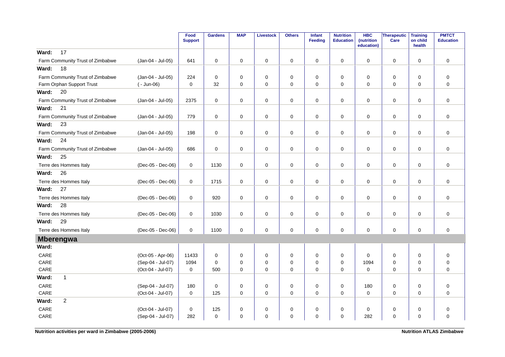|                                  |                   | Food<br><b>Support</b> | <b>Gardens</b>      | <b>MAP</b>  | <b>Livestock</b> | <b>Others</b> | Infant<br><b>Feeding</b> | <b>Nutrition</b><br><b>Education</b> | <b>HBC</b><br>(nutrition<br>education) | <b>Therapeutic</b><br>Care | <b>Training</b><br>on child<br>health | <b>PMTCT</b><br><b>Education</b> |
|----------------------------------|-------------------|------------------------|---------------------|-------------|------------------|---------------|--------------------------|--------------------------------------|----------------------------------------|----------------------------|---------------------------------------|----------------------------------|
| 17<br>Ward:                      |                   |                        |                     |             |                  |               |                          |                                      |                                        |                            |                                       |                                  |
| Farm Community Trust of Zimbabwe | (Jan-04 - Jul-05) | 641                    | $\mathbf 0$         | $\mathbf 0$ | 0                | 0             | $\mathbf 0$              | 0                                    | $\mathbf 0$                            | 0                          | $\mathbf 0$                           | $\mathbf 0$                      |
| 18<br>Ward:                      |                   |                        |                     |             |                  |               |                          |                                      |                                        |                            |                                       |                                  |
| Farm Community Trust of Zimbabwe | (Jan-04 - Jul-05) | 224                    | $\mathbf 0$         | $\mathbf 0$ | 0                | 0             | $\mathbf 0$              | $\mathbf 0$                          | 0                                      | 0                          | $\mathbf 0$                           | $\mathbf 0$                      |
| Farm Orphan Support Trust        | $(-$ Jun-06)      | $\Omega$               | 32                  | $\Omega$    | $\mathbf 0$      | $\Omega$      | $\Omega$                 | 0                                    | $\Omega$                               | $\mathbf 0$                | $\Omega$                              | $\Omega$                         |
| 20<br>Ward:                      |                   |                        |                     |             |                  |               |                          |                                      |                                        |                            |                                       |                                  |
| Farm Community Trust of Zimbabwe | (Jan-04 - Jul-05) | 2375                   | $\mathbf 0$         | $\mathbf 0$ | $\mathbf 0$      | 0             | $\mathbf 0$              | $\mathbf 0$                          | $\mathbf 0$                            | $\mathbf 0$                | $\mathbf 0$                           | $\mathbf 0$                      |
| 21<br>Ward:                      |                   |                        |                     |             |                  |               |                          |                                      |                                        |                            |                                       |                                  |
| Farm Community Trust of Zimbabwe | (Jan-04 - Jul-05) | 779                    | $\mathbf 0$         | 0           | 0                | 0             | $\mathbf 0$              | 0                                    | $\mathbf 0$                            | 0                          | 0                                     | $\mathbf 0$                      |
| 23<br>Ward:                      |                   |                        |                     |             |                  |               |                          |                                      |                                        |                            |                                       |                                  |
| Farm Community Trust of Zimbabwe | (Jan-04 - Jul-05) | 198                    | $\mathsf{O}\xspace$ | 0           | $\mathbf 0$      | 0             | $\mathbf 0$              | 0                                    | 0                                      | $\mathbf 0$                | $\mathbf 0$                           | $\pmb{0}$                        |
| 24<br>Ward:                      |                   |                        |                     |             |                  |               |                          |                                      |                                        |                            |                                       |                                  |
| Farm Community Trust of Zimbabwe | (Jan-04 - Jul-05) | 686                    | $\mathbf 0$         | 0           | 0                | 0             | $\mathbf 0$              | 0                                    | $\mathbf 0$                            | 0                          | $\mathbf 0$                           | $\mathbf 0$                      |
| Ward:<br>25                      |                   |                        |                     |             |                  |               |                          |                                      |                                        |                            |                                       |                                  |
| Terre des Hommes Italy           | (Dec-05 - Dec-06) | 0                      | 1130                | $\mathbf 0$ | 0                | 0             | $\mathbf 0$              | 0                                    | $\mathbf 0$                            | 0                          | $\mathbf 0$                           | $\mathbf 0$                      |
| Ward:<br>26                      |                   |                        |                     |             |                  |               |                          |                                      |                                        |                            |                                       |                                  |
| Terre des Hommes Italy           | (Dec-05 - Dec-06) | 0                      | 1715                | 0           | $\mathbf 0$      | 0             | $\mathbf 0$              | 0                                    | $\mathbf 0$                            | 0                          | $\mathbf 0$                           | $\mathbf 0$                      |
| 27<br>Ward:                      |                   |                        |                     |             |                  |               |                          |                                      |                                        |                            |                                       |                                  |
| Terre des Hommes Italy           | (Dec-05 - Dec-06) | 0                      | 920                 | $\mathbf 0$ | $\mathbf 0$      | $\mathbf 0$   | $\mathbf 0$              | 0                                    | $\mathbf 0$                            | 0                          | $\mathbf 0$                           | $\mathbf 0$                      |
| 28<br>Ward:                      |                   |                        |                     |             |                  |               |                          |                                      |                                        |                            |                                       |                                  |
| Terre des Hommes Italy           | (Dec-05 - Dec-06) | $\mathbf 0$            | 1030                | $\mathbf 0$ | $\mathbf 0$      | 0             | $\mathbf 0$              | $\mathbf 0$                          | $\Omega$                               | $\mathbf 0$                | $\mathbf 0$                           | $\mathbf 0$                      |
| 29<br>Ward:                      |                   |                        |                     |             |                  |               |                          |                                      |                                        |                            |                                       |                                  |
| Terre des Hommes Italy           | (Dec-05 - Dec-06) | 0                      | 1100                | $\mathbf 0$ | $\mathbf 0$      | 0             | $\mathbf 0$              | 0                                    | $\mathbf 0$                            | $\mathbf 0$                | $\mathbf 0$                           | $\mathbf 0$                      |
| <b>Mberengwa</b>                 |                   |                        |                     |             |                  |               |                          |                                      |                                        |                            |                                       |                                  |
| Ward:                            |                   |                        |                     |             |                  |               |                          |                                      |                                        |                            |                                       |                                  |
| CARE                             | (Oct-05 - Apr-06) | 11433                  | $\mathbf 0$         | $\mathbf 0$ | $\mathbf 0$      | 0             | $\mathbf 0$              | $\mathbf 0$                          | $\Omega$                               | $\mathbf 0$                | $\mathbf 0$                           | $\mathbf 0$                      |
| CARE                             | (Sep-04 - Jul-07) | 1094                   | $\Omega$            | $\mathbf 0$ | $\mathbf 0$      | $\mathbf 0$   | $\Omega$                 | 0                                    | 1094                                   | 0                          | $\mathbf 0$                           | $\mathbf 0$                      |
| CARE                             | (Oct-04 - Jul-07) | 0                      | 500                 | $\Omega$    | $\mathbf 0$      | $\Omega$      | $\Omega$                 | $\Omega$                             | $\Omega$                               | $\Omega$                   | $\Omega$                              | $\Omega$                         |
| Ward:<br>$\mathbf{1}$            |                   |                        |                     |             |                  |               |                          |                                      |                                        |                            |                                       |                                  |
| CARE                             | (Sep-04 - Jul-07) | 180                    | $\mathbf 0$         | 0           | $\pmb{0}$        | $\mathbf 0$   | $\mathbf 0$              | 0                                    | 180                                    | 0                          | $\mathbf 0$                           | $\pmb{0}$                        |
| CARE                             | (Oct-04 - Jul-07) | $\mathbf 0$            | 125                 | $\mathbf 0$ | $\mathbf 0$      | $\mathbf 0$   | $\mathbf 0$              | $\mathbf 0$                          | $\mathbf 0$                            | $\mathbf 0$                | $\mathbf 0$                           | $\mathbf 0$                      |
| $\overline{2}$<br>Ward:          |                   |                        |                     |             |                  |               |                          |                                      |                                        |                            |                                       |                                  |
| CARE                             | (Oct-04 - Jul-07) | 0                      | 125                 | 0           | 0                | 0             | 0                        | 0                                    | 0                                      | 0                          | 0                                     | $\mathbf 0$                      |
| CARE                             | (Sep-04 - Jul-07) | 282                    | $\mathbf 0$         | 0           | $\Omega$         | 0             | $\mathbf 0$              | $\mathbf 0$                          | 282                                    | $\mathbf 0$                | $\mathbf 0$                           | $\mathbf 0$                      |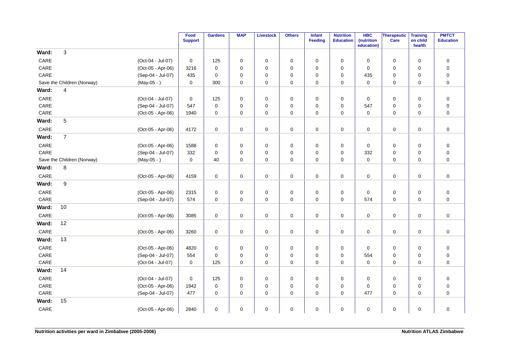|       |                            |                   | Food<br><b>Support</b> | <b>Gardens</b> | <b>MAP</b>  | <b>Livestock</b> | <b>Others</b> | Infant<br><b>Feeding</b> | <b>Nutrition</b><br><b>Education</b> | <b>HBC</b><br>(nutrition<br>education) | Therapeutic<br>Care | <b>Training</b><br>on child<br>health | <b>PMTCT</b><br><b>Education</b> |
|-------|----------------------------|-------------------|------------------------|----------------|-------------|------------------|---------------|--------------------------|--------------------------------------|----------------------------------------|---------------------|---------------------------------------|----------------------------------|
| Ward: | 3                          |                   |                        |                |             |                  |               |                          |                                      |                                        |                     |                                       |                                  |
| CARE  |                            | (Oct-04 - Jul-07) | 0                      | 125            | 0           | $\mathbf 0$      | 0             | 0                        | 0                                    | 0                                      | 0                   | $\mathbf 0$                           | $\pmb{0}$                        |
| CARE  |                            | (Oct-05 - Apr-06) | 3216                   | $\mathbf 0$    | 0           | $\mathbf 0$      | 0             | $\mathbf 0$              | $\mathbf 0$                          | $\mathbf 0$                            | $\mathbf 0$         | $\mathbf 0$                           | $\pmb{0}$                        |
| CARE  |                            | (Sep-04 - Jul-07) | 435                    | $\mathbf 0$    | 0           | $\mathbf 0$      | 0             | 0                        | 0                                    | 435                                    | 0                   | 0                                     | $\pmb{0}$                        |
|       | Save the Children (Norway) | $(May-05 - )$     | 0                      | 300            | $\mathbf 0$ | $\mathbf 0$      | 0             | $\mathbf 0$              | 0                                    | $\mathbf 0$                            | 0                   | $\mathbf 0$                           | $\pmb{0}$                        |
| Ward: | 4                          |                   |                        |                |             |                  |               |                          |                                      |                                        |                     |                                       |                                  |
| CARE  |                            | (Oct-04 - Jul-07) | 0                      | 125            | $\mathbf 0$ | 0                | 0             | $\mathbf 0$              | 0                                    | $\mathbf 0$                            | 0                   | $\mathbf 0$                           | $\mathbf 0$                      |
| CARE  |                            | (Sep-04 - Jul-07) | 547                    | $\mathbf 0$    | 0           | $\mathbf 0$      | 0             | $\mathbf 0$              | 0                                    | 547                                    | 0                   | $\mathbf 0$                           | $\pmb{0}$                        |
| CARE  |                            | (Oct-05 - Apr-06) | 1940                   | $\mathbf 0$    | 0           | $\mathbf 0$      | 0             | 0                        | 0                                    | 0                                      | 0                   | 0                                     | $\pmb{0}$                        |
| Ward: | 5                          |                   |                        |                |             |                  |               |                          |                                      |                                        |                     |                                       |                                  |
| CARE  |                            | (Oct-05 - Apr-06) | 4172                   | 0              | 0           | 0                | 0             | 0                        | 0                                    | 0                                      | 0                   | $\mathbf 0$                           | $\mathbf 0$                      |
| Ward: | $\overline{7}$             |                   |                        |                |             |                  |               |                          |                                      |                                        |                     |                                       |                                  |
| CARE  |                            | (Oct-05 - Apr-06) | 1588                   | 0              | 0           | $\mathbf 0$      | 0             | 0                        | 0                                    | 0                                      | 0                   | $\mathbf 0$                           | $\pmb{0}$                        |
| CARE  |                            | (Sep-04 - Jul-07) | 332                    | $\mathbf 0$    | 0           | 0                | 0             | $\mathbf 0$              | 0                                    | 332                                    | 0                   | $\mathbf 0$                           | $\pmb{0}$                        |
|       | Save the Children (Norway) | $(May-05 - )$     | 0                      | 40             | 0           | $\mathbf 0$      | 0             | $\mathbf 0$              | 0                                    | $\pmb{0}$                              | $\mathbf 0$         | $\mathbf 0$                           | $\pmb{0}$                        |
| Ward: | 8                          |                   |                        |                |             |                  |               |                          |                                      |                                        |                     |                                       |                                  |
| CARE  |                            | (Oct-05 - Apr-06) | 4159                   | $\pmb{0}$      | 0           | 0                | 0             | $\mathbf 0$              | 0                                    | $\mathbf 0$                            | 0                   | $\mathbf 0$                           | $\pmb{0}$                        |
| Ward: | 9                          |                   |                        |                |             |                  |               |                          |                                      |                                        |                     |                                       |                                  |
| CARE  |                            | (Oct-05 - Apr-06) | 2315                   | $\mathbf 0$    | 0           | 0                | 0             | $\mathbf 0$              | 0                                    | 0                                      | 0                   | 0                                     | $\pmb{0}$                        |
| CARE  |                            | (Sep-04 - Jul-07) | 574                    | $\mathbf 0$    | 0           | $\pmb{0}$        | 0             | $\mathbf 0$              | 0                                    | 574                                    | 0                   | 0                                     | $\pmb{0}$                        |
| Ward: | 10                         |                   |                        |                |             |                  |               |                          |                                      |                                        |                     |                                       |                                  |
| CARE  |                            | (Oct-05 - Apr-06) | 3085                   | $\mathbf 0$    | 0           | $\pmb{0}$        | $\mathbf 0$   | $\mathbf 0$              | 0                                    | 0                                      | $\mathbf 0$         | $\mathbf 0$                           | $\pmb{0}$                        |
| Ward: | 12                         |                   |                        |                |             |                  |               |                          |                                      |                                        |                     |                                       |                                  |
| CARE  |                            | (Oct-05 - Apr-06) | 3260                   | $\mathbf 0$    | 0           | $\mathbf 0$      | 0             | $\mathbf 0$              | 0                                    | $\mathbf 0$                            | $\mathbf 0$         | $\mathbf 0$                           | $\pmb{0}$                        |
| Ward: | 13                         |                   |                        |                |             |                  |               |                          |                                      |                                        |                     |                                       |                                  |
| CARE  |                            | (Oct-05 - Apr-06) | 4820                   | 0              | 0           | $\mathbf 0$      | 0             | 0                        | 0                                    | 0                                      | $\mathbf 0$         | $\mathbf 0$                           | $\pmb{0}$                        |
| CARE  |                            | (Sep-04 - Jul-07) | 554                    | 0              | 0           | $\mathbf 0$      | 0             | 0                        | 0                                    | 554                                    | 0                   | $\mathbf 0$                           | $\pmb{0}$                        |
| CARE  |                            | (Oct-04 - Jul-07) | 0                      | 125            | 0           | 0                | 0             | $\mathbf 0$              | $\Omega$                             | $\mathbf 0$                            | $\mathbf 0$         | $\mathbf 0$                           | $\pmb{0}$                        |
| Ward: | 14                         |                   |                        |                |             |                  |               |                          |                                      |                                        |                     |                                       |                                  |
| CARE  |                            | (Oct-04 - Jul-07) | 0                      | 125            | 0           | $\mathbf 0$      | 0             | 0                        | 0                                    | 0                                      | 0                   | $\mathbf 0$                           | $\pmb{0}$                        |
| CARE  |                            | (Oct-05 - Apr-06) | 1942                   | $\mathbf 0$    | 0           | $\pmb{0}$        | 0             | $\mathbf 0$              | 0                                    | 0                                      | 0                   | $\mathbf 0$                           | $\pmb{0}$                        |
| CARE  |                            | (Sep-04 - Jul-07) | 477                    | 0              | 0           | 0                | 0             | 0                        | 0                                    | 477                                    | 0                   | 0                                     | $\mathbf 0$                      |
| Ward: | 15                         |                   |                        |                |             |                  |               |                          |                                      |                                        |                     |                                       |                                  |
| CARE  |                            | (Oct-05 - Apr-06) | 2840                   | $\mathbf 0$    | 0           | $\pmb{0}$        | 0             | 0                        | 0                                    | 0                                      | 0                   | 0                                     | $\pmb{0}$                        |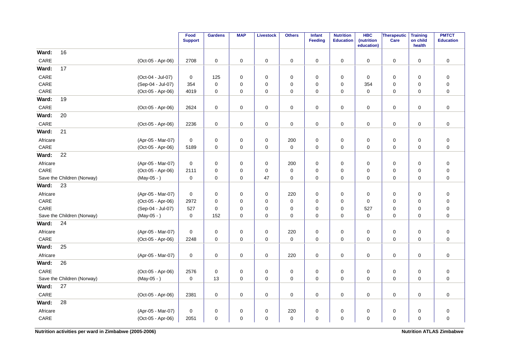|                 |                            |                   | Food<br><b>Support</b> | <b>Gardens</b>      | <b>MAP</b>  | <b>Livestock</b>    | <b>Others</b> | <b>Infant</b><br><b>Feeding</b> | <b>Nutrition</b><br><b>Education</b> | <b>HBC</b><br>(nutrition<br>education) | Therapeutic<br>Care | <b>Training</b><br>on child<br>health | <b>PMTCT</b><br><b>Education</b> |
|-----------------|----------------------------|-------------------|------------------------|---------------------|-------------|---------------------|---------------|---------------------------------|--------------------------------------|----------------------------------------|---------------------|---------------------------------------|----------------------------------|
| Ward:           | 16                         |                   |                        |                     |             |                     |               |                                 |                                      |                                        |                     |                                       |                                  |
| CARE            |                            | (Oct-05 - Apr-06) | 2708                   | $\mathbf 0$         | $\mathbf 0$ | $\mathbf 0$         | 0             | 0                               | $\mathbf 0$                          | 0                                      | 0                   | $\mathbf 0$                           | $\mathbf 0$                      |
| Ward:           | 17                         |                   |                        |                     |             |                     |               |                                 |                                      |                                        |                     |                                       |                                  |
| CARE            |                            | (Oct-04 - Jul-07) | 0                      | 125                 | 0           | $\mathbf 0$         | 0             | $\mathbf 0$                     | 0                                    | 0                                      | 0                   | 0                                     | $\mathbf 0$                      |
| CARE            |                            | (Sep-04 - Jul-07) | 354                    | $\mathbf 0$         | $\mathbf 0$ | $\mathbf 0$         | 0             | $\mathbf 0$                     | 0                                    | 354                                    | 0                   | 0                                     | $\pmb{0}$                        |
| CARE            |                            | (Oct-05 - Apr-06) | 4019                   | $\mathbf 0$         | $\mathbf 0$ | $\mathbf 0$         | $\mathbf 0$   | $\mathbf 0$                     | $\mathbf 0$                          | $\mathbf 0$                            | 0                   | $\mathbf 0$                           | $\mathbf 0$                      |
| Ward:           | 19                         |                   |                        |                     |             |                     |               |                                 |                                      |                                        |                     |                                       |                                  |
| CARE            |                            | (Oct-05 - Apr-06) | 2624                   | $\mathsf{O}\xspace$ | 0           | $\pmb{0}$           | $\pmb{0}$     | $\mathbf 0$                     | $\pmb{0}$                            | 0                                      | $\pmb{0}$           | $\mathbf 0$                           | $\pmb{0}$                        |
| Ward:           | 20                         |                   |                        |                     |             |                     |               |                                 |                                      |                                        |                     |                                       |                                  |
| CARE            |                            | (Oct-05 - Apr-06) | 2236                   | $\mathsf{O}\xspace$ | 0           | $\mathsf{O}\xspace$ | $\pmb{0}$     | 0                               | 0                                    | 0                                      | 0                   | 0                                     | $\pmb{0}$                        |
| Ward:           | 21                         |                   |                        |                     |             |                     |               |                                 |                                      |                                        |                     |                                       |                                  |
| Africare        |                            | (Apr-05 - Mar-07) | 0                      | $\mathbf 0$         | 0           | 0                   | 200           | 0                               | 0                                    | 0                                      | 0                   | $\mathbf 0$                           | $\mathbf 0$                      |
| CARE            |                            | (Oct-05 - Apr-06) | 5189                   | $\mathbf 0$         | 0           | $\mathsf{O}\xspace$ | $\mathsf 0$   | $\mathbf 0$                     | $\pmb{0}$                            | 0                                      | 0                   | $\mathbf 0$                           | $\pmb{0}$                        |
| Ward:           | 22                         |                   |                        |                     |             |                     |               |                                 |                                      |                                        |                     |                                       |                                  |
| Africare        |                            | (Apr-05 - Mar-07) | $\mathbf 0$            | 0                   | $\mathbf 0$ | 0                   | 200           | $\mathbf 0$                     | $\mathbf 0$                          | 0                                      | 0                   | $\mathbf 0$                           | $\boldsymbol{0}$                 |
| CARE            |                            | (Oct-05 - Apr-06) | 2111                   | $\mathsf{O}\xspace$ | 0           | $\mathbf 0$         | $\pmb{0}$     | $\mathbf 0$                     | 0                                    | 0                                      | 0                   | 0                                     | $\pmb{0}$                        |
|                 | Save the Children (Norway) | $(May-05 - )$     | 0                      | $\mathbf 0$         | 0           | 47                  | 0             | 0                               | $\Omega$                             | 0                                      | 0                   | 0                                     | $\mathbf 0$                      |
| Ward:           | 23                         |                   |                        |                     |             |                     |               |                                 |                                      |                                        |                     |                                       |                                  |
| Africare        |                            | (Apr-05 - Mar-07) | $\mathbf 0$            | $\mathbf 0$         | 0           | $\mathbf 0$         | 220           | $\mathbf 0$                     | 0                                    | 0                                      | 0                   | $\mathbf 0$                           | $\mathbf 0$                      |
| CARE            |                            | (Oct-05 - Apr-06) | 2972                   | $\mathbf 0$         | $\mathbf 0$ | $\mathbf 0$         | $\mathbf 0$   | $\mathbf 0$                     | 0                                    | 0                                      | 0                   | $\mathbf 0$                           | $\mathbf 0$                      |
| CARE            |                            | (Sep-04 - Jul-07) | 527                    | $\mathbf 0$         | 0           | $\mathbf 0$         | 0             | $\mathbf 0$                     | 0                                    | 527                                    | 0                   | $\mathbf 0$                           | $\pmb{0}$                        |
|                 | Save the Children (Norway) | $(May-05 - )$     | $\mathbf 0$            | 152                 | $\mathbf 0$ | $\mathbf 0$         | $\pmb{0}$     | $\mathbf 0$                     | $\mathbf 0$                          | $\mathbf 0$                            | 0                   | $\mathbf 0$                           | $\pmb{0}$                        |
| Ward:           | 24                         |                   |                        |                     |             |                     |               |                                 |                                      |                                        |                     |                                       |                                  |
| Africare        |                            | (Apr-05 - Mar-07) | $\mathbf 0$            | 0                   | $\mathbf 0$ | 0                   | 220           | $\mathbf 0$                     | $\mathbf 0$                          | $\mathbf 0$                            | 0                   | $\mathbf 0$                           | $\boldsymbol{0}$                 |
| CARE            |                            | (Oct-05 - Apr-06) | 2248                   | $\mathbf 0$         | $\mathbf 0$ | $\mathbf 0$         | $\mathbf 0$   | $\mathbf 0$                     | $\mathbf 0$                          | 0                                      | $\mathbf 0$         | $\mathbf 0$                           | $\mathbf 0$                      |
| Ward:           | 25                         |                   |                        |                     |             |                     |               |                                 |                                      |                                        |                     |                                       |                                  |
| Africare        |                            | (Apr-05 - Mar-07) | $\pmb{0}$              | $\mathbf 0$         | 0           | $\mathsf{O}\xspace$ | 220           | 0                               | $\pmb{0}$                            | 0                                      | $\mathsf 0$         | $\mathbf 0$                           | $\pmb{0}$                        |
| Ward:           | 26                         |                   |                        |                     |             |                     |               |                                 |                                      |                                        |                     |                                       |                                  |
| CARE            |                            | (Oct-05 - Apr-06) | 2576                   | $\mathbf 0$         | 0           | $\pmb{0}$           | 0             | 0                               | 0                                    | 0                                      | 0                   | 0                                     | $\boldsymbol{0}$                 |
|                 | Save the Children (Norway) | $(May-05 - )$     | $\mathbf 0$            | 13                  | $\mathbf 0$ | $\mathbf 0$         | $\mathbf 0$   | $\mathbf 0$                     | $\mathbf 0$                          | 0                                      | 0                   | $\mathbf 0$                           | $\mathbf 0$                      |
| Ward:           | 27                         |                   |                        |                     |             |                     |               |                                 |                                      |                                        |                     |                                       |                                  |
| CARE            |                            | (Oct-05 - Apr-06) | 2381                   | $\mathbf 0$         | 0           | 0                   | 0             | 0                               | 0                                    | 0                                      | 0                   | 0                                     | $\pmb{0}$                        |
| Ward:           | 28                         |                   |                        |                     |             |                     |               |                                 |                                      |                                        |                     |                                       |                                  |
| Africare        |                            | (Apr-05 - Mar-07) | 0                      | 0                   | 0           | 0                   | 220           | 0                               | 0                                    | 0                                      | $\mathbf 0$         | $\mathbf 0$                           | $\mathbf 0$                      |
| $\mathsf{CARE}$ |                            | (Oct-05 - Apr-06) | 2051                   | $\pmb{0}$           | $\mathbf 0$ | $\mathbf 0$         | $\pmb{0}$     | $\mathbf 0$                     | 0                                    | $\mathbf 0$                            | 0                   | $\mathbf 0$                           | $\pmb{0}$                        |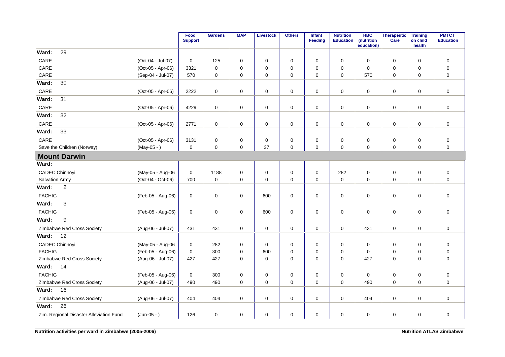|                                         |                   | Food<br><b>Support</b> | <b>Gardens</b> | <b>MAP</b>  | <b>Livestock</b> | <b>Others</b> | <b>Infant</b><br>Feeding | <b>Nutrition</b><br><b>Education</b> | <b>HBC</b><br>(nutrition<br>education) | Therapeutic<br>Care | <b>Training</b><br>on child<br>health | <b>PMTCT</b><br><b>Education</b> |
|-----------------------------------------|-------------------|------------------------|----------------|-------------|------------------|---------------|--------------------------|--------------------------------------|----------------------------------------|---------------------|---------------------------------------|----------------------------------|
| 29<br>Ward:                             |                   |                        |                |             |                  |               |                          |                                      |                                        |                     |                                       |                                  |
| CARE                                    | (Oct-04 - Jul-07) | 0                      | 125            | 0           | 0                | 0             | $\mathbf 0$              | 0                                    | 0                                      | 0                   | $\mathbf 0$                           | $\mathbf 0$                      |
| CARE                                    | (Oct-05 - Apr-06) | 3321                   | $\mathbf 0$    | $\Omega$    | 0                | 0             | 0                        | $\mathbf 0$                          | $\Omega$                               | 0                   | $\mathbf 0$                           | $\mathbf 0$                      |
| CARE                                    | (Sep-04 - Jul-07) | 570                    | $\mathbf 0$    | 0           | 0                | $\mathbf 0$   | $\mathbf 0$              | 0                                    | 570                                    | 0                   | 0                                     | $\mathbf 0$                      |
| 30<br>Ward:                             |                   |                        |                |             |                  |               |                          |                                      |                                        |                     |                                       |                                  |
| CARE                                    | (Oct-05 - Apr-06) | 2222                   | 0              | 0           | 0                | $\mathsf 0$   | 0                        | 0                                    | 0                                      | $\mathsf{O}\xspace$ | 0                                     | $\mathbf 0$                      |
| 31<br>Ward:                             |                   |                        |                |             |                  |               |                          |                                      |                                        |                     |                                       |                                  |
| CARE                                    | (Oct-05 - Apr-06) | 4229                   | 0              | 0           | 0                | 0             | 0                        | 0                                    | 0                                      | 0                   | 0                                     | $\mathbf 0$                      |
| 32<br>Ward:                             |                   |                        |                |             |                  |               |                          |                                      |                                        |                     |                                       |                                  |
| CARE                                    | (Oct-05 - Apr-06) | 2771                   | 0              | 0           | 0                | 0             | 0                        | 0                                    | 0                                      | $\mathbf 0$         | 0                                     | $\mathbf 0$                      |
| Ward:<br>33                             |                   |                        |                |             |                  |               |                          |                                      |                                        |                     |                                       |                                  |
| CARE                                    | (Oct-05 - Apr-06) | 3131                   | 0              | 0           | 0                | 0             | 0                        | 0                                    | 0                                      | 0                   | 0                                     | $\mathsf 0$                      |
| Save the Children (Norway)              | $(May-05 - )$     | $\mathbf 0$            | $\mathbf 0$    | $\mathbf 0$ | 37               | $\mathbf 0$   | 0                        | $\mathbf 0$                          | $\mathbf 0$                            | $\mathbf 0$         | $\mathbf 0$                           | $\mathbf 0$                      |
| <b>Mount Darwin</b>                     |                   |                        |                |             |                  |               |                          |                                      |                                        |                     |                                       |                                  |
| Ward:                                   |                   |                        |                |             |                  |               |                          |                                      |                                        |                     |                                       |                                  |
| <b>CADEC Chinhoyi</b>                   | (May-05 - Aug-06  | 0                      | 1188           | 0           | 0                | 0             | 0                        | 282                                  | 0                                      | 0                   | 0                                     | $\mathbf 0$                      |
| Salvation Army                          | (Oct-04 - Oct-06) | 700                    | 0              | 0           | 0                | 0             | $\mathbf 0$              | $\mathbf 0$                          | 0                                      | 0                   | $\mathbf 0$                           | $\mathbf 0$                      |
| $\overline{c}$<br>Ward:                 |                   |                        |                |             |                  |               |                          |                                      |                                        |                     |                                       |                                  |
| <b>FACHIG</b>                           | (Feb-05 - Aug-06) | 0                      | $\mathbf 0$    | 0           | 600              | 0             | 0                        | 0                                    | 0                                      | $\mathbf 0$         | 0                                     | $\mathbf 0$                      |
| 3<br>Ward:                              |                   |                        |                |             |                  |               |                          |                                      |                                        |                     |                                       |                                  |
| <b>FACHIG</b>                           | (Feb-05 - Aug-06) | $\mathbf 0$            | $\mathbf 0$    | $\mathbf 0$ | 600              | $\mathbf 0$   | $\mathbf 0$              | $\mathbf 0$                          | $\mathbf 0$                            | $\mathbf 0$         | $\mathbf 0$                           | $\mathbf 0$                      |
| 9<br>Ward:                              |                   |                        |                |             |                  |               |                          |                                      |                                        |                     |                                       |                                  |
| Zimbabwe Red Cross Society              | (Aug-06 - Jul-07) | 431                    | 431            | 0           | 0                | 0             | 0                        | 0                                    | 431                                    | $\mathbf 0$         | 0                                     | $\mathsf 0$                      |
| 12<br>Ward:                             |                   |                        |                |             |                  |               |                          |                                      |                                        |                     |                                       |                                  |
| <b>CADEC Chinhoyi</b>                   | (May-05 - Aug-06  | 0                      | 282            | $\mathbf 0$ | 0                | 0             | $\mathbf 0$              | 0                                    | 0                                      | 0                   | $\mathbf 0$                           | $\mathbf 0$                      |
| <b>FACHIG</b>                           | (Feb-05 - Aug-06) | $\mathbf 0$            | 300            | 0           | 600              | 0             | 0                        | 0                                    | 0                                      | 0                   | 0                                     | $\mathbf 0$                      |
| Zimbabwe Red Cross Society              | (Aug-06 - Jul-07) | 427                    | 427            | $\mathbf 0$ | $\mathbf 0$      | $\mathbf 0$   | $\mathbf 0$              | $\mathbf 0$                          | 427                                    | $\mathbf 0$         | $\Omega$                              | $\mathbf 0$                      |
| 14<br>Ward:                             |                   |                        |                |             |                  |               |                          |                                      |                                        |                     |                                       |                                  |
| <b>FACHIG</b>                           | (Feb-05 - Aug-06) | 0                      | 300            | 0           | 0                | 0             | 0                        | 0                                    | 0                                      | 0                   | 0                                     | $\mathbf 0$                      |
| Zimbabwe Red Cross Society              | (Aug-06 - Jul-07) | 490                    | 490            | 0           | 0                | $\mathbf 0$   | 0                        | 0                                    | 490                                    | 0                   | 0                                     | $\mathbf 0$                      |
| 16<br>Ward:                             |                   |                        |                |             |                  |               |                          |                                      |                                        |                     |                                       |                                  |
| Zimbabwe Red Cross Society              | (Aug-06 - Jul-07) | 404                    | 404            | $\mathbf 0$ | $\mathbf 0$      | $\pmb{0}$     | 0                        | 0                                    | 404                                    | $\mathbf 0$         | 0                                     | $\mathbf 0$                      |
| 26<br>Ward:                             |                   |                        |                |             |                  |               |                          |                                      |                                        |                     |                                       |                                  |
| Zim. Regional Disaster Alleviation Fund | $(Jun-05 - )$     | 126                    | 0              | 0           | 0                | 0             | 0                        | 0                                    | 0                                      | 0                   | 0                                     | $\mathbf 0$                      |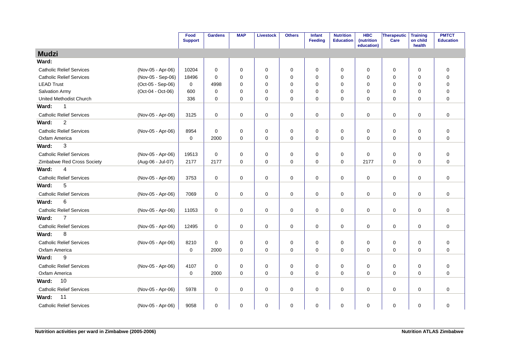|                                 |                   | Food<br><b>Support</b> | <b>Gardens</b> | <b>MAP</b>  | <b>Livestock</b> | <b>Others</b> | Infant<br><b>Feeding</b> | <b>Nutrition</b><br><b>Education</b> | <b>HBC</b><br>(nutrition<br>education) | Therapeutic<br>Care | <b>Training</b><br>on child<br>health | <b>PMTCT</b><br><b>Education</b> |
|---------------------------------|-------------------|------------------------|----------------|-------------|------------------|---------------|--------------------------|--------------------------------------|----------------------------------------|---------------------|---------------------------------------|----------------------------------|
| <b>Mudzi</b>                    |                   |                        |                |             |                  |               |                          |                                      |                                        |                     |                                       |                                  |
| Ward:                           |                   |                        |                |             |                  |               |                          |                                      |                                        |                     |                                       |                                  |
| <b>Catholic Relief Services</b> | (Nov-05 - Apr-06) | 10204                  | $\mathbf 0$    | 0           | 0                | $\pmb{0}$     | $\mathbf 0$              | $\mathbf 0$                          | 0                                      | 0                   | 0                                     | $\mathbf 0$                      |
| <b>Catholic Relief Services</b> | (Nov-05 - Sep-06) | 18496                  | $\Omega$       | 0           | $\mathbf 0$      | $\mathbf 0$   | $\Omega$                 | $\Omega$                             | $\Omega$                               | $\mathbf 0$         | 0                                     | $\mathbf 0$                      |
| <b>LEAD Trust</b>               | (Oct-05 - Sep-06) | $\mathbf 0$            | 4998           | 0           | $\mathbf 0$      | $\mathbf 0$   | 0                        | $\Omega$                             | 0                                      | $\mathbf 0$         | 0                                     | $\mathbf 0$                      |
| <b>Salvation Army</b>           | (Oct-04 - Oct-06) | 600                    | $\mathbf 0$    | 0           | 0                | $\mathbf 0$   | $\Omega$                 | $\Omega$                             | $\Omega$                               | 0                   | $\Omega$                              | $\mathbf 0$                      |
| <b>United Methodist Church</b>  |                   | 336                    | $\mathbf 0$    | 0           | $\mathbf 0$      | $\mathbf 0$   | $\mathbf 0$              | $\Omega$                             | $\Omega$                               | $\mathbf 0$         | 0                                     | $\overline{0}$                   |
| $\mathbf{1}$<br>Ward:           |                   |                        |                |             |                  |               |                          |                                      |                                        |                     |                                       |                                  |
| <b>Catholic Relief Services</b> | (Nov-05 - Apr-06) | 3125                   | $\mathbf 0$    | 0           | 0                | $\pmb{0}$     | 0                        | 0                                    | $\mathbf 0$                            | $\mathsf{O}\xspace$ | 0                                     | $\mathbf 0$                      |
| $\overline{c}$<br>Ward:         |                   |                        |                |             |                  |               |                          |                                      |                                        |                     |                                       |                                  |
| <b>Catholic Relief Services</b> | (Nov-05 - Apr-06) | 8954                   | $\mathbf 0$    | 0           | $\pmb{0}$        | $\mathbf 0$   | $\mathbf 0$              | 0                                    | 0                                      | $\mathbf 0$         | 0                                     | $\pmb{0}$                        |
| Oxfam America                   |                   | 0                      | 2000           | 0           | $\mathbf 0$      | $\mathsf 0$   | $\mathbf 0$              | $\mathbf 0$                          | 0                                      | $\mathbf 0$         | $\mathbf 0$                           | $\overline{0}$                   |
| 3<br>Ward:                      |                   |                        |                |             |                  |               |                          |                                      |                                        |                     |                                       |                                  |
| <b>Catholic Relief Services</b> | (Nov-05 - Apr-06) | 19513                  | $\mathbf 0$    | 0           | 0                | $\mathbf 0$   | 0                        | $\mathbf 0$                          | 0                                      | $\mathbf 0$         | 0                                     | $\mathbf 0$                      |
| Zimbabwe Red Cross Society      | (Aug-06 - Jul-07) | 2177                   | 2177           | 0           | $\mathbf 0$      | $\mathbf 0$   | $\mathbf 0$              | $\mathbf 0$                          | 2177                                   | $\mathbf 0$         | $\mathbf 0$                           | $\overline{0}$                   |
| $\overline{4}$<br>Ward:         |                   |                        |                |             |                  |               |                          |                                      |                                        |                     |                                       |                                  |
| <b>Catholic Relief Services</b> | (Nov-05 - Apr-06) | 3753                   | $\mathbf 0$    | 0           | $\mathbf 0$      | $\mathbf 0$   | $\mathbf 0$              | $\mathbf 0$                          | 0                                      | $\mathbf 0$         | $\mathbf 0$                           | $\mathbf 0$                      |
| 5<br>Ward:                      |                   |                        |                |             |                  |               |                          |                                      |                                        |                     |                                       |                                  |
| <b>Catholic Relief Services</b> | (Nov-05 - Apr-06) | 7069                   | $\mathbf 0$    | 0           | $\mathbf 0$      | $\mathsf 0$   | $\mathbf 0$              | $\pmb{0}$                            | $\mathbf 0$                            | $\mathbf 0$         | $\mathbf 0$                           | $\mathbf 0$                      |
| 6<br>Ward:                      |                   |                        |                |             |                  |               |                          |                                      |                                        |                     |                                       |                                  |
| <b>Catholic Relief Services</b> | (Nov-05 - Apr-06) | 11053                  | $\mathbf 0$    | $\mathbf 0$ | 0                | $\mathbf 0$   | $\mathbf 0$              | $\mathbf 0$                          | $\Omega$                               | $\mathbf 0$         | 0                                     | $\mathbf 0$                      |
| $\overline{7}$<br>Ward:         |                   |                        |                |             |                  |               |                          |                                      |                                        |                     |                                       |                                  |
| <b>Catholic Relief Services</b> | (Nov-05 - Apr-06) | 12495                  | $\mathbf 0$    | 0           | 0                | $\pmb{0}$     | 0                        | 0                                    | $\mathbf 0$                            | $\mathsf{O}\xspace$ | 0                                     | $\mathbf 0$                      |
| Ward:<br>8                      |                   |                        |                |             |                  |               |                          |                                      |                                        |                     |                                       |                                  |
| <b>Catholic Relief Services</b> | (Nov-05 - Apr-06) | 8210                   | $\mathbf 0$    | 0           | $\pmb{0}$        | $\mathbf 0$   | $\mathbf 0$              | 0                                    | 0                                      | $\mathbf 0$         | 0                                     | $\mathsf 0$                      |
| Oxfam America                   |                   | 0                      | 2000           | 0           | $\mathbf 0$      | $\pmb{0}$     | $\mathbf 0$              | $\mathbf 0$                          | 0                                      | $\mathbf 0$         | $\mathbf 0$                           | $\mathbf 0$                      |
| 9<br>Ward:                      |                   |                        |                |             |                  |               |                          |                                      |                                        |                     |                                       |                                  |
| <b>Catholic Relief Services</b> | (Nov-05 - Apr-06) | 4107                   | 0              | 0           | 0                | 0             | 0                        | 0                                    | 0                                      | 0                   | 0                                     | 0                                |
| Oxfam America                   |                   | $\mathbf 0$            | 2000           | $\Omega$    | $\mathbf 0$      | $\mathbf 0$   | $\mathbf 0$              | $\Omega$                             | 0                                      | $\mathbf 0$         | $\Omega$                              | $\overline{0}$                   |
| 10<br>Ward:                     |                   |                        |                |             |                  |               |                          |                                      |                                        |                     |                                       |                                  |
| <b>Catholic Relief Services</b> | (Nov-05 - Apr-06) | 5978                   | 0              | $\mathbf 0$ | 0                | 0             | $\mathbf 0$              | $\mathbf 0$                          | 0                                      | $\mathbf 0$         | $\mathbf 0$                           | $\mathbf 0$                      |
| 11<br>Ward:                     |                   |                        |                |             |                  |               |                          |                                      |                                        |                     |                                       |                                  |
| <b>Catholic Relief Services</b> | (Nov-05 - Apr-06) | 9058                   | $\mathbf 0$    | 0           | $\mathbf 0$      | $\pmb{0}$     | $\mathbf 0$              | $\pmb{0}$                            | $\mathbf 0$                            | $\mathbf 0$         | 0                                     | $\mathbf 0$                      |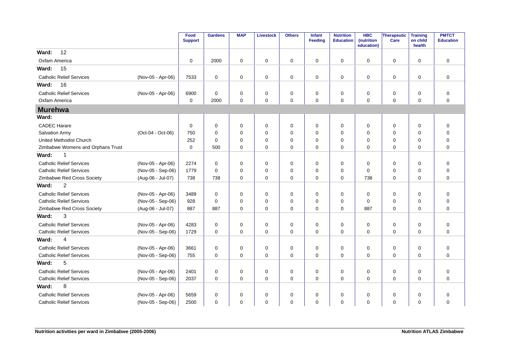|                                   |                   | Food<br><b>Support</b> | <b>Gardens</b> | <b>MAP</b>  | <b>Livestock</b> | <b>Others</b> | Infant<br><b>Feeding</b> | <b>Nutrition</b><br><b>Education</b> | <b>HBC</b><br>(nutrition<br>education) | <b>Therapeutic</b><br>Care | <b>Training</b><br>on child<br>health | <b>PMTCT</b><br><b>Education</b> |
|-----------------------------------|-------------------|------------------------|----------------|-------------|------------------|---------------|--------------------------|--------------------------------------|----------------------------------------|----------------------------|---------------------------------------|----------------------------------|
| 12<br>Ward:                       |                   |                        |                |             |                  |               |                          |                                      |                                        |                            |                                       |                                  |
| Oxfam America                     |                   | 0                      | 2000           | $\mathbf 0$ | $\mathbf 0$      | 0             | $\mathbf 0$              | 0                                    | $\mathbf 0$                            | 0                          | $\mathbf 0$                           | $\mathbf 0$                      |
| 15<br>Ward:                       |                   |                        |                |             |                  |               |                          |                                      |                                        |                            |                                       |                                  |
| <b>Catholic Relief Services</b>   | (Nov-05 - Apr-06) | 7533                   | $\mathbf 0$    | 0           | $\mathbf 0$      | 0             | $\mathbf 0$              | $\mathbf 0$                          | 0                                      | 0                          | $\mathbf 0$                           | $\mathbf 0$                      |
| 16<br>Ward:                       |                   |                        |                |             |                  |               |                          |                                      |                                        |                            |                                       |                                  |
| <b>Catholic Relief Services</b>   | (Nov-05 - Apr-06) | 6900                   | $\mathbf 0$    | $\mathbf 0$ | $\mathbf 0$      | 0             | $\mathbf 0$              | $\mathbf 0$                          | $\mathbf 0$                            | 0                          | $\mathbf 0$                           | $\pmb{0}$                        |
| Oxfam America                     |                   | 0                      | 2000           | 0           | $\mathbf 0$      | 0             | $\Omega$                 | 0                                    | 0                                      | $\mathbf 0$                | $\mathbf 0$                           | $\mathbf 0$                      |
| <b>Murehwa</b>                    |                   |                        |                |             |                  |               |                          |                                      |                                        |                            |                                       |                                  |
| Ward:                             |                   |                        |                |             |                  |               |                          |                                      |                                        |                            |                                       |                                  |
| <b>CADEC Harare</b>               |                   | $\mathbf 0$            | 0              | 0           | $\mathbf 0$      | 0             | $\Omega$                 | 0                                    | 0                                      | 0                          | 0                                     | $\mathbf 0$                      |
| Salvation Army                    | (Oct-04 - Oct-06) | 750                    | $\Omega$       | $\Omega$    | $\Omega$         | $\mathbf 0$   | $\Omega$                 | $\Omega$                             | $\Omega$                               | $\mathbf 0$                | $\mathbf 0$                           | $\mathbf 0$                      |
| <b>United Methodist Church</b>    |                   | 252                    | $\Omega$       | 0           | $\mathbf 0$      | $\mathbf 0$   | $\Omega$                 | 0                                    | 0                                      | 0                          | 0                                     | $\mathbf 0$                      |
| Zimbabwe Womens and Orphans Trust |                   | $\mathbf 0$            | 500            | $\Omega$    | $\mathbf 0$      | $\Omega$      | $\Omega$                 | $\Omega$                             | $\Omega$                               | $\mathbf 0$                | $\Omega$                              | $\overline{0}$                   |
| Ward:<br>1                        |                   |                        |                |             |                  |               |                          |                                      |                                        |                            |                                       |                                  |
| <b>Catholic Relief Services</b>   | (Nov-05 - Apr-06) | 2274                   | $\mathbf 0$    | 0           | $\mathbf 0$      | 0             | $\mathbf 0$              | 0                                    | $\mathbf 0$                            | $\mathbf 0$                | $\mathbf 0$                           | $\pmb{0}$                        |
| <b>Catholic Relief Services</b>   | (Nov-05 - Sep-06) | 1779                   | $\Omega$       | $\mathbf 0$ | $\mathbf 0$      | 0             | $\Omega$                 | 0                                    | $\Omega$                               | $\mathbf 0$                | $\mathbf 0$                           | $\mathbf 0$                      |
| Zimbabwe Red Cross Society        | (Aug-06 - Jul-07) | 738                    | 738            | $\mathbf 0$ | $\mathbf 0$      | $\mathbf 0$   | $\mathbf 0$              | $\mathbf 0$                          | 738                                    | 0                          | $\mathbf 0$                           | $\mathbf 0$                      |
| $\overline{c}$<br>Ward:           |                   |                        |                |             |                  |               |                          |                                      |                                        |                            |                                       |                                  |
| <b>Catholic Relief Services</b>   | (Nov-05 - Apr-06) | 3489                   | $\mathbf 0$    | 0           | $\mathbf 0$      | 0             | $\Omega$                 | 0                                    | 0                                      | 0                          | $\mathbf 0$                           | $\mathbf 0$                      |
| <b>Catholic Relief Services</b>   | (Nov-05 - Sep-06) | 928                    | $\mathbf 0$    | $\mathbf 0$ | $\mathbf 0$      | 0             | $\mathbf 0$              | 0                                    | $\mathbf 0$                            | 0                          | $\mathbf 0$                           | $\mathbf 0$                      |
| Zimbabwe Red Cross Society        | (Aug-06 - Jul-07) | 887                    | 887            | $\mathbf 0$ | $\mathbf 0$      | 0             | $\mathbf 0$              | 0                                    | 887                                    | 0                          | $\mathbf 0$                           | $\mathbf 0$                      |
| 3<br>Ward:                        |                   |                        |                |             |                  |               |                          |                                      |                                        |                            |                                       |                                  |
| <b>Catholic Relief Services</b>   | (Nov-05 - Apr-06) | 4283                   | $\mathbf 0$    | $\mathbf 0$ | $\mathbf 0$      | 0             | $\Omega$                 | $\mathbf 0$                          | $\mathbf 0$                            | $\mathbf 0$                | $\mathbf 0$                           | $\mathbf 0$                      |
| <b>Catholic Relief Services</b>   | (Nov-05 - Sep-06) | 1729                   | $\mathbf 0$    | $\mathbf 0$ | $\mathbf 0$      | 0             | 0                        | $\mathbf 0$                          | 0                                      | 0                          | $\mathbf 0$                           | $\mathbf 0$                      |
| Ward:<br>4                        |                   |                        |                |             |                  |               |                          |                                      |                                        |                            |                                       |                                  |
| <b>Catholic Relief Services</b>   | (Nov-05 - Apr-06) | 3661                   | $\mathbf 0$    | 0           | $\mathbf 0$      | 0             | $\Omega$                 | $\mathbf 0$                          | 0                                      | $\mathbf 0$                | $\mathbf 0$                           | $\pmb{0}$                        |
| <b>Catholic Relief Services</b>   | (Nov-05 - Sep-06) | 755                    | $\mathbf 0$    | $\mathbf 0$ | $\mathbf 0$      | 0             | $\Omega$                 | 0                                    | $\mathbf 0$                            | 0                          | $\Omega$                              | $\mathbf 0$                      |
| 5<br>Ward:                        |                   |                        |                |             |                  |               |                          |                                      |                                        |                            |                                       |                                  |
| <b>Catholic Relief Services</b>   | (Nov-05 - Apr-06) | 2401                   | $\mathbf 0$    | $\mathbf 0$ | $\mathbf 0$      | 0             | $\mathbf 0$              | $\mathbf 0$                          | $\mathbf 0$                            | 0                          | $\mathbf 0$                           | $\mathbf 0$                      |
| <b>Catholic Relief Services</b>   | (Nov-05 - Sep-06) | 2037                   | $\mathbf 0$    | $\mathbf 0$ | $\mathbf 0$      | 0             | $\mathbf 0$              | $\mathbf 0$                          | $\mathbf 0$                            | 0                          | $\mathbf 0$                           | $\mathbf 0$                      |
| 8<br>Ward:                        |                   |                        |                |             |                  |               |                          |                                      |                                        |                            |                                       |                                  |
| <b>Catholic Relief Services</b>   | (Nov-05 - Apr-06) | 5659                   | $\mathbf 0$    | 0           | 0                | 0             | $\mathbf 0$              | $\mathbf 0$                          | $\mathbf 0$                            | 0                          | $\mathbf 0$                           | $\mathbf 0$                      |
| <b>Catholic Relief Services</b>   | (Nov-05 - Sep-06) | 2500                   | $\Omega$       | 0           | $\Omega$         | 0             | $\Omega$                 | $\Omega$                             | $\Omega$                               | $\Omega$                   | $\Omega$                              | $\mathbf 0$                      |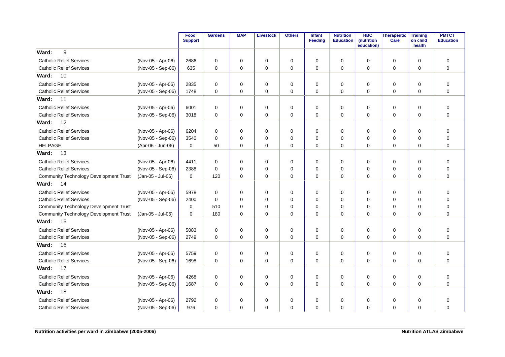|                                               |                   | Food<br><b>Support</b> | <b>Gardens</b> | <b>MAP</b>  | Livestock   | <b>Others</b> | <b>Infant</b><br><b>Feeding</b> | <b>Nutrition</b><br><b>Education</b> | <b>HBC</b><br>(nutrition<br>education) | Therapeutic<br>Care | <b>Training</b><br>on child<br>health | <b>PMTCT</b><br><b>Education</b> |
|-----------------------------------------------|-------------------|------------------------|----------------|-------------|-------------|---------------|---------------------------------|--------------------------------------|----------------------------------------|---------------------|---------------------------------------|----------------------------------|
| 9<br>Ward:                                    |                   |                        |                |             |             |               |                                 |                                      |                                        |                     |                                       |                                  |
| <b>Catholic Relief Services</b>               | (Nov-05 - Apr-06) | 2686                   | 0              | $\mathbf 0$ | $\mathbf 0$ | 0             | 0                               | 0                                    | 0                                      | 0                   | 0                                     | $\mathbf 0$                      |
| <b>Catholic Relief Services</b>               | (Nov-05 - Sep-06) | 635                    | $\mathbf 0$    | $\mathbf 0$ | $\mathbf 0$ | $\mathbf 0$   | 0                               | $\mathbf 0$                          | 0                                      | 0                   | $\mathbf 0$                           | 0                                |
| Ward:<br>10                                   |                   |                        |                |             |             |               |                                 |                                      |                                        |                     |                                       |                                  |
| <b>Catholic Relief Services</b>               | (Nov-05 - Apr-06) | 2835                   | $\mathbf 0$    | 0           | $\mathbf 0$ | $\mathbf 0$   | 0                               | 0                                    | $\Omega$                               | 0                   | 0                                     | $\mathbf 0$                      |
| <b>Catholic Relief Services</b>               | (Nov-05 - Sep-06) | 1748                   | $\mathbf 0$    | $\mathbf 0$ | $\mathbf 0$ | $\mathbf 0$   | 0                               | 0                                    | $\Omega$                               | 0                   | $\mathbf 0$                           | $\mathbf 0$                      |
| 11<br>Ward:                                   |                   |                        |                |             |             |               |                                 |                                      |                                        |                     |                                       |                                  |
| <b>Catholic Relief Services</b>               | (Nov-05 - Apr-06) | 6001                   | 0              | 0           | 0           | $\mathbf 0$   | 0                               | 0                                    | $\Omega$                               | 0                   | 0                                     | $\mathbf 0$                      |
| <b>Catholic Relief Services</b>               | (Nov-05 - Sep-06) | 3018                   | $\mathbf 0$    | $\Omega$    | $\mathbf 0$ | $\mathbf 0$   | $\mathbf 0$                     | 0                                    | $\Omega$                               | $\mathbf 0$         | $\Omega$                              | $\mathbf 0$                      |
| 12<br>Ward:                                   |                   |                        |                |             |             |               |                                 |                                      |                                        |                     |                                       |                                  |
| <b>Catholic Relief Services</b>               | (Nov-05 - Apr-06) | 6204                   | $\mathbf 0$    | $\mathbf 0$ | $\mathbf 0$ | $\pmb{0}$     | 0                               | 0                                    | $\Omega$                               | 0                   | $\mathbf 0$                           | $\mathbf 0$                      |
| <b>Catholic Relief Services</b>               | (Nov-05 - Sep-06) | 3540                   | $\Omega$       | $\Omega$    | $\mathbf 0$ | $\mathbf 0$   | $\Omega$                        | $\Omega$                             | $\Omega$                               | $\mathbf 0$         | $\Omega$                              | $\Omega$                         |
| <b>HELPAGE</b>                                | (Apr-06 - Jun-06) | $\mathbf 0$            | 50             | $\Omega$    | $\mathbf 0$ | $\Omega$      | 0                               | $\Omega$                             | $\Omega$                               | $\mathbf 0$         | $\Omega$                              | $\Omega$                         |
| Ward:<br>13                                   |                   |                        |                |             |             |               |                                 |                                      |                                        |                     |                                       |                                  |
| <b>Catholic Relief Services</b>               | (Nov-05 - Apr-06) | 4411                   | $\mathbf 0$    | 0           | 0           | $\pmb{0}$     | 0                               | 0                                    | $\Omega$                               | $\mathbf 0$         | 0                                     | $\mathbf 0$                      |
| <b>Catholic Relief Services</b>               | (Nov-05 - Sep-06) | 2388                   | $\Omega$       | $\Omega$    | $\mathbf 0$ | 0             | 0                               | $\Omega$                             | $\Omega$                               | 0                   | $\Omega$                              | $\mathbf 0$                      |
| <b>Community Technology Development Trust</b> | (Jan-05 - Jul-06) | $\mathbf 0$            | 120            | $\Omega$    | $\mathbf 0$ | $\mathbf 0$   | 0                               | $\Omega$                             | $\Omega$                               | $\mathbf 0$         | $\Omega$                              | $\mathbf 0$                      |
| Ward:<br>14                                   |                   |                        |                |             |             |               |                                 |                                      |                                        |                     |                                       |                                  |
| <b>Catholic Relief Services</b>               | (Nov-05 - Apr-06) | 5978                   | 0              | 0           | 0           | 0             | 0                               | 0                                    | $\Omega$                               | 0                   | 0                                     | 0                                |
| <b>Catholic Relief Services</b>               | (Nov-05 - Sep-06) | 2400                   | $\Omega$       | $\Omega$    | $\mathbf 0$ | 0             | $\Omega$                        | $\Omega$                             | $\Omega$                               | 0                   | 0                                     | $\mathbf 0$                      |
| <b>Community Technology Development Trust</b> |                   | $\mathbf 0$            | 510            | $\Omega$    | $\mathbf 0$ | 0             | 0                               | $\Omega$                             | $\Omega$                               | 0                   | $\mathbf 0$                           | $\mathbf 0$                      |
| <b>Community Technology Development Trust</b> | (Jan-05 - Jul-06) | $\mathbf 0$            | 180            | $\mathbf 0$ | $\mathbf 0$ | $\mathbf 0$   | 0                               | $\mathbf 0$                          | 0                                      | 0                   | $\mathbf 0$                           | $\mathbf 0$                      |
| 15<br>Ward:                                   |                   |                        |                |             |             |               |                                 |                                      |                                        |                     |                                       |                                  |
| <b>Catholic Relief Services</b>               | (Nov-05 - Apr-06) | 5083                   | $\mathbf 0$    | 0           | $\mathbf 0$ | 0             | 0                               | 0                                    | $\Omega$                               | 0                   | $\mathbf 0$                           | $\mathbf 0$                      |
| <b>Catholic Relief Services</b>               | (Nov-05 - Sep-06) | 2749                   | $\mathbf 0$    | $\mathbf 0$ | $\mathbf 0$ | $\mathbf 0$   | $\mathbf 0$                     | 0                                    | $\Omega$                               | $\mathbf 0$         | $\mathbf 0$                           | $\mathbf 0$                      |
| 16<br>Ward:                                   |                   |                        |                |             |             |               |                                 |                                      |                                        |                     |                                       |                                  |
| <b>Catholic Relief Services</b>               | (Nov-05 - Apr-06) | 5759                   | 0              | 0           | $\mathbf 0$ | 0             | 0                               | 0                                    | $\Omega$                               | 0                   | 0                                     | $\mathbf 0$                      |
| <b>Catholic Relief Services</b>               | (Nov-05 - Sep-06) | 1698                   | $\Omega$       | $\Omega$    | $\mathbf 0$ | $\Omega$      | $\Omega$                        | $\Omega$                             | $\Omega$                               | $\Omega$            | $\Omega$                              | $\Omega$                         |
| 17<br>Ward:                                   |                   |                        |                |             |             |               |                                 |                                      |                                        |                     |                                       |                                  |
| <b>Catholic Relief Services</b>               | (Nov-05 - Apr-06) | 4268                   | $\mathbf 0$    | $\mathbf 0$ | $\mathbf 0$ | $\pmb{0}$     | 0                               | 0                                    | $\mathbf 0$                            | $\mathbf 0$         | 0                                     | $\mathbf 0$                      |
| <b>Catholic Relief Services</b>               | (Nov-05 - Sep-06) | 1687                   | $\Omega$       | $\mathbf 0$ | $\mathbf 0$ | $\Omega$      | $\Omega$                        | 0                                    | $\Omega$                               | $\mathbf 0$         | $\Omega$                              | $\Omega$                         |
| 18<br>Ward:                                   |                   |                        |                |             |             |               |                                 |                                      |                                        |                     |                                       |                                  |
| <b>Catholic Relief Services</b>               | (Nov-05 - Apr-06) | 2792                   | $\mathbf 0$    | 0           | $\mathbf 0$ | 0             | 0                               | 0                                    | 0                                      | 0                   | 0                                     | 0                                |
| <b>Catholic Relief Services</b>               | (Nov-05 - Sep-06) | 976                    | $\mathbf 0$    | $\mathbf 0$ | $\mathbf 0$ | $\mathbf 0$   | 0                               | $\Omega$                             | $\Omega$                               | $\mathbf 0$         | $\mathbf 0$                           | 0                                |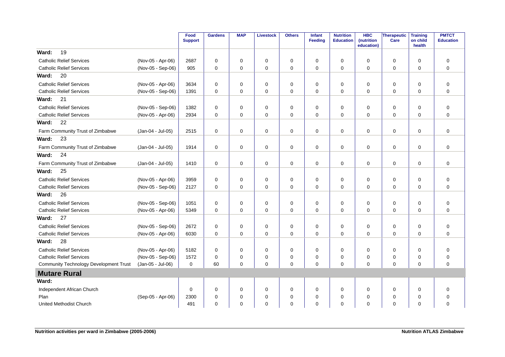|                                               |                   | Food<br><b>Support</b> | <b>Gardens</b> | <b>MAP</b>  | Livestock   | <b>Others</b> | <b>Infant</b><br><b>Feeding</b> | <b>Nutrition</b><br><b>Education</b> | <b>HBC</b><br>(nutrition<br>education) | Therapeutic<br>Care | <b>Training</b><br>on child<br>health | <b>PMTCT</b><br><b>Education</b> |
|-----------------------------------------------|-------------------|------------------------|----------------|-------------|-------------|---------------|---------------------------------|--------------------------------------|----------------------------------------|---------------------|---------------------------------------|----------------------------------|
| 19<br>Ward:                                   |                   |                        |                |             |             |               |                                 |                                      |                                        |                     |                                       |                                  |
| <b>Catholic Relief Services</b>               | (Nov-05 - Apr-06) | 2687                   | $\mathbf 0$    | 0           | $\mathbf 0$ | 0             | 0                               | 0                                    | $\Omega$                               | 0                   | 0                                     | 0                                |
| <b>Catholic Relief Services</b>               | (Nov-05 - Sep-06) | 905                    | $\mathbf 0$    | $\mathbf 0$ | $\mathbf 0$ | $\mathbf 0$   | $\mathbf 0$                     | 0                                    | $\mathbf 0$                            | $\mathbf 0$         | $\mathbf 0$                           | $\mathbf 0$                      |
| 20<br>Ward:                                   |                   |                        |                |             |             |               |                                 |                                      |                                        |                     |                                       |                                  |
| <b>Catholic Relief Services</b>               | (Nov-05 - Apr-06) | 3634                   | 0              | $\mathbf 0$ | $\mathbf 0$ | 0             | $\mathbf 0$                     | 0                                    | $\mathbf 0$                            | 0                   | $\mathbf 0$                           | $\mathbf 0$                      |
| <b>Catholic Relief Services</b>               | (Nov-05 - Sep-06) | 1391                   | $\mathbf 0$    | $\Omega$    | $\mathbf 0$ | $\mathbf 0$   | $\mathbf 0$                     | $\Omega$                             | $\Omega$                               | $\mathbf 0$         | $\Omega$                              | $\mathbf 0$                      |
| 21<br>Ward:                                   |                   |                        |                |             |             |               |                                 |                                      |                                        |                     |                                       |                                  |
| <b>Catholic Relief Services</b>               | (Nov-05 - Sep-06) | 1382                   | $\mathbf 0$    | 0           | $\mathbf 0$ | $\mathbf 0$   | $\mathbf 0$                     | 0                                    | $\Omega$                               | $\mathbf 0$         | $\mathbf 0$                           | $\mathbf 0$                      |
| <b>Catholic Relief Services</b>               | (Nov-05 - Apr-06) | 2934                   | $\mathbf 0$    | $\mathbf 0$ | $\mathbf 0$ | $\mathbf 0$   | $\mathbf 0$                     | $\mathbf 0$                          | 0                                      | 0                   | $\mathbf 0$                           | $\mathbf 0$                      |
| 22<br>Ward:                                   |                   |                        |                |             |             |               |                                 |                                      |                                        |                     |                                       |                                  |
| Farm Community Trust of Zimbabwe              | (Jan-04 - Jul-05) | 2515                   | $\mathbf 0$    | $\mathbf 0$ | $\mathbf 0$ | $\mathbf 0$   | $\mathbf 0$                     | $\mathbf 0$                          | $\Omega$                               | $\mathbf 0$         | $\mathbf 0$                           | $\mathbf 0$                      |
| 23<br>Ward:                                   |                   |                        |                |             |             |               |                                 |                                      |                                        |                     |                                       |                                  |
| Farm Community Trust of Zimbabwe              | (Jan-04 - Jul-05) | 1914                   | $\mathbf 0$    | $\mathbf 0$ | $\mathbf 0$ | $\mathbf 0$   | $\mathbf 0$                     | 0                                    | $\mathbf 0$                            | $\mathbf 0$         | $\mathbf 0$                           | $\mathbf 0$                      |
| Ward:<br>24                                   |                   |                        |                |             |             |               |                                 |                                      |                                        |                     |                                       |                                  |
| Farm Community Trust of Zimbabwe              | (Jan-04 - Jul-05) | 1410                   | $\mathbf 0$    | $\mathbf 0$ | 0           | $\mathbf 0$   | $\mathbf 0$                     | $\mathbf 0$                          | $\mathbf 0$                            | 0                   | $\mathbf 0$                           | $\mathbf 0$                      |
| 25<br>Ward:                                   |                   |                        |                |             |             |               |                                 |                                      |                                        |                     |                                       |                                  |
| <b>Catholic Relief Services</b>               | (Nov-05 - Apr-06) | 3959                   | $\mathbf 0$    | 0           | 0           | $\mathbf 0$   | 0                               | 0                                    | $\Omega$                               | 0                   | 0                                     | 0                                |
| <b>Catholic Relief Services</b>               | (Nov-05 - Sep-06) | 2127                   | $\mathbf 0$    | $\mathbf 0$ | $\mathbf 0$ | $\mathbf 0$   | $\mathbf 0$                     | 0                                    | $\Omega$                               | $\mathbf 0$         | $\mathbf 0$                           | $\mathbf 0$                      |
| Ward:<br>26                                   |                   |                        |                |             |             |               |                                 |                                      |                                        |                     |                                       |                                  |
| <b>Catholic Relief Services</b>               | (Nov-05 - Sep-06) | 1051                   | $\mathbf 0$    | $\mathbf 0$ | $\mathbf 0$ | 0             | $\mathbf 0$                     | 0                                    | $\mathbf 0$                            | 0                   | $\mathbf 0$                           | $\mathbf 0$                      |
| <b>Catholic Relief Services</b>               | (Nov-05 - Apr-06) | 5349                   | $\mathbf 0$    | $\mathbf 0$ | $\mathbf 0$ | $\mathbf 0$   | $\mathbf 0$                     | $\mathbf 0$                          | $\Omega$                               | 0                   | $\mathbf 0$                           | $\mathbf 0$                      |
| Ward:<br>27                                   |                   |                        |                |             |             |               |                                 |                                      |                                        |                     |                                       |                                  |
| <b>Catholic Relief Services</b>               | (Nov-05 - Sep-06) | 2672                   | $\mathbf 0$    | $\mathbf 0$ | 0           | 0             | 0                               | 0                                    | 0                                      | 0                   | 0                                     | 0                                |
| <b>Catholic Relief Services</b>               | (Nov-05 - Apr-06) | 6030                   | $\mathbf 0$    | $\mathbf 0$ | $\mathbf 0$ | $\mathbf 0$   | $\mathbf 0$                     | $\Omega$                             | 0                                      | $\mathbf 0$         | $\mathbf 0$                           | $\mathbf 0$                      |
| 28<br>Ward:                                   |                   |                        |                |             |             |               |                                 |                                      |                                        |                     |                                       |                                  |
| <b>Catholic Relief Services</b>               | (Nov-05 - Apr-06) | 5182                   | $\mathbf 0$    | 0           | $\mathbf 0$ | $\mathbf 0$   | 0                               | $\mathbf 0$                          | $\Omega$                               | 0                   | 0                                     | $\mathbf 0$                      |
| <b>Catholic Relief Services</b>               | (Nov-05 - Sep-06) | 1572                   | $\pmb{0}$      | 0           | 0           | 0             | 0                               | $\mathbf 0$                          | $\Omega$                               | 0                   | $\mathbf 0$                           | $\mathbf 0$                      |
| <b>Community Technology Development Trust</b> | (Jan-05 - Jul-06) | $\Omega$               | 60             | $\mathbf 0$ | $\mathbf 0$ | $\mathbf 0$   | $\Omega$                        | $\mathbf 0$                          | $\Omega$                               | $\mathbf 0$         | $\mathbf 0$                           | $\mathbf 0$                      |
| <b>Mutare Rural</b>                           |                   |                        |                |             |             |               |                                 |                                      |                                        |                     |                                       |                                  |
| Ward:                                         |                   |                        |                |             |             |               |                                 |                                      |                                        |                     |                                       |                                  |
| Independent African Church                    |                   | $\mathbf 0$            | $\mathbf 0$    | $\mathbf 0$ | $\mathbf 0$ | 0             | 0                               | 0                                    | 0                                      | 0                   | $\mathbf 0$                           | 0                                |
| Plan                                          | (Sep-05 - Apr-06) | 2300                   | $\mathbf 0$    | 0           | $\mathbf 0$ | $\mathbf 0$   | 0                               | 0                                    | 0                                      | $\mathbf 0$         | $\Omega$                              | $\mathbf 0$                      |
| <b>United Methodist Church</b>                |                   | 491                    | $\mathbf 0$    | $\Omega$    | $\mathbf 0$ | $\mathbf 0$   | $\mathbf 0$                     | $\Omega$                             | $\Omega$                               | $\mathbf 0$         | $\Omega$                              | $\mathbf 0$                      |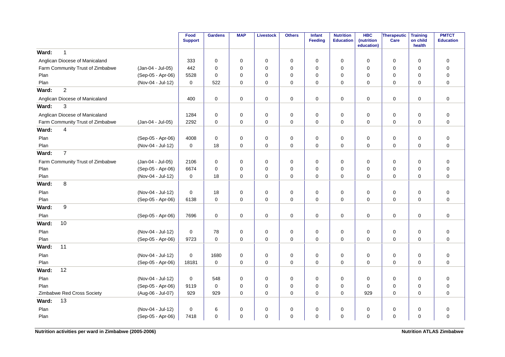|                                  |                   | Food<br><b>Support</b> | <b>Gardens</b> | <b>MAP</b>  | <b>Livestock</b> | <b>Others</b> | Infant<br>Feeding | <b>Nutrition</b><br><b>Education</b> | <b>HBC</b><br>(nutrition<br>education) | Therapeutic<br>Care | <b>Training</b><br>on child<br>health | <b>PMTCT</b><br><b>Education</b> |
|----------------------------------|-------------------|------------------------|----------------|-------------|------------------|---------------|-------------------|--------------------------------------|----------------------------------------|---------------------|---------------------------------------|----------------------------------|
| $\mathbf{1}$<br>Ward:            |                   |                        |                |             |                  |               |                   |                                      |                                        |                     |                                       |                                  |
| Anglican Diocese of Manicaland   |                   | 333                    | $\mathbf 0$    | $\mathbf 0$ | 0                | $\mathbf 0$   | $\mathbf 0$       | $\mathbf 0$                          | 0                                      | $\mathbf 0$         | $\mathbf 0$                           | $\mathbf 0$                      |
| Farm Community Trust of Zimbabwe | (Jan-04 - Jul-05) | 442                    | $\mathbf 0$    | 0           | $\mathbf 0$      | $\pmb{0}$     | $\mathbf 0$       | $\mathbf 0$                          | 0                                      | 0                   | $\mathbf 0$                           | $\mathbf 0$                      |
| Plan                             | (Sep-05 - Apr-06) | 5528                   | $\mathbf 0$    | 0           | 0                | 0             | $\mathbf 0$       | $\mathbf 0$                          | 0                                      | 0                   | 0                                     | $\mathbf 0$                      |
| Plan                             | (Nov-04 - Jul-12) | 0                      | 522            | $\mathbf 0$ | $\mathbf 0$      | $\mathbf 0$   | $\Omega$          | $\Omega$                             | $\Omega$                               | $\mathbf 0$         | $\Omega$                              | $\mathbf 0$                      |
| $\overline{2}$<br>Ward:          |                   |                        |                |             |                  |               |                   |                                      |                                        |                     |                                       |                                  |
| Anglican Diocese of Manicaland   |                   | 400                    | $\mathbf 0$    | 0           | $\mathsf 0$      | $\mathbf 0$   | $\mathbf 0$       | $\mathbf 0$                          | $\mathbf 0$                            | $\mathbf 0$         | $\mathbf 0$                           | $\mathsf 0$                      |
| 3<br>Ward:                       |                   |                        |                |             |                  |               |                   |                                      |                                        |                     |                                       |                                  |
| Anglican Diocese of Manicaland   |                   | 1284                   | $\mathbf 0$    | 0           | $\pmb{0}$        | $\mathbf 0$   | $\mathsf 0$       | $\pmb{0}$                            | 0                                      | $\mathsf{O}\xspace$ | 0                                     | $\mathsf 0$                      |
| Farm Community Trust of Zimbabwe | (Jan-04 - Jul-05) | 2292                   | $\mathbf 0$    | 0           | $\mathbf 0$      | $\mathbf 0$   | $\mathbf 0$       | $\mathbf 0$                          | 0                                      | 0                   | $\Omega$                              | $\mathbf 0$                      |
| Ward:<br>$\overline{4}$          |                   |                        |                |             |                  |               |                   |                                      |                                        |                     |                                       |                                  |
| Plan                             | (Sep-05 - Apr-06) | 4008                   | $\mathbf 0$    | $\mathbf 0$ | 0                | $\mathbf 0$   | $\mathbf 0$       | 0                                    | $\mathbf 0$                            | $\mathbf 0$         | $\mathbf 0$                           | $\mathbf 0$                      |
| Plan                             | (Nov-04 - Jul-12) | $\Omega$               | 18             | $\Omega$    | $\mathbf 0$      | $\mathbf 0$   | $\mathbf 0$       | $\Omega$                             | 0                                      | $\mathbf 0$         | $\Omega$                              | $\mathbf 0$                      |
| $\overline{7}$<br>Ward:          |                   |                        |                |             |                  |               |                   |                                      |                                        |                     |                                       |                                  |
| Farm Community Trust of Zimbabwe | (Jan-04 - Jul-05) | 2106                   | $\mathbf 0$    | 0           | $\pmb{0}$        | $\mathbf 0$   | $\mathbf 0$       | $\pmb{0}$                            | 0                                      | $\mathbf 0$         | $\mathbf 0$                           | $\mathsf 0$                      |
| Plan                             | (Sep-05 - Apr-06) | 6674                   | 0              | 0           | 0                | 0             | $\mathbf 0$       | 0                                    | 0                                      | 0                   | 0                                     | $\mathbf 0$                      |
| Plan                             | (Nov-04 - Jul-12) | 0                      | 18             | $\Omega$    | $\mathbf 0$      | $\mathbf 0$   | $\Omega$          | $\Omega$                             | $\Omega$                               | $\mathbf 0$         | $\Omega$                              | $\mathbf 0$                      |
| 8<br>Ward:                       |                   |                        |                |             |                  |               |                   |                                      |                                        |                     |                                       |                                  |
| Plan                             | (Nov-04 - Jul-12) | $\mathbf 0$            | 18             | 0           | 0                | $\mathbf 0$   | $\mathbf 0$       | $\mathbf 0$                          | 0                                      | 0                   | $\mathbf 0$                           | $\mathbf 0$                      |
| Plan                             | (Sep-05 - Apr-06) | 6138                   | $\mathbf 0$    | 0           | $\mathbf 0$      | $\mathbf 0$   | $\mathbf 0$       | $\mathbf 0$                          | $\mathbf 0$                            | $\mathbf 0$         | $\mathbf 0$                           | $\mathbf 0$                      |
| 9<br>Ward:                       |                   |                        |                |             |                  |               |                   |                                      |                                        |                     |                                       |                                  |
| Plan                             | (Sep-05 - Apr-06) | 7696                   | 0              | 0           | 0                | 0             | 0                 | 0                                    | 0                                      | $\mathbf 0$         | 0                                     | $\mathbf 0$                      |
| 10<br>Ward:                      |                   |                        |                |             |                  |               |                   |                                      |                                        |                     |                                       |                                  |
| Plan                             | (Nov-04 - Jul-12) | 0                      | 78             | 0           | 0                | 0             | 0                 | 0                                    | 0                                      | $\mathbf 0$         | 0                                     | $\mathbf 0$                      |
| Plan                             | (Sep-05 - Apr-06) | 9723                   | $\mathbf 0$    | $\mathbf 0$ | $\mathbf 0$      | $\mathbf 0$   | $\mathbf 0$       | $\mathbf 0$                          | $\mathbf 0$                            | $\mathbf 0$         | $\Omega$                              | $\mathbf 0$                      |
| 11<br>Ward:                      |                   |                        |                |             |                  |               |                   |                                      |                                        |                     |                                       |                                  |
| Plan                             | (Nov-04 - Jul-12) | 0                      | 1680           | 0           | 0                | $\mathbf 0$   | 0                 | 0                                    | 0                                      | 0                   | 0                                     | 0                                |
| Plan                             | (Sep-05 - Apr-06) | 18181                  | $\mathbf 0$    | $\mathbf 0$ | 0                | $\mathbf 0$   | $\mathbf 0$       | $\mathbf 0$                          | 0                                      | $\mathbf 0$         | $\mathbf 0$                           | $\mathbf 0$                      |
| 12<br>Ward:                      |                   |                        |                |             |                  |               |                   |                                      |                                        |                     |                                       |                                  |
| Plan                             | (Nov-04 - Jul-12) | 0                      | 548            | $\mathbf 0$ | 0                | 0             | $\mathbf 0$       | 0                                    | 0                                      | $\mathbf 0$         | $\mathbf 0$                           | $\mathbf 0$                      |
| Plan                             | (Sep-05 - Apr-06) | 9119                   | $\mathbf 0$    | 0           | $\mathbf 0$      | $\pmb{0}$     | $\mathbf 0$       | $\mathbf 0$                          | 0                                      | $\mathbf 0$         | $\mathbf 0$                           | $\mathbf 0$                      |
| Zimbabwe Red Cross Society       | (Aug-06 - Jul-07) | 929                    | 929            | $\mathbf 0$ | $\mathbf 0$      | $\mathbf 0$   | $\mathbf 0$       | $\mathbf 0$                          | 929                                    | $\mathbf 0$         | 0                                     | $\overline{0}$                   |
| 13<br>Ward:                      |                   |                        |                |             |                  |               |                   |                                      |                                        |                     |                                       |                                  |
| Plan                             | (Nov-04 - Jul-12) | $\mathbf 0$            | $\,6$          | 0           | 0                | $\mathbf 0$   | 0                 | 0                                    | 0                                      | $\mathbf 0$         | 0                                     | $\mathbf 0$                      |
| Plan                             | (Sep-05 - Apr-06) | 7418                   | $\mathbf 0$    | $\mathbf 0$ | $\mathbf 0$      | $\mathbf 0$   | $\mathbf 0$       | $\mathbf 0$                          | 0                                      | 0                   | $\mathbf 0$                           | $\overline{0}$                   |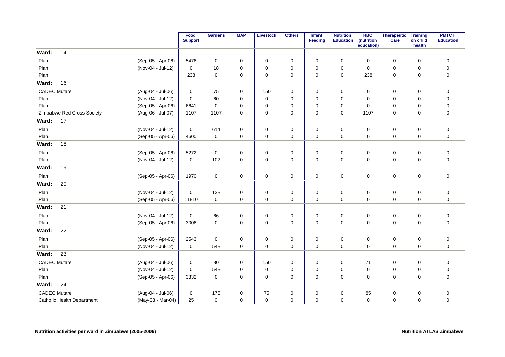|                                   |                   | Food<br><b>Support</b> | <b>Gardens</b> | <b>MAP</b>  | <b>Livestock</b> | <b>Others</b> | Infant<br>Feeding | <b>Nutrition</b><br><b>Education</b> | <b>HBC</b><br>(nutrition<br>education) | <b>Therapeutic</b><br>Care | <b>Training</b><br>on child<br>health | <b>PMTCT</b><br><b>Education</b> |
|-----------------------------------|-------------------|------------------------|----------------|-------------|------------------|---------------|-------------------|--------------------------------------|----------------------------------------|----------------------------|---------------------------------------|----------------------------------|
| 14<br>Ward:                       |                   |                        |                |             |                  |               |                   |                                      |                                        |                            |                                       |                                  |
| Plan                              | (Sep-05 - Apr-06) | 5476                   | $\mathbf 0$    | 0           | $\mathbf 0$      | 0             | $\mathbf 0$       | 0                                    | $\mathbf 0$                            | 0                          | $\mathbf 0$                           | $\pmb{0}$                        |
| Plan                              | (Nov-04 - Jul-12) | $\mathbf 0$            | 18             | $\mathbf 0$ | $\mathbf 0$      | 0             | $\Omega$          | $\mathbf 0$                          | $\Omega$                               | $\mathbf 0$                | $\mathbf 0$                           | $\pmb{0}$                        |
| Plan                              |                   | 238                    | $\mathbf 0$    | 0           | $\mathbf 0$      | 0             | $\mathbf 0$       | 0                                    | 238                                    | 0                          | $\mathbf 0$                           | $\pmb{0}$                        |
| Ward:<br>16                       |                   |                        |                |             |                  |               |                   |                                      |                                        |                            |                                       |                                  |
| <b>CADEC Mutare</b>               | (Aug-04 - Jul-06) | $\mathbf 0$            | 75             | 0           | 150              | $\pmb{0}$     | $\mathbf 0$       | 0                                    | $\mathbf 0$                            | 0                          | $\mathbf 0$                           | $\pmb{0}$                        |
| Plan                              | (Nov-04 - Jul-12) | $\mathbf 0$            | 60             | 0           | $\mathbf 0$      | 0             | $\mathbf 0$       | 0                                    | 0                                      | 0                          | $\mathbf 0$                           | $\pmb{0}$                        |
| Plan                              | (Sep-05 - Apr-06) | 6641                   | $\Omega$       | 0           | $\mathbf 0$      | 0             | $\Omega$          | $\mathbf 0$                          | $\mathbf 0$                            | 0                          | $\mathbf 0$                           | $\pmb{0}$                        |
| Zimbabwe Red Cross Society        | (Aug-06 - Jul-07) | 1107                   | 1107           | 0           | 0                | 0             | 0                 | 0                                    | 1107                                   | 0                          | $\mathbf 0$                           | $\pmb{0}$                        |
| 17<br>Ward:                       |                   |                        |                |             |                  |               |                   |                                      |                                        |                            |                                       |                                  |
| Plan                              | (Nov-04 - Jul-12) | $\mathbf 0$            | 614            | 0           | 0                | $\pmb{0}$     | 0                 | 0                                    | $\mathbf 0$                            | $\mathbf 0$                | 0                                     | $\pmb{0}$                        |
| Plan                              | (Sep-05 - Apr-06) | 4600                   | $\mathbf 0$    | $\mathbf 0$ | $\pmb{0}$        | $\mathbf 0$   | $\mathbf 0$       | 0                                    | $\mathbf 0$                            | 0                          | $\mathbf 0$                           | $\mathbf 0$                      |
| 18<br>Ward:                       |                   |                        |                |             |                  |               |                   |                                      |                                        |                            |                                       |                                  |
| Plan                              | (Sep-05 - Apr-06) | 5272                   | $\mathbf 0$    | 0           | $\mathbf 0$      | 0             | $\mathbf 0$       | 0                                    | $\mathbf 0$                            | 0                          | $\mathbf 0$                           | $\boldsymbol{0}$                 |
| Plan                              | (Nov-04 - Jul-12) | $\mathbf 0$            | 102            | $\mathbf 0$ | $\mathbf 0$      | 0             | $\Omega$          | $\mathbf 0$                          | $\Omega$                               | $\mathbf 0$                | $\mathbf 0$                           | $\mathbf 0$                      |
| 19<br>Ward:                       |                   |                        |                |             |                  |               |                   |                                      |                                        |                            |                                       |                                  |
| Plan                              | (Sep-05 - Apr-06) | 1970                   | $\mathbf 0$    | 0           | 0                | 0             | 0                 | 0                                    | 0                                      | 0                          | $\mathbf 0$                           | $\pmb{0}$                        |
| 20<br>Ward:                       |                   |                        |                |             |                  |               |                   |                                      |                                        |                            |                                       |                                  |
| Plan                              | (Nov-04 - Jul-12) | 0                      | 138            | 0           | 0                | 0             | $\mathbf 0$       | 0                                    | 0                                      | 0                          | 0                                     | $\pmb{0}$                        |
| Plan                              | (Sep-05 - Apr-06) | 11810                  | $\mathbf 0$    | $\mathbf 0$ | $\mathbf 0$      | 0             | $\mathbf 0$       | 0                                    | $\mathbf 0$                            | $\mathbf 0$                | $\mathbf 0$                           | $\pmb{0}$                        |
| 21<br>Ward:                       |                   |                        |                |             |                  |               |                   |                                      |                                        |                            |                                       |                                  |
| Plan                              | (Nov-04 - Jul-12) | $\mathbf 0$            | 66             | 0           | $\mathbf 0$      | $\pmb{0}$     | 0                 | 0                                    | 0                                      | 0                          | $\mathbf 0$                           | $\pmb{0}$                        |
| Plan                              | (Sep-05 - Apr-06) | 3006                   | $\mathbf 0$    | $\mathbf 0$ | $\pmb{0}$        | $\mathbf 0$   | $\mathbf 0$       | 0                                    | $\mathbf 0$                            | 0                          | $\mathbf 0$                           | $\mathbf 0$                      |
| 22<br>Ward:                       |                   |                        |                |             |                  |               |                   |                                      |                                        |                            |                                       |                                  |
| Plan                              | (Sep-05 - Apr-06) | 2543                   | $\mathbf 0$    | 0           | $\mathbf 0$      | $\mathbf 0$   | $\mathbf 0$       | 0                                    | 0                                      | 0                          | $\mathbf 0$                           | $\pmb{0}$                        |
| Plan                              | (Nov-04 - Jul-12) | $\mathbf 0$            | 548            | $\mathbf 0$ | $\mathbf 0$      | 0             | $\mathbf 0$       | 0                                    | $\mathbf 0$                            | $\mathbf 0$                | $\mathbf 0$                           | $\mathbf 0$                      |
| 23<br>Ward:                       |                   |                        |                |             |                  |               |                   |                                      |                                        |                            |                                       |                                  |
| <b>CADEC Mutare</b>               | (Aug-04 - Jul-06) | $\mathbf 0$            | 80             | $\mathbf 0$ | 150              | 0             | $\mathbf 0$       | 0                                    | 71                                     | 0                          | $\mathbf 0$                           | $\mathbf 0$                      |
| Plan                              | (Nov-04 - Jul-12) | $\mathbf 0$            | 548            | 0           | 0                | 0             | 0                 | 0                                    | $\mathbf 0$                            | 0                          | 0                                     | $\mathbf 0$                      |
| Plan                              | (Sep-05 - Apr-06) | 3332                   | $\mathbf 0$    | 0           | 0                | 0             | 0                 | 0                                    | 0                                      | 0                          | $\mathbf 0$                           | $\mathbf 0$                      |
| 24<br>Ward:                       |                   |                        |                |             |                  |               |                   |                                      |                                        |                            |                                       |                                  |
| <b>CADEC Mutare</b>               | (Aug-04 - Jul-06) | 0                      | 175            | 0           | 75               | 0             | 0                 | 0                                    | 85                                     | 0                          | 0                                     | $\pmb{0}$                        |
| <b>Catholic Health Department</b> | (May-03 - Mar-04) | 25                     | $\mathbf 0$    | 0           | $\mathbf 0$      | 0             | $\mathbf 0$       | 0                                    | $\mathbf 0$                            | $\mathbf 0$                | $\mathbf 0$                           | $\pmb{0}$                        |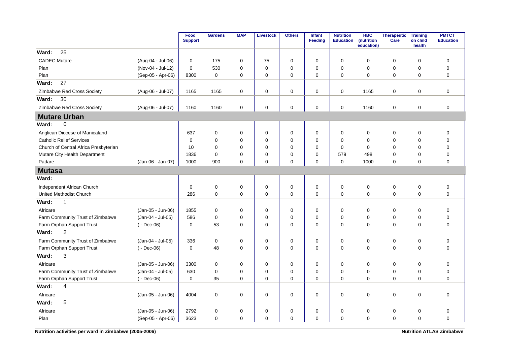|                                       |                   | Food<br><b>Support</b> | <b>Gardens</b> | <b>MAP</b>  | Livestock   | <b>Others</b> | <b>Infant</b><br>Feeding | <b>Nutrition</b><br><b>Education</b> | <b>HBC</b><br>(nutrition<br>education) | <b>Therapeutic</b><br>Care | <b>Training</b><br>on child<br>health | <b>PMTCT</b><br><b>Education</b> |
|---------------------------------------|-------------------|------------------------|----------------|-------------|-------------|---------------|--------------------------|--------------------------------------|----------------------------------------|----------------------------|---------------------------------------|----------------------------------|
| 25<br>Ward:                           |                   |                        |                |             |             |               |                          |                                      |                                        |                            |                                       |                                  |
| <b>CADEC Mutare</b>                   | (Aug-04 - Jul-06) | 0                      | 175            | $\mathbf 0$ | 75          | 0             | $\mathbf 0$              | 0                                    | $\mathbf 0$                            | 0                          | $\mathbf 0$                           | $\mathbf 0$                      |
| Plan                                  | (Nov-04 - Jul-12) | $\Omega$               | 530            | $\Omega$    | $\mathbf 0$ | 0             | $\Omega$                 | $\Omega$                             | $\Omega$                               | $\mathbf 0$                | $\mathbf 0$                           | $\mathbf 0$                      |
| Plan                                  | (Sep-05 - Apr-06) | 8300                   | $\mathbf 0$    | $\mathbf 0$ | $\mathbf 0$ | 0             | $\mathbf 0$              | 0                                    | $\mathbf 0$                            | $\mathbf 0$                | $\mathbf 0$                           | $\overline{0}$                   |
| 27<br>Ward:                           |                   |                        |                |             |             |               |                          |                                      |                                        |                            |                                       |                                  |
| Zimbabwe Red Cross Society            | (Aug-06 - Jul-07) | 1165                   | 1165           | $\mathbf 0$ | $\mathbf 0$ | $\mathbf 0$   | $\mathbf 0$              | 0                                    | 1165                                   | $\mathbf 0$                | $\mathbf 0$                           | $\mathbf 0$                      |
| 30<br>Ward:                           |                   |                        |                |             |             |               |                          |                                      |                                        |                            |                                       |                                  |
| Zimbabwe Red Cross Society            | (Aug-06 - Jul-07) | 1160                   | 1160           | $\mathbf 0$ | $\pmb{0}$   | $\mathbf 0$   | $\mathbf 0$              | 0                                    | 1160                                   | $\mathbf 0$                | $\mathbf 0$                           | $\mathbf 0$                      |
| <b>Mutare Urban</b>                   |                   |                        |                |             |             |               |                          |                                      |                                        |                            |                                       |                                  |
| $\mathbf 0$<br>Ward:                  |                   |                        |                |             |             |               |                          |                                      |                                        |                            |                                       |                                  |
| Anglican Diocese of Manicaland        |                   | 637                    | 0              | 0           | $\mathbf 0$ | 0             | 0                        | 0                                    | $\mathbf 0$                            | 0                          | $\mathbf 0$                           | $\mathbf 0$                      |
| <b>Catholic Relief Services</b>       |                   | $\Omega$               | $\Omega$       | $\Omega$    | $\mathbf 0$ | $\mathbf 0$   | $\Omega$                 | $\Omega$                             | $\Omega$                               | $\mathbf 0$                | $\mathbf 0$                           | $\mathbf 0$                      |
| Church of Central Africa Presbyterian |                   | 10                     | $\Omega$       | $\Omega$    | $\Omega$    | $\mathbf 0$   | $\Omega$                 | 0                                    | $\mathbf 0$                            | $\mathbf 0$                | $\mathbf 0$                           | $\mathbf 0$                      |
| Mutare City Health Department         |                   | 1836                   | $\Omega$       | $\Omega$    | $\mathbf 0$ | $\mathbf 0$   | $\Omega$                 | 579                                  | 498                                    | 0                          | $\mathbf 0$                           | $\mathbf 0$                      |
| Padare                                | (Jan-06 - Jan-07) | 1000                   | 900            | $\Omega$    | $\Omega$    | $\Omega$      | $\Omega$                 | $\Omega$                             | 1000                                   | $\mathbf 0$                | $\Omega$                              | $\mathbf 0$                      |
| <b>Mutasa</b>                         |                   |                        |                |             |             |               |                          |                                      |                                        |                            |                                       |                                  |
| Ward:                                 |                   |                        |                |             |             |               |                          |                                      |                                        |                            |                                       |                                  |
| Independent African Church            |                   | 0                      | $\mathbf 0$    | $\mathbf 0$ | $\mathbf 0$ | 0             | $\mathbf 0$              | $\mathbf 0$                          | 0                                      | 0                          | 0                                     | $\mathbf 0$                      |
| United Methodist Church               |                   | 286                    | $\mathbf 0$    | $\mathbf 0$ | $\mathbf 0$ | 0             | $\mathbf 0$              | 0                                    | $\mathbf 0$                            | $\mathbf 0$                | $\mathbf 0$                           | $\mathbf 0$                      |
| Ward:<br>$\mathbf{1}$                 |                   |                        |                |             |             |               |                          |                                      |                                        |                            |                                       |                                  |
| Africare                              | (Jan-05 - Jun-06) | 1855                   | $\mathbf 0$    | $\mathbf 0$ | $\mathbf 0$ | $\mathbf 0$   | $\mathbf 0$              | 0                                    | $\mathbf 0$                            | 0                          | $\mathbf 0$                           | $\mathbf 0$                      |
| Farm Community Trust of Zimbabwe      | (Jan-04 - Jul-05) | 586                    | $\mathbf 0$    | $\Omega$    | $\mathbf 0$ | $\mathbf 0$   | $\Omega$                 | 0                                    | 0                                      | 0                          | $\mathbf 0$                           | $\mathbf 0$                      |
| Farm Orphan Support Trust             | $(-$ Dec-06)      | $\mathbf 0$            | 53             | $\mathbf 0$ | $\mathbf 0$ | 0             | $\mathbf 0$              | 0                                    | $\mathbf 0$                            | $\mathbf 0$                | $\mathbf 0$                           | $\overline{0}$                   |
| $\overline{c}$<br>Ward:               |                   |                        |                |             |             |               |                          |                                      |                                        |                            |                                       |                                  |
| Farm Community Trust of Zimbabwe      | (Jan-04 - Jul-05) | 336                    | 0              | 0           | $\mathbf 0$ | 0             | 0                        | 0                                    | $\mathbf 0$                            | 0                          | $\mathbf 0$                           | $\mathbf 0$                      |
| Farm Orphan Support Trust             | $(-$ Dec-06)      | $\Omega$               | 48             | $\Omega$    | $\Omega$    | $\Omega$      | $\Omega$                 | $\Omega$                             | $\Omega$                               | $\mathbf 0$                | $\Omega$                              | $\mathbf 0$                      |
| 3<br>Ward:                            |                   |                        |                |             |             |               |                          |                                      |                                        |                            |                                       |                                  |
| Africare                              | (Jan-05 - Jun-06) | 3300                   | 0              | 0           | $\mathbf 0$ | 0             | 0                        | 0                                    | 0                                      | 0                          | $\mathbf 0$                           | $\mathbf 0$                      |
| Farm Community Trust of Zimbabwe      | (Jan-04 - Jul-05) | 630                    | $\mathbf 0$    | $\mathbf 0$ | $\mathbf 0$ | 0             | $\mathbf 0$              | $\mathbf 0$                          | $\mathbf 0$                            | 0                          | $\mathbf 0$                           | $\mathbf 0$                      |
| Farm Orphan Support Trust             | $(-$ Dec-06)      | $\mathbf 0$            | 35             | $\Omega$    | $\Omega$    | $\Omega$      | $\Omega$                 | $\Omega$                             | $\Omega$                               | $\Omega$                   | $\Omega$                              | $\Omega$                         |
| Ward:<br>$\overline{4}$               |                   |                        |                |             |             |               |                          |                                      |                                        |                            |                                       |                                  |
| Africare                              | (Jan-05 - Jun-06) | 4004                   | $\mathbf 0$    | $\mathbf 0$ | $\mathbf 0$ | $\mathbf 0$   | $\mathbf 0$              | $\mathbf 0$                          | $\mathbf 0$                            | $\mathbf 0$                | $\mathbf 0$                           | $\mathbf 0$                      |
| 5<br>Ward:                            |                   |                        |                |             |             |               |                          |                                      |                                        |                            |                                       |                                  |
| Africare                              | (Jan-05 - Jun-06) | 2792                   | 0              | 0           | 0           | 0             | 0                        | 0                                    | 0                                      | 0                          | 0                                     | $\pmb{0}$                        |
| Plan                                  | (Sep-05 - Apr-06) | 3623                   | $\Omega$       | $\Omega$    | $\Omega$    | $\Omega$      | $\Omega$                 | $\Omega$                             | $\Omega$                               | $\Omega$                   | $\Omega$                              | $\mathbf 0$                      |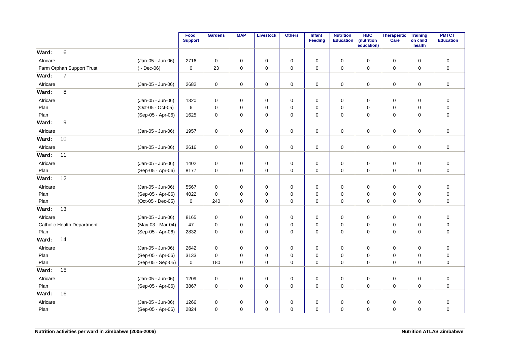|          |                                   |                   | Food<br><b>Support</b> | <b>Gardens</b> | <b>MAP</b>  | <b>Livestock</b> | <b>Others</b> | Infant<br>Feeding | <b>Nutrition</b><br><b>Education</b> | <b>HBC</b><br>(nutrition<br>education) | Therapeutic<br>Care | <b>Training</b><br>on child<br>health | <b>PMTCT</b><br><b>Education</b> |
|----------|-----------------------------------|-------------------|------------------------|----------------|-------------|------------------|---------------|-------------------|--------------------------------------|----------------------------------------|---------------------|---------------------------------------|----------------------------------|
| Ward:    | 6                                 |                   |                        |                |             |                  |               |                   |                                      |                                        |                     |                                       |                                  |
| Africare |                                   | (Jan-05 - Jun-06) | 2716                   | $\mathbf 0$    | 0           | 0                | 0             | 0                 | 0                                    | $\mathbf 0$                            | 0                   | 0                                     | $\mathsf 0$                      |
|          | Farm Orphan Support Trust         | $(-$ Dec-06)      | $\mathbf 0$            | 23             | 0           | 0                | $\mathbf 0$   | $\mathbf 0$       | $\mathbf 0$                          | 0                                      | 0                   | $\mathbf 0$                           | $\mathbf 0$                      |
| Ward:    | $\overline{7}$                    |                   |                        |                |             |                  |               |                   |                                      |                                        |                     |                                       |                                  |
| Africare |                                   | (Jan-05 - Jun-06) | 2682                   | $\mathbf 0$    | 0           | 0                | 0             | 0                 | 0                                    | 0                                      | $\mathbf 0$         | 0                                     | 0                                |
| Ward:    | 8                                 |                   |                        |                |             |                  |               |                   |                                      |                                        |                     |                                       |                                  |
| Africare |                                   | (Jan-05 - Jun-06) | 1320                   | $\mathbf 0$    | 0           | 0                | 0             | 0                 | 0                                    | 0                                      | 0                   | 0                                     | $\pmb{0}$                        |
| Plan     |                                   | (Oct-05 - Oct-05) | 6                      | $\mathbf 0$    | $\Omega$    | 0                | 0             | $\mathbf 0$       | 0                                    | $\Omega$                               | 0                   | $\Omega$                              | $\pmb{0}$                        |
| Plan     |                                   | (Sep-05 - Apr-06) | 1625                   | 0              | $\mathbf 0$ | 0                | $\pmb{0}$     | 0                 | $\mathbf 0$                          | $\mathbf 0$                            | $\mathbf 0$         | $\mathbf 0$                           | $\mathbf 0$                      |
| Ward:    | 9                                 |                   |                        |                |             |                  |               |                   |                                      |                                        |                     |                                       |                                  |
| Africare |                                   | (Jan-05 - Jun-06) | 1957                   | 0              | 0           | 0                | 0             | 0                 | 0                                    | 0                                      | 0                   | 0                                     | 0                                |
| Ward:    | 10                                |                   |                        |                |             |                  |               |                   |                                      |                                        |                     |                                       |                                  |
| Africare |                                   | (Jan-05 - Jun-06) | 2616                   | 0              | 0           | 0                | 0             | 0                 | 0                                    | 0                                      | 0                   | 0                                     | $\mathbf 0$                      |
| Ward:    | 11                                |                   |                        |                |             |                  |               |                   |                                      |                                        |                     |                                       |                                  |
| Africare |                                   | (Jan-05 - Jun-06) | 1402                   | $\mathbf 0$    | 0           | 0                | 0             | 0                 | 0                                    | $\mathbf 0$                            | 0                   | 0                                     | $\pmb{0}$                        |
| Plan     |                                   | (Sep-05 - Apr-06) | 8177                   | $\mathbf 0$    | 0           | $\mathbf 0$      | $\mathbf 0$   | 0                 | $\mathbf 0$                          | 0                                      | 0                   | 0                                     | $\mathbf 0$                      |
| Ward:    | 12                                |                   |                        |                |             |                  |               |                   |                                      |                                        |                     |                                       |                                  |
| Africare |                                   | (Jan-05 - Jun-06) | 5567                   | $\mathbf 0$    | 0           | 0                | 0             | 0                 | 0                                    | 0                                      | $\mathbf 0$         | $\mathbf 0$                           | $\mathbf 0$                      |
| Plan     |                                   | (Sep-05 - Apr-06) | 4022                   | $\mathbf 0$    | $\mathbf 0$ | 0                | $\pmb{0}$     | 0                 | $\mathbf 0$                          | $\mathbf 0$                            | 0                   | $\mathbf 0$                           | $\mathsf 0$                      |
| Plan     |                                   | (Oct-05 - Dec-05) | $\mathbf 0$            | 240            | $\mathbf 0$ | $\mathbf 0$      | $\pmb{0}$     | $\mathbf 0$       | $\mathbf 0$                          | $\mathbf 0$                            | 0                   | 0                                     | $\mathbf 0$                      |
| Ward:    | 13                                |                   |                        |                |             |                  |               |                   |                                      |                                        |                     |                                       |                                  |
| Africare |                                   | (Jan-05 - Jun-06) | 8165                   | $\mathbf 0$    | $\mathbf 0$ | 0                | $\pmb{0}$     | $\mathbf 0$       | $\mathbf 0$                          | $\mathbf 0$                            | $\mathbf 0$         | $\mathbf 0$                           | $\mathsf 0$                      |
|          | <b>Catholic Health Department</b> | (May-03 - Mar-04) | 47                     | $\mathbf 0$    | 0           | 0                | 0             | $\mathbf 0$       | $\mathbf 0$                          | 0                                      | 0                   | $\Omega$                              | $\pmb{0}$                        |
| Plan     |                                   | (Sep-05 - Apr-06) | 2832                   | 0              | $\mathbf 0$ | 0                | $\mathbf 0$   | 0                 | $\mathbf 0$                          | $\mathbf 0$                            | $\mathbf 0$         | $\mathbf 0$                           | $\mathbf 0$                      |
| Ward:    | 14                                |                   |                        |                |             |                  |               |                   |                                      |                                        |                     |                                       |                                  |
| Africare |                                   | (Jan-05 - Jun-06) | 2642                   | 0              | $\mathbf 0$ | 0                | 0             | $\mathbf 0$       | $\mathbf 0$                          | $\mathbf 0$                            | 0                   | $\mathbf 0$                           | $\mathbf 0$                      |
| Plan     |                                   | (Sep-05 - Apr-06) | 3133                   | $\mathbf 0$    | 0           | 0                | 0             | 0                 | 0                                    | 0                                      | 0                   | 0                                     | $\pmb{0}$                        |
| Plan     |                                   | (Sep-05 - Sep-05) | $\mathbf 0$            | 180            | $\mathbf 0$ | $\mathbf 0$      | $\mathbf 0$   | 0                 | $\Omega$                             | $\mathbf 0$                            | $\mathbf 0$         | $\Omega$                              | $\mathbf 0$                      |
| Ward:    | 15                                |                   |                        |                |             |                  |               |                   |                                      |                                        |                     |                                       |                                  |
| Africare |                                   | (Jan-05 - Jun-06) | 1209                   | 0              | 0           | 0                | 0             | 0                 | 0                                    | $\mathbf 0$                            | 0                   | 0                                     | 0                                |
| Plan     |                                   | (Sep-05 - Apr-06) | 3867                   | $\mathbf 0$    | $\mathbf 0$ | $\mathbf 0$      | $\mathbf 0$   | $\mathbf 0$       | $\mathbf 0$                          | $\mathbf 0$                            | $\mathbf 0$         | $\mathbf 0$                           | $\overline{0}$                   |
| Ward:    | 16                                |                   |                        |                |             |                  |               |                   |                                      |                                        |                     |                                       |                                  |
| Africare |                                   | (Jan-05 - Jun-06) | 1266                   | $\mathbf 0$    | 0           | 0                | 0             | 0                 | 0                                    | 0                                      | 0                   | 0                                     | $\mathbf 0$                      |
| Plan     |                                   | (Sep-05 - Apr-06) | 2824                   | 0              | $\mathbf 0$ | 0                | $\pmb{0}$     | 0                 | 0                                    | $\mathbf 0$                            | $\mathbf 0$         | 0                                     | $\mathbf 0$                      |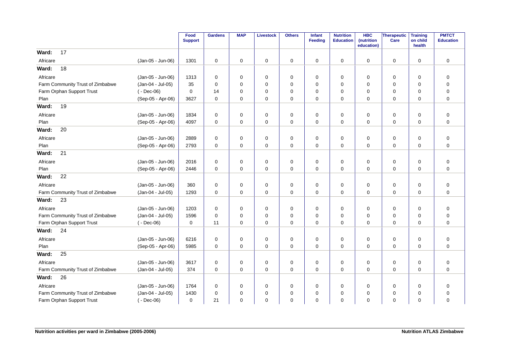|                                  |                   | Food<br><b>Support</b> | <b>Gardens</b> | <b>MAP</b>  | <b>Livestock</b> | <b>Others</b> | Infant<br><b>Feeding</b> | <b>Nutrition</b><br><b>Education</b> | <b>HBC</b><br>(nutrition<br>education) | Therapeutic<br>Care | <b>Training</b><br>on child<br>health | <b>PMTCT</b><br><b>Education</b> |
|----------------------------------|-------------------|------------------------|----------------|-------------|------------------|---------------|--------------------------|--------------------------------------|----------------------------------------|---------------------|---------------------------------------|----------------------------------|
| 17<br>Ward:                      |                   |                        |                |             |                  |               |                          |                                      |                                        |                     |                                       |                                  |
| Africare                         | (Jan-05 - Jun-06) | 1301                   | $\mathbf 0$    | 0           | $\mathbf 0$      | 0             | $\mathbf 0$              | 0                                    | $\mathbf 0$                            | 0                   | $\mathbf 0$                           | $\mathbf 0$                      |
| 18<br>Ward:                      |                   |                        |                |             |                  |               |                          |                                      |                                        |                     |                                       |                                  |
| Africare                         | (Jan-05 - Jun-06) | 1313                   | 0              | 0           | 0                | 0             | 0                        | 0                                    | 0                                      | 0                   | $\mathbf 0$                           | 0                                |
| Farm Community Trust of Zimbabwe | (Jan-04 - Jul-05) | 35                     | 0              | $\Omega$    | 0                | 0             | $\Omega$                 | 0                                    | 0                                      | 0                   | $\Omega$                              | $\mathbf 0$                      |
| Farm Orphan Support Trust        | $(-$ Dec-06)      | $\mathbf 0$            | 14             | $\Omega$    | 0                | $\mathbf 0$   | $\Omega$                 | $\Omega$                             | $\Omega$                               | 0                   | $\Omega$                              | $\mathbf 0$                      |
| Plan                             | (Sep-05 - Apr-06) | 3627                   | 0              | 0           | 0                | 0             | 0                        | 0                                    | 0                                      | 0                   | $\mathbf 0$                           | $\mathbf 0$                      |
| 19<br>Ward:                      |                   |                        |                |             |                  |               |                          |                                      |                                        |                     |                                       |                                  |
| Africare                         | (Jan-05 - Jun-06) | 1834                   | 0              | 0           | $\mathbf 0$      | 0             | 0                        | 0                                    | 0                                      | 0                   | $\mathbf 0$                           | $\pmb{0}$                        |
| Plan                             | (Sep-05 - Apr-06) | 4097                   | $\mathbf 0$    | $\mathbf 0$ | 0                | 0             | $\mathbf 0$              | 0                                    | 0                                      | 0                   | $\mathbf 0$                           | $\mathbf 0$                      |
| 20<br>Ward:                      |                   |                        |                |             |                  |               |                          |                                      |                                        |                     |                                       |                                  |
| Africare                         | (Jan-05 - Jun-06) | 2889                   | $\mathbf 0$    | 0           | 0                | $\mathbf 0$   | $\mathbf 0$              | 0                                    | $\mathbf 0$                            | $\mathbf 0$         | $\mathbf 0$                           | $\pmb{0}$                        |
| Plan                             | (Sep-05 - Apr-06) | 2793                   | $\mathbf 0$    | $\Omega$    | 0                | $\mathbf 0$   | $\Omega$                 | $\mathbf 0$                          | $\Omega$                               | $\mathbf 0$         | $\Omega$                              | $\mathbf 0$                      |
| 21<br>Ward:                      |                   |                        |                |             |                  |               |                          |                                      |                                        |                     |                                       |                                  |
| Africare                         | (Jan-05 - Jun-06) | 2016                   | 0              | 0           | 0                | 0             | 0                        | 0                                    | 0                                      | 0                   | $\mathbf 0$                           | $\mathbf 0$                      |
| Plan                             | (Sep-05 - Apr-06) | 2446                   | $\mathbf 0$    | $\mathbf 0$ | 0                | 0             | $\mathbf 0$              | $\mathbf 0$                          | $\mathbf 0$                            | 0                   | $\mathbf 0$                           | $\mathbf 0$                      |
| 22<br>Ward:                      |                   |                        |                |             |                  |               |                          |                                      |                                        |                     |                                       |                                  |
| Africare                         | (Jan-05 - Jun-06) | 360                    | 0              | 0           | 0                | 0             | 0                        | 0                                    | 0                                      | 0                   | 0                                     | $\mathbf 0$                      |
| Farm Community Trust of Zimbabwe | (Jan-04 - Jul-05) | 1293                   | $\mathbf 0$    | $\mathbf 0$ | $\mathbf 0$      | 0             | $\mathbf 0$              | $\mathbf 0$                          | $\Omega$                               | $\mathbf 0$         | $\mathbf 0$                           | $\mathbf 0$                      |
| Ward:<br>23                      |                   |                        |                |             |                  |               |                          |                                      |                                        |                     |                                       |                                  |
| Africare                         | (Jan-05 - Jun-06) | 1203                   | 0              | 0           | 0                | 0             | $\mathbf 0$              | 0                                    | 0                                      | 0                   | $\mathbf 0$                           | $\mathbf 0$                      |
| Farm Community Trust of Zimbabwe | (Jan-04 - Jul-05) | 1596                   | $\mathbf 0$    | 0           | 0                | $\mathbf 0$   | $\Omega$                 | $\mathbf 0$                          | 0                                      | 0                   | $\mathbf 0$                           | $\mathbf 0$                      |
| Farm Orphan Support Trust        | $(-$ Dec-06)      | 0                      | 11             | 0           | 0                | 0             | 0                        | 0                                    | 0                                      | 0                   | $\mathbf 0$                           | $\mathbf 0$                      |
| 24<br>Ward:                      |                   |                        |                |             |                  |               |                          |                                      |                                        |                     |                                       |                                  |
| Africare                         | (Jan-05 - Jun-06) | 6216                   | $\mathbf 0$    | 0           | 0                | 0             | $\mathbf 0$              | 0                                    | $\mathbf 0$                            | 0                   | $\mathbf 0$                           | $\mathbf 0$                      |
| Plan                             | (Sep-05 - Apr-06) | 5985                   | $\Omega$       | 0           | $\mathbf 0$      | $\mathbf 0$   | 0                        | $\mathbf 0$                          | $\Omega$                               | 0                   | $\mathbf 0$                           | $\mathbf 0$                      |
| 25<br>Ward:                      |                   |                        |                |             |                  |               |                          |                                      |                                        |                     |                                       |                                  |
| Africare                         | (Jan-05 - Jun-06) | 3617                   | 0              | 0           | $\mathbf 0$      | 0             | 0                        | 0                                    | 0                                      | $\mathbf 0$         | $\mathbf 0$                           | $\mathbf 0$                      |
| Farm Community Trust of Zimbabwe | (Jan-04 - Jul-05) | 374                    | 0              | 0           | 0                | 0             | 0                        | 0                                    | 0                                      | 0                   | $\mathbf 0$                           | $\mathbf 0$                      |
| 26<br>Ward:                      |                   |                        |                |             |                  |               |                          |                                      |                                        |                     |                                       |                                  |
| Africare                         | (Jan-05 - Jun-06) | 1764                   | 0              | 0           | 0                | 0             | 0                        | 0                                    | 0                                      | 0                   | 0                                     | 0                                |
| Farm Community Trust of Zimbabwe | (Jan-04 - Jul-05) | 1430                   | $\mathbf 0$    | 0           | 0                | 0             | 0                        | $\mathbf 0$                          | 0                                      | 0                   | $\mathbf 0$                           | $\mathbf 0$                      |
| Farm Orphan Support Trust        | $(-$ Dec-06)      | $\mathbf 0$            | 21             | 0           | $\mathbf 0$      | 0             | $\mathbf 0$              | $\mathbf 0$                          | $\Omega$                               | 0                   | $\Omega$                              | $\mathbf 0$                      |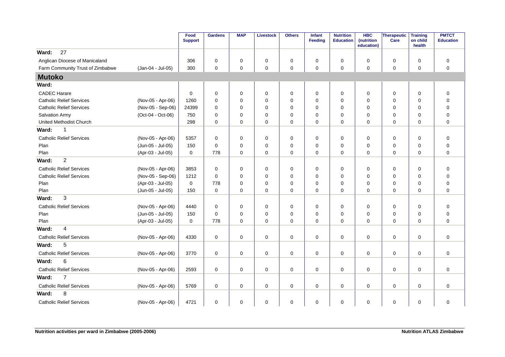|                                  |                   | Food<br><b>Support</b> | <b>Gardens</b> | <b>MAP</b>  | <b>Livestock</b> | <b>Others</b> | Infant<br><b>Feeding</b> | <b>Nutrition</b><br><b>Education</b> | <b>HBC</b><br>(nutrition<br>education) | <b>Therapeutic</b><br>Care | <b>Training</b><br>on child<br>health | <b>PMTCT</b><br><b>Education</b> |
|----------------------------------|-------------------|------------------------|----------------|-------------|------------------|---------------|--------------------------|--------------------------------------|----------------------------------------|----------------------------|---------------------------------------|----------------------------------|
| 27<br>Ward:                      |                   |                        |                |             |                  |               |                          |                                      |                                        |                            |                                       |                                  |
| Anglican Diocese of Manicaland   |                   | 306                    | 0              | 0           | 0                | 0             | 0                        | 0                                    | 0                                      | 0                          | $\mathbf 0$                           | $\mathbf 0$                      |
| Farm Community Trust of Zimbabwe | (Jan-04 - Jul-05) | 300                    | $\mathbf 0$    | 0           | 0                | 0             | $\mathbf 0$              | 0                                    | 0                                      | 0                          | $\mathbf 0$                           | $\mathbf 0$                      |
| <b>Mutoko</b>                    |                   |                        |                |             |                  |               |                          |                                      |                                        |                            |                                       |                                  |
| Ward:                            |                   |                        |                |             |                  |               |                          |                                      |                                        |                            |                                       |                                  |
| <b>CADEC Harare</b>              |                   | $\mathbf 0$            | 0              | $\mathbf 0$ | 0                | 0             | 0                        | 0                                    | 0                                      | 0                          | $\mathbf 0$                           | $\pmb{0}$                        |
| <b>Catholic Relief Services</b>  | (Nov-05 - Apr-06) | 1260                   | $\mathbf 0$    | 0           | 0                | 0             | 0                        | 0                                    | 0                                      | 0                          | $\mathbf 0$                           | $\mathbf 0$                      |
| <b>Catholic Relief Services</b>  | (Nov-05 - Sep-06) | 24399                  | $\mathbf 0$    | 0           | $\mathbf 0$      | 0             | 0                        | $\mathbf 0$                          | 0                                      | 0                          | 0                                     | $\pmb{0}$                        |
| Salvation Army                   | (Oct-04 - Oct-06) | 750                    | $\Omega$       | 0           | 0                | $\mathbf 0$   | $\Omega$                 | $\Omega$                             | 0                                      | 0                          | $\mathbf 0$                           | $\pmb{0}$                        |
| United Methodist Church          |                   | 298                    | $\mathbf 0$    | 0           | 0                | 0             | 0                        | 0                                    | 0                                      | 0                          | 0                                     | $\mathbf 0$                      |
| Ward:<br>1                       |                   |                        |                |             |                  |               |                          |                                      |                                        |                            |                                       |                                  |
| <b>Catholic Relief Services</b>  | (Nov-05 - Apr-06) | 5357                   | $\mathbf 0$    | 0           | 0                | 0             | $\mathbf 0$              | 0                                    | 0                                      | 0                          | $\mathbf 0$                           | $\mathbf 0$                      |
| Plan                             | (Jun-05 - Jul-05) | 150                    | $\mathbf 0$    | 0           | 0                | 0             | $\mathbf 0$              | 0                                    | 0                                      | 0                          | $\mathbf 0$                           | $\pmb{0}$                        |
| Plan                             | (Apr-03 - Jul-05) | 0                      | 778            | 0           | $\mathbf 0$      | 0             | $\mathbf 0$              | 0                                    | $\mathbf 0$                            | $\mathbf 0$                | $\mathbf 0$                           | $\mathbf 0$                      |
| $\overline{c}$<br>Ward:          |                   |                        |                |             |                  |               |                          |                                      |                                        |                            |                                       |                                  |
| <b>Catholic Relief Services</b>  | (Nov-05 - Apr-06) | 3853                   | $\mathbf 0$    | 0           | 0                | 0             | 0                        | 0                                    | 0                                      | 0                          | $\mathbf 0$                           | $\mathbf 0$                      |
| <b>Catholic Relief Services</b>  | (Nov-05 - Sep-06) | 1212                   | $\mathbf 0$    | 0           | $\mathbf 0$      | $\mathbf 0$   | $\mathbf 0$              | 0                                    | $\mathbf 0$                            | 0                          | $\mathbf 0$                           | $\mathbf 0$                      |
| Plan                             | (Apr-03 - Jul-05) | $\mathbf 0$            | 778            | $\Omega$    | 0                | $\mathbf 0$   | $\Omega$                 | 0                                    | 0                                      | 0                          | $\Omega$                              | $\mathbf 0$                      |
| Plan                             | (Jun-05 - Jul-05) | 150                    | $\mathbf 0$    | $\Omega$    | $\mathbf 0$      | $\mathbf 0$   | 0                        | $\Omega$                             | $\Omega$                               | 0                          | $\Omega$                              | $\mathbf 0$                      |
| 3<br>Ward:                       |                   |                        |                |             |                  |               |                          |                                      |                                        |                            |                                       |                                  |
| <b>Catholic Relief Services</b>  | (Nov-05 - Apr-06) | 4440                   | 0              | 0           | $\mathbf 0$      | 0             | 0                        | 0                                    | 0                                      | 0                          | $\mathbf 0$                           | $\pmb{0}$                        |
| Plan                             | (Jun-05 - Jul-05) | 150                    | $\Omega$       | 0           | 0                | 0             | $\Omega$                 | $\mathbf 0$                          | 0                                      | 0                          | $\mathbf 0$                           | $\mathbf 0$                      |
| Plan                             | (Apr-03 - Jul-05) | $\mathbf 0$            | 778            | 0           | 0                | $\mathbf 0$   | 0                        | 0                                    | 0                                      | 0                          | 0                                     | $\mathbf 0$                      |
| $\overline{4}$<br>Ward:          |                   |                        |                |             |                  |               |                          |                                      |                                        |                            |                                       |                                  |
| <b>Catholic Relief Services</b>  | (Nov-05 - Apr-06) | 4330                   | $\mathbf 0$    | $\mathbf 0$ | $\mathbf 0$      | 0             | $\mathbf 0$              | 0                                    | $\mathbf 0$                            | $\mathbf 0$                | $\mathbf 0$                           | $\mathbf 0$                      |
| 5<br>Ward:                       |                   |                        |                |             |                  |               |                          |                                      |                                        |                            |                                       |                                  |
| <b>Catholic Relief Services</b>  | (Nov-05 - Apr-06) | 3770                   | $\mathbf 0$    | 0           | $\mathbf 0$      | 0             | $\mathbf 0$              | 0                                    | $\mathbf 0$                            | 0                          | $\mathbf 0$                           | $\mathbf 0$                      |
| Ward:<br>6                       |                   |                        |                |             |                  |               |                          |                                      |                                        |                            |                                       |                                  |
| <b>Catholic Relief Services</b>  | (Nov-05 - Apr-06) | 2593                   | $\mathbf 0$    | 0           | $\mathbf 0$      | 0             | $\mathbf 0$              | 0                                    | 0                                      | $\mathbf 0$                | $\mathbf 0$                           | $\mathbf 0$                      |
| $\overline{7}$<br>Ward:          |                   |                        |                |             |                  |               |                          |                                      |                                        |                            |                                       |                                  |
| <b>Catholic Relief Services</b>  | (Nov-05 - Apr-06) | 5769                   | $\mathbf 0$    | 0           | $\mathbf 0$      | 0             | $\mathbf 0$              | 0                                    | $\mathbf 0$                            | $\mathbf 0$                | $\mathbf 0$                           | $\mathbf 0$                      |
| 8<br>Ward:                       |                   |                        |                |             |                  |               |                          |                                      |                                        |                            |                                       |                                  |
| <b>Catholic Relief Services</b>  | (Nov-05 - Apr-06) | 4721                   | $\mathbf 0$    | 0           | 0                | 0             | $\mathbf 0$              | 0                                    | $\mathbf 0$                            | 0                          | $\mathbf 0$                           | $\mathbf 0$                      |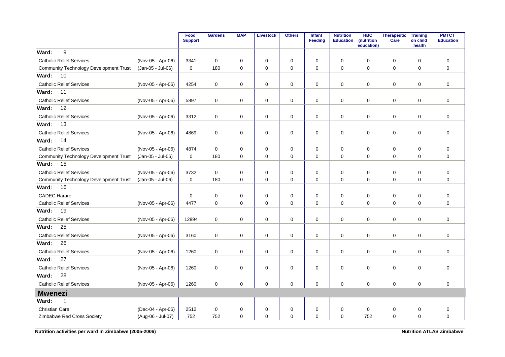|                                               |                   | Food<br><b>Support</b> | <b>Gardens</b>      | <b>MAP</b>  | <b>Livestock</b> | <b>Others</b> | <b>Infant</b><br>Feeding | <b>Nutrition</b><br><b>Education</b> | <b>HBC</b><br>(nutrition<br>education) | <b>Therapeutic</b><br>Care | <b>Training</b><br>on child<br>health | <b>PMTCT</b><br><b>Education</b> |
|-----------------------------------------------|-------------------|------------------------|---------------------|-------------|------------------|---------------|--------------------------|--------------------------------------|----------------------------------------|----------------------------|---------------------------------------|----------------------------------|
| 9<br>Ward:                                    |                   |                        |                     |             |                  |               |                          |                                      |                                        |                            |                                       |                                  |
| <b>Catholic Relief Services</b>               | (Nov-05 - Apr-06) | 3341                   | $\mathbf 0$         | 0           | 0                | 0             | $\mathbf 0$              | $\mathbf 0$                          | 0                                      | $\mathbf 0$                | $\mathbf 0$                           | $\mathbf 0$                      |
| <b>Community Technology Development Trust</b> | (Jan-05 - Jul-06) | 0                      | 180                 | $\mathbf 0$ | $\mathbf 0$      | $\mathbf 0$   | $\mathbf 0$              | $\mathbf 0$                          | 0                                      | $\mathbf 0$                | $\mathbf 0$                           | $\overline{0}$                   |
| 10<br>Ward:                                   |                   |                        |                     |             |                  |               |                          |                                      |                                        |                            |                                       |                                  |
| <b>Catholic Relief Services</b>               | (Nov-05 - Apr-06) | 4254                   | $\mathbf 0$         | 0           | 0                | $\mathbf 0$   | $\mathbf 0$              | $\mathbf 0$                          | $\Omega$                               | $\mathbf 0$                | $\mathbf 0$                           | $\mathbf 0$                      |
| 11<br>Ward:                                   |                   |                        |                     |             |                  |               |                          |                                      |                                        |                            |                                       |                                  |
| <b>Catholic Relief Services</b>               | (Nov-05 - Apr-06) | 5897                   | 0                   | 0           | $\mathbf 0$      | $\pmb{0}$     | 0                        | 0                                    | 0                                      | $\mathbf 0$                | 0                                     | $\mathbf 0$                      |
| 12<br>Ward:                                   |                   |                        |                     |             |                  |               |                          |                                      |                                        |                            |                                       |                                  |
| <b>Catholic Relief Services</b>               | (Nov-05 - Apr-06) | 3312                   | $\mathbf 0$         | 0           | $\pmb{0}$        | $\pmb{0}$     | $\mathbf 0$              | $\pmb{0}$                            | 0                                      | $\mathbf 0$                | 0                                     | $\mathbf 0$                      |
| Ward:<br>13                                   |                   |                        |                     |             |                  |               |                          |                                      |                                        |                            |                                       |                                  |
| <b>Catholic Relief Services</b>               | (Nov-05 - Apr-06) | 4869                   | $\mathbf 0$         | $\mathbf 0$ | $\mathbf 0$      | $\mathbf 0$   | $\mathbf 0$              | $\mathbf 0$                          | $\Omega$                               | $\mathbf 0$                | $\mathbf 0$                           | $\mathbf 0$                      |
| Ward:<br>14                                   |                   |                        |                     |             |                  |               |                          |                                      |                                        |                            |                                       |                                  |
| <b>Catholic Relief Services</b>               | (Nov-05 - Apr-06) | 4874                   | $\mathbf 0$         | 0           | 0                | $\pmb{0}$     | 0                        | $\mathbf 0$                          | 0                                      | 0                          | 0                                     | $\mathbf 0$                      |
| <b>Community Technology Development Trust</b> | (Jan-05 - Jul-06) | $\mathbf 0$            | 180                 | $\Omega$    | $\mathbf 0$      | $\pmb{0}$     | $\mathbf 0$              | 0                                    | $\Omega$                               | 0                          | $\Omega$                              | $\mathbf 0$                      |
| Ward:<br>15                                   |                   |                        |                     |             |                  |               |                          |                                      |                                        |                            |                                       |                                  |
| <b>Catholic Relief Services</b>               | (Nov-05 - Apr-06) | 3732                   | $\mathbf 0$         | 0           | 0                | $\pmb{0}$     | $\mathbf 0$              | $\mathbf 0$                          | 0                                      | 0                          | $\mathbf 0$                           | $\mathbf 0$                      |
| <b>Community Technology Development Trust</b> | (Jan-05 - Jul-06) | 0                      | 180                 | $\mathbf 0$ | $\mathbf 0$      | $\pmb{0}$     | $\mathbf 0$              | $\mathbf 0$                          | 0                                      | 0                          | $\mathbf 0$                           | $\mathbf 0$                      |
| Ward:<br>16                                   |                   |                        |                     |             |                  |               |                          |                                      |                                        |                            |                                       |                                  |
| <b>CADEC Harare</b>                           |                   | 0                      | $\mathbf 0$         | 0           | 0                | $\pmb{0}$     | $\mathbf 0$              | $\mathbf 0$                          | 0                                      | $\mathbf 0$                | $\mathbf 0$                           | $\mathbf 0$                      |
| <b>Catholic Relief Services</b>               | (Nov-05 - Apr-06) | 4477                   | $\mathbf 0$         | 0           | $\mathbf 0$      | $\pmb{0}$     | $\mathbf 0$              | $\mathbf 0$                          | 0                                      | $\mathbf 0$                | $\mathbf 0$                           | $\mathbf 0$                      |
| 19<br>Ward:                                   |                   |                        |                     |             |                  |               |                          |                                      |                                        |                            |                                       |                                  |
| <b>Catholic Relief Services</b>               | (Nov-05 - Apr-06) | 12894                  | $\mathbf 0$         | $\mathbf 0$ | $\mathbf 0$      | $\mathbf 0$   | $\mathbf 0$              | $\mathbf 0$                          | $\Omega$                               | $\mathbf 0$                | $\mathbf 0$                           | $\mathbf 0$                      |
| 25<br>Ward:                                   |                   |                        |                     |             |                  |               |                          |                                      |                                        |                            |                                       |                                  |
| <b>Catholic Relief Services</b>               | (Nov-05 - Apr-06) | 3160                   | 0                   | $\mathbf 0$ | 0                | 0             | 0                        | 0                                    | 0                                      | $\mathbf 0$                | $\mathbf 0$                           | $\mathbf 0$                      |
| 26<br>Ward:                                   |                   |                        |                     |             |                  |               |                          |                                      |                                        |                            |                                       |                                  |
| <b>Catholic Relief Services</b>               | (Nov-05 - Apr-06) | 1260                   | $\mathbf 0$         | 0           | $\mathbf 0$      | $\pmb{0}$     | $\mathbf 0$              | $\pmb{0}$                            | 0                                      | $\mathbf 0$                | 0                                     | $\mathbf 0$                      |
| 27<br>Ward:                                   |                   |                        |                     |             |                  |               |                          |                                      |                                        |                            |                                       |                                  |
| <b>Catholic Relief Services</b>               | (Nov-05 - Apr-06) | 1260                   | $\mathbf 0$         | $\mathbf 0$ | $\mathbf 0$      | $\pmb{0}$     | 0                        | $\mathbf 0$                          | $\Omega$                               | $\mathbf 0$                | $\mathbf 0$                           | $\mathbf 0$                      |
| 28<br>Ward:                                   |                   |                        |                     |             |                  |               |                          |                                      |                                        |                            |                                       |                                  |
| <b>Catholic Relief Services</b>               | (Nov-05 - Apr-06) | 1260                   | $\mathbf 0$         | $\mathbf 0$ | $\mathbf 0$      | $\mathbf 0$   | $\mathbf 0$              | $\mathbf 0$                          | 0                                      | $\mathbf 0$                | $\mathbf 0$                           | $\mathbf 0$                      |
| <b>Mwenezi</b>                                |                   |                        |                     |             |                  |               |                          |                                      |                                        |                            |                                       |                                  |
| Ward:<br>1                                    |                   |                        |                     |             |                  |               |                          |                                      |                                        |                            |                                       |                                  |
| <b>Christian Care</b>                         | (Dec-04 - Apr-06) | 2512                   | $\mathsf{O}\xspace$ | 0           | $\pmb{0}$        | $\mathbf 0$   | $\mathbf 0$              | $\pmb{0}$                            | 0                                      | $\pmb{0}$                  | 0                                     | $\pmb{0}$                        |
| Zimbabwe Red Cross Society                    | (Aug-06 - Jul-07) | 752                    | 752                 | 0           | $\Omega$         | $\mathbf 0$   | $\mathbf 0$              | $\mathbf 0$                          | 752                                    | $\mathbf 0$                | $\mathbf 0$                           | $\mathbf 0$                      |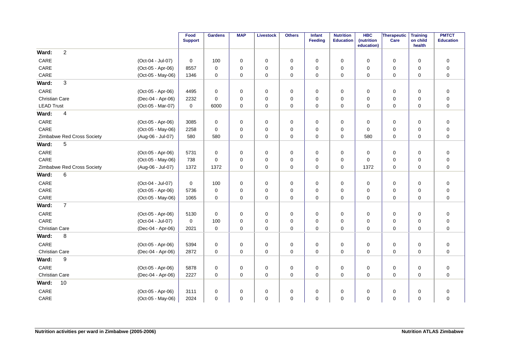|                       |                            |                   | Food<br><b>Support</b> | <b>Gardens</b> | <b>MAP</b>  | <b>Livestock</b> | <b>Others</b> | Infant<br><b>Feeding</b> | <b>Nutrition</b><br><b>Education</b> | <b>HBC</b><br>(nutrition | Therapeutic<br>Care | <b>Training</b><br>on child | <b>PMTCT</b><br><b>Education</b> |
|-----------------------|----------------------------|-------------------|------------------------|----------------|-------------|------------------|---------------|--------------------------|--------------------------------------|--------------------------|---------------------|-----------------------------|----------------------------------|
| Ward:                 | $\overline{2}$             |                   |                        |                |             |                  |               |                          |                                      | education)               |                     | health                      |                                  |
| CARE                  |                            | (Oct-04 - Jul-07) | 0                      | 100            | 0           | 0                | 0             | $\mathbf 0$              | 0                                    | $\mathbf 0$              | 0                   | $\mathbf 0$                 | $\pmb{0}$                        |
| CARE                  |                            | (Oct-05 - Apr-06) | 8557                   | $\mathbf 0$    | 0           | $\mathbf 0$      | 0             | $\mathbf 0$              | $\mathbf 0$                          | $\mathbf 0$              | $\mathbf 0$         | $\mathbf 0$                 | $\pmb{0}$                        |
| CARE                  |                            | (Oct-05 - May-06) | 1346                   | $\mathbf 0$    | 0           | $\mathbf 0$      | 0             | $\mathbf 0$              | 0                                    | $\mathbf 0$              | $\mathbf 0$         | $\mathbf 0$                 | $\pmb{0}$                        |
| Ward:                 | 3                          |                   |                        |                |             |                  |               |                          |                                      |                          |                     |                             |                                  |
|                       |                            |                   |                        |                |             |                  |               |                          |                                      |                          |                     |                             |                                  |
| CARE                  |                            | (Oct-05 - Apr-06) | 4495                   | $\mathbf 0$    | 0           | $\mathbf 0$      | $\mathbf 0$   | $\mathbf 0$              | 0                                    | $\mathbf 0$              | $\mathbf 0$         | $\mathbf 0$                 | $\pmb{0}$                        |
| <b>Christian Care</b> |                            | (Dec-04 - Apr-06) | 2232                   | $\mathbf 0$    | 0           | $\pmb{0}$        | 0             | $\mathbf 0$              | 0                                    | $\mathbf 0$              | 0                   | $\mathbf 0$                 | $\pmb{0}$                        |
| <b>LEAD Trust</b>     |                            | (Oct-05 - Mar-07) | 0                      | 6000           | 0           | 0                | 0             | 0                        | 0                                    | 0                        | 0                   | 0                           | $\pmb{0}$                        |
| Ward:                 | 4                          |                   |                        |                |             |                  |               |                          |                                      |                          |                     |                             |                                  |
| CARE                  |                            | (Oct-05 - Apr-06) | 3085                   | $\mathbf 0$    | 0           | 0                | 0             | 0                        | 0                                    | 0                        | 0                   | $\mathbf 0$                 | $\pmb{0}$                        |
| CARE                  |                            | (Oct-05 - May-06) | 2258                   | $\mathbf 0$    | 0           | $\mathbf 0$      | 0             | $\mathbf 0$              | 0                                    | $\mathbf 0$              | 0                   | $\mathbf 0$                 | $\pmb{0}$                        |
|                       | Zimbabwe Red Cross Society | (Aug-06 - Jul-07) | 580                    | 580            | 0           | $\mathbf 0$      | 0             | $\mathbf 0$              | 0                                    | 580                      | $\mathbf 0$         | $\mathbf 0$                 | $\mathbf 0$                      |
| Ward:                 | 5                          |                   |                        |                |             |                  |               |                          |                                      |                          |                     |                             |                                  |
| CARE                  |                            | (Oct-05 - Apr-06) | 5731                   | $\mathbf 0$    | 0           | $\mathbf 0$      | $\mathbf 0$   | $\mathbf 0$              | 0                                    | $\mathbf 0$              | 0                   | $\mathbf 0$                 | $\pmb{0}$                        |
| CARE                  |                            | (Oct-05 - May-06) | 738                    | $\Omega$       | 0           | $\mathbf 0$      | 0             | $\mathbf 0$              | 0                                    | $\mathbf 0$              | 0                   | $\mathbf 0$                 | $\pmb{0}$                        |
|                       | Zimbabwe Red Cross Society | (Aug-06 - Jul-07) | 1372                   | 1372           | 0           | $\pmb{0}$        | 0             | $\mathbf 0$              | 0                                    | 1372                     | $\mathbf 0$         | $\mathbf 0$                 | $\pmb{0}$                        |
| Ward:                 | 6                          |                   |                        |                |             |                  |               |                          |                                      |                          |                     |                             |                                  |
| CARE                  |                            | (Oct-04 - Jul-07) | 0                      | 100            | 0           | $\mathbf 0$      | 0             | 0                        | 0                                    | 0                        | 0                   | $\mathbf 0$                 | $\pmb{0}$                        |
| CARE                  |                            | (Oct-05 - Apr-06) | 5736                   | 0              | 0           | $\mathbf 0$      | 0             | $\mathbf 0$              | 0                                    | $\mathbf 0$              | 0                   | $\mathbf 0$                 | $\pmb{0}$                        |
| CARE                  |                            | (Oct-05 - May-06) | 1065                   | $\mathbf 0$    | 0           | 0                | 0             | $\mathbf 0$              | 0                                    | $\mathbf 0$              | 0                   | $\mathbf 0$                 | $\pmb{0}$                        |
| Ward:                 | $\overline{7}$             |                   |                        |                |             |                  |               |                          |                                      |                          |                     |                             |                                  |
| CARE                  |                            | (Oct-05 - Apr-06) | 5130                   | $\mathbf 0$    | 0           | 0                | $\mathbf 0$   | $\mathbf 0$              | 0                                    | 0                        | 0                   | $\mathbf 0$                 | $\pmb{0}$                        |
| CARE                  |                            | (Oct-04 - Jul-07) | 0                      | 100            | 0           | $\mathbf 0$      | 0             | $\Omega$                 | $\mathbf 0$                          | $\mathbf 0$              | 0                   | $\mathbf 0$                 | $\pmb{0}$                        |
| <b>Christian Care</b> |                            | (Dec-04 - Apr-06) | 2021                   | $\mathbf 0$    | $\mathbf 0$ | $\mathbf 0$      | 0             | $\Omega$                 | $\mathbf 0$                          | $\Omega$                 | 0                   | $\Omega$                    | $\overline{0}$                   |
| Ward:                 | 8                          |                   |                        |                |             |                  |               |                          |                                      |                          |                     |                             |                                  |
| CARE                  |                            | (Oct-05 - Apr-06) | 5394                   | 0              | 0           | $\mathbf 0$      | 0             | 0                        | 0                                    | 0                        | 0                   | $\mathbf 0$                 | $\pmb{0}$                        |
| Christian Care        |                            | (Dec-04 - Apr-06) | 2872                   | $\mathbf 0$    | $\mathbf 0$ | 0                | $\mathbf 0$   | $\mathbf 0$              | $\mathbf 0$                          | 0                        | 0                   | $\mathbf 0$                 | $\mathbf 0$                      |
| Ward:                 | 9                          |                   |                        |                |             |                  |               |                          |                                      |                          |                     |                             |                                  |
| CARE                  |                            | (Oct-05 - Apr-06) | 5878                   | 0              | 0           | $\mathbf 0$      | 0             | $\mathbf 0$              | 0                                    | 0                        | $\mathbf 0$         | $\mathbf 0$                 | $\mathbf 0$                      |
| <b>Christian Care</b> |                            | (Dec-04 - Apr-06) | 2227                   | $\mathbf 0$    | $\mathbf 0$ | 0                | $\mathbf 0$   | $\mathbf 0$              | $\mathbf 0$                          | $\mathbf 0$              | 0                   | $\mathbf 0$                 | $\mathbf 0$                      |
| Ward:                 | 10                         |                   |                        |                |             |                  |               |                          |                                      |                          |                     |                             |                                  |
| CARE                  |                            | (Oct-05 - Apr-06) | 3111                   | $\mathbf 0$    | 0           | 0                | 0             | $\mathbf 0$              | $\mathbf 0$                          | 0                        | 0                   | $\mathbf 0$                 | $\pmb{0}$                        |
| CARE                  |                            | (Oct-05 - May-06) | 2024                   | $\Omega$       | 0           | $\mathbf 0$      | 0             | $\Omega$                 | $\Omega$                             | $\Omega$                 | 0                   | $\Omega$                    | $\overline{0}$                   |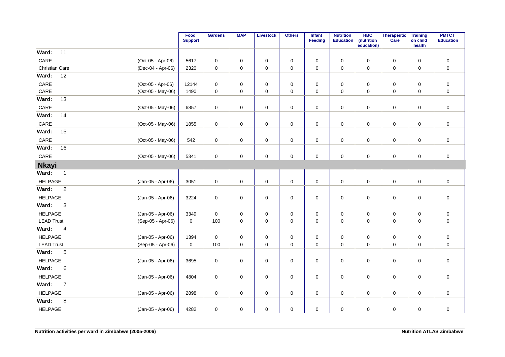|                       |                |                   | Food<br><b>Support</b> | <b>Gardens</b>      | <b>MAP</b>  | <b>Livestock</b>    | <b>Others</b>    | Infant<br>Feeding   | <b>Nutrition</b><br><b>Education</b> | <b>HBC</b><br>(nutrition<br>education) | Therapeutic<br>Care | <b>Training</b><br>on child<br>health | <b>PMTCT</b><br><b>Education</b> |
|-----------------------|----------------|-------------------|------------------------|---------------------|-------------|---------------------|------------------|---------------------|--------------------------------------|----------------------------------------|---------------------|---------------------------------------|----------------------------------|
| Ward:                 | 11             |                   |                        |                     |             |                     |                  |                     |                                      |                                        |                     |                                       |                                  |
| CARE                  |                | (Oct-05 - Apr-06) | 5617                   | $\mathbf 0$         | $\mathbf 0$ | 0                   | $\mathbf 0$      | 0                   | 0                                    | 0                                      | $\mathsf 0$         | $\mathbf 0$                           | $\pmb{0}$                        |
| <b>Christian Care</b> |                | (Dec-04 - Apr-06) | 2320                   | 0                   | 0           | 0                   | $\mathbf 0$      | $\mathbf 0$         | $\mathbf 0$                          | $\pmb{0}$                              | $\mathsf 0$         | $\mathbf 0$                           | $\pmb{0}$                        |
| Ward:                 | 12             |                   |                        |                     |             |                     |                  |                     |                                      |                                        |                     |                                       |                                  |
| CARE                  |                | (Oct-05 - Apr-06) | 12144                  | 0                   | 0           | $\pmb{0}$           | $\boldsymbol{0}$ | 0                   | $\mathbf 0$                          | 0                                      | 0                   | $\mathbf 0$                           | $\pmb{0}$                        |
| $\mathsf{CARE}$       |                | (Oct-05 - May-06) | 1490                   | 0                   | 0           | 0                   | $\pmb{0}$        | $\mathbf 0$         | $\mathbf 0$                          | 0                                      | $\mathsf 0$         | $\mathbf 0$                           | $\pmb{0}$                        |
| Ward:                 | 13             |                   |                        |                     |             |                     |                  |                     |                                      |                                        |                     |                                       |                                  |
| CARE                  |                | (Oct-05 - May-06) | 6857                   | $\mathsf 0$         | 0           | $\pmb{0}$           | $\pmb{0}$        | $\mathsf 0$         | $\pmb{0}$                            | 0                                      | $\mathsf 0$         | $\mathbf 0$                           | $\pmb{0}$                        |
| Ward:                 | 14             |                   |                        |                     |             |                     |                  |                     |                                      |                                        |                     |                                       |                                  |
| CARE                  |                | (Oct-05 - May-06) | 1855                   | $\mathbf 0$         | 0           | 0                   | $\pmb{0}$        | 0                   | $\pmb{0}$                            | 0                                      | $\pmb{0}$           | $\pmb{0}$                             | $\pmb{0}$                        |
| Ward:                 | 15             |                   |                        |                     |             |                     |                  |                     |                                      |                                        |                     |                                       |                                  |
| $\mathsf{CARE}$       |                | (Oct-05 - May-06) | 542                    | $\mathsf 0$         | 0           | $\pmb{0}$           | $\pmb{0}$        | $\mathsf 0$         | $\pmb{0}$                            | $\pmb{0}$                              | $\pmb{0}$           | $\pmb{0}$                             | $\pmb{0}$                        |
| Ward:                 | 16             |                   |                        |                     |             |                     |                  |                     |                                      |                                        |                     |                                       |                                  |
| $\mathsf{CARE}$       |                | (Oct-05 - May-06) | 5341                   | $\mathsf{O}\xspace$ | 0           | $\mathsf 0$         | $\pmb{0}$        | $\mathsf{O}\xspace$ | $\pmb{0}$                            | 0                                      | $\mathsf 0$         | $\mathbf 0$                           | $\pmb{0}$                        |
| <b>Nkayi</b>          |                |                   |                        |                     |             |                     |                  |                     |                                      |                                        |                     |                                       |                                  |
| Ward:                 | $\overline{1}$ |                   |                        |                     |             |                     |                  |                     |                                      |                                        |                     |                                       |                                  |
| <b>HELPAGE</b>        |                | (Jan-05 - Apr-06) | 3051                   | $\mathsf 0$         | $\pmb{0}$   | $\mathsf 0$         | $\pmb{0}$        | $\mathsf 0$         | $\pmb{0}$                            | $\pmb{0}$                              | $\mathsf 0$         | $\mathbf 0$                           | $\pmb{0}$                        |
| Ward:                 | $\sqrt{2}$     |                   |                        |                     |             |                     |                  |                     |                                      |                                        |                     |                                       |                                  |
| <b>HELPAGE</b>        |                | (Jan-05 - Apr-06) | 3224                   | 0                   | 0           | 0                   | $\pmb{0}$        | 0                   | 0                                    | 0                                      | $\pmb{0}$           | $\mathbf 0$                           | $\pmb{0}$                        |
| Ward:                 | $\sqrt{3}$     |                   |                        |                     |             |                     |                  |                     |                                      |                                        |                     |                                       |                                  |
| <b>HELPAGE</b>        |                | (Jan-05 - Apr-06) | 3349                   | 0                   | 0           | 0                   | $\boldsymbol{0}$ | 0                   | $\boldsymbol{0}$                     | 0                                      | $\pmb{0}$           | $\pmb{0}$                             | $\pmb{0}$                        |
| <b>LEAD Trust</b>     |                | (Sep-05 - Apr-06) | $\mathbf 0$            | 100                 | $\mathbf 0$ | $\pmb{0}$           | $\mathbf 0$      | $\mathbf 0$         | $\mathbf 0$                          | $\pmb{0}$                              | $\mathsf 0$         | $\mathbf 0$                           | $\pmb{0}$                        |
| Ward:                 | $\overline{4}$ |                   |                        |                     |             |                     |                  |                     |                                      |                                        |                     |                                       |                                  |
| <b>HELPAGE</b>        |                | (Jan-05 - Apr-06) | 1394                   | $\mathsf 0$         | 0           | 0                   | $\mathbf 0$      | 0                   | 0                                    | 0                                      | 0                   | $\mathbf 0$                           | $\pmb{0}$                        |
| <b>LEAD Trust</b>     |                | (Sep-05 - Apr-06) | 0                      | 100                 | $\mathbf 0$ | $\mathbf 0$         | $\mathbf 0$      | $\mathbf 0$         | $\pmb{0}$                            | 0                                      | 0                   | $\mathbf 0$                           | $\pmb{0}$                        |
| Ward:                 | 5              |                   |                        |                     |             |                     |                  |                     |                                      |                                        |                     |                                       |                                  |
| <b>HELPAGE</b>        |                | (Jan-05 - Apr-06) | 3695                   | $\mathsf 0$         | $\mathbf 0$ | $\mathsf 0$         | $\pmb{0}$        | $\mathbf 0$         | $\mathbf 0$                          | $\pmb{0}$                              | $\mathsf 0$         | $\mathbf 0$                           | $\pmb{0}$                        |
| Ward:                 | $\,6$          |                   |                        |                     |             |                     |                  |                     |                                      |                                        |                     |                                       |                                  |
| <b>HELPAGE</b>        |                | (Jan-05 - Apr-06) | 4804                   | $\pmb{0}$           | 0           | $\mathsf{O}\xspace$ | $\pmb{0}$        | 0                   | $\pmb{0}$                            | 0                                      | $\mathsf{O}\xspace$ | $\mathbf 0$                           | $\pmb{0}$                        |
| Ward:                 | $\overline{7}$ |                   |                        |                     |             |                     |                  |                     |                                      |                                        |                     |                                       |                                  |
| <b>HELPAGE</b>        |                | (Jan-05 - Apr-06) | 2898                   | 0                   | $\mathbf 0$ | $\pmb{0}$           | $\mathbf 0$      | 0                   | $\mathbf 0$                          | 0                                      | 0                   | $\mathbf 0$                           | $\pmb{0}$                        |
| Ward:                 | 8              |                   |                        |                     |             |                     |                  |                     |                                      |                                        |                     |                                       |                                  |
| <b>HELPAGE</b>        |                | (Jan-05 - Apr-06) | 4282                   | $\pmb{0}$           | $\mathbf 0$ | $\pmb{0}$           | $\mathbf 0$      | 0                   | $\pmb{0}$                            | 0                                      | $\pmb{0}$           | $\pmb{0}$                             | $\pmb{0}$                        |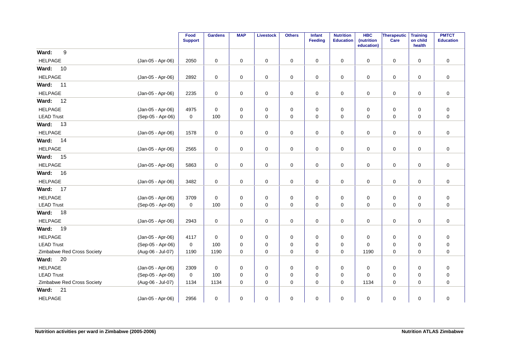|                            |                   | Food<br><b>Support</b> | <b>Gardens</b> | <b>MAP</b>  | <b>Livestock</b> | <b>Others</b> | Infant<br><b>Feeding</b> | <b>Nutrition</b><br><b>Education</b> | <b>HBC</b><br>(nutrition<br>education) | Therapeutic<br>Care | <b>Training</b><br>on child<br>health | <b>PMTCT</b><br><b>Education</b> |
|----------------------------|-------------------|------------------------|----------------|-------------|------------------|---------------|--------------------------|--------------------------------------|----------------------------------------|---------------------|---------------------------------------|----------------------------------|
| 9<br>Ward:                 |                   |                        |                |             |                  |               |                          |                                      |                                        |                     |                                       |                                  |
| <b>HELPAGE</b>             | (Jan-05 - Apr-06) | 2050                   | $\mathbf 0$    | $\mathbf 0$ | $\mathbf 0$      | $\mathbf 0$   | $\mathbf 0$              | $\mathbf 0$                          | $\mathbf 0$                            | $\mathbf 0$         | $\mathbf 0$                           | $\mathbf 0$                      |
| Ward:<br>10                |                   |                        |                |             |                  |               |                          |                                      |                                        |                     |                                       |                                  |
| <b>HELPAGE</b>             | (Jan-05 - Apr-06) | 2892                   | 0              | 0           | 0                | 0             | 0                        | 0                                    | 0                                      | 0                   | 0                                     | 0                                |
| Ward:<br>11                |                   |                        |                |             |                  |               |                          |                                      |                                        |                     |                                       |                                  |
| <b>HELPAGE</b>             | (Jan-05 - Apr-06) | 2235                   | $\mathbf 0$    | $\mathbf 0$ | $\mathbf 0$      | $\pmb{0}$     | $\mathbf 0$              | $\mathbf 0$                          | $\mathbf 0$                            | $\mathbf 0$         | $\mathbf 0$                           | $\mathbf 0$                      |
| 12<br>Ward:                |                   |                        |                |             |                  |               |                          |                                      |                                        |                     |                                       |                                  |
| <b>HELPAGE</b>             | (Jan-05 - Apr-06) | 4975                   | $\mathbf 0$    | 0           | $\pmb{0}$        | $\pmb{0}$     | $\mathbf 0$              | $\pmb{0}$                            | 0                                      | $\pmb{0}$           | $\mathbf 0$                           | $\pmb{0}$                        |
| <b>LEAD Trust</b>          | (Sep-05 - Apr-06) | 0                      | 100            | 0           | 0                | 0             | 0                        | 0                                    | 0                                      | 0                   | $\mathbf 0$                           | $\pmb{0}$                        |
| Ward:<br>13                |                   |                        |                |             |                  |               |                          |                                      |                                        |                     |                                       |                                  |
| <b>HELPAGE</b>             | (Jan-05 - Apr-06) | 1578                   | 0              | $\mathbf 0$ | $\mathbf 0$      | $\pmb{0}$     | 0                        | 0                                    | 0                                      | $\mathbf 0$         | 0                                     | $\mathbf 0$                      |
| Ward:<br>14                |                   |                        |                |             |                  |               |                          |                                      |                                        |                     |                                       |                                  |
| <b>HELPAGE</b>             | (Jan-05 - Apr-06) | 2565                   | $\pmb{0}$      | 0           | $\pmb{0}$        | $\pmb{0}$     | $\mathbf 0$              | $\pmb{0}$                            | 0                                      | $\mathsf 0$         | $\mathbf 0$                           | $\pmb{0}$                        |
| Ward:<br>15                |                   |                        |                |             |                  |               |                          |                                      |                                        |                     |                                       |                                  |
| <b>HELPAGE</b>             | (Jan-05 - Apr-06) | 5863                   | 0              | 0           | $\mathbf 0$      | $\pmb{0}$     | 0                        | 0                                    | 0                                      | 0                   | $\mathbf 0$                           | $\mathbf 0$                      |
| 16<br>Ward:                |                   |                        |                |             |                  |               |                          |                                      |                                        |                     |                                       |                                  |
| <b>HELPAGE</b>             | (Jan-05 - Apr-06) | 3482                   | 0              | $\mathbf 0$ | 0                | $\mathbf 0$   | $\mathbf 0$              | 0                                    | $\mathbf 0$                            | $\mathbf 0$         | $\mathbf 0$                           | $\mathbf 0$                      |
| <b>Ward: 17</b>            |                   |                        |                |             |                  |               |                          |                                      |                                        |                     |                                       |                                  |
| <b>HELPAGE</b>             | (Jan-05 - Apr-06) | 3709                   | $\mathbf 0$    | 0           | 0                | 0             | 0                        | 0                                    | 0                                      | 0                   | 0                                     | $\boldsymbol{0}$                 |
| <b>LEAD Trust</b>          | (Sep-05 - Apr-06) | $\mathbf 0$            | 100            | $\mathbf 0$ | $\mathbf 0$      | $\mathbf 0$   | 0                        | $\mathbf 0$                          | 0                                      | 0                   | $\mathbf 0$                           | $\pmb{0}$                        |
| 18<br>Ward:                |                   |                        |                |             |                  |               |                          |                                      |                                        |                     |                                       |                                  |
| <b>HELPAGE</b>             | (Jan-05 - Apr-06) | 2943                   | $\mathbf 0$    | $\mathbf 0$ | 0                | $\mathbf 0$   | $\mathbf 0$              | $\mathbf 0$                          | 0                                      | $\mathbf 0$         | $\mathbf 0$                           | $\mathbf 0$                      |
| Ward:<br>19                |                   |                        |                |             |                  |               |                          |                                      |                                        |                     |                                       |                                  |
| <b>HELPAGE</b>             | (Jan-05 - Apr-06) | 4117                   | $\mathbf 0$    | 0           | 0                | 0             | 0                        | 0                                    | 0                                      | $\mathbf 0$         | 0                                     | $\pmb{0}$                        |
| <b>LEAD Trust</b>          | (Sep-05 - Apr-06) | $\mathbf 0$            | 100            | 0           | 0                | 0             | 0                        | $\mathbf 0$                          | 0                                      | 0                   | 0                                     | $\pmb{0}$                        |
| Zimbabwe Red Cross Society | (Aug-06 - Jul-07) | 1190                   | 1190           | $\mathbf 0$ | $\mathbf 0$      | $\mathbf 0$   | $\mathbf 0$              | $\mathbf 0$                          | 1190                                   | $\mathbf 0$         | $\mathbf 0$                           | $\mathbf 0$                      |
| 20<br>Ward:                |                   |                        |                |             |                  |               |                          |                                      |                                        |                     |                                       |                                  |
| <b>HELPAGE</b>             | (Jan-05 - Apr-06) | 2309                   | 0              | 0           | 0                | 0             | $\mathbf 0$              | 0                                    | 0                                      | $\mathbf 0$         | 0                                     | $\mathbf 0$                      |
| <b>LEAD Trust</b>          | (Sep-05 - Apr-06) | $\mathbf 0$            | 100            | $\mathbf 0$ | 0                | 0             | 0                        | $\mathbf 0$                          | 0                                      | 0                   | 0                                     | $\pmb{0}$                        |
| Zimbabwe Red Cross Society | (Aug-06 - Jul-07) | 1134                   | 1134           | $\mathbf 0$ | $\mathbf 0$      | $\mathbf 0$   | 0                        | $\Omega$                             | 1134                                   | $\mathbf 0$         | $\Omega$                              | $\mathbf 0$                      |
| 21<br>Ward:                |                   |                        |                |             |                  |               |                          |                                      |                                        |                     |                                       |                                  |
| <b>HELPAGE</b>             | (Jan-05 - Apr-06) | 2956                   | $\mathbf 0$    | 0           | $\mathbf 0$      | $\pmb{0}$     | 0                        | $\mathbf 0$                          | 0                                      | $\mathbf 0$         | $\mathbf 0$                           | $\pmb{0}$                        |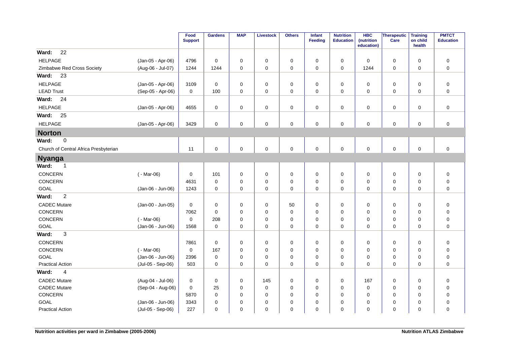|                                       |                   | Food<br><b>Support</b> | <b>Gardens</b> | <b>MAP</b>  | <b>Livestock</b> | <b>Others</b> | <b>Infant</b><br><b>Feeding</b> | <b>Nutrition</b><br><b>Education</b> | <b>HBC</b><br>(nutrition<br>education) | Therapeutic<br><b>Care</b> | <b>Training</b><br>on child<br>health | <b>PMTCT</b><br><b>Education</b> |
|---------------------------------------|-------------------|------------------------|----------------|-------------|------------------|---------------|---------------------------------|--------------------------------------|----------------------------------------|----------------------------|---------------------------------------|----------------------------------|
| 22<br>Ward:                           |                   |                        |                |             |                  |               |                                 |                                      |                                        |                            |                                       |                                  |
| <b>HELPAGE</b>                        | (Jan-05 - Apr-06) | 4796                   | $\mathbf 0$    | 0           | 0                | $\mathbf 0$   | 0                               | 0                                    | $\mathbf 0$                            | $\mathsf 0$                | 0                                     | $\pmb{0}$                        |
| Zimbabwe Red Cross Society            | (Aug-06 - Jul-07) | 1244                   | 1244           | 0           | 0                | 0             | $\mathbf 0$                     | $\mathbf 0$                          | 1244                                   | 0                          | $\mathbf 0$                           | $\mathbf 0$                      |
| 23<br>Ward:                           |                   |                        |                |             |                  |               |                                 |                                      |                                        |                            |                                       |                                  |
| <b>HELPAGE</b>                        | (Jan-05 - Apr-06) | 3109                   | 0              | 0           | 0                | $\mathbf 0$   | 0                               | $\mathbf 0$                          | 0                                      | 0                          | $\pmb{0}$                             | $\pmb{0}$                        |
| <b>LEAD Trust</b>                     | (Sep-05 - Apr-06) | $\mathbf 0$            | 100            | 0           | $\mathbf 0$      | $\mathbf 0$   | $\mathbf 0$                     | $\mathbf 0$                          | $\mathbf 0$                            | $\mathbf 0$                | $\mathbf 0$                           | $\mathbf 0$                      |
| Ward:<br>24                           |                   |                        |                |             |                  |               |                                 |                                      |                                        |                            |                                       |                                  |
| <b>HELPAGE</b>                        | (Jan-05 - Apr-06) | 4655                   | 0              | $\mathbf 0$ | 0                | $\mathbf 0$   | 0                               | 0                                    | $\mathbf 0$                            | 0                          | $\mathbf 0$                           | 0                                |
| Ward:<br>25                           |                   |                        |                |             |                  |               |                                 |                                      |                                        |                            |                                       |                                  |
| <b>HELPAGE</b>                        | (Jan-05 - Apr-06) | 3429                   | $\mathbf 0$    | 0           | $\pmb{0}$        | $\mathbf 0$   | $\mathbf 0$                     | $\mathbf 0$                          | 0                                      | $\mathsf 0$                | $\mathbf 0$                           | $\mathbf 0$                      |
| <b>Norton</b>                         |                   |                        |                |             |                  |               |                                 |                                      |                                        |                            |                                       |                                  |
| $\mathbf 0$<br>Ward:                  |                   |                        |                |             |                  |               |                                 |                                      |                                        |                            |                                       |                                  |
| Church of Central Africa Presbyterian |                   | 11                     | $\mathbf 0$    | $\mathbf 0$ | $\mathbf 0$      | $\mathbf 0$   | $\mathbf 0$                     | $\mathbf 0$                          | $\mathbf 0$                            | $\mathsf{O}\xspace$        | $\pmb{0}$                             | $\mathbf 0$                      |
| <b>Nyanga</b>                         |                   |                        |                |             |                  |               |                                 |                                      |                                        |                            |                                       |                                  |
| Ward:<br>$\overline{1}$               |                   |                        |                |             |                  |               |                                 |                                      |                                        |                            |                                       |                                  |
| CONCERN                               | $(-Mar-06)$       | $\mathbf 0$            | 101            | 0           | $\mathbf 0$      | $\mathbf 0$   | 0                               | 0                                    | $\mathbf 0$                            | $\mathsf 0$                | $\pmb{0}$                             | $\pmb{0}$                        |
| CONCERN                               |                   | 4631                   | $\mathbf 0$    | 0           | 0                | $\mathbf 0$   | 0                               | $\mathbf 0$                          | $\mathbf 0$                            | 0                          | 0                                     | $\pmb{0}$                        |
| GOAL                                  | (Jan-06 - Jun-06) | 1243                   | 0              | 0           | 0                | 0             | 0                               | 0                                    | 0                                      | $\mathbf 0$                | $\mathbf 0$                           | 0                                |
| $\overline{c}$<br>Ward:               |                   |                        |                |             |                  |               |                                 |                                      |                                        |                            |                                       |                                  |
| <b>CADEC Mutare</b>                   | (Jan-00 - Jun-05) | $\mathbf 0$            | 0              | 0           | 0                | 50            | 0                               | 0                                    | 0                                      | 0                          | 0                                     | $\pmb{0}$                        |
| CONCERN                               |                   | 7062                   | 0              | 0           | 0                | $\mathbf 0$   | 0                               | $\mathbf 0$                          | 0                                      | 0                          | 0                                     | 0                                |
| CONCERN                               | $(-Mar-06)$       | $\mathbf 0$            | 208            | 0           | 0                | 0             | $\mathbf 0$                     | $\mathbf 0$                          | $\mathbf 0$                            | 0                          | $\mathbf 0$                           | $\mathbf 0$                      |
| GOAL                                  | (Jan-06 - Jun-06) | 1568                   | $\mathbf 0$    | 0           | 0                | $\mathbf 0$   | 0                               | 0                                    | 0                                      | 0                          | $\mathbf 0$                           | 0                                |
| 3<br>Ward:                            |                   |                        |                |             |                  |               |                                 |                                      |                                        |                            |                                       |                                  |
| CONCERN                               |                   | 7861                   | $\mathbf 0$    | 0           | 0                | $\mathbf 0$   | 0                               | 0                                    | 0                                      | $\mathsf 0$                | 0                                     | $\pmb{0}$                        |
| CONCERN                               | $(-Mar-06)$       | $\mathbf 0$            | 167            | 0           | 0                | 0             | 0                               | 0                                    | 0                                      | $\mathbf 0$                | $\mathbf 0$                           | $\mathbf 0$                      |
| GOAL                                  | (Jan-06 - Jun-06) | 2396                   | $\pmb{0}$      | 0           | $\mathbf 0$      | $\mathbf 0$   | $\mathbf 0$                     | $\mathbf 0$                          | $\mathbf 0$                            | $\mathbf 0$                | $\mathbf 0$                           | $\pmb{0}$                        |
| <b>Practical Action</b>               | (Jul-05 - Sep-06) | 503                    | 0              | 0           | 0                | $\mathbf 0$   | 0                               | 0                                    | 0                                      | 0                          | 0                                     | 0                                |
| Ward:<br>$\overline{4}$               |                   |                        |                |             |                  |               |                                 |                                      |                                        |                            |                                       |                                  |
| <b>CADEC Mutare</b>                   | (Aug-04 - Jul-06) | $\mathbf 0$            | $\mathsf 0$    | 0           | 145              | $\mathbf 0$   | 0                               | 0                                    | 167                                    | 0                          | 0                                     | $\mathbf 0$                      |
| <b>CADEC Mutare</b>                   | (Sep-04 - Aug-06) | $\mathbf 0$            | 25             | 0           | 0                | 0             | 0                               | 0                                    | 0                                      | 0                          | 0                                     | 0                                |
| CONCERN                               |                   | 5870                   | 0              | $\Omega$    | 0                | 0             | 0                               | $\mathbf 0$                          | $\mathbf 0$                            | 0                          | $\mathbf 0$                           | $\pmb{0}$                        |
| GOAL                                  | (Jan-06 - Jun-06) | 3343                   | 0              | 0           | 0                | 0             | 0                               | 0                                    | 0                                      | 0                          | 0                                     | $\mathbf 0$                      |
| <b>Practical Action</b>               | (Jul-05 - Sep-06) | 227                    | 0              | 0           | 0                | 0             | 0                               | $\mathbf 0$                          | $\mathbf 0$                            | $\mathbf 0$                | $\mathbf 0$                           | $\mathbf 0$                      |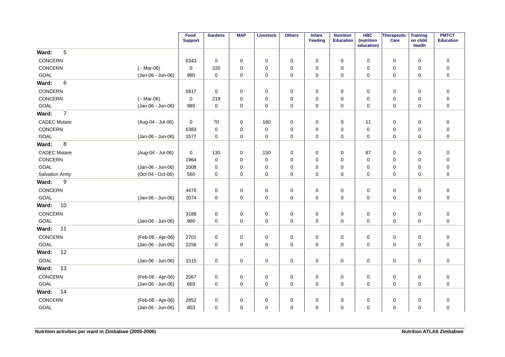|                         |                   | Food<br><b>Support</b> | <b>Gardens</b> | <b>MAP</b> | <b>Livestock</b> | <b>Others</b> | Infant<br>Feeding | <b>Nutrition</b><br><b>Education</b> | <b>HBC</b><br>(nutrition<br>education) | Therapeutic<br>Care | <b>Training</b><br>on child<br>health | <b>PMTCT</b><br><b>Education</b> |
|-------------------------|-------------------|------------------------|----------------|------------|------------------|---------------|-------------------|--------------------------------------|----------------------------------------|---------------------|---------------------------------------|----------------------------------|
| 5<br>Ward:              |                   |                        |                |            |                  |               |                   |                                      |                                        |                     |                                       |                                  |
| CONCERN                 |                   | 6343                   | $\mathbf 0$    | 0          | $\mathbf 0$      | $\mathbf 0$   | $\mathbf 0$       | 0                                    | $\mathbf 0$                            | 0                   | $\mathbf 0$                           | $\pmb{0}$                        |
| CONCERN                 | ( - Mar-06)       | $\mathbf 0$            | 220            | 0          | $\mathbf 0$      | 0             | $\mathbf 0$       | 0                                    | $\mathbf 0$                            | 0                   | $\mathbf 0$                           | $\pmb{0}$                        |
| GOAL                    | (Jan-06 - Jun-06) | 980                    | $\mathbf 0$    | 0          | 0                | 0             | 0                 | 0                                    | 0                                      | 0                   | 0                                     | $\pmb{0}$                        |
| $\,6$<br>Ward:          |                   |                        |                |            |                  |               |                   |                                      |                                        |                     |                                       |                                  |
| CONCERN                 |                   | 5817                   | $\mathbf 0$    | 0          | $\mathbf 0$      | $\pmb{0}$     | $\mathbf 0$       | 0                                    | $\mathbf 0$                            | 0                   | $\mathbf 0$                           | $\pmb{0}$                        |
| CONCERN                 | $(-Mar-06)$       | $\mathbf 0$            | 219            | 0          | $\mathbf 0$      | 0             | 0                 | 0                                    | 0                                      | 0                   | $\mathbf 0$                           | $\mathbf 0$                      |
| GOAL                    | (Jan-06 - Jun-06) | 989                    | $\mathbf 0$    | 0          | 0                | 0             | 0                 | 0                                    | 0                                      | 0                   | $\mathbf 0$                           | $\pmb{0}$                        |
| $\overline{7}$<br>Ward: |                   |                        |                |            |                  |               |                   |                                      |                                        |                     |                                       |                                  |
| <b>CADEC Mutare</b>     | (Aug-04 - Jul-06) | $\mathbf 0$            | 70             | 0          | 180              | 0             | 0                 | 0                                    | 11                                     | 0                   | 0                                     | $\mathbf 0$                      |
| CONCERN                 |                   | 6383                   | $\mathbf 0$    | 0          | $\mathbf 0$      | 0             | $\mathbf 0$       | 0                                    | $\mathbf 0$                            | 0                   | $\mathbf 0$                           | $\pmb{0}$                        |
| GOAL                    | (Jan-06 - Jun-06) | 1577                   | $\pmb{0}$      | $\pmb{0}$  | $\pmb{0}$        | 0             | $\mathbf 0$       | 0                                    | $\pmb{0}$                              | $\mathbf 0$         | $\mathbf 0$                           | $\pmb{0}$                        |
| 8<br>Ward:              |                   |                        |                |            |                  |               |                   |                                      |                                        |                     |                                       |                                  |
| <b>CADEC Mutare</b>     | (Aug-04 - Jul-06) | $\mathbf 0$            | 130            | 0          | 150              | 0             | 0                 | 0                                    | 87                                     | 0                   | 0                                     | $\pmb{0}$                        |
| CONCERN                 |                   | 1964                   | $\mathbf 0$    | 0          | $\mathbf 0$      | 0             | $\mathbf 0$       | 0                                    | $\mathbf 0$                            | 0                   | $\mathbf 0$                           | $\mathbf 0$                      |
| GOAL                    | (Jan-06 - Jun-06) | 1008                   | $\mathbf 0$    | 0          | $\mathbf 0$      | $\pmb{0}$     | $\mathbf 0$       | 0                                    | $\mathbf 0$                            | 0                   | $\mathbf 0$                           | $\mathbf 0$                      |
| <b>Salvation Army</b>   | (Oct-04 - Oct-06) | 560                    | $\mathbf 0$    | 0          | 0                | $\mathbf 0$   | $\mathbf 0$       | $\mathbf 0$                          | $\mathbf 0$                            | 0                   | $\mathbf 0$                           | $\mathbf 0$                      |
| Ward:<br>9              |                   |                        |                |            |                  |               |                   |                                      |                                        |                     |                                       |                                  |
| CONCERN                 |                   | 4478                   | $\mathbf 0$    | 0          | $\mathbf 0$      | $\pmb{0}$     | $\pmb{0}$         | 0                                    | $\mathbf 0$                            | $\mathbf 0$         | $\mathbf 0$                           | $\pmb{0}$                        |
| GOAL                    | (Jan-06 - Jun-06) | 2074                   | $\mathbf 0$    | 0          | $\mathbf 0$      | 0             | 0                 | 0                                    | 0                                      | 0                   | $\mathbf 0$                           | $\mathbf 0$                      |
| 10<br>Ward:             |                   |                        |                |            |                  |               |                   |                                      |                                        |                     |                                       |                                  |
| CONCERN                 |                   | 3188                   | $\mathbf 0$    | 0          | $\mathbf 0$      | $\pmb{0}$     | $\mathbf 0$       | 0                                    | $\mathbf 0$                            | $\mathbf 0$         | $\mathbf 0$                           | $\pmb{0}$                        |
| GOAL                    | (Jan-06 - Jun-06) | 990                    | $\mathbf 0$    | 0          | 0                | 0             | 0                 | 0                                    | 0                                      | 0                   | $\mathbf 0$                           | $\mathbf 0$                      |
| 11<br>Ward:             |                   |                        |                |            |                  |               |                   |                                      |                                        |                     |                                       |                                  |
| CONCERN                 | (Feb-06 - Apr-06) | 2701                   | $\mathbf 0$    | 0          | 0                | $\pmb{0}$     | 0                 | 0                                    | $\mathbf 0$                            | $\mathbf 0$         | $\mathbf 0$                           | $\pmb{0}$                        |
| GOAL                    | (Jan-06 - Jun-06) | 2258                   | $\mathbf 0$    | 0          | $\mathbf 0$      | 0             | $\mathbf 0$       | 0                                    | 0                                      | 0                   | $\mathbf 0$                           | $\mathbf 0$                      |
| 12<br>Ward:             |                   |                        |                |            |                  |               |                   |                                      |                                        |                     |                                       |                                  |
| GOAL                    | (Jan-06 - Jun-06) | 1515                   | $\mathbf 0$    | $\pmb{0}$  | $\mathbf 0$      | $\mathbf 0$   | $\mathbf 0$       | 0                                    | $\mathbf 0$                            | $\mathbf 0$         | $\mathbf 0$                           | $\pmb{0}$                        |
| 13<br>Ward:             |                   |                        |                |            |                  |               |                   |                                      |                                        |                     |                                       |                                  |
| CONCERN                 | (Feb-06 - Apr-06) | 2067                   | $\pmb{0}$      | 0          | $\mathbf 0$      | $\pmb{0}$     | $\mathbf 0$       | 0                                    | $\mathbf 0$                            | $\mathbf 0$         | $\mathbf 0$                           | $\pmb{0}$                        |
| GOAL                    | (Jan-06 - Jun-06) | 669                    | $\mathbf 0$    | 0          | $\mathbf 0$      | 0             | $\mathbf 0$       | 0                                    | 0                                      | 0                   | $\mathbf 0$                           | $\mathbf 0$                      |
| 14<br>Ward:             |                   |                        |                |            |                  |               |                   |                                      |                                        |                     |                                       |                                  |
| CONCERN                 | (Feb-06 - Apr-06) | 2852                   | $\mathbf 0$    | 0          | $\mathbf 0$      | 0             | 0                 | 0                                    | 0                                      | $\mathbf 0$         | $\mathbf 0$                           | $\pmb{0}$                        |
| <b>GOAL</b>             | (Jan-06 - Jun-06) | 803                    | $\mathbf 0$    | 0          | $\mathbf 0$      | 0             | $\mathbf 0$       | 0                                    | $\mathbf 0$                            | 0                   | $\mathbf 0$                           | $\pmb{0}$                        |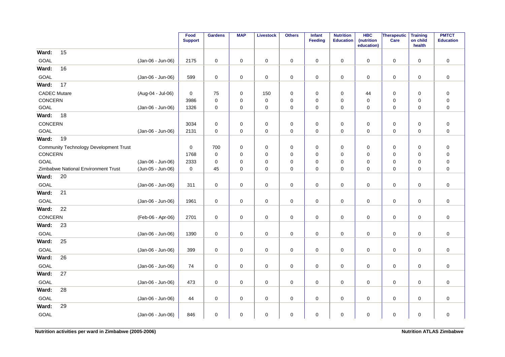|                                               |                   | Food<br><b>Support</b> | <b>Gardens</b>      | <b>MAP</b>  | <b>Livestock</b>    | <b>Others</b> | <b>Infant</b><br>Feeding | <b>Nutrition</b><br><b>Education</b> | <b>HBC</b><br>(nutrition<br>education) | Therapeutic<br>Care | <b>Training</b><br>on child<br>health | <b>PMTCT</b><br><b>Education</b> |
|-----------------------------------------------|-------------------|------------------------|---------------------|-------------|---------------------|---------------|--------------------------|--------------------------------------|----------------------------------------|---------------------|---------------------------------------|----------------------------------|
| 15<br>Ward:                                   |                   |                        |                     |             |                     |               |                          |                                      |                                        |                     |                                       |                                  |
| GOAL                                          | (Jan-06 - Jun-06) | 2175                   | $\mathsf{O}\xspace$ | $\mathbf 0$ | $\mathbf 0$         | $\mathbf 0$   | $\mathbf 0$              | $\pmb{0}$                            | $\mathbf 0$                            | $\mathbf 0$         | $\mathbf 0$                           | $\pmb{0}$                        |
| 16<br>Ward:                                   |                   |                        |                     |             |                     |               |                          |                                      |                                        |                     |                                       |                                  |
| GOAL                                          | (Jan-06 - Jun-06) | 599                    | $\mathsf{O}\xspace$ | 0           | $\mathsf{O}\xspace$ | $\pmb{0}$     | $\mathbf 0$              | $\pmb{0}$                            | 0                                      | 0                   | $\mathbf 0$                           | $\pmb{0}$                        |
| 17<br>Ward:                                   |                   |                        |                     |             |                     |               |                          |                                      |                                        |                     |                                       |                                  |
| <b>CADEC Mutare</b>                           | (Aug-04 - Jul-06) | $\pmb{0}$              | 75                  | $\pmb{0}$   | 150                 | $\pmb{0}$     | $\mathbf 0$              | $\pmb{0}$                            | 44                                     | $\pmb{0}$           | $\pmb{0}$                             | $\pmb{0}$                        |
| CONCERN                                       |                   | 3986                   | $\mathsf{O}\xspace$ | 0           | $\pmb{0}$           | $\pmb{0}$     | 0                        | 0                                    | 0                                      | 0                   | $\mathbf 0$                           | $\pmb{0}$                        |
| GOAL                                          | (Jan-06 - Jun-06) | 1326                   | $\mathsf{O}\xspace$ | 0           | $\pmb{0}$           | $\mathbf 0$   | 0                        | 0                                    | 0                                      | 0                   | 0                                     | $\pmb{0}$                        |
| Ward:<br>18                                   |                   |                        |                     |             |                     |               |                          |                                      |                                        |                     |                                       |                                  |
| CONCERN                                       |                   | 3034                   | $\mathbf 0$         | 0           | $\mathsf{O}\xspace$ | $\pmb{0}$     | $\mathbf 0$              | 0                                    | 0                                      | $\mathbf 0$         | 0                                     | $\pmb{0}$                        |
| GOAL                                          | (Jan-06 - Jun-06) | 2131                   | $\mathbf 0$         | $\mathbf 0$ | $\mathbf 0$         | $\pmb{0}$     | $\mathbf 0$              | $\mathbf 0$                          | $\mathbf 0$                            | 0                   | $\mathbf 0$                           | $\mathbf 0$                      |
| Ward:<br>19                                   |                   |                        |                     |             |                     |               |                          |                                      |                                        |                     |                                       |                                  |
| <b>Community Technology Development Trust</b> |                   | 0                      | 700                 | 0           | 0                   | 0             | 0                        | 0                                    | 0                                      | 0                   | 0                                     | $\pmb{0}$                        |
| CONCERN                                       |                   | 1768                   | $\mathbf 0$         | 0           | $\mathbf 0$         | $\pmb{0}$     | $\mathbf 0$              | $\mathbf 0$                          | 0                                      | 0                   | 0                                     | $\pmb{0}$                        |
| GOAL                                          | (Jan-06 - Jun-06) | 2333                   | $\mathbf 0$         | 0           | $\mathbf 0$         | $\pmb{0}$     | 0                        | $\mathbf 0$                          | 0                                      | 0                   | $\mathbf 0$                           | $\pmb{0}$                        |
| <b>Zimbabwe National Environment Trust</b>    | (Jun-05 - Jun-06) | $\mathbf 0$            | 45                  | 0           | $\mathsf{O}\xspace$ | $\pmb{0}$     | 0                        | 0                                    | 0                                      | 0                   | 0                                     | $\pmb{0}$                        |
| Ward:<br>20                                   |                   |                        |                     |             |                     |               |                          |                                      |                                        |                     |                                       |                                  |
| GOAL                                          | (Jan-06 - Jun-06) | 311                    | 0                   | 0           | 0                   | 0             | 0                        | 0                                    | 0                                      | 0                   | $\mathbf 0$                           | $\mathbf 0$                      |
| 21<br>Ward:                                   |                   |                        |                     |             |                     |               |                          |                                      |                                        |                     |                                       |                                  |
| GOAL                                          | (Jan-06 - Jun-06) | 1961                   | $\mathbf 0$         | 0           | $\mathbf 0$         | $\pmb{0}$     | $\mathbf 0$              | 0                                    | $\mathbf 0$                            | 0                   | 0                                     | $\pmb{0}$                        |
| 22<br>Ward:                                   |                   |                        |                     |             |                     |               |                          |                                      |                                        |                     |                                       |                                  |
| CONCERN                                       | (Feb-06 - Apr-06) | 2701                   | $\mathsf{O}\xspace$ | 0           | 0                   | 0             | 0                        | 0                                    | 0                                      | 0                   | $\mathbf 0$                           | $\mathbf 0$                      |
| Ward:<br>23                                   |                   |                        |                     |             |                     |               |                          |                                      |                                        |                     |                                       |                                  |
| GOAL                                          | (Jan-06 - Jun-06) | 1390                   | $\pmb{0}$           | $\pmb{0}$   | $\pmb{0}$           | $\mathbf 0$   | $\mathsf 0$              | $\pmb{0}$                            | 0                                      | $\mathsf 0$         | $\pmb{0}$                             | $\pmb{0}$                        |
| Ward:<br>25                                   |                   |                        |                     |             |                     |               |                          |                                      |                                        |                     |                                       |                                  |
| GOAL                                          | (Jan-06 - Jun-06) | 399                    | $\mathbf 0$         | $\pmb{0}$   | $\mathbf 0$         | $\pmb{0}$     | $\mathbf 0$              | $\pmb{0}$                            | 0                                      | $\mathsf 0$         | $\mathbf 0$                           | $\pmb{0}$                        |
| 26<br>Ward:                                   |                   |                        |                     |             |                     |               |                          |                                      |                                        |                     |                                       |                                  |
| GOAL                                          | (Jan-06 - Jun-06) | 74                     | $\mathbf 0$         | 0           | $\mathsf{O}\xspace$ | $\pmb{0}$     | 0                        | 0                                    | 0                                      | $\mathbf 0$         | $\mathbf 0$                           | $\pmb{0}$                        |
| 27<br>Ward:                                   |                   |                        |                     |             |                     |               |                          |                                      |                                        |                     |                                       |                                  |
| GOAL                                          | (Jan-06 - Jun-06) | 473                    | $\mathbf 0$         | $\mathbf 0$ | $\mathbf 0$         | $\pmb{0}$     | $\mathbf 0$              | $\mathbf 0$                          | $\mathbf 0$                            | $\mathbf 0$         | $\mathbf 0$                           | $\mathbf 0$                      |
| 28<br>Ward:                                   |                   |                        |                     |             |                     |               |                          |                                      |                                        |                     |                                       |                                  |
| GOAL                                          | (Jan-06 - Jun-06) | 44                     | 0                   | 0           | 0                   | 0             | 0                        | 0                                    | 0                                      | 0                   | $\mathbf 0$                           | $\pmb{0}$                        |
| 29<br>Ward:                                   |                   |                        |                     |             |                     |               |                          |                                      |                                        |                     |                                       |                                  |
| GOAL                                          | (Jan-06 - Jun-06) | 846                    | $\mathsf{O}\xspace$ | 0           | $\pmb{0}$           | $\pmb{0}$     | 0                        | $\pmb{0}$                            | 0                                      | $\pmb{0}$           | $\pmb{0}$                             | $\mathbf 0$                      |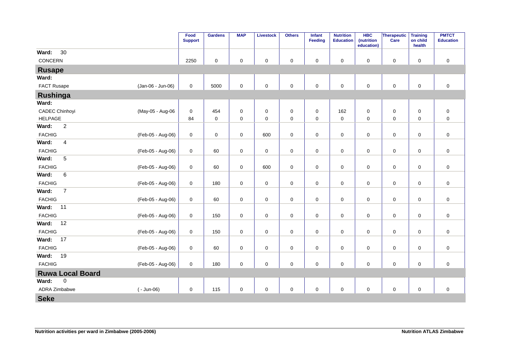|                                  |                   | Food<br><b>Support</b> | <b>Gardens</b>      | <b>MAP</b>  | <b>Livestock</b>    | <b>Others</b>       | Infant<br><b>Feeding</b> | <b>Nutrition</b><br><b>Education</b> | <b>HBC</b><br>(nutrition<br>education) | Therapeutic<br>Care | <b>Training</b><br>on child<br>health | <b>PMTCT</b><br><b>Education</b> |
|----------------------------------|-------------------|------------------------|---------------------|-------------|---------------------|---------------------|--------------------------|--------------------------------------|----------------------------------------|---------------------|---------------------------------------|----------------------------------|
| 30<br>Ward:                      |                   |                        |                     |             |                     |                     |                          |                                      |                                        |                     |                                       |                                  |
| CONCERN                          |                   | 2250                   | $\mathbf 0$         | 0           | $\pmb{0}$           | $\pmb{0}$           | 0                        | $\pmb{0}$                            | 0                                      | $\mathsf 0$         | $\pmb{0}$                             | $\pmb{0}$                        |
| <b>Rusape</b>                    |                   |                        |                     |             |                     |                     |                          |                                      |                                        |                     |                                       |                                  |
| Ward:                            |                   |                        |                     |             |                     |                     |                          |                                      |                                        |                     |                                       |                                  |
| FACT Rusape                      | (Jan-06 - Jun-06) | $\mathbf 0$            | 5000                | $\mathbf 0$ | $\pmb{0}$           | $\mathbf 0$         | $\mathbf 0$              | $\mathbf 0$                          | $\mathbf 0$                            | $\mathsf 0$         | $\mathbf 0$                           | $\mathsf 0$                      |
| Rushinga                         |                   |                        |                     |             |                     |                     |                          |                                      |                                        |                     |                                       |                                  |
| Ward:                            |                   |                        |                     |             |                     |                     |                          |                                      |                                        |                     |                                       |                                  |
| <b>CADEC Chinhoyi</b>            | (May-05 - Aug-06  | 0                      | 454                 | 0           | 0                   | $\pmb{0}$           | $\mathbf 0$              | 162                                  | 0                                      | $\mathsf 0$         | 0                                     | $\pmb{0}$                        |
| <b>HELPAGE</b>                   |                   | 84                     | $\mathsf{O}\xspace$ | $\mathbf 0$ | $\mathbf 0$         | $\mathsf{O}\xspace$ | $\mathsf{O}\xspace$      | $\mathsf 0$                          | $\mathbf 0$                            | $\mathsf 0$         | $\mathsf{O}\xspace$                   | $\pmb{0}$                        |
| $\overline{c}$<br>Ward:          |                   |                        |                     |             |                     |                     |                          |                                      |                                        |                     |                                       |                                  |
| <b>FACHIG</b>                    | (Feb-05 - Aug-06) | $\mathbf 0$            | $\mathbf 0$         | 0           | 600                 | $\pmb{0}$           | 0                        | $\pmb{0}$                            | 0                                      | $\mathbf 0$         | 0                                     | $\pmb{0}$                        |
| Ward:<br>$\overline{\mathbf{4}}$ |                   |                        |                     |             |                     |                     |                          |                                      |                                        |                     |                                       |                                  |
| <b>FACHIG</b>                    | (Feb-05 - Aug-06) | $\mathbf 0$            | 60                  | 0           | $\mathbf 0$         | $\mathsf 0$         | $\mathbf 0$              | $\mathbf 0$                          | 0                                      | $\mathbf 0$         | $\mathbf 0$                           | $\pmb{0}$                        |
| $\overline{5}$<br>Ward:          |                   |                        |                     |             |                     |                     |                          |                                      |                                        |                     |                                       |                                  |
| <b>FACHIG</b>                    | (Feb-05 - Aug-06) | $\mathbf 0$            | 60                  | $\mathbf 0$ | 600                 | $\mathbf 0$         | 0                        | $\pmb{0}$                            | 0                                      | $\mathbf 0$         | $\mathsf 0$                           | $\mathsf 0$                      |
| 6<br>Ward:                       |                   |                        |                     |             |                     |                     |                          |                                      |                                        |                     |                                       |                                  |
| <b>FACHIG</b>                    | (Feb-05 - Aug-06) | $\mathbf 0$            | 180                 | $\mathbf 0$ | $\mathbf 0$         | $\mathsf 0$         | $\mathsf{O}\xspace$      | $\pmb{0}$                            | $\mathbf 0$                            | $\mathbf 0$         | $\mathbf 0$                           | $\mathbf 0$                      |
| $\overline{7}$<br>Ward:          |                   |                        |                     |             |                     |                     |                          |                                      |                                        |                     |                                       |                                  |
| <b>FACHIG</b>                    | (Feb-05 - Aug-06) | $\mathbf 0$            | 60                  | 0           | $\mathbf 0$         | $\mathsf 0$         | 0                        | $\pmb{0}$                            | 0                                      | $\mathbf 0$         | $\mathbf 0$                           | $\pmb{0}$                        |
| Ward:<br>11                      |                   |                        |                     |             |                     |                     |                          |                                      |                                        |                     |                                       |                                  |
| <b>FACHIG</b>                    | (Feb-05 - Aug-06) | $\mathbf 0$            | 150                 | $\mathbf 0$ | $\pmb{0}$           | $\mathsf{O}\xspace$ | $\mathbf{0}$             | $\mathbf 0$                          | $\mathbf 0$                            | $\mathsf{O}\xspace$ | $\mathbf 0$                           | $\pmb{0}$                        |
| 12<br>Ward:                      |                   |                        |                     |             |                     |                     |                          |                                      |                                        |                     |                                       |                                  |
| <b>FACHIG</b>                    | (Feb-05 - Aug-06) | $\mathbf 0$            | 150                 | $\mathbf 0$ | $\mathsf{O}\xspace$ | $\mathsf 0$         | 0                        | $\pmb{0}$                            | $\mathbf 0$                            | $\mathbf 0$         | $\mathbf 0$                           | $\mathsf 0$                      |
| 17<br>Ward:                      |                   |                        |                     |             |                     |                     |                          |                                      |                                        |                     |                                       |                                  |
| <b>FACHIG</b>                    | (Feb-05 - Aug-06) | $\mathbf 0$            | 60                  | $\mathbf 0$ | $\pmb{0}$           | $\mathsf 0$         | $\mathsf{O}\xspace$      | $\mathbf 0$                          | $\mathbf 0$                            | $\mathsf{O}\xspace$ | $\mathbf 0$                           | $\pmb{0}$                        |
| 19<br>Ward:                      |                   |                        |                     |             |                     |                     |                          |                                      |                                        |                     |                                       |                                  |
| <b>FACHIG</b>                    | (Feb-05 - Aug-06) | $\mathbf 0$            | 180                 | $\mathbf 0$ | $\pmb{0}$           | $\mathsf 0$         | $\mathbf{0}$             | $\mathsf 0$                          | $\mathbf 0$                            | $\pmb{0}$           | $\pmb{0}$                             | $\pmb{0}$                        |
| <b>Ruwa Local Board</b>          |                   |                        |                     |             |                     |                     |                          |                                      |                                        |                     |                                       |                                  |
| Ward:<br>$\pmb{0}$               |                   |                        |                     |             |                     |                     |                          |                                      |                                        |                     |                                       |                                  |
| ADRA Zimbabwe                    | $(-$ Jun-06)      | $\mathbf 0$            | 115                 | $\mathbf 0$ | $\pmb{0}$           | $\mathsf 0$         | $\mathsf{O}\xspace$      | $\mathsf 0$                          | $\mathbf 0$                            | $\pmb{0}$           | $\pmb{0}$                             | $\pmb{0}$                        |
| <b>Seke</b>                      |                   |                        |                     |             |                     |                     |                          |                                      |                                        |                     |                                       |                                  |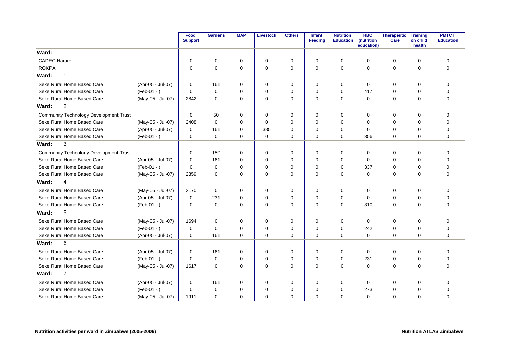|                                               |                   | Food<br><b>Support</b> | <b>Gardens</b> | <b>MAP</b>  | <b>Livestock</b> | <b>Others</b> | <b>Infant</b><br>Feeding | <b>Nutrition</b><br><b>Education</b> | <b>HBC</b><br><b>(nutrition</b><br>education) | Therapeutic<br>Care | <b>Training</b><br>on child<br>health | <b>PMTCT</b><br><b>Education</b> |
|-----------------------------------------------|-------------------|------------------------|----------------|-------------|------------------|---------------|--------------------------|--------------------------------------|-----------------------------------------------|---------------------|---------------------------------------|----------------------------------|
| Ward:                                         |                   |                        |                |             |                  |               |                          |                                      |                                               |                     |                                       |                                  |
| <b>CADEC Harare</b>                           |                   | $\mathbf 0$            | 0              | 0           | $\mathbf 0$      | 0             | 0                        | 0                                    | $\Omega$                                      | 0                   | $\mathbf 0$                           | $\mathbf 0$                      |
| <b>ROKPA</b>                                  |                   | $\mathbf 0$            | $\mathbf 0$    | $\mathbf 0$ | $\mathbf 0$      | $\mathbf 0$   | $\mathbf 0$              | 0                                    | $\Omega$                                      | $\mathbf 0$         | $\mathbf 0$                           | $\mathbf 0$                      |
| Ward:<br>1                                    |                   |                        |                |             |                  |               |                          |                                      |                                               |                     |                                       |                                  |
| Seke Rural Home Based Care                    | (Apr-05 - Jul-07) | $\mathbf 0$            | 161            | $\Omega$    | $\mathbf 0$      | 0             | $\Omega$                 | 0                                    | $\Omega$                                      | 0                   | $\Omega$                              | $\Omega$                         |
| Seke Rural Home Based Care                    | $(Feb-01 - )$     | $\Omega$               | $\Omega$       | $\Omega$    | $\mathbf 0$      | $\mathbf 0$   | 0                        | $\Omega$                             | 417                                           | $\mathbf 0$         | $\Omega$                              | $\Omega$                         |
| Seke Rural Home Based Care                    | (May-05 - Jul-07) | 2842                   | $\Omega$       | 0           | $\mathbf 0$      | $\mathbf 0$   | $\mathbf 0$              | $\Omega$                             | $\mathbf 0$                                   | 0                   | $\mathbf 0$                           | $\Omega$                         |
| $\overline{2}$<br>Ward:                       |                   |                        |                |             |                  |               |                          |                                      |                                               |                     |                                       |                                  |
| <b>Community Technology Development Trust</b> |                   | $\mathbf 0$            | 50             | $\Omega$    | 0                | $\mathbf 0$   | 0                        | 0                                    | $\Omega$                                      | 0                   | 0                                     | $\Omega$                         |
| Seke Rural Home Based Care                    | (May-05 - Jul-07) | 2408                   | $\Omega$       | $\Omega$    | $\mathbf 0$      | $\mathbf 0$   | $\Omega$                 | $\Omega$                             | $\Omega$                                      | $\mathbf 0$         | $\Omega$                              | $\Omega$                         |
| Seke Rural Home Based Care                    | (Apr-05 - Jul-07) | $\mathbf 0$            | 161            | $\Omega$    | 385              | $\mathbf 0$   | 0                        | 0                                    | $\Omega$                                      | 0                   | $\Omega$                              | $\Omega$                         |
| Seke Rural Home Based Care                    | $(Feb-01 - )$     | $\mathbf 0$            | $\Omega$       | $\Omega$    | $\mathbf 0$      | $\mathbf 0$   | 0                        | $\Omega$                             | 356                                           | $\mathbf 0$         | $\Omega$                              | $\Omega$                         |
| Ward:<br>3                                    |                   |                        |                |             |                  |               |                          |                                      |                                               |                     |                                       |                                  |
| <b>Community Technology Development Trust</b> |                   | $\Omega$               | 150            | $\Omega$    | 0                | $\mathbf 0$   | 0                        | 0                                    | $\Omega$                                      | 0                   | $\Omega$                              | $\mathbf 0$                      |
| Seke Rural Home Based Care                    | (Apr-05 - Jul-07) | $\Omega$               | 161            | $\Omega$    | $\mathbf 0$      | $\mathbf 0$   | $\mathbf 0$              | $\Omega$                             | $\Omega$                                      | $\mathbf 0$         | $\Omega$                              | $\Omega$                         |
| Seke Rural Home Based Care                    | $(Feb-01 - )$     | $\Omega$               | $\mathbf 0$    | $\Omega$    | $\mathbf 0$      | $\mathbf 0$   | $\Omega$                 | $\Omega$                             | 337                                           | $\mathbf 0$         | $\Omega$                              | $\Omega$                         |
| Seke Rural Home Based Care                    | (May-05 - Jul-07) | 2359                   | $\mathbf 0$    | $\mathbf 0$ | $\mathbf 0$      | $\mathbf 0$   | $\mathbf 0$              | $\mathbf 0$                          | $\mathbf 0$                                   | $\mathbf 0$         | $\Omega$                              | $\mathbf 0$                      |
| $\overline{4}$<br>Ward:                       |                   |                        |                |             |                  |               |                          |                                      |                                               |                     |                                       |                                  |
| Seke Rural Home Based Care                    | (May-05 - Jul-07) | 2170                   | 0              | 0           | 0                | 0             | 0                        | 0                                    | $\Omega$                                      | 0                   | 0                                     | 0                                |
| Seke Rural Home Based Care                    | (Apr-05 - Jul-07) | $\Omega$               | 231            | $\Omega$    | $\mathbf 0$      | $\mathbf 0$   | $\Omega$                 | $\Omega$                             | $\Omega$                                      | $\mathbf 0$         | $\Omega$                              | $\mathbf 0$                      |
| Seke Rural Home Based Care                    | $(Feb-01 - )$     | $\mathbf 0$            | $\mathbf 0$    | $\Omega$    | $\mathbf 0$      | $\mathbf 0$   | $\mathbf 0$              | $\Omega$                             | 310                                           | $\mathbf 0$         | $\Omega$                              | $\Omega$                         |
| 5<br>Ward:                                    |                   |                        |                |             |                  |               |                          |                                      |                                               |                     |                                       |                                  |
| Seke Rural Home Based Care                    | (May-05 - Jul-07) | 1694                   | $\mathbf 0$    | 0           | 0                | 0             | 0                        | 0                                    | $\Omega$                                      | 0                   | $\mathbf 0$                           | $\mathbf 0$                      |
| Seke Rural Home Based Care                    | $(Feb-01 - )$     | $\mathbf 0$            | $\mathbf 0$    | 0           | 0                | $\mathbf 0$   | 0                        | 0                                    | 242                                           | 0                   | $\mathbf 0$                           | $\mathbf 0$                      |
| Seke Rural Home Based Care                    | (Apr-05 - Jul-07) | $\mathbf 0$            | 161            | 0           | $\mathbf 0$      | $\mathbf 0$   | 0                        | 0                                    | $\mathbf 0$                                   | $\mathbf 0$         | $\Omega$                              | $\Omega$                         |
| 6<br>Ward:                                    |                   |                        |                |             |                  |               |                          |                                      |                                               |                     |                                       |                                  |
| Seke Rural Home Based Care                    | (Apr-05 - Jul-07) | $\mathbf 0$            | 161            | $\Omega$    | $\mathbf 0$      | $\mathbf 0$   | $\Omega$                 | $\Omega$                             | $\Omega$                                      | $\mathbf 0$         | $\Omega$                              | $\Omega$                         |
| Seke Rural Home Based Care                    | $(Feb-01 - )$     | $\Omega$               | $\Omega$       | $\Omega$    | $\mathbf 0$      | $\mathbf 0$   | $\Omega$                 | $\Omega$                             | 231                                           | 0                   | $\Omega$                              | $\Omega$                         |
| Seke Rural Home Based Care                    | (May-05 - Jul-07) | 1617                   | $\Omega$       | $\Omega$    | $\mathbf 0$      | $\Omega$      | $\Omega$                 | $\Omega$                             | $\Omega$                                      | $\mathbf 0$         | $\Omega$                              | $\Omega$                         |
| $\overline{7}$<br>Ward:                       |                   |                        |                |             |                  |               |                          |                                      |                                               |                     |                                       |                                  |
| Seke Rural Home Based Care                    | (Apr-05 - Jul-07) | 0                      | 161            | 0           | 0                | 0             | 0                        | 0                                    | 0                                             | 0                   | 0                                     | 0                                |
| Seke Rural Home Based Care                    | $(Feb-01 - )$     | $\Omega$               | $\mathbf 0$    | 0           | $\mathbf 0$      | 0             | 0                        | 0                                    | 273                                           | 0                   | 0                                     | 0                                |
| Seke Rural Home Based Care                    | (May-05 - Jul-07) | 1911                   | $\mathbf 0$    | $\Omega$    | $\mathbf 0$      | 0             | 0                        | $\Omega$                             | $\Omega$                                      | 0                   | $\Omega$                              | 0                                |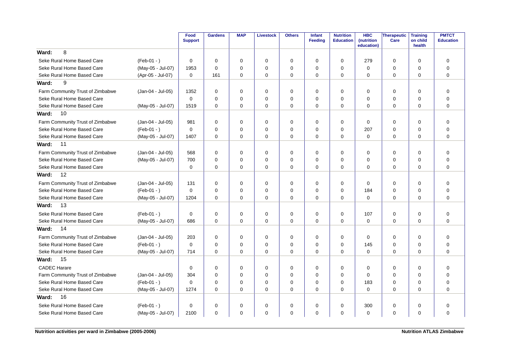|                                  |                   | Food<br><b>Support</b> | <b>Gardens</b> | <b>MAP</b>  | <b>Livestock</b> | <b>Others</b> | <b>Infant</b><br>Feeding | <b>Nutrition</b><br><b>Education</b> | <b>HBC</b><br>(nutrition<br>education) | <b>Therapeutic</b><br>Care | <b>Training</b><br>on child<br>health | <b>PMTCT</b><br><b>Education</b> |
|----------------------------------|-------------------|------------------------|----------------|-------------|------------------|---------------|--------------------------|--------------------------------------|----------------------------------------|----------------------------|---------------------------------------|----------------------------------|
| 8<br>Ward:                       |                   |                        |                |             |                  |               |                          |                                      |                                        |                            |                                       |                                  |
| Seke Rural Home Based Care       | $(Feb-01 - )$     | 0                      | $\Omega$       | $\Omega$    | 0                | 0             | $\Omega$                 | $\Omega$                             | 279                                    | 0                          | $\Omega$                              | 0                                |
| Seke Rural Home Based Care       | (May-05 - Jul-07) | 1953                   | $\Omega$       | $\Omega$    | $\Omega$         | 0             | $\Omega$                 | $\Omega$                             | $\Omega$                               | 0                          | $\Omega$                              | $\Omega$                         |
| Seke Rural Home Based Care       | (Apr-05 - Jul-07) | 0                      | 161            | $\Omega$    | $\mathbf 0$      | 0             | $\Omega$                 | $\Omega$                             | $\Omega$                               | 0                          | $\Omega$                              | $\Omega$                         |
| 9<br>Ward:                       |                   |                        |                |             |                  |               |                          |                                      |                                        |                            |                                       |                                  |
| Farm Community Trust of Zimbabwe | (Jan-04 - Jul-05) | 1352                   | $\Omega$       | $\Omega$    | $\mathbf 0$      | $\mathbf 0$   | $\Omega$                 | $\Omega$                             | $\Omega$                               | $\mathbf 0$                | $\Omega$                              | $\mathbf 0$                      |
| Seke Rural Home Based Care       |                   | $\Omega$               | $\Omega$       | $\Omega$    | $\Omega$         | $\mathbf 0$   | $\Omega$                 | $\Omega$                             | $\Omega$                               | 0                          | $\Omega$                              | $\Omega$                         |
| Seke Rural Home Based Care       | (May-05 - Jul-07) | 1519                   | $\Omega$       | $\Omega$    | $\Omega$         | $\Omega$      | $\Omega$                 | $\Omega$                             | $\Omega$                               | $\mathbf 0$                | $\Omega$                              | $\Omega$                         |
| 10<br>Ward:                      |                   |                        |                |             |                  |               |                          |                                      |                                        |                            |                                       |                                  |
| Farm Community Trust of Zimbabwe | (Jan-04 - Jul-05) | 981                    | $\Omega$       | $\Omega$    | $\Omega$         | $\mathbf 0$   | $\Omega$                 | $\Omega$                             | $\Omega$                               | $\mathbf 0$                | $\Omega$                              | $\mathbf 0$                      |
| Seke Rural Home Based Care       | $(Feb-01 - )$     | $\Omega$               | $\Omega$       | $\Omega$    | $\mathbf 0$      | 0             | $\Omega$                 | 0                                    | 207                                    | 0                          | $\mathbf 0$                           | $\mathbf 0$                      |
| Seke Rural Home Based Care       | (May-05 - Jul-07) | 1407                   | $\Omega$       | $\Omega$    | $\mathbf 0$      | $\Omega$      | $\Omega$                 | $\Omega$                             | $\Omega$                               | $\mathbf 0$                | $\Omega$                              | $\Omega$                         |
| 11<br>Ward:                      |                   |                        |                |             |                  |               |                          |                                      |                                        |                            |                                       |                                  |
| Farm Community Trust of Zimbabwe | (Jan-04 - Jul-05) | 568                    | $\Omega$       | $\Omega$    | $\Omega$         | $\mathbf 0$   | $\Omega$                 | $\Omega$                             | $\Omega$                               | $\mathbf 0$                | $\Omega$                              | $\mathbf 0$                      |
| Seke Rural Home Based Care       | (May-05 - Jul-07) | 700                    | $\Omega$       | $\Omega$    | $\mathbf 0$      | 0             | $\Omega$                 | 0                                    | $\mathbf 0$                            | 0                          | $\mathbf 0$                           | $\mathbf 0$                      |
| Seke Rural Home Based Care       |                   | 0                      | $\Omega$       | $\Omega$    | $\Omega$         | $\Omega$      | $\Omega$                 | $\Omega$                             | $\Omega$                               | 0                          | $\Omega$                              | $\Omega$                         |
| 12<br>Ward:                      |                   |                        |                |             |                  |               |                          |                                      |                                        |                            |                                       |                                  |
| Farm Community Trust of Zimbabwe | (Jan-04 - Jul-05) | 131                    | $\Omega$       | $\Omega$    | $\mathbf 0$      | $\mathbf 0$   | $\Omega$                 | $\Omega$                             | $\Omega$                               | $\mathbf 0$                | $\Omega$                              | $\mathbf 0$                      |
| Seke Rural Home Based Care       | $(Feb-01 - )$     | $\Omega$               | $\Omega$       | 0           | $\mathbf 0$      | 0             | $\Omega$                 | 0                                    | 184                                    | 0                          | 0                                     | $\mathbf 0$                      |
| Seke Rural Home Based Care       | (May-05 - Jul-07) | 1204                   | $\Omega$       | $\Omega$    | $\mathbf 0$      | $\Omega$      | $\Omega$                 | $\Omega$                             | $\Omega$                               | $\mathbf 0$                | $\Omega$                              | $\Omega$                         |
| 13<br>Ward:                      |                   |                        |                |             |                  |               |                          |                                      |                                        |                            |                                       |                                  |
| Seke Rural Home Based Care       | $(Feb-01 - )$     | $\Omega$               | $\mathbf 0$    | $\mathbf 0$ | $\mathbf 0$      | 0             | $\Omega$                 | $\mathbf 0$                          | 107                                    | 0                          | $\mathbf 0$                           | $\mathbf 0$                      |
| Seke Rural Home Based Care       | (May-05 - Jul-07) | 686                    | $\mathbf 0$    | $\mathbf 0$ | $\mathbf 0$      | 0             | $\mathbf 0$              | $\mathbf 0$                          | $\mathbf 0$                            | $\mathbf 0$                | 0                                     | $\mathbf 0$                      |
| 14<br>Ward:                      |                   |                        |                |             |                  |               |                          |                                      |                                        |                            |                                       |                                  |
| Farm Community Trust of Zimbabwe | (Jan-04 - Jul-05) | 203                    | $\mathbf 0$    | 0           | $\mathbf 0$      | $\mathbf 0$   | 0                        | $\mathbf 0$                          | $\Omega$                               | 0                          | 0                                     | $\mathbf 0$                      |
| Seke Rural Home Based Care       | $(Feb-01 - )$     | $\mathbf 0$            | $\Omega$       | $\Omega$    | $\mathbf 0$      | 0             | $\Omega$                 | $\Omega$                             | 145                                    | $\mathbf 0$                | $\mathbf 0$                           | $\mathbf 0$                      |
| Seke Rural Home Based Care       | (May-05 - Jul-07) | 714                    | $\Omega$       | 0           | $\mathbf 0$      | $\mathbf 0$   | $\mathbf 0$              | $\mathbf 0$                          | $\mathbf 0$                            | 0                          | 0                                     | $\mathbf 0$                      |
| 15<br>Ward:                      |                   |                        |                |             |                  |               |                          |                                      |                                        |                            |                                       |                                  |
| <b>CADEC Harare</b>              |                   | 0                      | 0              | 0           | $\mathbf 0$      | $\mathbf 0$   | 0                        | 0                                    | 0                                      | 0                          | 0                                     | 0                                |
| Farm Community Trust of Zimbabwe | (Jan-04 - Jul-05) | 304                    | $\Omega$       | $\Omega$    | $\mathbf 0$      | 0             | $\Omega$                 | $\Omega$                             | $\Omega$                               | 0                          | $\mathbf 0$                           | $\mathbf 0$                      |
| Seke Rural Home Based Care       | $(Feb-01 - )$     | 0                      | $\Omega$       | 0           | $\mathbf 0$      | 0             | $\Omega$                 | 0                                    | 183                                    | 0                          | 0                                     | $\mathbf 0$                      |
| Seke Rural Home Based Care       | (May-05 - Jul-07) | 1274                   | $\Omega$       | 0           | $\mathbf 0$      | $\Omega$      | $\Omega$                 | $\Omega$                             | $\mathbf 0$                            | 0                          | $\Omega$                              | $\Omega$                         |
| 16<br>Ward:                      |                   |                        |                |             |                  |               |                          |                                      |                                        |                            |                                       |                                  |
| Seke Rural Home Based Care       | $(Feb-01 - )$     | 0                      | $\mathbf 0$    | 0           | 0                | 0             | $\Omega$                 | $\mathbf 0$                          | 300                                    | 0                          | 0                                     | 0                                |
| Seke Rural Home Based Care       | (May-05 - Jul-07) | 2100                   | $\mathbf 0$    | 0           | $\mathbf 0$      | 0             | 0                        | $\mathbf 0$                          | $\mathbf 0$                            | 0                          | 0                                     | $\mathbf 0$                      |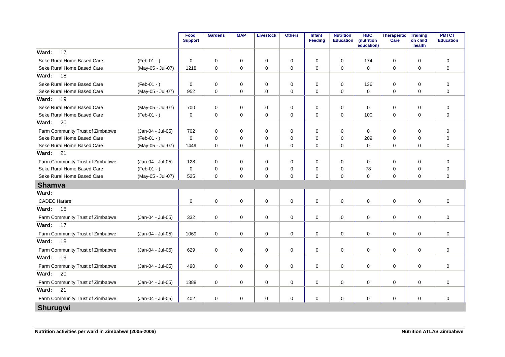|                                  |                   | Food<br><b>Support</b> | <b>Gardens</b> | <b>MAP</b>  | <b>Livestock</b> | <b>Others</b> | <b>Infant</b><br>Feeding | <b>Nutrition</b><br><b>Education</b> | <b>HBC</b><br>(nutrition<br>education) | Therapeutic<br>Care | <b>Training</b><br>on child<br>health | <b>PMTCT</b><br><b>Education</b> |
|----------------------------------|-------------------|------------------------|----------------|-------------|------------------|---------------|--------------------------|--------------------------------------|----------------------------------------|---------------------|---------------------------------------|----------------------------------|
| 17<br>Ward:                      |                   |                        |                |             |                  |               |                          |                                      |                                        |                     |                                       |                                  |
| Seke Rural Home Based Care       | $(Feb-01 - )$     | $\mathbf 0$            | $\mathbf 0$    | $\mathbf 0$ | 0                | $\mathbf 0$   | $\mathbf 0$              | $\Omega$                             | 174                                    | $\mathbf 0$         | $\mathbf 0$                           | $\mathbf 0$                      |
| Seke Rural Home Based Care       | (May-05 - Jul-07) | 1218                   | $\mathbf 0$    | $\mathbf 0$ | 0                | 0             | $\mathbf 0$              | $\mathbf 0$                          | $\mathbf 0$                            | $\mathbf 0$         | $\mathbf 0$                           | $\mathbf 0$                      |
| 18<br>Ward:                      |                   |                        |                |             |                  |               |                          |                                      |                                        |                     |                                       |                                  |
| Seke Rural Home Based Care       | $(Feb-01 - )$     | $\mathbf 0$            | $\mathbf 0$    | 0           | 0                | 0             | $\mathbf 0$              | $\mathbf 0$                          | 136                                    | $\mathbf 0$         | $\mathbf 0$                           | $\mathbf 0$                      |
| Seke Rural Home Based Care       | (May-05 - Jul-07) | 952                    | $\Omega$       | $\Omega$    | $\mathbf 0$      | $\mathbf 0$   | $\mathbf 0$              | $\Omega$                             | $\Omega$                               | $\mathbf 0$         | $\Omega$                              | $\mathbf 0$                      |
| 19<br>Ward:                      |                   |                        |                |             |                  |               |                          |                                      |                                        |                     |                                       |                                  |
| Seke Rural Home Based Care       | (May-05 - Jul-07) | 700                    | 0              | 0           | 0                | 0             | $\mathbf 0$              | $\mathbf 0$                          | 0                                      | $\mathbf 0$         | 0                                     | $\mathbf 0$                      |
| Seke Rural Home Based Care       | $(Feb-01 - )$     | $\mathbf 0$            | $\mathbf 0$    | 0           | 0                | $\mathbf 0$   | $\mathbf 0$              | $\Omega$                             | 100                                    | $\mathbf 0$         | $\mathbf 0$                           | $\mathbf 0$                      |
| 20<br>Ward:                      |                   |                        |                |             |                  |               |                          |                                      |                                        |                     |                                       |                                  |
| Farm Community Trust of Zimbabwe | (Jan-04 - Jul-05) | 702                    | 0              | 0           | 0                | 0             | $\mathbf 0$              | $\mathbf 0$                          | 0                                      | $\mathbf 0$         | 0                                     | 0                                |
| Seke Rural Home Based Care       | $(Feb-01 - )$     | 0                      | $\mathbf 0$    | 0           | $\mathbf 0$      | $\mathbf 0$   | $\Omega$                 | $\Omega$                             | 209                                    | 0                   | $\mathbf 0$                           | $\mathbf 0$                      |
| Seke Rural Home Based Care       | (May-05 - Jul-07) | 1449                   | $\Omega$       | $\mathbf 0$ | $\mathbf 0$      | $\mathbf 0$   | $\mathbf 0$              | $\mathbf 0$                          | $\mathbf 0$                            | $\mathbf 0$         | $\mathbf 0$                           | $\mathbf 0$                      |
| 21<br>Ward:                      |                   |                        |                |             |                  |               |                          |                                      |                                        |                     |                                       |                                  |
| Farm Community Trust of Zimbabwe | (Jan-04 - Jul-05) | 128                    | $\mathbf 0$    | 0           | 0                | $\pmb{0}$     | $\mathbf 0$              | $\mathbf 0$                          | 0                                      | $\mathbf 0$         | 0                                     | $\mathbf 0$                      |
| Seke Rural Home Based Care       | $(Feb-01 - )$     | 0                      | $\mathbf 0$    | 0           | 0                | 0             | $\mathbf 0$              | $\Omega$                             | 78                                     | 0                   | $\mathbf 0$                           | $\mathbf 0$                      |
| Seke Rural Home Based Care       | (May-05 - Jul-07) | 525                    | $\Omega$       | 0           | $\mathbf 0$      | $\mathbf 0$   | $\mathbf 0$              | $\Omega$                             | $\Omega$                               | $\mathbf 0$         | $\mathbf 0$                           | $\mathbf 0$                      |
| <b>Shamva</b>                    |                   |                        |                |             |                  |               |                          |                                      |                                        |                     |                                       |                                  |
| Ward:                            |                   |                        |                |             |                  |               |                          |                                      |                                        |                     |                                       |                                  |
| <b>CADEC Harare</b>              |                   | 0                      | $\mathbf 0$    | 0           | $\mathbf 0$      | $\mathbf 0$   | $\mathbf 0$              | $\mathbf 0$                          | $\Omega$                               | $\mathbf 0$         | 0                                     | $\mathbf 0$                      |
| 15<br>Ward:                      |                   |                        |                |             |                  |               |                          |                                      |                                        |                     |                                       |                                  |
| Farm Community Trust of Zimbabwe | (Jan-04 - Jul-05) | 332                    | $\mathbf 0$    | 0           | $\mathsf 0$      | $\pmb{0}$     | 0                        | 0                                    | 0                                      | $\mathbf 0$         | 0                                     | $\mathbf 0$                      |
| 17<br>Ward:                      |                   |                        |                |             |                  |               |                          |                                      |                                        |                     |                                       |                                  |
| Farm Community Trust of Zimbabwe | (Jan-04 - Jul-05) | 1069                   | $\mathbf 0$    | $\mathbf 0$ | $\mathbf 0$      | $\mathbf 0$   | $\mathbf 0$              | $\mathbf 0$                          | $\Omega$                               | $\mathbf 0$         | $\mathbf 0$                           | $\mathbf 0$                      |
| 18<br>Ward:                      |                   |                        |                |             |                  |               |                          |                                      |                                        |                     |                                       |                                  |
| Farm Community Trust of Zimbabwe | (Jan-04 - Jul-05) | 629                    | $\mathbf 0$    | $\mathbf 0$ | 0                | 0             | $\mathbf 0$              | $\mathbf 0$                          | 0                                      | $\mathbf 0$         | $\mathbf 0$                           | $\mathbf 0$                      |
| 19<br>Ward:                      |                   |                        |                |             |                  |               |                          |                                      |                                        |                     |                                       |                                  |
| Farm Community Trust of Zimbabwe | (Jan-04 - Jul-05) | 490                    | $\mathbf 0$    | 0           | 0                | $\mathbf 0$   | $\mathbf 0$              | $\mathbf 0$                          | $\mathbf 0$                            | $\mathbf 0$         | 0                                     | $\mathbf 0$                      |
| 20<br>Ward:                      |                   |                        |                |             |                  |               |                          |                                      |                                        |                     |                                       |                                  |
| Farm Community Trust of Zimbabwe | (Jan-04 - Jul-05) | 1388                   | $\mathbf 0$    | 0           | $\mathbf 0$      | $\mathbf 0$   | $\mathbf 0$              | $\mathbf 0$                          | $\Omega$                               | $\mathbf 0$         | 0                                     | $\mathbf 0$                      |
| 21<br>Ward:                      |                   |                        |                |             |                  |               |                          |                                      |                                        |                     |                                       |                                  |
| Farm Community Trust of Zimbabwe | (Jan-04 - Jul-05) | 402                    | $\mathbf 0$    | 0           | 0                | 0             | $\mathbf 0$              | 0                                    | $\mathbf 0$                            | $\mathbf 0$         | 0                                     | $\mathbf 0$                      |
| <b>Shurugwi</b>                  |                   |                        |                |             |                  |               |                          |                                      |                                        |                     |                                       |                                  |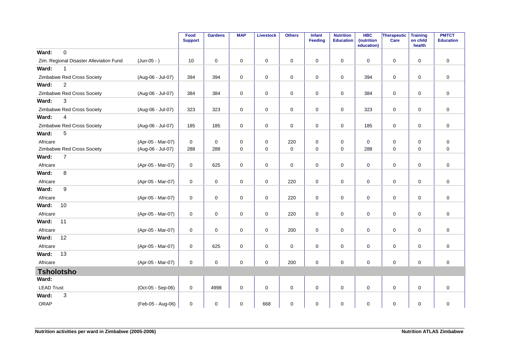|                   |                                         |                   | Food<br><b>Support</b> | <b>Gardens</b>      | <b>MAP</b>  | <b>Livestock</b>    | <b>Others</b> | <b>Infant</b><br>Feeding | <b>Nutrition</b><br><b>Education</b> | <b>HBC</b><br>(nutrition<br>education) | Therapeutic<br>Care | <b>Training</b><br>on child<br>health | <b>PMTCT</b><br><b>Education</b> |
|-------------------|-----------------------------------------|-------------------|------------------------|---------------------|-------------|---------------------|---------------|--------------------------|--------------------------------------|----------------------------------------|---------------------|---------------------------------------|----------------------------------|
| Ward:             | $\mathbf 0$                             |                   |                        |                     |             |                     |               |                          |                                      |                                        |                     |                                       |                                  |
|                   | Zim. Regional Disaster Alleviation Fund | (Jun-05 - )       | 10                     | $\mathbf 0$         | 0           | 0                   | 0             | 0                        | 0                                    | 0                                      | $\mathbf 0$         | $\mathbf 0$                           | $\mathbf 0$                      |
| Ward:             | $\mathbf{1}$                            |                   |                        |                     |             |                     |               |                          |                                      |                                        |                     |                                       |                                  |
|                   | Zimbabwe Red Cross Society              | (Aug-06 - Jul-07) | 394                    | 394                 | 0           | $\pmb{0}$           | $\mathsf 0$   | $\mathbf 0$              | $\pmb{0}$                            | 394                                    | $\mathbf 0$         | $\mathbf 0$                           | $\mathbf 0$                      |
| Ward:             | $\boldsymbol{2}$                        |                   |                        |                     |             |                     |               |                          |                                      |                                        |                     |                                       |                                  |
|                   | Zimbabwe Red Cross Society              | (Aug-06 - Jul-07) | 384                    | 384                 | 0           | $\mathsf 0$         | $\pmb{0}$     | $\mathsf 0$              | $\pmb{0}$                            | 384                                    | $\mathbf 0$         | 0                                     | $\mathsf 0$                      |
| Ward:             | 3                                       |                   |                        |                     |             |                     |               |                          |                                      |                                        |                     |                                       |                                  |
|                   | Zimbabwe Red Cross Society              | (Aug-06 - Jul-07) | 323                    | 323                 | 0           | $\mathsf 0$         | $\mathsf 0$   | $\mathbf 0$              | $\pmb{0}$                            | 323                                    | $\pmb{0}$           | 0                                     | $\mathsf 0$                      |
| Ward:             | $\overline{4}$                          |                   |                        |                     |             |                     |               |                          |                                      |                                        |                     |                                       |                                  |
|                   | Zimbabwe Red Cross Society              | (Aug-06 - Jul-07) | 185                    | 185                 | 0           | $\mathsf 0$         | $\pmb{0}$     | $\mathbf 0$              | $\pmb{0}$                            | 185                                    | $\mathbf 0$         | 0                                     | $\mathsf 0$                      |
| Ward:             | 5                                       |                   |                        |                     |             |                     |               |                          |                                      |                                        |                     |                                       |                                  |
| Africare          |                                         | (Apr-05 - Mar-07) | $\mathbf 0$            | $\mathbf 0$         | $\mathbf 0$ | 0                   | 220           | $\mathbf 0$              | $\mathbf 0$                          | 0                                      | $\mathbf 0$         | $\mathbf 0$                           | 0                                |
|                   | Zimbabwe Red Cross Society              | (Aug-06 - Jul-07) | 288                    | 288                 | 0           | $\mathbf 0$         | $\pmb{0}$     | $\mathbf 0$              | $\mathbf 0$                          | 288                                    | $\mathbf 0$         | $\mathbf 0$                           | $\mathbf 0$                      |
| Ward:             | $\overline{7}$                          |                   |                        |                     |             |                     |               |                          |                                      |                                        |                     |                                       |                                  |
| Africare          |                                         | (Apr-05 - Mar-07) | 0                      | 625                 | 0           | 0                   | 0             | 0                        | 0                                    | 0                                      | $\mathbf 0$         | 0                                     | $\mathbf 0$                      |
| Ward:             | 8                                       |                   |                        |                     |             |                     |               |                          |                                      |                                        |                     |                                       |                                  |
| Africare          |                                         | (Apr-05 - Mar-07) | 0                      | $\mathbf 0$         | 0           | $\mathsf 0$         | 220           | $\mathbf 0$              | $\pmb{0}$                            | $\mathbf 0$                            | $\mathbf 0$         | 0                                     | $\mathbf 0$                      |
| Ward:             | 9                                       |                   |                        |                     |             |                     |               |                          |                                      |                                        |                     |                                       |                                  |
| Africare          |                                         | (Apr-05 - Mar-07) | 0                      | $\mathsf{O}\xspace$ | 0           | $\mathsf{O}\xspace$ | 220           | $\mathbf 0$              | $\pmb{0}$                            | $\mathbf 0$                            | $\mathbf 0$         | $\mathbf 0$                           | $\mathbf 0$                      |
| Ward:             | 10                                      |                   |                        |                     |             |                     |               |                          |                                      |                                        |                     |                                       |                                  |
| Africare          |                                         | (Apr-05 - Mar-07) | 0                      | $\mathsf{O}\xspace$ | 0           | $\mathbf 0$         | 220           | $\mathbf 0$              | $\pmb{0}$                            | 0                                      | $\mathsf{O}\xspace$ | $\mathbf 0$                           | $\pmb{0}$                        |
| Ward:             | 11                                      |                   |                        |                     |             |                     |               |                          |                                      |                                        |                     |                                       |                                  |
| Africare          |                                         | (Apr-05 - Mar-07) | 0                      | $\mathsf 0$         | 0           | $\mathsf 0$         | 200           | $\mathbf 0$              | $\pmb{0}$                            | 0                                      | $\mathbf 0$         | 0                                     | $\mathsf 0$                      |
| Ward:             | 12                                      |                   |                        |                     |             |                     |               |                          |                                      |                                        |                     |                                       |                                  |
| Africare          |                                         | (Apr-05 - Mar-07) | 0                      | 625                 | 0           | $\mathsf 0$         | $\pmb{0}$     | $\mathbf 0$              | $\pmb{0}$                            | 0                                      | $\mathbf 0$         | 0                                     | $\mathsf 0$                      |
| Ward:             | 13                                      |                   |                        |                     |             |                     |               |                          |                                      |                                        |                     |                                       |                                  |
| Africare          |                                         | (Apr-05 - Mar-07) | 0                      | $\mathbf 0$         | $\mathbf 0$ | $\mathbf 0$         | 200           | $\mathbf 0$              | $\mathbf 0$                          | $\mathbf 0$                            | $\mathbf 0$         | $\mathbf 0$                           | $\mathbf 0$                      |
| <b>Tsholotsho</b> |                                         |                   |                        |                     |             |                     |               |                          |                                      |                                        |                     |                                       |                                  |
| Ward:             |                                         |                   |                        |                     |             |                     |               |                          |                                      |                                        |                     |                                       |                                  |
| <b>LEAD Trust</b> |                                         | (Oct-05 - Sep-06) | $\mathbf 0$            | 4998                | 0           | $\mathbf 0$         | $\pmb{0}$     | 0                        | $\mathbf 0$                          | 0                                      | $\mathbf 0$         | $\mathbf 0$                           | $\mathbf 0$                      |
| Ward:             | 3                                       |                   |                        |                     |             |                     |               |                          |                                      |                                        |                     |                                       |                                  |
| <b>ORAP</b>       |                                         | (Feb-05 - Aug-06) | $\mathbf 0$            | 0                   | 0           | 668                 | 0             | 0                        | 0                                    | 0                                      | 0                   | 0                                     | 0                                |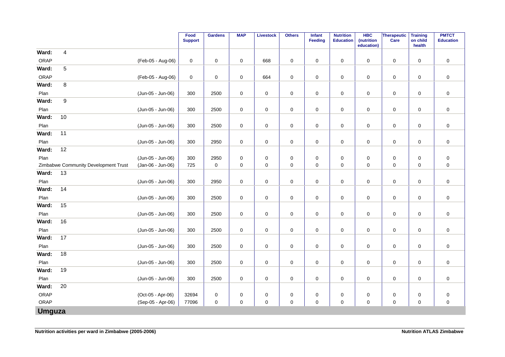|               |                                      |                   | Food<br><b>Support</b> | <b>Gardens</b> | <b>MAP</b>  | <b>Livestock</b> | <b>Others</b> | Infant<br>Feeding | <b>Nutrition</b><br><b>Education</b> | <b>HBC</b><br>(nutrition<br>education) | Therapeutic<br>Care | <b>Training</b><br>on child<br>health | <b>PMTCT</b><br><b>Education</b> |
|---------------|--------------------------------------|-------------------|------------------------|----------------|-------------|------------------|---------------|-------------------|--------------------------------------|----------------------------------------|---------------------|---------------------------------------|----------------------------------|
| Ward:         | $\overline{4}$                       |                   |                        |                |             |                  |               |                   |                                      |                                        |                     |                                       |                                  |
| ORAP          |                                      | (Feb-05 - Aug-06) | 0                      | $\mathbf 0$    | $\mathbf 0$ | 668              | $\pmb{0}$     | $\mathbf 0$       | $\mathbf 0$                          | $\mathbf 0$                            | $\mathbf 0$         | $\mathbf 0$                           | $\pmb{0}$                        |
| Ward:         | $\sqrt{5}$                           |                   |                        |                |             |                  |               |                   |                                      |                                        |                     |                                       |                                  |
| ORAP          |                                      | (Feb-05 - Aug-06) | 0                      | $\mathbf 0$    | 0           | 664              | $\pmb{0}$     | $\mathbf 0$       | $\pmb{0}$                            | 0                                      | $\mathbf 0$         | 0                                     | $\pmb{0}$                        |
| Ward:         | 8                                    |                   |                        |                |             |                  |               |                   |                                      |                                        |                     |                                       |                                  |
| Plan          |                                      | (Jun-05 - Jun-06) | 300                    | 2500           | $\mathbf 0$ | $\pmb{0}$        | $\pmb{0}$     | $\mathbf 0$       | $\pmb{0}$                            | 0                                      | $\mathsf 0$         | $\mathbf 0$                           | $\pmb{0}$                        |
| Ward:         | $\boldsymbol{9}$                     |                   |                        |                |             |                  |               |                   |                                      |                                        |                     |                                       |                                  |
| Plan          |                                      | (Jun-05 - Jun-06) | 300                    | 2500           | 0           | $\pmb{0}$        | $\pmb{0}$     | $\mathbf 0$       | $\pmb{0}$                            | 0                                      | $\mathbf 0$         | 0                                     | $\pmb{0}$                        |
| Ward:         | 10                                   |                   |                        |                |             |                  |               |                   |                                      |                                        |                     |                                       |                                  |
| Plan          |                                      | (Jun-05 - Jun-06) | 300                    | 2500           | 0           | $\pmb{0}$        | $\mathbf 0$   | $\mathbf 0$       | $\pmb{0}$                            | 0                                      | $\mathbf 0$         | $\mathbf 0$                           | $\pmb{0}$                        |
| Ward:         | 11                                   |                   |                        |                |             |                  |               |                   |                                      |                                        |                     |                                       |                                  |
| Plan          |                                      | (Jun-05 - Jun-06) | 300                    | 2950           | 0           | $\pmb{0}$        | $\mathbf 0$   | $\mathbf 0$       | $\pmb{0}$                            | 0                                      | $\mathbf 0$         | 0                                     | $\pmb{0}$                        |
| Ward:         | 12                                   |                   |                        |                |             |                  |               |                   |                                      |                                        |                     |                                       |                                  |
| Plan          |                                      | (Jun-05 - Jun-06) | 300                    | 2950           | 0           | $\pmb{0}$        | $\pmb{0}$     | $\mathbf 0$       | $\pmb{0}$                            | $\mathbf 0$                            | $\mathsf 0$         | $\mathbf 0$                           | $\pmb{0}$                        |
|               | Zimbabwe Community Development Trust | (Jan-06 - Jun-06) | 725                    | $\mathbf 0$    | 0           | 0                | $\pmb{0}$     | 0                 | 0                                    | 0                                      | $\mathbf 0$         | $\mathbf 0$                           | $\pmb{0}$                        |
| Ward:         | 13                                   |                   |                        |                |             |                  |               |                   |                                      |                                        |                     |                                       |                                  |
| Plan          |                                      | (Jun-05 - Jun-06) | 300                    | 2950           | 0           | 0                | $\pmb{0}$     | 0                 | $\pmb{0}$                            | 0                                      | $\mathbf 0$         | $\pmb{0}$                             | $\pmb{0}$                        |
| Ward:         | 14                                   |                   |                        |                |             |                  |               |                   |                                      |                                        |                     |                                       |                                  |
| Plan          |                                      | (Jun-05 - Jun-06) | 300                    | 2500           | 0           | $\boldsymbol{0}$ | 0             | $\mathbf 0$       | 0                                    | 0                                      | 0                   | 0                                     | $\pmb{0}$                        |
| Ward:         | 15                                   |                   |                        |                |             |                  |               |                   |                                      |                                        |                     |                                       |                                  |
| Plan          |                                      | (Jun-05 - Jun-06) | 300                    | 2500           | $\mathbf 0$ | $\pmb{0}$        | $\pmb{0}$     | $\mathbf 0$       | $\pmb{0}$                            | 0                                      | $\mathbf 0$         | $\mathbf 0$                           | $\pmb{0}$                        |
| Ward:         | 16                                   |                   |                        |                |             |                  |               |                   |                                      |                                        |                     |                                       |                                  |
| Plan          |                                      | (Jun-05 - Jun-06) | 300                    | 2500           | 0           | 0                | $\pmb{0}$     | $\mathbf 0$       | $\pmb{0}$                            | 0                                      | $\mathbf 0$         | $\pmb{0}$                             | $\pmb{0}$                        |
| Ward:         | 17                                   |                   |                        |                |             |                  |               |                   |                                      |                                        |                     |                                       |                                  |
| Plan          |                                      | (Jun-05 - Jun-06) | 300                    | 2500           | $\mathbf 0$ | $\pmb{0}$        | $\mathsf 0$   | 0                 | $\pmb{0}$                            | $\mathbf 0$                            | $\mathbf 0$         | $\mathbf 0$                           | $\mathsf 0$                      |
| Ward:         | 18                                   |                   |                        |                |             |                  |               |                   |                                      |                                        |                     |                                       |                                  |
| Plan          |                                      | (Jun-05 - Jun-06) | 300                    | 2500           | 0           | $\pmb{0}$        | $\pmb{0}$     | $\mathbf 0$       | $\pmb{0}$                            | 0                                      | $\mathbf 0$         | $\mathbf 0$                           | $\pmb{0}$                        |
| Ward:         | 19                                   |                   |                        |                |             |                  |               |                   |                                      |                                        |                     |                                       |                                  |
| Plan          |                                      | (Jun-05 - Jun-06) | 300                    | 2500           | 0           | $\pmb{0}$        | $\pmb{0}$     | 0                 | $\pmb{0}$                            | 0                                      | $\mathsf 0$         | $\mathbf 0$                           | $\pmb{0}$                        |
| Ward:         | 20                                   |                   |                        |                |             |                  |               |                   |                                      |                                        |                     |                                       |                                  |
| ORAP          |                                      | (Oct-05 - Apr-06) | 32694                  | $\pmb{0}$      | 0           | 0                | 0             | 0                 | 0                                    | 0                                      | $\pmb{0}$           | 0                                     | $\pmb{0}$                        |
| ORAP          |                                      | (Sep-05 - Apr-06) | 77096                  | 0              | $\mathbf 0$ | $\mathbf 0$      | $\mathsf 0$   | $\mathbf 0$       | $\pmb{0}$                            | $\mathbf 0$                            | $\mathsf{O}\xspace$ | $\mathbf 0$                           | $\pmb{0}$                        |
| <b>Umguza</b> |                                      |                   |                        |                |             |                  |               |                   |                                      |                                        |                     |                                       |                                  |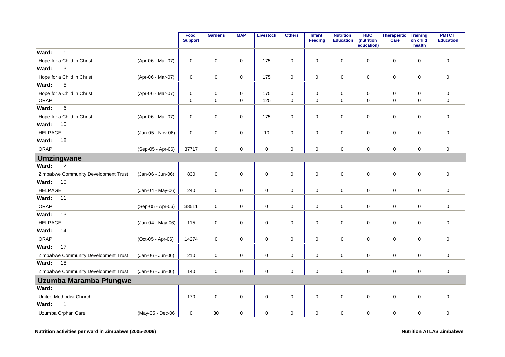|                                      |                   | Food<br><b>Support</b> | <b>Gardens</b>      | <b>MAP</b> | <b>Livestock</b> | <b>Others</b> | Infant<br>Feeding | <b>Nutrition</b><br><b>Education</b> | <b>HBC</b><br>(nutrition<br>education) | Therapeutic<br>Care | <b>Training</b><br>on child<br>health | <b>PMTCT</b><br><b>Education</b> |
|--------------------------------------|-------------------|------------------------|---------------------|------------|------------------|---------------|-------------------|--------------------------------------|----------------------------------------|---------------------|---------------------------------------|----------------------------------|
| $\mathbf{1}$<br>Ward:                |                   |                        |                     |            |                  |               |                   |                                      |                                        |                     |                                       |                                  |
| Hope for a Child in Christ           | (Apr-06 - Mar-07) | 0                      | $\mathsf 0$         | 0          | 175              | 0             | $\mathbf 0$       | 0                                    | $\mathbf 0$                            | $\mathbf 0$         | $\mathbf 0$                           | $\pmb{0}$                        |
| 3<br>Ward:                           |                   |                        |                     |            |                  |               |                   |                                      |                                        |                     |                                       |                                  |
| Hope for a Child in Christ           | (Apr-06 - Mar-07) | 0                      | $\mathbf 0$         | 0          | 175              | 0             | $\mathbf 0$       | 0                                    | $\mathbf 0$                            | $\mathbf 0$         | $\mathbf 0$                           | $\mathbf 0$                      |
| 5<br>Ward:                           |                   |                        |                     |            |                  |               |                   |                                      |                                        |                     |                                       |                                  |
| Hope for a Child in Christ           | (Apr-06 - Mar-07) | 0                      | $\mathbf 0$         | 0          | 175              | 0             | $\mathbf 0$       | 0                                    | 0                                      | $\mathbf 0$         | $\mathbf 0$                           | $\pmb{0}$                        |
| ORAP                                 |                   | 0                      | $\mathbf 0$         | 0          | 125              | 0             | $\mathbf 0$       | 0                                    | $\mathbf 0$                            | $\mathbf 0$         | $\mathbf 0$                           | $\mathbf 0$                      |
| $\,6\,$<br>Ward:                     |                   |                        |                     |            |                  |               |                   |                                      |                                        |                     |                                       |                                  |
| Hope for a Child in Christ           | (Apr-06 - Mar-07) | 0                      | $\mathbf 0$         | 0          | 175              | 0             | $\mathbf 0$       | 0                                    | $\mathbf 0$                            | $\mathbf 0$         | $\mathbf 0$                           | $\pmb{0}$                        |
| 10<br>Ward:                          |                   |                        |                     |            |                  |               |                   |                                      |                                        |                     |                                       |                                  |
| <b>HELPAGE</b>                       | (Jan-05 - Nov-06) | 0                      | $\mathbf 0$         | 0          | $10$             | 0             | $\mathbf 0$       | 0                                    | 0                                      | $\pmb{0}$           | $\mathbf 0$                           | $\pmb{0}$                        |
| Ward:<br>18                          |                   |                        |                     |            |                  |               |                   |                                      |                                        |                     |                                       |                                  |
| ORAP                                 | (Sep-05 - Apr-06) | 37717                  | $\mathsf{O}\xspace$ | 0          | $\mathbf 0$      | 0             | $\mathbf 0$       | 0                                    | $\mathbf 0$                            | $\mathbf 0$         | $\mathbf 0$                           | $\mathbf 0$                      |
| <b>Umzingwane</b>                    |                   |                        |                     |            |                  |               |                   |                                      |                                        |                     |                                       |                                  |
| $\overline{2}$<br>Ward:              |                   |                        |                     |            |                  |               |                   |                                      |                                        |                     |                                       |                                  |
| Zimbabwe Community Development Trust | (Jan-06 - Jun-06) | 830                    | $\mathsf{O}\xspace$ | 0          | $\mathbf 0$      | 0             | $\mathbf 0$       | 0                                    | $\mathbf 0$                            | $\mathbf 0$         | $\mathbf 0$                           | $\mathbf 0$                      |
| Ward:<br>10                          |                   |                        |                     |            |                  |               |                   |                                      |                                        |                     |                                       |                                  |
| <b>HELPAGE</b>                       | (Jan-04 - May-06) | 240                    | $\mathbf 0$         | 0          | $\mathsf 0$      | 0             | $\mathbf 0$       | 0                                    | $\mathbf 0$                            | $\mathsf 0$         | 0                                     | $\pmb{0}$                        |
| Ward:<br>11                          |                   |                        |                     |            |                  |               |                   |                                      |                                        |                     |                                       |                                  |
| ORAP                                 | (Sep-05 - Apr-06) | 38511                  | $\mathbf 0$         | 0          | $\mathbf 0$      | 0             | $\mathbf 0$       | 0                                    | $\mathbf 0$                            | $\mathbf 0$         | $\mathbf 0$                           | $\mathbf 0$                      |
| 13<br>Ward:                          |                   |                        |                     |            |                  |               |                   |                                      |                                        |                     |                                       |                                  |
| <b>HELPAGE</b>                       | (Jan-04 - May-06) | 115                    | $\mathsf{O}\xspace$ | 0          | $\mathbf 0$      | 0             | $\mathbf 0$       | 0                                    | $\mathbf 0$                            | $\mathbf 0$         | $\mathbf 0$                           | $\mathbf 0$                      |
| 14<br>Ward:                          |                   |                        |                     |            |                  |               |                   |                                      |                                        |                     |                                       |                                  |
| ORAP                                 | (Oct-05 - Apr-06) | 14274                  | $\mathsf 0$         | 0          | $\pmb{0}$        | 0             | $\mathsf 0$       | 0                                    | 0                                      | $\pmb{0}$           | $\mathbf 0$                           | $\pmb{0}$                        |
| 17<br>Ward:                          |                   |                        |                     |            |                  |               |                   |                                      |                                        |                     |                                       |                                  |
| Zimbabwe Community Development Trust | (Jan-06 - Jun-06) | 210                    | $\mathsf 0$         | 0          | $\mathbf 0$      | 0             | $\mathsf 0$       | 0                                    | 0                                      | $\mathsf 0$         | $\mathbf 0$                           | $\pmb{0}$                        |
| Ward:<br>18                          |                   |                        |                     |            |                  |               |                   |                                      |                                        |                     |                                       |                                  |
| Zimbabwe Community Development Trust | (Jan-06 - Jun-06) | 140                    | $\mathbf 0$         | 0          | $\mathbf 0$      | 0             | $\mathbf 0$       | 0                                    | 0                                      | $\mathbf 0$         | $\mathbf 0$                           | $\pmb{0}$                        |
| Uzumba Maramba Pfungwe               |                   |                        |                     |            |                  |               |                   |                                      |                                        |                     |                                       |                                  |
| Ward:                                |                   |                        |                     |            |                  |               |                   |                                      |                                        |                     |                                       |                                  |
| United Methodist Church              |                   | 170                    | $\mathsf 0$         | 0          | $\pmb{0}$        | 0             | 0                 | 0                                    | 0                                      | 0                   | $\mathbf 0$                           | $\pmb{0}$                        |
| Ward:<br>1                           |                   |                        |                     |            |                  |               |                   |                                      |                                        |                     |                                       |                                  |
| Uzumba Orphan Care                   | (May-05 - Dec-06  | 0                      | 30                  | 0          | $\pmb{0}$        | 0             | 0                 | 0                                    | 0                                      | 0                   | 0                                     | $\pmb{0}$                        |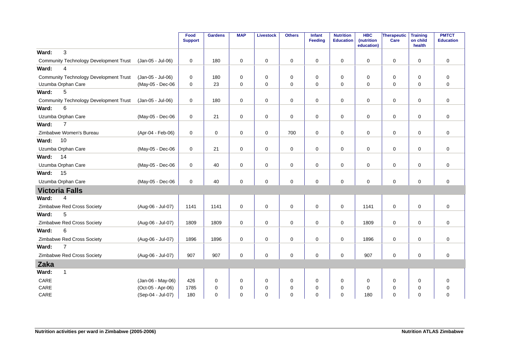|                                               |                   | Food<br><b>Support</b> | <b>Gardens</b> | <b>MAP</b>  | <b>Livestock</b> | <b>Others</b> | <b>Infant</b><br><b>Feeding</b> | <b>Nutrition</b><br><b>Education</b> | <b>HBC</b><br>(nutrition<br>education) | Therapeutic<br>Care | Training<br>on child<br>health | <b>PMTCT</b><br><b>Education</b> |
|-----------------------------------------------|-------------------|------------------------|----------------|-------------|------------------|---------------|---------------------------------|--------------------------------------|----------------------------------------|---------------------|--------------------------------|----------------------------------|
| 3<br>Ward:                                    |                   |                        |                |             |                  |               |                                 |                                      |                                        |                     |                                |                                  |
| <b>Community Technology Development Trust</b> | (Jan-05 - Jul-06) | 0                      | 180            | 0           | $\mathbf 0$      | $\pmb{0}$     | 0                               | $\mathbf 0$                          | 0                                      | 0                   | 0                              | $\mathbf 0$                      |
| $\overline{4}$<br>Ward:                       |                   |                        |                |             |                  |               |                                 |                                      |                                        |                     |                                |                                  |
| <b>Community Technology Development Trust</b> | (Jan-05 - Jul-06) | 0                      | 180            | 0           | 0                | $\mathbf 0$   | $\mathbf 0$                     | $\mathbf 0$                          | 0                                      | $\mathbf 0$         | $\mathbf 0$                    | 0                                |
| Uzumba Orphan Care                            | (May-05 - Dec-06  | 0                      | 23             | 0           | $\mathbf 0$      | $\pmb{0}$     | $\mathbf 0$                     | $\mathbf 0$                          | 0                                      | $\mathbf 0$         | $\mathbf 0$                    | $\mathbf 0$                      |
| 5<br>Ward:                                    |                   |                        |                |             |                  |               |                                 |                                      |                                        |                     |                                |                                  |
| <b>Community Technology Development Trust</b> | (Jan-05 - Jul-06) | 0                      | 180            | $\mathbf 0$ | $\mathbf 0$      | $\mathbf 0$   | $\mathbf 0$                     | $\Omega$                             | 0                                      | $\mathbf 0$         | $\Omega$                       | $\mathbf 0$                      |
| 6<br>Ward:                                    |                   |                        |                |             |                  |               |                                 |                                      |                                        |                     |                                |                                  |
| Uzumba Orphan Care                            | (May-05 - Dec-06  | 0                      | 21             | 0           | $\mathbf 0$      | $\pmb{0}$     | $\mathsf{O}$                    | $\pmb{0}$                            | 0                                      | $\mathbf 0$         | $\mathbf 0$                    | $\mathbf 0$                      |
| $\overline{7}$<br>Ward:                       |                   |                        |                |             |                  |               |                                 |                                      |                                        |                     |                                |                                  |
| Zimbabwe Women's Bureau                       | (Apr-04 - Feb-06) | $\mathbf 0$            | $\mathbf 0$    | $\mathbf 0$ | 0                | 700           | $\mathbf 0$                     | $\mathbf 0$                          | $\Omega$                               | $\mathbf 0$         | $\mathbf 0$                    | $\mathbf 0$                      |
| 10<br>Ward:                                   |                   |                        |                |             |                  |               |                                 |                                      |                                        |                     |                                |                                  |
| Uzumba Orphan Care                            | (May-05 - Dec-06  | 0                      | 21             | 0           | $\mathbf 0$      | $\pmb{0}$     | $\mathbf 0$                     | $\pmb{0}$                            | $\mathbf 0$                            | $\mathbf 0$         | 0                              | $\mathbf 0$                      |
| Ward:<br>14                                   |                   |                        |                |             |                  |               |                                 |                                      |                                        |                     |                                |                                  |
| Uzumba Orphan Care                            | (May-05 - Dec-06  | $\mathbf 0$            | 40             | $\mathbf 0$ | $\mathbf 0$      | $\mathbf 0$   | $\mathbf 0$                     | $\mathbf 0$                          | $\Omega$                               | $\mathbf 0$         | 0                              | $\mathbf 0$                      |
| 15<br>Ward:                                   |                   |                        |                |             |                  |               |                                 |                                      |                                        |                     |                                |                                  |
| Uzumba Orphan Care                            | (May-05 - Dec-06  | 0                      | 40             | $\mathbf 0$ | $\mathbf 0$      | $\mathbf 0$   | $\mathbf 0$                     | $\pmb{0}$                            | 0                                      | $\mathbf 0$         | 0                              | $\mathbf 0$                      |
| <b>Victoria Falls</b>                         |                   |                        |                |             |                  |               |                                 |                                      |                                        |                     |                                |                                  |
| Ward:<br>4                                    |                   |                        |                |             |                  |               |                                 |                                      |                                        |                     |                                |                                  |
| Zimbabwe Red Cross Society                    | (Aug-06 - Jul-07) | 1141                   | 1141           | $\Omega$    | $\mathbf 0$      | $\Omega$      | $\mathbf 0$                     | $\mathbf 0$                          | 1141                                   | $\mathbf 0$         | $\Omega$                       | $\mathbf 0$                      |
| 5<br>Ward:                                    |                   |                        |                |             |                  |               |                                 |                                      |                                        |                     |                                |                                  |
| Zimbabwe Red Cross Society                    | (Aug-06 - Jul-07) | 1809                   | 1809           | $\mathbf 0$ | $\mathbf 0$      | $\pmb{0}$     | $\mathbf 0$                     | $\mathbf 0$                          | 1809                                   | $\mathbf 0$         | $\mathbf 0$                    | $\mathbf 0$                      |
| Ward:<br>6                                    |                   |                        |                |             |                  |               |                                 |                                      |                                        |                     |                                |                                  |
| Zimbabwe Red Cross Society                    | (Aug-06 - Jul-07) | 1896                   | 1896           | 0           | $\mathbf 0$      | $\mathbf 0$   | $\mathbf 0$                     | $\mathbf 0$                          | 1896                                   | $\mathbf 0$         | $\mathbf 0$                    | $\mathbf 0$                      |
| $\overline{7}$<br>Ward:                       |                   |                        |                |             |                  |               |                                 |                                      |                                        |                     |                                |                                  |
| Zimbabwe Red Cross Society                    | (Aug-06 - Jul-07) | 907                    | 907            | $\mathbf 0$ | $\mathbf 0$      | $\pmb{0}$     | $\mathbf 0$                     | $\mathbf 0$                          | 907                                    | $\pmb{0}$           | 0                              | $\mathbf 0$                      |
| Zaka                                          |                   |                        |                |             |                  |               |                                 |                                      |                                        |                     |                                |                                  |
| Ward:<br>$\mathbf{1}$                         |                   |                        |                |             |                  |               |                                 |                                      |                                        |                     |                                |                                  |
| CARE                                          | (Jan-06 - May-06) | 426                    | 0              | 0           | 0                | $\pmb{0}$     | $\mathbf 0$                     | $\mathbf 0$                          | 0                                      | 0                   | $\mathbf 0$                    | 0                                |
| CARE                                          | (Oct-05 - Apr-06) | 1785                   | $\mathbf 0$    | 0           | 0                | 0             | $\mathbf 0$                     | $\mathbf 0$                          | 0                                      | 0                   | 0                              | 0                                |
| CARE                                          | (Sep-04 - Jul-07) | 180                    | $\mathbf 0$    | 0           | $\mathbf 0$      | $\mathbf 0$   | $\mathbf 0$                     | 0                                    | 180                                    | $\mathbf 0$         | 0                              | $\mathbf 0$                      |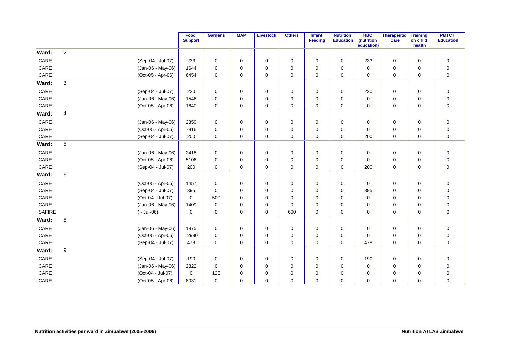|               |                  |                   | Food<br><b>Support</b> | <b>Gardens</b> | <b>MAP</b>  | <b>Livestock</b> | <b>Others</b> | Infant<br>Feeding | <b>Nutrition</b><br><b>Education</b> | <b>HBC</b><br>(nutrition | Therapeutic<br>Care | <b>Training</b><br>on child | <b>PMTCT</b><br><b>Education</b> |
|---------------|------------------|-------------------|------------------------|----------------|-------------|------------------|---------------|-------------------|--------------------------------------|--------------------------|---------------------|-----------------------------|----------------------------------|
|               |                  |                   |                        |                |             |                  |               |                   |                                      | education)               |                     | health                      |                                  |
| Ward:         | $\boldsymbol{2}$ |                   |                        |                |             |                  |               |                   |                                      |                          |                     |                             |                                  |
| CARE          |                  | (Sep-04 - Jul-07) | 233                    | $\mathbf 0$    | 0           | $\mathbf 0$      | $\mathbf 0$   | $\Omega$          | $\mathbf 0$                          | 233                      | $\pmb{0}$           | $\mathbf 0$                 | $\pmb{0}$                        |
| CARE          |                  | (Jan-06 - May-06) | 1644                   | $\mathbf 0$    | 0           | 0                | 0             | $\Omega$          | $\mathbf 0$                          | 0                        | 0                   | $\mathbf 0$                 | $\mathbf 0$                      |
| CARE          |                  | (Oct-05 - Apr-06) | 6454                   | $\mathbf 0$    | 0           | 0                | 0             | $\mathbf 0$       | $\mathbf 0$                          | 0                        | 0                   | $\mathbf 0$                 | $\pmb{0}$                        |
| Ward:         | 3                |                   |                        |                |             |                  |               |                   |                                      |                          |                     |                             |                                  |
| CARE          |                  | (Sep-04 - Jul-07) | 220                    | 0              | 0           | 0                | 0             | 0                 | 0                                    | 220                      | 0                   | 0                           | $\boldsymbol{0}$                 |
| CARE          |                  | (Jan-06 - May-06) | 1546                   | $\mathbf 0$    | 0           | $\pmb{0}$        | 0             | 0                 | $\mathbf 0$                          | 0                        | 0                   | $\mathbf 0$                 | $\boldsymbol{0}$                 |
| CARE          |                  | (Oct-05 - Apr-06) | 1640                   | $\mathbf 0$    | $\mathbf 0$ | $\mathbf 0$      | 0             | $\Omega$          | 0                                    | 0                        | 0                   | $\mathbf 0$                 | $\pmb{0}$                        |
| Ward:         | $\overline{4}$   |                   |                        |                |             |                  |               |                   |                                      |                          |                     |                             |                                  |
| CARE          |                  | (Jan-06 - May-06) | 2350                   | 0              | 0           | 0                | $\mathbf 0$   | 0                 | $\mathbf 0$                          | 0                        | 0                   | $\mathbf 0$                 | $\boldsymbol{0}$                 |
| CARE          |                  | (Oct-05 - Apr-06) | 7816                   | $\mathbf 0$    | 0           | $\mathbf 0$      | 0             | $\Omega$          | $\mathbf 0$                          | 0                        | 0                   | $\mathbf 0$                 | $\pmb{0}$                        |
| CARE          |                  | (Sep-04 - Jul-07) | 200                    | $\mathbf 0$    | $\mathbf 0$ | $\mathbf 0$      | 0             | $\Omega$          | 0                                    | 200                      | $\pmb{0}$           | $\mathbf 0$                 | $\pmb{0}$                        |
| Ward:         | $\mathbf 5$      |                   |                        |                |             |                  |               |                   |                                      |                          |                     |                             |                                  |
| CARE          |                  | (Jan-06 - May-06) | 2418                   | $\pmb{0}$      | 0           | $\mathbf 0$      | 0             | $\mathbf 0$       | 0                                    | 0                        | 0                   | $\mathbf 0$                 | $\pmb{0}$                        |
| CARE          |                  | (Oct-05 - Apr-06) | 5106                   | $\mathbf 0$    | 0           | $\mathbf 0$      | $\pmb{0}$     | $\mathbf 0$       | 0                                    | 0                        | 0                   | $\mathbf 0$                 | $\pmb{0}$                        |
| CARE          |                  | (Sep-04 - Jul-07) | 200                    | $\mathbf 0$    | 0           | $\mathbf 0$      | 0             | $\mathbf 0$       | 0                                    | 200                      | 0                   | $\mathbf 0$                 | $\pmb{0}$                        |
| Ward:         | 6                |                   |                        |                |             |                  |               |                   |                                      |                          |                     |                             |                                  |
| CARE          |                  | (Oct-05 - Apr-06) | 1457                   | $\pmb{0}$      | 0           | $\mathbf 0$      | 0             | $\mathbf 0$       | 0                                    | 0                        | 0                   | $\mathbf 0$                 | $\boldsymbol{0}$                 |
| CARE          |                  | (Sep-04 - Jul-07) | 395                    | $\mathbf 0$    | 0           | $\mathbf 0$      | 0             | $\mathbf 0$       | 0                                    | 395                      | 0                   | $\mathbf 0$                 | $\pmb{0}$                        |
| CARE          |                  | (Oct-04 - Jul-07) | $\mathbf 0$            | 500            | 0           | 0                | 0             | $\Omega$          | $\Omega$                             | 0                        | 0                   | $\mathbf 0$                 | $\mathbf 0$                      |
| CARE          |                  | (Jan-06 - May-06) | 1409                   | $\mathbf 0$    | 0           | $\mathbf 0$      | $\pmb{0}$     | $\Omega$          | 0                                    | 0                        | 0                   | $\mathbf 0$                 | $\pmb{0}$                        |
| <b>SAFIRE</b> |                  | $(-$ Jul-06)      | 0                      | $\mathbf 0$    | 0           | $\pmb{0}$        | 600           | $\mathbf 0$       | 0                                    | 0                        | 0                   | $\mathbf 0$                 | $\pmb{0}$                        |
| Ward:         | 8                |                   |                        |                |             |                  |               |                   |                                      |                          |                     |                             |                                  |
| CARE          |                  | (Jan-06 - May-06) | 1875                   | $\pmb{0}$      | 0           | $\mathbf 0$      | 0             | $\mathbf 0$       | 0                                    | 0                        | 0                   | $\mathbf 0$                 | $\pmb{0}$                        |
| CARE          |                  | (Oct-05 - Apr-06) | 12990                  | 0              | 0           | $\mathbf 0$      | 0             | $\mathbf 0$       | 0                                    | 0                        | 0                   | $\mathbf 0$                 | $\pmb{0}$                        |
| CARE          |                  | (Sep-04 - Jul-07) | 478                    | $\pmb{0}$      | 0           | 0                | 0             | $\mathbf 0$       | 0                                    | 478                      | 0                   | $\mathbf 0$                 | $\pmb{0}$                        |
| Ward:         | 9                |                   |                        |                |             |                  |               |                   |                                      |                          |                     |                             |                                  |
| CARE          |                  | (Sep-04 - Jul-07) | 190                    | 0              | 0           | 0                | 0             | 0                 | 0                                    | 190                      | 0                   | $\mathbf 0$                 | $\mathbf 0$                      |
| CARE          |                  | (Jan-06 - May-06) | 2322                   | $\mathbf 0$    | 0           | $\mathbf 0$      | 0             | 0                 | 0                                    | 0                        | 0                   | 0                           | $\mathbf 0$                      |
| CARE          |                  | (Oct-04 - Jul-07) | 0                      | 125            | $\mathbf 0$ | $\mathbf 0$      | 0             | $\Omega$          | $\Omega$                             | 0                        | 0                   | $\mathbf 0$                 | $\mathbf 0$                      |
| CARE          |                  | (Oct-05 - Apr-06) | 8031                   | $\mathbf 0$    | 0           | $\mathbf 0$      | 0             | $\Omega$          | $\Omega$                             | 0                        | $\mathbf 0$         | $\mathbf 0$                 | $\mathbf 0$                      |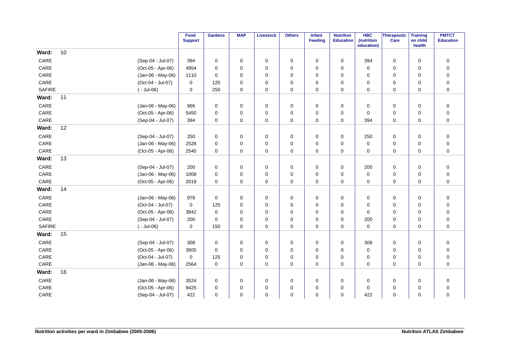|               |              |                   | Food<br><b>Support</b> | <b>Gardens</b> | <b>MAP</b>  | <b>Livestock</b> | <b>Others</b> | Infant<br>Feeding | <b>Nutrition</b><br><b>Education</b> | <b>HBC</b><br>(nutrition | Therapeutic<br>Care | <b>Training</b><br>on child | <b>PMTCT</b><br><b>Education</b> |
|---------------|--------------|-------------------|------------------------|----------------|-------------|------------------|---------------|-------------------|--------------------------------------|--------------------------|---------------------|-----------------------------|----------------------------------|
| Ward:         | 10           |                   |                        |                |             |                  |               |                   |                                      | education)               |                     | health                      |                                  |
| CARE          |              | (Sep-04 - Jul-07) | 394                    | $\mathbf 0$    |             |                  |               | $\mathbf 0$       | $\mathbf 0$                          | 394                      | 0                   | $\mathbf 0$                 |                                  |
|               |              |                   |                        |                | 0           | 0                | 0             |                   |                                      |                          |                     |                             | $\pmb{0}$                        |
| CARE          |              | (Oct-05 - Apr-06) | 4954                   | $\mathbf 0$    | 0           | 0                | 0             | $\mathbf 0$       | 0                                    | $\mathbf 0$              | 0                   | $\mathbf 0$                 | $\pmb{0}$                        |
| CARE          |              | (Jan-06 - May-06) | 1110                   | $\Omega$       | $\mathbf 0$ | $\mathbf 0$      | 0             | $\Omega$          | 0                                    | $\mathbf 0$              | 0                   | $\mathbf 0$                 | $\pmb{0}$                        |
| CARE          |              | (Oct-04 - Jul-07) | 0                      | 125            | 0           | $\mathbf 0$      | 0             | $\Omega$          | 0                                    | 0                        | 0                   | $\mathbf 0$                 | $\pmb{0}$                        |
| <b>SAFIRE</b> | $(-$ Jul-06) |                   | 0                      | 250            | 0           | $\mathbf 0$      | 0             | $\mathbf 0$       | 0                                    | 0                        | $\mathbf 0$         | $\mathbf 0$                 | $\pmb{0}$                        |
| Ward:         | 11           |                   |                        |                |             |                  |               |                   |                                      |                          |                     |                             |                                  |
| CARE          |              | (Jan-06 - May-06) | 966                    | $\mathbf 0$    | 0           | $\mathbf 0$      | 0             | 0                 | 0                                    | 0                        | $\mathbf 0$         | 0                           | $\pmb{0}$                        |
| CARE          |              | (Oct-05 - Apr-06) | 5450                   | $\mathbf 0$    | 0           | 0                | 0             | 0                 | 0                                    | 0                        | 0                   | $\mathbf 0$                 | $\pmb{0}$                        |
| CARE          |              | (Sep-04 - Jul-07) | 394                    | $\mathbf 0$    | $\mathbf 0$ | $\mathbf 0$      | $\mathbf 0$   | $\mathbf 0$       | 0                                    | 394                      | $\mathbf 0$         | $\mathbf 0$                 | $\pmb{0}$                        |
| Ward:         | 12           |                   |                        |                |             |                  |               |                   |                                      |                          |                     |                             |                                  |
| CARE          |              | (Sep-04 - Jul-07) | 250                    | $\mathbf 0$    | $\mathbf 0$ | $\mathbf 0$      | 0             | $\mathbf 0$       | 0                                    | 250                      | 0                   | $\mathbf 0$                 | $\mathbf 0$                      |
| CARE          |              | (Jan-06 - May-06) | 2528                   | $\mathbf 0$    | 0           | $\mathbf 0$      | 0             | $\mathbf 0$       | 0                                    | $\mathbf 0$              | 0                   | $\mathbf 0$                 | $\pmb{0}$                        |
| CARE          |              | (Oct-05 - Apr-06) | 2540                   | $\mathbf 0$    | 0           | 0                | 0             | $\mathbf 0$       | 0                                    | 0                        | 0                   | 0                           | $\pmb{0}$                        |
| Ward:         | 13           |                   |                        |                |             |                  |               |                   |                                      |                          |                     |                             |                                  |
| CARE          |              | (Sep-04 - Jul-07) | 200                    | 0              | 0           | $\mathbf 0$      | 0             | 0                 | 0                                    | 200                      | $\mathbf 0$         | $\mathbf 0$                 | $\pmb{0}$                        |
| CARE          |              | (Jan-06 - May-06) | 1008                   | $\mathbf 0$    | $\mathbf 0$ | $\mathbf 0$      | 0             | $\mathbf 0$       | 0                                    | $\mathbf 0$              | 0                   | $\mathbf 0$                 | $\pmb{0}$                        |
| CARE          |              | (Oct-05 - Apr-06) | 2019                   | $\mathbf 0$    | $\mathbf 0$ | $\pmb{0}$        | 0             | $\mathbf 0$       | 0                                    | $\mathbf 0$              | $\mathbf 0$         | $\mathbf 0$                 | $\pmb{0}$                        |
| Ward:         | 14           |                   |                        |                |             |                  |               |                   |                                      |                          |                     |                             |                                  |
| CARE          |              | (Jan-06 - May-06) | 978                    | $\mathbf 0$    | 0           | 0                | 0             | 0                 | 0                                    | 0                        | 0                   | 0                           | $\pmb{0}$                        |
| CARE          |              | (Oct-04 - Jul-07) | $\mathbf 0$            | 125            | 0           | 0                | 0             | $\Omega$          | 0                                    | 0                        | 0                   | 0                           | $\pmb{0}$                        |
| CARE          |              | (Oct-05 - Apr-06) | 3842                   | $\mathbf 0$    | 0           | 0                | 0             | $\Omega$          | 0                                    | 0                        | 0                   | 0                           | $\pmb{0}$                        |
| CARE          |              | (Sep-04 - Jul-07) | 200                    | $\Omega$       | 0           | $\mathbf 0$      | 0             | $\Omega$          | $\mathbf 0$                          | 200                      | 0                   | 0                           | $\pmb{0}$                        |
| <b>SAFIRE</b> | $(-$ Jul-06) |                   | 0                      | 150            | 0           | 0                | 0             | $\mathbf 0$       | 0                                    | 0                        | 0                   | 0                           | $\pmb{0}$                        |
| Ward:         | 15           |                   |                        |                |             |                  |               |                   |                                      |                          |                     |                             |                                  |
| CARE          |              | (Sep-04 - Jul-07) | 308                    | $\pmb{0}$      | 0           | $\mathbf 0$      | 0             | $\Omega$          | $\mathbf 0$                          | 308                      | 0                   | $\mathbf 0$                 | $\pmb{0}$                        |
| CARE          |              | (Oct-05 - Apr-06) | 3605                   | $\mathbf 0$    | $\mathbf 0$ | $\mathbf 0$      | 0             | $\Omega$          | 0                                    | $\mathbf 0$              | 0                   | $\mathbf 0$                 | $\pmb{0}$                        |
| CARE          |              | (Oct-04 - Jul-07) | $\mathbf 0$            | 125            | $\mathbf 0$ | $\mathbf 0$      | 0             | $\Omega$          | 0                                    | 0                        | 0                   | $\mathbf 0$                 | $\pmb{0}$                        |
| CARE          |              | (Jan-06 - May-06) | 2564                   | $\mathbf 0$    | $\mathbf 0$ | $\mathbf 0$      | 0             | $\mathbf 0$       | 0                                    | $\mathbf 0$              | 0                   | $\Omega$                    | $\pmb{0}$                        |
| Ward:         | 16           |                   |                        |                |             |                  |               |                   |                                      |                          |                     |                             |                                  |
| CARE          |              | (Jan-06 - May-06) | 3524                   | $\mathbf 0$    | 0           | $\mathbf 0$      | 0             | $\mathbf 0$       | $\mathbf 0$                          | $\mathbf 0$              | 0                   | $\mathbf 0$                 | $\pmb{0}$                        |
| CARE          |              | (Oct-05 - Apr-06) | 9425                   | $\mathbf 0$    | 0           | $\mathbf 0$      | 0             | $\mathbf 0$       | 0                                    | $\mathbf 0$              | 0                   | 0                           | $\pmb{0}$                        |
| CARE          |              | (Sep-04 - Jul-07) | 422                    | $\mathbf 0$    | 0           | $\mathbf 0$      | 0             | 0                 | $\mathbf 0$                          | 422                      | 0                   | 0                           | $\mathbf 0$                      |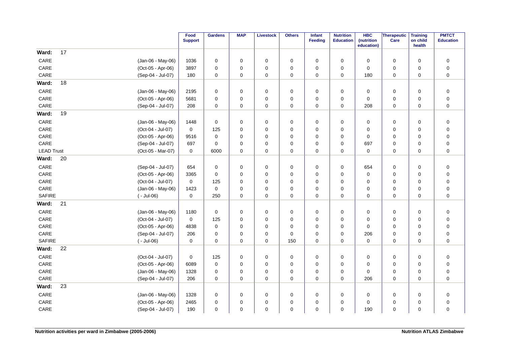|                   |    |                   | Food<br><b>Support</b> | <b>Gardens</b> | <b>MAP</b> | <b>Livestock</b> | <b>Others</b> | <b>Infant</b><br><b>Feeding</b> | <b>Nutrition</b><br><b>Education</b> | <b>HBC</b><br>(nutrition<br>education) | Therapeutic<br>Care | <b>Training</b><br>on child<br>health | <b>PMTCT</b><br><b>Education</b> |
|-------------------|----|-------------------|------------------------|----------------|------------|------------------|---------------|---------------------------------|--------------------------------------|----------------------------------------|---------------------|---------------------------------------|----------------------------------|
| Ward:             | 17 |                   |                        |                |            |                  |               |                                 |                                      |                                        |                     |                                       |                                  |
| CARE              |    | (Jan-06 - May-06) | 1036                   | 0              | 0          | $\mathbf 0$      | 0             | $\mathbf 0$                     | 0                                    | 0                                      | $\mathbf 0$         | $\mathbf 0$                           | $\boldsymbol{0}$                 |
| CARE              |    | (Oct-05 - Apr-06) | 3897                   | $\mathbf 0$    | 0          | $\mathbf 0$      | 0             | $\mathbf 0$                     | $\mathbf 0$                          | $\mathbf 0$                            | 0                   | $\mathbf 0$                           | $\pmb{0}$                        |
| CARE              |    | (Sep-04 - Jul-07) | 180                    | 0              | 0          | $\mathbf 0$      | 0             | 0                               | 0                                    | 180                                    | $\mathbf 0$         | 0                                     | $\pmb{0}$                        |
| Ward:             | 18 |                   |                        |                |            |                  |               |                                 |                                      |                                        |                     |                                       |                                  |
| CARE              |    | (Jan-06 - May-06) | 2195                   | 0              | 0          | $\mathbf 0$      | 0             | 0                               | 0                                    | 0                                      | 0                   | $\mathbf 0$                           | $\pmb{0}$                        |
| CARE              |    | (Oct-05 - Apr-06) | 5681                   | $\mathbf 0$    | 0          | 0                | 0             | 0                               | $\mathbf 0$                          | 0                                      | 0                   | 0                                     | $\mathbf 0$                      |
| CARE              |    | (Sep-04 - Jul-07) | 208                    | $\mathbf 0$    | 0          | 0                | 0             | 0                               | 0                                    | 208                                    | 0                   | 0                                     | $\pmb{0}$                        |
| Ward:             | 19 |                   |                        |                |            |                  |               |                                 |                                      |                                        |                     |                                       |                                  |
| CARE              |    | (Jan-06 - May-06) | 1448                   | $\mathbf 0$    | 0          | $\mathbf 0$      | 0             | $\mathbf 0$                     | 0                                    | $\mathbf 0$                            | 0                   | $\mathbf 0$                           | $\pmb{0}$                        |
| CARE              |    | (Oct-04 - Jul-07) | 0                      | 125            | 0          | 0                | 0             | 0                               | 0                                    | 0                                      | 0                   | 0                                     | $\pmb{0}$                        |
| CARE              |    | (Oct-05 - Apr-06) | 9516                   | $\mathbf 0$    | 0          | $\mathbf 0$      | 0             | $\mathbf 0$                     | 0                                    | $\mathbf 0$                            | 0                   | $\mathbf 0$                           | $\pmb{0}$                        |
| CARE              |    | (Sep-04 - Jul-07) | 697                    | $\Omega$       | 0          | 0                | 0             | $\Omega$                        | 0                                    | 697                                    | 0                   | 0                                     | $\pmb{0}$                        |
| <b>LEAD Trust</b> |    | (Oct-05 - Mar-07) | 0                      | 6000           | 0          | 0                | 0             | 0                               | 0                                    | 0                                      | 0                   | 0                                     | $\mathbf 0$                      |
| Ward:             | 20 |                   |                        |                |            |                  |               |                                 |                                      |                                        |                     |                                       |                                  |
| CARE              |    | (Sep-04 - Jul-07) | 654                    | 0              | 0          | $\mathbf 0$      | 0             | 0                               | 0                                    | 654                                    | 0                   | $\mathbf 0$                           | $\pmb{0}$                        |
| CARE              |    | (Oct-05 - Apr-06) | 3365                   | $\mathbf 0$    | 0          | $\mathbf 0$      | 0             | 0                               | 0                                    | $\mathbf 0$                            | 0                   | $\mathbf 0$                           | $\pmb{0}$                        |
| CARE              |    | (Oct-04 - Jul-07) | 0                      | 125            | 0          | $\mathbf 0$      | 0             | $\mathbf 0$                     | 0                                    | $\mathbf 0$                            | 0                   | $\mathbf 0$                           | $\pmb{0}$                        |
| CARE              |    | (Jan-06 - May-06) | 1423                   | $\mathbf 0$    | 0          | 0                | 0             | $\Omega$                        | 0                                    | 0                                      | 0                   | 0                                     | $\pmb{0}$                        |
| <b>SAFIRE</b>     |    | $(-$ Jul-06)      | 0                      | 250            | 0          | $\mathbf 0$      | 0             | $\mathbf 0$                     | 0                                    | $\mathbf 0$                            | 0                   | $\mathbf 0$                           | $\pmb{0}$                        |
| Ward:             | 21 |                   |                        |                |            |                  |               |                                 |                                      |                                        |                     |                                       |                                  |
| CARE              |    | (Jan-06 - May-06) | 1180                   | $\mathbf 0$    | 0          | $\mathbf 0$      | 0             | 0                               | 0                                    | 0                                      | 0                   | $\mathbf 0$                           | $\pmb{0}$                        |
| CARE              |    | (Oct-04 - Jul-07) | 0                      | 125            | 0          | $\mathbf 0$      | 0             | 0                               | 0                                    | $\mathbf 0$                            | 0                   | $\mathbf 0$                           | $\pmb{0}$                        |
| CARE              |    | (Oct-05 - Apr-06) | 4838                   | $\mathbf 0$    | 0          | $\mathbf 0$      | 0             | $\mathbf 0$                     | $\mathbf 0$                          | $\mathbf 0$                            | $\mathbf 0$         | $\mathbf 0$                           | $\pmb{0}$                        |
| CARE              |    | (Sep-04 - Jul-07) | 206                    | $\mathbf 0$    | 0          | $\mathbf 0$      | 0             | $\mathbf 0$                     | 0                                    | 206                                    | 0                   | 0                                     | $\pmb{0}$                        |
| <b>SAFIRE</b>     |    | $(-$ Jul-06)      | 0                      | $\mathbf 0$    | 0          | $\mathbf 0$      | 150           | $\mathbf 0$                     | $\mathbf 0$                          | $\mathbf 0$                            | 0                   | $\mathbf 0$                           | $\mathbf 0$                      |
| Ward:             | 22 |                   |                        |                |            |                  |               |                                 |                                      |                                        |                     |                                       |                                  |
| CARE              |    | (Oct-04 - Jul-07) | 0                      | 125            | 0          | 0                | 0             | $\mathbf 0$                     | 0                                    | 0                                      | 0                   | $\mathbf 0$                           | $\pmb{0}$                        |
| CARE              |    | (Oct-05 - Apr-06) | 6089                   | $\mathbf 0$    | 0          | $\mathbf 0$      | 0             | $\mathbf 0$                     | 0                                    | 0                                      | 0                   | $\mathbf 0$                           | $\pmb{0}$                        |
| CARE              |    | (Jan-06 - May-06) | 1328                   | $\mathbf 0$    | 0          | $\mathbf 0$      | 0             | $\mathbf 0$                     | 0                                    | $\mathbf 0$                            | 0                   | $\mathbf 0$                           | $\pmb{0}$                        |
| CARE              |    | (Sep-04 - Jul-07) | 206                    | $\mathbf 0$    | 0          | 0                | 0             | $\mathbf 0$                     | 0                                    | 206                                    | 0                   | 0                                     | $\mathbf 0$                      |
| Ward:             | 23 |                   |                        |                |            |                  |               |                                 |                                      |                                        |                     |                                       |                                  |
| CARE              |    | (Jan-06 - May-06) | 1328                   | $\mathbf 0$    | 0          | $\mathbf 0$      | 0             | 0                               | 0                                    | 0                                      | 0                   | $\mathbf 0$                           | $\pmb{0}$                        |
| CARE              |    | (Oct-05 - Apr-06) | 2465                   | $\mathbf 0$    | 0          | $\mathbf 0$      | 0             | $\Omega$                        | 0                                    | 0                                      | 0                   | 0                                     | $\mathbf 0$                      |
| CARE              |    | (Sep-04 - Jul-07) | 190                    | $\mathbf 0$    | 0          | 0                | 0             | 0                               | 0                                    | 190                                    | 0                   | 0                                     | $\pmb{0}$                        |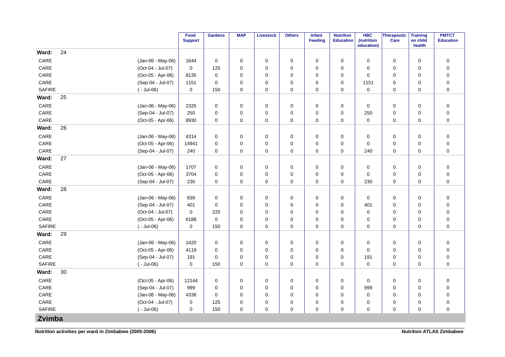|                 |                   | Food<br><b>Support</b> | <b>Gardens</b> | <b>MAP</b> | <b>Livestock</b> | <b>Others</b> | Infant<br><b>Feeding</b> | <b>Nutrition</b><br><b>Education</b> | <b>HBC</b><br>(nutrition<br>education) | <b>Therapeutic</b><br>Care | <b>Training</b><br>on child<br>health | <b>PMTCT</b><br><b>Education</b> |
|-----------------|-------------------|------------------------|----------------|------------|------------------|---------------|--------------------------|--------------------------------------|----------------------------------------|----------------------------|---------------------------------------|----------------------------------|
| 24<br>Ward:     |                   |                        |                |            |                  |               |                          |                                      |                                        |                            |                                       |                                  |
| CARE            | (Jan-06 - May-06) | 1644                   | 0              | 0          | $\mathbf 0$      | 0             | $\mathbf 0$              | 0                                    | 0                                      | 0                          | $\mathbf 0$                           | $\mathbf 0$                      |
| CARE            | (Oct-04 - Jul-07) | $\mathbf 0$            | 125            | 0          | $\mathbf 0$      | 0             | $\Omega$                 | 0                                    | $\mathbf 0$                            | 0                          | $\mathbf 0$                           | $\pmb{0}$                        |
| CARE            | (Oct-05 - Apr-06) | 8135                   | $\mathbf 0$    | 0          | 0                | 0             | 0                        | 0                                    | $\mathbf 0$                            | 0                          | $\mathbf 0$                           | $\pmb{0}$                        |
| CARE            | (Sep-04 - Jul-07) | 1151                   | $\mathbf 0$    | 0          | $\mathbf 0$      | 0             | $\mathbf 0$              | 0                                    | 1151                                   | 0                          | $\mathbf 0$                           | $\pmb{0}$                        |
| <b>SAFIRE</b>   | $(-$ Jul-06)      | $\mathbf 0$            | 150            | 0          | $\mathbf 0$      | 0             | 0                        | 0                                    | $\pmb{0}$                              | 0                          | $\mathbf 0$                           | $\pmb{0}$                        |
| 25<br>Ward:     |                   |                        |                |            |                  |               |                          |                                      |                                        |                            |                                       |                                  |
| CARE            | (Jan-06 - May-06) | 2325                   | $\mathbf 0$    | 0          | $\mathbf 0$      | $\mathbf 0$   | $\mathbf 0$              | 0                                    | $\mathbf 0$                            | $\mathbf 0$                | $\mathbf 0$                           | $\pmb{0}$                        |
| CARE            | (Sep-04 - Jul-07) | 250                    | $\mathbf 0$    | 0          | $\mathbf 0$      | 0             | 0                        | 0                                    | 250                                    | 0                          | 0                                     | $\pmb{0}$                        |
| CARE            | (Oct-05 - Apr-06) | 8930                   | $\mathbf 0$    | 0          | 0                | 0             | 0                        | 0                                    | 0                                      | 0                          | $\mathbf 0$                           | $\pmb{0}$                        |
| 26<br>Ward:     |                   |                        |                |            |                  |               |                          |                                      |                                        |                            |                                       |                                  |
| CARE            | (Jan-06 - May-06) | 4314                   | $\pmb{0}$      | 0          | $\mathbf 0$      | 0             | 0                        | 0                                    | 0                                      | $\mathbf 0$                | $\mathbf 0$                           | $\pmb{0}$                        |
| CARE            | (Oct-05 - Apr-06) | 14941                  | $\mathbf 0$    | 0          | $\mathbf 0$      | 0             | $\mathbf 0$              | 0                                    | $\mathbf 0$                            | 0                          | $\mathbf 0$                           | $\pmb{0}$                        |
| CARE            | (Sep-04 - Jul-07) | 240                    | $\mathbf 0$    | 0          | $\pmb{0}$        | 0             | 0                        | 0                                    | 240                                    | 0                          | $\mathbf 0$                           | $\pmb{0}$                        |
| 27<br>Ward:     |                   |                        |                |            |                  |               |                          |                                      |                                        |                            |                                       |                                  |
| CARE            | (Jan-06 - May-06) | 1707                   | 0              | 0          | $\mathbf 0$      | 0             | 0                        | 0                                    | 0                                      | $\mathbf 0$                | $\mathbf 0$                           | $\pmb{0}$                        |
| CARE            | (Oct-05 - Apr-06) | 3704                   | $\mathbf 0$    | 0          | $\mathbf 0$      | 0             | $\mathbf 0$              | 0                                    | $\mathbf 0$                            | 0                          | $\mathbf 0$                           | $\mathbf 0$                      |
| CARE            | (Sep-04 - Jul-07) | 230                    | $\mathbf 0$    | 0          | $\mathbf 0$      | 0             | $\mathbf 0$              | 0                                    | 230                                    | 0                          | $\mathbf 0$                           | $\pmb{0}$                        |
| 28<br>Ward:     |                   |                        |                |            |                  |               |                          |                                      |                                        |                            |                                       |                                  |
| CARE            | (Jan-06 - May-06) | 839                    | $\mathbf 0$    | 0          | $\mathbf 0$      | 0             | $\mathbf 0$              | 0                                    | $\mathbf 0$                            | 0                          | $\mathbf 0$                           | $\pmb{0}$                        |
| CARE            | (Sep-04 - Jul-07) | 401                    | $\mathbf 0$    | 0          | $\mathbf 0$      | 0             | $\mathbf 0$              | 0                                    | 401                                    | 0                          | $\mathbf 0$                           | $\pmb{0}$                        |
| CARE            | (Oct-04 - Jul-07) | 0                      | 225            | 0          | $\mathbf 0$      | 0             | $\mathbf 0$              | 0                                    | $\mathbf 0$                            | 0                          | $\mathbf 0$                           | $\pmb{0}$                        |
| CARE            | (Oct-05 - Apr-06) | 6188                   | $\pmb{0}$      | 0          | $\mathbf 0$      | 0             | 0                        | 0                                    | $\mathbf 0$                            | 0                          | $\mathbf 0$                           | $\mathbf 0$                      |
| <b>SAFIRE</b>   | $(-$ Jul-06)      | 0                      | 150            | 0          | 0                | 0             | $\mathbf 0$              | 0                                    | $\mathbf 0$                            | 0                          | $\mathbf 0$                           | $\mathbf 0$                      |
| 29<br>Ward:     |                   |                        |                |            |                  |               |                          |                                      |                                        |                            |                                       |                                  |
| CARE            | (Jan-06 - May-06) | 1420                   | $\mathbf 0$    | 0          | $\mathbf 0$      | 0             | 0                        | 0                                    | $\mathbf 0$                            | $\mathbf 0$                | $\mathbf 0$                           | $\pmb{0}$                        |
| CARE            | (Oct-05 - Apr-06) | 4119                   | $\mathbf 0$    | 0          | $\mathbf 0$      | 0             | $\mathbf 0$              | 0                                    | $\mathbf 0$                            | 0                          | $\mathbf 0$                           | $\pmb{0}$                        |
| $\mathsf{CARE}$ | (Sep-04 - Jul-07) | 191                    | $\mathbf 0$    | 0          | $\mathbf 0$      | 0             | 0                        | 0                                    | 191                                    | 0                          | 0                                     | $\pmb{0}$                        |
| <b>SAFIRE</b>   | $(-$ Jul-06)      | 0                      | 150            | 0          | 0                | 0             | 0                        | 0                                    | 0                                      | 0                          | $\mathbf 0$                           | $\pmb{0}$                        |
| 30<br>Ward:     |                   |                        |                |            |                  |               |                          |                                      |                                        |                            |                                       |                                  |
| CARE            | (Oct-05 - Apr-06) | 12144                  | $\mathbf 0$    | 0          | 0                | 0             | $\mathbf 0$              | $\mathbf 0$                          | $\mathbf 0$                            | 0                          | $\mathbf 0$                           | $\pmb{0}$                        |
| CARE            | (Sep-04 - Jul-07) | 999                    | $\mathbf 0$    | 0          | 0                | 0             | 0                        | 0                                    | 999                                    | 0                          | $\mathbf 0$                           | $\pmb{0}$                        |
| CARE            | (Jan-06 - May-06) | 4338                   | $\mathbf 0$    | 0          | $\mathbf 0$      | 0             | $\Omega$                 | 0                                    | $\mathbf 0$                            | 0                          | $\mathbf 0$                           | $\pmb{0}$                        |
| CARE            | (Oct-04 - Jul-07) | 0                      | 125            | 0          | $\mathbf 0$      | 0             | $\mathbf 0$              | 0                                    | $\mathbf 0$                            | 0                          | 0                                     | $\pmb{0}$                        |
| <b>SAFIRE</b>   | $(-$ Jul-06)      | 0                      | 150            | 0          | $\mathbf 0$      | 0             | $\Omega$                 | 0                                    | $\mathbf 0$                            | $\mathbf 0$                | $\mathbf 0$                           | $\mathbf 0$                      |
| Zvimba          |                   |                        |                |            |                  |               |                          |                                      |                                        |                            |                                       |                                  |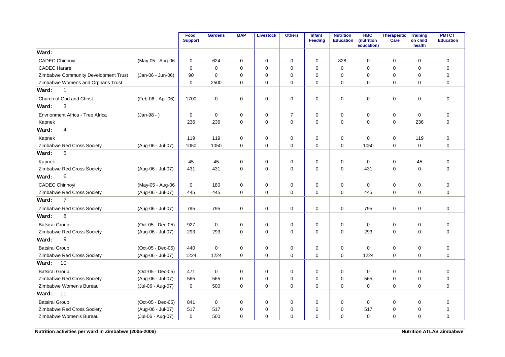|                                      |                   | Food<br><b>Support</b> | <b>Gardens</b> | <b>MAP</b>  | <b>Livestock</b> | <b>Others</b>  | Infant<br><b>Feeding</b> | <b>Nutrition</b><br><b>Education</b> | <b>HBC</b><br>(nutrition<br>education) | <b>Therapeutic</b><br>Care | <b>Training</b><br>on child<br>health | <b>PMTCT</b><br><b>Education</b> |
|--------------------------------------|-------------------|------------------------|----------------|-------------|------------------|----------------|--------------------------|--------------------------------------|----------------------------------------|----------------------------|---------------------------------------|----------------------------------|
| Ward:                                |                   |                        |                |             |                  |                |                          |                                      |                                        |                            |                                       |                                  |
| <b>CADEC Chinhoyi</b>                | (May-05 - Aug-06  | 0                      | 624            | $\mathbf 0$ | $\mathbf 0$      | 0              | 0                        | 828                                  | $\mathbf 0$                            | 0                          | $\mathbf 0$                           | $\mathbf 0$                      |
| <b>CADEC Harare</b>                  |                   | $\Omega$               | $\Omega$       | $\Omega$    | $\mathbf 0$      | 0              | $\Omega$                 | $\Omega$                             | 0                                      | 0                          | $\mathbf 0$                           | $\mathbf 0$                      |
| Zimbabwe Community Development Trust | (Jan-06 - Jun-06) | 90                     | $\Omega$       | $\mathbf 0$ | $\mathbf 0$      | 0              | $\Omega$                 | 0                                    | $\mathbf 0$                            | $\mathbf 0$                | $\mathbf 0$                           | $\pmb{0}$                        |
| Zimbabwe Womens and Orphans Trust    |                   | 0                      | 2500           | 0           | $\mathbf 0$      | 0              | $\mathbf 0$              | 0                                    | 0                                      | 0                          | $\mathbf 0$                           | $\mathbf 0$                      |
| Ward:<br>1                           |                   |                        |                |             |                  |                |                          |                                      |                                        |                            |                                       |                                  |
| Church of God and Christ             | (Feb-06 - Apr-06) | 1700                   | $\mathbf 0$    | $\mathbf 0$ | $\mathbf 0$      | $\mathbf 0$    | $\mathbf 0$              | $\mathbf 0$                          | $\mathbf 0$                            | $\mathbf 0$                | $\mathbf 0$                           | $\mathbf 0$                      |
| 3<br>Ward:                           |                   |                        |                |             |                  |                |                          |                                      |                                        |                            |                                       |                                  |
| Envrionment Africa - Tree Africa     | $(Jan-98 - )$     | 0                      | $\mathbf 0$    | $\mathbf 0$ | $\mathbf 0$      | $\overline{7}$ | $\mathbf 0$              | 0                                    | $\mathbf 0$                            | 0                          | $\mathbf 0$                           | $\pmb{0}$                        |
| Kapnek                               |                   | 236                    | 236            | $\Omega$    | $\mathbf 0$      | $\mathbf 0$    | $\Omega$                 | $\Omega$                             | $\Omega$                               | $\mathbf 0$                | 236                                   | $\mathbf 0$                      |
| 4<br>Ward:                           |                   |                        |                |             |                  |                |                          |                                      |                                        |                            |                                       |                                  |
| Kapnek                               |                   | 119                    | 119            | 0           | $\mathbf 0$      | $\mathbf 0$    | 0                        | 0                                    | $\Omega$                               | $\mathbf 0$                | 119                                   | $\pmb{0}$                        |
| Zimbabwe Red Cross Society           | (Aug-06 - Jul-07) | 1050                   | 1050           | $\mathbf 0$ | $\mathbf 0$      | $\mathbf 0$    | $\Omega$                 | $\mathbf 0$                          | 1050                                   | $\mathbf 0$                | $\mathbf 0$                           | $\mathbf 0$                      |
| 5<br>Ward:                           |                   |                        |                |             |                  |                |                          |                                      |                                        |                            |                                       |                                  |
| Kapnek                               |                   | 45                     | 45             | $\mathbf 0$ | $\mathbf 0$      | 0              | 0                        | 0                                    | 0                                      | 0                          | 45                                    | $\mathbf 0$                      |
| Zimbabwe Red Cross Society           | (Aug-06 - Jul-07) | 431                    | 431            | $\mathbf 0$ | $\mathbf 0$      | 0              | $\mathbf 0$              | $\mathbf 0$                          | 431                                    | $\mathbf 0$                | $\mathbf 0$                           | $\mathbf 0$                      |
| 6<br>Ward:                           |                   |                        |                |             |                  |                |                          |                                      |                                        |                            |                                       |                                  |
| <b>CADEC Chinhoyi</b>                | (May-05 - Aug-06  | 0                      | 180            | 0           | 0                | 0              | 0                        | 0                                    | 0                                      | 0                          | $\mathbf 0$                           | $\mathbf 0$                      |
| Zimbabwe Red Cross Society           | (Aug-06 - Jul-07) | 445                    | 445            | $\Omega$    | $\Omega$         | $\Omega$       | $\Omega$                 | $\Omega$                             | 445                                    | $\mathbf 0$                | $\Omega$                              | $\Omega$                         |
| $\overline{7}$<br>Ward:              |                   |                        |                |             |                  |                |                          |                                      |                                        |                            |                                       |                                  |
| Zimbabwe Red Cross Society           | (Aug-06 - Jul-07) | 795                    | 795            | 0           | 0                | 0              | 0                        | 0                                    | 795                                    | 0                          | 0                                     | $\mathbf 0$                      |
| 8<br>Ward:                           |                   |                        |                |             |                  |                |                          |                                      |                                        |                            |                                       |                                  |
| <b>Batsirai Group</b>                | (Oct-05 - Dec-05) | 927                    | $\mathbf 0$    | $\mathbf 0$ | $\mathbf 0$      | $\mathbf 0$    | $\mathbf 0$              | $\mathbf 0$                          | 0                                      | 0                          | 0                                     | $\mathbf 0$                      |
| Zimbabwe Red Cross Society           | (Aug-06 - Jul-07) | 293                    | 293            | $\mathbf 0$ | $\mathbf 0$      | $\mathbf 0$    | $\mathbf 0$              | $\mathbf 0$                          | 293                                    | 0                          | $\mathbf 0$                           | $\mathbf 0$                      |
| 9<br>Ward:                           |                   |                        |                |             |                  |                |                          |                                      |                                        |                            |                                       |                                  |
| Batsirai Group                       | (Oct-05 - Dec-05) | 440                    | $\mathbf 0$    | 0           | $\mathbf 0$      | $\mathbf 0$    | $\mathbf 0$              | 0                                    | 0                                      | 0                          | 0                                     | $\mathbf 0$                      |
| Zimbabwe Red Cross Society           | (Aug-06 - Jul-07) | 1224                   | 1224           | $\Omega$    | $\mathbf 0$      | $\mathbf 0$    | $\Omega$                 | $\Omega$                             | 1224                                   | $\mathbf 0$                | $\Omega$                              | $\Omega$                         |
| Ward:<br>10                          |                   |                        |                |             |                  |                |                          |                                      |                                        |                            |                                       |                                  |
| <b>Batsirai Group</b>                | (Oct-05 - Dec-05) | 471                    | $\mathbf 0$    | $\mathbf 0$ | $\mathbf 0$      | $\mathbf 0$    | $\mathbf 0$              | 0                                    | 0                                      | 0                          | $\mathbf 0$                           | $\mathbf 0$                      |
| Zimbabwe Red Cross Society           | (Aug-06 - Jul-07) | 565                    | 565            | $\mathbf 0$ | $\mathbf 0$      | $\mathbf 0$    | $\Omega$                 | 0                                    | 565                                    | 0                          | $\mathbf 0$                           | $\mathbf 0$                      |
| Zimbabwe Women's Bureau              | (Jul-06 - Aug-07) | $\Omega$               | 500            | $\Omega$    | $\Omega$         | $\Omega$       | $\Omega$                 | $\Omega$                             | $\Omega$                               | 0                          | $\Omega$                              | $\Omega$                         |
| 11<br>Ward:                          |                   |                        |                |             |                  |                |                          |                                      |                                        |                            |                                       |                                  |
| <b>Batsirai Group</b>                | (Oct-05 - Dec-05) | 841                    | $\mathbf 0$    | 0           | 0                | 0              | 0                        | 0                                    | 0                                      | 0                          | $\mathbf 0$                           | $\mathbf 0$                      |
| Zimbabwe Red Cross Society           | (Aug-06 - Jul-07) | 517                    | 517            | 0           | $\mathbf 0$      | 0              | $\Omega$                 | 0                                    | 517                                    | 0                          | 0                                     | $\mathbf 0$                      |
| Zimbabwe Women's Bureau              | (Jul-06 - Aug-07) | $\mathbf 0$            | 500            | 0           | $\mathbf 0$      | 0              | $\mathbf 0$              | $\mathbf 0$                          | $\mathbf 0$                            | 0                          | $\mathbf 0$                           | $\mathbf 0$                      |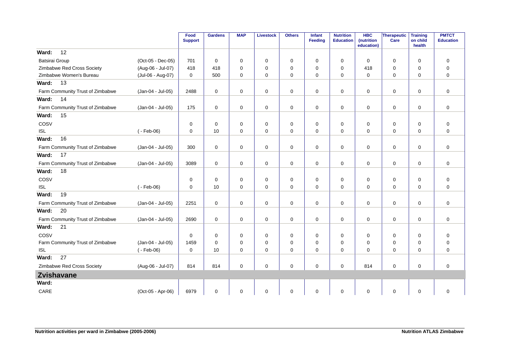|                                  |                   | Food<br><b>Support</b> | <b>Gardens</b> | <b>MAP</b>  | <b>Livestock</b> | <b>Others</b> | Infant<br><b>Feeding</b> | <b>Nutrition</b><br><b>Education</b> | <b>HBC</b><br>(nutrition<br>education) | Therapeutic<br>Care | <b>Training</b><br>on child<br>health | <b>PMTCT</b><br><b>Education</b> |
|----------------------------------|-------------------|------------------------|----------------|-------------|------------------|---------------|--------------------------|--------------------------------------|----------------------------------------|---------------------|---------------------------------------|----------------------------------|
| 12<br>Ward:                      |                   |                        |                |             |                  |               |                          |                                      |                                        |                     |                                       |                                  |
| Batsirai Group                   | (Oct-05 - Dec-05) | 701                    | $\Omega$       | $\Omega$    | $\mathbf 0$      | $\mathbf 0$   | $\Omega$                 | $\mathbf 0$                          | $\Omega$                               | $\mathbf 0$         | $\Omega$                              | $\mathbf 0$                      |
| Zimbabwe Red Cross Society       | (Aug-06 - Jul-07) | 418                    | 418            | $\mathbf 0$ | $\mathbf 0$      | $\mathbf 0$   | $\mathbf 0$              | $\mathbf 0$                          | 418                                    | 0                   | $\mathbf 0$                           | $\mathbf 0$                      |
| Zimbabwe Women's Bureau          | (Jul-06 - Aug-07) | $\mathbf 0$            | 500            | $\mathbf 0$ | $\mathbf 0$      | 0             | $\mathbf 0$              | $\mathbf 0$                          | $\mathbf 0$                            | 0                   | $\mathbf 0$                           | $\overline{0}$                   |
| 13<br>Ward:                      |                   |                        |                |             |                  |               |                          |                                      |                                        |                     |                                       |                                  |
| Farm Community Trust of Zimbabwe | (Jan-04 - Jul-05) | 2488                   | $\mathbf 0$    | $\mathbf 0$ | $\mathbf 0$      | $\mathbf 0$   | $\mathbf 0$              | $\mathbf 0$                          | $\Omega$                               | $\mathbf 0$         | 0                                     | $\mathbf 0$                      |
| 14<br>Ward:                      |                   |                        |                |             |                  |               |                          |                                      |                                        |                     |                                       |                                  |
| Farm Community Trust of Zimbabwe | (Jan-04 - Jul-05) | 175                    | 0              | 0           | $\mathbf 0$      | 0             | $\mathbf 0$              | 0                                    | 0                                      | $\mathbf 0$         | 0                                     | $\mathbf 0$                      |
| 15<br>Ward:                      |                   |                        |                |             |                  |               |                          |                                      |                                        |                     |                                       |                                  |
| COSV                             |                   | 0                      | $\mathbf 0$    | $\mathbf 0$ | $\mathbf 0$      | 0             | $\mathbf 0$              | $\mathbf 0$                          | $\mathbf 0$                            | 0                   | $\mathbf 0$                           | $\mathbf 0$                      |
| <b>ISL</b>                       | $(-Feb-06)$       | $\mathbf 0$            | 10             | $\mathbf 0$ | $\mathbf 0$      | $\mathbf 0$   | $\mathbf 0$              | $\mathbf 0$                          | $\Omega$                               | $\mathbf 0$         | $\mathbf 0$                           | $\mathbf 0$                      |
| 16<br>Ward:                      |                   |                        |                |             |                  |               |                          |                                      |                                        |                     |                                       |                                  |
| Farm Community Trust of Zimbabwe | (Jan-04 - Jul-05) | 300                    | $\mathbf 0$    | $\Omega$    | $\Omega$         | 0             | $\Omega$                 | $\mathbf 0$                          | $\Omega$                               | $\mathbf 0$         | $\Omega$                              | $\mathbf 0$                      |
| 17<br>Ward:                      |                   |                        |                |             |                  |               |                          |                                      |                                        |                     |                                       |                                  |
| Farm Community Trust of Zimbabwe | (Jan-04 - Jul-05) | 3089                   | $\mathbf 0$    | 0           | $\mathbf 0$      | $\mathbf 0$   | $\mathbf 0$              | 0                                    | $\mathbf 0$                            | $\mathbf 0$         | 0                                     | $\mathbf 0$                      |
| 18<br>Ward:                      |                   |                        |                |             |                  |               |                          |                                      |                                        |                     |                                       |                                  |
| COSV                             |                   | 0                      | $\mathbf 0$    | 0           | 0                | 0             | $\mathbf 0$              | 0                                    | 0                                      | 0                   | 0                                     | $\mathbf 0$                      |
| <b>ISL</b>                       | $(-Feb-06)$       | $\mathbf 0$            | 10             | $\mathbf 0$ | $\mathbf 0$      | 0             | $\Omega$                 | $\mathbf 0$                          | $\Omega$                               | $\mathbf 0$         | 0                                     | $\mathbf 0$                      |
| Ward:<br>19                      |                   |                        |                |             |                  |               |                          |                                      |                                        |                     |                                       |                                  |
| Farm Community Trust of Zimbabwe | (Jan-04 - Jul-05) | 2251                   | 0              | 0           | 0                | $\mathbf 0$   | $\mathbf 0$              | 0                                    | $\mathbf 0$                            | 0                   | 0                                     | $\mathbf 0$                      |
| 20<br>Ward:                      |                   |                        |                |             |                  |               |                          |                                      |                                        |                     |                                       |                                  |
| Farm Community Trust of Zimbabwe | (Jan-04 - Jul-05) | 2690                   | 0              | $\mathbf 0$ | $\mathbf 0$      | $\mathbf 0$   | $\mathbf 0$              | $\mathbf 0$                          | $\mathbf 0$                            | 0                   | 0                                     | $\mathbf 0$                      |
| 21<br>Ward:                      |                   |                        |                |             |                  |               |                          |                                      |                                        |                     |                                       |                                  |
| COSV                             |                   | $\mathbf 0$            | $\Omega$       | $\mathbf 0$ | 0                | 0             | $\Omega$                 | $\mathbf 0$                          | 0                                      | $\mathbf 0$         | 0                                     | $\mathbf 0$                      |
| Farm Community Trust of Zimbabwe | (Jan-04 - Jul-05) | 1459                   | $\mathbf 0$    | $\mathbf 0$ | $\mathbf 0$      | 0             | $\mathbf 0$              | $\mathbf 0$                          | $\mathbf 0$                            | $\mathbf 0$         | $\mathbf 0$                           | $\mathbf 0$                      |
| <b>ISL</b>                       | $(-Feb-06)$       | $\mathbf 0$            | 10             | $\mathbf 0$ | $\mathbf 0$      | 0             | $\mathbf 0$              | 0                                    | $\mathbf 0$                            | $\mathbf 0$         | $\mathbf 0$                           | $\mathbf 0$                      |
| 27<br>Ward:                      |                   |                        |                |             |                  |               |                          |                                      |                                        |                     |                                       |                                  |
| Zimbabwe Red Cross Society       | (Aug-06 - Jul-07) | 814                    | 814            | 0           | $\mathbf 0$      | $\mathbf 0$   | $\Omega$                 | $\mathbf 0$                          | 814                                    | $\mathbf 0$         | 0                                     | $\mathbf 0$                      |
| <b>Zvishavane</b>                |                   |                        |                |             |                  |               |                          |                                      |                                        |                     |                                       |                                  |
| Ward:                            |                   |                        |                |             |                  |               |                          |                                      |                                        |                     |                                       |                                  |
| CARE                             | (Oct-05 - Apr-06) | 6979                   | $\mathbf 0$    | 0           | 0                | 0             | 0                        | 0                                    | 0                                      | 0                   | 0                                     | $\pmb{0}$                        |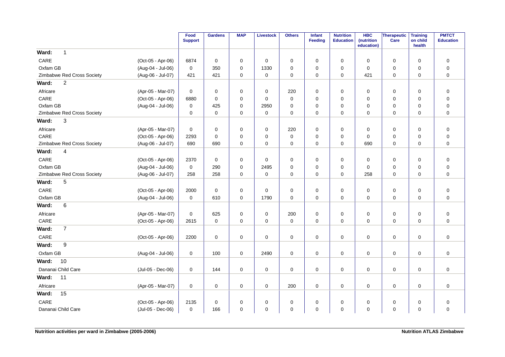|                                                 | Food<br><b>Support</b> | <b>Gardens</b> | <b>MAP</b>  | <b>Livestock</b> | <b>Others</b> | Infant<br><b>Feeding</b> | <b>Nutrition</b><br><b>Education</b> | <b>HBC</b><br>(nutrition<br>education) | Therapeutic<br>Care | <b>Training</b><br>on child<br>health | <b>PMTCT</b><br><b>Education</b> |
|-------------------------------------------------|------------------------|----------------|-------------|------------------|---------------|--------------------------|--------------------------------------|----------------------------------------|---------------------|---------------------------------------|----------------------------------|
| Ward:<br>$\mathbf{1}$                           |                        |                |             |                  |               |                          |                                      |                                        |                     |                                       |                                  |
| CARE<br>(Oct-05 - Apr-06)                       | 6874                   | 0              | 0           | 0                | 0             | 0                        | 0                                    | $\mathbf 0$                            | 0                   | $\mathbf 0$                           | $\mathbf 0$                      |
| (Aug-04 - Jul-06)<br>Oxfam GB                   | 0                      | 350            | 0           | 1330             | 0             | $\mathbf 0$              | $\mathbf 0$                          | $\mathbf 0$                            | 0                   | 0                                     | $\pmb{0}$                        |
| Zimbabwe Red Cross Society<br>(Aug-06 - Jul-07) | 421                    | 421            | $\mathbf 0$ | $\mathbf 0$      | 0             | $\mathbf 0$              | $\mathbf 0$                          | 421                                    | $\mathbf 0$         | $\mathbf 0$                           | $\mathbf 0$                      |
| $\overline{c}$<br>Ward:                         |                        |                |             |                  |               |                          |                                      |                                        |                     |                                       |                                  |
| Africare<br>(Apr-05 - Mar-07)                   | 0                      | 0              | 0           | 0                | 220           | 0                        | 0                                    | 0                                      | 0                   | 0                                     | $\pmb{0}$                        |
| CARE<br>(Oct-05 - Apr-06)                       | 6880                   | $\mathbf 0$    | 0           | $\mathbf 0$      | 0             | $\mathbf 0$              | $\mathbf 0$                          | $\mathbf 0$                            | 0                   | $\mathbf 0$                           | $\pmb{0}$                        |
| Oxfam GB<br>(Aug-04 - Jul-06)                   | $\mathbf 0$            | 425            | 0           | 2950             | 0             | 0                        | $\mathbf 0$                          | 0                                      | 0                   | $\mathbf 0$                           | $\pmb{0}$                        |
| Zimbabwe Red Cross Society                      | 0                      | $\mathbf 0$    | 0           | $\mathbf 0$      | 0             | $\mathbf 0$              | 0                                    | 0                                      | 0                   | 0                                     | $\pmb{0}$                        |
| 3<br>Ward:                                      |                        |                |             |                  |               |                          |                                      |                                        |                     |                                       |                                  |
| (Apr-05 - Mar-07)<br>Africare                   | 0                      | 0              | 0           | $\mathbf 0$      | 220           | $\mathbf 0$              | 0                                    | 0                                      | 0                   | $\mathbf 0$                           | $\pmb{0}$                        |
| CARE<br>(Oct-05 - Apr-06)                       | 2293                   | $\mathbf 0$    | 0           | 0                | 0             | 0                        | 0                                    | 0                                      | 0                   | $\mathbf 0$                           | $\mathbf 0$                      |
| Zimbabwe Red Cross Society<br>(Aug-06 - Jul-07) | 690                    | 690            | 0           | $\mathbf 0$      | 0             | 0                        | 0                                    | 690                                    | 0                   | 0                                     | $\pmb{0}$                        |
| $\overline{\mathbf{4}}$<br>Ward:                |                        |                |             |                  |               |                          |                                      |                                        |                     |                                       |                                  |
| CARE<br>(Oct-05 - Apr-06)                       | 2370                   | $\mathbf 0$    | 0           | $\mathbf 0$      | 0             | 0                        | 0                                    | 0                                      | 0                   | $\mathbf 0$                           | $\pmb{0}$                        |
| Oxfam GB<br>(Aug-04 - Jul-06)                   | $\mathbf 0$            | 290            | 0           | 2495             | 0             | $\mathbf 0$              | 0                                    | $\mathbf 0$                            | $\mathbf 0$         | $\mathbf 0$                           | $\pmb{0}$                        |
| Zimbabwe Red Cross Society<br>(Aug-06 - Jul-07) | 258                    | 258            | 0           | $\pmb{0}$        | 0             | 0                        | 0                                    | 258                                    | 0                   | $\mathbf 0$                           | $\mathbf 0$                      |
| 5<br>Ward:                                      |                        |                |             |                  |               |                          |                                      |                                        |                     |                                       |                                  |
| CARE<br>(Oct-05 - Apr-06)                       | 2000                   | $\mathbf 0$    | 0           | 0                | 0             | $\mathbf 0$              | 0                                    | 0                                      | 0                   | $\mathbf 0$                           | $\pmb{0}$                        |
| Oxfam GB<br>(Aug-04 - Jul-06)                   | 0                      | 610            | 0           | 1790             | 0             | $\mathbf 0$              | 0                                    | $\mathbf 0$                            | $\mathbf 0$         | $\mathbf 0$                           | $\pmb{0}$                        |
| $\,6$<br>Ward:                                  |                        |                |             |                  |               |                          |                                      |                                        |                     |                                       |                                  |
| Africare<br>(Apr-05 - Mar-07)                   | $\mathbf 0$            | 625            | 0           | 0                | 200           | $\mathbf 0$              | 0                                    | 0                                      | 0                   | $\mathbf 0$                           | $\mathbf 0$                      |
| CARE<br>(Oct-05 - Apr-06)                       | 2615                   | $\mathbf 0$    | $\mathbf 0$ | $\mathbf 0$      | 0             | 0                        | 0                                    | $\mathbf 0$                            | 0                   | $\mathbf 0$                           | $\pmb{0}$                        |
| $\overline{7}$<br>Ward:                         |                        |                |             |                  |               |                          |                                      |                                        |                     |                                       |                                  |
| CARE<br>(Oct-05 - Apr-06)                       | 2200                   | $\mathbf 0$    | 0           | $\mathbf 0$      | 0             | $\mathbf 0$              | 0                                    | $\mathbf 0$                            | $\mathbf 0$         | $\mathbf 0$                           | $\pmb{0}$                        |
| 9<br>Ward:                                      |                        |                |             |                  |               |                          |                                      |                                        |                     |                                       |                                  |
| Oxfam GB<br>(Aug-04 - Jul-06)                   | 0                      | 100            | 0           | 2490             | 0             | $\mathbf 0$              | 0                                    | $\mathbf 0$                            | $\mathbf 0$         | $\mathbf 0$                           | $\mathbf 0$                      |
| 10<br>Ward:                                     |                        |                |             |                  |               |                          |                                      |                                        |                     |                                       |                                  |
| Dananai Child Care<br>(Jul-05 - Dec-06)         | 0                      | 144            | 0           | $\mathbf 0$      | 0             | $\mathbf 0$              | 0                                    | $\mathbf 0$                            | $\mathbf 0$         | $\mathbf 0$                           | $\pmb{0}$                        |
| Ward:<br>11                                     |                        |                |             |                  |               |                          |                                      |                                        |                     |                                       |                                  |
| Africare<br>(Apr-05 - Mar-07)                   | $\mathbf 0$            | $\mathbf 0$    | $\mathbf 0$ | $\mathbf 0$      | 200           | $\mathbf 0$              | 0                                    | $\mathbf 0$                            | 0                   | $\mathbf 0$                           | $\mathbf 0$                      |
| 15<br>Ward:                                     |                        |                |             |                  |               |                          |                                      |                                        |                     |                                       |                                  |
| CARE<br>(Oct-05 - Apr-06)                       | 2135                   | 0              | 0           | 0                | 0             | 0                        | 0                                    | 0                                      | 0                   | 0                                     | $\pmb{0}$                        |
| Dananai Child Care<br>(Jul-05 - Dec-06)         | 0                      | 166            | 0           | $\mathbf 0$      | 0             | $\mathbf 0$              | 0                                    | $\mathbf 0$                            | $\mathbf 0$         | $\mathbf 0$                           | $\pmb{0}$                        |